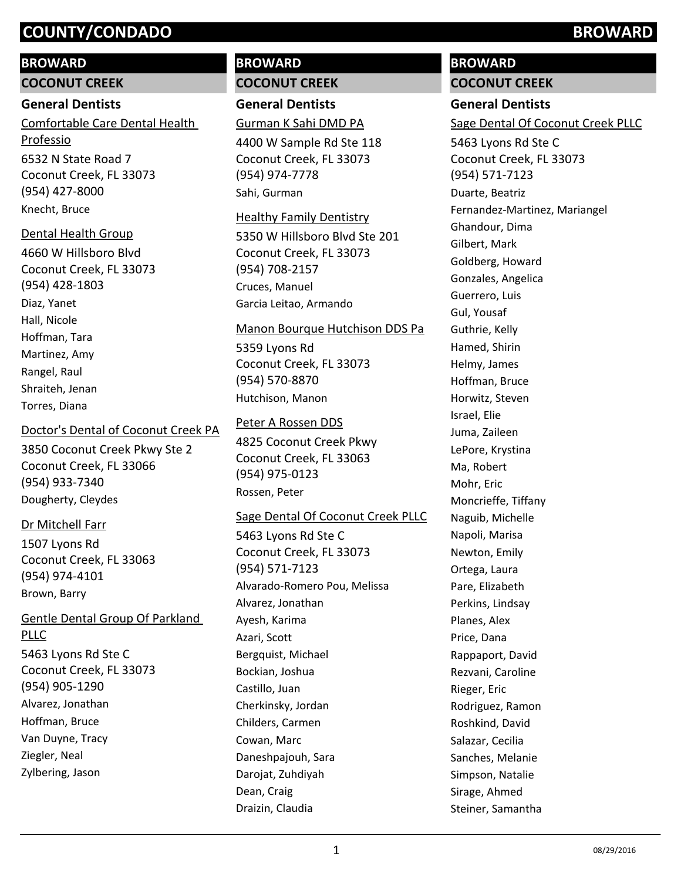# **BROWARD**

**COCONUT CREEK**

## **General Dentists**

6532 N State Road 7 Coconut Creek, FL 33073 (954) 427-8000 Comfortable Care Dental Health Professio Knecht, Bruce

# Dental Health Group

4660 W Hillsboro Blvd Coconut Creek, FL 33073 (954) 428-1803 Diaz, Yanet Hall, Nicole Hoffman, Tara Martinez, Amy Rangel, Raul Shraiteh, Jenan Torres, Diana

# Doctor's Dental of Coconut Creek PA

3850 Coconut Creek Pkwy Ste 2 Coconut Creek, FL 33066 (954) 933-7340 Dougherty, Cleydes

# Dr Mitchell Farr

1507 Lyons Rd Coconut Creek, FL 33063 (954) 974-4101 Brown, Barry

# Gentle Dental Group Of Parkland PLLC

5463 Lyons Rd Ste C Coconut Creek, FL 33073 (954) 905-1290 Alvarez, Jonathan Hoffman, Bruce Van Duyne, Tracy Ziegler, Neal Zylbering, Jason

# **BROWARD COCONUT CREEK**

**General Dentists**

Gurman K Sahi DMD PA

4400 W Sample Rd Ste 118 Coconut Creek, FL 33073 (954) 974-7778 Sahi, Gurman

# Healthy Family Dentistry

5350 W Hillsboro Blvd Ste 201 Coconut Creek, FL 33073 (954) 708-2157 Cruces, Manuel Garcia Leitao, Armando

# Manon Bourque Hutchison DDS Pa

5359 Lyons Rd Coconut Creek, FL 33073 (954) 570-8870 Hutchison, Manon

# Peter A Rossen DDS

4825 Coconut Creek Pkwy Coconut Creek, FL 33063 (954) 975-0123 Rossen, Peter

# Sage Dental Of Coconut Creek PLLC

5463 Lyons Rd Ste C Coconut Creek, FL 33073 (954) 571-7123 Alvarado-Romero Pou, Melissa Alvarez, Jonathan Ayesh, Karima Azari, Scott Bergquist, Michael Bockian, Joshua Castillo, Juan Cherkinsky, Jordan Childers, Carmen Cowan, Marc Daneshpajouh, Sara Darojat, Zuhdiyah Dean, Craig Draizin, Claudia

# **BROWARD**

# **COCONUT CREEK**

# **General Dentists**

Sage Dental Of Coconut Creek PLLC

5463 Lyons Rd Ste C Coconut Creek, FL 33073 (954) 571-7123 Duarte, Beatriz Fernandez-Martinez, Mariangel Ghandour, Dima Gilbert, Mark Goldberg, Howard Gonzales, Angelica Guerrero, Luis Gul, Yousaf Guthrie, Kelly Hamed, Shirin Helmy, James Hoffman, Bruce Horwitz, Steven Israel, Elie Juma, Zaileen LePore, Krystina Ma, Robert Mohr, Eric Moncrieffe, Tiffany Naguib, Michelle Napoli, Marisa Newton, Emily Ortega, Laura Pare, Elizabeth Perkins, Lindsay Planes, Alex Price, Dana Rappaport, David Rezvani, Caroline Rieger, Eric Rodriguez, Ramon Roshkind, David Salazar, Cecilia Sanches, Melanie Simpson, Natalie Sirage, Ahmed Steiner, Samantha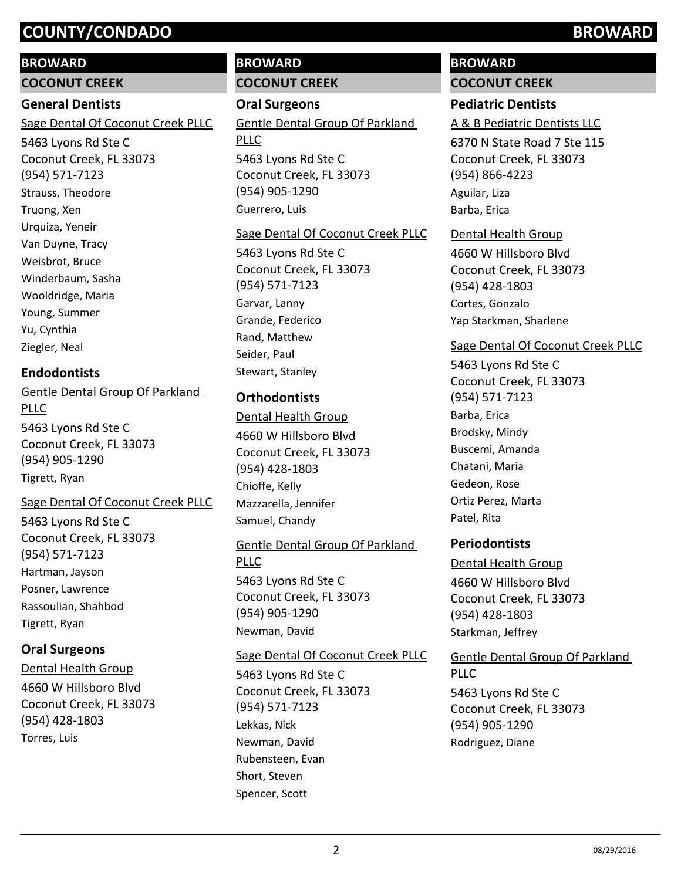#### **BROWARD**

**COCONUT CREEK**

#### **General Dentists**

Sage Dental Of Coconut Creek PLLC

5463 Lyons Rd Ste C Coconut Creek, FL 33073 (954) 571-7123 Strauss, Theodore Truong, Xen Urquiza, Yeneir Van Duyne, Tracy Weisbrot, Bruce Winderbaum, Sasha Wooldridge, Maria Young, Summer Yu, Cynthia Ziegler, Neal

# **Endodontists**

5463 Lyons Rd Ste C Coconut Creek, FL 33073 (954) 905-1290 Gentle Dental Group Of Parkland PLLC Tigrett, Ryan

Sage Dental Of Coconut Creek PLLC

5463 Lyons Rd Ste C Coconut Creek, FL 33073 (954) 571-7123 Hartman, Jayson Posner, Lawrence Rassoulian, Shahbod Tigrett, Ryan

# **Oral Surgeons**

4660 W Hillsboro Blvd Coconut Creek, FL 33073 (954) 428-1803 Dental Health Group Torres, Luis

# **BROWARD COCONUT CREEK**

**Oral Surgeons** 5463 Lyons Rd Ste C Coconut Creek, FL 33073 (954) 905-1290 Gentle Dental Group Of Parkland PLLC Guerrero, Luis

#### Sage Dental Of Coconut Creek PLLC

5463 Lyons Rd Ste C Coconut Creek, FL 33073 (954) 571-7123 Garvar, Lanny Grande, Federico Rand, Matthew Seider, Paul Stewart, Stanley

# **Orthodontists**

4660 W Hillsboro Blvd Coconut Creek, FL 33073 (954) 428-1803 Dental Health Group Chioffe, Kelly Mazzarella, Jennifer Samuel, Chandy

### Gentle Dental Group Of Parkland

5463 Lyons Rd Ste C Coconut Creek, FL 33073 (954) 905-1290 PLLC Newman, David

Sage Dental Of Coconut Creek PLLC

5463 Lyons Rd Ste C Coconut Creek, FL 33073 (954) 571-7123 Lekkas, Nick Newman, David Rubensteen, Evan Short, Steven Spencer, Scott

# **BROWARD COCONUT CREEK**

# **Pediatric Dentists**

### A & B Pediatric Dentists LLC

6370 N State Road 7 Ste 115 Coconut Creek, FL 33073 (954) 866-4223 Aguilar, Liza Barba, Erica

### Dental Health Group

4660 W Hillsboro Blvd Coconut Creek, FL 33073 (954) 428-1803 Cortes, Gonzalo Yap Starkman, Sharlene

### Sage Dental Of Coconut Creek PLLC

5463 Lyons Rd Ste C Coconut Creek, FL 33073 (954) 571-7123 Barba, Erica Brodsky, Mindy Buscemi, Amanda Chatani, Maria Gedeon, Rose Ortiz Perez, Marta Patel, Rita

### **Periodontists**

4660 W Hillsboro Blvd Coconut Creek, FL 33073 (954) 428-1803 Dental Health Group Starkman, Jeffrey

5463 Lyons Rd Ste C Coconut Creek, FL 33073 (954) 905-1290 Gentle Dental Group Of Parkland PLLC Rodriguez, Diane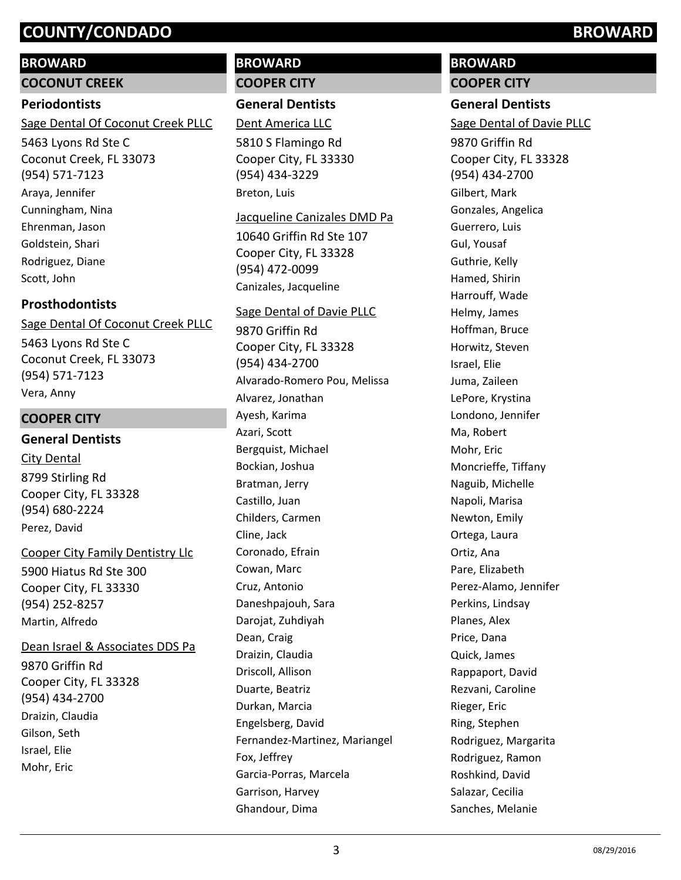### **BROWARD**

**COCONUT CREEK**

#### **Periodontists**

Sage Dental Of Coconut Creek PLLC

5463 Lyons Rd Ste C Coconut Creek, FL 33073 (954) 571-7123 Araya, Jennifer Cunningham, Nina Ehrenman, Jason Goldstein, Shari Rodriguez, Diane Scott, John

### **Prosthodontists**

Sage Dental Of Coconut Creek PLLC

5463 Lyons Rd Ste C Coconut Creek, FL 33073 (954) 571-7123 Vera, Anny

#### **COOPER CITY**

#### **General Dentists**

8799 Stirling Rd Cooper City, FL 33328 (954) 680-2224 City Dental Perez, David

5900 Hiatus Rd Ste 300 Cooper City, FL 33330 (954) 252-8257 Cooper City Family Dentistry Llc Martin, Alfredo

#### Dean Israel & Associates DDS Pa

9870 Griffin Rd Cooper City, FL 33328 (954) 434-2700 Draizin, Claudia Gilson, Seth Israel, Elie Mohr, Eric

## **BROWARD COOPER CITY**

**General Dentists**

Dent America LLC

5810 S Flamingo Rd Cooper City, FL 33330 (954) 434-3229 Breton, Luis

#### Jacqueline Canizales DMD Pa

10640 Griffin Rd Ste 107 Cooper City, FL 33328 (954) 472-0099 Canizales, Jacqueline

#### Sage Dental of Davie PLLC

9870 Griffin Rd Cooper City, FL 33328 (954) 434-2700 Alvarado-Romero Pou, Melissa Alvarez, Jonathan Ayesh, Karima Azari, Scott Bergquist, Michael Bockian, Joshua Bratman, Jerry Castillo, Juan Childers, Carmen Cline, Jack Coronado, Efrain Cowan, Marc Cruz, Antonio Daneshpajouh, Sara Darojat, Zuhdiyah Dean, Craig Draizin, Claudia Driscoll, Allison Duarte, Beatriz Durkan, Marcia Engelsberg, David Fernandez-Martinez, Mariangel Fox, Jeffrey Garcia-Porras, Marcela Garrison, Harvey Ghandour, Dima

# **BROWARD COOPER CITY**

# **General Dentists**

Sage Dental of Davie PLLC

9870 Griffin Rd Cooper City, FL 33328 (954) 434-2700 Gilbert, Mark Gonzales, Angelica Guerrero, Luis Gul, Yousaf Guthrie, Kelly Hamed, Shirin Harrouff, Wade Helmy, James Hoffman, Bruce Horwitz, Steven Israel, Elie Juma, Zaileen LePore, Krystina Londono, Jennifer Ma, Robert Mohr, Eric Moncrieffe, Tiffany Naguib, Michelle Napoli, Marisa Newton, Emily Ortega, Laura Ortiz, Ana Pare, Elizabeth Perez-Alamo, Jennifer Perkins, Lindsay Planes, Alex Price, Dana Quick, James Rappaport, David Rezvani, Caroline Rieger, Eric Ring, Stephen Rodriguez, Margarita Rodriguez, Ramon Roshkind, David Salazar, Cecilia Sanches, Melanie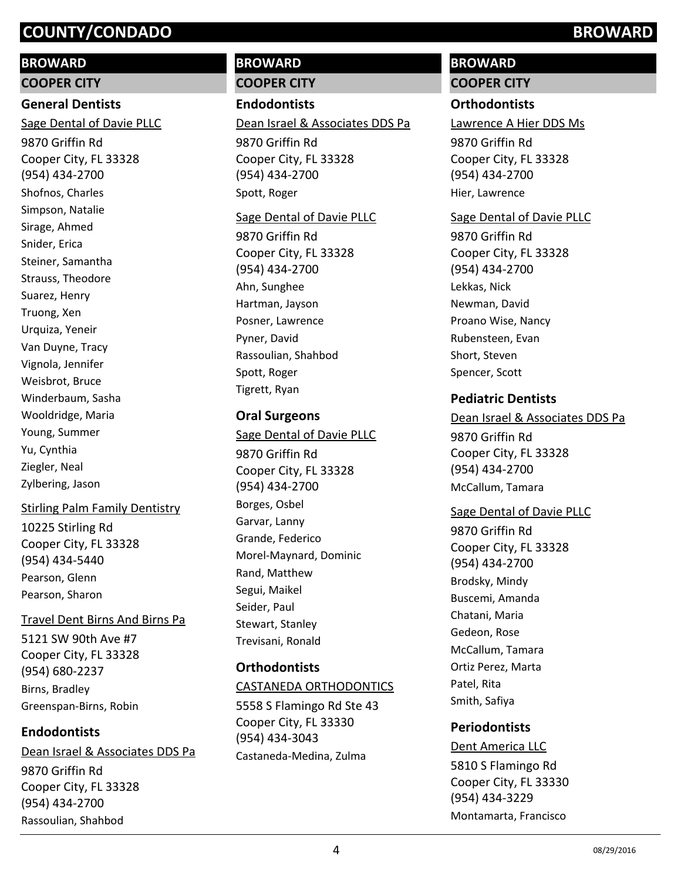#### **BROWARD**

**COOPER CITY**

### **General Dentists**

9870 Griffin Rd Cooper City, FL 33328 (954) 434-2700 Sage Dental of Davie PLLC Shofnos, Charles Simpson, Natalie Sirage, Ahmed Snider, Erica Steiner, Samantha Strauss, Theodore Suarez, Henry Truong, Xen Urquiza, Yeneir Van Duyne, Tracy Vignola, Jennifer Weisbrot, Bruce Winderbaum, Sasha Wooldridge, Maria Young, Summer Yu, Cynthia Ziegler, Neal Zylbering, Jason

### Stirling Palm Family Dentistry

10225 Stirling Rd Cooper City, FL 33328 (954) 434-5440 Pearson, Glenn Pearson, Sharon

### Travel Dent Birns And Birns Pa

5121 SW 90th Ave #7 Cooper City, FL 33328 (954) 680-2237 Birns, Bradley Greenspan-Birns, Robin

### **Endodontists**

9870 Griffin Rd Cooper City, FL 33328 (954) 434-2700 Dean Israel & Associates DDS Pa Rassoulian, Shahbod

# **BROWARD COOPER CITY**

**Endodontists**

#### Dean Israel & Associates DDS Pa

9870 Griffin Rd Cooper City, FL 33328 (954) 434-2700 Spott, Roger

#### Sage Dental of Davie PLLC

9870 Griffin Rd Cooper City, FL 33328 (954) 434-2700 Ahn, Sunghee Hartman, Jayson Posner, Lawrence Pyner, David Rassoulian, Shahbod Spott, Roger Tigrett, Ryan

## **Oral Surgeons**

9870 Griffin Rd Cooper City, FL 33328 (954) 434-2700 Sage Dental of Davie PLLC Borges, Osbel Garvar, Lanny Grande, Federico Morel-Maynard, Dominic Rand, Matthew Segui, Maikel Seider, Paul Stewart, Stanley Trevisani, Ronald

# **Orthodontists**

### CASTANEDA ORTHODONTICS

5558 S Flamingo Rd Ste 43 Cooper City, FL 33330 (954) 434-3043 Castaneda-Medina, Zulma

# **BROWARD**

# **COOPER CITY**

## **Orthodontists**

Lawrence A Hier DDS Ms

9870 Griffin Rd Cooper City, FL 33328 (954) 434-2700 Hier, Lawrence

#### Sage Dental of Davie PLLC

9870 Griffin Rd Cooper City, FL 33328 (954) 434-2700 Lekkas, Nick Newman, David Proano Wise, Nancy Rubensteen, Evan Short, Steven Spencer, Scott

## **Pediatric Dentists**

# 9870 Griffin Rd Cooper City, FL 33328 (954) 434-2700 Dean Israel & Associates DDS Pa McCallum, Tamara

### Sage Dental of Davie PLLC

9870 Griffin Rd Cooper City, FL 33328 (954) 434-2700 Brodsky, Mindy Buscemi, Amanda Chatani, Maria Gedeon, Rose McCallum, Tamara Ortiz Perez, Marta Patel, Rita Smith, Safiya

# **Periodontists**

5810 S Flamingo Rd Cooper City, FL 33330 (954) 434-3229 Dent America LLC Montamarta, Francisco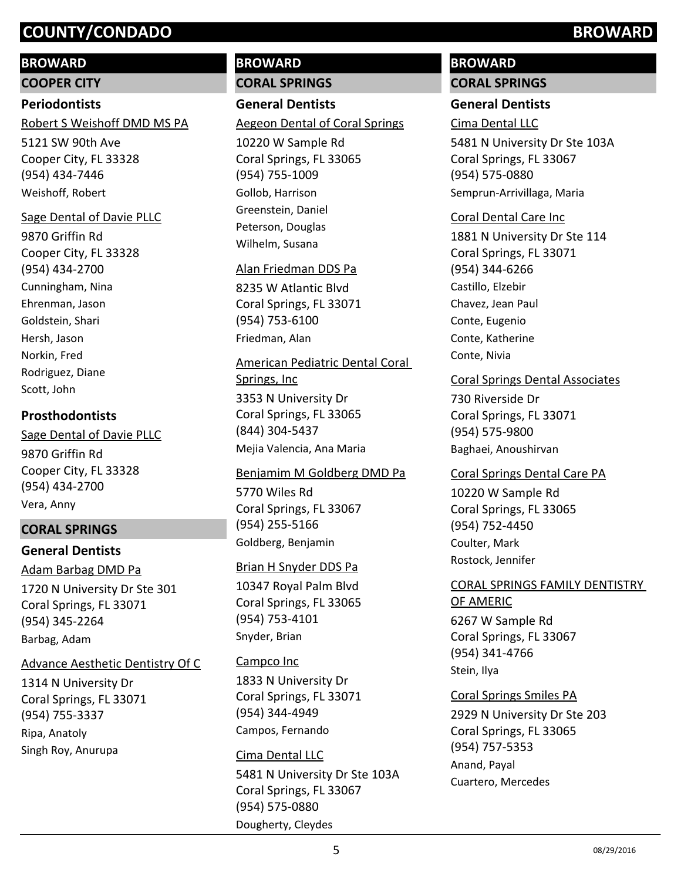#### **BROWARD**

**COOPER CITY**

#### **Periodontists**

Robert S Weishoff DMD MS PA

5121 SW 90th Ave Cooper City, FL 33328 (954) 434-7446 Weishoff, Robert

#### Sage Dental of Davie PLLC

9870 Griffin Rd Cooper City, FL 33328 (954) 434-2700 Cunningham, Nina Ehrenman, Jason Goldstein, Shari Hersh, Jason Norkin, Fred Rodriguez, Diane Scott, John

### **Prosthodontists**

9870 Griffin Rd Cooper City, FL 33328 (954) 434-2700 Sage Dental of Davie PLLC Vera, Anny

### **CORAL SPRINGS**

# **General Dentists** 1720 N University Dr Ste 301 Adam Barbag DMD Pa

Coral Springs, FL 33071 (954) 345-2264 Barbag, Adam

#### Advance Aesthetic Dentistry Of C

1314 N University Dr Coral Springs, FL 33071 (954) 755-3337 Ripa, Anatoly Singh Roy, Anurupa

# **BROWARD CORAL SPRINGS**

# **General Dentists**

#### Aegeon Dental of Coral Springs

10220 W Sample Rd Coral Springs, FL 33065 (954) 755-1009 Gollob, Harrison Greenstein, Daniel Peterson, Douglas Wilhelm, Susana

#### Alan Friedman DDS Pa

8235 W Atlantic Blvd Coral Springs, FL 33071 (954) 753-6100 Friedman, Alan

#### American Pediatric Dental Coral Springs, Inc

3353 N University Dr Coral Springs, FL 33065 (844) 304-5437 Mejia Valencia, Ana Maria

#### Benjamim M Goldberg DMD Pa

5770 Wiles Rd Coral Springs, FL 33067 (954) 255-5166 Goldberg, Benjamin

#### Brian H Snyder DDS Pa

10347 Royal Palm Blvd Coral Springs, FL 33065 (954) 753-4101 Snyder, Brian

#### Campco Inc

1833 N University Dr Coral Springs, FL 33071 (954) 344-4949 Campos, Fernando

# 5481 N University Dr Ste 103A Coral Springs, FL 33067 (954) 575-0880 Cima Dental LLC Dougherty, Cleydes

# **BROWARD**

# **CORAL SPRINGS**

## **General Dentists**

Cima Dental LLC

5481 N University Dr Ste 103A Coral Springs, FL 33067 (954) 575-0880 Semprun-Arrivillaga, Maria

#### Coral Dental Care Inc

1881 N University Dr Ste 114 Coral Springs, FL 33071 (954) 344-6266 Castillo, Elzebir Chavez, Jean Paul Conte, Eugenio Conte, Katherine Conte, Nivia

#### Coral Springs Dental Associates

730 Riverside Dr Coral Springs, FL 33071 (954) 575-9800 Baghaei, Anoushirvan

#### Coral Springs Dental Care PA

10220 W Sample Rd Coral Springs, FL 33065 (954) 752-4450 Coulter, Mark Rostock, Jennifer

#### CORAL SPRINGS FAMILY DENTISTRY OF AMERIC

6267 W Sample Rd Coral Springs, FL 33067 (954) 341-4766 Stein, Ilya

### Coral Springs Smiles PA

2929 N University Dr Ste 203 Coral Springs, FL 33065 (954) 757-5353 Anand, Payal Cuartero, Mercedes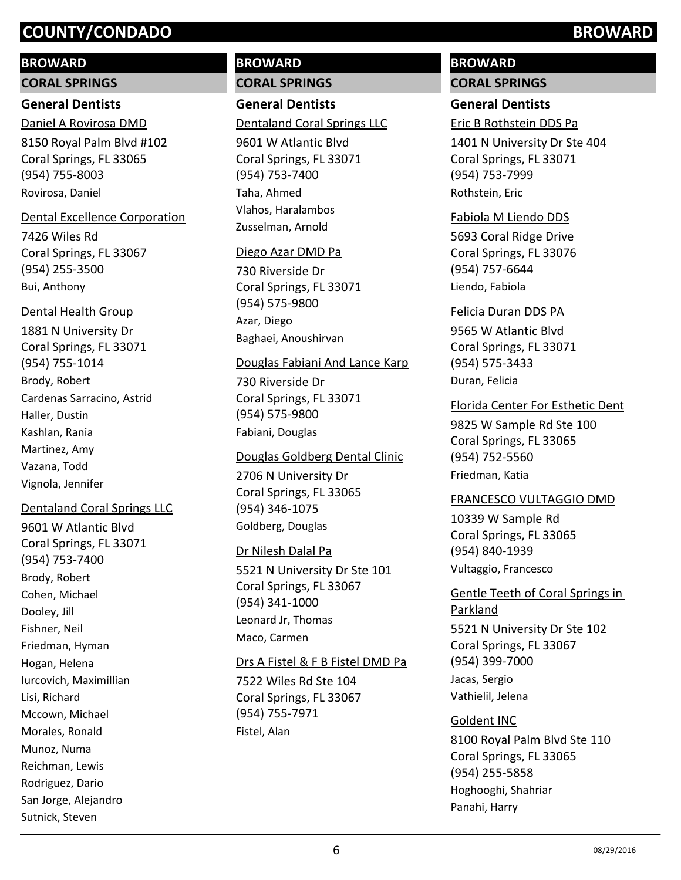#### **BROWARD**

**CORAL SPRINGS**

# **General Dentists**

8150 Royal Palm Blvd #102 Coral Springs, FL 33065 (954) 755-8003 Daniel A Rovirosa DMD Rovirosa, Daniel

#### Dental Excellence Corporation

7426 Wiles Rd Coral Springs, FL 33067 (954) 255-3500 Bui, Anthony

#### Dental Health Group

1881 N University Dr Coral Springs, FL 33071 (954) 755-1014 Brody, Robert Cardenas Sarracino, Astrid Haller, Dustin Kashlan, Rania Martinez, Amy Vazana, Todd Vignola, Jennifer

### Dentaland Coral Springs LLC

9601 W Atlantic Blvd Coral Springs, FL 33071 (954) 753-7400 Brody, Robert Cohen, Michael Dooley, Jill Fishner, Neil Friedman, Hyman Hogan, Helena Iurcovich, Maximillian Lisi, Richard Mccown, Michael Morales, Ronald Munoz, Numa Reichman, Lewis Rodriguez, Dario San Jorge, Alejandro Sutnick, Steven

# **BROWARD CORAL SPRINGS**

**General Dentists** Dentaland Coral Springs LLC

9601 W Atlantic Blvd Coral Springs, FL 33071 (954) 753-7400 Taha, Ahmed Vlahos, Haralambos Zusselman, Arnold

#### Diego Azar DMD Pa

730 Riverside Dr Coral Springs, FL 33071 (954) 575-9800 Azar, Diego Baghaei, Anoushirvan

#### Douglas Fabiani And Lance Karp

730 Riverside Dr Coral Springs, FL 33071 (954) 575-9800 Fabiani, Douglas

### Douglas Goldberg Dental Clinic

2706 N University Dr Coral Springs, FL 33065 (954) 346-1075 Goldberg, Douglas

### Dr Nilesh Dalal Pa

5521 N University Dr Ste 101 Coral Springs, FL 33067 (954) 341-1000 Leonard Jr, Thomas Maco, Carmen

#### Drs A Fistel & F B Fistel DMD Pa

7522 Wiles Rd Ste 104 Coral Springs, FL 33067 (954) 755-7971 Fistel, Alan

# **BROWARD**

# **CORAL SPRINGS**

# **General Dentists**

Eric B Rothstein DDS Pa

1401 N University Dr Ste 404 Coral Springs, FL 33071 (954) 753-7999 Rothstein, Eric

#### Fabiola M Liendo DDS

5693 Coral Ridge Drive Coral Springs, FL 33076 (954) 757-6644 Liendo, Fabiola

#### Felicia Duran DDS PA

9565 W Atlantic Blvd Coral Springs, FL 33071 (954) 575-3433 Duran, Felicia

### Florida Center For Esthetic Dent

9825 W Sample Rd Ste 100 Coral Springs, FL 33065 (954) 752-5560 Friedman, Katia

#### FRANCESCO VULTAGGIO DMD

10339 W Sample Rd Coral Springs, FL 33065 (954) 840-1939 Vultaggio, Francesco

## Gentle Teeth of Coral Springs in Parkland

5521 N University Dr Ste 102 Coral Springs, FL 33067 (954) 399-7000 Jacas, Sergio Vathielil, Jelena

### Goldent INC

8100 Royal Palm Blvd Ste 110 Coral Springs, FL 33065 (954) 255-5858 Hoghooghi, Shahriar Panahi, Harry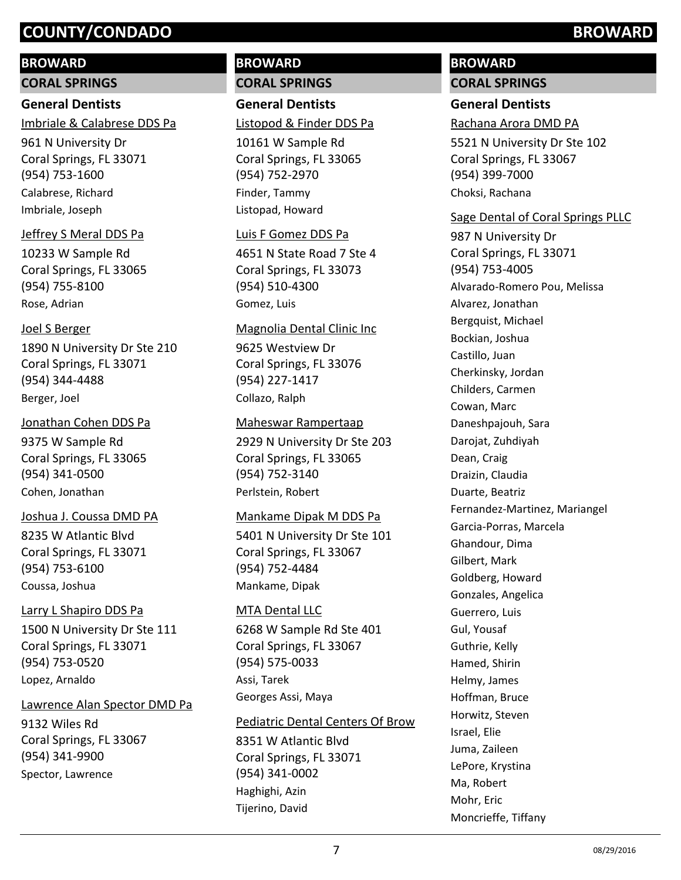#### **BROWARD**

**CORAL SPRINGS**

#### **General Dentists**

Imbriale & Calabrese DDS Pa

961 N University Dr Coral Springs, FL 33071 (954) 753-1600 Calabrese, Richard Imbriale, Joseph

#### Jeffrey S Meral DDS Pa

10233 W Sample Rd Coral Springs, FL 33065 (954) 755-8100 Rose, Adrian

#### Joel S Berger

1890 N University Dr Ste 210 Coral Springs, FL 33071 (954) 344-4488 Berger, Joel

#### Jonathan Cohen DDS Pa

9375 W Sample Rd Coral Springs, FL 33065 (954) 341-0500 Cohen, Jonathan

#### Joshua J. Coussa DMD PA

8235 W Atlantic Blvd Coral Springs, FL 33071 (954) 753-6100 Coussa, Joshua

#### Larry L Shapiro DDS Pa

1500 N University Dr Ste 111 Coral Springs, FL 33071 (954) 753-0520 Lopez, Arnaldo

#### Lawrence Alan Spector DMD Pa

9132 Wiles Rd Coral Springs, FL 33067 (954) 341-9900 Spector, Lawrence

## **BROWARD CORAL SPRINGS**

**General Dentists** Listopod & Finder DDS Pa

10161 W Sample Rd Coral Springs, FL 33065 (954) 752-2970 Finder, Tammy Listopad, Howard

#### Luis F Gomez DDS Pa

4651 N State Road 7 Ste 4 Coral Springs, FL 33073 (954) 510-4300 Gomez, Luis

#### Magnolia Dental Clinic Inc

9625 Westview Dr Coral Springs, FL 33076 (954) 227-1417 Collazo, Ralph

#### Maheswar Rampertaap

2929 N University Dr Ste 203 Coral Springs, FL 33065 (954) 752-3140 Perlstein, Robert

#### Mankame Dipak M DDS Pa

5401 N University Dr Ste 101 Coral Springs, FL 33067 (954) 752-4484 Mankame, Dipak

#### MTA Dental LLC

6268 W Sample Rd Ste 401 Coral Springs, FL 33067 (954) 575-0033 Assi, Tarek Georges Assi, Maya

#### Pediatric Dental Centers Of Brow

8351 W Atlantic Blvd Coral Springs, FL 33071 (954) 341-0002 Haghighi, Azin Tijerino, David

# **BROWARD**

# **CORAL SPRINGS**

# **General Dentists**

#### Rachana Arora DMD PA

5521 N University Dr Ste 102 Coral Springs, FL 33067 (954) 399-7000 Choksi, Rachana

#### Sage Dental of Coral Springs PLLC

987 N University Dr Coral Springs, FL 33071 (954) 753-4005 Alvarado-Romero Pou, Melissa Alvarez, Jonathan Bergquist, Michael Bockian, Joshua Castillo, Juan Cherkinsky, Jordan Childers, Carmen Cowan, Marc Daneshpajouh, Sara Darojat, Zuhdiyah Dean, Craig Draizin, Claudia Duarte, Beatriz Fernandez-Martinez, Mariangel Garcia-Porras, Marcela Ghandour, Dima Gilbert, Mark Goldberg, Howard Gonzales, Angelica Guerrero, Luis Gul, Yousaf Guthrie, Kelly Hamed, Shirin Helmy, James Hoffman, Bruce Horwitz, Steven Israel, Elie Juma, Zaileen LePore, Krystina Ma, Robert Mohr, Eric Moncrieffe, Tiffany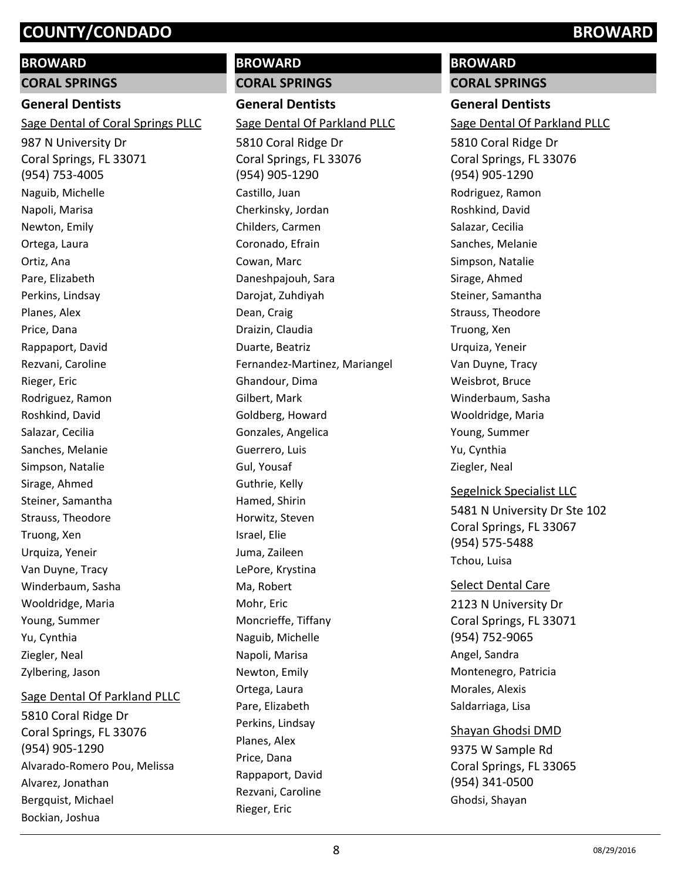#### **BROWARD**

**CORAL SPRINGS**

#### **General Dentists**

Sage Dental of Coral Springs PLLC

987 N University Dr Coral Springs, FL 33071 (954) 753-4005 Naguib, Michelle Napoli, Marisa Newton, Emily Ortega, Laura Ortiz, Ana Pare, Elizabeth Perkins, Lindsay Planes, Alex Price, Dana Rappaport, David Rezvani, Caroline Rieger, Eric Rodriguez, Ramon Roshkind, David Salazar, Cecilia Sanches, Melanie Simpson, Natalie Sirage, Ahmed Steiner, Samantha Strauss, Theodore Truong, Xen Urquiza, Yeneir Van Duyne, Tracy Winderbaum, Sasha Wooldridge, Maria Young, Summer Yu, Cynthia Ziegler, Neal Zylbering, Jason

#### Sage Dental Of Parkland PLLC

5810 Coral Ridge Dr Coral Springs, FL 33076 (954) 905-1290 Alvarado-Romero Pou, Melissa Alvarez, Jonathan Bergquist, Michael Bockian, Joshua

# **BROWARD CORAL SPRINGS General Dentists** 5810 Coral Ridge Dr Coral Springs, FL 33076 (954) 905-1290 Sage Dental Of Parkland PLLC Castillo, Juan Cherkinsky, Jordan Childers, Carmen Coronado, Efrain Cowan, Marc Daneshpajouh, Sara Darojat, Zuhdiyah Dean, Craig Draizin, Claudia Duarte, Beatriz Fernandez-Martinez, Mariangel Ghandour, Dima Gilbert, Mark Goldberg, Howard Gonzales, Angelica Guerrero, Luis Gul, Yousaf Guthrie, Kelly Hamed, Shirin Horwitz, Steven Israel, Elie Juma, Zaileen LePore, Krystina Ma, Robert

Mohr, Eric

Moncrieffe, Tiffany Naguib, Michelle Napoli, Marisa Newton, Emily Ortega, Laura Pare, Elizabeth Perkins, Lindsay Planes, Alex Price, Dana

Rappaport, David Rezvani, Caroline

Rieger, Eric

# **BROWARD**

**CORAL SPRINGS**

# **General Dentists**

Sage Dental Of Parkland PLLC

5810 Coral Ridge Dr Coral Springs, FL 33076 (954) 905-1290 Rodriguez, Ramon Roshkind, David Salazar, Cecilia Sanches, Melanie Simpson, Natalie Sirage, Ahmed Steiner, Samantha Strauss, Theodore Truong, Xen Urquiza, Yeneir Van Duyne, Tracy Weisbrot, Bruce Winderbaum, Sasha Wooldridge, Maria Young, Summer Yu, Cynthia Ziegler, Neal

#### Segelnick Specialist LLC

5481 N University Dr Ste 102 Coral Springs, FL 33067 (954) 575-5488 Tchou, Luisa

#### Select Dental Care

2123 N University Dr Coral Springs, FL 33071 (954) 752-9065 Angel, Sandra Montenegro, Patricia Morales, Alexis Saldarriaga, Lisa

# Shayan Ghodsi DMD

9375 W Sample Rd Coral Springs, FL 33065 (954) 341-0500 Ghodsi, Shayan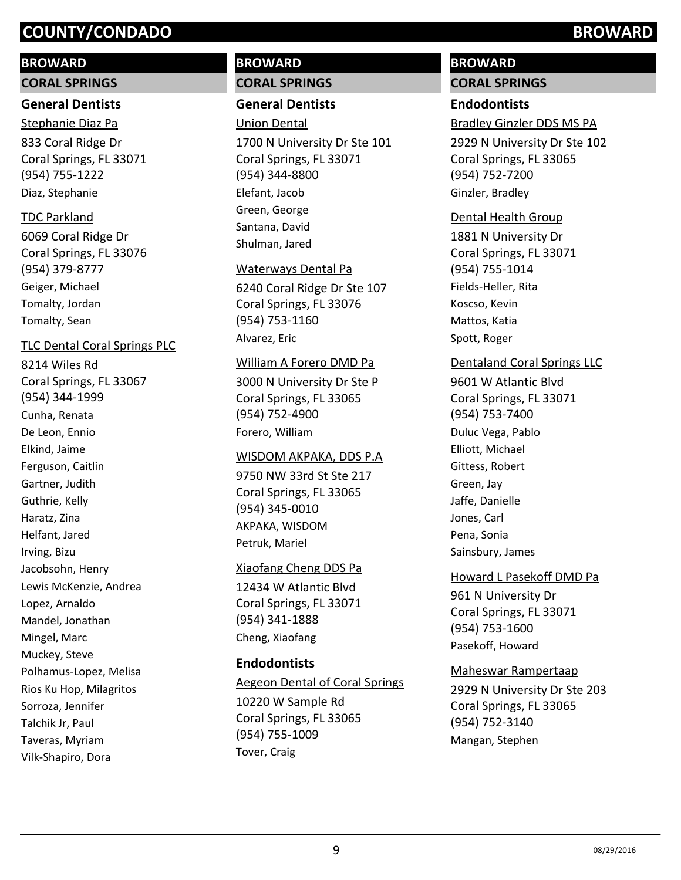#### **BROWARD**

**CORAL SPRINGS**

## **General Dentists**

833 Coral Ridge Dr Coral Springs, FL 33071 (954) 755-1222 Stephanie Diaz Pa Diaz, Stephanie

#### TDC Parkland

6069 Coral Ridge Dr Coral Springs, FL 33076 (954) 379-8777 Geiger, Michael Tomalty, Jordan Tomalty, Sean

#### TLC Dental Coral Springs PLC

8214 Wiles Rd Coral Springs, FL 33067 (954) 344-1999 Cunha, Renata De Leon, Ennio Elkind, Jaime Ferguson, Caitlin Gartner, Judith Guthrie, Kelly Haratz, Zina Helfant, Jared Irving, Bizu Jacobsohn, Henry Lewis McKenzie, Andrea Lopez, Arnaldo Mandel, Jonathan Mingel, Marc Muckey, Steve Polhamus-Lopez, Melisa Rios Ku Hop, Milagritos Sorroza, Jennifer Talchik Jr, Paul Taveras, Myriam Vilk-Shapiro, Dora

# **BROWARD CORAL SPRINGS**

#### **General Dentists**

Union Dental

1700 N University Dr Ste 101 Coral Springs, FL 33071 (954) 344-8800 Elefant, Jacob Green, George Santana, David Shulman, Jared

#### Waterways Dental Pa

6240 Coral Ridge Dr Ste 107 Coral Springs, FL 33076 (954) 753-1160 Alvarez, Eric

#### William A Forero DMD Pa

3000 N University Dr Ste P Coral Springs, FL 33065 (954) 752-4900 Forero, William

#### WISDOM AKPAKA, DDS P.A

9750 NW 33rd St Ste 217 Coral Springs, FL 33065 (954) 345-0010 AKPAKA, WISDOM Petruk, Mariel

#### Xiaofang Cheng DDS Pa

12434 W Atlantic Blvd Coral Springs, FL 33071 (954) 341-1888 Cheng, Xiaofang

#### **Endodontists**

Aegeon Dental of Coral Springs

10220 W Sample Rd Coral Springs, FL 33065 (954) 755-1009 Tover, Craig

# **BROWARD**

### **CORAL SPRINGS**

#### **Endodontists**

Bradley Ginzler DDS MS PA

2929 N University Dr Ste 102 Coral Springs, FL 33065 (954) 752-7200 Ginzler, Bradley

#### Dental Health Group

1881 N University Dr Coral Springs, FL 33071 (954) 755-1014 Fields-Heller, Rita Koscso, Kevin Mattos, Katia Spott, Roger

#### Dentaland Coral Springs LLC

9601 W Atlantic Blvd Coral Springs, FL 33071 (954) 753-7400 Duluc Vega, Pablo Elliott, Michael Gittess, Robert Green, Jay Jaffe, Danielle Jones, Carl Pena, Sonia Sainsbury, James

#### Howard L Pasekoff DMD Pa

961 N University Dr Coral Springs, FL 33071 (954) 753-1600 Pasekoff, Howard

#### Maheswar Rampertaap

2929 N University Dr Ste 203 Coral Springs, FL 33065 (954) 752-3140 Mangan, Stephen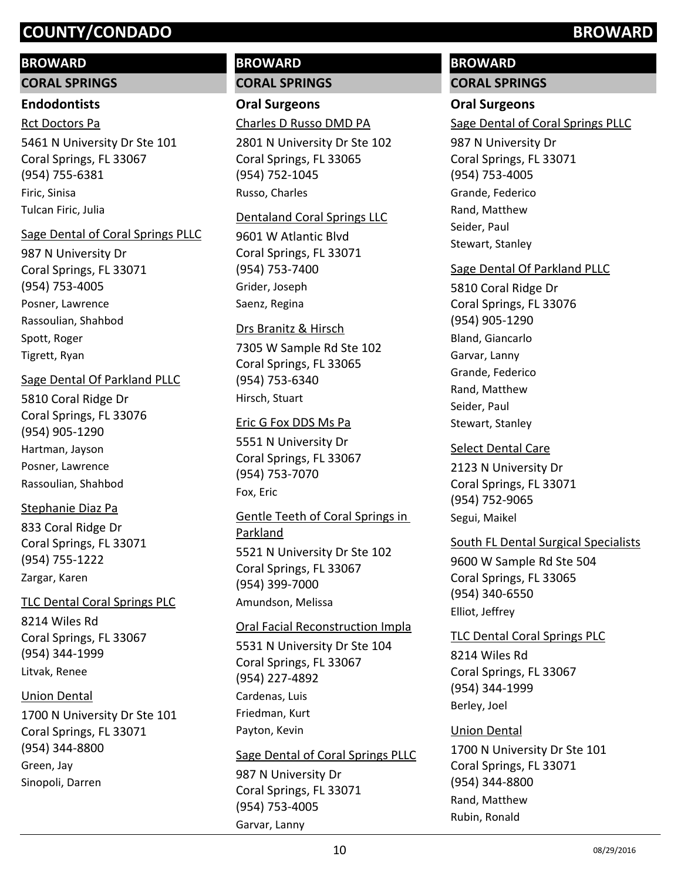# **BROWARD**

**CORAL SPRINGS**

# **Endodontists**

Rct Doctors Pa

5461 N University Dr Ste 101 Coral Springs, FL 33067 (954) 755-6381 Firic, Sinisa Tulcan Firic, Julia

# Sage Dental of Coral Springs PLLC

987 N University Dr Coral Springs, FL 33071 (954) 753-4005 Posner, Lawrence Rassoulian, Shahbod Spott, Roger Tigrett, Ryan

# Sage Dental Of Parkland PLLC

5810 Coral Ridge Dr Coral Springs, FL 33076 (954) 905-1290 Hartman, Jayson Posner, Lawrence Rassoulian, Shahbod

# Stephanie Diaz Pa

833 Coral Ridge Dr Coral Springs, FL 33071 (954) 755-1222 Zargar, Karen

# TLC Dental Coral Springs PLC

8214 Wiles Rd Coral Springs, FL 33067 (954) 344-1999 Litvak, Renee

# Union Dental

1700 N University Dr Ste 101 Coral Springs, FL 33071 (954) 344-8800 Green, Jay Sinopoli, Darren

# **BROWARD CORAL SPRINGS**

**Oral Surgeons** Charles D Russo DMD PA

2801 N University Dr Ste 102 Coral Springs, FL 33065 (954) 752-1045 Russo, Charles

# Dentaland Coral Springs LLC

9601 W Atlantic Blvd Coral Springs, FL 33071 (954) 753-7400 Grider, Joseph Saenz, Regina

# Drs Branitz & Hirsch

7305 W Sample Rd Ste 102 Coral Springs, FL 33065 (954) 753-6340 Hirsch, Stuart

# Eric G Fox DDS Ms Pa

5551 N University Dr Coral Springs, FL 33067 (954) 753-7070 Fox, Eric

# 5521 N University Dr Ste 102 Coral Springs, FL 33067 (954) 399-7000 Gentle Teeth of Coral Springs in Parkland Amundson, Melissa

# Oral Facial Reconstruction Impla

5531 N University Dr Ste 104 Coral Springs, FL 33067 (954) 227-4892 Cardenas, Luis Friedman, Kurt Payton, Kevin

# Sage Dental of Coral Springs PLLC

987 N University Dr Coral Springs, FL 33071 (954) 753-4005 Garvar, Lanny

# **BROWARD**

# **CORAL SPRINGS**

# **Oral Surgeons**

Sage Dental of Coral Springs PLLC

987 N University Dr Coral Springs, FL 33071 (954) 753-4005 Grande, Federico Rand, Matthew Seider, Paul Stewart, Stanley

# Sage Dental Of Parkland PLLC

5810 Coral Ridge Dr Coral Springs, FL 33076 (954) 905-1290 Bland, Giancarlo Garvar, Lanny Grande, Federico Rand, Matthew Seider, Paul Stewart, Stanley

# Select Dental Care

2123 N University Dr Coral Springs, FL 33071 (954) 752-9065 Segui, Maikel

# South FL Dental Surgical Specialists

9600 W Sample Rd Ste 504 Coral Springs, FL 33065 (954) 340-6550 Elliot, Jeffrey

# TLC Dental Coral Springs PLC

8214 Wiles Rd Coral Springs, FL 33067 (954) 344-1999 Berley, Joel

# Union Dental

1700 N University Dr Ste 101 Coral Springs, FL 33071 (954) 344-8800 Rand, Matthew Rubin, Ronald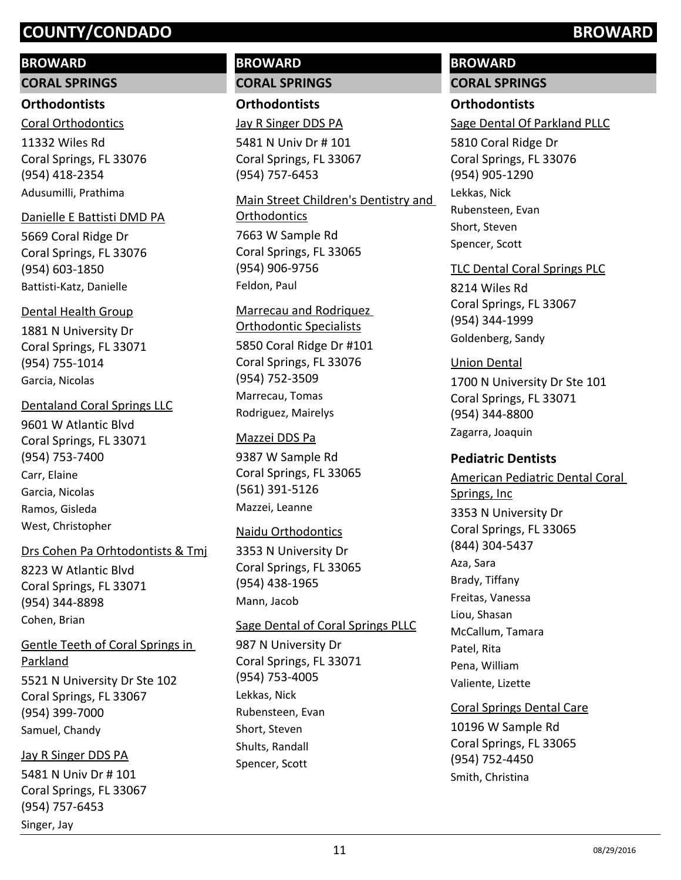# **BROWARD**

**CORAL SPRINGS**

## **Orthodontists**

11332 Wiles Rd Coral Springs, FL 33076 (954) 418-2354 Coral Orthodontics Adusumilli, Prathima

## Danielle E Battisti DMD PA

5669 Coral Ridge Dr Coral Springs, FL 33076 (954) 603-1850 Battisti-Katz, Danielle

# Dental Health Group

1881 N University Dr Coral Springs, FL 33071 (954) 755-1014 Garcia, Nicolas

# Dentaland Coral Springs LLC

9601 W Atlantic Blvd Coral Springs, FL 33071 (954) 753-7400 Carr, Elaine Garcia, Nicolas Ramos, Gisleda West, Christopher

# Drs Cohen Pa Orhtodontists & Tmj

8223 W Atlantic Blvd Coral Springs, FL 33071 (954) 344-8898 Cohen, Brian

5521 N University Dr Ste 102 Coral Springs, FL 33067 (954) 399-7000 Gentle Teeth of Coral Springs in Parkland

# Samuel, Chandy

5481 N Univ Dr # 101 Coral Springs, FL 33067 (954) 757-6453 Jay R Singer DDS PA Singer, Jay

# **BROWARD CORAL SPRINGS**

**Orthodontists**

Jay R Singer DDS PA

5481 N Univ Dr # 101 Coral Springs, FL 33067 (954) 757-6453

7663 W Sample Rd Coral Springs, FL 33065 (954) 906-9756 Main Street Children's Dentistry and **Orthodontics** 

Feldon, Paul

# Marrecau and Rodriquez Orthodontic Specialists

5850 Coral Ridge Dr #101 Coral Springs, FL 33076 (954) 752-3509 Marrecau, Tomas Rodriguez, Mairelys

# Mazzei DDS Pa

9387 W Sample Rd Coral Springs, FL 33065 (561) 391-5126 Mazzei, Leanne

# Naidu Orthodontics

3353 N University Dr Coral Springs, FL 33065 (954) 438-1965 Mann, Jacob

# Sage Dental of Coral Springs PLLC

987 N University Dr Coral Springs, FL 33071 (954) 753-4005 Lekkas, Nick Rubensteen, Evan Short, Steven Shults, Randall Spencer, Scott

# **BROWARD**

# **CORAL SPRINGS**

# **Orthodontists**

Sage Dental Of Parkland PLLC

5810 Coral Ridge Dr Coral Springs, FL 33076 (954) 905-1290 Lekkas, Nick Rubensteen, Evan Short, Steven Spencer, Scott

## TLC Dental Coral Springs PLC

8214 Wiles Rd Coral Springs, FL 33067 (954) 344-1999 Goldenberg, Sandy

# Union Dental

1700 N University Dr Ste 101 Coral Springs, FL 33071 (954) 344-8800 Zagarra, Joaquin

# **Pediatric Dentists**

3353 N University Dr Coral Springs, FL 33065 (844) 304-5437 American Pediatric Dental Coral Springs, Inc Aza, Sara Brady, Tiffany Freitas, Vanessa Liou, Shasan McCallum, Tamara Patel, Rita Pena, William Valiente, Lizette

## Coral Springs Dental Care

10196 W Sample Rd Coral Springs, FL 33065 (954) 752-4450 Smith, Christina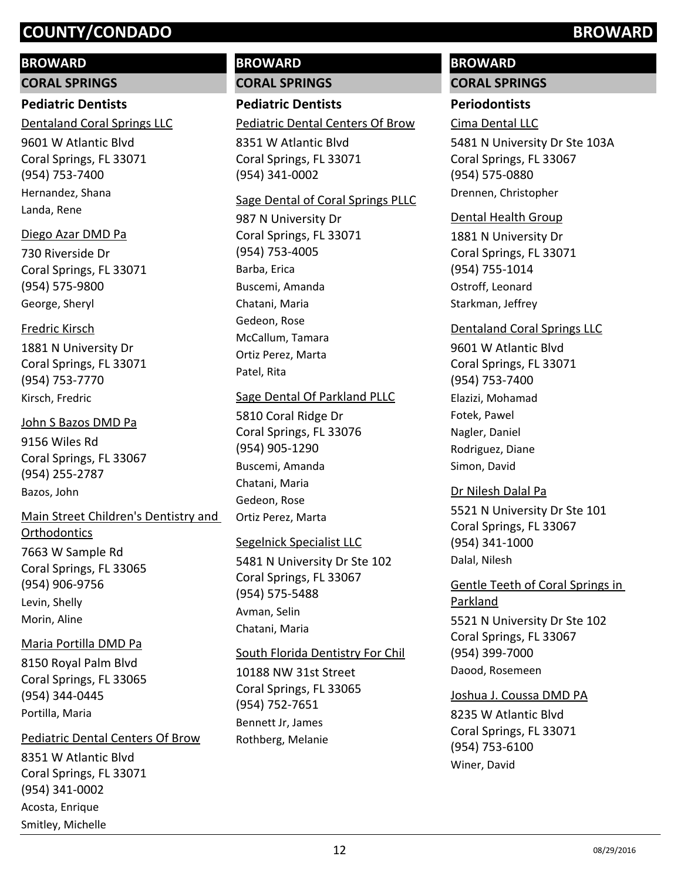#### **BROWARD**

**CORAL SPRINGS**

## **Pediatric Dentists**

Dentaland Coral Springs LLC

9601 W Atlantic Blvd Coral Springs, FL 33071 (954) 753-7400 Hernandez, Shana Landa, Rene

#### Diego Azar DMD Pa

730 Riverside Dr Coral Springs, FL 33071 (954) 575-9800 George, Sheryl

#### Fredric Kirsch

1881 N University Dr Coral Springs, FL 33071 (954) 753-7770 Kirsch, Fredric

## 9156 Wiles Rd Coral Springs, FL 33067 John S Bazos DMD Pa

(954) 255-2787 Bazos, John

# 7663 W Sample Rd Coral Springs, FL 33065 (954) 906-9756 Main Street Children's Dentistry and **Orthodontics** Levin, Shelly Morin, Aline

# 8150 Royal Palm Blvd Coral Springs, FL 33065 Maria Portilla DMD Pa

(954) 344-0445 Portilla, Maria

#### 8351 W Atlantic Blvd Pediatric Dental Centers Of Brow

Coral Springs, FL 33071 (954) 341-0002 Acosta, Enrique Smitley, Michelle

# **BROWARD CORAL SPRINGS**

**Pediatric Dentists** Pediatric Dental Centers Of Brow

8351 W Atlantic Blvd Coral Springs, FL 33071 (954) 341-0002

#### Sage Dental of Coral Springs PLLC

987 N University Dr Coral Springs, FL 33071 (954) 753-4005 Barba, Erica Buscemi, Amanda Chatani, Maria Gedeon, Rose McCallum, Tamara Ortiz Perez, Marta Patel, Rita

#### Sage Dental Of Parkland PLLC

5810 Coral Ridge Dr Coral Springs, FL 33076 (954) 905-1290 Buscemi, Amanda Chatani, Maria Gedeon, Rose Ortiz Perez, Marta

### Segelnick Specialist LLC

5481 N University Dr Ste 102 Coral Springs, FL 33067 (954) 575-5488 Avman, Selin Chatani, Maria

# 10188 NW 31st Street Coral Springs, FL 33065 (954) 752-7651 South Florida Dentistry For Chil

Bennett Jr, James Rothberg, Melanie

# **BROWARD**

# **CORAL SPRINGS**

# **Periodontists**

Cima Dental LLC

5481 N University Dr Ste 103A Coral Springs, FL 33067 (954) 575-0880 Drennen, Christopher

#### Dental Health Group

1881 N University Dr Coral Springs, FL 33071 (954) 755-1014 Ostroff, Leonard Starkman, Jeffrey

### Dentaland Coral Springs LLC

9601 W Atlantic Blvd Coral Springs, FL 33071 (954) 753-7400 Elazizi, Mohamad Fotek, Pawel Nagler, Daniel Rodriguez, Diane Simon, David

### Dr Nilesh Dalal Pa

5521 N University Dr Ste 101 Coral Springs, FL 33067 (954) 341-1000 Dalal, Nilesh

# Gentle Teeth of Coral Springs in Parkland

5521 N University Dr Ste 102 Coral Springs, FL 33067 (954) 399-7000 Daood, Rosemeen

### Joshua J. Coussa DMD PA

8235 W Atlantic Blvd Coral Springs, FL 33071 (954) 753-6100 Winer, David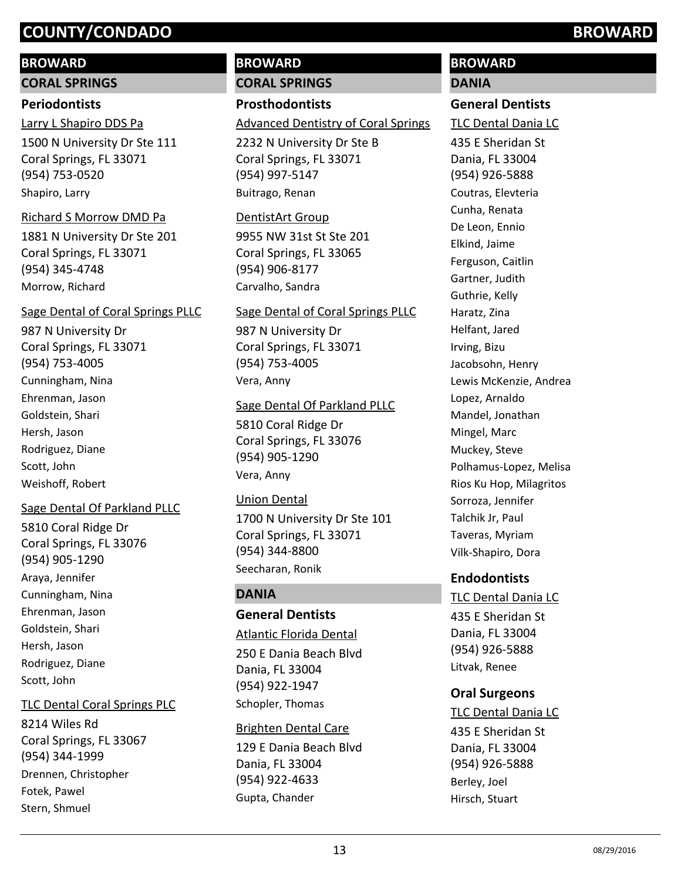#### **BROWARD**

**CORAL SPRINGS**

#### **Periodontists**

1500 N University Dr Ste 111 Coral Springs, FL 33071 (954) 753-0520 Larry L Shapiro DDS Pa Shapiro, Larry

#### Richard S Morrow DMD Pa

1881 N University Dr Ste 201 Coral Springs, FL 33071 (954) 345-4748 Morrow, Richard

#### Sage Dental of Coral Springs PLLC

987 N University Dr Coral Springs, FL 33071 (954) 753-4005 Cunningham, Nina Ehrenman, Jason Goldstein, Shari Hersh, Jason Rodriguez, Diane Scott, John Weishoff, Robert

### Sage Dental Of Parkland PLLC

5810 Coral Ridge Dr Coral Springs, FL 33076 (954) 905-1290 Araya, Jennifer Cunningham, Nina Ehrenman, Jason Goldstein, Shari Hersh, Jason Rodriguez, Diane Scott, John

#### TLC Dental Coral Springs PLC

8214 Wiles Rd Coral Springs, FL 33067 (954) 344-1999 Drennen, Christopher Fotek, Pawel Stern, Shmuel

# **BROWARD CORAL SPRINGS**

## **Prosthodontists**

#### Advanced Dentistry of Coral Springs

2232 N University Dr Ste B Coral Springs, FL 33071 (954) 997-5147 Buitrago, Renan

#### DentistArt Group

9955 NW 31st St Ste 201 Coral Springs, FL 33065 (954) 906-8177 Carvalho, Sandra

#### Sage Dental of Coral Springs PLLC

987 N University Dr Coral Springs, FL 33071 (954) 753-4005 Vera, Anny

#### Sage Dental Of Parkland PLLC

5810 Coral Ridge Dr Coral Springs, FL 33076 (954) 905-1290 Vera, Anny

### Union Dental

1700 N University Dr Ste 101 Coral Springs, FL 33071 (954) 344-8800 Seecharan, Ronik

### **DANIA**

## **General Dentists**

#### Atlantic Florida Dental

250 E Dania Beach Blvd Dania, FL 33004 (954) 922-1947 Schopler, Thomas

#### Brighten Dental Care

129 E Dania Beach Blvd Dania, FL 33004 (954) 922-4633 Gupta, Chander

# **BROWARD**

## **DANIA**

#### **General Dentists**

TLC Dental Dania LC

435 E Sheridan St Dania, FL 33004 (954) 926-5888 Coutras, Elevteria Cunha, Renata De Leon, Ennio Elkind, Jaime Ferguson, Caitlin Gartner, Judith Guthrie, Kelly Haratz, Zina Helfant, Jared Irving, Bizu Jacobsohn, Henry Lewis McKenzie, Andrea Lopez, Arnaldo Mandel, Jonathan Mingel, Marc Muckey, Steve Polhamus-Lopez, Melisa Rios Ku Hop, Milagritos Sorroza, Jennifer Talchik Jr, Paul Taveras, Myriam Vilk-Shapiro, Dora

# **Endodontists**

435 E Sheridan St Dania, FL 33004 (954) 926-5888 TLC Dental Dania LC Litvak, Renee

# **Oral Surgeons**

435 E Sheridan St Dania, FL 33004 (954) 926-5888 TLC Dental Dania LC Berley, Joel Hirsch, Stuart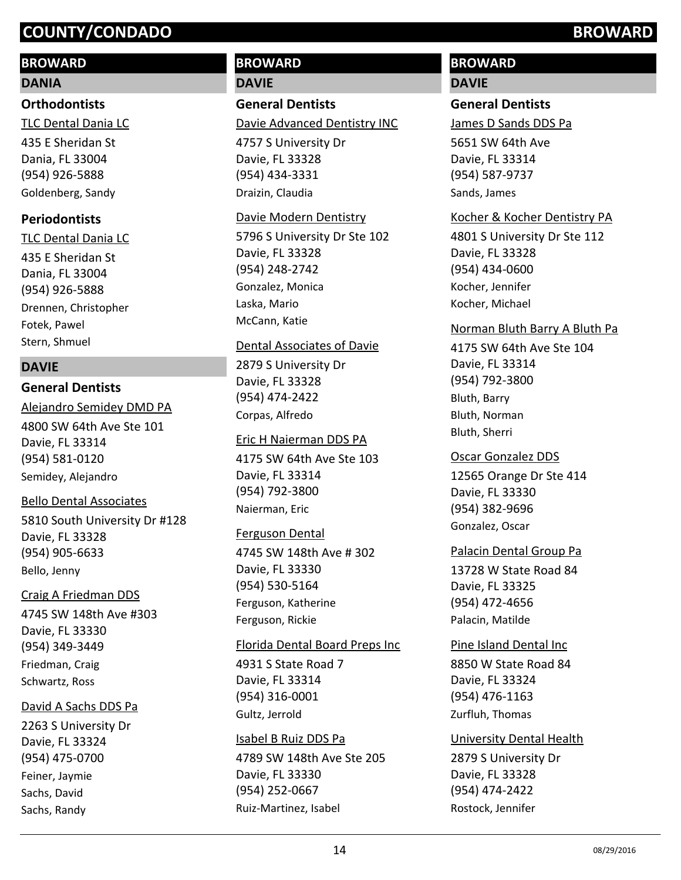### **BROWARD**

#### **DANIA**

#### **Orthodontists**

435 E Sheridan St Dania, FL 33004 (954) 926-5888 TLC Dental Dania LC Goldenberg, Sandy

#### **Periodontists**

435 E Sheridan St Dania, FL 33004 (954) 926-5888 TLC Dental Dania LC Drennen, Christopher Fotek, Pawel Stern, Shmuel

#### **DAVIE**

#### **General Dentists**

4800 SW 64th Ave Ste 101 Davie, FL 33314 (954) 581-0120 Alejandro Semidey DMD PA Semidey, Alejandro

#### Bello Dental Associates

5810 South University Dr #128 Davie, FL 33328 (954) 905-6633 Bello, Jenny

#### Craig A Friedman DDS

4745 SW 148th Ave #303 Davie, FL 33330 (954) 349-3449 Friedman, Craig Schwartz, Ross

#### David A Sachs DDS Pa

2263 S University Dr Davie, FL 33324 (954) 475-0700 Feiner, Jaymie Sachs, David Sachs, Randy

# **BROWARD DAVIE**

# **General Dentists**

Davie Advanced Dentistry INC

4757 S University Dr Davie, FL 33328 (954) 434-3331 Draizin, Claudia

#### Davie Modern Dentistry

5796 S University Dr Ste 102 Davie, FL 33328 (954) 248-2742 Gonzalez, Monica Laska, Mario McCann, Katie

#### Dental Associates of Davie

2879 S University Dr Davie, FL 33328 (954) 474-2422 Corpas, Alfredo

#### Eric H Naierman DDS PA

4175 SW 64th Ave Ste 103 Davie, FL 33314 (954) 792-3800 Naierman, Eric

#### Ferguson Dental

4745 SW 148th Ave # 302 Davie, FL 33330 (954) 530-5164 Ferguson, Katherine Ferguson, Rickie

#### Florida Dental Board Preps Inc

4931 S State Road 7 Davie, FL 33314 (954) 316-0001 Gultz, Jerrold

#### Isabel B Ruiz DDS Pa

4789 SW 148th Ave Ste 205 Davie, FL 33330 (954) 252-0667 Ruiz-Martinez, Isabel

# **BROWARD**

## **DAVIE**

## **General Dentists**

James D Sands DDS Pa

5651 SW 64th Ave Davie, FL 33314 (954) 587-9737 Sands, James

#### Kocher & Kocher Dentistry PA

4801 S University Dr Ste 112 Davie, FL 33328 (954) 434-0600 Kocher, Jennifer Kocher, Michael

#### Norman Bluth Barry A Bluth Pa

4175 SW 64th Ave Ste 104 Davie, FL 33314 (954) 792-3800 Bluth, Barry Bluth, Norman Bluth, Sherri

## 12565 Orange Dr Ste 414 Davie, FL 33330 (954) 382-9696 Oscar Gonzalez DDS Gonzalez, Oscar

#### Palacin Dental Group Pa

13728 W State Road 84 Davie, FL 33325 (954) 472-4656 Palacin, Matilde

#### Pine Island Dental Inc

8850 W State Road 84 Davie, FL 33324 (954) 476-1163 Zurfluh, Thomas

#### University Dental Health

2879 S University Dr Davie, FL 33328 (954) 474-2422 Rostock, Jennifer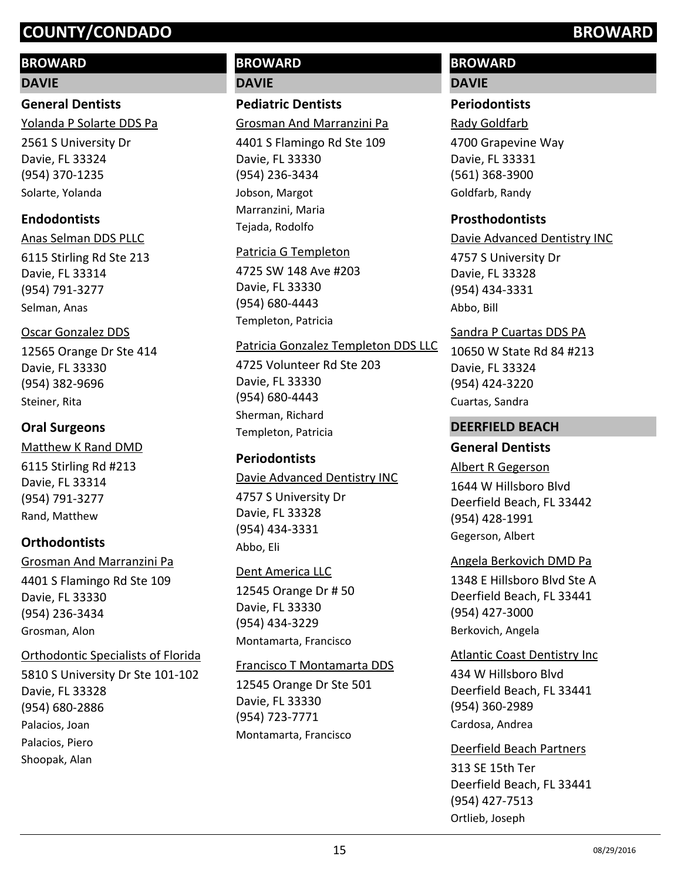## **BROWARD**

#### **DAVIE**

**General Dentists** Yolanda P Solarte DDS Pa

2561 S University Dr Davie, FL 33324 (954) 370-1235 Solarte, Yolanda

## **Endodontists**

6115 Stirling Rd Ste 213 Davie, FL 33314 (954) 791-3277 Anas Selman DDS PLLC Selman, Anas

#### Oscar Gonzalez DDS

12565 Orange Dr Ste 414 Davie, FL 33330 (954) 382-9696 Steiner, Rita

## **Oral Surgeons**

6115 Stirling Rd #213 Davie, FL 33314 (954) 791-3277 Matthew K Rand DMD Rand, Matthew

# **Orthodontists**

4401 S Flamingo Rd Ste 109 Davie, FL 33330 (954) 236-3434 Grosman And Marranzini Pa Grosman, Alon

### Orthodontic Specialists of Florida

5810 S University Dr Ste 101-102 Davie, FL 33328 (954) 680-2886 Palacios, Joan Palacios, Piero Shoopak, Alan

# **BROWARD DAVIE**

## **Pediatric Dentists**

Grosman And Marranzini Pa

4401 S Flamingo Rd Ste 109 Davie, FL 33330 (954) 236-3434 Jobson, Margot Marranzini, Maria Tejada, Rodolfo

#### Patricia G Templeton

4725 SW 148 Ave #203 Davie, FL 33330 (954) 680-4443 Templeton, Patricia

#### Patricia Gonzalez Templeton DDS LLC

4725 Volunteer Rd Ste 203 Davie, FL 33330 (954) 680-4443 Sherman, Richard Templeton, Patricia

# **Periodontists**

Davie Advanced Dentistry INC

4757 S University Dr Davie, FL 33328 (954) 434-3331 Abbo, Eli

# Dent America LLC

12545 Orange Dr # 50 Davie, FL 33330 (954) 434-3229 Montamarta, Francisco

### Francisco T Montamarta DDS

12545 Orange Dr Ste 501 Davie, FL 33330 (954) 723-7771 Montamarta, Francisco

# **BROWARD**

## **DAVIE**

### **Periodontists**

4700 Grapevine Way Davie, FL 33331 (561) 368-3900 Rady Goldfarb Goldfarb, Randy

#### **Prosthodontists**

4757 S University Dr Davie, FL 33328 (954) 434-3331 Davie Advanced Dentistry INC Abbo, Bill

#### Sandra P Cuartas DDS PA

10650 W State Rd 84 #213 Davie, FL 33324 (954) 424-3220 Cuartas, Sandra

#### **DEERFIELD BEACH**

### **General Dentists**

1644 W Hillsboro Blvd Deerfield Beach, FL 33442 (954) 428-1991 Albert R Gegerson Gegerson, Albert

#### Angela Berkovich DMD Pa

1348 E Hillsboro Blvd Ste A Deerfield Beach, FL 33441 (954) 427-3000 Berkovich, Angela

#### Atlantic Coast Dentistry Inc

434 W Hillsboro Blvd Deerfield Beach, FL 33441 (954) 360-2989 Cardosa, Andrea

#### Deerfield Beach Partners

313 SE 15th Ter Deerfield Beach, FL 33441 (954) 427-7513 Ortlieb, Joseph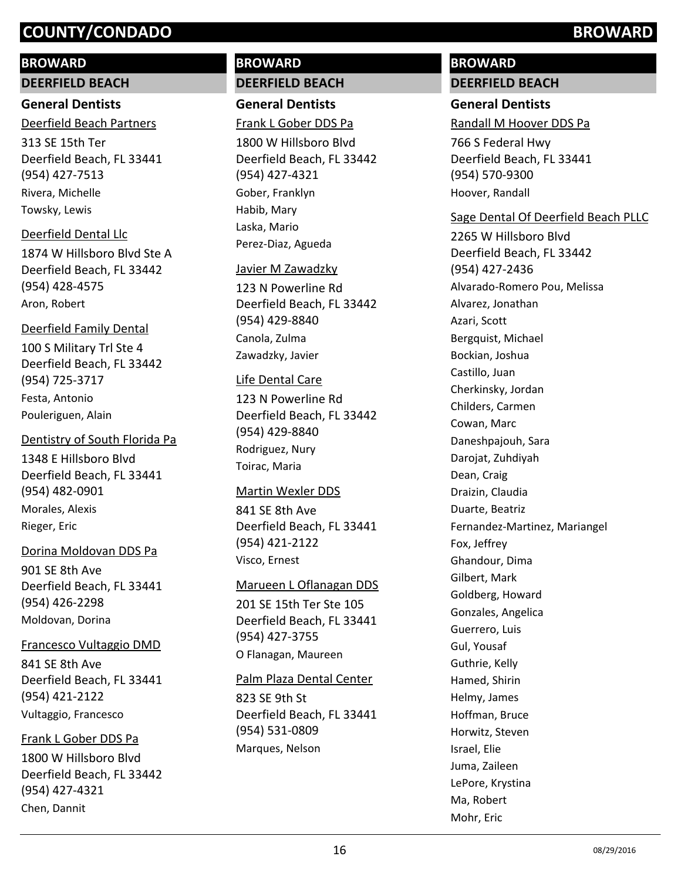#### **BROWARD**

#### **DEERFIELD BEACH**

#### **General Dentists**

313 SE 15th Ter Deerfield Beach, FL 33441 (954) 427-7513 Deerfield Beach Partners Rivera, Michelle

Towsky, Lewis

#### Deerfield Dental Llc

1874 W Hillsboro Blvd Ste A Deerfield Beach, FL 33442 (954) 428-4575 Aron, Robert

#### Deerfield Family Dental

100 S Military Trl Ste 4 Deerfield Beach, FL 33442 (954) 725-3717 Festa, Antonio Pouleriguen, Alain

#### Dentistry of South Florida Pa

1348 E Hillsboro Blvd Deerfield Beach, FL 33441 (954) 482-0901 Morales, Alexis Rieger, Eric

#### Dorina Moldovan DDS Pa

901 SE 8th Ave Deerfield Beach, FL 33441 (954) 426-2298 Moldovan, Dorina

#### Francesco Vultaggio DMD

841 SE 8th Ave Deerfield Beach, FL 33441 (954) 421-2122 Vultaggio, Francesco

#### Frank L Gober DDS Pa

1800 W Hillsboro Blvd Deerfield Beach, FL 33442 (954) 427-4321 Chen, Dannit

# **BROWARD DEERFIELD BEACH**

**General Dentists** Frank L Gober DDS Pa

1800 W Hillsboro Blvd Deerfield Beach, FL 33442 (954) 427-4321 Gober, Franklyn Habib, Mary Laska, Mario Perez-Diaz, Agueda

#### Javier M Zawadzky

123 N Powerline Rd Deerfield Beach, FL 33442 (954) 429-8840 Canola, Zulma Zawadzky, Javier

#### Life Dental Care

123 N Powerline Rd Deerfield Beach, FL 33442 (954) 429-8840 Rodriguez, Nury Toirac, Maria

#### Martin Wexler DDS

841 SE 8th Ave Deerfield Beach, FL 33441 (954) 421-2122 Visco, Ernest

#### Marueen L Oflanagan DDS

201 SE 15th Ter Ste 105 Deerfield Beach, FL 33441 (954) 427-3755 O Flanagan, Maureen

#### Palm Plaza Dental Center

823 SE 9th St Deerfield Beach, FL 33441 (954) 531-0809 Marques, Nelson

# **BROWARD DEERFIELD BEACH**

### **General Dentists**

Randall M Hoover DDS Pa

766 S Federal Hwy Deerfield Beach, FL 33441 (954) 570-9300 Hoover, Randall

#### Sage Dental Of Deerfield Beach PLLC

2265 W Hillsboro Blvd Deerfield Beach, FL 33442 (954) 427-2436 Alvarado-Romero Pou, Melissa Alvarez, Jonathan Azari, Scott Bergquist, Michael Bockian, Joshua Castillo, Juan Cherkinsky, Jordan Childers, Carmen Cowan, Marc Daneshpajouh, Sara Darojat, Zuhdiyah Dean, Craig Draizin, Claudia Duarte, Beatriz Fernandez-Martinez, Mariangel Fox, Jeffrey Ghandour, Dima Gilbert, Mark Goldberg, Howard Gonzales, Angelica Guerrero, Luis Gul, Yousaf Guthrie, Kelly Hamed, Shirin Helmy, James Hoffman, Bruce Horwitz, Steven Israel, Elie Juma, Zaileen LePore, Krystina Ma, Robert Mohr, Eric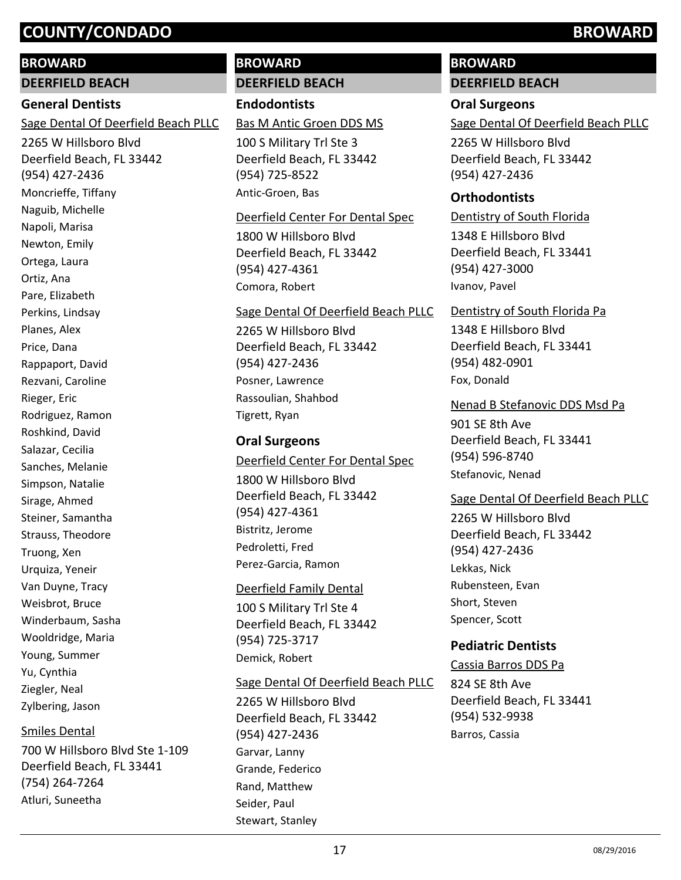#### **BROWARD**

**DEERFIELD BEACH**

#### **General Dentists**

Sage Dental Of Deerfield Beach PLLC

2265 W Hillsboro Blvd Deerfield Beach, FL 33442 (954) 427-2436 Moncrieffe, Tiffany Naguib, Michelle Napoli, Marisa Newton, Emily Ortega, Laura Ortiz, Ana Pare, Elizabeth Perkins, Lindsay Planes, Alex Price, Dana Rappaport, David Rezvani, Caroline Rieger, Eric Rodriguez, Ramon Roshkind, David Salazar, Cecilia Sanches, Melanie Simpson, Natalie Sirage, Ahmed Steiner, Samantha Strauss, Theodore Truong, Xen Urquiza, Yeneir Van Duyne, Tracy Weisbrot, Bruce Winderbaum, Sasha Wooldridge, Maria Young, Summer Yu, Cynthia Ziegler, Neal Zylbering, Jason

#### Smiles Dental

700 W Hillsboro Blvd Ste 1-109 Deerfield Beach, FL 33441 (754) 264-7264 Atluri, Suneetha

# **BROWARD DEERFIELD BEACH**

**Endodontists**

Bas M Antic Groen DDS MS

100 S Military Trl Ste 3 Deerfield Beach, FL 33442 (954) 725-8522 Antic-Groen, Bas

#### Deerfield Center For Dental Spec

1800 W Hillsboro Blvd Deerfield Beach, FL 33442 (954) 427-4361 Comora, Robert

#### Sage Dental Of Deerfield Beach PLLC

2265 W Hillsboro Blvd Deerfield Beach, FL 33442 (954) 427-2436 Posner, Lawrence Rassoulian, Shahbod Tigrett, Ryan

#### **Oral Surgeons**

1800 W Hillsboro Blvd Deerfield Beach, FL 33442 (954) 427-4361 Deerfield Center For Dental Spec Bistritz, Jerome Pedroletti, Fred Perez-Garcia, Ramon

#### Deerfield Family Dental

100 S Military Trl Ste 4 Deerfield Beach, FL 33442 (954) 725-3717 Demick, Robert

#### Sage Dental Of Deerfield Beach PLLC

2265 W Hillsboro Blvd Deerfield Beach, FL 33442 (954) 427-2436 Garvar, Lanny Grande, Federico Rand, Matthew Seider, Paul Stewart, Stanley

# **BROWARD**

# **DEERFIELD BEACH**

**Oral Surgeons**

Sage Dental Of Deerfield Beach PLLC

2265 W Hillsboro Blvd Deerfield Beach, FL 33442 (954) 427-2436

### **Orthodontists**

1348 E Hillsboro Blvd Deerfield Beach, FL 33441 (954) 427-3000 Dentistry of South Florida Ivanov, Pavel

#### Dentistry of South Florida Pa

1348 E Hillsboro Blvd Deerfield Beach, FL 33441 (954) 482-0901 Fox, Donald

#### Nenad B Stefanovic DDS Msd Pa

901 SE 8th Ave Deerfield Beach, FL 33441 (954) 596-8740 Stefanovic, Nenad

#### Sage Dental Of Deerfield Beach PLLC

2265 W Hillsboro Blvd Deerfield Beach, FL 33442 (954) 427-2436 Lekkas, Nick Rubensteen, Evan Short, Steven Spencer, Scott

### **Pediatric Dentists**

#### Cassia Barros DDS Pa

824 SE 8th Ave Deerfield Beach, FL 33441 (954) 532-9938 Barros, Cassia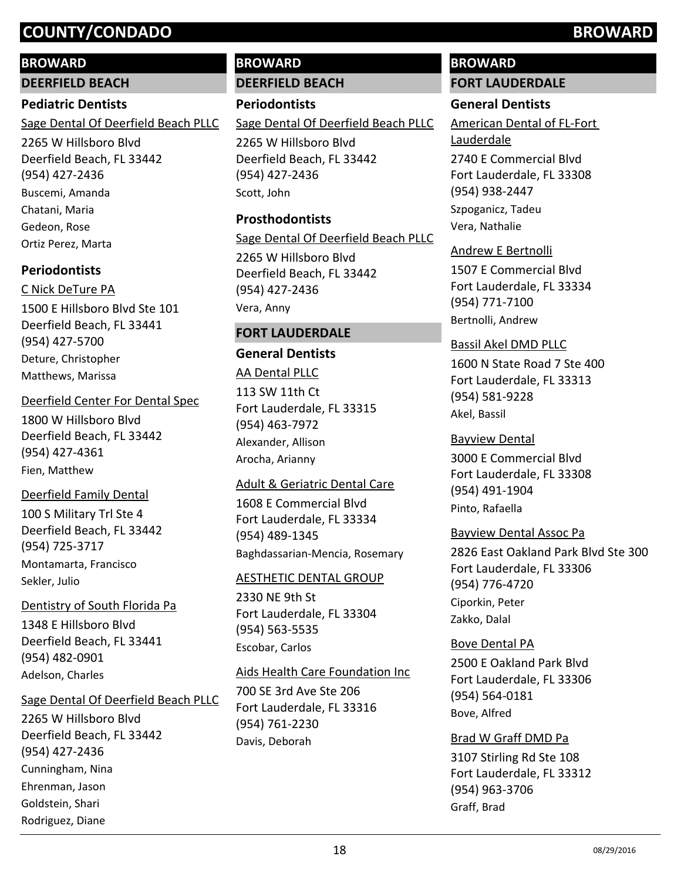#### **BROWARD**

**DEERFIELD BEACH**

#### **Pediatric Dentists**

Sage Dental Of Deerfield Beach PLLC

2265 W Hillsboro Blvd Deerfield Beach, FL 33442 (954) 427-2436 Buscemi, Amanda Chatani, Maria Gedeon, Rose Ortiz Perez, Marta

# **Periodontists**

1500 E Hillsboro Blvd Ste 101 Deerfield Beach, FL 33441 (954) 427-5700 C Nick DeTure PA Deture, Christopher Matthews, Marissa

#### Deerfield Center For Dental Spec

1800 W Hillsboro Blvd Deerfield Beach, FL 33442 (954) 427-4361 Fien, Matthew

### Deerfield Family Dental

100 S Military Trl Ste 4 Deerfield Beach, FL 33442 (954) 725-3717 Montamarta, Francisco Sekler, Julio

### Dentistry of South Florida Pa

1348 E Hillsboro Blvd Deerfield Beach, FL 33441 (954) 482-0901 Adelson, Charles

#### Sage Dental Of Deerfield Beach PLLC

2265 W Hillsboro Blvd Deerfield Beach, FL 33442 (954) 427-2436 Cunningham, Nina Ehrenman, Jason Goldstein, Shari Rodriguez, Diane

# **BROWARD DEERFIELD BEACH**

**Periodontists**

Sage Dental Of Deerfield Beach PLLC

2265 W Hillsboro Blvd Deerfield Beach, FL 33442 (954) 427-2436 Scott, John

## **Prosthodontists**

Sage Dental Of Deerfield Beach PLLC

2265 W Hillsboro Blvd Deerfield Beach, FL 33442 (954) 427-2436 Vera, Anny

## **FORT LAUDERDALE**

# **General Dentists**

113 SW 11th Ct Fort Lauderdale, FL 33315 (954) 463-7972 AA Dental PLLC Alexander, Allison Arocha, Arianny

#### Adult & Geriatric Dental Care

1608 E Commercial Blvd Fort Lauderdale, FL 33334 (954) 489-1345 Baghdassarian-Mencia, Rosemary

#### AESTHETIC DENTAL GROUP

2330 NE 9th St Fort Lauderdale, FL 33304 (954) 563-5535 Escobar, Carlos

### Aids Health Care Foundation Inc

700 SE 3rd Ave Ste 206 Fort Lauderdale, FL 33316 (954) 761-2230 Davis, Deborah

# **BROWARD**

# **FORT LAUDERDALE**

## **General Dentists**

American Dental of FL-Fort Lauderdale

2740 E Commercial Blvd Fort Lauderdale, FL 33308 (954) 938-2447 Szpoganicz, Tadeu Vera, Nathalie

#### Andrew E Bertnolli

1507 E Commercial Blvd Fort Lauderdale, FL 33334 (954) 771-7100 Bertnolli, Andrew

#### Bassil Akel DMD PLLC

1600 N State Road 7 Ste 400 Fort Lauderdale, FL 33313 (954) 581-9228 Akel, Bassil

### Bayview Dental

3000 E Commercial Blvd Fort Lauderdale, FL 33308 (954) 491-1904 Pinto, Rafaella

### Bayview Dental Assoc Pa

2826 East Oakland Park Blvd Ste 300 Fort Lauderdale, FL 33306 (954) 776-4720 Ciporkin, Peter Zakko, Dalal

2500 E Oakland Park Blvd Fort Lauderdale, FL 33306 (954) 564-0181 Bove Dental PA Bove, Alfred

## Brad W Graff DMD Pa

3107 Stirling Rd Ste 108 Fort Lauderdale, FL 33312 (954) 963-3706 Graff, Brad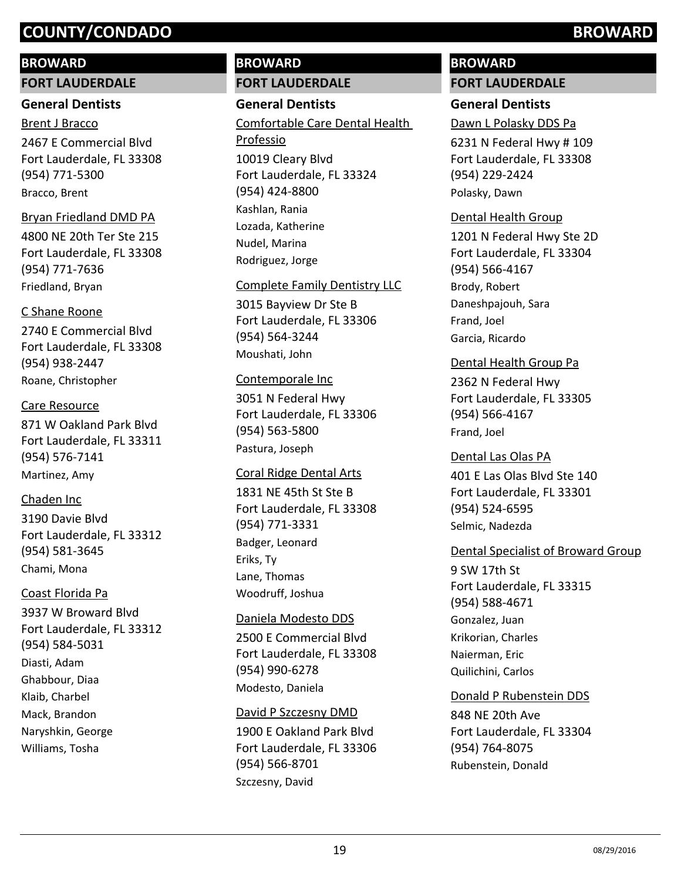#### **BROWARD**

**FORT LAUDERDALE**

#### **General Dentists**

2467 E Commercial Blvd Fort Lauderdale, FL 33308 (954) 771-5300 Brent J Bracco Bracco, Brent

#### Bryan Friedland DMD PA

4800 NE 20th Ter Ste 215 Fort Lauderdale, FL 33308 (954) 771-7636 Friedland, Bryan

#### C Shane Roone

2740 E Commercial Blvd Fort Lauderdale, FL 33308 (954) 938-2447 Roane, Christopher

#### Care Resource

871 W Oakland Park Blvd Fort Lauderdale, FL 33311 (954) 576-7141 Martinez, Amy

#### Chaden Inc

3190 Davie Blvd Fort Lauderdale, FL 33312 (954) 581-3645 Chami, Mona

#### Coast Florida Pa

3937 W Broward Blvd Fort Lauderdale, FL 33312 (954) 584-5031 Diasti, Adam Ghabbour, Diaa Klaib, Charbel Mack, Brandon Naryshkin, George Williams, Tosha

# **BROWARD FORT LAUDERDALE**

#### **General Dentists**

10019 Cleary Blvd Fort Lauderdale, FL 33324 (954) 424-8800 Comfortable Care Dental Health Professio Kashlan, Rania Lozada, Katherine Nudel, Marina Rodriguez, Jorge

#### Complete Family Dentistry LLC

3015 Bayview Dr Ste B Fort Lauderdale, FL 33306 (954) 564-3244 Moushati, John

#### Contemporale Inc

3051 N Federal Hwy Fort Lauderdale, FL 33306 (954) 563-5800 Pastura, Joseph

#### Coral Ridge Dental Arts

1831 NE 45th St Ste B Fort Lauderdale, FL 33308 (954) 771-3331 Badger, Leonard Eriks, Ty Lane, Thomas Woodruff, Joshua

#### Daniela Modesto DDS

2500 E Commercial Blvd Fort Lauderdale, FL 33308 (954) 990-6278 Modesto, Daniela

#### David P Szczesny DMD

1900 E Oakland Park Blvd Fort Lauderdale, FL 33306 (954) 566-8701 Szczesny, David

# **BROWARD FORT LAUDERDALE**

## **General Dentists**

Dawn L Polasky DDS Pa

6231 N Federal Hwy # 109 Fort Lauderdale, FL 33308 (954) 229-2424 Polasky, Dawn

#### Dental Health Group

1201 N Federal Hwy Ste 2D Fort Lauderdale, FL 33304 (954) 566-4167 Brody, Robert Daneshpajouh, Sara Frand, Joel Garcia, Ricardo

#### Dental Health Group Pa

2362 N Federal Hwy Fort Lauderdale, FL 33305 (954) 566-4167 Frand, Joel

#### Dental Las Olas PA

401 E Las Olas Blvd Ste 140 Fort Lauderdale, FL 33301 (954) 524-6595 Selmic, Nadezda

#### Dental Specialist of Broward Group

9 SW 17th St Fort Lauderdale, FL 33315 (954) 588-4671 Gonzalez, Juan Krikorian, Charles Naierman, Eric Quilichini, Carlos

### Donald P Rubenstein DDS

848 NE 20th Ave Fort Lauderdale, FL 33304 (954) 764-8075 Rubenstein, Donald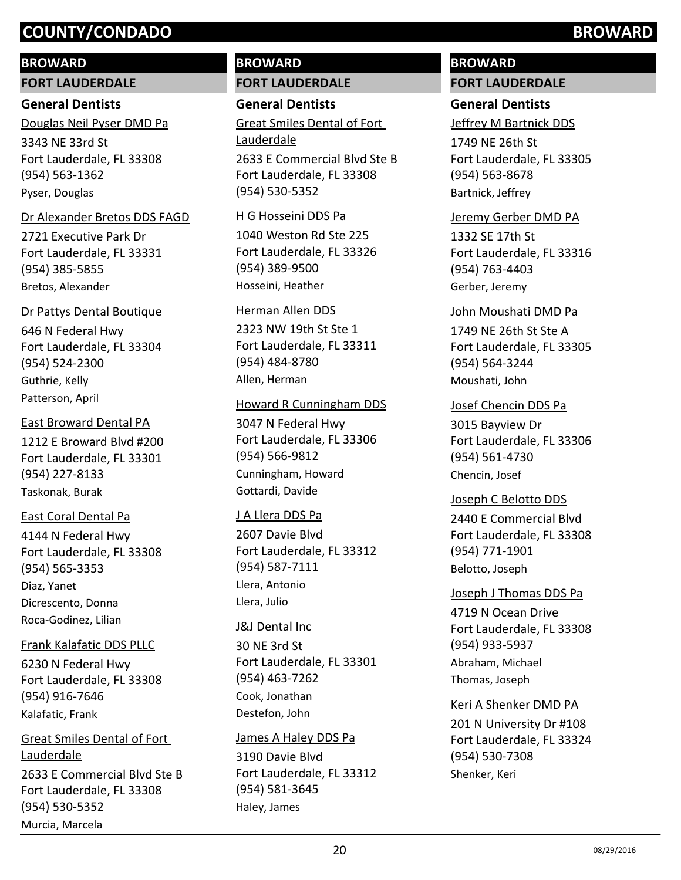#### **BROWARD**

**FORT LAUDERDALE**

#### **General Dentists**

3343 NE 33rd St Fort Lauderdale, FL 33308 (954) 563-1362 Douglas Neil Pyser DMD Pa Pyser, Douglas

#### Dr Alexander Bretos DDS FAGD

2721 Executive Park Dr Fort Lauderdale, FL 33331 (954) 385-5855 Bretos, Alexander

#### Dr Pattys Dental Boutique

646 N Federal Hwy Fort Lauderdale, FL 33304 (954) 524-2300 Guthrie, Kelly Patterson, April

#### East Broward Dental PA

1212 E Broward Blvd #200 Fort Lauderdale, FL 33301 (954) 227-8133 Taskonak, Burak

#### East Coral Dental Pa

4144 N Federal Hwy Fort Lauderdale, FL 33308 (954) 565-3353 Diaz, Yanet Dicrescento, Donna Roca-Godinez, Lilian

#### Frank Kalafatic DDS PLLC

6230 N Federal Hwy Fort Lauderdale, FL 33308 (954) 916-7646 Kalafatic, Frank

# 2633 E Commercial Blvd Ste B Fort Lauderdale, FL 33308 (954) 530-5352 Great Smiles Dental of Fort Lauderdale

Murcia, Marcela

**BROWARD FORT LAUDERDALE**

# **General Dentists**

2633 E Commercial Blvd Ste B Fort Lauderdale, FL 33308 (954) 530-5352 Great Smiles Dental of Fort Lauderdale

#### H G Hosseini DDS Pa

1040 Weston Rd Ste 225 Fort Lauderdale, FL 33326 (954) 389-9500 Hosseini, Heather

#### Herman Allen DDS

2323 NW 19th St Ste 1 Fort Lauderdale, FL 33311 (954) 484-8780 Allen, Herman

#### Howard R Cunningham DDS

3047 N Federal Hwy Fort Lauderdale, FL 33306 (954) 566-9812 Cunningham, Howard Gottardi, Davide

#### J A Llera DDS Pa

2607 Davie Blvd Fort Lauderdale, FL 33312 (954) 587-7111 Llera, Antonio Llera, Julio

#### J&J Dental Inc

30 NE 3rd St Fort Lauderdale, FL 33301 (954) 463-7262 Cook, Jonathan Destefon, John

#### James A Haley DDS Pa

3190 Davie Blvd Fort Lauderdale, FL 33312 (954) 581-3645 Haley, James

# **BROWARD**

# **FORT LAUDERDALE**

# **General Dentists**

Jeffrey M Bartnick DDS

1749 NE 26th St Fort Lauderdale, FL 33305 (954) 563-8678 Bartnick, Jeffrey

#### Jeremy Gerber DMD PA

1332 SE 17th St Fort Lauderdale, FL 33316 (954) 763-4403 Gerber, Jeremy

#### John Moushati DMD Pa

1749 NE 26th St Ste A Fort Lauderdale, FL 33305 (954) 564-3244 Moushati, John

#### Josef Chencin DDS Pa

3015 Bayview Dr Fort Lauderdale, FL 33306 (954) 561-4730 Chencin, Josef

#### Joseph C Belotto DDS

2440 E Commercial Blvd Fort Lauderdale, FL 33308 (954) 771-1901 Belotto, Joseph

# 4719 N Ocean Drive Fort Lauderdale, FL 33308 (954) 933-5937 Joseph J Thomas DDS Pa Abraham, Michael Thomas, Joseph

#### Keri A Shenker DMD PA

201 N University Dr #108 Fort Lauderdale, FL 33324 (954) 530-7308 Shenker, Keri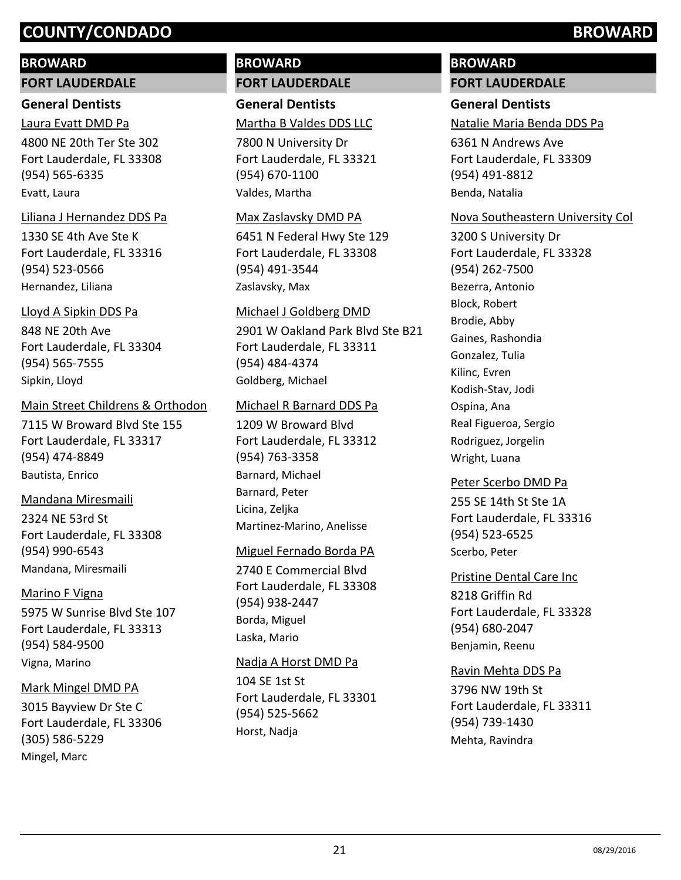#### **BROWARD**

**FORT LAUDERDALE**

#### **General Dentists**

4800 NE 20th Ter Ste 302 Fort Lauderdale, FL 33308 Laura Evatt DMD Pa

#### (954) 565-6335 Evatt, Laura

#### Liliana J Hernandez DDS Pa

1330 SE 4th Ave Ste K Fort Lauderdale, FL 33316 (954) 523-0566 Hernandez, Liliana

#### Lloyd A Sipkin DDS Pa

848 NE 20th Ave Fort Lauderdale, FL 33304 (954) 565-7555 Sipkin, Lloyd

#### Main Street Childrens & Orthodon

7115 W Broward Blvd Ste 155 Fort Lauderdale, FL 33317 (954) 474-8849 Bautista, Enrico

#### Mandana Miresmaili

2324 NE 53rd St Fort Lauderdale, FL 33308 (954) 990-6543 Mandana, Miresmaili

#### Marino F Vigna

5975 W Sunrise Blvd Ste 107 Fort Lauderdale, FL 33313 (954) 584-9500 Vigna, Marino

#### Mark Mingel DMD PA

3015 Bayview Dr Ste C Fort Lauderdale, FL 33306 (305) 586-5229 Mingel, Marc

# **BROWARD FORT LAUDERDALE**

**General Dentists** Martha B Valdes DDS LLC

7800 N University Dr Fort Lauderdale, FL 33321 (954) 670-1100 Valdes, Martha

#### Max Zaslavsky DMD PA

6451 N Federal Hwy Ste 129 Fort Lauderdale, FL 33308 (954) 491-3544 Zaslavsky, Max

#### Michael J Goldberg DMD

2901 W Oakland Park Blvd Ste B21 Fort Lauderdale, FL 33311 (954) 484-4374 Goldberg, Michael

#### Michael R Barnard DDS Pa

1209 W Broward Blvd Fort Lauderdale, FL 33312 (954) 763-3358 Barnard, Michael Barnard, Peter Licina, Zeljka Martinez-Marino, Anelisse

### Miguel Fernado Borda PA

2740 E Commercial Blvd Fort Lauderdale, FL 33308 (954) 938-2447 Borda, Miguel Laska, Mario

#### Nadja A Horst DMD Pa

104 SE 1st St Fort Lauderdale, FL 33301 (954) 525-5662 Horst, Nadja

# **BROWARD FORT LAUDERDALE**

## **General Dentists**

Natalie Maria Benda DDS Pa

6361 N Andrews Ave Fort Lauderdale, FL 33309 (954) 491-8812 Benda, Natalia

#### Nova Southeastern University Col

3200 S University Dr Fort Lauderdale, FL 33328 (954) 262-7500 Bezerra, Antonio Block, Robert Brodie, Abby Gaines, Rashondia Gonzalez, Tulia Kilinc, Evren Kodish-Stav, Jodi Ospina, Ana Real Figueroa, Sergio Rodriguez, Jorgelin Wright, Luana

### Peter Scerbo DMD Pa

255 SE 14th St Ste 1A Fort Lauderdale, FL 33316 (954) 523-6525 Scerbo, Peter

#### Pristine Dental Care Inc

8218 Griffin Rd Fort Lauderdale, FL 33328 (954) 680-2047 Benjamin, Reenu

### Ravin Mehta DDS Pa

3796 NW 19th St Fort Lauderdale, FL 33311 (954) 739-1430 Mehta, Ravindra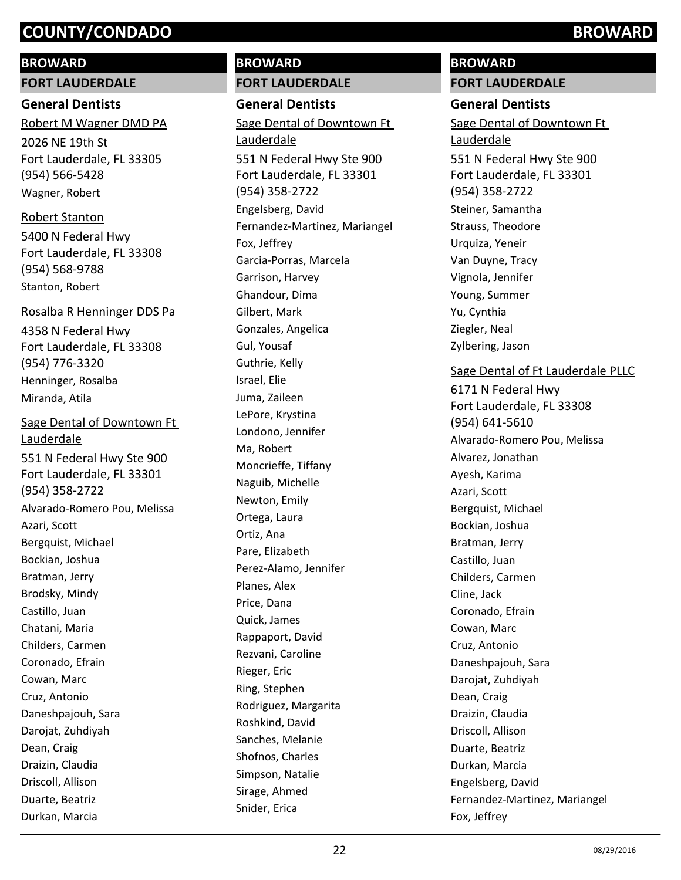## **BROWARD**

**FORT LAUDERDALE**

#### **General Dentists**

2026 NE 19th St Fort Lauderdale, FL 33305 (954) 566-5428 Robert M Wagner DMD PA Wagner, Robert

## Robert Stanton

5400 N Federal Hwy Fort Lauderdale, FL 33308 (954) 568-9788 Stanton, Robert

### Rosalba R Henninger DDS Pa

4358 N Federal Hwy Fort Lauderdale, FL 33308 (954) 776-3320 Henninger, Rosalba Miranda, Atila

551 N Federal Hwy Ste 900 Fort Lauderdale, FL 33301 (954) 358-2722 Sage Dental of Downtown Ft Lauderdale Alvarado-Romero Pou, Melissa Azari, Scott Bergquist, Michael Bockian, Joshua Bratman, Jerry Brodsky, Mindy Castillo, Juan Chatani, Maria Childers, Carmen Coronado, Efrain Cowan, Marc Cruz, Antonio Daneshpajouh, Sara Darojat, Zuhdiyah Dean, Craig Draizin, Claudia Driscoll, Allison Duarte, Beatriz

Durkan, Marcia

# **BROWARD FORT LAUDERDALE**

**General Dentists** 551 N Federal Hwy Ste 900 Fort Lauderdale, FL 33301 (954) 358-2722 Sage Dental of Downtown Ft Lauderdale Engelsberg, David Fernandez-Martinez, Mariangel Fox, Jeffrey Garcia-Porras, Marcela Garrison, Harvey Ghandour, Dima Gilbert, Mark Gonzales, Angelica Gul, Yousaf Guthrie, Kelly Israel, Elie Juma, Zaileen LePore, Krystina Londono, Jennifer Ma, Robert Moncrieffe, Tiffany Naguib, Michelle Newton, Emily Ortega, Laura Ortiz, Ana Pare, Elizabeth Perez-Alamo, Jennifer Planes, Alex Price, Dana Quick, James Rappaport, David Rezvani, Caroline Rieger, Eric Ring, Stephen Rodriguez, Margarita Roshkind, David Sanches, Melanie Shofnos, Charles Simpson, Natalie Sirage, Ahmed Snider, Erica

# **BROWARD FORT LAUDERDALE**

# **General Dentists**

551 N Federal Hwy Ste 900 Fort Lauderdale, FL 33301 (954) 358-2722 Sage Dental of Downtown Ft Lauderdale Steiner, Samantha Strauss, Theodore Urquiza, Yeneir Van Duyne, Tracy Vignola, Jennifer Young, Summer Yu, Cynthia Ziegler, Neal Zylbering, Jason

# Sage Dental of Ft Lauderdale PLLC

6171 N Federal Hwy Fort Lauderdale, FL 33308 (954) 641-5610 Alvarado-Romero Pou, Melissa Alvarez, Jonathan Ayesh, Karima Azari, Scott Bergquist, Michael Bockian, Joshua Bratman, Jerry Castillo, Juan Childers, Carmen Cline, Jack Coronado, Efrain Cowan, Marc Cruz, Antonio Daneshpajouh, Sara Darojat, Zuhdiyah Dean, Craig Draizin, Claudia Driscoll, Allison Duarte, Beatriz Durkan, Marcia Engelsberg, David Fernandez-Martinez, Mariangel Fox, Jeffrey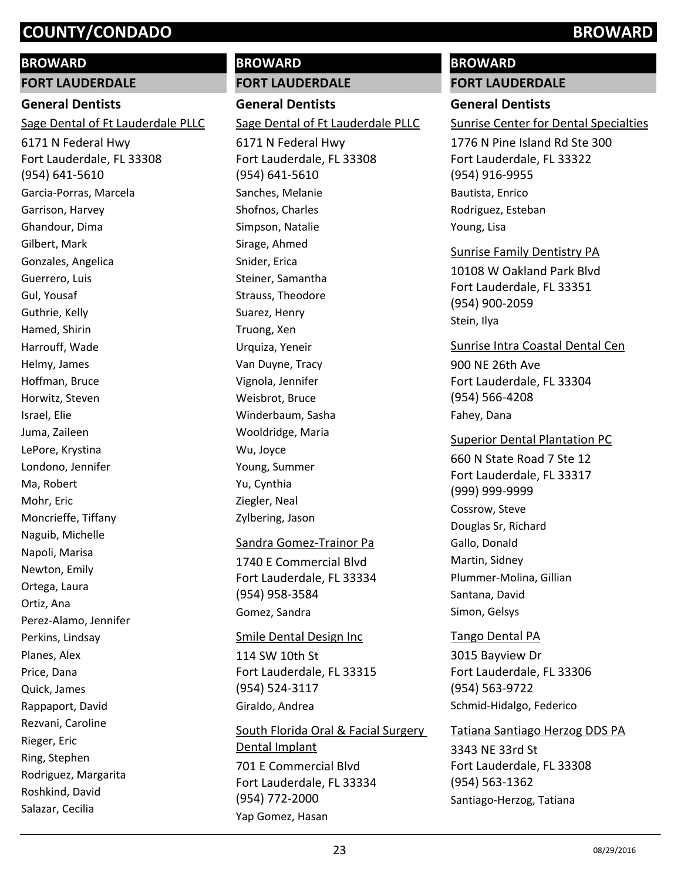# **BROWARD**

**FORT LAUDERDALE**

# **General Dentists**

Sage Dental of Ft Lauderdale PLLC

6171 N Federal Hwy Fort Lauderdale, FL 33308 (954) 641-5610 Garcia-Porras, Marcela Garrison, Harvey Ghandour, Dima Gilbert, Mark Gonzales, Angelica Guerrero, Luis Gul, Yousaf Guthrie, Kelly Hamed, Shirin Harrouff, Wade Helmy, James Hoffman, Bruce Horwitz, Steven Israel, Elie Juma, Zaileen LePore, Krystina Londono, Jennifer Ma, Robert Mohr, Eric Moncrieffe, Tiffany Naguib, Michelle Napoli, Marisa Newton, Emily Ortega, Laura Ortiz, Ana Perez-Alamo, Jennifer Perkins, Lindsay Planes, Alex Price, Dana Quick, James Rappaport, David Rezvani, Caroline Rieger, Eric Ring, Stephen Rodriguez, Margarita Roshkind, David Salazar, Cecilia

# **BROWARD FORT LAUDERDALE**

**General Dentists** 6171 N Federal Hwy Fort Lauderdale, FL 33308 (954) 641-5610 Sage Dental of Ft Lauderdale PLLC Sanches, Melanie Shofnos, Charles Simpson, Natalie Sirage, Ahmed Snider, Erica Steiner, Samantha Strauss, Theodore Suarez, Henry Truong, Xen Urquiza, Yeneir Van Duyne, Tracy Vignola, Jennifer Weisbrot, Bruce Winderbaum, Sasha Wooldridge, Maria Wu, Joyce Young, Summer Yu, Cynthia Ziegler, Neal Zylbering, Jason

#### Sandra Gomez-Trainor Pa

1740 E Commercial Blvd Fort Lauderdale, FL 33334 (954) 958-3584 Gomez, Sandra

#### Smile Dental Design Inc

114 SW 10th St Fort Lauderdale, FL 33315 (954) 524-3117 Giraldo, Andrea

701 E Commercial Blvd Fort Lauderdale, FL 33334 (954) 772-2000 South Florida Oral & Facial Surgery Dental Implant Yap Gomez, Hasan

# **BROWARD**

# **FORT LAUDERDALE**

## **General Dentists**

Sunrise Center for Dental Specialties

1776 N Pine Island Rd Ste 300 Fort Lauderdale, FL 33322 (954) 916-9955 Bautista, Enrico Rodriguez, Esteban Young, Lisa

### Sunrise Family Dentistry PA

10108 W Oakland Park Blvd Fort Lauderdale, FL 33351 (954) 900-2059 Stein, Ilya

### Sunrise Intra Coastal Dental Cen

900 NE 26th Ave Fort Lauderdale, FL 33304 (954) 566-4208 Fahey, Dana

#### Superior Dental Plantation PC

660 N State Road 7 Ste 12 Fort Lauderdale, FL 33317 (999) 999-9999 Cossrow, Steve Douglas Sr, Richard Gallo, Donald Martin, Sidney Plummer-Molina, Gillian Santana, David Simon, Gelsys

# Tango Dental PA

3015 Bayview Dr Fort Lauderdale, FL 33306 (954) 563-9722 Schmid-Hidalgo, Federico

### Tatiana Santiago Herzog DDS PA

3343 NE 33rd St Fort Lauderdale, FL 33308 (954) 563-1362 Santiago-Herzog, Tatiana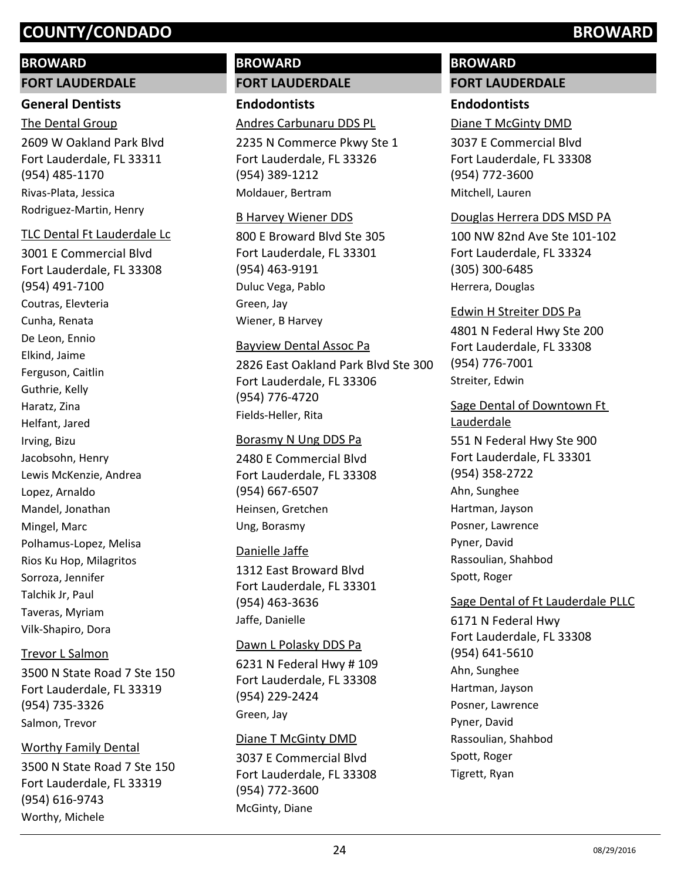#### **BROWARD**

#### **FORT LAUDERDALE**

#### **General Dentists**

2609 W Oakland Park Blvd Fort Lauderdale, FL 33311 (954) 485-1170 The Dental Group Rivas-Plata, Jessica Rodriguez-Martin, Henry

#### TLC Dental Ft Lauderdale Lc

3001 E Commercial Blvd Fort Lauderdale, FL 33308 (954) 491-7100 Coutras, Elevteria Cunha, Renata De Leon, Ennio Elkind, Jaime Ferguson, Caitlin Guthrie, Kelly Haratz, Zina Helfant, Jared Irving, Bizu Jacobsohn, Henry Lewis McKenzie, Andrea Lopez, Arnaldo Mandel, Jonathan Mingel, Marc Polhamus-Lopez, Melisa Rios Ku Hop, Milagritos Sorroza, Jennifer Talchik Jr, Paul Taveras, Myriam Vilk-Shapiro, Dora

#### Trevor L Salmon

3500 N State Road 7 Ste 150 Fort Lauderdale, FL 33319 (954) 735-3326 Salmon, Trevor

#### Worthy Family Dental

3500 N State Road 7 Ste 150 Fort Lauderdale, FL 33319 (954) 616-9743 Worthy, Michele

# **BROWARD FORT LAUDERDALE**

#### **Endodontists**

Andres Carbunaru DDS PL

2235 N Commerce Pkwy Ste 1 Fort Lauderdale, FL 33326 (954) 389-1212 Moldauer, Bertram

#### B Harvey Wiener DDS

800 E Broward Blvd Ste 305 Fort Lauderdale, FL 33301 (954) 463-9191 Duluc Vega, Pablo Green, Jay Wiener, B Harvey

#### Bayview Dental Assoc Pa

2826 East Oakland Park Blvd Ste 300 Fort Lauderdale, FL 33306 (954) 776-4720 Fields-Heller, Rita

#### Borasmy N Ung DDS Pa

2480 E Commercial Blvd Fort Lauderdale, FL 33308 (954) 667-6507 Heinsen, Gretchen Ung, Borasmy

#### Danielle Jaffe

1312 East Broward Blvd Fort Lauderdale, FL 33301 (954) 463-3636 Jaffe, Danielle

#### Dawn L Polasky DDS Pa

6231 N Federal Hwy # 109 Fort Lauderdale, FL 33308 (954) 229-2424 Green, Jay

#### Diane T McGinty DMD

3037 E Commercial Blvd Fort Lauderdale, FL 33308 (954) 772-3600 McGinty, Diane

# **BROWARD**

# **FORT LAUDERDALE**

### **Endodontists**

#### Diane T McGinty DMD

3037 E Commercial Blvd Fort Lauderdale, FL 33308 (954) 772-3600 Mitchell, Lauren

#### Douglas Herrera DDS MSD PA

100 NW 82nd Ave Ste 101-102 Fort Lauderdale, FL 33324 (305) 300-6485 Herrera, Douglas

#### Edwin H Streiter DDS Pa

4801 N Federal Hwy Ste 200 Fort Lauderdale, FL 33308 (954) 776-7001 Streiter, Edwin

### Sage Dental of Downtown Ft Lauderdale

551 N Federal Hwy Ste 900 Fort Lauderdale, FL 33301 (954) 358-2722 Ahn, Sunghee Hartman, Jayson Posner, Lawrence Pyner, David Rassoulian, Shahbod Spott, Roger

#### Sage Dental of Ft Lauderdale PLLC

6171 N Federal Hwy Fort Lauderdale, FL 33308 (954) 641-5610 Ahn, Sunghee Hartman, Jayson Posner, Lawrence Pyner, David Rassoulian, Shahbod Spott, Roger Tigrett, Ryan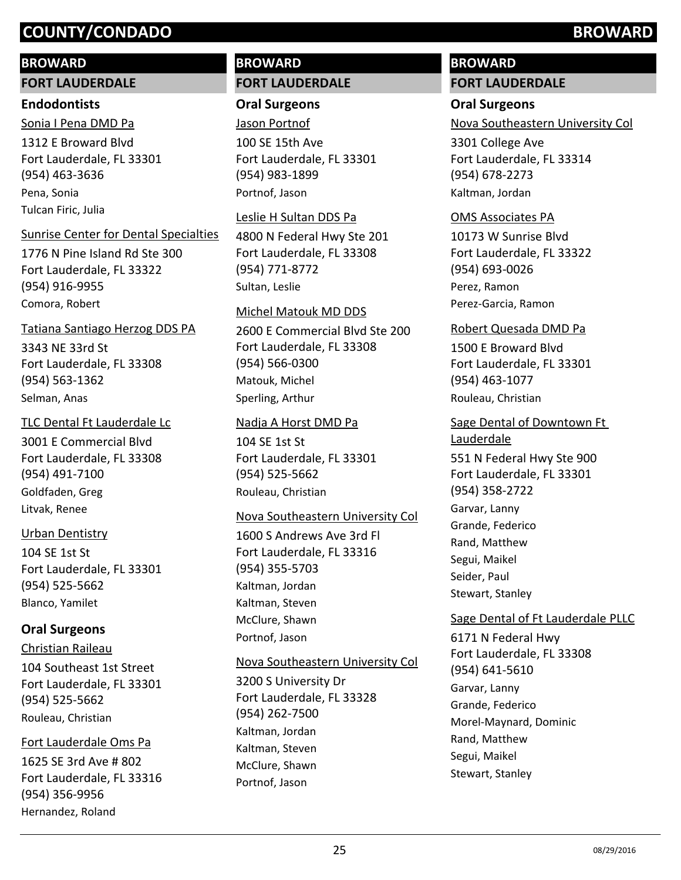#### **BROWARD**

#### **FORT LAUDERDALE**

#### **Endodontists**

1312 E Broward Blvd Fort Lauderdale, FL 33301 (954) 463-3636 Sonia I Pena DMD Pa Pena, Sonia Tulcan Firic, Julia

#### Sunrise Center for Dental Specialties

1776 N Pine Island Rd Ste 300 Fort Lauderdale, FL 33322 (954) 916-9955 Comora, Robert

#### Tatiana Santiago Herzog DDS PA

3343 NE 33rd St Fort Lauderdale, FL 33308 (954) 563-1362 Selman, Anas

### TLC Dental Ft Lauderdale Lc

3001 E Commercial Blvd Fort Lauderdale, FL 33308 (954) 491-7100 Goldfaden, Greg Litvak, Renee

#### Urban Dentistry

104 SE 1st St Fort Lauderdale, FL 33301 (954) 525-5662 Blanco, Yamilet

# **Oral Surgeons**

104 Southeast 1st Street Fort Lauderdale, FL 33301 (954) 525-5662 Christian Raileau Rouleau, Christian

1625 SE 3rd Ave # 802 Fort Lauderdale, FL 33316 (954) 356-9956 Fort Lauderdale Oms Pa Hernandez, Roland

# **BROWARD FORT LAUDERDALE**

# **Oral Surgeons**

100 SE 15th Ave Fort Lauderdale, FL 33301 (954) 983-1899 Jason Portnof Portnof, Jason

#### Leslie H Sultan DDS Pa

4800 N Federal Hwy Ste 201 Fort Lauderdale, FL 33308 (954) 771-8772 Sultan, Leslie

#### Michel Matouk MD DDS

2600 E Commercial Blvd Ste 200 Fort Lauderdale, FL 33308 (954) 566-0300 Matouk, Michel Sperling, Arthur

#### Nadja A Horst DMD Pa

104 SE 1st St Fort Lauderdale, FL 33301 (954) 525-5662 Rouleau, Christian

#### Nova Southeastern University Col

1600 S Andrews Ave 3rd Fl Fort Lauderdale, FL 33316 (954) 355-5703 Kaltman, Jordan Kaltman, Steven McClure, Shawn Portnof, Jason

#### Nova Southeastern University Col

3200 S University Dr Fort Lauderdale, FL 33328 (954) 262-7500 Kaltman, Jordan Kaltman, Steven McClure, Shawn Portnof, Jason

# **BROWARD FORT LAUDERDALE**

## **Oral Surgeons**

Nova Southeastern University Col

3301 College Ave Fort Lauderdale, FL 33314 (954) 678-2273 Kaltman, Jordan

#### OMS Associates PA

10173 W Sunrise Blvd Fort Lauderdale, FL 33322 (954) 693-0026 Perez, Ramon Perez-Garcia, Ramon

#### Robert Quesada DMD Pa

1500 E Broward Blvd Fort Lauderdale, FL 33301 (954) 463-1077 Rouleau, Christian

# Sage Dental of Downtown Ft Lauderdale

551 N Federal Hwy Ste 900 Fort Lauderdale, FL 33301 (954) 358-2722 Garvar, Lanny Grande, Federico Rand, Matthew Segui, Maikel Seider, Paul Stewart, Stanley

### Sage Dental of Ft Lauderdale PLLC

6171 N Federal Hwy Fort Lauderdale, FL 33308 (954) 641-5610 Garvar, Lanny Grande, Federico Morel-Maynard, Dominic Rand, Matthew Segui, Maikel Stewart, Stanley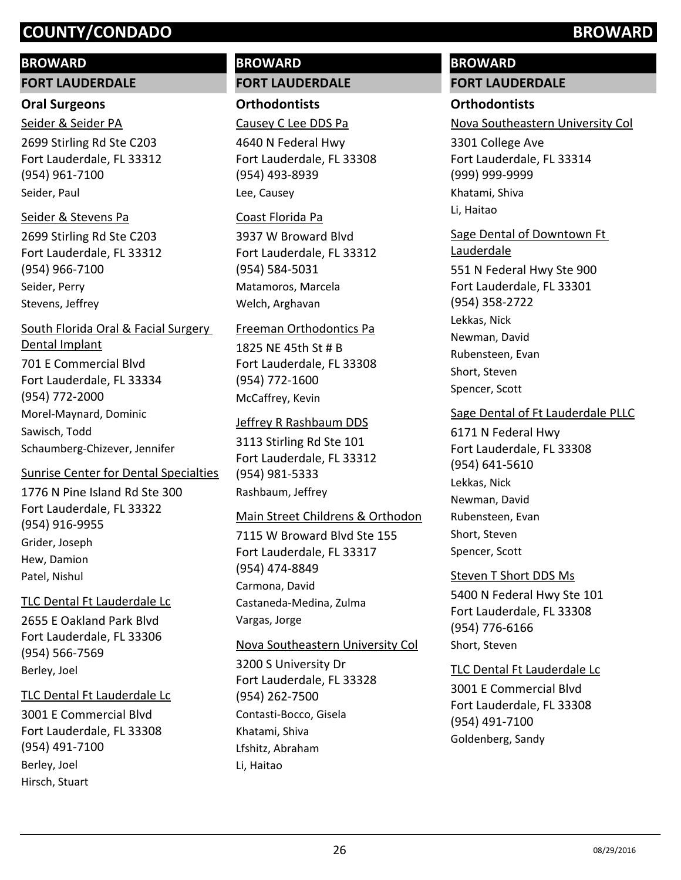#### **BROWARD**

**FORT LAUDERDALE**

#### **Oral Surgeons**

2699 Stirling Rd Ste C203 Fort Lauderdale, FL 33312 (954) 961-7100 Seider & Seider PA Seider, Paul

#### Seider & Stevens Pa

2699 Stirling Rd Ste C203 Fort Lauderdale, FL 33312 (954) 966-7100 Seider, Perry Stevens, Jeffrey

# 701 E Commercial Blvd Fort Lauderdale, FL 33334 (954) 772-2000 South Florida Oral & Facial Surgery Dental Implant Morel-Maynard, Dominic Sawisch, Todd Schaumberg-Chizever, Jennifer

#### Sunrise Center for Dental Specialties

1776 N Pine Island Rd Ste 300 Fort Lauderdale, FL 33322 (954) 916-9955 Grider, Joseph Hew, Damion Patel, Nishul

#### TLC Dental Ft Lauderdale Lc

2655 E Oakland Park Blvd Fort Lauderdale, FL 33306 (954) 566-7569 Berley, Joel

#### TLC Dental Ft Lauderdale Lc

3001 E Commercial Blvd Fort Lauderdale, FL 33308 (954) 491-7100 Berley, Joel Hirsch, Stuart

# **BROWARD FORT LAUDERDALE**

**Orthodontists** Causey C Lee DDS Pa

4640 N Federal Hwy Fort Lauderdale, FL 33308 (954) 493-8939 Lee, Causey

#### Coast Florida Pa

3937 W Broward Blvd Fort Lauderdale, FL 33312 (954) 584-5031 Matamoros, Marcela Welch, Arghavan

#### Freeman Orthodontics Pa

1825 NE 45th St # B Fort Lauderdale, FL 33308 (954) 772-1600 McCaffrey, Kevin

#### Jeffrey R Rashbaum DDS

3113 Stirling Rd Ste 101 Fort Lauderdale, FL 33312 (954) 981-5333 Rashbaum, Jeffrey

#### Main Street Childrens & Orthodon

7115 W Broward Blvd Ste 155 Fort Lauderdale, FL 33317 (954) 474-8849 Carmona, David Castaneda-Medina, Zulma Vargas, Jorge

#### Nova Southeastern University Col

3200 S University Dr Fort Lauderdale, FL 33328 (954) 262-7500 Contasti-Bocco, Gisela Khatami, Shiva Lfshitz, Abraham Li, Haitao

# **BROWARD**

# **FORT LAUDERDALE**

## **Orthodontists**

Nova Southeastern University Col

3301 College Ave Fort Lauderdale, FL 33314 (999) 999-9999 Khatami, Shiva Li, Haitao

# Sage Dental of Downtown Ft Lauderdale

551 N Federal Hwy Ste 900 Fort Lauderdale, FL 33301 (954) 358-2722 Lekkas, Nick Newman, David Rubensteen, Evan Short, Steven Spencer, Scott

#### Sage Dental of Ft Lauderdale PLLC

6171 N Federal Hwy Fort Lauderdale, FL 33308 (954) 641-5610 Lekkas, Nick Newman, David Rubensteen, Evan Short, Steven Spencer, Scott

#### Steven T Short DDS Ms

5400 N Federal Hwy Ste 101 Fort Lauderdale, FL 33308 (954) 776-6166 Short, Steven

#### TLC Dental Ft Lauderdale Lc

3001 E Commercial Blvd Fort Lauderdale, FL 33308 (954) 491-7100 Goldenberg, Sandy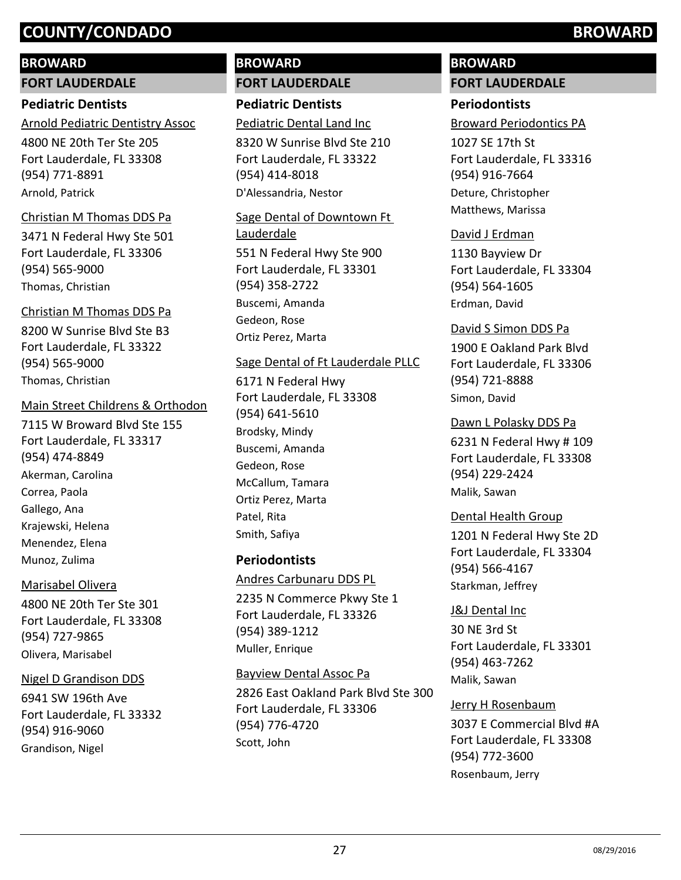#### **BROWARD**

**FORT LAUDERDALE**

### **Pediatric Dentists**

4800 NE 20th Ter Ste 205 Arnold Pediatric Dentistry Assoc

Fort Lauderdale, FL 33308 (954) 771-8891 Arnold, Patrick

#### Christian M Thomas DDS Pa

3471 N Federal Hwy Ste 501 Fort Lauderdale, FL 33306 (954) 565-9000 Thomas, Christian

8200 W Sunrise Blvd Ste B3 Fort Lauderdale, FL 33322 (954) 565-9000 Christian M Thomas DDS Pa Thomas, Christian

#### Main Street Childrens & Orthodon

7115 W Broward Blvd Ste 155 Fort Lauderdale, FL 33317 (954) 474-8849 Akerman, Carolina Correa, Paola Gallego, Ana Krajewski, Helena Menendez, Elena Munoz, Zulima

#### Marisabel Olivera

4800 NE 20th Ter Ste 301 Fort Lauderdale, FL 33308 (954) 727-9865 Olivera, Marisabel

#### Nigel D Grandison DDS

6941 SW 196th Ave Fort Lauderdale, FL 33332 (954) 916-9060 Grandison, Nigel

# **BROWARD FORT LAUDERDALE**

**Pediatric Dentists** Pediatric Dental Land Inc

8320 W Sunrise Blvd Ste 210 Fort Lauderdale, FL 33322 (954) 414-8018 D'Alessandria, Nestor

# 551 N Federal Hwy Ste 900 Fort Lauderdale, FL 33301 (954) 358-2722 Sage Dental of Downtown Ft Lauderdale

Buscemi, Amanda Gedeon, Rose Ortiz Perez, Marta

#### Sage Dental of Ft Lauderdale PLLC

6171 N Federal Hwy Fort Lauderdale, FL 33308 (954) 641-5610 Brodsky, Mindy Buscemi, Amanda Gedeon, Rose McCallum, Tamara Ortiz Perez, Marta Patel, Rita Smith, Safiya

### **Periodontists**

2235 N Commerce Pkwy Ste 1 Fort Lauderdale, FL 33326 (954) 389-1212 Andres Carbunaru DDS PL Muller, Enrique

#### Bayview Dental Assoc Pa

2826 East Oakland Park Blvd Ste 300 Fort Lauderdale, FL 33306 (954) 776-4720 Scott, John

# **BROWARD FORT LAUDERDALE**

# **Periodontists**

Broward Periodontics PA

1027 SE 17th St Fort Lauderdale, FL 33316 (954) 916-7664 Deture, Christopher Matthews, Marissa

#### David J Erdman

1130 Bayview Dr Fort Lauderdale, FL 33304 (954) 564-1605 Erdman, David

#### David S Simon DDS Pa

1900 E Oakland Park Blvd Fort Lauderdale, FL 33306 (954) 721-8888 Simon, David

Dawn L Polasky DDS Pa

6231 N Federal Hwy # 109 Fort Lauderdale, FL 33308 (954) 229-2424 Malik, Sawan

#### Dental Health Group

1201 N Federal Hwy Ste 2D Fort Lauderdale, FL 33304 (954) 566-4167 Starkman, Jeffrey

#### J&J Dental Inc

30 NE 3rd St Fort Lauderdale, FL 33301 (954) 463-7262 Malik, Sawan

#### Jerry H Rosenbaum

3037 E Commercial Blvd #A Fort Lauderdale, FL 33308 (954) 772-3600 Rosenbaum, Jerry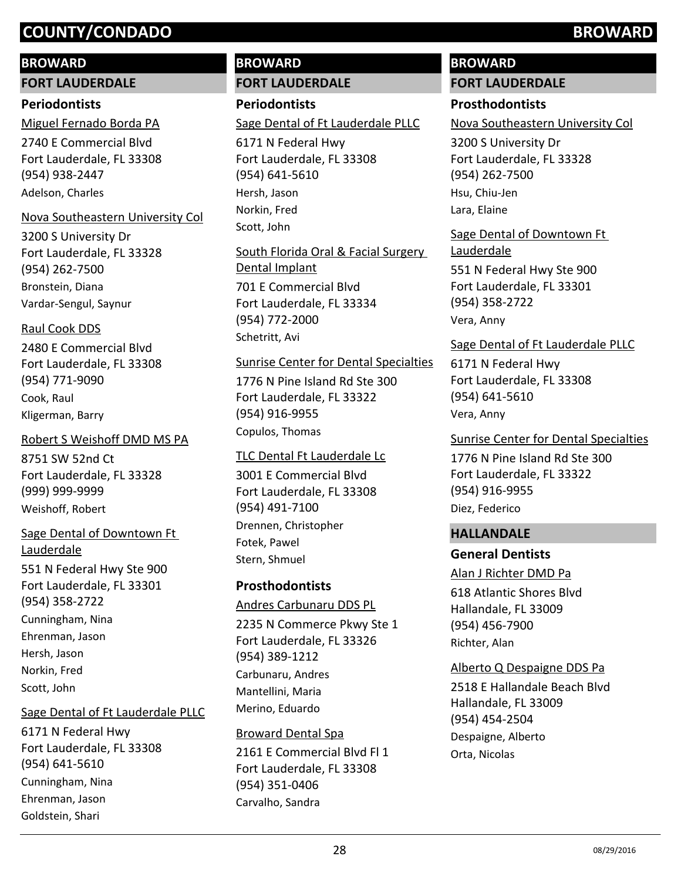#### **BROWARD**

**FORT LAUDERDALE**

#### **Periodontists**

2740 E Commercial Blvd Fort Lauderdale, FL 33308 (954) 938-2447 Miguel Fernado Borda PA Adelson, Charles

#### Nova Southeastern University Col

3200 S University Dr Fort Lauderdale, FL 33328 (954) 262-7500 Bronstein, Diana Vardar-Sengul, Saynur

#### Raul Cook DDS

2480 E Commercial Blvd Fort Lauderdale, FL 33308 (954) 771-9090 Cook, Raul Kligerman, Barry

#### Robert S Weishoff DMD MS PA

8751 SW 52nd Ct Fort Lauderdale, FL 33328 (999) 999-9999 Weishoff, Robert

#### Sage Dental of Downtown Ft Lauderdale

551 N Federal Hwy Ste 900 Fort Lauderdale, FL 33301 (954) 358-2722 Cunningham, Nina Ehrenman, Jason Hersh, Jason Norkin, Fred Scott, John

#### Sage Dental of Ft Lauderdale PLLC

6171 N Federal Hwy Fort Lauderdale, FL 33308 (954) 641-5610 Cunningham, Nina Ehrenman, Jason Goldstein, Shari

# **BROWARD FORT LAUDERDALE**

# **Periodontists**

Sage Dental of Ft Lauderdale PLLC

6171 N Federal Hwy Fort Lauderdale, FL 33308 (954) 641-5610 Hersh, Jason Norkin, Fred Scott, John

701 E Commercial Blvd Fort Lauderdale, FL 33334 (954) 772-2000 South Florida Oral & Facial Surgery Dental Implant Schetritt, Avi

#### Sunrise Center for Dental Specialties

1776 N Pine Island Rd Ste 300 Fort Lauderdale, FL 33322 (954) 916-9955 Copulos, Thomas

#### TLC Dental Ft Lauderdale Lc

3001 E Commercial Blvd Fort Lauderdale, FL 33308 (954) 491-7100 Drennen, Christopher Fotek, Pawel Stern, Shmuel

#### **Prosthodontists**

2235 N Commerce Pkwy Ste 1 Fort Lauderdale, FL 33326 (954) 389-1212 Andres Carbunaru DDS PL Carbunaru, Andres Mantellini, Maria Merino, Eduardo

#### 2161 E Commercial Blvd Fl 1 Broward Dental Spa

Fort Lauderdale, FL 33308 (954) 351-0406 Carvalho, Sandra

# **BROWARD**

# **FORT LAUDERDALE**

## **Prosthodontists**

Nova Southeastern University Col

3200 S University Dr Fort Lauderdale, FL 33328 (954) 262-7500 Hsu, Chiu-Jen Lara, Elaine

551 N Federal Hwy Ste 900 Sage Dental of Downtown Ft Lauderdale

Fort Lauderdale, FL 33301 (954) 358-2722 Vera, Anny

#### Sage Dental of Ft Lauderdale PLLC

6171 N Federal Hwy Fort Lauderdale, FL 33308 (954) 641-5610 Vera, Anny

#### Sunrise Center for Dental Specialties

1776 N Pine Island Rd Ste 300 Fort Lauderdale, FL 33322 (954) 916-9955 Diez, Federico

#### **HALLANDALE**

#### **General Dentists**

#### Alan J Richter DMD Pa

618 Atlantic Shores Blvd Hallandale, FL 33009 (954) 456-7900 Richter, Alan

#### Alberto Q Despaigne DDS Pa

2518 E Hallandale Beach Blvd Hallandale, FL 33009 (954) 454-2504 Despaigne, Alberto Orta, Nicolas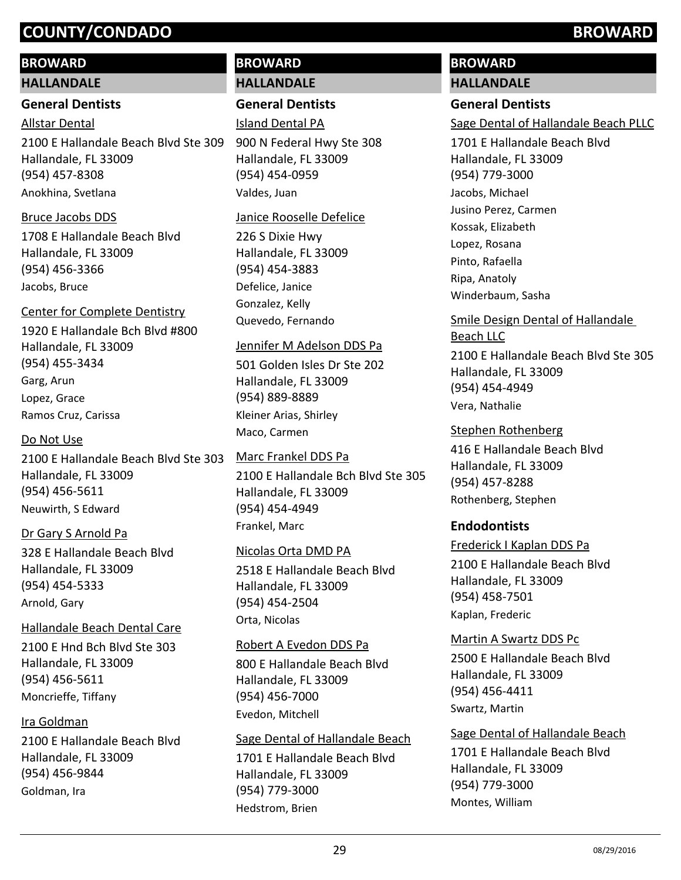#### **BROWARD**

#### **HALLANDALE**

#### **General Dentists**

Allstar Dental

2100 E Hallandale Beach Blvd Ste 309 Hallandale, FL 33009 (954) 457-8308 Anokhina, Svetlana

#### Bruce Jacobs DDS

1708 E Hallandale Beach Blvd Hallandale, FL 33009 (954) 456-3366 Jacobs, Bruce

### Center for Complete Dentistry

1920 E Hallandale Bch Blvd #800 Hallandale, FL 33009 (954) 455-3434 Garg, Arun Lopez, Grace Ramos Cruz, Carissa

#### Do Not Use

2100 E Hallandale Beach Blvd Ste 303 Hallandale, FL 33009 (954) 456-5611 Neuwirth, S Edward

#### Dr Gary S Arnold Pa

328 E Hallandale Beach Blvd Hallandale, FL 33009 (954) 454-5333 Arnold, Gary

#### Hallandale Beach Dental Care

2100 E Hnd Bch Blvd Ste 303 Hallandale, FL 33009 (954) 456-5611 Moncrieffe, Tiffany

### Ira Goldman

2100 E Hallandale Beach Blvd Hallandale, FL 33009 (954) 456-9844 Goldman, Ira

# **BROWARD HALLANDALE**

**General Dentists**

Island Dental PA

900 N Federal Hwy Ste 308 Hallandale, FL 33009 (954) 454-0959 Valdes, Juan

#### Janice Rooselle Defelice

226 S Dixie Hwy Hallandale, FL 33009 (954) 454-3883 Defelice, Janice Gonzalez, Kelly Quevedo, Fernando

#### Jennifer M Adelson DDS Pa

501 Golden Isles Dr Ste 202 Hallandale, FL 33009 (954) 889-8889 Kleiner Arias, Shirley Maco, Carmen

### Marc Frankel DDS Pa

2100 E Hallandale Bch Blvd Ste 305 Hallandale, FL 33009 (954) 454-4949 Frankel, Marc

#### Nicolas Orta DMD PA

2518 E Hallandale Beach Blvd Hallandale, FL 33009 (954) 454-2504 Orta, Nicolas

#### Robert A Evedon DDS Pa

800 E Hallandale Beach Blvd Hallandale, FL 33009 (954) 456-7000 Evedon, Mitchell

#### Sage Dental of Hallandale Beach

1701 E Hallandale Beach Blvd Hallandale, FL 33009 (954) 779-3000 Hedstrom, Brien

# **BROWARD**

# **HALLANDALE**

# **General Dentists**

Sage Dental of Hallandale Beach PLLC

1701 E Hallandale Beach Blvd Hallandale, FL 33009 (954) 779-3000 Jacobs, Michael Jusino Perez, Carmen Kossak, Elizabeth Lopez, Rosana Pinto, Rafaella Ripa, Anatoly Winderbaum, Sasha

# Smile Design Dental of Hallandale Beach LLC

2100 E Hallandale Beach Blvd Ste 305 Hallandale, FL 33009 (954) 454-4949 Vera, Nathalie

#### Stephen Rothenberg

416 E Hallandale Beach Blvd Hallandale, FL 33009 (954) 457-8288 Rothenberg, Stephen

### **Endodontists**

#### Frederick I Kaplan DDS Pa

2100 E Hallandale Beach Blvd Hallandale, FL 33009 (954) 458-7501 Kaplan, Frederic

#### Martin A Swartz DDS Pc

2500 E Hallandale Beach Blvd Hallandale, FL 33009 (954) 456-4411 Swartz, Martin

#### Sage Dental of Hallandale Beach

1701 E Hallandale Beach Blvd Hallandale, FL 33009 (954) 779-3000 Montes, William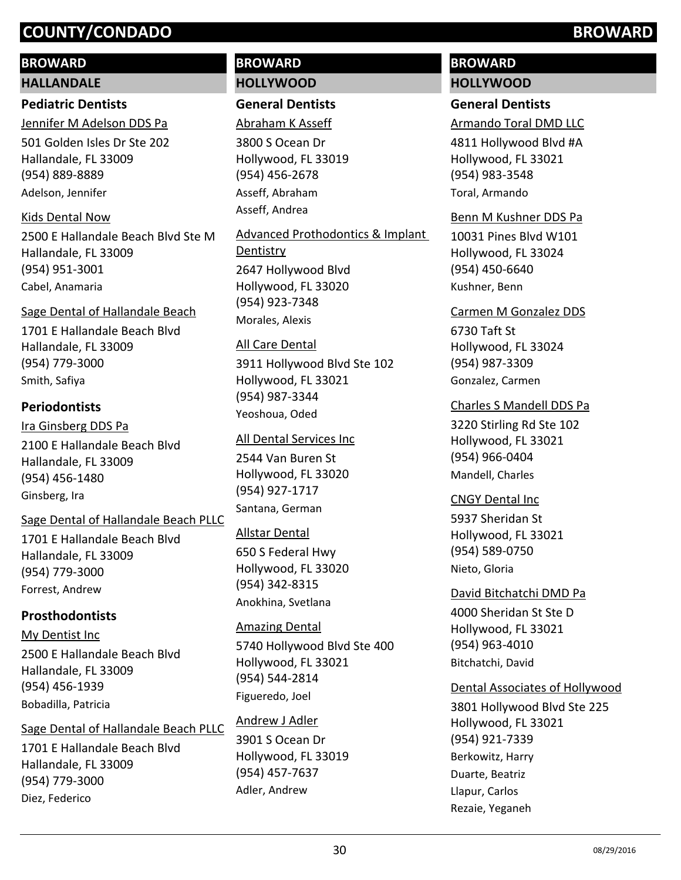## **BROWARD**

#### **HALLANDALE**

### **Pediatric Dentists**

501 Golden Isles Dr Ste 202 Hallandale, FL 33009 (954) 889-8889 Jennifer M Adelson DDS Pa Adelson, Jennifer

#### Kids Dental Now

2500 E Hallandale Beach Blvd Ste M Hallandale, FL 33009 (954) 951-3001 Cabel, Anamaria

#### Sage Dental of Hallandale Beach

1701 E Hallandale Beach Blvd Hallandale, FL 33009 (954) 779-3000 Smith, Safiya

#### **Periodontists**

2100 E Hallandale Beach Blvd Hallandale, FL 33009 (954) 456-1480 Ira Ginsberg DDS Pa Ginsberg, Ira

#### Sage Dental of Hallandale Beach PLLC

1701 E Hallandale Beach Blvd Hallandale, FL 33009 (954) 779-3000 Forrest, Andrew

### **Prosthodontists**

2500 E Hallandale Beach Blvd Hallandale, FL 33009 (954) 456-1939 My Dentist Inc Bobadilla, Patricia

Sage Dental of Hallandale Beach PLLC

1701 E Hallandale Beach Blvd Hallandale, FL 33009 (954) 779-3000 Diez, Federico

# **BROWARD HOLLYWOOD**

# **General Dentists**

Abraham K Asseff

3800 S Ocean Dr Hollywood, FL 33019 (954) 456-2678 Asseff, Abraham Asseff, Andrea

2647 Hollywood Blvd Hollywood, FL 33020 (954) 923-7348 Advanced Prothodontics & Implant **Dentistry** Morales, Alexis

#### All Care Dental

3911 Hollywood Blvd Ste 102 Hollywood, FL 33021 (954) 987-3344 Yeoshoua, Oded

#### All Dental Services Inc

2544 Van Buren St Hollywood, FL 33020 (954) 927-1717 Santana, German

#### Allstar Dental

650 S Federal Hwy Hollywood, FL 33020 (954) 342-8315 Anokhina, Svetlana

#### Amazing Dental

5740 Hollywood Blvd Ste 400 Hollywood, FL 33021 (954) 544-2814 Figueredo, Joel

#### Andrew J Adler

3901 S Ocean Dr Hollywood, FL 33019 (954) 457-7637 Adler, Andrew

# **BROWARD HOLLYWOOD**

## **General Dentists**

Armando Toral DMD LLC

4811 Hollywood Blvd #A Hollywood, FL 33021 (954) 983-3548 Toral, Armando

#### Benn M Kushner DDS Pa

10031 Pines Blvd W101 Hollywood, FL 33024 (954) 450-6640 Kushner, Benn

#### Carmen M Gonzalez DDS

6730 Taft St Hollywood, FL 33024 (954) 987-3309 Gonzalez, Carmen

#### Charles S Mandell DDS Pa

3220 Stirling Rd Ste 102 Hollywood, FL 33021 (954) 966-0404 Mandell, Charles

#### CNGY Dental Inc

5937 Sheridan St Hollywood, FL 33021 (954) 589-0750 Nieto, Gloria

4000 Sheridan St Ste D Hollywood, FL 33021 (954) 963-4010 David Bitchatchi DMD Pa Bitchatchi, David

#### Dental Associates of Hollywood

3801 Hollywood Blvd Ste 225 Hollywood, FL 33021 (954) 921-7339 Berkowitz, Harry Duarte, Beatriz Llapur, Carlos Rezaie, Yeganeh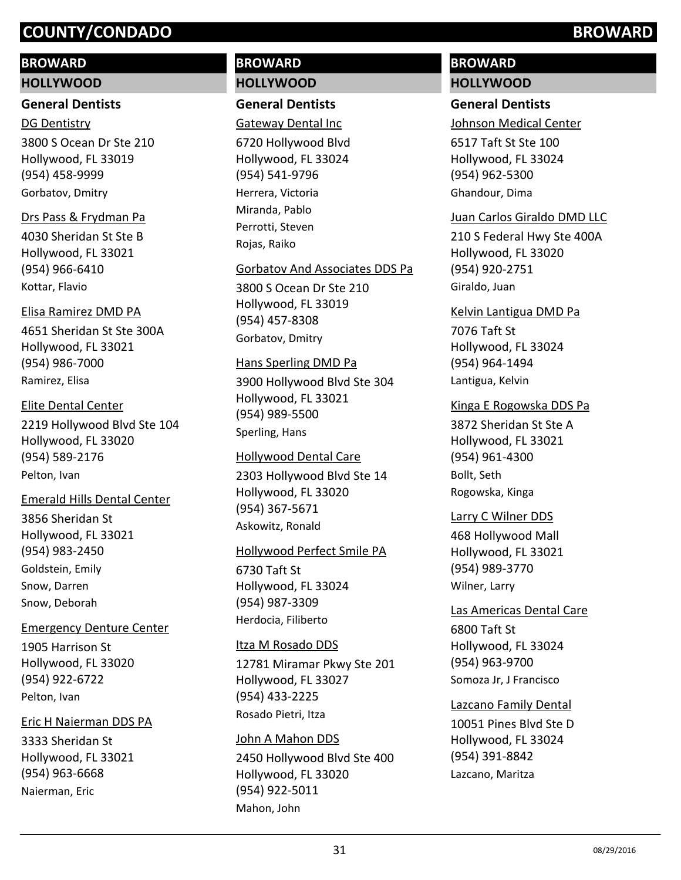#### **BROWARD**

#### **HOLLYWOOD**

#### **General Dentists**

3800 S Ocean Dr Ste 210 Hollywood, FL 33019 (954) 458-9999 DG Dentistry Gorbatov, Dmitry

#### Drs Pass & Frydman Pa

4030 Sheridan St Ste B Hollywood, FL 33021 (954) 966-6410 Kottar, Flavio

#### Elisa Ramirez DMD PA

4651 Sheridan St Ste 300A Hollywood, FL 33021 (954) 986-7000 Ramirez, Elisa

# 2219 Hollywood Blvd Ste 104 Hollywood, FL 33020 (954) 589-2176 Elite Dental Center

Pelton, Ivan

#### Emerald Hills Dental Center

3856 Sheridan St Hollywood, FL 33021 (954) 983-2450 Goldstein, Emily Snow, Darren Snow, Deborah

#### Emergency Denture Center

1905 Harrison St Hollywood, FL 33020 (954) 922-6722 Pelton, Ivan

### Eric H Naierman DDS PA

3333 Sheridan St Hollywood, FL 33021 (954) 963-6668 Naierman, Eric

# **BROWARD HOLLYWOOD**

## **General Dentists**

Gateway Dental Inc

6720 Hollywood Blvd Hollywood, FL 33024 (954) 541-9796 Herrera, Victoria Miranda, Pablo Perrotti, Steven Rojas, Raiko

#### Gorbatov And Associates DDS Pa

3800 S Ocean Dr Ste 210 Hollywood, FL 33019 (954) 457-8308 Gorbatov, Dmitry

#### Hans Sperling DMD Pa

3900 Hollywood Blvd Ste 304 Hollywood, FL 33021 (954) 989-5500 Sperling, Hans

#### Hollywood Dental Care

2303 Hollywood Blvd Ste 14 Hollywood, FL 33020 (954) 367-5671 Askowitz, Ronald

#### Hollywood Perfect Smile PA

6730 Taft St Hollywood, FL 33024 (954) 987-3309 Herdocia, Filiberto

#### Itza M Rosado DDS

12781 Miramar Pkwy Ste 201 Hollywood, FL 33027 (954) 433-2225 Rosado Pietri, Itza

#### John A Mahon DDS

2450 Hollywood Blvd Ste 400 Hollywood, FL 33020 (954) 922-5011 Mahon, John

# **BROWARD HOLLYWOOD**

### **General Dentists**

Johnson Medical Center

6517 Taft St Ste 100 Hollywood, FL 33024 (954) 962-5300 Ghandour, Dima

#### Juan Carlos Giraldo DMD LLC

210 S Federal Hwy Ste 400A Hollywood, FL 33020 (954) 920-2751 Giraldo, Juan

#### Kelvin Lantigua DMD Pa

7076 Taft St Hollywood, FL 33024 (954) 964-1494 Lantigua, Kelvin

#### Kinga E Rogowska DDS Pa

3872 Sheridan St Ste A Hollywood, FL 33021 (954) 961-4300 Bollt, Seth Rogowska, Kinga

#### Larry C Wilner DDS

468 Hollywood Mall Hollywood, FL 33021 (954) 989-3770 Wilner, Larry

#### Las Americas Dental Care

6800 Taft St Hollywood, FL 33024 (954) 963-9700 Somoza Jr, J Francisco

### Lazcano Family Dental

10051 Pines Blvd Ste D Hollywood, FL 33024 (954) 391-8842 Lazcano, Maritza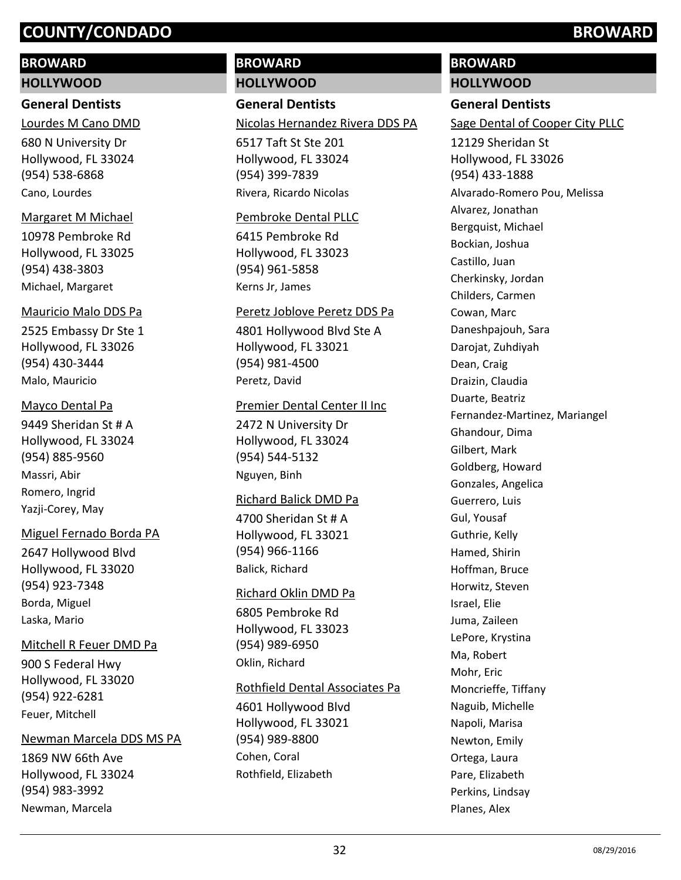#### **BROWARD**

#### **HOLLYWOOD**

#### **General Dentists**

Lourdes M Cano DMD

680 N University Dr Hollywood, FL 33024 (954) 538-6868 Cano, Lourdes

#### Margaret M Michael

10978 Pembroke Rd Hollywood, FL 33025 (954) 438-3803 Michael, Margaret

#### Mauricio Malo DDS Pa

2525 Embassy Dr Ste 1 Hollywood, FL 33026 (954) 430-3444 Malo, Mauricio

#### Mayco Dental Pa

9449 Sheridan St # A Hollywood, FL 33024 (954) 885-9560 Massri, Abir Romero, Ingrid Yazji-Corey, May

#### Miguel Fernado Borda PA

2647 Hollywood Blvd Hollywood, FL 33020 (954) 923-7348 Borda, Miguel Laska, Mario

#### Mitchell R Feuer DMD Pa

900 S Federal Hwy Hollywood, FL 33020 (954) 922-6281 Feuer, Mitchell

#### Newman Marcela DDS MS PA

1869 NW 66th Ave Hollywood, FL 33024 (954) 983-3992 Newman, Marcela

# **BROWARD HOLLYWOOD**

**General Dentists**

#### Nicolas Hernandez Rivera DDS PA

6517 Taft St Ste 201 Hollywood, FL 33024 (954) 399-7839 Rivera, Ricardo Nicolas

#### Pembroke Dental PLLC

6415 Pembroke Rd Hollywood, FL 33023 (954) 961-5858 Kerns Jr, James

#### Peretz Joblove Peretz DDS Pa

4801 Hollywood Blvd Ste A Hollywood, FL 33021 (954) 981-4500 Peretz, David

#### Premier Dental Center II Inc

2472 N University Dr Hollywood, FL 33024 (954) 544-5132 Nguyen, Binh

#### Richard Balick DMD Pa

4700 Sheridan St # A Hollywood, FL 33021 (954) 966-1166 Balick, Richard

#### Richard Oklin DMD Pa

6805 Pembroke Rd Hollywood, FL 33023 (954) 989-6950 Oklin, Richard

#### Rothfield Dental Associates Pa

4601 Hollywood Blvd Hollywood, FL 33021 (954) 989-8800 Cohen, Coral Rothfield, Elizabeth

# **BROWARD**

# **HOLLYWOOD**

# **General Dentists**

Sage Dental of Cooper City PLLC

12129 Sheridan St Hollywood, FL 33026 (954) 433-1888 Alvarado-Romero Pou, Melissa Alvarez, Jonathan Bergquist, Michael Bockian, Joshua Castillo, Juan Cherkinsky, Jordan Childers, Carmen Cowan, Marc Daneshpajouh, Sara Darojat, Zuhdiyah Dean, Craig Draizin, Claudia Duarte, Beatriz Fernandez-Martinez, Mariangel Ghandour, Dima Gilbert, Mark Goldberg, Howard Gonzales, Angelica Guerrero, Luis Gul, Yousaf Guthrie, Kelly Hamed, Shirin Hoffman, Bruce Horwitz, Steven Israel, Elie Juma, Zaileen LePore, Krystina Ma, Robert Mohr, Eric Moncrieffe, Tiffany Naguib, Michelle Napoli, Marisa Newton, Emily Ortega, Laura Pare, Elizabeth Perkins, Lindsay Planes, Alex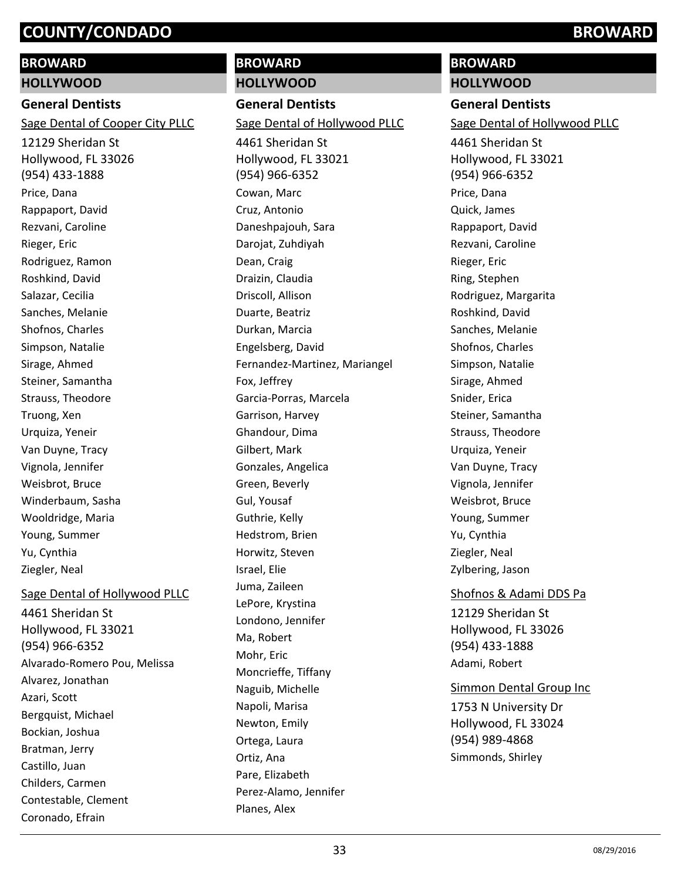#### **BROWARD**

**HOLLYWOOD**

#### **General Dentists**

Sage Dental of Cooper City PLLC

12129 Sheridan St Hollywood, FL 33026 (954) 433-1888 Price, Dana Rappaport, David Rezvani, Caroline Rieger, Eric Rodriguez, Ramon Roshkind, David Salazar, Cecilia Sanches, Melanie Shofnos, Charles Simpson, Natalie Sirage, Ahmed Steiner, Samantha Strauss, Theodore Truong, Xen Urquiza, Yeneir Van Duyne, Tracy Vignola, Jennifer Weisbrot, Bruce Winderbaum, Sasha Wooldridge, Maria Young, Summer Yu, Cynthia Ziegler, Neal

4461 Sheridan St Sage Dental of Hollywood PLLC

Hollywood, FL 33021 (954) 966-6352 Alvarado-Romero Pou, Melissa Alvarez, Jonathan Azari, Scott Bergquist, Michael Bockian, Joshua Bratman, Jerry Castillo, Juan Childers, Carmen Contestable, Clement Coronado, Efrain

# **BROWARD HOLLYWOOD**

Green, Beverly Gul, Yousaf Guthrie, Kelly Hedstrom, Brien Horwitz, Steven

Israel, Elie Juma, Zaileen LePore, Krystina Londono, Jennifer

Ma, Robert Mohr, Eric

Moncrieffe, Tiffany Naguib, Michelle Napoli, Marisa Newton, Emily Ortega, Laura Ortiz, Ana Pare, Elizabeth

Perez-Alamo, Jennifer

Planes, Alex

**General Dentists** 4461 Sheridan St Hollywood, FL 33021 (954) 966-6352 Sage Dental of Hollywood PLLC Cowan, Marc Cruz, Antonio Daneshpajouh, Sara Darojat, Zuhdiyah Dean, Craig Draizin, Claudia Driscoll, Allison Duarte, Beatriz Durkan, Marcia Engelsberg, David Fernandez-Martinez, Mariangel Fox, Jeffrey Garcia-Porras, Marcela Garrison, Harvey Ghandour, Dima Gilbert, Mark Gonzales, Angelica

# **BROWARD**

**HOLLYWOOD**

**General Dentists** Sage Dental of Hollywood PLLC

4461 Sheridan St Hollywood, FL 33021 (954) 966-6352 Price, Dana Quick, James Rappaport, David Rezvani, Caroline Rieger, Eric Ring, Stephen Rodriguez, Margarita Roshkind, David Sanches, Melanie Shofnos, Charles Simpson, Natalie Sirage, Ahmed Snider, Erica Steiner, Samantha Strauss, Theodore Urquiza, Yeneir Van Duyne, Tracy Vignola, Jennifer Weisbrot, Bruce Young, Summer Yu, Cynthia Ziegler, Neal Zylbering, Jason Shofnos & Adami DDS Pa

12129 Sheridan St Hollywood, FL 33026 (954) 433-1888 Adami, Robert

#### Simmon Dental Group Inc

1753 N University Dr Hollywood, FL 33024 (954) 989-4868 Simmonds, Shirley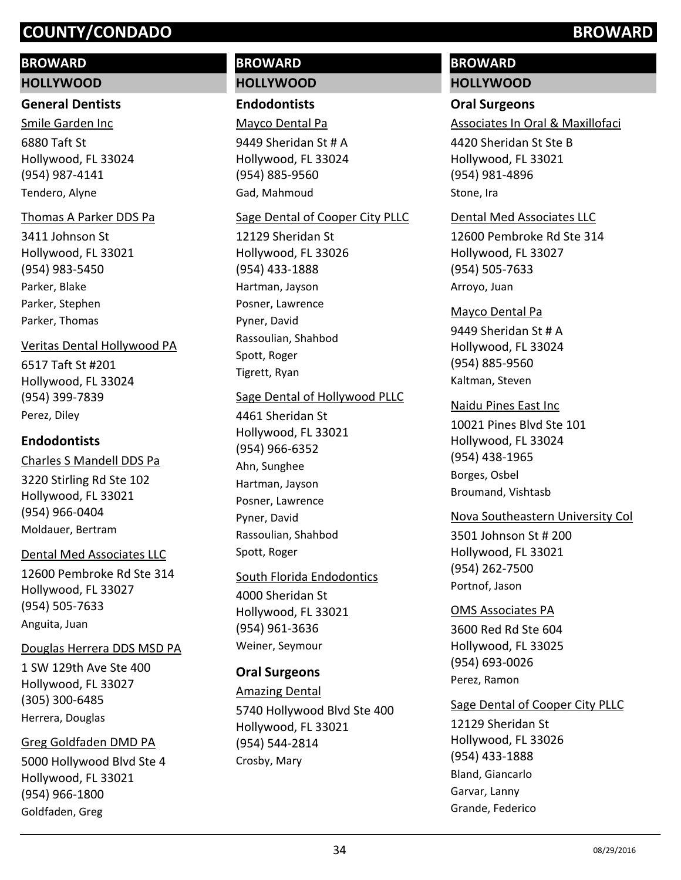#### **BROWARD**

#### **HOLLYWOOD**

#### **General Dentists**

6880 Taft St Hollywood, FL 33024 (954) 987-4141 Smile Garden Inc Tendero, Alyne

#### Thomas A Parker DDS Pa

3411 Johnson St Hollywood, FL 33021 (954) 983-5450 Parker, Blake Parker, Stephen Parker, Thomas

#### Veritas Dental Hollywood PA

6517 Taft St #201 Hollywood, FL 33024 (954) 399-7839 Perez, Diley

#### **Endodontists**

3220 Stirling Rd Ste 102 Hollywood, FL 33021 (954) 966-0404 Charles S Mandell DDS Pa Moldauer, Bertram

#### Dental Med Associates LLC

12600 Pembroke Rd Ste 314 Hollywood, FL 33027 (954) 505-7633 Anguita, Juan

#### Douglas Herrera DDS MSD PA

1 SW 129th Ave Ste 400 Hollywood, FL 33027 (305) 300-6485 Herrera, Douglas

#### Greg Goldfaden DMD PA

5000 Hollywood Blvd Ste 4 Hollywood, FL 33021 (954) 966-1800 Goldfaden, Greg

# **BROWARD HOLLYWOOD**

# **Endodontists**

Mayco Dental Pa

9449 Sheridan St # A Hollywood, FL 33024 (954) 885-9560 Gad, Mahmoud

#### Sage Dental of Cooper City PLLC

12129 Sheridan St Hollywood, FL 33026 (954) 433-1888 Hartman, Jayson Posner, Lawrence Pyner, David Rassoulian, Shahbod Spott, Roger Tigrett, Ryan

#### Sage Dental of Hollywood PLLC

4461 Sheridan St Hollywood, FL 33021 (954) 966-6352 Ahn, Sunghee Hartman, Jayson Posner, Lawrence Pyner, David Rassoulian, Shahbod Spott, Roger

#### South Florida Endodontics

4000 Sheridan St Hollywood, FL 33021 (954) 961-3636 Weiner, Seymour

#### **Oral Surgeons**

5740 Hollywood Blvd Ste 400 Hollywood, FL 33021 (954) 544-2814 Amazing Dental Crosby, Mary

# **BROWARD**

# **HOLLYWOOD**

# **Oral Surgeons**

Associates In Oral & Maxillofaci

4420 Sheridan St Ste B Hollywood, FL 33021 (954) 981-4896 Stone, Ira

#### Dental Med Associates LLC

12600 Pembroke Rd Ste 314 Hollywood, FL 33027 (954) 505-7633 Arroyo, Juan

#### Mayco Dental Pa

9449 Sheridan St # A Hollywood, FL 33024 (954) 885-9560 Kaltman, Steven

#### Naidu Pines East Inc

10021 Pines Blvd Ste 101 Hollywood, FL 33024 (954) 438-1965 Borges, Osbel Broumand, Vishtasb

#### Nova Southeastern University Col

3501 Johnson St # 200 Hollywood, FL 33021 (954) 262-7500 Portnof, Jason

#### OMS Associates PA

3600 Red Rd Ste 604 Hollywood, FL 33025 (954) 693-0026 Perez, Ramon

#### Sage Dental of Cooper City PLLC

12129 Sheridan St Hollywood, FL 33026 (954) 433-1888 Bland, Giancarlo Garvar, Lanny Grande, Federico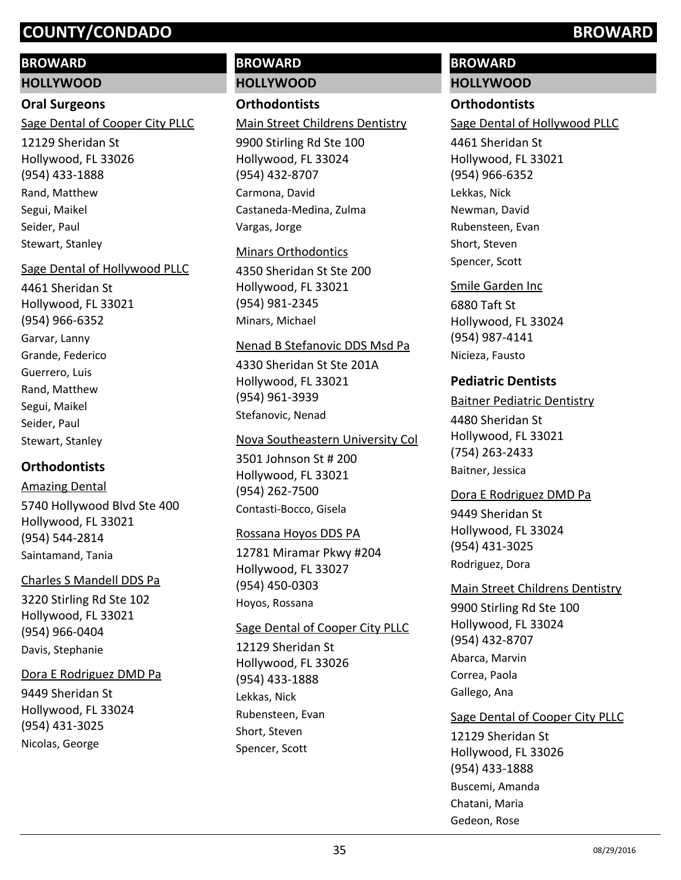### **BROWARD**

#### **HOLLYWOOD**

#### **Oral Surgeons**

Sage Dental of Cooper City PLLC

12129 Sheridan St Hollywood, FL 33026 (954) 433-1888 Rand, Matthew Segui, Maikel Seider, Paul Stewart, Stanley

#### Sage Dental of Hollywood PLLC

4461 Sheridan St Hollywood, FL 33021 (954) 966-6352 Garvar, Lanny Grande, Federico Guerrero, Luis Rand, Matthew Segui, Maikel Seider, Paul Stewart, Stanley

# **Orthodontists**

5740 Hollywood Blvd Ste 400 Hollywood, FL 33021 (954) 544-2814 Amazing Dental Saintamand, Tania

#### Charles S Mandell DDS Pa

3220 Stirling Rd Ste 102 Hollywood, FL 33021 (954) 966-0404 Davis, Stephanie

#### Dora E Rodriguez DMD Pa

9449 Sheridan St Hollywood, FL 33024 (954) 431-3025 Nicolas, George

# **BROWARD HOLLYWOOD**

## **Orthodontists**

#### Main Street Childrens Dentistry

9900 Stirling Rd Ste 100 Hollywood, FL 33024 (954) 432-8707 Carmona, David Castaneda-Medina, Zulma Vargas, Jorge

#### Minars Orthodontics

4350 Sheridan St Ste 200 Hollywood, FL 33021 (954) 981-2345 Minars, Michael

#### Nenad B Stefanovic DDS Msd Pa

4330 Sheridan St Ste 201A Hollywood, FL 33021 (954) 961-3939 Stefanovic, Nenad

#### Nova Southeastern University Col

3501 Johnson St # 200 Hollywood, FL 33021 (954) 262-7500 Contasti-Bocco, Gisela

#### Rossana Hoyos DDS PA

12781 Miramar Pkwy #204 Hollywood, FL 33027 (954) 450-0303 Hoyos, Rossana

### Sage Dental of Cooper City PLLC

12129 Sheridan St Hollywood, FL 33026 (954) 433-1888 Lekkas, Nick Rubensteen, Evan Short, Steven Spencer, Scott

# **BROWARD**

## **HOLLYWOOD**

## **Orthodontists**

Sage Dental of Hollywood PLLC

4461 Sheridan St Hollywood, FL 33021 (954) 966-6352 Lekkas, Nick Newman, David Rubensteen, Evan Short, Steven Spencer, Scott

#### Smile Garden Inc

6880 Taft St Hollywood, FL 33024 (954) 987-4141 Nicieza, Fausto

### **Pediatric Dentists**

#### Baitner Pediatric Dentistry

4480 Sheridan St Hollywood, FL 33021 (754) 263-2433 Baitner, Jessica

#### Dora E Rodriguez DMD Pa

9449 Sheridan St Hollywood, FL 33024 (954) 431-3025 Rodriguez, Dora

#### Main Street Childrens Dentistry

9900 Stirling Rd Ste 100 Hollywood, FL 33024 (954) 432-8707 Abarca, Marvin Correa, Paola Gallego, Ana

#### Sage Dental of Cooper City PLLC

12129 Sheridan St Hollywood, FL 33026 (954) 433-1888 Buscemi, Amanda Chatani, Maria Gedeon, Rose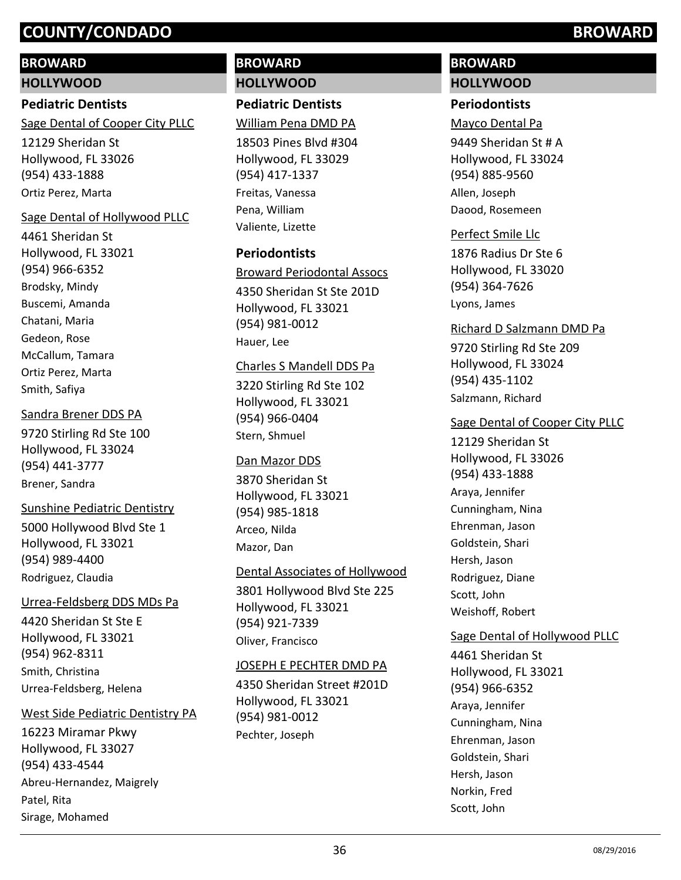# **BROWARD**

## **HOLLYWOOD**

# **Pediatric Dentists**

Sage Dental of Cooper City PLLC

12129 Sheridan St Hollywood, FL 33026 (954) 433-1888 Ortiz Perez, Marta

# Sage Dental of Hollywood PLLC

4461 Sheridan St Hollywood, FL 33021 (954) 966-6352 Brodsky, Mindy Buscemi, Amanda Chatani, Maria Gedeon, Rose McCallum, Tamara Ortiz Perez, Marta Smith, Safiya

#### Sandra Brener DDS PA

9720 Stirling Rd Ste 100 Hollywood, FL 33024 (954) 441-3777 Brener, Sandra

### Sunshine Pediatric Dentistry

5000 Hollywood Blvd Ste 1 Hollywood, FL 33021 (954) 989-4400 Rodriguez, Claudia

### Urrea-Feldsberg DDS MDs Pa

4420 Sheridan St Ste E Hollywood, FL 33021 (954) 962-8311 Smith, Christina Urrea-Feldsberg, Helena

#### West Side Pediatric Dentistry PA

16223 Miramar Pkwy Hollywood, FL 33027 (954) 433-4544 Abreu-Hernandez, Maigrely Patel, Rita Sirage, Mohamed

# **BROWARD HOLLYWOOD**

# **Pediatric Dentists**

William Pena DMD PA

18503 Pines Blvd #304 Hollywood, FL 33029 (954) 417-1337 Freitas, Vanessa Pena, William Valiente, Lizette

# **Periodontists**

4350 Sheridan St Ste 201D Broward Periodontal Assocs

Hollywood, FL 33021 (954) 981-0012 Hauer, Lee

### Charles S Mandell DDS Pa

3220 Stirling Rd Ste 102 Hollywood, FL 33021 (954) 966-0404 Stern, Shmuel

#### Dan Mazor DDS

3870 Sheridan St Hollywood, FL 33021 (954) 985-1818 Arceo, Nilda Mazor, Dan

### Dental Associates of Hollywood

3801 Hollywood Blvd Ste 225 Hollywood, FL 33021 (954) 921-7339 Oliver, Francisco

### JOSEPH E PECHTER DMD PA

4350 Sheridan Street #201D Hollywood, FL 33021 (954) 981-0012 Pechter, Joseph

# **BROWARD HOLLYWOOD**

# **Periodontists**

Mayco Dental Pa

9449 Sheridan St # A Hollywood, FL 33024 (954) 885-9560 Allen, Joseph Daood, Rosemeen

#### Perfect Smile Llc

1876 Radius Dr Ste 6 Hollywood, FL 33020 (954) 364-7626 Lyons, James

### Richard D Salzmann DMD Pa

9720 Stirling Rd Ste 209 Hollywood, FL 33024 (954) 435-1102 Salzmann, Richard

### Sage Dental of Cooper City PLLC

12129 Sheridan St Hollywood, FL 33026 (954) 433-1888 Araya, Jennifer Cunningham, Nina Ehrenman, Jason Goldstein, Shari Hersh, Jason Rodriguez, Diane Scott, John Weishoff, Robert

# Sage Dental of Hollywood PLLC

4461 Sheridan St Hollywood, FL 33021 (954) 966-6352 Araya, Jennifer Cunningham, Nina Ehrenman, Jason Goldstein, Shari Hersh, Jason Norkin, Fred Scott, John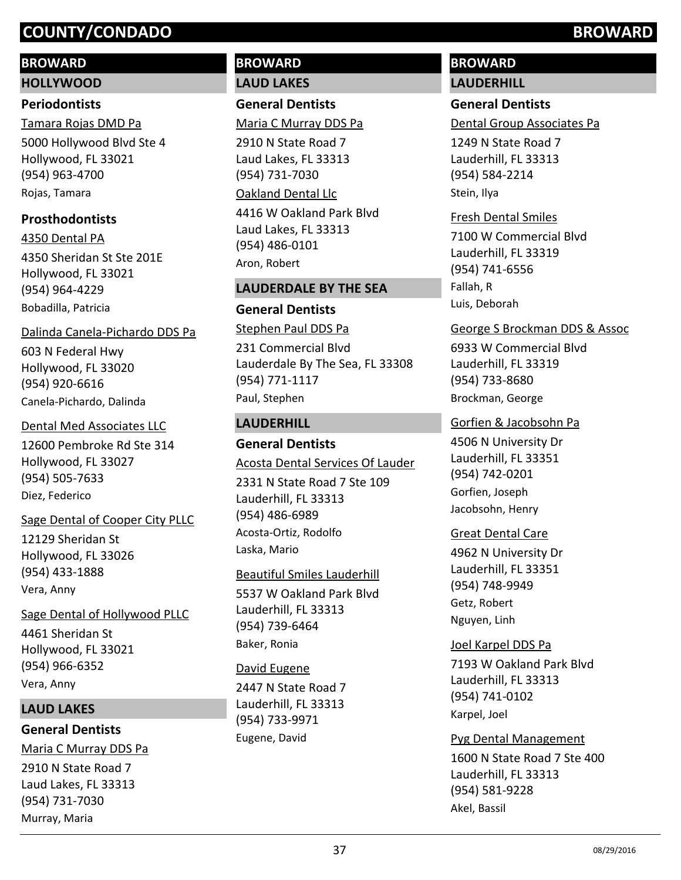# **BROWARD**

**HOLLYWOOD**

# **Periodontists**

5000 Hollywood Blvd Ste 4 Hollywood, FL 33021 (954) 963-4700 Tamara Rojas DMD Pa Rojas, Tamara

# **Prosthodontists**

4350 Sheridan St Ste 201E Hollywood, FL 33021 (954) 964-4229 4350 Dental PA Bobadilla, Patricia

# Dalinda Canela-Pichardo DDS Pa

603 N Federal Hwy Hollywood, FL 33020 (954) 920-6616 Canela-Pichardo, Dalinda

# Dental Med Associates LLC

12600 Pembroke Rd Ste 314 Hollywood, FL 33027 (954) 505-7633 Diez, Federico

# Sage Dental of Cooper City PLLC

12129 Sheridan St Hollywood, FL 33026 (954) 433-1888 Vera, Anny

4461 Sheridan St Hollywood, FL 33021 (954) 966-6352 Sage Dental of Hollywood PLLC Vera, Anny

# **LAUD LAKES**

# **General Dentists**

2910 N State Road 7 Laud Lakes, FL 33313 (954) 731-7030 Maria C Murray DDS Pa Murray, Maria

# **BROWARD LAUD LAKES**

**General Dentists**

Maria C Murray DDS Pa

2910 N State Road 7 Laud Lakes, FL 33313 (954) 731-7030 4416 W Oakland Park Blvd Laud Lakes, FL 33313 (954) 486-0101 Oakland Dental Llc Aron, Robert

# **LAUDERDALE BY THE SEA**

# **General Dentists**

231 Commercial Blvd Lauderdale By The Sea, FL 33308 (954) 771-1117 Stephen Paul DDS Pa Paul, Stephen

# **LAUDERHILL**

# **General Dentists**

## Acosta Dental Services Of Lauder

2331 N State Road 7 Ste 109 Lauderhill, FL 33313 (954) 486-6989 Acosta-Ortiz, Rodolfo Laska, Mario

## Beautiful Smiles Lauderhill

5537 W Oakland Park Blvd Lauderhill, FL 33313 (954) 739-6464 Baker, Ronia

## David Eugene

2447 N State Road 7 Lauderhill, FL 33313 (954) 733-9971 Eugene, David

# **BROWARD LAUDERHILL**

# **General Dentists**

Dental Group Associates Pa

1249 N State Road 7 Lauderhill, FL 33313 (954) 584-2214 Stein, Ilya

# 7100 W Commercial Blvd Lauderhill, FL 33319 (954) 741-6556 Fresh Dental Smiles

Fallah, R Luis, Deborah

# George S Brockman DDS & Assoc

6933 W Commercial Blvd Lauderhill, FL 33319 (954) 733-8680 Brockman, George

# Gorfien & Jacobsohn Pa

4506 N University Dr Lauderhill, FL 33351 (954) 742-0201 Gorfien, Joseph Jacobsohn, Henry

## Great Dental Care

4962 N University Dr Lauderhill, FL 33351 (954) 748-9949 Getz, Robert Nguyen, Linh

# Joel Karpel DDS Pa

7193 W Oakland Park Blvd Lauderhill, FL 33313 (954) 741-0102 Karpel, Joel

# Pyg Dental Management

1600 N State Road 7 Ste 400 Lauderhill, FL 33313 (954) 581-9228 Akel, Bassil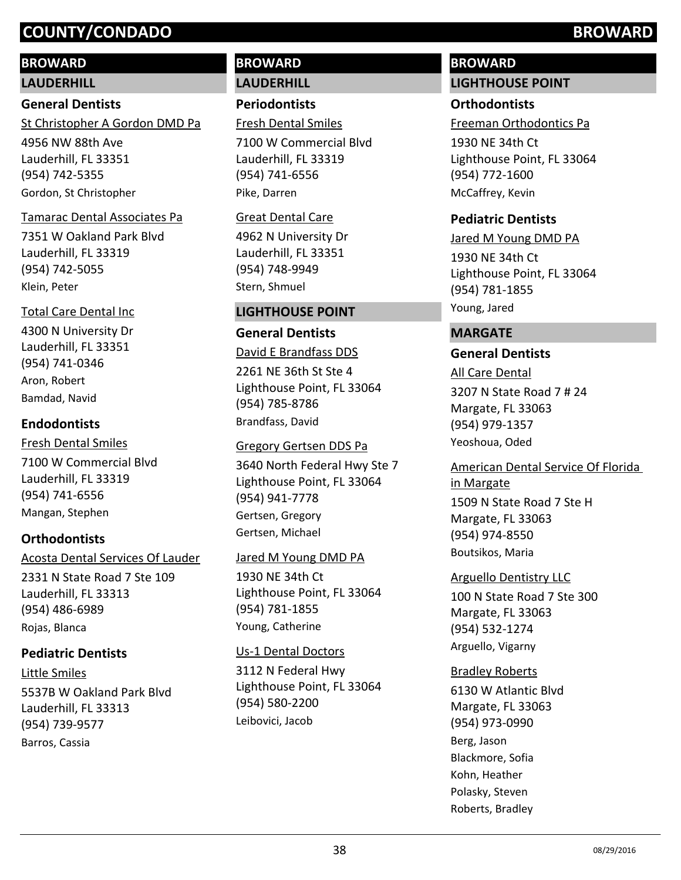# **BROWARD**

# **LAUDERHILL**

# **General Dentists**

St Christopher A Gordon DMD Pa

4956 NW 88th Ave Lauderhill, FL 33351 (954) 742-5355 Gordon, St Christopher

# Tamarac Dental Associates Pa

7351 W Oakland Park Blvd Lauderhill, FL 33319 (954) 742-5055 Klein, Peter

# Total Care Dental Inc

4300 N University Dr Lauderhill, FL 33351 (954) 741-0346 Aron, Robert Bamdad, Navid

# **Endodontists**

7100 W Commercial Blvd Lauderhill, FL 33319 (954) 741-6556 Fresh Dental Smiles Mangan, Stephen

# **Orthodontists**

Acosta Dental Services Of Lauder

2331 N State Road 7 Ste 109 Lauderhill, FL 33313 (954) 486-6989 Rojas, Blanca

# **Pediatric Dentists**

5537B W Oakland Park Blvd Lauderhill, FL 33313 (954) 739-9577 Little Smiles Barros, Cassia

# **BROWARD LAUDERHILL**

**Periodontists**

Fresh Dental Smiles

7100 W Commercial Blvd Lauderhill, FL 33319 (954) 741-6556 Pike, Darren

# Great Dental Care

4962 N University Dr Lauderhill, FL 33351 (954) 748-9949 Stern, Shmuel

# **LIGHTHOUSE POINT**

# **General Dentists**

2261 NE 36th St Ste 4 Lighthouse Point, FL 33064 (954) 785-8786 David E Brandfass DDS Brandfass, David

# Gregory Gertsen DDS Pa

3640 North Federal Hwy Ste 7 Lighthouse Point, FL 33064 (954) 941-7778 Gertsen, Gregory Gertsen, Michael

# Jared M Young DMD PA

1930 NE 34th Ct Lighthouse Point, FL 33064 (954) 781-1855 Young, Catherine

# Us-1 Dental Doctors

3112 N Federal Hwy Lighthouse Point, FL 33064 (954) 580-2200 Leibovici, Jacob

# **BROWARD LIGHTHOUSE POINT**

# **Orthodontists**

Freeman Orthodontics Pa

1930 NE 34th Ct Lighthouse Point, FL 33064 (954) 772-1600 McCaffrey, Kevin

# **Pediatric Dentists**

1930 NE 34th Ct Lighthouse Point, FL 33064 (954) 781-1855 Jared M Young DMD PA Young, Jared

# **MARGATE**

# **General Dentists**

3207 N State Road 7 # 24 Margate, FL 33063 (954) 979-1357 All Care Dental Yeoshoua, Oded

American Dental Service Of Florida in Margate

1509 N State Road 7 Ste H Margate, FL 33063 (954) 974-8550 Boutsikos, Maria

# Arguello Dentistry LLC

100 N State Road 7 Ste 300 Margate, FL 33063 (954) 532-1274 Arguello, Vigarny

# Bradley Roberts

6130 W Atlantic Blvd Margate, FL 33063 (954) 973-0990 Berg, Jason Blackmore, Sofia Kohn, Heather Polasky, Steven Roberts, Bradley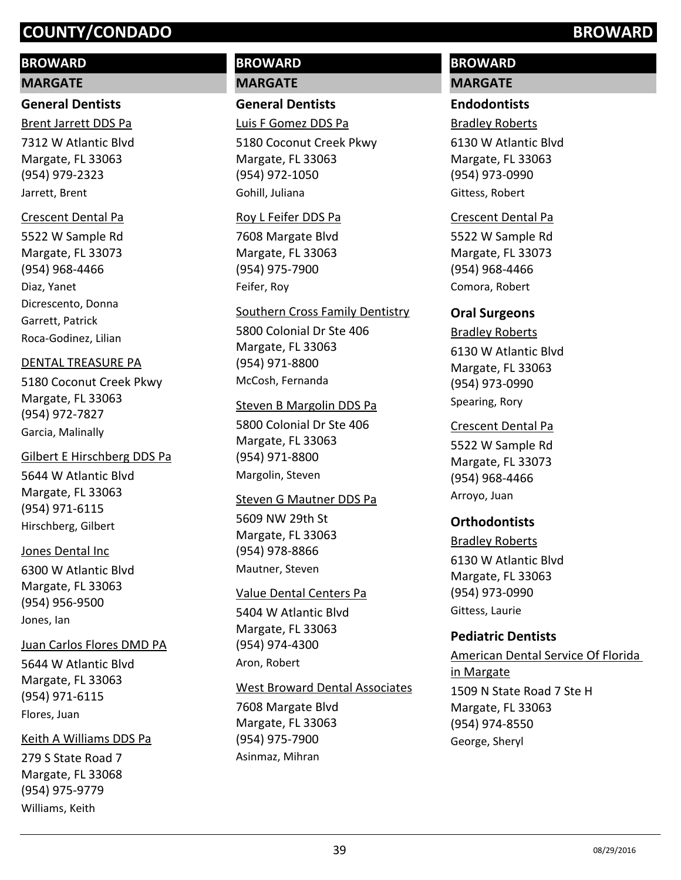# **BROWARD**

#### **MARGATE**

#### **General Dentists**

Brent Jarrett DDS Pa

7312 W Atlantic Blvd Margate, FL 33063 (954) 979-2323 Jarrett, Brent

#### Crescent Dental Pa

5522 W Sample Rd Margate, FL 33073 (954) 968-4466 Diaz, Yanet Dicrescento, Donna Garrett, Patrick Roca-Godinez, Lilian

#### DENTAL TREASURE PA

5180 Coconut Creek Pkwy Margate, FL 33063 (954) 972-7827 Garcia, Malinally

# Gilbert E Hirschberg DDS Pa

5644 W Atlantic Blvd Margate, FL 33063 (954) 971-6115 Hirschberg, Gilbert

#### Jones Dental Inc

6300 W Atlantic Blvd Margate, FL 33063 (954) 956-9500 Jones, Ian

#### Juan Carlos Flores DMD PA

5644 W Atlantic Blvd Margate, FL 33063 (954) 971-6115 Flores, Juan

#### Keith A Williams DDS Pa

279 S State Road 7 Margate, FL 33068 (954) 975-9779 Williams, Keith

# **BROWARD MARGATE**

# **General Dentists**

Luis F Gomez DDS Pa

5180 Coconut Creek Pkwy Margate, FL 33063 (954) 972-1050 Gohill, Juliana

#### Roy L Feifer DDS Pa

7608 Margate Blvd Margate, FL 33063 (954) 975-7900 Feifer, Roy

#### Southern Cross Family Dentistry

5800 Colonial Dr Ste 406 Margate, FL 33063 (954) 971-8800 McCosh, Fernanda

#### Steven B Margolin DDS Pa

5800 Colonial Dr Ste 406 Margate, FL 33063 (954) 971-8800 Margolin, Steven

#### Steven G Mautner DDS Pa

5609 NW 29th St Margate, FL 33063 (954) 978-8866 Mautner, Steven

#### Value Dental Centers Pa

5404 W Atlantic Blvd Margate, FL 33063 (954) 974-4300 Aron, Robert

#### West Broward Dental Associates

7608 Margate Blvd Margate, FL 33063 (954) 975-7900 Asinmaz, Mihran

# **BROWARD**

# **MARGATE**

# **Endodontists**

Bradley Roberts

6130 W Atlantic Blvd Margate, FL 33063 (954) 973-0990 Gittess, Robert

#### Crescent Dental Pa

5522 W Sample Rd Margate, FL 33073 (954) 968-4466 Comora, Robert

#### **Oral Surgeons**

6130 W Atlantic Blvd Margate, FL 33063 (954) 973-0990 Bradley Roberts Spearing, Rory

#### Crescent Dental Pa

5522 W Sample Rd Margate, FL 33073 (954) 968-4466 Arroyo, Juan

## **Orthodontists**

#### Bradley Roberts

6130 W Atlantic Blvd Margate, FL 33063 (954) 973-0990 Gittess, Laurie

## **Pediatric Dentists**

1509 N State Road 7 Ste H Margate, FL 33063 (954) 974-8550 American Dental Service Of Florida in Margate George, Sheryl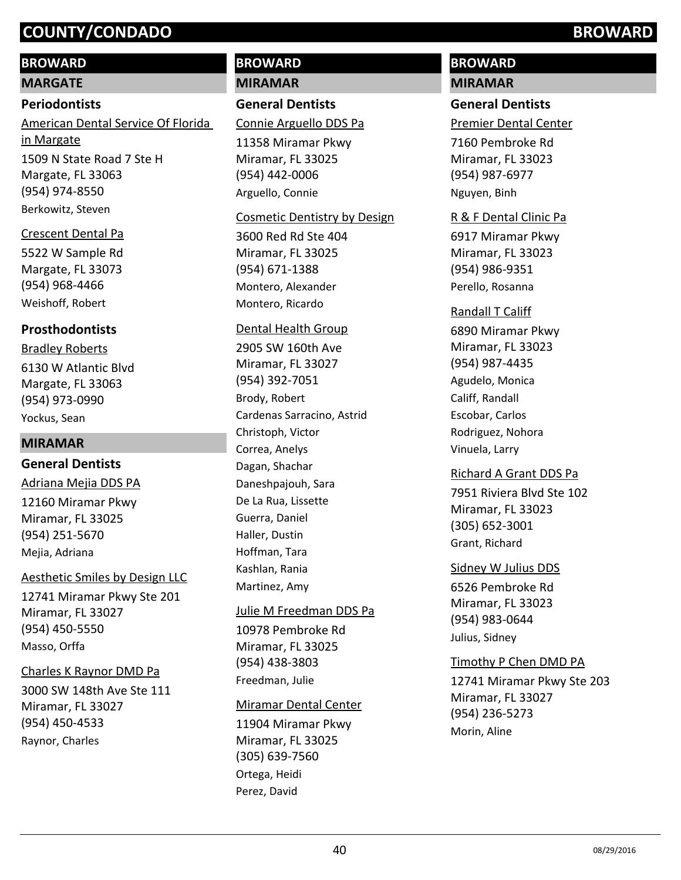## **BROWARD**

#### **MARGATE**

#### **Periodontists**

1509 N State Road 7 Ste H Margate, FL 33063 (954) 974-8550 American Dental Service Of Florida in Margate Berkowitz, Steven

#### Crescent Dental Pa

5522 W Sample Rd Margate, FL 33073 (954) 968-4466 Weishoff, Robert

## **Prosthodontists**

6130 W Atlantic Blvd Margate, FL 33063 (954) 973-0990 Bradley Roberts Yockus, Sean

#### **MIRAMAR**

## **General Dentists**

#### Adriana Mejia DDS PA

12160 Miramar Pkwy Miramar, FL 33025 (954) 251-5670 Mejia, Adriana

#### Aesthetic Smiles by Design LLC

12741 Miramar Pkwy Ste 201 Miramar, FL 33027 (954) 450-5550 Masso, Orffa

#### Charles K Raynor DMD Pa

3000 SW 148th Ave Ste 111 Miramar, FL 33027 (954) 450-4533 Raynor, Charles

# **BROWARD MIRAMAR**

## **General Dentists**

Connie Arguello DDS Pa

11358 Miramar Pkwy Miramar, FL 33025 (954) 442-0006 Arguello, Connie

#### Cosmetic Dentistry by Design

3600 Red Rd Ste 404 Miramar, FL 33025 (954) 671-1388 Montero, Alexander Montero, Ricardo

#### Dental Health Group

2905 SW 160th Ave Miramar, FL 33027 (954) 392-7051 Brody, Robert Cardenas Sarracino, Astrid Christoph, Victor Correa, Anelys Dagan, Shachar Daneshpajouh, Sara De La Rua, Lissette Guerra, Daniel Haller, Dustin Hoffman, Tara Kashlan, Rania Martinez, Amy

#### Julie M Freedman DDS Pa

10978 Pembroke Rd Miramar, FL 33025 (954) 438-3803 Freedman, Julie

#### Miramar Dental Center

11904 Miramar Pkwy Miramar, FL 33025 (305) 639-7560 Ortega, Heidi Perez, David

# **BROWARD**

# **MIRAMAR**

# **General Dentists**

Premier Dental Center

7160 Pembroke Rd Miramar, FL 33023 (954) 987-6977 Nguyen, Binh

#### R & F Dental Clinic Pa

6917 Miramar Pkwy Miramar, FL 33023 (954) 986-9351 Perello, Rosanna

#### Randall T Califf

6890 Miramar Pkwy Miramar, FL 33023 (954) 987-4435 Agudelo, Monica Califf, Randall Escobar, Carlos Rodriguez, Nohora Vinuela, Larry

#### Richard A Grant DDS Pa

7951 Riviera Blvd Ste 102 Miramar, FL 33023 (305) 652-3001 Grant, Richard

#### Sidney W Julius DDS

6526 Pembroke Rd Miramar, FL 33023 (954) 983-0644 Julius, Sidney

#### Timothy P Chen DMD PA

12741 Miramar Pkwy Ste 203 Miramar, FL 33027 (954) 236-5273 Morin, Aline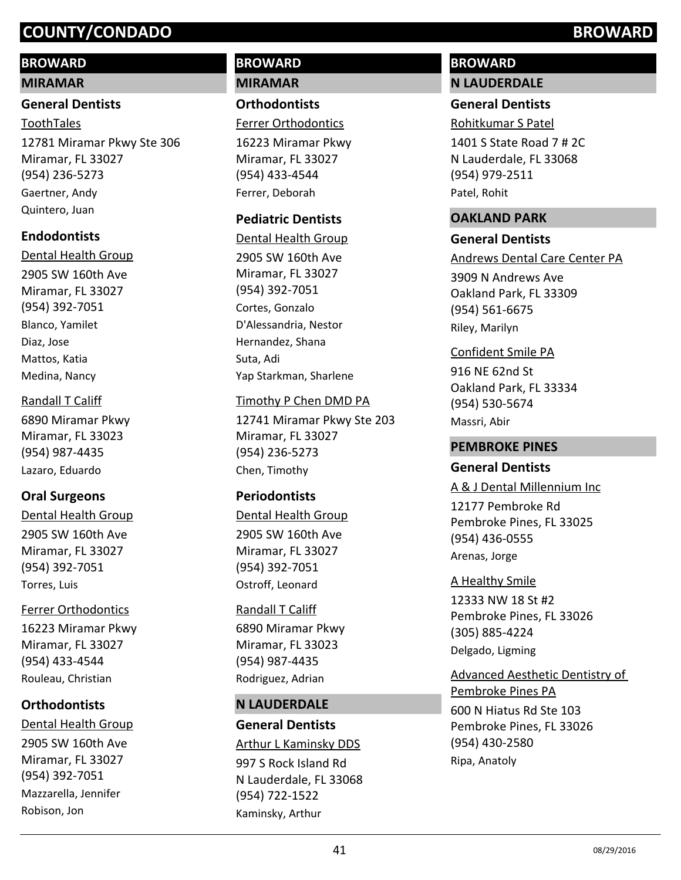# **BROWARD**

#### **MIRAMAR**

## **General Dentists**

12781 Miramar Pkwy Ste 306 Miramar, FL 33027 (954) 236-5273 ToothTales Gaertner, Andy Quintero, Juan

# **Endodontists**

2905 SW 160th Ave Miramar, FL 33027 (954) 392-7051 Dental Health Group Blanco, Yamilet Diaz, Jose Mattos, Katia Medina, Nancy

#### Randall T Califf

6890 Miramar Pkwy Miramar, FL 33023 (954) 987-4435 Lazaro, Eduardo

# **Oral Surgeons**

2905 SW 160th Ave Miramar, FL 33027 (954) 392-7051 Dental Health Group Torres, Luis

## Ferrer Orthodontics

16223 Miramar Pkwy Miramar, FL 33027 (954) 433-4544 Rouleau, Christian

# **Orthodontists**

2905 SW 160th Ave Miramar, FL 33027 (954) 392-7051 Dental Health Group Mazzarella, Jennifer Robison, Jon

# **BROWARD MIRAMAR**

**Orthodontists** Ferrer Orthodontics

16223 Miramar Pkwy Miramar, FL 33027 (954) 433-4544 Ferrer, Deborah

# **Pediatric Dentists**

2905 SW 160th Ave Miramar, FL 33027 (954) 392-7051 Dental Health Group Cortes, Gonzalo D'Alessandria, Nestor Hernandez, Shana Suta, Adi Yap Starkman, Sharlene

## Timothy P Chen DMD PA

12741 Miramar Pkwy Ste 203 Miramar, FL 33027 (954) 236-5273 Chen, Timothy

# **Periodontists**

2905 SW 160th Ave Miramar, FL 33027 (954) 392-7051 Dental Health Group Ostroff, Leonard

## Randall T Califf

6890 Miramar Pkwy Miramar, FL 33023 (954) 987-4435 Rodriguez, Adrian

## **N LAUDERDALE**

**General Dentists** 997 S Rock Island Rd N Lauderdale, FL 33068 (954) 722-1522 Arthur L Kaminsky DDS Kaminsky, Arthur

# **BROWARD N LAUDERDALE**

# **General Dentists**

Rohitkumar S Patel

1401 S State Road 7 # 2C N Lauderdale, FL 33068 (954) 979-2511 Patel, Rohit

#### **OAKLAND PARK**

#### **General Dentists**

Andrews Dental Care Center PA

3909 N Andrews Ave Oakland Park, FL 33309 (954) 561-6675 Riley, Marilyn

916 NE 62nd St Oakland Park, FL 33334 (954) 530-5674 Confident Smile PA Massri, Abir

## **PEMBROKE PINES**

## **General Dentists**

12177 Pembroke Rd Pembroke Pines, FL 33025 (954) 436-0555 A & J Dental Millennium Inc Arenas, Jorge

#### A Healthy Smile

12333 NW 18 St #2 Pembroke Pines, FL 33026 (305) 885-4224 Delgado, Ligming

600 N Hiatus Rd Ste 103 Pembroke Pines, FL 33026 (954) 430-2580 Advanced Aesthetic Dentistry of Pembroke Pines PA Ripa, Anatoly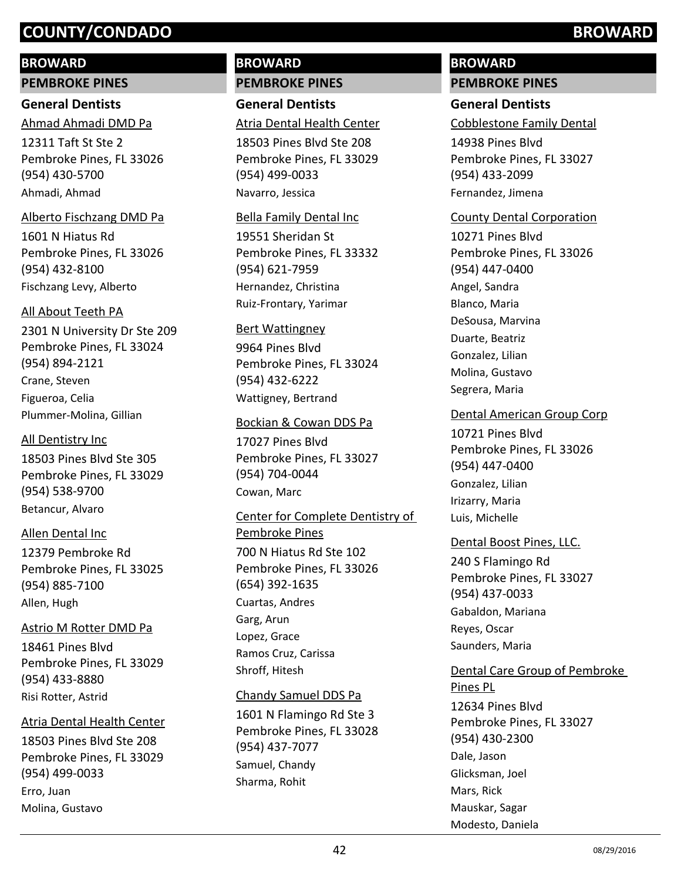## **BROWARD**

**PEMBROKE PINES**

# **General Dentists**

12311 Taft St Ste 2 Pembroke Pines, FL 33026 (954) 430-5700 Ahmad Ahmadi DMD Pa Ahmadi, Ahmad

#### Alberto Fischzang DMD Pa

1601 N Hiatus Rd Pembroke Pines, FL 33026 (954) 432-8100 Fischzang Levy, Alberto

## All About Teeth PA

2301 N University Dr Ste 209 Pembroke Pines, FL 33024 (954) 894-2121 Crane, Steven Figueroa, Celia Plummer-Molina, Gillian

## All Dentistry Inc

18503 Pines Blvd Ste 305 Pembroke Pines, FL 33029 (954) 538-9700 Betancur, Alvaro

## Allen Dental Inc

12379 Pembroke Rd Pembroke Pines, FL 33025 (954) 885-7100 Allen, Hugh

# Astrio M Rotter DMD Pa

18461 Pines Blvd Pembroke Pines, FL 33029 (954) 433-8880 Risi Rotter, Astrid

## Atria Dental Health Center

18503 Pines Blvd Ste 208 Pembroke Pines, FL 33029 (954) 499-0033 Erro, Juan Molina, Gustavo

# **BROWARD PEMBROKE PINES**

**General Dentists** Atria Dental Health Center

18503 Pines Blvd Ste 208 Pembroke Pines, FL 33029 (954) 499-0033 Navarro, Jessica

#### Bella Family Dental Inc

19551 Sheridan St Pembroke Pines, FL 33332 (954) 621-7959 Hernandez, Christina Ruiz-Frontary, Yarimar

#### Bert Wattingney

9964 Pines Blvd Pembroke Pines, FL 33024 (954) 432-6222 Wattigney, Bertrand

## Bockian & Cowan DDS Pa

17027 Pines Blvd Pembroke Pines, FL 33027 (954) 704-0044 Cowan, Marc

# 700 N Hiatus Rd Ste 102 Pembroke Pines, FL 33026 (654) 392-1635 Center for Complete Dentistry of Pembroke Pines Cuartas, Andres Garg, Arun Lopez, Grace Ramos Cruz, Carissa Shroff, Hitesh

## Chandy Samuel DDS Pa

1601 N Flamingo Rd Ste 3 Pembroke Pines, FL 33028 (954) 437-7077 Samuel, Chandy Sharma, Rohit

# **BROWARD PEMBROKE PINES**

# **General Dentists**

Cobblestone Family Dental

14938 Pines Blvd Pembroke Pines, FL 33027 (954) 433-2099 Fernandez, Jimena

## County Dental Corporation

10271 Pines Blvd Pembroke Pines, FL 33026 (954) 447-0400 Angel, Sandra Blanco, Maria DeSousa, Marvina Duarte, Beatriz Gonzalez, Lilian Molina, Gustavo Segrera, Maria

## Dental American Group Corp

10721 Pines Blvd Pembroke Pines, FL 33026 (954) 447-0400 Gonzalez, Lilian Irizarry, Maria Luis, Michelle

## Dental Boost Pines, LLC.

240 S Flamingo Rd Pembroke Pines, FL 33027 (954) 437-0033 Gabaldon, Mariana Reyes, Oscar Saunders, Maria

# Dental Care Group of Pembroke

12634 Pines Blvd Pembroke Pines, FL 33027 (954) 430-2300 Pines PL Dale, Jason Glicksman, Joel Mars, Rick Mauskar, Sagar Modesto, Daniela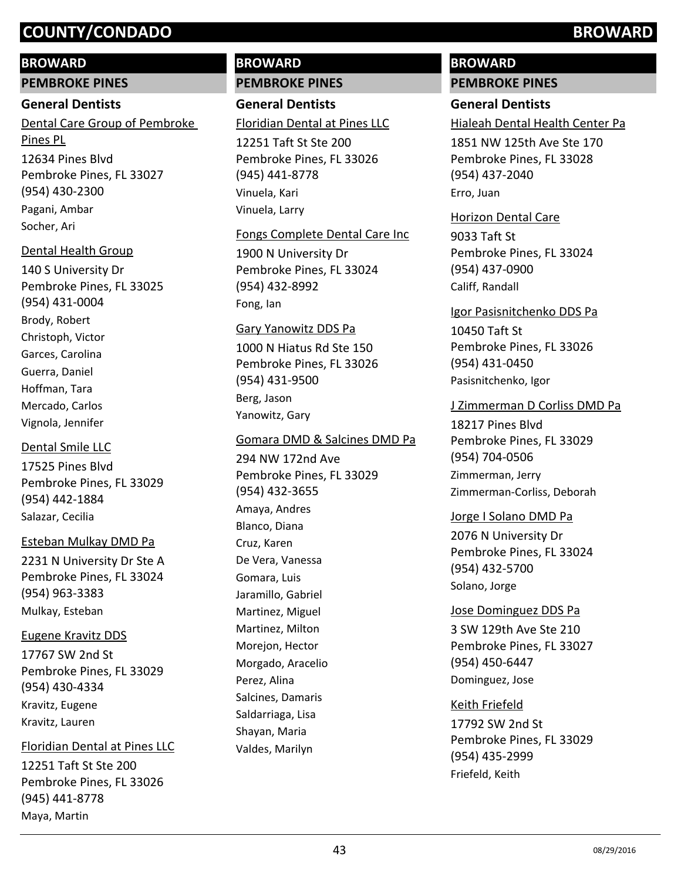## **BROWARD**

**PEMBROKE PINES**

#### **General Dentists**

12634 Pines Blvd Pembroke Pines, FL 33027 (954) 430-2300 Dental Care Group of Pembroke Pines PL Pagani, Ambar Socher, Ari

## Dental Health Group

140 S University Dr Pembroke Pines, FL 33025 (954) 431-0004 Brody, Robert Christoph, Victor Garces, Carolina Guerra, Daniel Hoffman, Tara Mercado, Carlos Vignola, Jennifer

## Dental Smile LLC

17525 Pines Blvd Pembroke Pines, FL 33029 (954) 442-1884 Salazar, Cecilia

## Esteban Mulkay DMD Pa

2231 N University Dr Ste A Pembroke Pines, FL 33024 (954) 963-3383 Mulkay, Esteban

## Eugene Kravitz DDS

17767 SW 2nd St Pembroke Pines, FL 33029 (954) 430-4334 Kravitz, Eugene Kravitz, Lauren

## Floridian Dental at Pines LLC

12251 Taft St Ste 200 Pembroke Pines, FL 33026 (945) 441-8778 Maya, Martin

# **BROWARD PEMBROKE PINES**

**General Dentists** 12251 Taft St Ste 200 Floridian Dental at Pines LLC

Pembroke Pines, FL 33026 (945) 441-8778 Vinuela, Kari Vinuela, Larry

#### Fongs Complete Dental Care Inc

1900 N University Dr Pembroke Pines, FL 33024 (954) 432-8992 Fong, Ian

#### Gary Yanowitz DDS Pa

1000 N Hiatus Rd Ste 150 Pembroke Pines, FL 33026 (954) 431-9500 Berg, Jason Yanowitz, Gary

## Gomara DMD & Salcines DMD Pa

294 NW 172nd Ave Pembroke Pines, FL 33029 (954) 432-3655 Amaya, Andres Blanco, Diana Cruz, Karen De Vera, Vanessa Gomara, Luis Jaramillo, Gabriel Martinez, Miguel Martinez, Milton Morejon, Hector Morgado, Aracelio Perez, Alina Salcines, Damaris Saldarriaga, Lisa Shayan, Maria Valdes, Marilyn

# **BROWARD**

# **PEMBROKE PINES**

# **General Dentists**

Hialeah Dental Health Center Pa

1851 NW 125th Ave Ste 170 Pembroke Pines, FL 33028 (954) 437-2040 Erro, Juan

#### Horizon Dental Care

9033 Taft St Pembroke Pines, FL 33024 (954) 437-0900 Califf, Randall

#### Igor Pasisnitchenko DDS Pa

10450 Taft St Pembroke Pines, FL 33026 (954) 431-0450 Pasisnitchenko, Igor

#### J Zimmerman D Corliss DMD Pa

18217 Pines Blvd Pembroke Pines, FL 33029 (954) 704-0506 Zimmerman, Jerry Zimmerman-Corliss, Deborah

## Jorge I Solano DMD Pa

2076 N University Dr Pembroke Pines, FL 33024 (954) 432-5700 Solano, Jorge

#### Jose Dominguez DDS Pa

3 SW 129th Ave Ste 210 Pembroke Pines, FL 33027 (954) 450-6447 Dominguez, Jose

## Keith Friefeld

17792 SW 2nd St Pembroke Pines, FL 33029 (954) 435-2999 Friefeld, Keith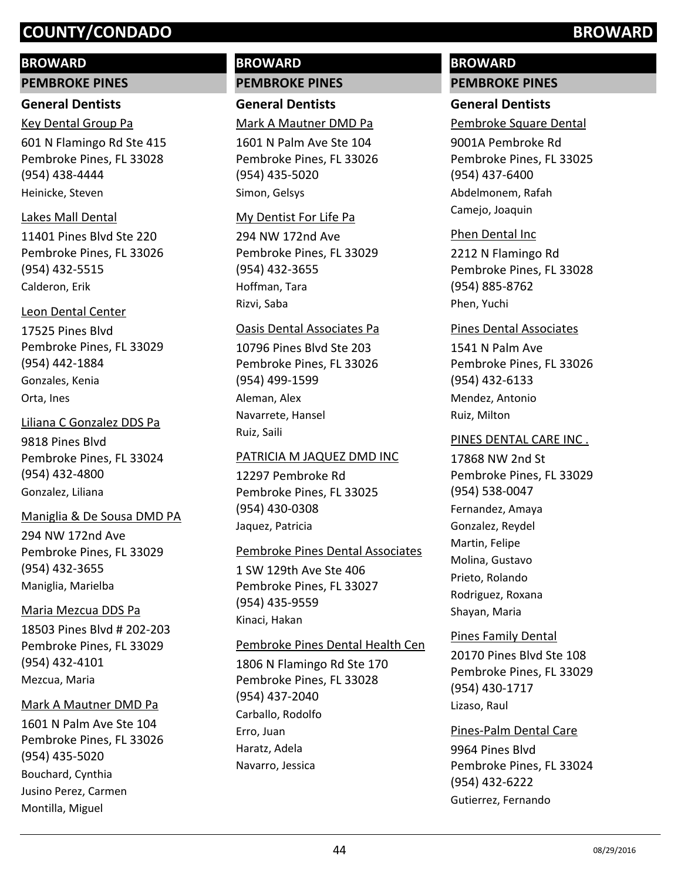# **BROWARD**

**PEMBROKE PINES**

# **General Dentists**

601 N Flamingo Rd Ste 415 Pembroke Pines, FL 33028 (954) 438-4444 Key Dental Group Pa

Heinicke, Steven

# Lakes Mall Dental

11401 Pines Blvd Ste 220 Pembroke Pines, FL 33026 (954) 432-5515 Calderon, Erik

# Leon Dental Center

17525 Pines Blvd Pembroke Pines, FL 33029 (954) 442-1884 Gonzales, Kenia Orta, Ines

9818 Pines Blvd Pembroke Pines, FL 33024 (954) 432-4800 Liliana C Gonzalez DDS Pa Gonzalez, Liliana

# Maniglia & De Sousa DMD PA

294 NW 172nd Ave Pembroke Pines, FL 33029 (954) 432-3655 Maniglia, Marielba

# Maria Mezcua DDS Pa

18503 Pines Blvd # 202-203 Pembroke Pines, FL 33029 (954) 432-4101 Mezcua, Maria

# Mark A Mautner DMD Pa

1601 N Palm Ave Ste 104 Pembroke Pines, FL 33026 (954) 435-5020 Bouchard, Cynthia Jusino Perez, Carmen Montilla, Miguel

# **BROWARD PEMBROKE PINES**

**General Dentists** Mark A Mautner DMD Pa

1601 N Palm Ave Ste 104 Pembroke Pines, FL 33026 (954) 435-5020 Simon, Gelsys

# My Dentist For Life Pa

294 NW 172nd Ave Pembroke Pines, FL 33029 (954) 432-3655 Hoffman, Tara Rizvi, Saba

# Oasis Dental Associates Pa

10796 Pines Blvd Ste 203 Pembroke Pines, FL 33026 (954) 499-1599 Aleman, Alex Navarrete, Hansel Ruiz, Saili

# PATRICIA M JAQUEZ DMD INC

12297 Pembroke Rd Pembroke Pines, FL 33025 (954) 430-0308 Jaquez, Patricia

# Pembroke Pines Dental Associates

1 SW 129th Ave Ste 406 Pembroke Pines, FL 33027 (954) 435-9559 Kinaci, Hakan

# Pembroke Pines Dental Health Cen

1806 N Flamingo Rd Ste 170 Pembroke Pines, FL 33028 (954) 437-2040 Carballo, Rodolfo Erro, Juan Haratz, Adela Navarro, Jessica

# **BROWARD PEMBROKE PINES**

# **General Dentists**

Pembroke Square Dental

9001A Pembroke Rd Pembroke Pines, FL 33025 (954) 437-6400 Abdelmonem, Rafah Camejo, Joaquin

# Phen Dental Inc

2212 N Flamingo Rd Pembroke Pines, FL 33028 (954) 885-8762 Phen, Yuchi

# Pines Dental Associates

1541 N Palm Ave Pembroke Pines, FL 33026 (954) 432-6133 Mendez, Antonio Ruiz, Milton

# PINES DENTAL CARE INC .

17868 NW 2nd St Pembroke Pines, FL 33029 (954) 538-0047 Fernandez, Amaya Gonzalez, Reydel Martin, Felipe Molina, Gustavo Prieto, Rolando Rodriguez, Roxana Shayan, Maria

# Pines Family Dental

20170 Pines Blvd Ste 108 Pembroke Pines, FL 33029 (954) 430-1717 Lizaso, Raul

# Pines-Palm Dental Care

9964 Pines Blvd Pembroke Pines, FL 33024 (954) 432-6222 Gutierrez, Fernando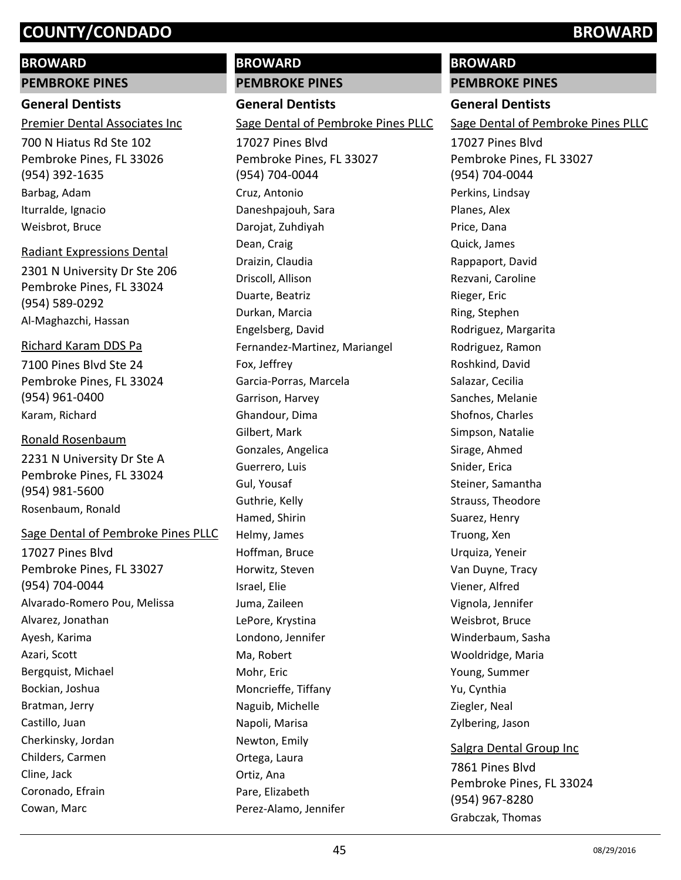# **BROWARD**

**PEMBROKE PINES**

## **General Dentists**

Premier Dental Associates Inc

700 N Hiatus Rd Ste 102 Pembroke Pines, FL 33026 (954) 392-1635 Barbag, Adam Iturralde, Ignacio Weisbrot, Bruce

## Radiant Expressions Dental

2301 N University Dr Ste 206 Pembroke Pines, FL 33024 (954) 589-0292 Al-Maghazchi, Hassan

#### Richard Karam DDS Pa

7100 Pines Blvd Ste 24 Pembroke Pines, FL 33024 (954) 961-0400 Karam, Richard

#### Ronald Rosenbaum

2231 N University Dr Ste A Pembroke Pines, FL 33024 (954) 981-5600 Rosenbaum, Ronald

## Sage Dental of Pembroke Pines PLLC

17027 Pines Blvd Pembroke Pines, FL 33027 (954) 704-0044 Alvarado-Romero Pou, Melissa Alvarez, Jonathan Ayesh, Karima Azari, Scott Bergquist, Michael Bockian, Joshua Bratman, Jerry Castillo, Juan Cherkinsky, Jordan Childers, Carmen Cline, Jack Coronado, Efrain Cowan, Marc

# **BROWARD PEMBROKE PINES**

**General Dentists**

17027 Pines Blvd Sage Dental of Pembroke Pines PLLC

Pembroke Pines, FL 33027 (954) 704-0044 Cruz, Antonio Daneshpajouh, Sara Darojat, Zuhdiyah Dean, Craig Draizin, Claudia Driscoll, Allison Duarte, Beatriz Durkan, Marcia Engelsberg, David Fernandez-Martinez, Mariangel Fox, Jeffrey Garcia-Porras, Marcela Garrison, Harvey Ghandour, Dima Gilbert, Mark Gonzales, Angelica Guerrero, Luis Gul, Yousaf Guthrie, Kelly Hamed, Shirin Helmy, James Hoffman, Bruce Horwitz, Steven Israel, Elie Juma, Zaileen LePore, Krystina Londono, Jennifer Ma, Robert Mohr, Eric Moncrieffe, Tiffany Naguib, Michelle Napoli, Marisa Newton, Emily Ortega, Laura Ortiz, Ana Pare, Elizabeth Perez-Alamo, Jennifer

# **BROWARD**

**PEMBROKE PINES**

# **General Dentists**

Sage Dental of Pembroke Pines PLLC

17027 Pines Blvd Pembroke Pines, FL 33027 (954) 704-0044 Perkins, Lindsay Planes, Alex Price, Dana Quick, James Rappaport, David Rezvani, Caroline Rieger, Eric Ring, Stephen Rodriguez, Margarita Rodriguez, Ramon Roshkind, David Salazar, Cecilia Sanches, Melanie Shofnos, Charles Simpson, Natalie Sirage, Ahmed Snider, Erica Steiner, Samantha Strauss, Theodore Suarez, Henry Truong, Xen Urquiza, Yeneir Van Duyne, Tracy Viener, Alfred Vignola, Jennifer Weisbrot, Bruce Winderbaum, Sasha Wooldridge, Maria Young, Summer Yu, Cynthia Ziegler, Neal Zylbering, Jason 7861 Pines Blvd Salgra Dental Group Inc

Pembroke Pines, FL 33024 (954) 967-8280 Grabczak, Thomas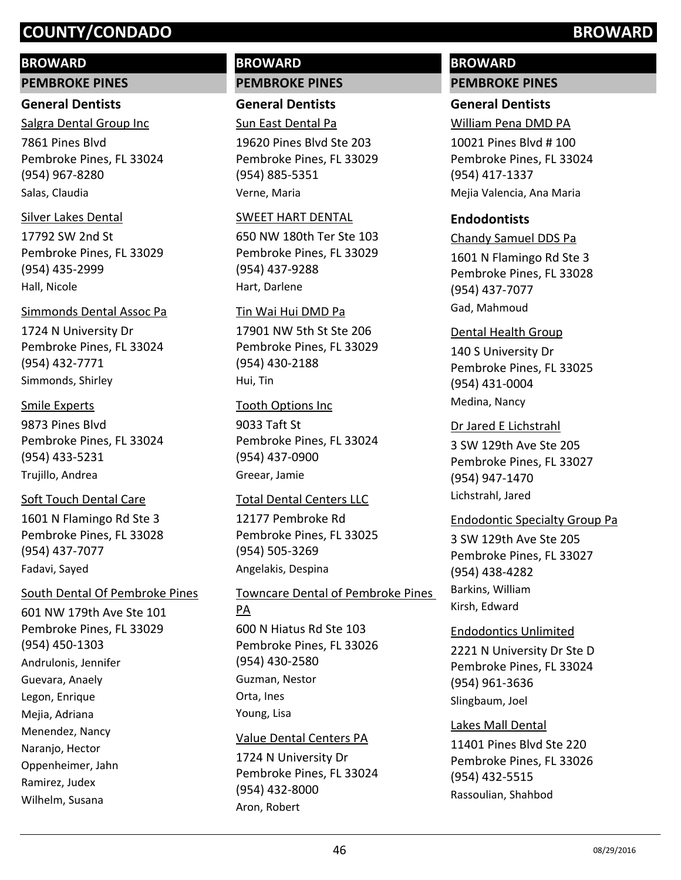## **BROWARD**

**PEMBROKE PINES**

## **General Dentists**

7861 Pines Blvd Pembroke Pines, FL 33024 (954) 967-8280 Salgra Dental Group Inc Salas, Claudia

#### Silver Lakes Dental

17792 SW 2nd St Pembroke Pines, FL 33029 (954) 435-2999 Hall, Nicole

#### Simmonds Dental Assoc Pa

1724 N University Dr Pembroke Pines, FL 33024 (954) 432-7771 Simmonds, Shirley

## Smile Experts

9873 Pines Blvd Pembroke Pines, FL 33024 (954) 433-5231 Trujillo, Andrea

## Soft Touch Dental Care

1601 N Flamingo Rd Ste 3 Pembroke Pines, FL 33028 (954) 437-7077 Fadavi, Sayed

## South Dental Of Pembroke Pines

601 NW 179th Ave Ste 101 Pembroke Pines, FL 33029 (954) 450-1303 Andrulonis, Jennifer Guevara, Anaely Legon, Enrique Mejia, Adriana Menendez, Nancy Naranjo, Hector Oppenheimer, Jahn Ramirez, Judex Wilhelm, Susana

# **BROWARD PEMBROKE PINES**

**General Dentists** Sun East Dental Pa

19620 Pines Blvd Ste 203 Pembroke Pines, FL 33029 (954) 885-5351 Verne, Maria

#### SWEET HART DENTAL

650 NW 180th Ter Ste 103 Pembroke Pines, FL 33029 (954) 437-9288 Hart, Darlene

## Tin Wai Hui DMD Pa

17901 NW 5th St Ste 206 Pembroke Pines, FL 33029 (954) 430-2188 Hui, Tin

#### Tooth Options Inc

9033 Taft St Pembroke Pines, FL 33024 (954) 437-0900 Greear, Jamie

## Total Dental Centers LLC

12177 Pembroke Rd Pembroke Pines, FL 33025 (954) 505-3269 Angelakis, Despina

600 N Hiatus Rd Ste 103 Pembroke Pines, FL 33026 (954) 430-2580 Towncare Dental of Pembroke Pines PA Guzman, Nestor Orta, Ines

Young, Lisa

## Value Dental Centers PA

1724 N University Dr Pembroke Pines, FL 33024 (954) 432-8000 Aron, Robert

# **BROWARD PEMBROKE PINES**

# **General Dentists**

William Pena DMD PA

10021 Pines Blvd # 100 Pembroke Pines, FL 33024 (954) 417-1337 Mejia Valencia, Ana Maria

# **Endodontists**

1601 N Flamingo Rd Ste 3 Pembroke Pines, FL 33028 (954) 437-7077 Chandy Samuel DDS Pa Gad, Mahmoud

## Dental Health Group

140 S University Dr Pembroke Pines, FL 33025 (954) 431-0004 Medina, Nancy

#### Dr Jared E Lichstrahl

3 SW 129th Ave Ste 205 Pembroke Pines, FL 33027 (954) 947-1470 Lichstrahl, Jared

#### Endodontic Specialty Group Pa

3 SW 129th Ave Ste 205 Pembroke Pines, FL 33027 (954) 438-4282 Barkins, William Kirsh, Edward

## Endodontics Unlimited

2221 N University Dr Ste D Pembroke Pines, FL 33024 (954) 961-3636 Slingbaum, Joel

#### Lakes Mall Dental

11401 Pines Blvd Ste 220 Pembroke Pines, FL 33026 (954) 432-5515 Rassoulian, Shahbod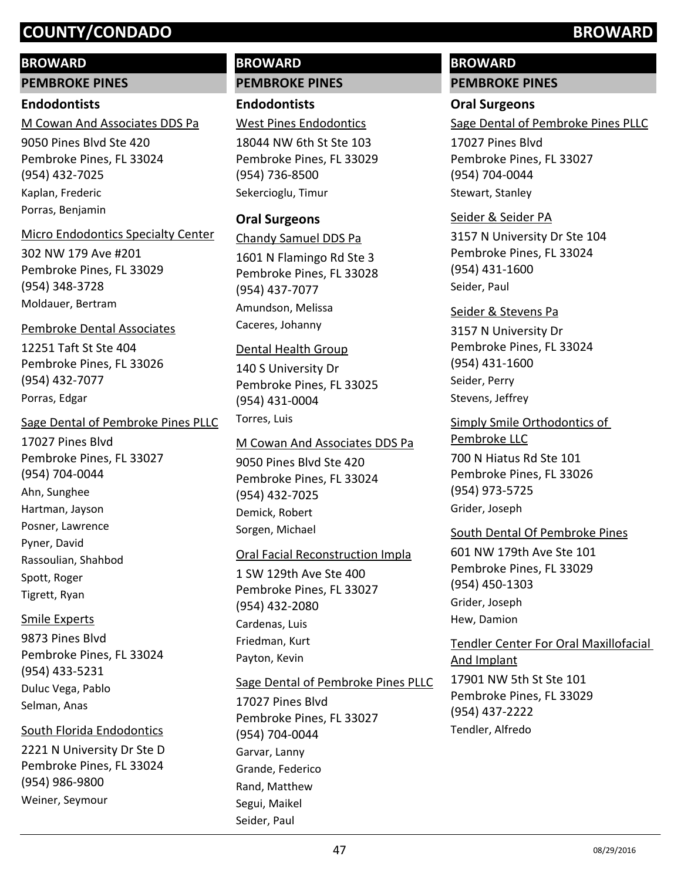## **BROWARD**

**PEMBROKE PINES**

## **Endodontists**

9050 Pines Blvd Ste 420 Pembroke Pines, FL 33024 (954) 432-7025 M Cowan And Associates DDS Pa Kaplan, Frederic Porras, Benjamin

# Micro Endodontics Specialty Center

302 NW 179 Ave #201 Pembroke Pines, FL 33029 (954) 348-3728 Moldauer, Bertram

# Pembroke Dental Associates

12251 Taft St Ste 404 Pembroke Pines, FL 33026 (954) 432-7077 Porras, Edgar

# Sage Dental of Pembroke Pines PLLC

17027 Pines Blvd Pembroke Pines, FL 33027 (954) 704-0044 Ahn, Sunghee Hartman, Jayson Posner, Lawrence Pyner, David Rassoulian, Shahbod Spott, Roger Tigrett, Ryan

# Smile Experts

9873 Pines Blvd Pembroke Pines, FL 33024 (954) 433-5231 Duluc Vega, Pablo Selman, Anas

# South Florida Endodontics

2221 N University Dr Ste D Pembroke Pines, FL 33024 (954) 986-9800 Weiner, Seymour

# **BROWARD PEMBROKE PINES**

**Endodontists**

West Pines Endodontics

18044 NW 6th St Ste 103 Pembroke Pines, FL 33029 (954) 736-8500 Sekercioglu, Timur

# **Oral Surgeons**

1601 N Flamingo Rd Ste 3 Pembroke Pines, FL 33028 (954) 437-7077 Chandy Samuel DDS Pa Amundson, Melissa Caceres, Johanny

## Dental Health Group

140 S University Dr Pembroke Pines, FL 33025 (954) 431-0004 Torres, Luis

# M Cowan And Associates DDS Pa

9050 Pines Blvd Ste 420 Pembroke Pines, FL 33024 (954) 432-7025 Demick, Robert Sorgen, Michael

# Oral Facial Reconstruction Impla

1 SW 129th Ave Ste 400 Pembroke Pines, FL 33027 (954) 432-2080 Cardenas, Luis Friedman, Kurt Payton, Kevin

# Sage Dental of Pembroke Pines PLLC

17027 Pines Blvd Pembroke Pines, FL 33027 (954) 704-0044 Garvar, Lanny Grande, Federico Rand, Matthew Segui, Maikel Seider, Paul

# **BROWARD PEMBROKE PINES**

# **Oral Surgeons**

Sage Dental of Pembroke Pines PLLC

17027 Pines Blvd Pembroke Pines, FL 33027 (954) 704-0044 Stewart, Stanley

# Seider & Seider PA

3157 N University Dr Ste 104 Pembroke Pines, FL 33024 (954) 431-1600 Seider, Paul

3157 N University Dr Pembroke Pines, FL 33024 (954) 431-1600 Seider & Stevens Pa Seider, Perry Stevens, Jeffrey

700 N Hiatus Rd Ste 101 Pembroke Pines, FL 33026 (954) 973-5725 Simply Smile Orthodontics of Pembroke LLC Grider, Joseph

# South Dental Of Pembroke Pines

601 NW 179th Ave Ste 101 Pembroke Pines, FL 33029 (954) 450-1303 Grider, Joseph Hew, Damion

17901 NW 5th St Ste 101 Pembroke Pines, FL 33029 (954) 437-2222 Tendler Center For Oral Maxillofacial And Implant Tendler, Alfredo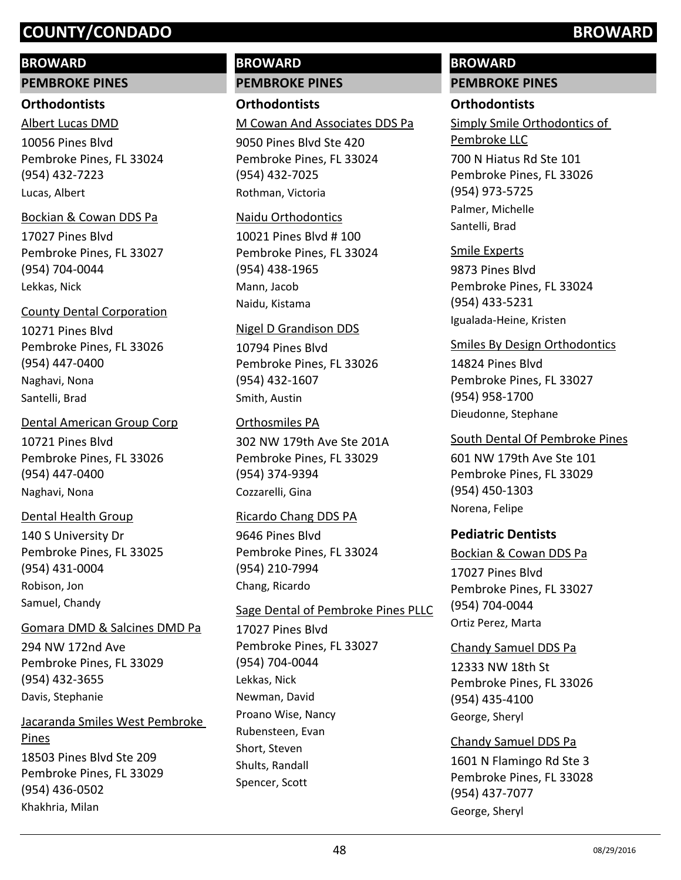## **BROWARD**

**PEMBROKE PINES**

#### **Orthodontists**

10056 Pines Blvd Pembroke Pines, FL 33024 (954) 432-7223 Albert Lucas DMD Lucas, Albert

## Bockian & Cowan DDS Pa

17027 Pines Blvd Pembroke Pines, FL 33027 (954) 704-0044 Lekkas, Nick

# County Dental Corporation

10271 Pines Blvd Pembroke Pines, FL 33026 (954) 447-0400 Naghavi, Nona Santelli, Brad

10721 Pines Blvd Pembroke Pines, FL 33026 (954) 447-0400 Dental American Group Corp Naghavi, Nona

# Dental Health Group

140 S University Dr Pembroke Pines, FL 33025 (954) 431-0004 Robison, Jon Samuel, Chandy

## Gomara DMD & Salcines DMD Pa

294 NW 172nd Ave Pembroke Pines, FL 33029 (954) 432-3655 Davis, Stephanie

(954) 436-0502

Khakhria, Milan

18503 Pines Blvd Ste 209 Pembroke Pines, FL 33029 Jacaranda Smiles West Pembroke Pines

# **BROWARD PEMBROKE PINES**

**Orthodontists** M Cowan And Associates DDS Pa

9050 Pines Blvd Ste 420 Pembroke Pines, FL 33024 (954) 432-7025 Rothman, Victoria

#### Naidu Orthodontics

10021 Pines Blvd # 100 Pembroke Pines, FL 33024 (954) 438-1965 Mann, Jacob Naidu, Kistama

## Nigel D Grandison DDS

10794 Pines Blvd Pembroke Pines, FL 33026 (954) 432-1607 Smith, Austin

# Orthosmiles PA

302 NW 179th Ave Ste 201A Pembroke Pines, FL 33029 (954) 374-9394 Cozzarelli, Gina

## Ricardo Chang DDS PA

9646 Pines Blvd Pembroke Pines, FL 33024 (954) 210-7994 Chang, Ricardo

# Sage Dental of Pembroke Pines PLLC

17027 Pines Blvd Pembroke Pines, FL 33027 (954) 704-0044 Lekkas, Nick Newman, David Proano Wise, Nancy Rubensteen, Evan Short, Steven Shults, Randall Spencer, Scott

# **BROWARD PEMBROKE PINES**

# **Orthodontists**

700 N Hiatus Rd Ste 101 Pembroke Pines, FL 33026 (954) 973-5725 Simply Smile Orthodontics of Pembroke LLC Palmer, Michelle Santelli, Brad

## Smile Experts

9873 Pines Blvd Pembroke Pines, FL 33024 (954) 433-5231 Igualada-Heine, Kristen

# Smiles By Design Orthodontics

14824 Pines Blvd Pembroke Pines, FL 33027 (954) 958-1700 Dieudonne, Stephane

# South Dental Of Pembroke Pines

601 NW 179th Ave Ste 101 Pembroke Pines, FL 33029 (954) 450-1303 Norena, Felipe

# **Pediatric Dentists**

17027 Pines Blvd Pembroke Pines, FL 33027 (954) 704-0044 Bockian & Cowan DDS Pa Ortiz Perez, Marta

# Chandy Samuel DDS Pa

12333 NW 18th St Pembroke Pines, FL 33026 (954) 435-4100 George, Sheryl

# Chandy Samuel DDS Pa

1601 N Flamingo Rd Ste 3 Pembroke Pines, FL 33028 (954) 437-7077 George, Sheryl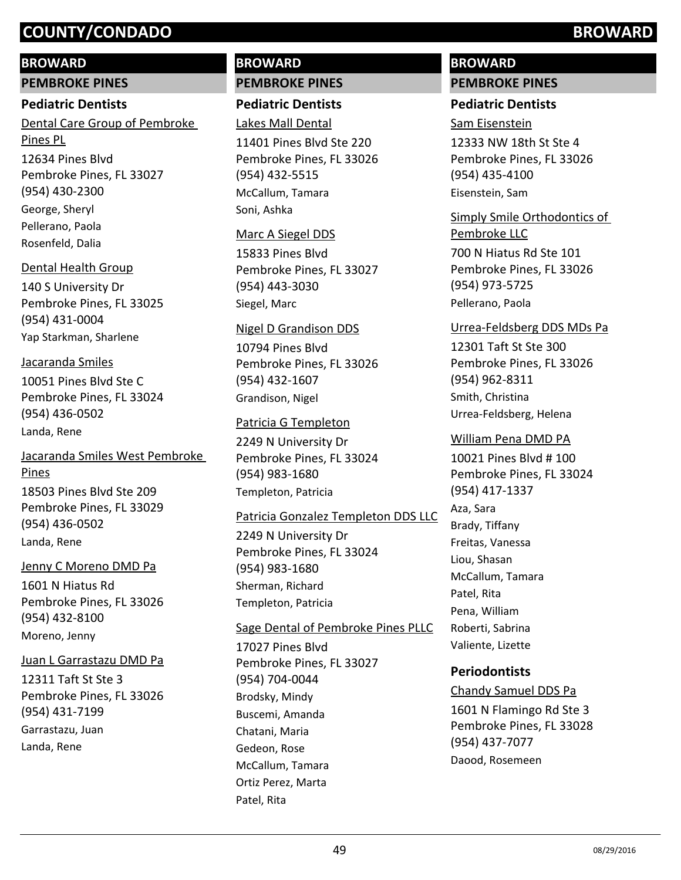# **BROWARD**

**PEMBROKE PINES**

# **Pediatric Dentists**

12634 Pines Blvd Pembroke Pines, FL 33027 (954) 430-2300 Dental Care Group of Pembroke Pines PL George, Sheryl Pellerano, Paola Rosenfeld, Dalia

# Dental Health Group

140 S University Dr Pembroke Pines, FL 33025 (954) 431-0004 Yap Starkman, Sharlene

# Jacaranda Smiles

10051 Pines Blvd Ste C Pembroke Pines, FL 33024 (954) 436-0502 Landa, Rene

# Jacaranda Smiles West Pembroke Pines

18503 Pines Blvd Ste 209 Pembroke Pines, FL 33029 (954) 436-0502 Landa, Rene

# Jenny C Moreno DMD Pa

1601 N Hiatus Rd Pembroke Pines, FL 33026 (954) 432-8100 Moreno, Jenny

# Juan L Garrastazu DMD Pa

12311 Taft St Ste 3 Pembroke Pines, FL 33026 (954) 431-7199 Garrastazu, Juan Landa, Rene

# **BROWARD PEMBROKE PINES**

**Pediatric Dentists**

Lakes Mall Dental

11401 Pines Blvd Ste 220 Pembroke Pines, FL 33026 (954) 432-5515 McCallum, Tamara Soni, Ashka

# Marc A Siegel DDS

15833 Pines Blvd Pembroke Pines, FL 33027 (954) 443-3030 Siegel, Marc

# Nigel D Grandison DDS

10794 Pines Blvd Pembroke Pines, FL 33026 (954) 432-1607 Grandison, Nigel

# Patricia G Templeton

2249 N University Dr Pembroke Pines, FL 33024 (954) 983-1680 Templeton, Patricia

# Patricia Gonzalez Templeton DDS LLC

2249 N University Dr Pembroke Pines, FL 33024 (954) 983-1680 Sherman, Richard Templeton, Patricia

# Sage Dental of Pembroke Pines PLLC

17027 Pines Blvd Pembroke Pines, FL 33027 (954) 704-0044 Brodsky, Mindy Buscemi, Amanda Chatani, Maria Gedeon, Rose McCallum, Tamara Ortiz Perez, Marta Patel, Rita

# **BROWARD PEMBROKE PINES**

# **Pediatric Dentists**

# Sam Eisenstein

12333 NW 18th St Ste 4 Pembroke Pines, FL 33026 (954) 435-4100 Eisenstein, Sam

# Simply Smile Orthodontics of

700 N Hiatus Rd Ste 101 Pembroke Pines, FL 33026 (954) 973-5725 Pembroke LLC Pellerano, Paola

# Urrea-Feldsberg DDS MDs Pa

12301 Taft St Ste 300 Pembroke Pines, FL 33026 (954) 962-8311 Smith, Christina Urrea-Feldsberg, Helena

# William Pena DMD PA

10021 Pines Blvd # 100 Pembroke Pines, FL 33024 (954) 417-1337 Aza, Sara Brady, Tiffany Freitas, Vanessa Liou, Shasan McCallum, Tamara Patel, Rita Pena, William Roberti, Sabrina Valiente, Lizette

# **Periodontists**

1601 N Flamingo Rd Ste 3 Pembroke Pines, FL 33028 (954) 437-7077 Chandy Samuel DDS Pa Daood, Rosemeen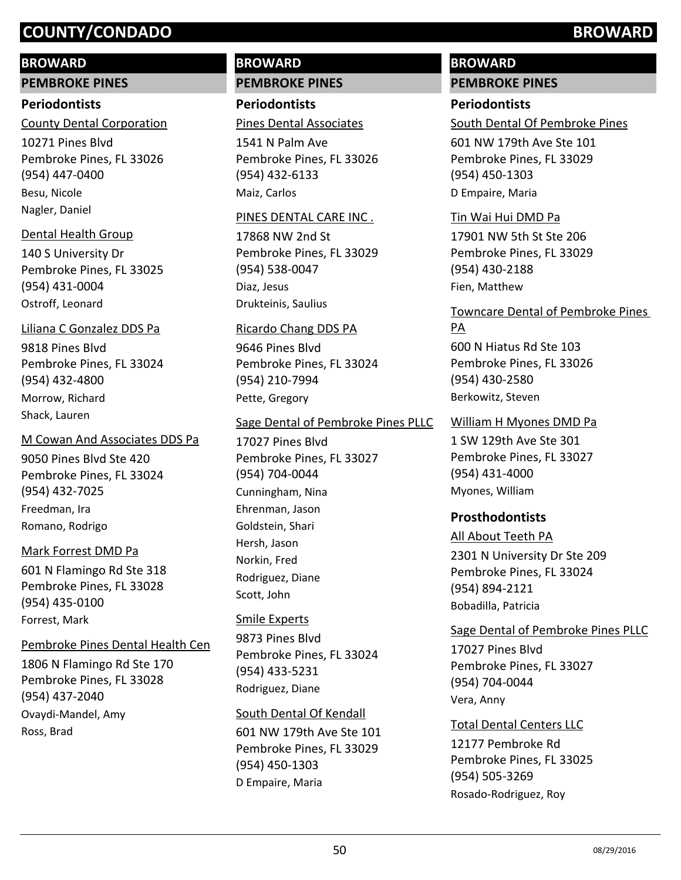## **BROWARD**

**PEMBROKE PINES**

#### **Periodontists**

10271 Pines Blvd Pembroke Pines, FL 33026 (954) 447-0400 County Dental Corporation Besu, Nicole Nagler, Daniel

## Dental Health Group

140 S University Dr Pembroke Pines, FL 33025 (954) 431-0004 Ostroff, Leonard

# Liliana C Gonzalez DDS Pa

9818 Pines Blvd Pembroke Pines, FL 33024 (954) 432-4800 Morrow, Richard Shack, Lauren

# M Cowan And Associates DDS Pa

9050 Pines Blvd Ste 420 Pembroke Pines, FL 33024 (954) 432-7025 Freedman, Ira Romano, Rodrigo

# Mark Forrest DMD Pa

601 N Flamingo Rd Ste 318 Pembroke Pines, FL 33028 (954) 435-0100 Forrest, Mark

# Pembroke Pines Dental Health Cen

1806 N Flamingo Rd Ste 170 Pembroke Pines, FL 33028 (954) 437-2040 Ovaydi-Mandel, Amy Ross, Brad

# **BROWARD PEMBROKE PINES**

**Periodontists** Pines Dental Associates

1541 N Palm Ave Pembroke Pines, FL 33026 (954) 432-6133 Maiz, Carlos

## PINES DENTAL CARE INC .

17868 NW 2nd St Pembroke Pines, FL 33029 (954) 538-0047 Diaz, Jesus Drukteinis, Saulius

# Ricardo Chang DDS PA

9646 Pines Blvd Pembroke Pines, FL 33024 (954) 210-7994 Pette, Gregory

# Sage Dental of Pembroke Pines PLLC

17027 Pines Blvd Pembroke Pines, FL 33027 (954) 704-0044 Cunningham, Nina Ehrenman, Jason Goldstein, Shari Hersh, Jason Norkin, Fred Rodriguez, Diane Scott, John

# Smile Experts

9873 Pines Blvd Pembroke Pines, FL 33024 (954) 433-5231 Rodriguez, Diane

## South Dental Of Kendall

601 NW 179th Ave Ste 101 Pembroke Pines, FL 33029 (954) 450-1303 D Empaire, Maria

# **BROWARD PEMBROKE PINES**

# **Periodontists**

South Dental Of Pembroke Pines

601 NW 179th Ave Ste 101 Pembroke Pines, FL 33029 (954) 450-1303 D Empaire, Maria

## Tin Wai Hui DMD Pa

17901 NW 5th St Ste 206 Pembroke Pines, FL 33029 (954) 430-2188 Fien, Matthew

## Towncare Dental of Pembroke Pines PA

600 N Hiatus Rd Ste 103 Pembroke Pines, FL 33026 (954) 430-2580 Berkowitz, Steven

## William H Myones DMD Pa

1 SW 129th Ave Ste 301 Pembroke Pines, FL 33027 (954) 431-4000 Myones, William

# **Prosthodontists**

## All About Teeth PA

2301 N University Dr Ste 209 Pembroke Pines, FL 33024 (954) 894-2121 Bobadilla, Patricia

# Sage Dental of Pembroke Pines PLLC

17027 Pines Blvd Pembroke Pines, FL 33027 (954) 704-0044 Vera, Anny

## Total Dental Centers LLC

12177 Pembroke Rd Pembroke Pines, FL 33025 (954) 505-3269 Rosado-Rodriguez, Roy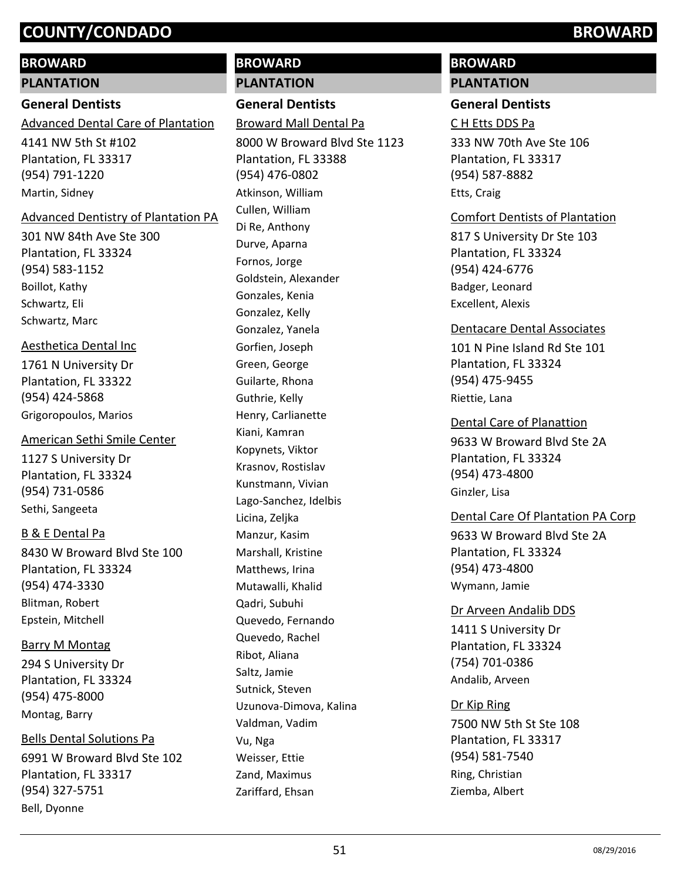# **BROWARD**

#### **PLANTATION**

# **General Dentists**

4141 NW 5th St #102 Plantation, FL 33317 (954) 791-1220 Advanced Dental Care of Plantation Martin, Sidney

#### Advanced Dentistry of Plantation PA

301 NW 84th Ave Ste 300 Plantation, FL 33324 (954) 583-1152 Boillot, Kathy Schwartz, Eli Schwartz, Marc

## Aesthetica Dental Inc

1761 N University Dr Plantation, FL 33322 (954) 424-5868 Grigoropoulos, Marios

## American Sethi Smile Center

1127 S University Dr Plantation, FL 33324 (954) 731-0586 Sethi, Sangeeta

# B & E Dental Pa

8430 W Broward Blvd Ste 100 Plantation, FL 33324 (954) 474-3330 Blitman, Robert Epstein, Mitchell

# Barry M Montag

294 S University Dr Plantation, FL 33324 (954) 475-8000 Montag, Barry

# Bells Dental Solutions Pa

6991 W Broward Blvd Ste 102 Plantation, FL 33317 (954) 327-5751 Bell, Dyonne

# **BROWARD PLANTATION**

**General Dentists**

Broward Mall Dental Pa

8000 W Broward Blvd Ste 1123 Plantation, FL 33388 (954) 476-0802 Atkinson, William Cullen, William Di Re, Anthony Durve, Aparna Fornos, Jorge Goldstein, Alexander Gonzales, Kenia Gonzalez, Kelly Gonzalez, Yanela Gorfien, Joseph Green, George Guilarte, Rhona Guthrie, Kelly Henry, Carlianette Kiani, Kamran Kopynets, Viktor Krasnov, Rostislav Kunstmann, Vivian Lago-Sanchez, Idelbis Licina, Zeljka Manzur, Kasim Marshall, Kristine Matthews, Irina Mutawalli, Khalid Qadri, Subuhi Quevedo, Fernando Quevedo, Rachel Ribot, Aliana Saltz, Jamie Sutnick, Steven Uzunova-Dimova, Kalina Valdman, Vadim Vu, Nga Weisser, Ettie Zand, Maximus Zariffard, Ehsan

# **BROWARD**

# **PLANTATION**

# **General Dentists**

C H Etts DDS Pa

333 NW 70th Ave Ste 106 Plantation, FL 33317 (954) 587-8882 Etts, Craig

# Comfort Dentists of Plantation

817 S University Dr Ste 103 Plantation, FL 33324 (954) 424-6776 Badger, Leonard Excellent, Alexis

## Dentacare Dental Associates

101 N Pine Island Rd Ste 101 Plantation, FL 33324 (954) 475-9455 Riettie, Lana

9633 W Broward Blvd Ste 2A Plantation, FL 33324 (954) 473-4800 Dental Care of Planattion Ginzler, Lisa

# Dental Care Of Plantation PA Corp

9633 W Broward Blvd Ste 2A Plantation, FL 33324 (954) 473-4800 Wymann, Jamie

## Dr Arveen Andalib DDS

1411 S University Dr Plantation, FL 33324 (754) 701-0386 Andalib, Arveen

## Dr Kip Ring

7500 NW 5th St Ste 108 Plantation, FL 33317 (954) 581-7540 Ring, Christian Ziemba, Albert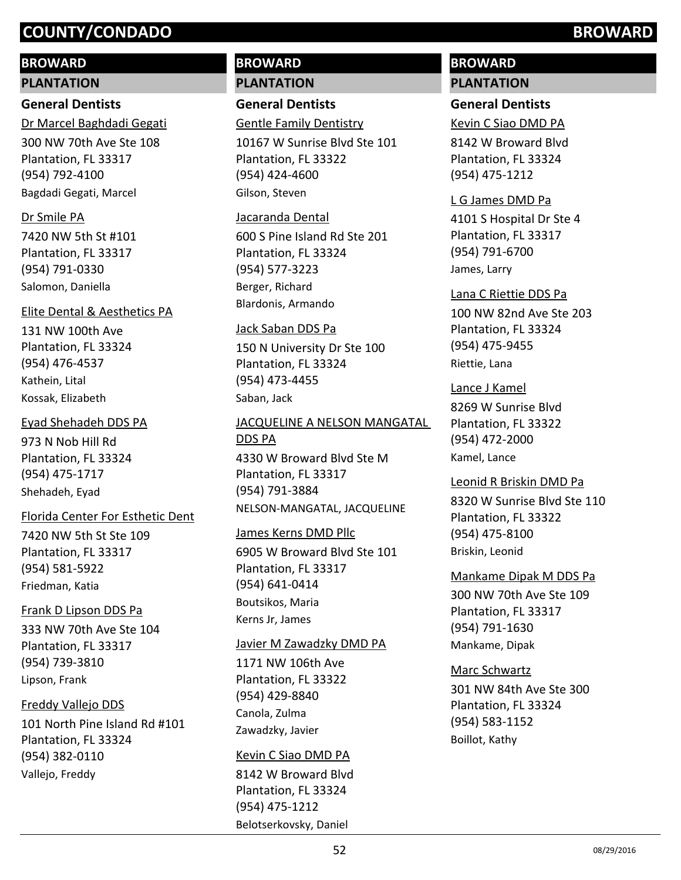# **BROWARD**

#### **PLANTATION**

# **General Dentists**

300 NW 70th Ave Ste 108 Plantation, FL 33317 (954) 792-4100 Dr Marcel Baghdadi Gegati Bagdadi Gegati, Marcel

## Dr Smile PA

7420 NW 5th St #101 Plantation, FL 33317 (954) 791-0330 Salomon, Daniella

# Elite Dental & Aesthetics PA

131 NW 100th Ave Plantation, FL 33324 (954) 476-4537 Kathein, Lital Kossak, Elizabeth

# Eyad Shehadeh DDS PA

973 N Nob Hill Rd Plantation, FL 33324 (954) 475-1717 Shehadeh, Eyad

## Florida Center For Esthetic Dent

7420 NW 5th St Ste 109 Plantation, FL 33317 (954) 581-5922 Friedman, Katia

# Frank D Lipson DDS Pa

333 NW 70th Ave Ste 104 Plantation, FL 33317 (954) 739-3810 Lipson, Frank

# Freddy Vallejo DDS

101 North Pine Island Rd #101 Plantation, FL 33324 (954) 382-0110 Vallejo, Freddy

# **BROWARD PLANTATION**

**General Dentists**

# Gentle Family Dentistry

10167 W Sunrise Blvd Ste 101 Plantation, FL 33322 (954) 424-4600 Gilson, Steven

#### Jacaranda Dental

600 S Pine Island Rd Ste 201 Plantation, FL 33324 (954) 577-3223 Berger, Richard Blardonis, Armando

## Jack Saban DDS Pa

150 N University Dr Ste 100 Plantation, FL 33324 (954) 473-4455 Saban, Jack

# 4330 W Broward Blvd Ste M Plantation, FL 33317 (954) 791-3884 JACQUELINE A NELSON MANGATAL DDS PA NELSON-MANGATAL, JACQUELINE

## James Kerns DMD Pllc

6905 W Broward Blvd Ste 101 Plantation, FL 33317 (954) 641-0414 Boutsikos, Maria Kerns Jr, James

## Javier M Zawadzky DMD PA

1171 NW 106th Ave Plantation, FL 33322 (954) 429-8840 Canola, Zulma Zawadzky, Javier

## Kevin C Siao DMD PA

8142 W Broward Blvd Plantation, FL 33324 (954) 475-1212 Belotserkovsky, Daniel

# **BROWARD PLANTATION**

# **General Dentists**

Kevin C Siao DMD PA

8142 W Broward Blvd Plantation, FL 33324 (954) 475-1212

# 4101 S Hospital Dr Ste 4 L G James DMD Pa

Plantation, FL 33317 (954) 791-6700 James, Larry

# Lana C Riettie DDS Pa

100 NW 82nd Ave Ste 203 Plantation, FL 33324 (954) 475-9455 Riettie, Lana

# Lance J Kamel

8269 W Sunrise Blvd Plantation, FL 33322 (954) 472-2000 Kamel, Lance

# Leonid R Briskin DMD Pa

8320 W Sunrise Blvd Ste 110 Plantation, FL 33322 (954) 475-8100 Briskin, Leonid

## Mankame Dipak M DDS Pa

300 NW 70th Ave Ste 109 Plantation, FL 33317 (954) 791-1630 Mankame, Dipak

# Marc Schwartz

301 NW 84th Ave Ste 300 Plantation, FL 33324 (954) 583-1152 Boillot, Kathy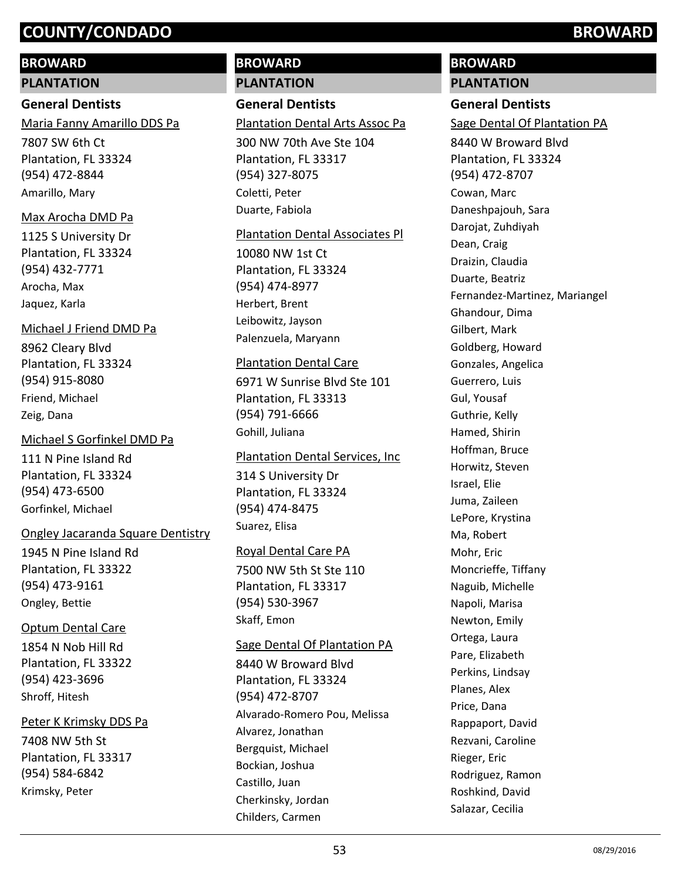# **BROWARD**

#### **PLANTATION**

## **General Dentists**

Maria Fanny Amarillo DDS Pa

7807 SW 6th Ct Plantation, FL 33324 (954) 472-8844 Amarillo, Mary

## Max Arocha DMD Pa

1125 S University Dr Plantation, FL 33324 (954) 432-7771 Arocha, Max Jaquez, Karla

## Michael J Friend DMD Pa

8962 Cleary Blvd Plantation, FL 33324 (954) 915-8080 Friend, Michael Zeig, Dana

## Michael S Gorfinkel DMD Pa

111 N Pine Island Rd Plantation, FL 33324 (954) 473-6500 Gorfinkel, Michael

## Ongley Jacaranda Square Dentistry

1945 N Pine Island Rd Plantation, FL 33322 (954) 473-9161 Ongley, Bettie

# Optum Dental Care

1854 N Nob Hill Rd Plantation, FL 33322 (954) 423-3696 Shroff, Hitesh

# Peter K Krimsky DDS Pa

7408 NW 5th St Plantation, FL 33317 (954) 584-6842 Krimsky, Peter

# **BROWARD PLANTATION**

# **General Dentists**

# Plantation Dental Arts Assoc Pa

300 NW 70th Ave Ste 104 Plantation, FL 33317 (954) 327-8075 Coletti, Peter Duarte, Fabiola

## Plantation Dental Associates Pl

10080 NW 1st Ct Plantation, FL 33324 (954) 474-8977 Herbert, Brent Leibowitz, Jayson Palenzuela, Maryann

## Plantation Dental Care

6971 W Sunrise Blvd Ste 101 Plantation, FL 33313 (954) 791-6666 Gohill, Juliana

## Plantation Dental Services, Inc

314 S University Dr Plantation, FL 33324 (954) 474-8475 Suarez, Elisa

# Royal Dental Care PA

7500 NW 5th St Ste 110 Plantation, FL 33317 (954) 530-3967 Skaff, Emon

## Sage Dental Of Plantation PA

8440 W Broward Blvd Plantation, FL 33324 (954) 472-8707 Alvarado-Romero Pou, Melissa Alvarez, Jonathan Bergquist, Michael Bockian, Joshua Castillo, Juan Cherkinsky, Jordan Childers, Carmen

# **BROWARD PLANTATION**

# **General Dentists**

# Sage Dental Of Plantation PA

8440 W Broward Blvd Plantation, FL 33324 (954) 472-8707 Cowan, Marc Daneshpajouh, Sara Darojat, Zuhdiyah Dean, Craig Draizin, Claudia Duarte, Beatriz Fernandez-Martinez, Mariangel Ghandour, Dima Gilbert, Mark Goldberg, Howard Gonzales, Angelica Guerrero, Luis Gul, Yousaf Guthrie, Kelly Hamed, Shirin Hoffman, Bruce Horwitz, Steven Israel, Elie Juma, Zaileen LePore, Krystina Ma, Robert Mohr, Eric Moncrieffe, Tiffany Naguib, Michelle Napoli, Marisa Newton, Emily Ortega, Laura Pare, Elizabeth Perkins, Lindsay Planes, Alex Price, Dana Rappaport, David Rezvani, Caroline Rieger, Eric Rodriguez, Ramon Roshkind, David Salazar, Cecilia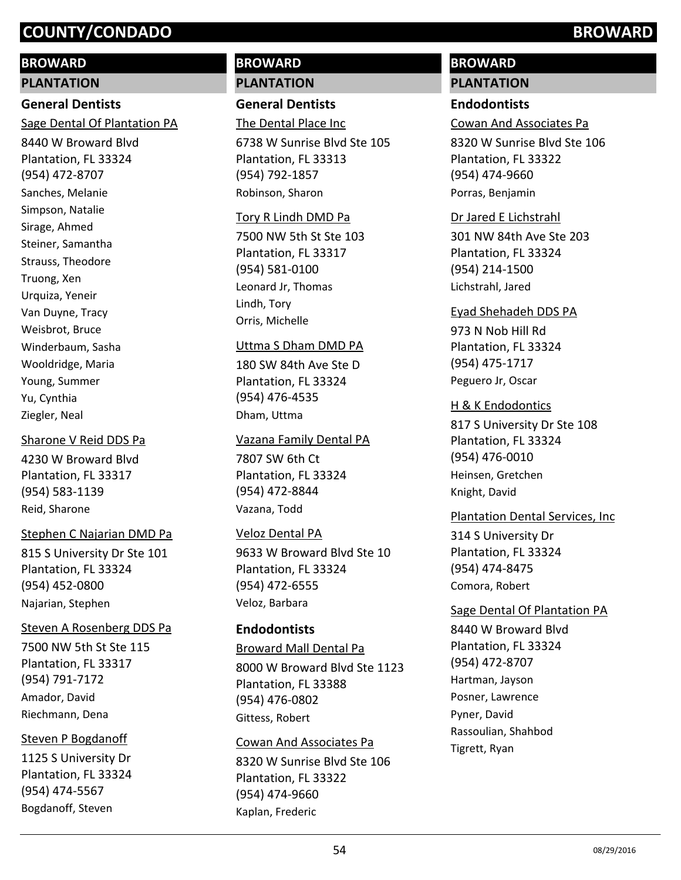## **BROWARD**

#### **PLANTATION**

# **General Dentists**

Sage Dental Of Plantation PA

8440 W Broward Blvd Plantation, FL 33324 (954) 472-8707 Sanches, Melanie Simpson, Natalie Sirage, Ahmed Steiner, Samantha Strauss, Theodore Truong, Xen Urquiza, Yeneir Van Duyne, Tracy Weisbrot, Bruce Winderbaum, Sasha Wooldridge, Maria Young, Summer Yu, Cynthia Ziegler, Neal

#### Sharone V Reid DDS Pa

4230 W Broward Blvd Plantation, FL 33317 (954) 583-1139 Reid, Sharone

## Stephen C Najarian DMD Pa

815 S University Dr Ste 101 Plantation, FL 33324 (954) 452-0800 Najarian, Stephen

## Steven A Rosenberg DDS Pa

7500 NW 5th St Ste 115 Plantation, FL 33317 (954) 791-7172 Amador, David Riechmann, Dena

## Steven P Bogdanoff

1125 S University Dr Plantation, FL 33324 (954) 474-5567 Bogdanoff, Steven

# **BROWARD PLANTATION**

# **General Dentists**

The Dental Place Inc

6738 W Sunrise Blvd Ste 105 Plantation, FL 33313 (954) 792-1857 Robinson, Sharon

#### Tory R Lindh DMD Pa

7500 NW 5th St Ste 103 Plantation, FL 33317 (954) 581-0100 Leonard Jr, Thomas Lindh, Tory Orris, Michelle

#### Uttma S Dham DMD PA

180 SW 84th Ave Ste D Plantation, FL 33324 (954) 476-4535 Dham, Uttma

#### Vazana Family Dental PA

7807 SW 6th Ct Plantation, FL 33324 (954) 472-8844 Vazana, Todd

## Veloz Dental PA

9633 W Broward Blvd Ste 10 Plantation, FL 33324 (954) 472-6555 Veloz, Barbara

# **Endodontists**

8000 W Broward Blvd Ste 1123 Plantation, FL 33388 (954) 476-0802 Broward Mall Dental Pa Gittess, Robert

# 8320 W Sunrise Blvd Ste 106 Plantation, FL 33322 (954) 474-9660 Cowan And Associates Pa Kaplan, Frederic

# **BROWARD**

# **PLANTATION**

# **Endodontists**

Cowan And Associates Pa

8320 W Sunrise Blvd Ste 106 Plantation, FL 33322 (954) 474-9660 Porras, Benjamin

## Dr Jared E Lichstrahl

301 NW 84th Ave Ste 203 Plantation, FL 33324 (954) 214-1500 Lichstrahl, Jared

#### Eyad Shehadeh DDS PA

973 N Nob Hill Rd Plantation, FL 33324 (954) 475-1717 Peguero Jr, Oscar

# **H & K Endodontics**

817 S University Dr Ste 108 Plantation, FL 33324 (954) 476-0010 Heinsen, Gretchen Knight, David

## Plantation Dental Services, Inc

314 S University Dr Plantation, FL 33324 (954) 474-8475 Comora, Robert

## Sage Dental Of Plantation PA

8440 W Broward Blvd Plantation, FL 33324 (954) 472-8707 Hartman, Jayson Posner, Lawrence Pyner, David Rassoulian, Shahbod Tigrett, Ryan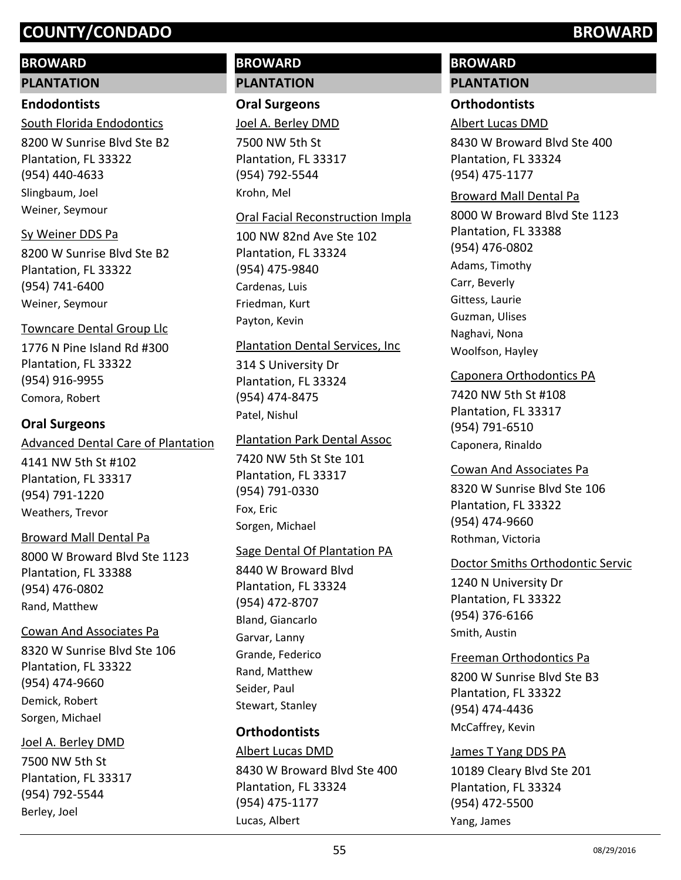# **BROWARD**

#### **PLANTATION**

## **Endodontists**

8200 W Sunrise Blvd Ste B2 Plantation, FL 33322 (954) 440-4633 South Florida Endodontics Slingbaum, Joel Weiner, Seymour

## Sy Weiner DDS Pa

8200 W Sunrise Blvd Ste B2 Plantation, FL 33322 (954) 741-6400 Weiner, Seymour

#### Towncare Dental Group Llc

1776 N Pine Island Rd #300 Plantation, FL 33322 (954) 916-9955 Comora, Robert

# **Oral Surgeons**

#### Advanced Dental Care of Plantation

4141 NW 5th St #102 Plantation, FL 33317 (954) 791-1220 Weathers, Trevor

## Broward Mall Dental Pa

8000 W Broward Blvd Ste 1123 Plantation, FL 33388 (954) 476-0802 Rand, Matthew

#### Cowan And Associates Pa

8320 W Sunrise Blvd Ste 106 Plantation, FL 33322 (954) 474-9660 Demick, Robert Sorgen, Michael

#### Joel A. Berley DMD

7500 NW 5th St Plantation, FL 33317 (954) 792-5544 Berley, Joel

# **BROWARD PLANTATION**

# **Oral Surgeons**

Joel A. Berley DMD

7500 NW 5th St Plantation, FL 33317 (954) 792-5544 Krohn, Mel

#### Oral Facial Reconstruction Impla

100 NW 82nd Ave Ste 102 Plantation, FL 33324 (954) 475-9840 Cardenas, Luis Friedman, Kurt Payton, Kevin

#### Plantation Dental Services, Inc

314 S University Dr Plantation, FL 33324 (954) 474-8475 Patel, Nishul

## Plantation Park Dental Assoc

7420 NW 5th St Ste 101 Plantation, FL 33317 (954) 791-0330 Fox, Eric Sorgen, Michael

## Sage Dental Of Plantation PA

8440 W Broward Blvd Plantation, FL 33324 (954) 472-8707 Bland, Giancarlo Garvar, Lanny Grande, Federico Rand, Matthew Seider, Paul Stewart, Stanley

# **Orthodontists**

8430 W Broward Blvd Ste 400 Plantation, FL 33324 (954) 475-1177 Albert Lucas DMD Lucas, Albert

# **BROWARD**

# **PLANTATION**

# **Orthodontists**

Albert Lucas DMD

8430 W Broward Blvd Ste 400 Plantation, FL 33324 (954) 475-1177

#### Broward Mall Dental Pa

8000 W Broward Blvd Ste 1123 Plantation, FL 33388 (954) 476-0802 Adams, Timothy Carr, Beverly Gittess, Laurie Guzman, Ulises Naghavi, Nona Woolfson, Hayley

## Caponera Orthodontics PA

7420 NW 5th St #108 Plantation, FL 33317 (954) 791-6510 Caponera, Rinaldo

#### Cowan And Associates Pa

8320 W Sunrise Blvd Ste 106 Plantation, FL 33322 (954) 474-9660 Rothman, Victoria

## Doctor Smiths Orthodontic Servic

1240 N University Dr Plantation, FL 33322 (954) 376-6166 Smith, Austin

# Freeman Orthodontics Pa

8200 W Sunrise Blvd Ste B3 Plantation, FL 33322 (954) 474-4436 McCaffrey, Kevin

## James T Yang DDS PA

10189 Cleary Blvd Ste 201 Plantation, FL 33324 (954) 472-5500 Yang, James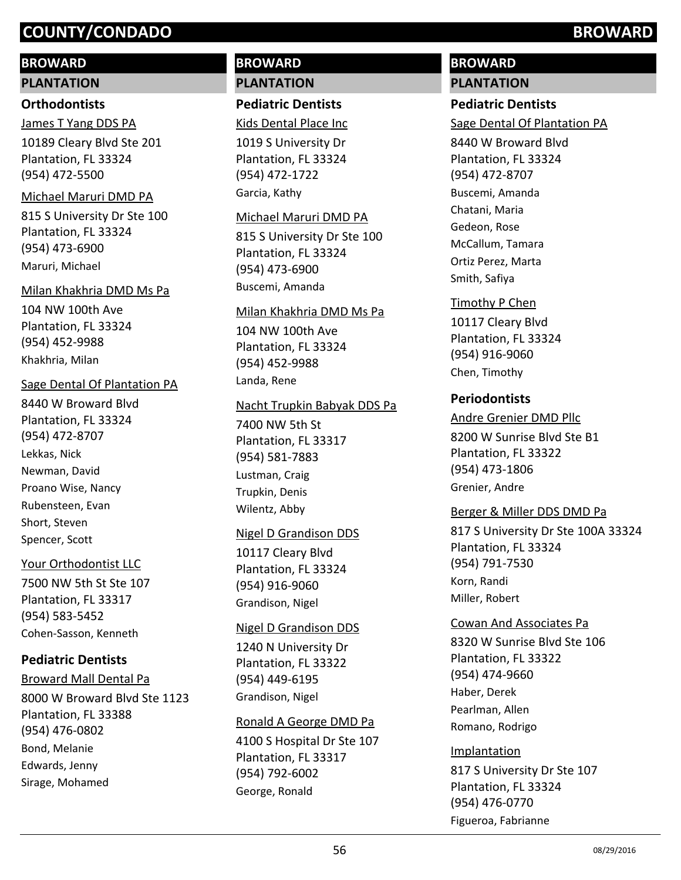# **BROWARD**

# **PLANTATION**

# **Orthodontists**

James T Yang DDS PA

10189 Cleary Blvd Ste 201 Plantation, FL 33324 (954) 472-5500

# Michael Maruri DMD PA

815 S University Dr Ste 100 Plantation, FL 33324 (954) 473-6900 Maruri, Michael

# Milan Khakhria DMD Ms Pa

104 NW 100th Ave Plantation, FL 33324 (954) 452-9988 Khakhria, Milan

# Sage Dental Of Plantation PA

8440 W Broward Blvd Plantation, FL 33324 (954) 472-8707 Lekkas, Nick Newman, David Proano Wise, Nancy Rubensteen, Evan Short, Steven Spencer, Scott

# Your Orthodontist LLC

7500 NW 5th St Ste 107 Plantation, FL 33317 (954) 583-5452 Cohen-Sasson, Kenneth

# **Pediatric Dentists**

8000 W Broward Blvd Ste 1123 Plantation, FL 33388 (954) 476-0802 Broward Mall Dental Pa Bond, Melanie Edwards, Jenny Sirage, Mohamed

# **BROWARD PLANTATION**

# **Pediatric Dentists**

Kids Dental Place Inc

1019 S University Dr Plantation, FL 33324 (954) 472-1722 Garcia, Kathy

# Michael Maruri DMD PA

815 S University Dr Ste 100 Plantation, FL 33324 (954) 473-6900 Buscemi, Amanda

# Milan Khakhria DMD Ms Pa

104 NW 100th Ave Plantation, FL 33324 (954) 452-9988 Landa, Rene

# Nacht Trupkin Babyak DDS Pa

7400 NW 5th St Plantation, FL 33317 (954) 581-7883 Lustman, Craig Trupkin, Denis Wilentz, Abby

# Nigel D Grandison DDS

10117 Cleary Blvd Plantation, FL 33324 (954) 916-9060 Grandison, Nigel

# Nigel D Grandison DDS

1240 N University Dr Plantation, FL 33322 (954) 449-6195 Grandison, Nigel

# Ronald A George DMD Pa

4100 S Hospital Dr Ste 107 Plantation, FL 33317 (954) 792-6002 George, Ronald

# **BROWARD PLANTATION**

# **Pediatric Dentists**

Sage Dental Of Plantation PA

8440 W Broward Blvd Plantation, FL 33324 (954) 472-8707 Buscemi, Amanda Chatani, Maria Gedeon, Rose McCallum, Tamara Ortiz Perez, Marta Smith, Safiya

# Timothy P Chen

10117 Cleary Blvd Plantation, FL 33324 (954) 916-9060 Chen, Timothy

# **Periodontists**

# Andre Grenier DMD Pllc

8200 W Sunrise Blvd Ste B1 Plantation, FL 33322 (954) 473-1806 Grenier, Andre

# Berger & Miller DDS DMD Pa

817 S University Dr Ste 100A 33324 Plantation, FL 33324 (954) 791-7530 Korn, Randi Miller, Robert

# Cowan And Associates Pa

8320 W Sunrise Blvd Ste 106 Plantation, FL 33322 (954) 474-9660 Haber, Derek Pearlman, Allen Romano, Rodrigo

# Implantation

817 S University Dr Ste 107 Plantation, FL 33324 (954) 476-0770 Figueroa, Fabrianne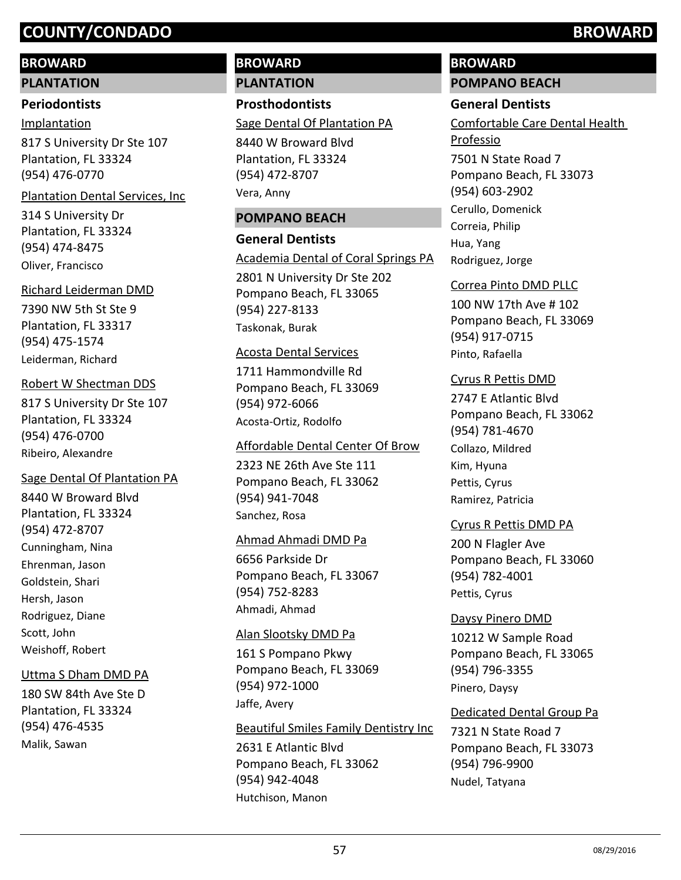# **BROWARD**

# **PLANTATION**

# **Periodontists**

# Implantation

817 S University Dr Ste 107 Plantation, FL 33324 (954) 476-0770

# Plantation Dental Services, Inc

314 S University Dr Plantation, FL 33324 (954) 474-8475 Oliver, Francisco

# Richard Leiderman DMD

7390 NW 5th St Ste 9 Plantation, FL 33317 (954) 475-1574 Leiderman, Richard

# Robert W Shectman DDS

817 S University Dr Ste 107 Plantation, FL 33324 (954) 476-0700 Ribeiro, Alexandre

# Sage Dental Of Plantation PA

8440 W Broward Blvd Plantation, FL 33324 (954) 472-8707 Cunningham, Nina Ehrenman, Jason Goldstein, Shari Hersh, Jason Rodriguez, Diane Scott, John Weishoff, Robert

# Uttma S Dham DMD PA

180 SW 84th Ave Ste D Plantation, FL 33324 (954) 476-4535 Malik, Sawan

# **BROWARD PLANTATION**

**Prosthodontists**

Sage Dental Of Plantation PA

8440 W Broward Blvd Plantation, FL 33324 (954) 472-8707 Vera, Anny

# **POMPANO BEACH**

# **General Dentists**

Academia Dental of Coral Springs PA

2801 N University Dr Ste 202 Pompano Beach, FL 33065 (954) 227-8133 Taskonak, Burak

# Acosta Dental Services

1711 Hammondville Rd Pompano Beach, FL 33069 (954) 972-6066 Acosta-Ortiz, Rodolfo

# Affordable Dental Center Of Brow

2323 NE 26th Ave Ste 111 Pompano Beach, FL 33062 (954) 941-7048 Sanchez, Rosa

# Ahmad Ahmadi DMD Pa

6656 Parkside Dr Pompano Beach, FL 33067 (954) 752-8283 Ahmadi, Ahmad

# Alan Slootsky DMD Pa

161 S Pompano Pkwy Pompano Beach, FL 33069 (954) 972-1000 Jaffe, Avery

# Beautiful Smiles Family Dentistry Inc

2631 E Atlantic Blvd Pompano Beach, FL 33062 (954) 942-4048 Hutchison, Manon

# **BROWARD**

# **POMPANO BEACH**

# **General Dentists**

7501 N State Road 7 Comfortable Care Dental Health Professio

Pompano Beach, FL 33073 (954) 603-2902 Cerullo, Domenick Correia, Philip Hua, Yang Rodriguez, Jorge

# Correa Pinto DMD PLLC

100 NW 17th Ave # 102 Pompano Beach, FL 33069 (954) 917-0715 Pinto, Rafaella

# Cyrus R Pettis DMD

2747 E Atlantic Blvd Pompano Beach, FL 33062 (954) 781-4670 Collazo, Mildred Kim, Hyuna Pettis, Cyrus Ramirez, Patricia

# Cyrus R Pettis DMD PA

200 N Flagler Ave Pompano Beach, FL 33060 (954) 782-4001 Pettis, Cyrus

# Daysy Pinero DMD

10212 W Sample Road Pompano Beach, FL 33065 (954) 796-3355 Pinero, Daysy

# Dedicated Dental Group Pa

7321 N State Road 7 Pompano Beach, FL 33073 (954) 796-9900 Nudel, Tatyana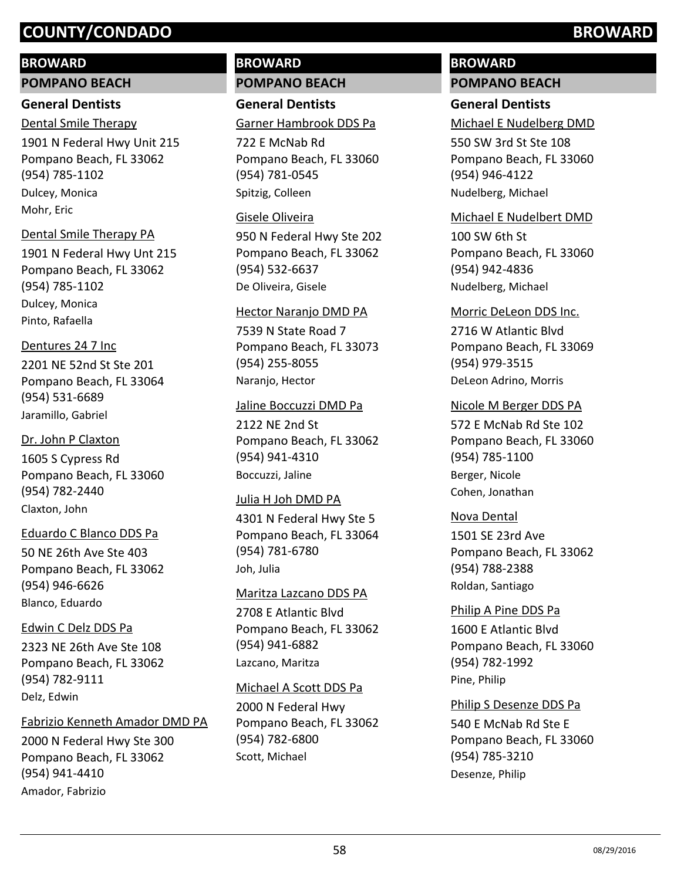## **BROWARD**

**POMPANO BEACH**

# **General Dentists**

1901 N Federal Hwy Unit 215 Pompano Beach, FL 33062 (954) 785-1102 Dental Smile Therapy Dulcey, Monica Mohr, Eric

## Dental Smile Therapy PA

1901 N Federal Hwy Unt 215 Pompano Beach, FL 33062 (954) 785-1102 Dulcey, Monica Pinto, Rafaella

## Dentures 24 7 Inc

2201 NE 52nd St Ste 201 Pompano Beach, FL 33064 (954) 531-6689 Jaramillo, Gabriel

# Dr. John P Claxton

1605 S Cypress Rd Pompano Beach, FL 33060 (954) 782-2440 Claxton, John

## Eduardo C Blanco DDS Pa

50 NE 26th Ave Ste 403 Pompano Beach, FL 33062 (954) 946-6626 Blanco, Eduardo

# Edwin C Delz DDS Pa

2323 NE 26th Ave Ste 108 Pompano Beach, FL 33062 (954) 782-9111 Delz, Edwin

# Fabrizio Kenneth Amador DMD PA

2000 N Federal Hwy Ste 300 Pompano Beach, FL 33062 (954) 941-4410 Amador, Fabrizio

# **BROWARD POMPANO BEACH**

**General Dentists** Garner Hambrook DDS Pa

722 E McNab Rd Pompano Beach, FL 33060 (954) 781-0545 Spitzig, Colleen

## Gisele Oliveira

950 N Federal Hwy Ste 202 Pompano Beach, FL 33062 (954) 532-6637 De Oliveira, Gisele

## Hector Naranjo DMD PA

7539 N State Road 7 Pompano Beach, FL 33073 (954) 255-8055 Naranjo, Hector

## Jaline Boccuzzi DMD Pa

2122 NE 2nd St Pompano Beach, FL 33062 (954) 941-4310 Boccuzzi, Jaline

## Julia H Joh DMD PA

4301 N Federal Hwy Ste 5 Pompano Beach, FL 33064 (954) 781-6780 Joh, Julia

## Maritza Lazcano DDS PA

2708 E Atlantic Blvd Pompano Beach, FL 33062 (954) 941-6882 Lazcano, Maritza

## Michael A Scott DDS Pa

2000 N Federal Hwy Pompano Beach, FL 33062 (954) 782-6800 Scott, Michael

# **BROWARD**

# **POMPANO BEACH**

# **General Dentists**

Michael E Nudelberg DMD

550 SW 3rd St Ste 108 Pompano Beach, FL 33060 (954) 946-4122 Nudelberg, Michael

## Michael E Nudelbert DMD

100 SW 6th St Pompano Beach, FL 33060 (954) 942-4836 Nudelberg, Michael

#### Morric DeLeon DDS Inc.

2716 W Atlantic Blvd Pompano Beach, FL 33069 (954) 979-3515 DeLeon Adrino, Morris

## Nicole M Berger DDS PA

572 E McNab Rd Ste 102 Pompano Beach, FL 33060 (954) 785-1100 Berger, Nicole Cohen, Jonathan

## Nova Dental

1501 SE 23rd Ave Pompano Beach, FL 33062 (954) 788-2388 Roldan, Santiago

## Philip A Pine DDS Pa

1600 E Atlantic Blvd Pompano Beach, FL 33060 (954) 782-1992 Pine, Philip

## Philip S Desenze DDS Pa

540 E McNab Rd Ste E Pompano Beach, FL 33060 (954) 785-3210 Desenze, Philip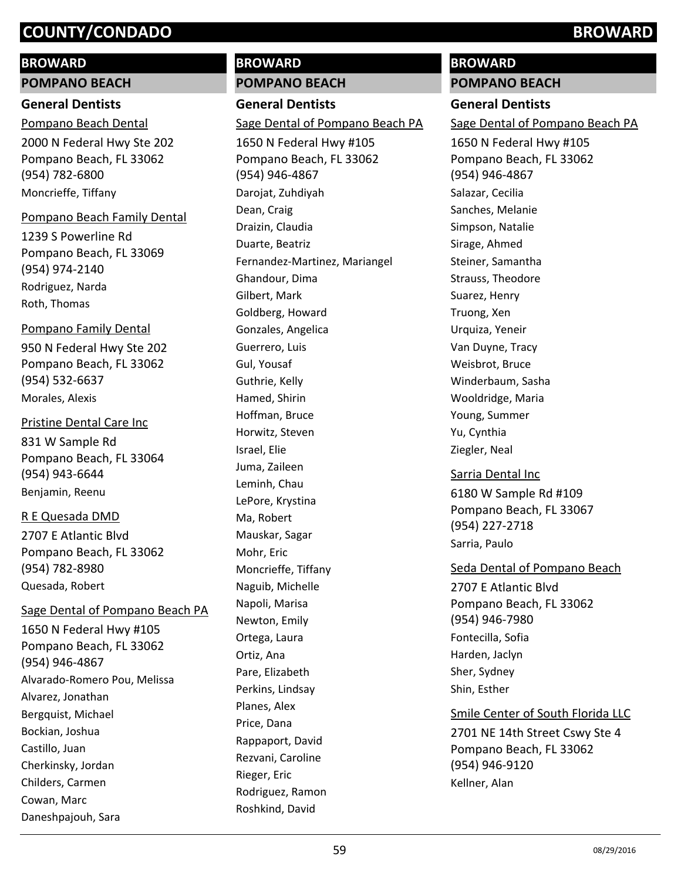# **BROWARD**

**POMPANO BEACH**

# **General Dentists**

2000 N Federal Hwy Ste 202 Pompano Beach, FL 33062 (954) 782-6800 Pompano Beach Dental Moncrieffe, Tiffany

## Pompano Beach Family Dental

1239 S Powerline Rd Pompano Beach, FL 33069 (954) 974-2140 Rodriguez, Narda Roth, Thomas

## Pompano Family Dental

950 N Federal Hwy Ste 202 Pompano Beach, FL 33062 (954) 532-6637 Morales, Alexis

# Pristine Dental Care Inc

831 W Sample Rd Pompano Beach, FL 33064 (954) 943-6644 Benjamin, Reenu

# R E Quesada DMD

2707 E Atlantic Blvd Pompano Beach, FL 33062 (954) 782-8980 Quesada, Robert

## Sage Dental of Pompano Beach PA

1650 N Federal Hwy #105 Pompano Beach, FL 33062 (954) 946-4867 Alvarado-Romero Pou, Melissa Alvarez, Jonathan Bergquist, Michael Bockian, Joshua Castillo, Juan Cherkinsky, Jordan Childers, Carmen Cowan, Marc Daneshpajouh, Sara

# **BROWARD**

**POMPANO BEACH General Dentists** 1650 N Federal Hwy #105 Pompano Beach, FL 33062 (954) 946-4867 Sage Dental of Pompano Beach PA Darojat, Zuhdiyah Dean, Craig Draizin, Claudia Duarte, Beatriz Fernandez-Martinez, Mariangel Ghandour, Dima Gilbert, Mark Goldberg, Howard Gonzales, Angelica Guerrero, Luis Gul, Yousaf Guthrie, Kelly Hamed, Shirin Hoffman, Bruce Horwitz, Steven Israel, Elie Juma, Zaileen Leminh, Chau LePore, Krystina Ma, Robert Mauskar, Sagar Mohr, Eric Moncrieffe, Tiffany Naguib, Michelle Napoli, Marisa Newton, Emily Ortega, Laura

# **BROWARD**

**POMPANO BEACH**

# **General Dentists**

Sage Dental of Pompano Beach PA

1650 N Federal Hwy #105 Pompano Beach, FL 33062 (954) 946-4867 Salazar, Cecilia Sanches, Melanie Simpson, Natalie Sirage, Ahmed Steiner, Samantha Strauss, Theodore Suarez, Henry Truong, Xen Urquiza, Yeneir Van Duyne, Tracy Weisbrot, Bruce Winderbaum, Sasha Wooldridge, Maria Young, Summer Yu, Cynthia Ziegler, Neal

6180 W Sample Rd #109 Pompano Beach, FL 33067 (954) 227-2718 Sarria Dental Inc Sarria, Paulo

2707 E Atlantic Blvd Pompano Beach, FL 33062 (954) 946-7980 Seda Dental of Pompano Beach Fontecilla, Sofia Harden, Jaclyn Sher, Sydney Shin, Esther

2701 NE 14th Street Cswy Ste 4 Pompano Beach, FL 33062 (954) 946-9120 Smile Center of South Florida LLC Kellner, Alan

Ortiz, Ana Pare, Elizabeth Perkins, Lindsay Planes, Alex Price, Dana

Rappaport, David Rezvani, Caroline

Rodriguez, Ramon Roshkind, David

Rieger, Eric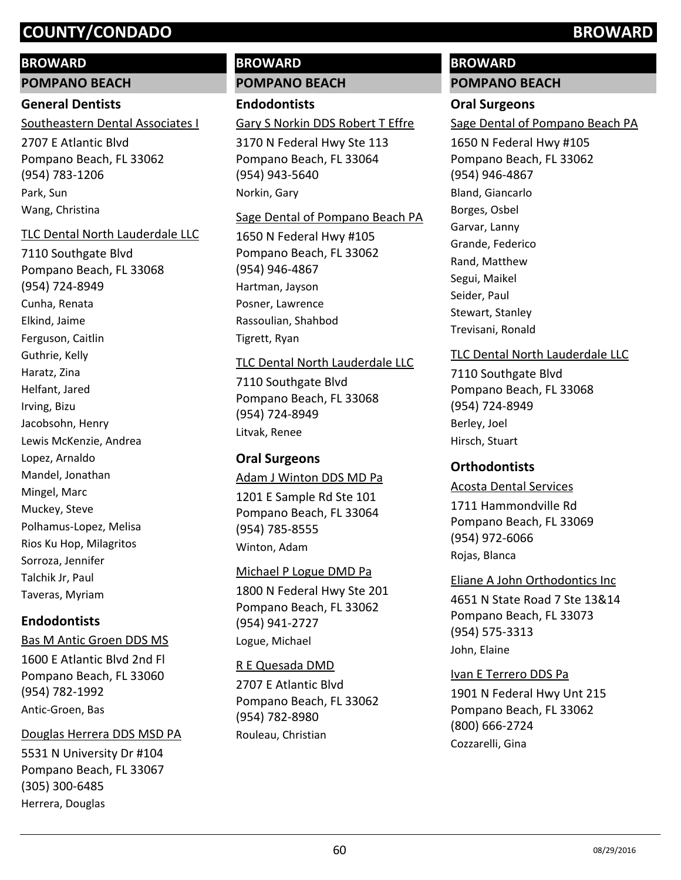# **BROWARD**

**POMPANO BEACH**

# **General Dentists**

Southeastern Dental Associates I

2707 E Atlantic Blvd Pompano Beach, FL 33062 (954) 783-1206 Park, Sun Wang, Christina

## TLC Dental North Lauderdale LLC

7110 Southgate Blvd Pompano Beach, FL 33068 (954) 724-8949 Cunha, Renata Elkind, Jaime Ferguson, Caitlin Guthrie, Kelly Haratz, Zina Helfant, Jared Irving, Bizu Jacobsohn, Henry Lewis McKenzie, Andrea Lopez, Arnaldo Mandel, Jonathan Mingel, Marc Muckey, Steve Polhamus-Lopez, Melisa Rios Ku Hop, Milagritos Sorroza, Jennifer Talchik Jr, Paul Taveras, Myriam

# **Endodontists**

1600 E Atlantic Blvd 2nd Fl Pompano Beach, FL 33060 (954) 782-1992 Bas M Antic Groen DDS MS Antic-Groen, Bas

## Douglas Herrera DDS MSD PA

5531 N University Dr #104 Pompano Beach, FL 33067 (305) 300-6485 Herrera, Douglas

# **BROWARD POMPANO BEACH**

**Endodontists**

# Gary S Norkin DDS Robert T Effre

3170 N Federal Hwy Ste 113 Pompano Beach, FL 33064 (954) 943-5640 Norkin, Gary

## Sage Dental of Pompano Beach PA

1650 N Federal Hwy #105 Pompano Beach, FL 33062 (954) 946-4867 Hartman, Jayson Posner, Lawrence Rassoulian, Shahbod Tigrett, Ryan

# TLC Dental North Lauderdale LLC

7110 Southgate Blvd Pompano Beach, FL 33068 (954) 724-8949 Litvak, Renee

# **Oral Surgeons**

# Adam J Winton DDS MD Pa

1201 E Sample Rd Ste 101 Pompano Beach, FL 33064 (954) 785-8555 Winton, Adam

# Michael P Logue DMD Pa

1800 N Federal Hwy Ste 201 Pompano Beach, FL 33062 (954) 941-2727 Logue, Michael

# R E Quesada DMD

2707 E Atlantic Blvd Pompano Beach, FL 33062 (954) 782-8980 Rouleau, Christian

# **BROWARD POMPANO BEACH**

# **Oral Surgeons**

Sage Dental of Pompano Beach PA

1650 N Federal Hwy #105 Pompano Beach, FL 33062 (954) 946-4867 Bland, Giancarlo Borges, Osbel Garvar, Lanny Grande, Federico Rand, Matthew Segui, Maikel Seider, Paul Stewart, Stanley Trevisani, Ronald

# TLC Dental North Lauderdale LLC

7110 Southgate Blvd Pompano Beach, FL 33068 (954) 724-8949 Berley, Joel Hirsch, Stuart

# **Orthodontists**

## Acosta Dental Services

1711 Hammondville Rd Pompano Beach, FL 33069 (954) 972-6066 Rojas, Blanca

# Eliane A John Orthodontics Inc

4651 N State Road 7 Ste 13&14 Pompano Beach, FL 33073 (954) 575-3313 John, Elaine

# Ivan E Terrero DDS Pa

1901 N Federal Hwy Unt 215 Pompano Beach, FL 33062 (800) 666-2724 Cozzarelli, Gina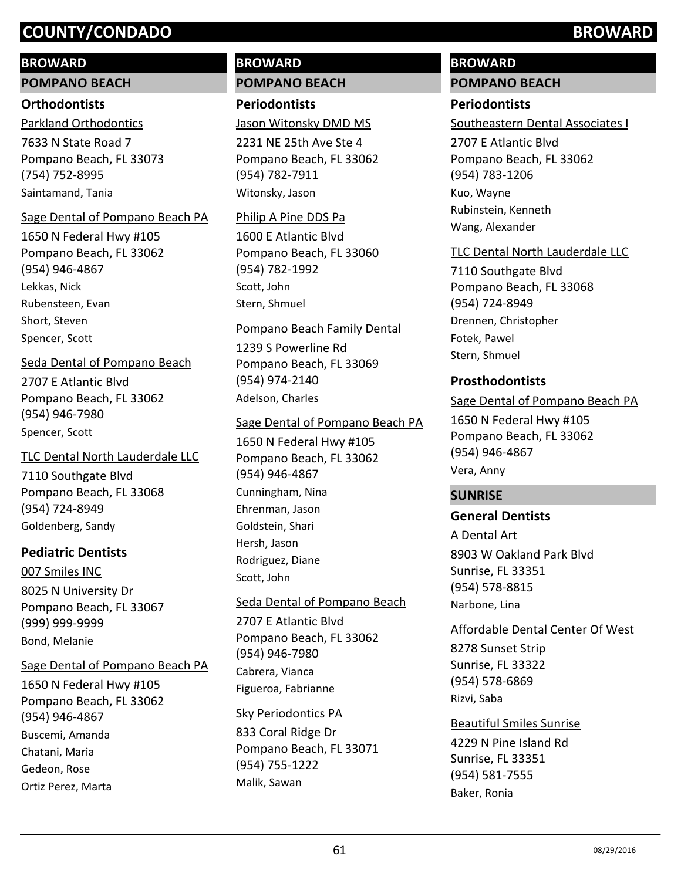## **BROWARD**

#### **POMPANO BEACH**

## **Orthodontists**

7633 N State Road 7 Pompano Beach, FL 33073 (754) 752-8995 Parkland Orthodontics Saintamand, Tania

#### Sage Dental of Pompano Beach PA

1650 N Federal Hwy #105 Pompano Beach, FL 33062 (954) 946-4867 Lekkas, Nick Rubensteen, Evan Short, Steven Spencer, Scott

## Seda Dental of Pompano Beach

2707 E Atlantic Blvd Pompano Beach, FL 33062 (954) 946-7980 Spencer, Scott

## TLC Dental North Lauderdale LLC

7110 Southgate Blvd Pompano Beach, FL 33068 (954) 724-8949 Goldenberg, Sandy

## **Pediatric Dentists**

8025 N University Dr Pompano Beach, FL 33067 (999) 999-9999 007 Smiles INC Bond, Melanie

## Sage Dental of Pompano Beach PA

1650 N Federal Hwy #105 Pompano Beach, FL 33062 (954) 946-4867 Buscemi, Amanda Chatani, Maria Gedeon, Rose Ortiz Perez, Marta

# **BROWARD POMPANO BEACH**

**Periodontists** Jason Witonsky DMD MS

2231 NE 25th Ave Ste 4 Pompano Beach, FL 33062 (954) 782-7911 Witonsky, Jason

#### Philip A Pine DDS Pa

1600 E Atlantic Blvd Pompano Beach, FL 33060 (954) 782-1992 Scott, John Stern, Shmuel

#### Pompano Beach Family Dental

1239 S Powerline Rd Pompano Beach, FL 33069 (954) 974-2140 Adelson, Charles

## Sage Dental of Pompano Beach PA

1650 N Federal Hwy #105 Pompano Beach, FL 33062 (954) 946-4867 Cunningham, Nina Ehrenman, Jason Goldstein, Shari Hersh, Jason Rodriguez, Diane Scott, John

## Seda Dental of Pompano Beach

2707 E Atlantic Blvd Pompano Beach, FL 33062 (954) 946-7980 Cabrera, Vianca Figueroa, Fabrianne

#### Sky Periodontics PA

833 Coral Ridge Dr Pompano Beach, FL 33071 (954) 755-1222 Malik, Sawan

# **BROWARD POMPANO BEACH**

# **Periodontists**

# Southeastern Dental Associates I

2707 E Atlantic Blvd Pompano Beach, FL 33062 (954) 783-1206 Kuo, Wayne Rubinstein, Kenneth Wang, Alexander

## TLC Dental North Lauderdale LLC

7110 Southgate Blvd Pompano Beach, FL 33068 (954) 724-8949 Drennen, Christopher Fotek, Pawel Stern, Shmuel

## **Prosthodontists**

## Sage Dental of Pompano Beach PA

1650 N Federal Hwy #105 Pompano Beach, FL 33062 (954) 946-4867 Vera, Anny

## **SUNRISE**

# **General Dentists**

8903 W Oakland Park Blvd Sunrise, FL 33351 (954) 578-8815 A Dental Art Narbone, Lina

## Affordable Dental Center Of West

8278 Sunset Strip Sunrise, FL 33322 (954) 578-6869 Rizvi, Saba

4229 N Pine Island Rd Sunrise, FL 33351 (954) 581-7555 Beautiful Smiles Sunrise Baker, Ronia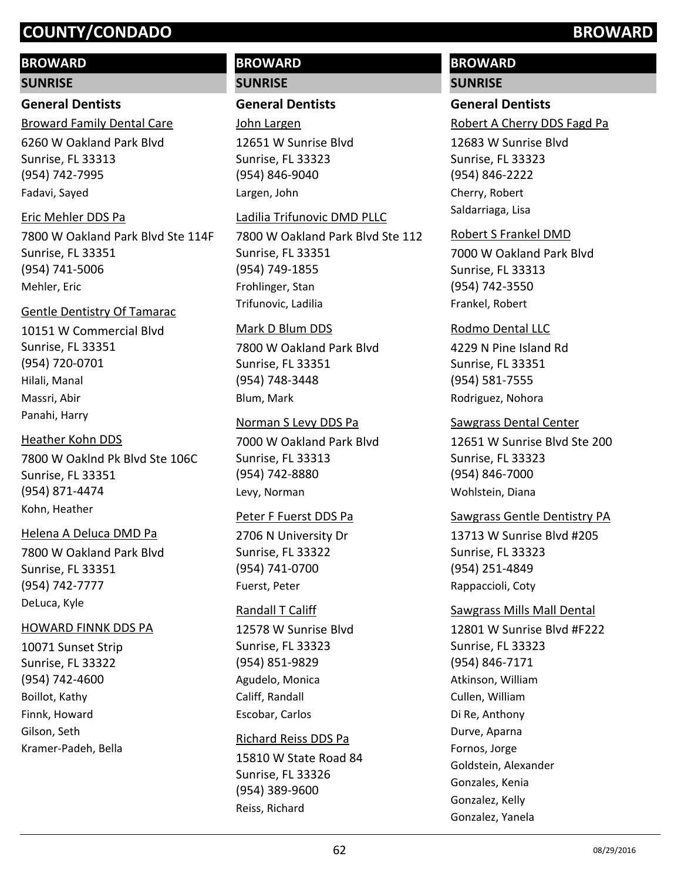# **BROWARD**

#### **SUNRISE**

# **General Dentists**

6260 W Oakland Park Blvd Sunrise, FL 33313 (954) 742-7995 Broward Family Dental Care Fadavi, Sayed

## Eric Mehler DDS Pa

7800 W Oakland Park Blvd Ste 114F Sunrise, FL 33351 (954) 741-5006 Mehler, Eric

## Gentle Dentistry Of Tamarac

10151 W Commercial Blvd Sunrise, FL 33351 (954) 720-0701 Hilali, Manal Massri, Abir Panahi, Harry

# Heather Kohn DDS

7800 W Oaklnd Pk Blvd Ste 106C Sunrise, FL 33351 (954) 871-4474 Kohn, Heather

## Helena A Deluca DMD Pa

7800 W Oakland Park Blvd Sunrise, FL 33351 (954) 742-7777 DeLuca, Kyle

## HOWARD FINNK DDS PA

10071 Sunset Strip Sunrise, FL 33322 (954) 742-4600 Boillot, Kathy Finnk, Howard Gilson, Seth Kramer-Padeh, Bella

# **BROWARD SUNRISE**

# **General Dentists**

John Largen

12651 W Sunrise Blvd Sunrise, FL 33323 (954) 846-9040 Largen, John

#### Ladilia Trifunovic DMD PLLC

7800 W Oakland Park Blvd Ste 112 Sunrise, FL 33351 (954) 749-1855 Frohlinger, Stan Trifunovic, Ladilia

#### Mark D Blum DDS

7800 W Oakland Park Blvd Sunrise, FL 33351 (954) 748-3448 Blum, Mark

Norman S Levy DDS Pa

7000 W Oakland Park Blvd Sunrise, FL 33313 (954) 742-8880 Levy, Norman

## Peter F Fuerst DDS Pa

2706 N University Dr Sunrise, FL 33322 (954) 741-0700 Fuerst, Peter

## Randall T Califf

12578 W Sunrise Blvd Sunrise, FL 33323 (954) 851-9829 Agudelo, Monica Califf, Randall Escobar, Carlos

## Richard Reiss DDS Pa

15810 W State Road 84 Sunrise, FL 33326 (954) 389-9600 Reiss, Richard

# **BROWARD**

**SUNRISE**

# **General Dentists**

Robert A Cherry DDS Fagd Pa

12683 W Sunrise Blvd Sunrise, FL 33323 (954) 846-2222 Cherry, Robert Saldarriaga, Lisa

## Robert S Frankel DMD

7000 W Oakland Park Blvd Sunrise, FL 33313 (954) 742-3550 Frankel, Robert

# Rodmo Dental LLC

4229 N Pine Island Rd Sunrise, FL 33351 (954) 581-7555 Rodriguez, Nohora

## Sawgrass Dental Center

12651 W Sunrise Blvd Ste 200 Sunrise, FL 33323 (954) 846-7000 Wohlstein, Diana

# Sawgrass Gentle Dentistry PA

13713 W Sunrise Blvd #205 Sunrise, FL 33323 (954) 251-4849 Rappaccioli, Coty

## Sawgrass Mills Mall Dental

12801 W Sunrise Blvd #F222 Sunrise, FL 33323 (954) 846-7171 Atkinson, William Cullen, William Di Re, Anthony Durve, Aparna Fornos, Jorge Goldstein, Alexander Gonzales, Kenia Gonzalez, Kelly Gonzalez, Yanela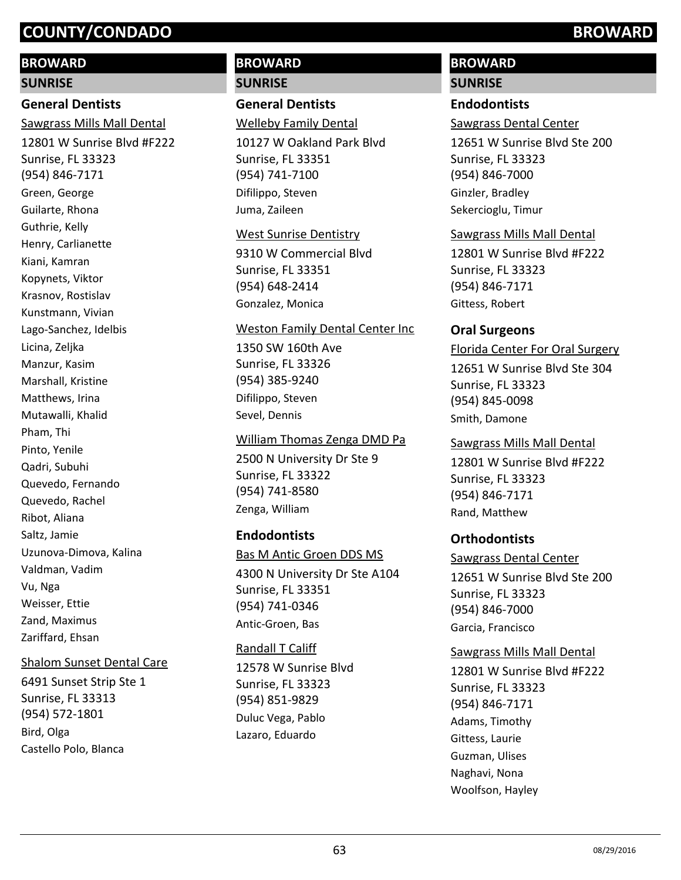# **BROWARD**

#### **SUNRISE**

# **General Dentists**

12801 W Sunrise Blvd #F222 Sunrise, FL 33323 (954) 846-7171 Sawgrass Mills Mall Dental Green, George Guilarte, Rhona Guthrie, Kelly Henry, Carlianette Kiani, Kamran Kopynets, Viktor Krasnov, Rostislav Kunstmann, Vivian Lago-Sanchez, Idelbis Licina, Zeljka Manzur, Kasim Marshall, Kristine Matthews, Irina Mutawalli, Khalid Pham, Thi Pinto, Yenile Qadri, Subuhi Quevedo, Fernando Quevedo, Rachel Ribot, Aliana Saltz, Jamie Uzunova-Dimova, Kalina Valdman, Vadim Vu, Nga Weisser, Ettie Zand, Maximus Zariffard, Ehsan

## Shalom Sunset Dental Care

6491 Sunset Strip Ste 1 Sunrise, FL 33313 (954) 572-1801 Bird, Olga Castello Polo, Blanca

# **BROWARD SUNRISE**

# **General Dentists**

Welleby Family Dental

10127 W Oakland Park Blvd Sunrise, FL 33351 (954) 741-7100 Difilippo, Steven Juma, Zaileen

#### West Sunrise Dentistry

9310 W Commercial Blvd Sunrise, FL 33351 (954) 648-2414 Gonzalez, Monica

#### Weston Family Dental Center Inc

1350 SW 160th Ave Sunrise, FL 33326 (954) 385-9240 Difilippo, Steven Sevel, Dennis

## William Thomas Zenga DMD Pa

2500 N University Dr Ste 9 Sunrise, FL 33322 (954) 741-8580 Zenga, William

# **Endodontists**

Bas M Antic Groen DDS MS

4300 N University Dr Ste A104 Sunrise, FL 33351 (954) 741-0346 Antic-Groen, Bas

# Randall T Califf

12578 W Sunrise Blvd Sunrise, FL 33323 (954) 851-9829 Duluc Vega, Pablo Lazaro, Eduardo

# **BROWARD**

# **SUNRISE**

# **Endodontists**

Sawgrass Dental Center

12651 W Sunrise Blvd Ste 200 Sunrise, FL 33323 (954) 846-7000 Ginzler, Bradley Sekercioglu, Timur

## Sawgrass Mills Mall Dental

12801 W Sunrise Blvd #F222 Sunrise, FL 33323 (954) 846-7171 Gittess, Robert

## **Oral Surgeons**

12651 W Sunrise Blvd Ste 304 Sunrise, FL 33323 (954) 845-0098 Florida Center For Oral Surgery Smith, Damone

## Sawgrass Mills Mall Dental

12801 W Sunrise Blvd #F222 Sunrise, FL 33323 (954) 846-7171 Rand, Matthew

# **Orthodontists**

## Sawgrass Dental Center

12651 W Sunrise Blvd Ste 200 Sunrise, FL 33323 (954) 846-7000 Garcia, Francisco

## Sawgrass Mills Mall Dental

12801 W Sunrise Blvd #F222 Sunrise, FL 33323 (954) 846-7171 Adams, Timothy Gittess, Laurie Guzman, Ulises Naghavi, Nona Woolfson, Hayley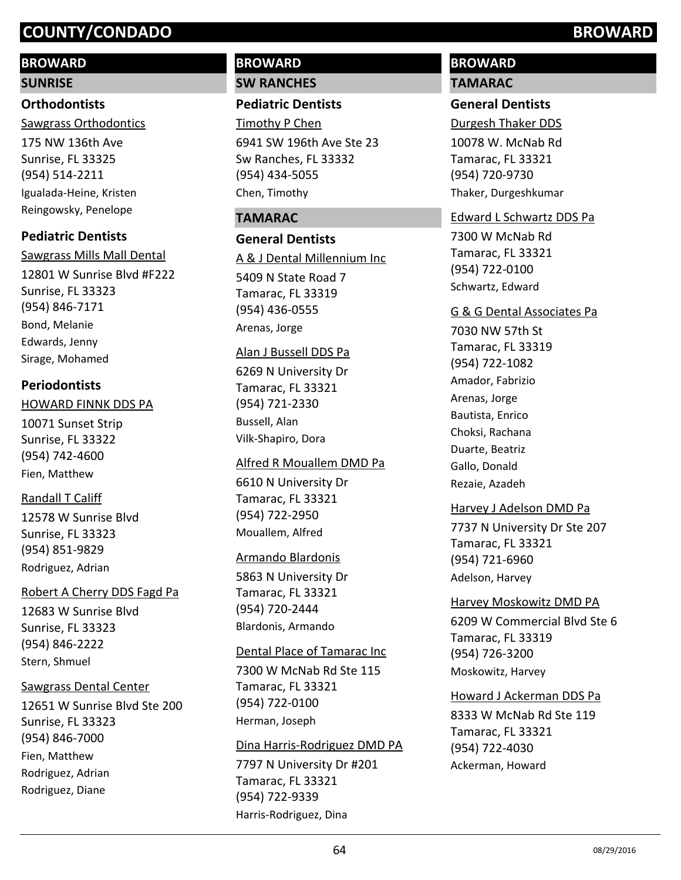# **BROWARD**

#### **SUNRISE**

# **Orthodontists**

175 NW 136th Ave Sunrise, FL 33325 (954) 514-2211 Sawgrass Orthodontics Igualada-Heine, Kristen Reingowsky, Penelope

# **Pediatric Dentists**

12801 W Sunrise Blvd #F222 Sunrise, FL 33323 (954) 846-7171 Sawgrass Mills Mall Dental Bond, Melanie Edwards, Jenny Sirage, Mohamed

# **Periodontists**

## HOWARD FINNK DDS PA

10071 Sunset Strip Sunrise, FL 33322 (954) 742-4600 Fien, Matthew

# Randall T Califf

12578 W Sunrise Blvd Sunrise, FL 33323 (954) 851-9829 Rodriguez, Adrian

## Robert A Cherry DDS Fagd Pa

12683 W Sunrise Blvd Sunrise, FL 33323 (954) 846-2222 Stern, Shmuel

## Sawgrass Dental Center

12651 W Sunrise Blvd Ste 200 Sunrise, FL 33323 (954) 846-7000 Fien, Matthew Rodriguez, Adrian Rodriguez, Diane

# **BROWARD SW RANCHES**

## **Pediatric Dentists**

6941 SW 196th Ave Ste 23 Timothy P Chen

Sw Ranches, FL 33332 (954) 434-5055 Chen, Timothy

# **TAMARAC**

## **General Dentists**

5409 N State Road 7 Tamarac, FL 33319 (954) 436-0555 A & J Dental Millennium Inc Arenas, Jorge

#### Alan J Bussell DDS Pa

6269 N University Dr Tamarac, FL 33321 (954) 721-2330 Bussell, Alan Vilk-Shapiro, Dora

## Alfred R Mouallem DMD Pa

6610 N University Dr Tamarac, FL 33321 (954) 722-2950 Mouallem, Alfred

## Armando Blardonis

5863 N University Dr Tamarac, FL 33321 (954) 720-2444 Blardonis, Armando

#### Dental Place of Tamarac Inc

7300 W McNab Rd Ste 115 Tamarac, FL 33321 (954) 722-0100 Herman, Joseph

## Dina Harris-Rodriguez DMD PA

7797 N University Dr #201 Tamarac, FL 33321 (954) 722-9339 Harris-Rodriguez, Dina

# **BROWARD TAMARAC**

# **General Dentists**

10078 W. McNab Rd Tamarac, FL 33321 (954) 720-9730 Durgesh Thaker DDS Thaker, Durgeshkumar

## Edward L Schwartz DDS Pa

7300 W McNab Rd Tamarac, FL 33321 (954) 722-0100 Schwartz, Edward

#### G & G Dental Associates Pa

7030 NW 57th St Tamarac, FL 33319 (954) 722-1082 Amador, Fabrizio Arenas, Jorge Bautista, Enrico Choksi, Rachana Duarte, Beatriz Gallo, Donald Rezaie, Azadeh

## Harvey J Adelson DMD Pa

7737 N University Dr Ste 207 Tamarac, FL 33321 (954) 721-6960 Adelson, Harvey

## Harvey Moskowitz DMD PA

6209 W Commercial Blvd Ste 6 Tamarac, FL 33319 (954) 726-3200 Moskowitz, Harvey

## Howard J Ackerman DDS Pa

8333 W McNab Rd Ste 119 Tamarac, FL 33321 (954) 722-4030 Ackerman, Howard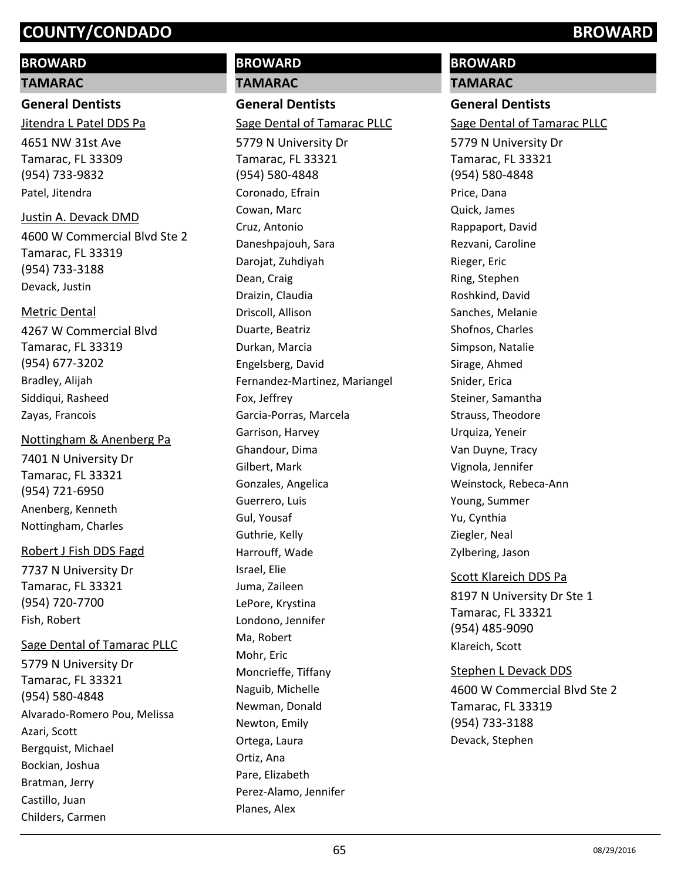# **BROWARD**

**TAMARAC**

**General Dentists** 4651 NW 31st Ave Tamarac, FL 33309 (954) 733-9832 Jitendra L Patel DDS Pa Patel, Jitendra

4600 W Commercial Blvd Ste 2 Tamarac, FL 33319 (954) 733-3188 Justin A. Devack DMD

Devack, Justin

#### Metric Dental

4267 W Commercial Blvd Tamarac, FL 33319 (954) 677-3202 Bradley, Alijah Siddiqui, Rasheed Zayas, Francois

#### Nottingham & Anenberg Pa

7401 N University Dr Tamarac, FL 33321 (954) 721-6950 Anenberg, Kenneth Nottingham, Charles

## Robert J Fish DDS Fagd

7737 N University Dr Tamarac, FL 33321 (954) 720-7700 Fish, Robert

## Sage Dental of Tamarac PLLC

5779 N University Dr Tamarac, FL 33321 (954) 580-4848 Alvarado-Romero Pou, Melissa Azari, Scott Bergquist, Michael Bockian, Joshua Bratman, Jerry Castillo, Juan Childers, Carmen

# **BROWARD TAMARAC**

**General Dentists**

# Sage Dental of Tamarac PLLC

5779 N University Dr Tamarac, FL 33321 (954) 580-4848 Coronado, Efrain Cowan, Marc Cruz, Antonio Daneshpajouh, Sara Darojat, Zuhdiyah Dean, Craig Draizin, Claudia Driscoll, Allison Duarte, Beatriz Durkan, Marcia Engelsberg, David Fernandez-Martinez, Mariangel Fox, Jeffrey Garcia-Porras, Marcela Garrison, Harvey Ghandour, Dima Gilbert, Mark Gonzales, Angelica Guerrero, Luis Gul, Yousaf Guthrie, Kelly Harrouff, Wade Israel, Elie Juma, Zaileen LePore, Krystina Londono, Jennifer Ma, Robert Mohr, Eric Moncrieffe, Tiffany Naguib, Michelle Newman, Donald Newton, Emily Ortega, Laura Ortiz, Ana Pare, Elizabeth Perez-Alamo, Jennifer Planes, Alex

# **BROWARD**

**TAMARAC**

# **General Dentists**

Sage Dental of Tamarac PLLC

5779 N University Dr Tamarac, FL 33321 (954) 580-4848 Price, Dana Quick, James Rappaport, David Rezvani, Caroline Rieger, Eric Ring, Stephen Roshkind, David Sanches, Melanie Shofnos, Charles Simpson, Natalie Sirage, Ahmed Snider, Erica Steiner, Samantha Strauss, Theodore Urquiza, Yeneir Van Duyne, Tracy Vignola, Jennifer Weinstock, Rebeca-Ann Young, Summer Yu, Cynthia Ziegler, Neal Zylbering, Jason

## Scott Klareich DDS Pa

8197 N University Dr Ste 1 Tamarac, FL 33321 (954) 485-9090 Klareich, Scott

## Stephen L Devack DDS

4600 W Commercial Blvd Ste 2 Tamarac, FL 33319 (954) 733-3188 Devack, Stephen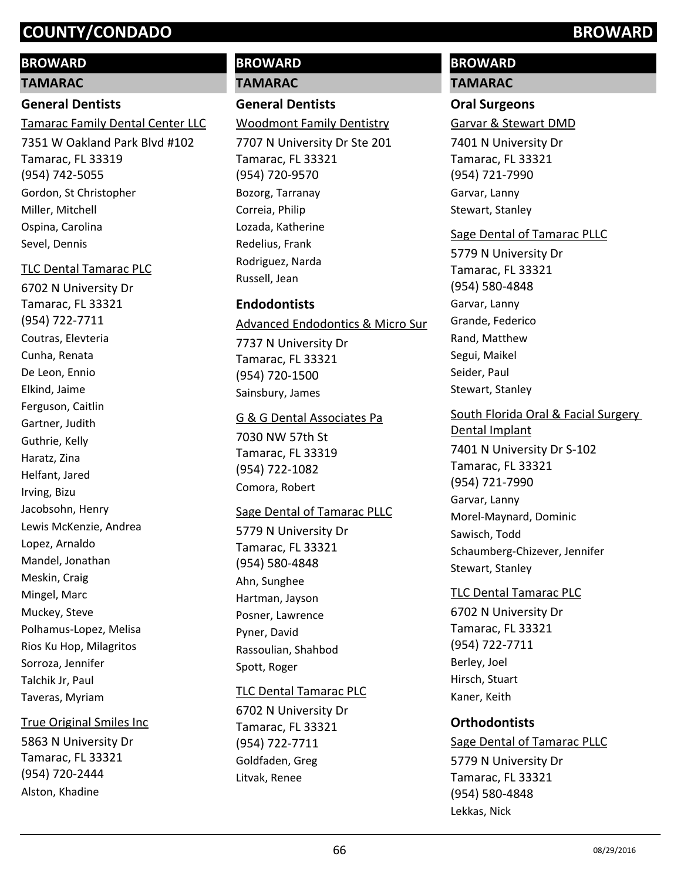## **BROWARD**

#### **TAMARAC**

## **General Dentists**

Tamarac Family Dental Center LLC

7351 W Oakland Park Blvd #102 Tamarac, FL 33319 (954) 742-5055 Gordon, St Christopher Miller, Mitchell Ospina, Carolina Sevel, Dennis

#### TLC Dental Tamarac PLC

6702 N University Dr Tamarac, FL 33321 (954) 722-7711 Coutras, Elevteria Cunha, Renata De Leon, Ennio Elkind, Jaime Ferguson, Caitlin Gartner, Judith Guthrie, Kelly Haratz, Zina Helfant, Jared Irving, Bizu Jacobsohn, Henry Lewis McKenzie, Andrea Lopez, Arnaldo Mandel, Jonathan Meskin, Craig Mingel, Marc Muckey, Steve Polhamus-Lopez, Melisa Rios Ku Hop, Milagritos Sorroza, Jennifer Talchik Jr, Paul Taveras, Myriam

## True Original Smiles Inc

5863 N University Dr Tamarac, FL 33321 (954) 720-2444 Alston, Khadine

# **BROWARD TAMARAC**

# **General Dentists**

# Woodmont Family Dentistry

7707 N University Dr Ste 201 Tamarac, FL 33321 (954) 720-9570 Bozorg, Tarranay Correia, Philip Lozada, Katherine Redelius, Frank Rodriguez, Narda Russell, Jean

# **Endodontists**

## Advanced Endodontics & Micro Sur

7737 N University Dr Tamarac, FL 33321 (954) 720-1500 Sainsbury, James

## G & G Dental Associates Pa

7030 NW 57th St Tamarac, FL 33319 (954) 722-1082 Comora, Robert

## Sage Dental of Tamarac PLLC

5779 N University Dr Tamarac, FL 33321 (954) 580-4848 Ahn, Sunghee Hartman, Jayson Posner, Lawrence Pyner, David Rassoulian, Shahbod Spott, Roger

## TLC Dental Tamarac PLC

6702 N University Dr Tamarac, FL 33321 (954) 722-7711 Goldfaden, Greg Litvak, Renee

# **BROWARD**

# **TAMARAC**

## **Oral Surgeons**

#### Garvar & Stewart DMD

7401 N University Dr Tamarac, FL 33321 (954) 721-7990 Garvar, Lanny Stewart, Stanley

# Sage Dental of Tamarac PLLC

5779 N University Dr Tamarac, FL 33321 (954) 580-4848 Garvar, Lanny Grande, Federico Rand, Matthew Segui, Maikel Seider, Paul Stewart, Stanley

#### South Florida Oral & Facial Surgery Dental Implant

7401 N University Dr S-102 Tamarac, FL 33321 (954) 721-7990 Garvar, Lanny Morel-Maynard, Dominic Sawisch, Todd Schaumberg-Chizever, Jennifer Stewart, Stanley

## TLC Dental Tamarac PLC

6702 N University Dr Tamarac, FL 33321 (954) 722-7711 Berley, Joel Hirsch, Stuart Kaner, Keith

## **Orthodontists**

5779 N University Dr Tamarac, FL 33321 (954) 580-4848 Sage Dental of Tamarac PLLC Lekkas, Nick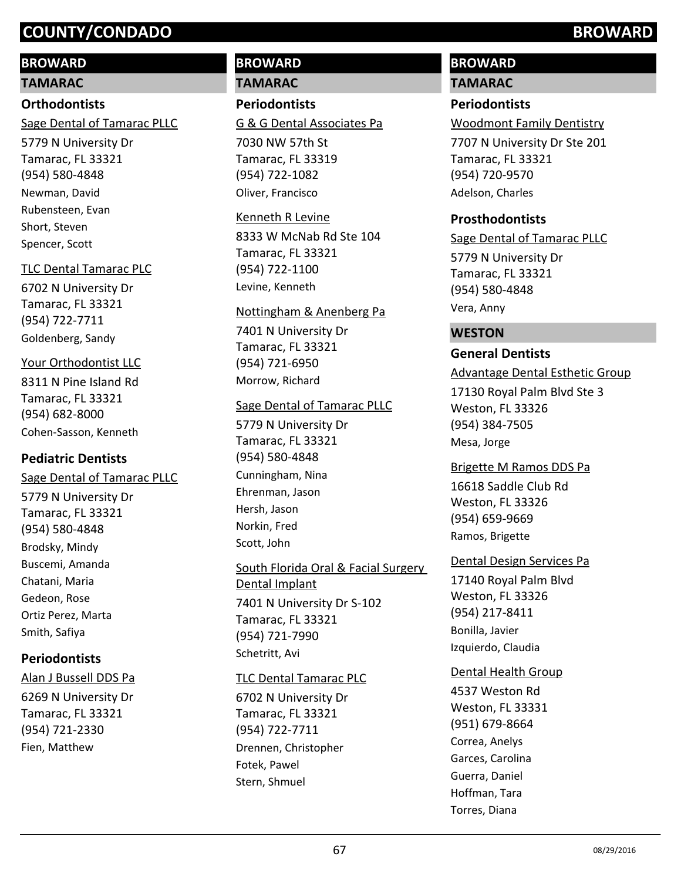# **BROWARD**

#### **TAMARAC**

## **Orthodontists**

Sage Dental of Tamarac PLLC

5779 N University Dr Tamarac, FL 33321 (954) 580-4848 Newman, David Rubensteen, Evan Short, Steven Spencer, Scott

## TLC Dental Tamarac PLC

6702 N University Dr Tamarac, FL 33321 (954) 722-7711 Goldenberg, Sandy

# Your Orthodontist LLC

8311 N Pine Island Rd Tamarac, FL 33321 (954) 682-8000 Cohen-Sasson, Kenneth

# **Pediatric Dentists**

5779 N University Dr Tamarac, FL 33321 (954) 580-4848 Sage Dental of Tamarac PLLC Brodsky, Mindy Buscemi, Amanda Chatani, Maria Gedeon, Rose Ortiz Perez, Marta Smith, Safiya

# **Periodontists**

6269 N University Dr Tamarac, FL 33321 (954) 721-2330 Alan J Bussell DDS Pa Fien, Matthew

# **BROWARD TAMARAC**

**Periodontists** G & G Dental Associates Pa

7030 NW 57th St Tamarac, FL 33319 (954) 722-1082 Oliver, Francisco

#### Kenneth R Levine

8333 W McNab Rd Ste 104 Tamarac, FL 33321 (954) 722-1100 Levine, Kenneth

## Nottingham & Anenberg Pa

7401 N University Dr Tamarac, FL 33321 (954) 721-6950 Morrow, Richard

# Sage Dental of Tamarac PLLC

5779 N University Dr Tamarac, FL 33321 (954) 580-4848 Cunningham, Nina Ehrenman, Jason Hersh, Jason Norkin, Fred Scott, John

# 7401 N University Dr S-102 Tamarac, FL 33321 (954) 721-7990 South Florida Oral & Facial Surgery Dental Implant Schetritt, Avi

# TLC Dental Tamarac PLC

6702 N University Dr Tamarac, FL 33321 (954) 722-7711 Drennen, Christopher Fotek, Pawel Stern, Shmuel

# **BROWARD**

# **TAMARAC**

# **Periodontists**

Woodmont Family Dentistry

7707 N University Dr Ste 201 Tamarac, FL 33321 (954) 720-9570 Adelson, Charles

# **Prosthodontists**

5779 N University Dr Tamarac, FL 33321 (954) 580-4848 Sage Dental of Tamarac PLLC Vera, Anny

# **WESTON**

# **General Dentists**

# Advantage Dental Esthetic Group

17130 Royal Palm Blvd Ste 3 Weston, FL 33326 (954) 384-7505 Mesa, Jorge

# Brigette M Ramos DDS Pa

16618 Saddle Club Rd Weston, FL 33326 (954) 659-9669 Ramos, Brigette

# Dental Design Services Pa

17140 Royal Palm Blvd Weston, FL 33326 (954) 217-8411 Bonilla, Javier Izquierdo, Claudia

# Dental Health Group

4537 Weston Rd Weston, FL 33331 (951) 679-8664 Correa, Anelys Garces, Carolina Guerra, Daniel Hoffman, Tara Torres, Diana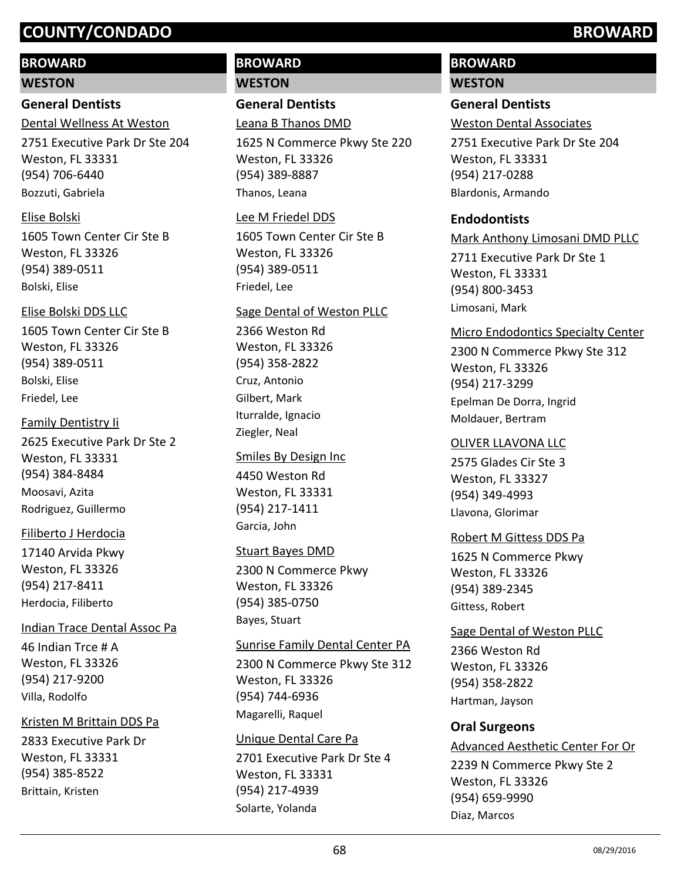# **BROWARD**

#### **WESTON**

# **General Dentists**

2751 Executive Park Dr Ste 204 Weston, FL 33331 (954) 706-6440 Dental Wellness At Weston Bozzuti, Gabriela

## Elise Bolski

1605 Town Center Cir Ste B Weston, FL 33326 (954) 389-0511 Bolski, Elise

#### Elise Bolski DDS LLC

1605 Town Center Cir Ste B Weston, FL 33326 (954) 389-0511 Bolski, Elise Friedel, Lee

#### Family Dentistry Ii

2625 Executive Park Dr Ste 2 Weston, FL 33331 (954) 384-8484 Moosavi, Azita Rodriguez, Guillermo

## Filiberto J Herdocia

17140 Arvida Pkwy Weston, FL 33326 (954) 217-8411 Herdocia, Filiberto

## Indian Trace Dental Assoc Pa

46 Indian Trce # A Weston, FL 33326 (954) 217-9200 Villa, Rodolfo

## Kristen M Brittain DDS Pa

2833 Executive Park Dr Weston, FL 33331 (954) 385-8522 Brittain, Kristen

# **BROWARD WESTON**

**General Dentists**

# Leana B Thanos DMD

1625 N Commerce Pkwy Ste 220 Weston, FL 33326 (954) 389-8887 Thanos, Leana

#### Lee M Friedel DDS

1605 Town Center Cir Ste B Weston, FL 33326 (954) 389-0511 Friedel, Lee

## Sage Dental of Weston PLLC

2366 Weston Rd Weston, FL 33326 (954) 358-2822 Cruz, Antonio Gilbert, Mark Iturralde, Ignacio Ziegler, Neal

## Smiles By Design Inc

4450 Weston Rd Weston, FL 33331 (954) 217-1411 Garcia, John

## Stuart Bayes DMD

2300 N Commerce Pkwy Weston, FL 33326 (954) 385-0750 Bayes, Stuart

## Sunrise Family Dental Center PA

2300 N Commerce Pkwy Ste 312 Weston, FL 33326 (954) 744-6936 Magarelli, Raquel

## Unique Dental Care Pa

2701 Executive Park Dr Ste 4 Weston, FL 33331 (954) 217-4939 Solarte, Yolanda

# **BROWARD**

## **WESTON**

# **General Dentists**

Weston Dental Associates

2751 Executive Park Dr Ste 204 Weston, FL 33331 (954) 217-0288 Blardonis, Armando

## **Endodontists**

2711 Executive Park Dr Ste 1 Weston, FL 33331 (954) 800-3453 Mark Anthony Limosani DMD PLLC Limosani, Mark

#### Micro Endodontics Specialty Center

2300 N Commerce Pkwy Ste 312 Weston, FL 33326 (954) 217-3299 Epelman De Dorra, Ingrid Moldauer, Bertram

## OLIVER LLAVONA LLC

2575 Glades Cir Ste 3 Weston, FL 33327 (954) 349-4993 Llavona, Glorimar

#### Robert M Gittess DDS Pa

1625 N Commerce Pkwy Weston, FL 33326 (954) 389-2345 Gittess, Robert

## Sage Dental of Weston PLLC

2366 Weston Rd Weston, FL 33326 (954) 358-2822 Hartman, Jayson

## **Oral Surgeons**

# Advanced Aesthetic Center For Or

2239 N Commerce Pkwy Ste 2 Weston, FL 33326 (954) 659-9990 Diaz, Marcos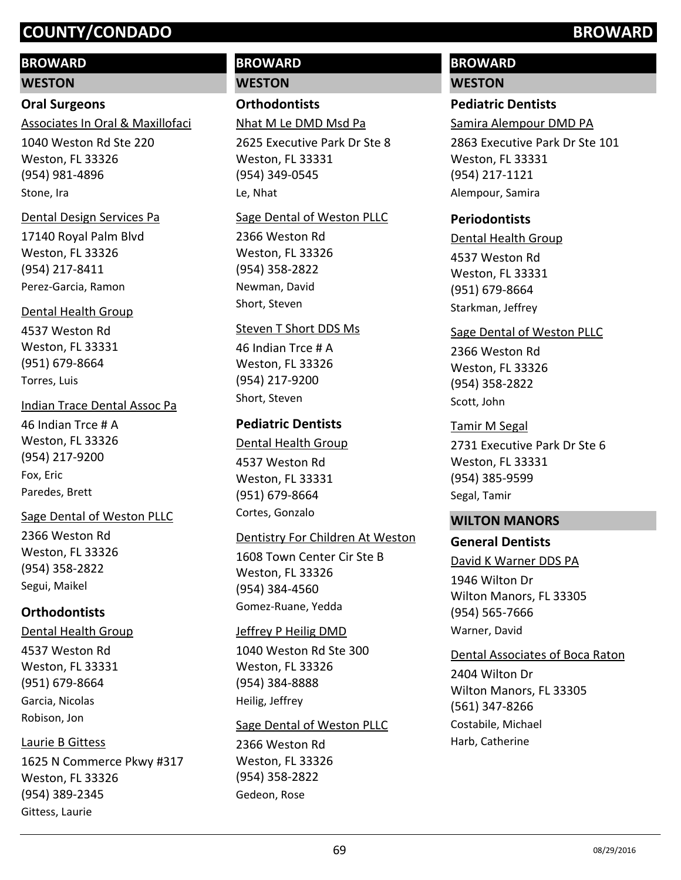# **BROWARD**

**WESTON**

# **Oral Surgeons**

Associates In Oral & Maxillofaci

1040 Weston Rd Ste 220 Weston, FL 33326 (954) 981-4896 Stone, Ira

#### Dental Design Services Pa

17140 Royal Palm Blvd Weston, FL 33326 (954) 217-8411 Perez-Garcia, Ramon

## Dental Health Group

4537 Weston Rd Weston, FL 33331 (951) 679-8664 Torres, Luis

## Indian Trace Dental Assoc Pa

46 Indian Trce # A Weston, FL 33326 (954) 217-9200 Fox, Eric Paredes, Brett

## Sage Dental of Weston PLLC

2366 Weston Rd Weston, FL 33326 (954) 358-2822 Segui, Maikel

# **Orthodontists**

4537 Weston Rd Weston, FL 33331 (951) 679-8664 Dental Health Group Garcia, Nicolas Robison, Jon

# Laurie B Gittess

1625 N Commerce Pkwy #317 Weston, FL 33326 (954) 389-2345 Gittess, Laurie

# **BROWARD WESTON**

**Orthodontists**

Nhat M Le DMD Msd Pa

2625 Executive Park Dr Ste 8 Weston, FL 33331 (954) 349-0545 Le, Nhat

#### Sage Dental of Weston PLLC

2366 Weston Rd Weston, FL 33326 (954) 358-2822 Newman, David Short, Steven

#### Steven T Short DDS Ms

46 Indian Trce # A Weston, FL 33326 (954) 217-9200 Short, Steven

# **Pediatric Dentists**

4537 Weston Rd Weston, FL 33331 (951) 679-8664 Dental Health Group Cortes, Gonzalo

## Dentistry For Children At Weston

1608 Town Center Cir Ste B Weston, FL 33326 (954) 384-4560 Gomez-Ruane, Yedda

## Jeffrey P Heilig DMD

1040 Weston Rd Ste 300 Weston, FL 33326 (954) 384-8888 Heilig, Jeffrey

## Sage Dental of Weston PLLC

2366 Weston Rd Weston, FL 33326 (954) 358-2822 Gedeon, Rose

# **BROWARD**

## **WESTON**

# **Pediatric Dentists**

Samira Alempour DMD PA

2863 Executive Park Dr Ste 101 Weston, FL 33331 (954) 217-1121 Alempour, Samira

# **Periodontists**

4537 Weston Rd Weston, FL 33331 (951) 679-8664 Dental Health Group Starkman, Jeffrey

## Sage Dental of Weston PLLC

2366 Weston Rd Weston, FL 33326 (954) 358-2822 Scott, John

## Tamir M Segal

2731 Executive Park Dr Ste 6 Weston, FL 33331 (954) 385-9599 Segal, Tamir

# **WILTON MANORS**

## **General Dentists**

1946 Wilton Dr Wilton Manors, FL 33305 (954) 565-7666 David K Warner DDS PA Warner, David

## Dental Associates of Boca Raton

2404 Wilton Dr Wilton Manors, FL 33305 (561) 347-8266 Costabile, Michael Harb, Catherine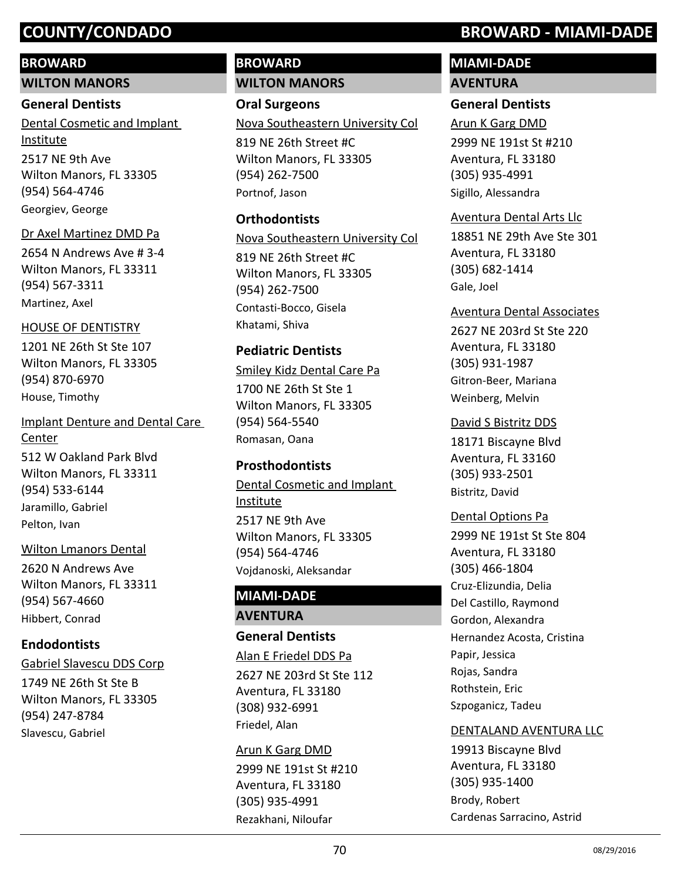# **BROWARD**

**WILTON MANORS**

## **General Dentists**

2517 NE 9th Ave Wilton Manors, FL 33305 (954) 564-4746 Dental Cosmetic and Implant Institute Georgiev, George

# Dr Axel Martinez DMD Pa

2654 N Andrews Ave # 3-4 Wilton Manors, FL 33311 (954) 567-3311 Martinez, Axel

# HOUSE OF DENTISTRY

1201 NE 26th St Ste 107 Wilton Manors, FL 33305 (954) 870-6970 House, Timothy

512 W Oakland Park Blvd Wilton Manors, FL 33311 (954) 533-6144 Implant Denture and Dental Care Center Jaramillo, Gabriel Pelton, Ivan

# Wilton Lmanors Dental

2620 N Andrews Ave Wilton Manors, FL 33311 (954) 567-4660 Hibbert, Conrad

# **Endodontists**

# Gabriel Slavescu DDS Corp

1749 NE 26th St Ste B Wilton Manors, FL 33305 (954) 247-8784 Slavescu, Gabriel

# **BROWARD WILTON MANORS**

**Oral Surgeons** 819 NE 26th Street #C Nova Southeastern University Col

Wilton Manors, FL 33305 (954) 262-7500 Portnof, Jason

# **Orthodontists**

819 NE 26th Street #C Wilton Manors, FL 33305 (954) 262-7500 Nova Southeastern University Col Contasti-Bocco, Gisela

Khatami, Shiva

# **Pediatric Dentists**

1700 NE 26th St Ste 1 Wilton Manors, FL 33305 (954) 564-5540 Smiley Kidz Dental Care Pa Romasan, Oana

# **Prosthodontists**

2517 NE 9th Ave Wilton Manors, FL 33305 (954) 564-4746 Dental Cosmetic and Implant Institute Vojdanoski, Aleksandar

# **MIAMI-DADE**

**AVENTURA**

# **General Dentists** 2627 NE 203rd St Ste 112 Aventura, FL 33180 (308) 932-6991 Alan E Friedel DDS Pa

Friedel, Alan

2999 NE 191st St #210 Aventura, FL 33180 (305) 935-4991 Arun K Garg DMD Rezakhani, Niloufar

# **COUNTY/CONDADO BROWARD - MIAMI-DADE**

# **MIAMI-DADE**

# **AVENTURA**

# **General Dentists**

2999 NE 191st St #210 Aventura, FL 33180 (305) 935-4991 Arun K Garg DMD Sigillo, Alessandra

# Aventura Dental Arts Llc

18851 NE 29th Ave Ste 301 Aventura, FL 33180 (305) 682-1414 Gale, Joel

# Aventura Dental Associates

2627 NE 203rd St Ste 220 Aventura, FL 33180 (305) 931-1987 Gitron-Beer, Mariana Weinberg, Melvin

# David S Bistritz DDS

18171 Biscayne Blvd Aventura, FL 33160 (305) 933-2501 Bistritz, David

# Dental Options Pa

2999 NE 191st St Ste 804 Aventura, FL 33180 (305) 466-1804 Cruz-Elizundia, Delia Del Castillo, Raymond Gordon, Alexandra Hernandez Acosta, Cristina Papir, Jessica Rojas, Sandra Rothstein, Eric Szpoganicz, Tadeu

# DENTALAND AVENTURA LLC

19913 Biscayne Blvd Aventura, FL 33180 (305) 935-1400 Brody, Robert Cardenas Sarracino, Astrid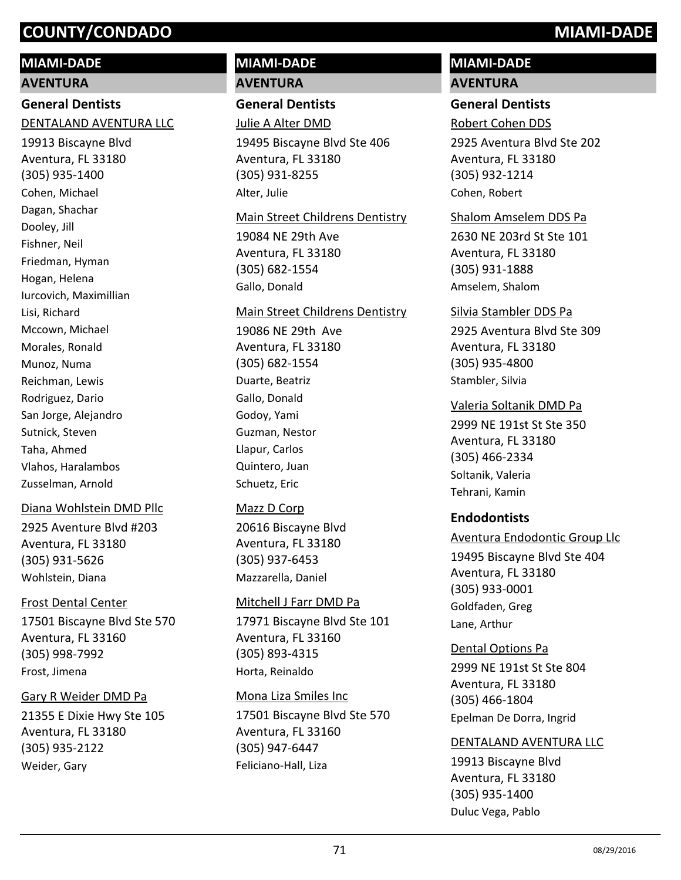# **COUNTY/CONDADO MIAMI-DADE**

# **MIAMI-DADE**

#### **AVENTURA**

# **General Dentists**

#### DENTALAND AVENTURA LLC

19913 Biscayne Blvd Aventura, FL 33180 (305) 935-1400 Cohen, Michael Dagan, Shachar Dooley, Jill Fishner, Neil Friedman, Hyman Hogan, Helena Iurcovich, Maximillian Lisi, Richard Mccown, Michael Morales, Ronald Munoz, Numa Reichman, Lewis Rodriguez, Dario San Jorge, Alejandro Sutnick, Steven Taha, Ahmed Vlahos, Haralambos Zusselman, Arnold

## Diana Wohlstein DMD Pllc

2925 Aventure Blvd #203 Aventura, FL 33180 (305) 931-5626 Wohlstein, Diana

#### Frost Dental Center

17501 Biscayne Blvd Ste 570 Aventura, FL 33160 (305) 998-7992 Frost, Jimena

#### Gary R Weider DMD Pa

21355 E Dixie Hwy Ste 105 Aventura, FL 33180 (305) 935-2122 Weider, Gary

# **MIAMI-DADE AVENTURA**

**General Dentists**

## Julie A Alter DMD

19495 Biscayne Blvd Ste 406 Aventura, FL 33180 (305) 931-8255 Alter, Julie

#### Main Street Childrens Dentistry

19084 NE 29th Ave Aventura, FL 33180 (305) 682-1554 Gallo, Donald

#### Main Street Childrens Dentistry

19086 NE 29th Ave Aventura, FL 33180 (305) 682-1554 Duarte, Beatriz Gallo, Donald Godoy, Yami Guzman, Nestor Llapur, Carlos Quintero, Juan Schuetz, Eric

## Mazz D Corp

20616 Biscayne Blvd Aventura, FL 33180 (305) 937-6453 Mazzarella, Daniel

## Mitchell J Farr DMD Pa

17971 Biscayne Blvd Ste 101 Aventura, FL 33160 (305) 893-4315 Horta, Reinaldo

#### Mona Liza Smiles Inc

17501 Biscayne Blvd Ste 570 Aventura, FL 33160 (305) 947-6447 Feliciano-Hall, Liza

# **MIAMI-DADE AVENTURA**

# **General Dentists**

Robert Cohen DDS

2925 Aventura Blvd Ste 202 Aventura, FL 33180 (305) 932-1214 Cohen, Robert

#### Shalom Amselem DDS Pa

2630 NE 203rd St Ste 101 Aventura, FL 33180 (305) 931-1888 Amselem, Shalom

#### Silvia Stambler DDS Pa

2925 Aventura Blvd Ste 309 Aventura, FL 33180 (305) 935-4800 Stambler, Silvia

## Valeria Soltanik DMD Pa

2999 NE 191st St Ste 350 Aventura, FL 33180 (305) 466-2334 Soltanik, Valeria Tehrani, Kamin

## **Endodontists**

Aventura Endodontic Group Llc

19495 Biscayne Blvd Ste 404 Aventura, FL 33180 (305) 933-0001 Goldfaden, Greg Lane, Arthur

# Dental Options Pa

2999 NE 191st St Ste 804 Aventura, FL 33180 (305) 466-1804 Epelman De Dorra, Ingrid

# DENTALAND AVENTURA LLC

19913 Biscayne Blvd Aventura, FL 33180 (305) 935-1400 Duluc Vega, Pablo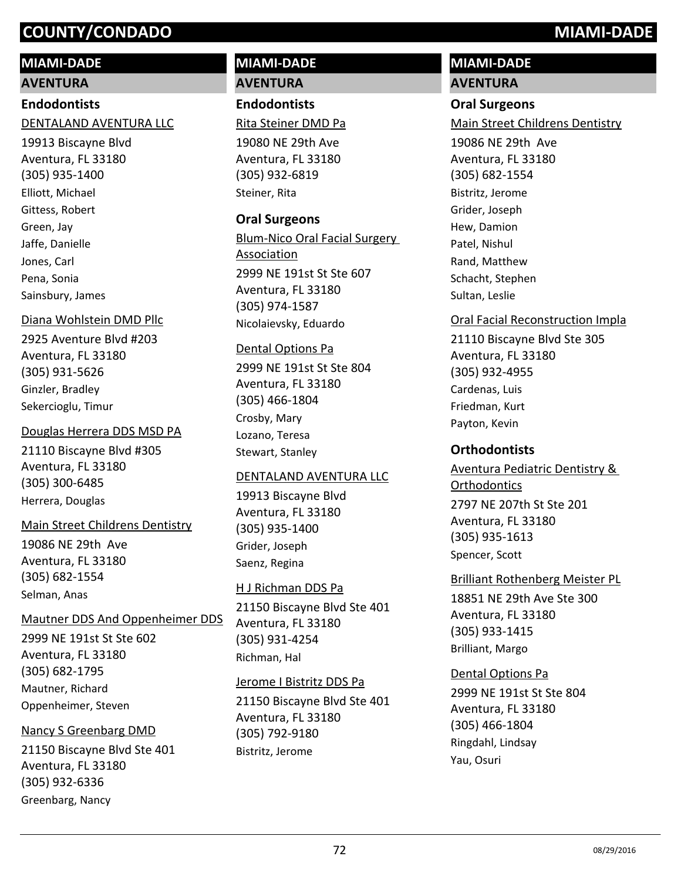# **COUNTY/CONDADO MIAMI-DADE**

# **MIAMI-DADE**

# **AVENTURA**

# **Endodontists**

# DENTALAND AVENTURA LLC

19913 Biscayne Blvd Aventura, FL 33180 (305) 935-1400 Elliott, Michael Gittess, Robert Green, Jay Jaffe, Danielle Jones, Carl Pena, Sonia Sainsbury, James

## Diana Wohlstein DMD Pllc

2925 Aventure Blvd #203 Aventura, FL 33180 (305) 931-5626 Ginzler, Bradley Sekercioglu, Timur

## Douglas Herrera DDS MSD PA

21110 Biscayne Blvd #305 Aventura, FL 33180 (305) 300-6485 Herrera, Douglas

## Main Street Childrens Dentistry

19086 NE 29th Ave Aventura, FL 33180 (305) 682-1554 Selman, Anas

## Mautner DDS And Oppenheimer DDS

2999 NE 191st St Ste 602 Aventura, FL 33180 (305) 682-1795 Mautner, Richard Oppenheimer, Steven

## Nancy S Greenbarg DMD

21150 Biscayne Blvd Ste 401 Aventura, FL 33180 (305) 932-6336 Greenbarg, Nancy

# **MIAMI-DADE AVENTURA**

# **Endodontists**

Rita Steiner DMD Pa

19080 NE 29th Ave Aventura, FL 33180 (305) 932-6819 Steiner, Rita

# **Oral Surgeons**

2999 NE 191st St Ste 607 Aventura, FL 33180 (305) 974-1587 Blum-Nico Oral Facial Surgery Association Nicolaievsky, Eduardo

#### Dental Options Pa

2999 NE 191st St Ste 804 Aventura, FL 33180 (305) 466-1804 Crosby, Mary Lozano, Teresa Stewart, Stanley

## DENTALAND AVENTURA LLC

19913 Biscayne Blvd Aventura, FL 33180 (305) 935-1400 Grider, Joseph Saenz, Regina

## H J Richman DDS Pa

21150 Biscayne Blvd Ste 401 Aventura, FL 33180 (305) 931-4254 Richman, Hal

## Jerome I Bistritz DDS Pa

21150 Biscayne Blvd Ste 401 Aventura, FL 33180 (305) 792-9180 Bistritz, Jerome

# **MIAMI-DADE**

# **AVENTURA**

# **Oral Surgeons**

Main Street Childrens Dentistry

19086 NE 29th Ave Aventura, FL 33180 (305) 682-1554 Bistritz, Jerome Grider, Joseph Hew, Damion Patel, Nishul Rand, Matthew Schacht, Stephen Sultan, Leslie

## Oral Facial Reconstruction Impla

21110 Biscayne Blvd Ste 305 Aventura, FL 33180 (305) 932-4955 Cardenas, Luis Friedman, Kurt Payton, Kevin

# **Orthodontists**

2797 NE 207th St Ste 201 Aventura, FL 33180 (305) 935-1613 Aventura Pediatric Dentistry & **Orthodontics** Spencer, Scott

## Brilliant Rothenberg Meister PL

18851 NE 29th Ave Ste 300 Aventura, FL 33180 (305) 933-1415 Brilliant, Margo

## Dental Options Pa

2999 NE 191st St Ste 804 Aventura, FL 33180 (305) 466-1804 Ringdahl, Lindsay Yau, Osuri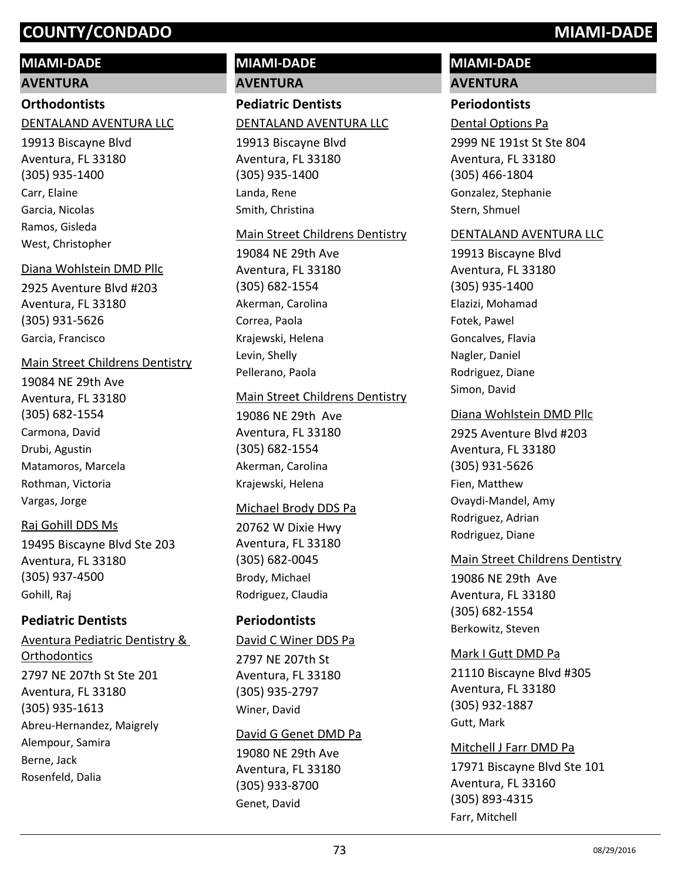# **MIAMI-DADE**

# **AVENTURA**

# **Orthodontists**

# DENTALAND AVENTURA LLC

19913 Biscayne Blvd Aventura, FL 33180 (305) 935-1400 Carr, Elaine Garcia, Nicolas Ramos, Gisleda West, Christopher

# Diana Wohlstein DMD Pllc

2925 Aventure Blvd #203 Aventura, FL 33180 (305) 931-5626 Garcia, Francisco

# Main Street Childrens Dentistry

19084 NE 29th Ave Aventura, FL 33180 (305) 682-1554 Carmona, David Drubi, Agustin Matamoros, Marcela Rothman, Victoria Vargas, Jorge

# Raj Gohill DDS Ms

19495 Biscayne Blvd Ste 203 Aventura, FL 33180 (305) 937-4500 Gohill, Raj

# **Pediatric Dentists**

2797 NE 207th St Ste 201 Aventura, FL 33180 (305) 935-1613 Aventura Pediatric Dentistry & **Orthodontics** Abreu-Hernandez, Maigrely Alempour, Samira Berne, Jack Rosenfeld, Dalia

# **MIAMI-DADE**

**AVENTURA**

# **Pediatric Dentists** DENTALAND AVENTURA LLC

19913 Biscayne Blvd Aventura, FL 33180 (305) 935-1400 Landa, Rene Smith, Christina

# Main Street Childrens Dentistry

19084 NE 29th Ave Aventura, FL 33180 (305) 682-1554 Akerman, Carolina Correa, Paola Krajewski, Helena Levin, Shelly Pellerano, Paola

# Main Street Childrens Dentistry

19086 NE 29th Ave Aventura, FL 33180 (305) 682-1554 Akerman, Carolina Krajewski, Helena

# Michael Brody DDS Pa

20762 W Dixie Hwy Aventura, FL 33180 (305) 682-0045 Brody, Michael Rodriguez, Claudia

# **Periodontists**

# David C Winer DDS Pa

2797 NE 207th St Aventura, FL 33180 (305) 935-2797 Winer, David

# David G Genet DMD Pa

19080 NE 29th Ave Aventura, FL 33180 (305) 933-8700 Genet, David

# **MIAMI-DADE AVENTURA**

# **Periodontists**

Dental Options Pa

2999 NE 191st St Ste 804 Aventura, FL 33180 (305) 466-1804 Gonzalez, Stephanie Stern, Shmuel

### DENTALAND AVENTURA LLC

19913 Biscayne Blvd Aventura, FL 33180 (305) 935-1400 Elazizi, Mohamad Fotek, Pawel Goncalves, Flavia Nagler, Daniel Rodriguez, Diane Simon, David

### Diana Wohlstein DMD Pllc

2925 Aventure Blvd #203 Aventura, FL 33180 (305) 931-5626 Fien, Matthew Ovaydi-Mandel, Amy Rodriguez, Adrian Rodriguez, Diane

# Main Street Childrens Dentistry

19086 NE 29th Ave Aventura, FL 33180 (305) 682-1554 Berkowitz, Steven

# Mark I Gutt DMD Pa

21110 Biscayne Blvd #305 Aventura, FL 33180 (305) 932-1887 Gutt, Mark

# Mitchell J Farr DMD Pa

17971 Biscayne Blvd Ste 101 Aventura, FL 33160 (305) 893-4315 Farr, Mitchell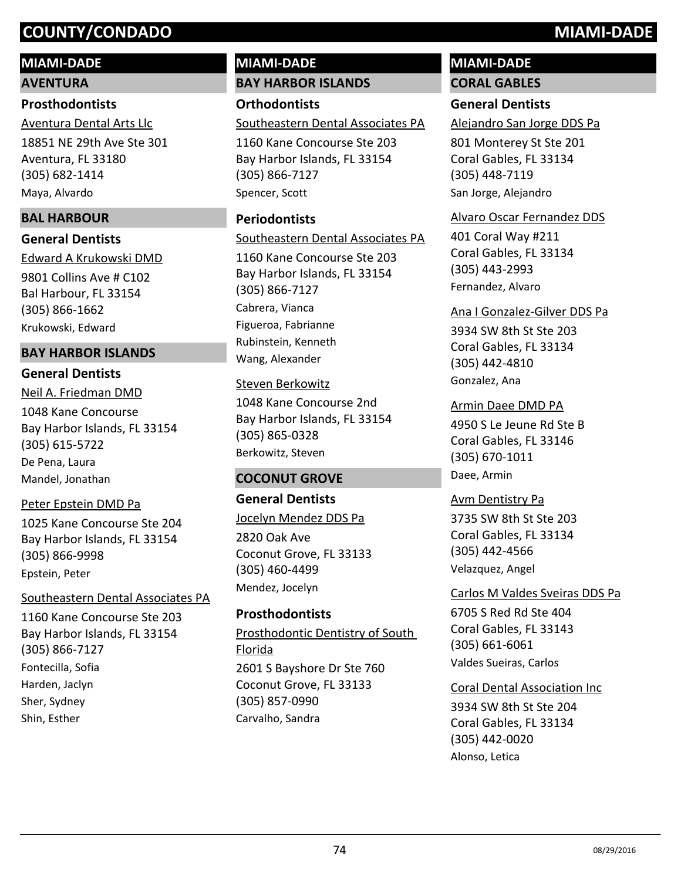# **MIAMI-DADE**

**AVENTURA**

# **Prosthodontists**

18851 NE 29th Ave Ste 301 Aventura, FL 33180 (305) 682-1414 Aventura Dental Arts Llc Maya, Alvardo

# **BAL HARBOUR**

# **General Dentists**

9801 Collins Ave # C102 Bal Harbour, FL 33154 (305) 866-1662 Edward A Krukowski DMD Krukowski, Edward

# **BAY HARBOR ISLANDS**

# **General Dentists**

1048 Kane Concourse Bay Harbor Islands, FL 33154 (305) 615-5722 Neil A. Friedman DMD De Pena, Laura Mandel, Jonathan

# Peter Epstein DMD Pa

1025 Kane Concourse Ste 204 Bay Harbor Islands, FL 33154 (305) 866-9998 Epstein, Peter

# Southeastern Dental Associates PA

1160 Kane Concourse Ste 203 Bay Harbor Islands, FL 33154 (305) 866-7127 Fontecilla, Sofia Harden, Jaclyn Sher, Sydney Shin, Esther

# **MIAMI-DADE BAY HARBOR ISLANDS**

**Orthodontists** Southeastern Dental Associates PA

1160 Kane Concourse Ste 203 Bay Harbor Islands, FL 33154 (305) 866-7127 Spencer, Scott

# **Periodontists**

Southeastern Dental Associates PA

1160 Kane Concourse Ste 203 Bay Harbor Islands, FL 33154 (305) 866-7127 Cabrera, Vianca Figueroa, Fabrianne Rubinstein, Kenneth Wang, Alexander

# Steven Berkowitz

1048 Kane Concourse 2nd Bay Harbor Islands, FL 33154 (305) 865-0328 Berkowitz, Steven

# **COCONUT GROVE**

# **General Dentists**

2820 Oak Ave Coconut Grove, FL 33133 (305) 460-4499 Jocelyn Mendez DDS Pa Mendez, Jocelyn

# **Prosthodontists**

2601 S Bayshore Dr Ste 760 Coconut Grove, FL 33133 (305) 857-0990 Prosthodontic Dentistry of South Florida Carvalho, Sandra

# **MIAMI-DADE**

# **CORAL GABLES**

# **General Dentists**

Alejandro San Jorge DDS Pa

801 Monterey St Ste 201 Coral Gables, FL 33134 (305) 448-7119 San Jorge, Alejandro

# Alvaro Oscar Fernandez DDS

401 Coral Way #211 Coral Gables, FL 33134 (305) 443-2993 Fernandez, Alvaro

# Ana I Gonzalez-Gilver DDS Pa

3934 SW 8th St Ste 203 Coral Gables, FL 33134 (305) 442-4810 Gonzalez, Ana

Armin Daee DMD PA

4950 S Le Jeune Rd Ste B Coral Gables, FL 33146 (305) 670-1011 Daee, Armin

3735 SW 8th St Ste 203 Coral Gables, FL 33134 (305) 442-4566 Avm Dentistry Pa Velazquez, Angel

# 6705 S Red Rd Ste 404 Coral Gables, FL 33143 (305) 661-6061 Carlos M Valdes Sveiras DDS Pa Valdes Sueiras, Carlos

# Coral Dental Association Inc

3934 SW 8th St Ste 204 Coral Gables, FL 33134 (305) 442-0020 Alonso, Letica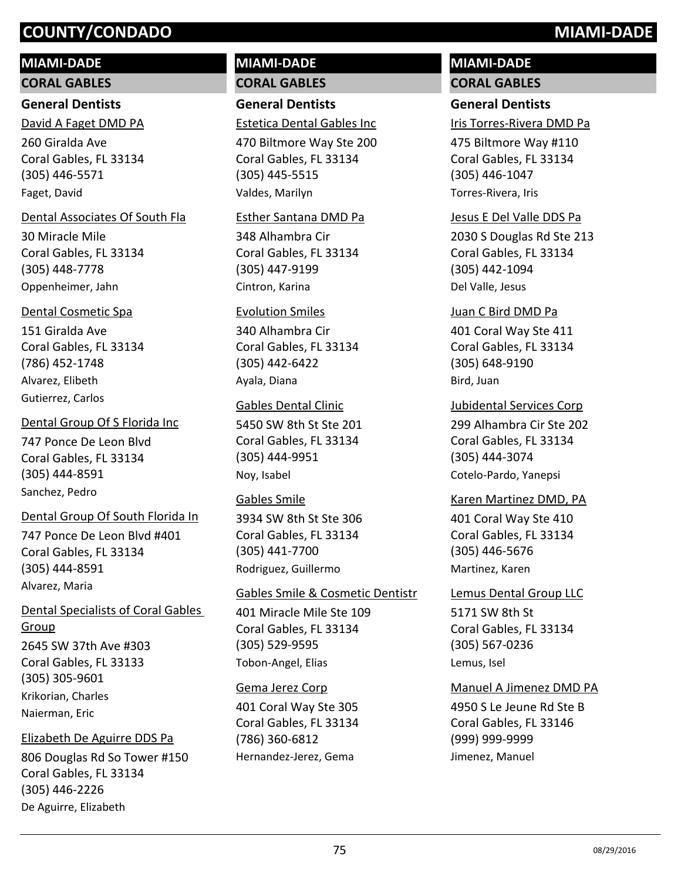# **MIAMI-DADE**

**CORAL GABLES**

# **General Dentists**

260 Giralda Ave Coral Gables, FL 33134 (305) 446-5571 David A Faget DMD PA Faget, David

# Dental Associates Of South Fla

30 Miracle Mile Coral Gables, FL 33134 (305) 448-7778 Oppenheimer, Jahn

# Dental Cosmetic Spa

151 Giralda Ave Coral Gables, FL 33134 (786) 452-1748 Alvarez, Elibeth Gutierrez, Carlos

# 747 Ponce De Leon Blvd Dental Group Of S Florida Inc

Coral Gables, FL 33134 (305) 444-8591 Sanchez, Pedro

# Dental Group Of South Florida In

747 Ponce De Leon Blvd #401 Coral Gables, FL 33134 (305) 444-8591 Alvarez, Maria

# Dental Specialists of Coral Gables Group

2645 SW 37th Ave #303 Coral Gables, FL 33133 (305) 305-9601 Krikorian, Charles Naierman, Eric

# Elizabeth De Aguirre DDS Pa

806 Douglas Rd So Tower #150 Coral Gables, FL 33134 (305) 446-2226 De Aguirre, Elizabeth

# **MIAMI-DADE CORAL GABLES**

# **General Dentists**

Estetica Dental Gables Inc

470 Biltmore Way Ste 200 Coral Gables, FL 33134 (305) 445-5515 Valdes, Marilyn

# Esther Santana DMD Pa

348 Alhambra Cir Coral Gables, FL 33134 (305) 447-9199 Cintron, Karina

# Evolution Smiles

340 Alhambra Cir Coral Gables, FL 33134 (305) 442-6422 Ayala, Diana

# Gables Dental Clinic

5450 SW 8th St Ste 201 Coral Gables, FL 33134 (305) 444-9951 Noy, Isabel

# Gables Smile

3934 SW 8th St Ste 306 Coral Gables, FL 33134 (305) 441-7700 Rodriguez, Guillermo

# Gables Smile & Cosmetic Dentistr

401 Miracle Mile Ste 109 Coral Gables, FL 33134 (305) 529-9595 Tobon-Angel, Elias

# Gema Jerez Corp

401 Coral Way Ste 305 Coral Gables, FL 33134 (786) 360-6812 Hernandez-Jerez, Gema

# **MIAMI-DADE CORAL GABLES**

# **General Dentists**

Iris Torres-Rivera DMD Pa

475 Biltmore Way #110 Coral Gables, FL 33134 (305) 446-1047 Torres-Rivera, Iris

# Jesus E Del Valle DDS Pa

2030 S Douglas Rd Ste 213 Coral Gables, FL 33134 (305) 442-1094 Del Valle, Jesus

# Juan C Bird DMD Pa

401 Coral Way Ste 411 Coral Gables, FL 33134 (305) 648-9190 Bird, Juan

# Jubidental Services Corp

299 Alhambra Cir Ste 202 Coral Gables, FL 33134 (305) 444-3074 Cotelo-Pardo, Yanepsi

# Karen Martinez DMD, PA

401 Coral Way Ste 410 Coral Gables, FL 33134 (305) 446-5676 Martinez, Karen

5171 SW 8th St Coral Gables, FL 33134 (305) 567-0236 Lemus Dental Group LLC Lemus, Isel

# Manuel A Jimenez DMD PA

4950 S Le Jeune Rd Ste B Coral Gables, FL 33146 (999) 999-9999 Jimenez, Manuel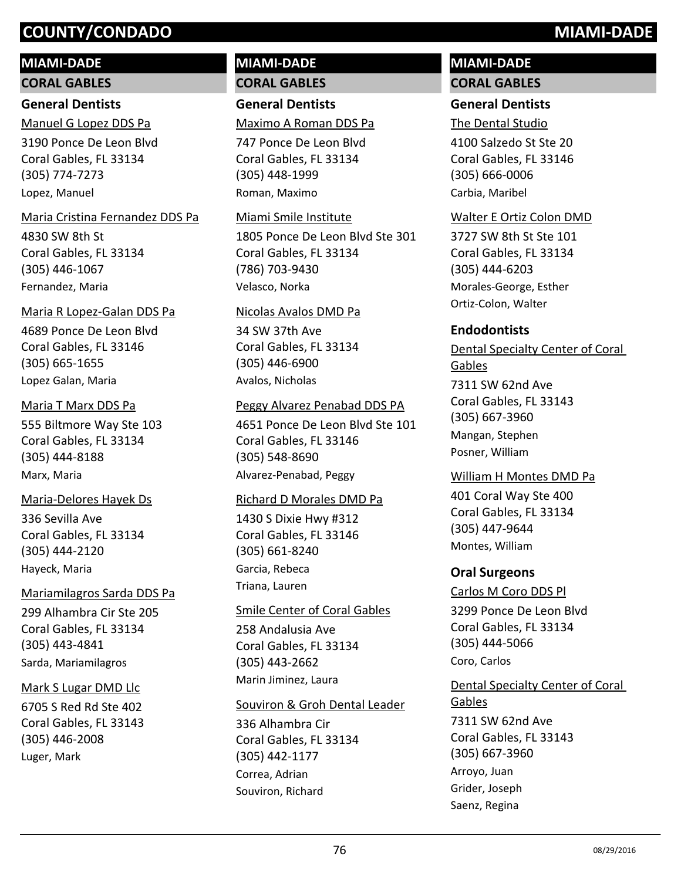# **MIAMI-DADE**

**CORAL GABLES**

# **General Dentists**

3190 Ponce De Leon Blvd Coral Gables, FL 33134 (305) 774-7273 Manuel G Lopez DDS Pa Lopez, Manuel

#### Maria Cristina Fernandez DDS Pa

4830 SW 8th St Coral Gables, FL 33134 (305) 446-1067 Fernandez, Maria

#### Maria R Lopez-Galan DDS Pa

4689 Ponce De Leon Blvd Coral Gables, FL 33146 (305) 665-1655 Lopez Galan, Maria

#### Maria T Marx DDS Pa

555 Biltmore Way Ste 103 Coral Gables, FL 33134 (305) 444-8188 Marx, Maria

# Maria-Delores Hayek Ds

336 Sevilla Ave Coral Gables, FL 33134 (305) 444-2120 Hayeck, Maria

# Mariamilagros Sarda DDS Pa

299 Alhambra Cir Ste 205 Coral Gables, FL 33134 (305) 443-4841 Sarda, Mariamilagros

# Mark S Lugar DMD Llc

6705 S Red Rd Ste 402 Coral Gables, FL 33143 (305) 446-2008 Luger, Mark

# **MIAMI-DADE CORAL GABLES**

# **General Dentists**

Maximo A Roman DDS Pa

747 Ponce De Leon Blvd Coral Gables, FL 33134 (305) 448-1999 Roman, Maximo

#### Miami Smile Institute

1805 Ponce De Leon Blvd Ste 301 Coral Gables, FL 33134 (786) 703-9430 Velasco, Norka

### Nicolas Avalos DMD Pa

34 SW 37th Ave Coral Gables, FL 33134 (305) 446-6900 Avalos, Nicholas

### Peggy Alvarez Penabad DDS PA

4651 Ponce De Leon Blvd Ste 101 Coral Gables, FL 33146 (305) 548-8690 Alvarez-Penabad, Peggy

# Richard D Morales DMD Pa

1430 S Dixie Hwy #312 Coral Gables, FL 33146 (305) 661-8240 Garcia, Rebeca Triana, Lauren

# Smile Center of Coral Gables

258 Andalusia Ave Coral Gables, FL 33134 (305) 443-2662 Marin Jiminez, Laura

# Souviron & Groh Dental Leader

336 Alhambra Cir Coral Gables, FL 33134 (305) 442-1177 Correa, Adrian Souviron, Richard

# **MIAMI-DADE CORAL GABLES**

# **General Dentists**

4100 Salzedo St Ste 20 Coral Gables, FL 33146 (305) 666-0006 The Dental Studio

Carbia, Maribel

# Walter E Ortiz Colon DMD

3727 SW 8th St Ste 101 Coral Gables, FL 33134 (305) 444-6203 Morales-George, Esther Ortiz-Colon, Walter

# **Endodontists**

7311 SW 62nd Ave Coral Gables, FL 33143 (305) 667-3960 Dental Specialty Center of Coral Gables Mangan, Stephen Posner, William

# William H Montes DMD Pa

401 Coral Way Ste 400 Coral Gables, FL 33134 (305) 447-9644 Montes, William

# **Oral Surgeons**

Arroyo, Juan Grider, Joseph Saenz, Regina

3299 Ponce De Leon Blvd Coral Gables, FL 33134 (305) 444-5066 Carlos M Coro DDS Pl Coro, Carlos

7311 SW 62nd Ave Coral Gables, FL 33143 (305) 667-3960 Dental Specialty Center of Coral **Gables**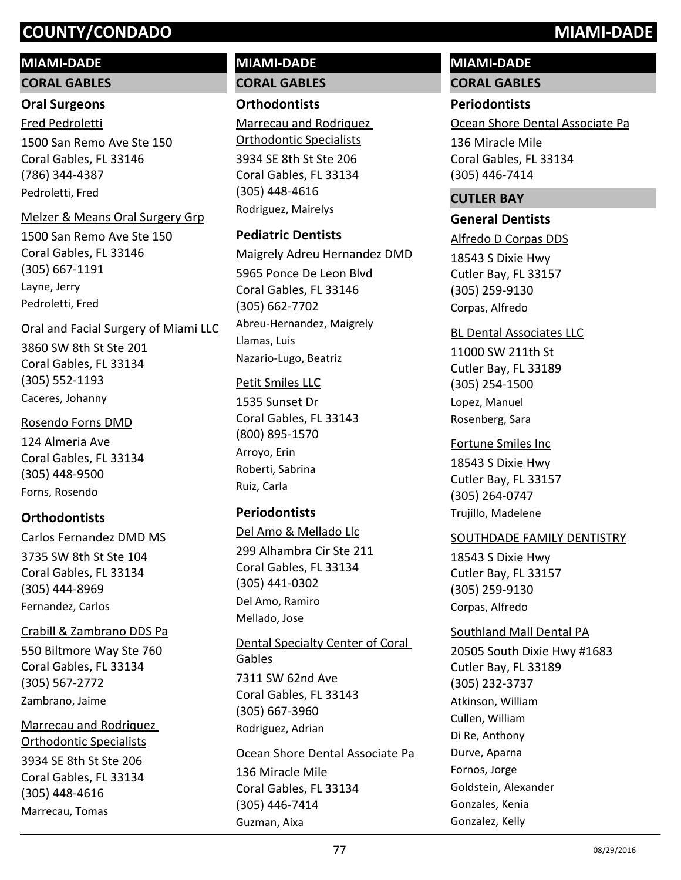# **MIAMI-DADE**

#### **CORAL GABLES**

### **Oral Surgeons**

Fred Pedroletti

1500 San Remo Ave Ste 150 Coral Gables, FL 33146 (786) 344-4387 Pedroletti, Fred

#### Melzer & Means Oral Surgery Grp

1500 San Remo Ave Ste 150 Coral Gables, FL 33146 (305) 667-1191 Layne, Jerry Pedroletti, Fred

### Oral and Facial Surgery of Miami LLC

3860 SW 8th St Ste 201 Coral Gables, FL 33134 (305) 552-1193 Caceres, Johanny

### Rosendo Forns DMD

124 Almeria Ave Coral Gables, FL 33134 (305) 448-9500 Forns, Rosendo

# **Orthodontists**

3735 SW 8th St Ste 104 Coral Gables, FL 33134 (305) 444-8969 Carlos Fernandez DMD MS Fernandez, Carlos

#### Crabill & Zambrano DDS Pa

550 Biltmore Way Ste 760 Coral Gables, FL 33134 (305) 567-2772 Zambrano, Jaime

# Marrecau and Rodriquez

3934 SE 8th St Ste 206 Coral Gables, FL 33134 (305) 448-4616 Orthodontic Specialists Marrecau, Tomas

# **MIAMI-DADE CORAL GABLES**

## **Orthodontists**

3934 SE 8th St Ste 206 Coral Gables, FL 33134 (305) 448-4616 Marrecau and Rodriquez Orthodontic Specialists Rodriguez, Mairelys

# **Pediatric Dentists**

5965 Ponce De Leon Blvd Coral Gables, FL 33146 (305) 662-7702 Maigrely Adreu Hernandez DMD Abreu-Hernandez, Maigrely Llamas, Luis Nazario-Lugo, Beatriz

# Petit Smiles LLC

1535 Sunset Dr Coral Gables, FL 33143 (800) 895-1570 Arroyo, Erin Roberti, Sabrina Ruiz, Carla

# **Periodontists**

299 Alhambra Cir Ste 211 Coral Gables, FL 33134 (305) 441-0302 Del Amo & Mellado Llc Del Amo, Ramiro Mellado, Jose

7311 SW 62nd Ave Coral Gables, FL 33143 (305) 667-3960 Dental Specialty Center of Coral Gables Rodriguez, Adrian

#### Ocean Shore Dental Associate Pa

136 Miracle Mile Coral Gables, FL 33134 (305) 446-7414 Guzman, Aixa

# **MIAMI-DADE**

**CORAL GABLES**

# **Periodontists**

Ocean Shore Dental Associate Pa

136 Miracle Mile Coral Gables, FL 33134 (305) 446-7414

# **CUTLER BAY**

#### **General Dentists**

Alfredo D Corpas DDS

18543 S Dixie Hwy Cutler Bay, FL 33157 (305) 259-9130 Corpas, Alfredo

#### BL Dental Associates LLC

11000 SW 211th St Cutler Bay, FL 33189 (305) 254-1500 Lopez, Manuel Rosenberg, Sara

18543 S Dixie Hwy Cutler Bay, FL 33157 (305) 264-0747 Fortune Smiles Inc Trujillo, Madelene

#### SOUTHDADE FAMILY DENTISTRY

18543 S Dixie Hwy Cutler Bay, FL 33157 (305) 259-9130 Corpas, Alfredo

#### Southland Mall Dental PA

20505 South Dixie Hwy #1683 Cutler Bay, FL 33189 (305) 232-3737 Atkinson, William Cullen, William Di Re, Anthony Durve, Aparna Fornos, Jorge Goldstein, Alexander Gonzales, Kenia Gonzalez, Kelly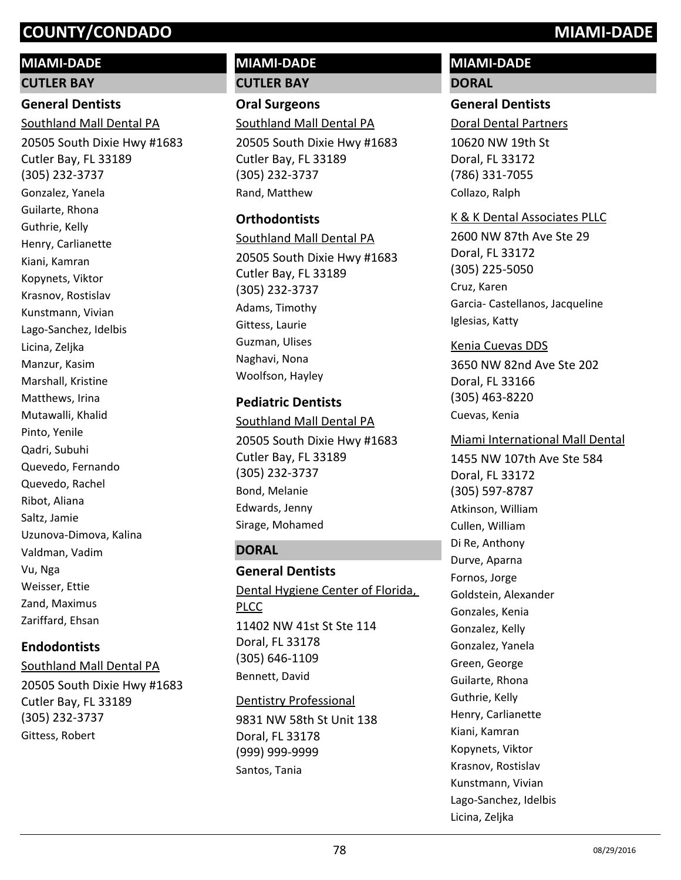# **MIAMI-DADE**

**CUTLER BAY**

# **General Dentists**

20505 South Dixie Hwy #1683 Southland Mall Dental PA

Cutler Bay, FL 33189 (305) 232-3737 Gonzalez, Yanela Guilarte, Rhona Guthrie, Kelly Henry, Carlianette Kiani, Kamran Kopynets, Viktor Krasnov, Rostislav Kunstmann, Vivian Lago-Sanchez, Idelbis Licina, Zeljka Manzur, Kasim Marshall, Kristine Matthews, Irina Mutawalli, Khalid Pinto, Yenile Qadri, Subuhi Quevedo, Fernando Quevedo, Rachel Ribot, Aliana Saltz, Jamie Uzunova-Dimova, Kalina Valdman, Vadim Vu, Nga Weisser, Ettie Zand, Maximus Zariffard, Ehsan

# **Endodontists**

20505 South Dixie Hwy #1683 Cutler Bay, FL 33189 (305) 232-3737 Southland Mall Dental PA Gittess, Robert

# **MIAMI-DADE CUTLER BAY**

**Oral Surgeons** Southland Mall Dental PA

20505 South Dixie Hwy #1683 Cutler Bay, FL 33189 (305) 232-3737 Rand, Matthew

### **Orthodontists**

20505 South Dixie Hwy #1683 Cutler Bay, FL 33189 (305) 232-3737 Southland Mall Dental PA Adams, Timothy Gittess, Laurie Guzman, Ulises Naghavi, Nona Woolfson, Hayley

#### **Pediatric Dentists**

20505 South Dixie Hwy #1683 Cutler Bay, FL 33189 (305) 232-3737 Southland Mall Dental PA Bond, Melanie Edwards, Jenny Sirage, Mohamed

# **DORAL**

**General Dentists** 11402 NW 41st St Ste 114 Doral, FL 33178 (305) 646-1109 Dental Hygiene Center of Florida, PLCC Bennett, David

9831 NW 58th St Unit 138 Doral, FL 33178 (999) 999-9999 Dentistry Professional Santos, Tania

# **MIAMI-DADE DORAL**

#### **General Dentists**

Doral Dental Partners

10620 NW 19th St Doral, FL 33172 (786) 331-7055 Collazo, Ralph

#### K & K Dental Associates PLLC

2600 NW 87th Ave Ste 29 Doral, FL 33172 (305) 225-5050 Cruz, Karen Garcia- Castellanos, Jacqueline Iglesias, Katty

### Kenia Cuevas DDS

3650 NW 82nd Ave Ste 202 Doral, FL 33166 (305) 463-8220 Cuevas, Kenia

#### Miami International Mall Dental

1455 NW 107th Ave Ste 584 Doral, FL 33172 (305) 597-8787 Atkinson, William Cullen, William Di Re, Anthony Durve, Aparna Fornos, Jorge Goldstein, Alexander Gonzales, Kenia Gonzalez, Kelly Gonzalez, Yanela Green, George Guilarte, Rhona Guthrie, Kelly Henry, Carlianette Kiani, Kamran Kopynets, Viktor Krasnov, Rostislav Kunstmann, Vivian Lago-Sanchez, Idelbis Licina, Zeljka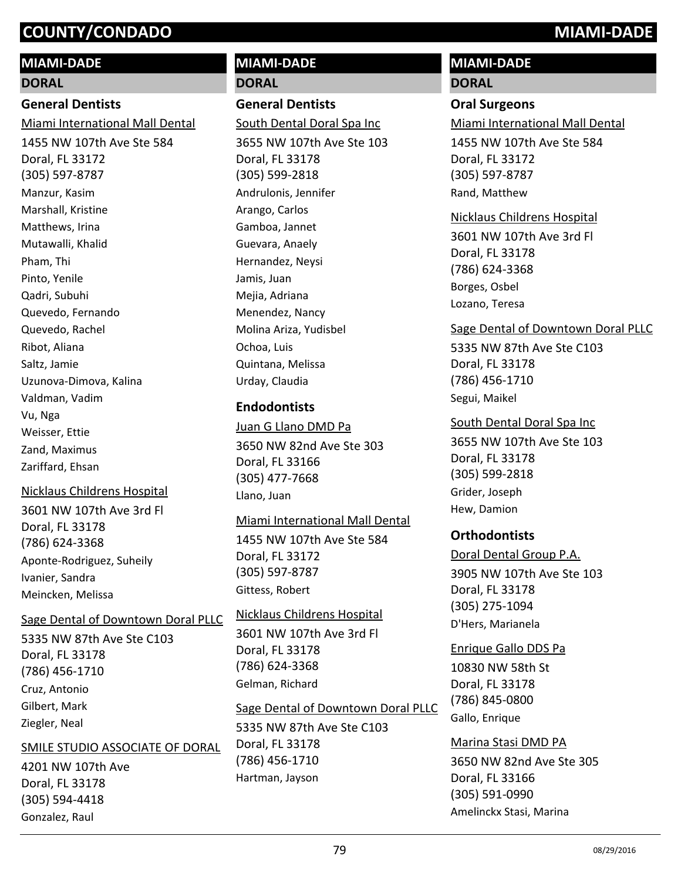### **MIAMI-DADE**

#### **DORAL**

## **General Dentists**

Miami International Mall Dental

1455 NW 107th Ave Ste 584 Doral, FL 33172 (305) 597-8787 Manzur, Kasim Marshall, Kristine Matthews, Irina Mutawalli, Khalid Pham, Thi Pinto, Yenile Qadri, Subuhi Quevedo, Fernando Quevedo, Rachel Ribot, Aliana Saltz, Jamie Uzunova-Dimova, Kalina Valdman, Vadim Vu, Nga Weisser, Ettie Zand, Maximus Zariffard, Ehsan

#### Nicklaus Childrens Hospital

3601 NW 107th Ave 3rd Fl Doral, FL 33178 (786) 624-3368 Aponte-Rodriguez, Suheily Ivanier, Sandra Meincken, Melissa

#### Sage Dental of Downtown Doral PLLC

5335 NW 87th Ave Ste C103 Doral, FL 33178 (786) 456-1710 Cruz, Antonio Gilbert, Mark Ziegler, Neal

#### SMILE STUDIO ASSOCIATE OF DORAL

4201 NW 107th Ave Doral, FL 33178 (305) 594-4418 Gonzalez, Raul

# **MIAMI-DADE DORAL**

# **General Dentists**

South Dental Doral Spa Inc

3655 NW 107th Ave Ste 103 Doral, FL 33178 (305) 599-2818 Andrulonis, Jennifer Arango, Carlos Gamboa, Jannet Guevara, Anaely Hernandez, Neysi Jamis, Juan Mejia, Adriana Menendez, Nancy Molina Ariza, Yudisbel Ochoa, Luis Quintana, Melissa Urday, Claudia

### **Endodontists**

3650 NW 82nd Ave Ste 303 Doral, FL 33166 (305) 477-7668 Juan G Llano DMD Pa Llano, Juan

# Miami International Mall Dental

1455 NW 107th Ave Ste 584 Doral, FL 33172 (305) 597-8787 Gittess, Robert

# 3601 NW 107th Ave 3rd Fl Doral, FL 33178 Nicklaus Childrens Hospital

(786) 624-3368 Gelman, Richard

# Sage Dental of Downtown Doral PLLC

5335 NW 87th Ave Ste C103 Doral, FL 33178 (786) 456-1710 Hartman, Jayson

# **MIAMI-DADE**

# **DORAL**

#### **Oral Surgeons**

Miami International Mall Dental

1455 NW 107th Ave Ste 584 Doral, FL 33172 (305) 597-8787 Rand, Matthew

#### Nicklaus Childrens Hospital

3601 NW 107th Ave 3rd Fl Doral, FL 33178 (786) 624-3368 Borges, Osbel Lozano, Teresa

#### Sage Dental of Downtown Doral PLLC

5335 NW 87th Ave Ste C103 Doral, FL 33178 (786) 456-1710 Segui, Maikel

3655 NW 107th Ave Ste 103 Doral, FL 33178 (305) 599-2818 South Dental Doral Spa Inc Grider, Joseph Hew, Damion

# **Orthodontists**

3905 NW 107th Ave Ste 103 Doral, FL 33178 (305) 275-1094 Doral Dental Group P.A. D'Hers, Marianela

10830 NW 58th St Doral, FL 33178 (786) 845-0800 Enrique Gallo DDS Pa Gallo, Enrique

# 3650 NW 82nd Ave Ste 305 Doral, FL 33166 (305) 591-0990 Marina Stasi DMD PA Amelinckx Stasi, Marina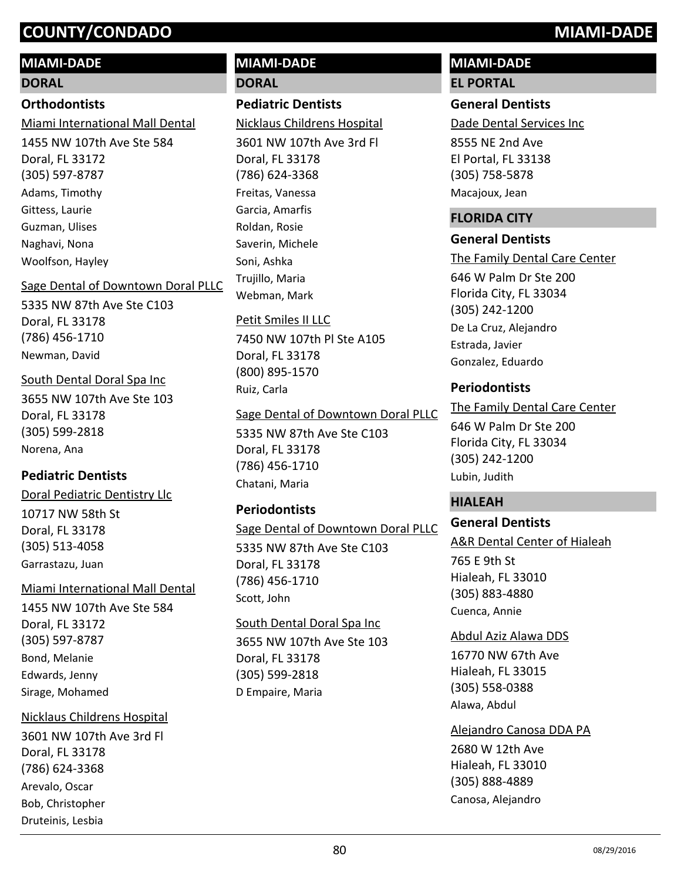# **MIAMI-DADE**

# **DORAL**

# **Orthodontists**

Miami International Mall Dental

1455 NW 107th Ave Ste 584 Doral, FL 33172 (305) 597-8787 Adams, Timothy Gittess, Laurie Guzman, Ulises Naghavi, Nona Woolfson, Hayley

# Sage Dental of Downtown Doral PLLC

5335 NW 87th Ave Ste C103 Doral, FL 33178 (786) 456-1710 Newman, David

# South Dental Doral Spa Inc

3655 NW 107th Ave Ste 103 Doral, FL 33178 (305) 599-2818 Norena, Ana

# **Pediatric Dentists**

10717 NW 58th St Doral Pediatric Dentistry Llc

Doral, FL 33178 (305) 513-4058 Garrastazu, Juan

# Miami International Mall Dental

1455 NW 107th Ave Ste 584 Doral, FL 33172 (305) 597-8787 Bond, Melanie Edwards, Jenny Sirage, Mohamed

# Nicklaus Childrens Hospital

3601 NW 107th Ave 3rd Fl Doral, FL 33178 (786) 624-3368 Arevalo, Oscar Bob, Christopher Druteinis, Lesbia

# **MIAMI-DADE DORAL**

# **Pediatric Dentists**

Nicklaus Childrens Hospital

3601 NW 107th Ave 3rd Fl Doral, FL 33178 (786) 624-3368 Freitas, Vanessa Garcia, Amarfis Roldan, Rosie Saverin, Michele Soni, Ashka Trujillo, Maria Webman, Mark

# Petit Smiles II LLC

7450 NW 107th Pl Ste A105 Doral, FL 33178 (800) 895-1570 Ruiz, Carla

# Sage Dental of Downtown Doral PLLC

5335 NW 87th Ave Ste C103 Doral, FL 33178 (786) 456-1710 Chatani, Maria

# **Periodontists**

# Sage Dental of Downtown Doral PLLC

5335 NW 87th Ave Ste C103 Doral, FL 33178 (786) 456-1710 Scott, John

# South Dental Doral Spa Inc

3655 NW 107th Ave Ste 103 Doral, FL 33178 (305) 599-2818 D Empaire, Maria

# **MIAMI-DADE**

**EL PORTAL**

# **General Dentists**

Dade Dental Services Inc

8555 NE 2nd Ave El Portal, FL 33138 (305) 758-5878 Macajoux, Jean

# **FLORIDA CITY**

# **General Dentists**

646 W Palm Dr Ste 200 Florida City, FL 33034 (305) 242-1200 The Family Dental Care Center De La Cruz, Alejandro Estrada, Javier Gonzalez, Eduardo

# **Periodontists**

646 W Palm Dr Ste 200 Florida City, FL 33034 (305) 242-1200 The Family Dental Care Center Lubin, Judith

# **HIALEAH**

# **General Dentists**

765 E 9th St Hialeah, FL 33010 (305) 883-4880 A&R Dental Center of Hialeah Cuenca, Annie

# Abdul Aziz Alawa DDS

16770 NW 67th Ave Hialeah, FL 33015 (305) 558-0388 Alawa, Abdul

Alejandro Canosa DDA PA

2680 W 12th Ave Hialeah, FL 33010 (305) 888-4889 Canosa, Alejandro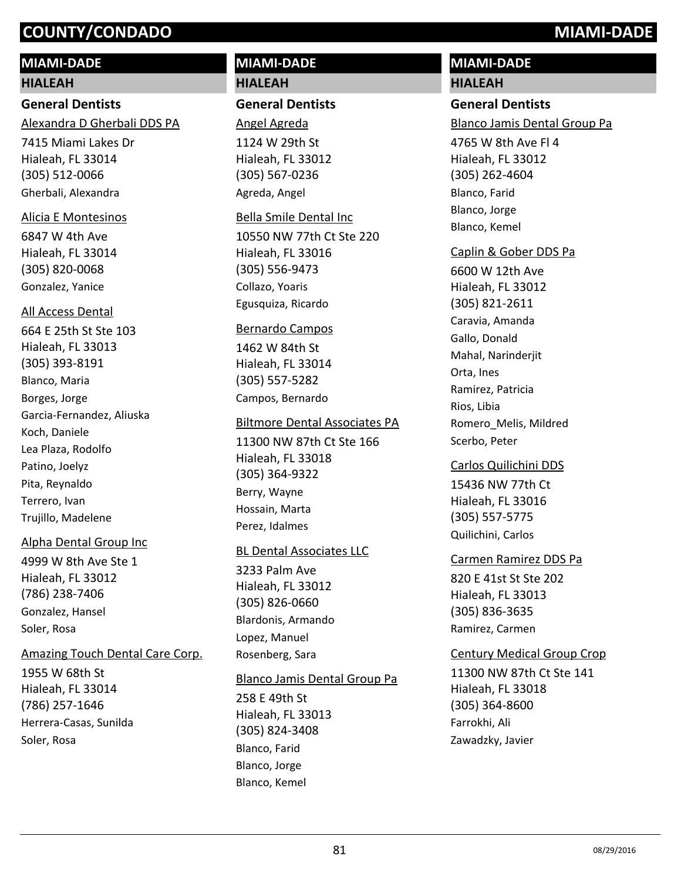# **MIAMI-DADE**

#### **HIALEAH**

# **General Dentists**

Alexandra D Gherbali DDS PA

7415 Miami Lakes Dr Hialeah, FL 33014 (305) 512-0066 Gherbali, Alexandra

#### Alicia E Montesinos

6847 W 4th Ave Hialeah, FL 33014 (305) 820-0068 Gonzalez, Yanice

#### All Access Dental

664 E 25th St Ste 103 Hialeah, FL 33013 (305) 393-8191 Blanco, Maria Borges, Jorge Garcia-Fernandez, Aliuska Koch, Daniele Lea Plaza, Rodolfo Patino, Joelyz Pita, Reynaldo Terrero, Ivan Trujillo, Madelene

#### Alpha Dental Group Inc

4999 W 8th Ave Ste 1 Hialeah, FL 33012 (786) 238-7406 Gonzalez, Hansel Soler, Rosa

#### Amazing Touch Dental Care Corp.

1955 W 68th St Hialeah, FL 33014 (786) 257-1646 Herrera-Casas, Sunilda Soler, Rosa

# **MIAMI-DADE HIALEAH**

#### **General Dentists**

1124 W 29th St Hialeah, FL 33012 (305) 567-0236 Angel Agreda Agreda, Angel

#### Bella Smile Dental Inc

10550 NW 77th Ct Ste 220 Hialeah, FL 33016 (305) 556-9473 Collazo, Yoaris Egusquiza, Ricardo

#### Bernardo Campos

1462 W 84th St Hialeah, FL 33014 (305) 557-5282 Campos, Bernardo

#### Biltmore Dental Associates PA

11300 NW 87th Ct Ste 166 Hialeah, FL 33018 (305) 364-9322 Berry, Wayne Hossain, Marta Perez, Idalmes

#### BL Dental Associates LLC

3233 Palm Ave Hialeah, FL 33012 (305) 826-0660 Blardonis, Armando Lopez, Manuel Rosenberg, Sara

#### Blanco Jamis Dental Group Pa

258 E 49th St Hialeah, FL 33013 (305) 824-3408 Blanco, Farid Blanco, Jorge Blanco, Kemel

# **MIAMI-DADE HIALEAH**

# **General Dentists**

4765 W 8th Ave Fl 4 Hialeah, FL 33012 (305) 262-4604 Blanco Jamis Dental Group Pa Blanco, Farid Blanco, Jorge

Blanco, Kemel

#### Caplin & Gober DDS Pa

6600 W 12th Ave Hialeah, FL 33012 (305) 821-2611 Caravia, Amanda Gallo, Donald Mahal, Narinderiit Orta, Ines Ramirez, Patricia Rios, Libia Romero\_Melis, Mildred Scerbo, Peter

15436 NW 77th Ct Hialeah, FL 33016 (305) 557-5775 Carlos Quilichini DDS Quilichini, Carlos

#### Carmen Ramirez DDS Pa

820 E 41st St Ste 202 Hialeah, FL 33013 (305) 836-3635 Ramirez, Carmen

#### Century Medical Group Crop

11300 NW 87th Ct Ste 141 Hialeah, FL 33018 (305) 364-8600 Farrokhi, Ali Zawadzky, Javier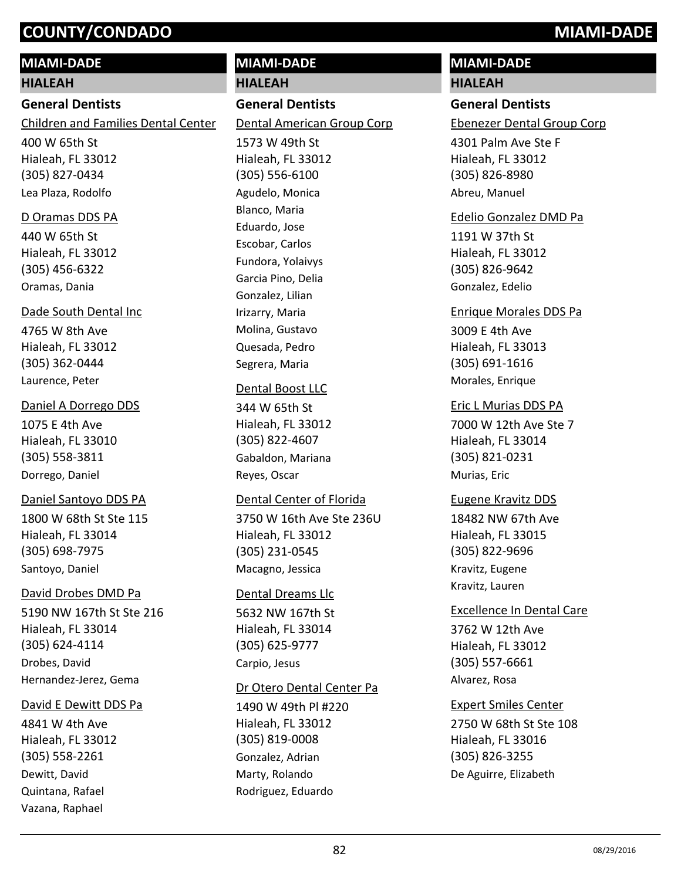## **MIAMI-DADE**

#### **HIALEAH**

#### **General Dentists**

Children and Families Dental Center

400 W 65th St Hialeah, FL 33012 (305) 827-0434 Lea Plaza, Rodolfo

#### D Oramas DDS PA

440 W 65th St Hialeah, FL 33012 (305) 456-6322 Oramas, Dania

#### Dade South Dental Inc

4765 W 8th Ave Hialeah, FL 33012 (305) 362-0444 Laurence, Peter

#### Daniel A Dorrego DDS

1075 E 4th Ave Hialeah, FL 33010 (305) 558-3811 Dorrego, Daniel

### Daniel Santoyo DDS PA

1800 W 68th St Ste 115 Hialeah, FL 33014 (305) 698-7975 Santoyo, Daniel

#### David Drobes DMD Pa

5190 NW 167th St Ste 216 Hialeah, FL 33014 (305) 624-4114 Drobes, David Hernandez-Jerez, Gema

#### David E Dewitt DDS Pa

4841 W 4th Ave Hialeah, FL 33012 (305) 558-2261 Dewitt, David Quintana, Rafael Vazana, Raphael

# **HIALEAH General Dentists** 1573 W 49th St Hialeah, FL 33012 (305) 556-6100 Dental American Group Corp Agudelo, Monica Blanco, Maria Eduardo, Jose

**MIAMI-DADE**

Escobar, Carlos Fundora, Yolaivys Garcia Pino, Delia Gonzalez, Lilian Irizarry, Maria Molina, Gustavo Quesada, Pedro Segrera, Maria

#### Dental Boost LLC

344 W 65th St Hialeah, FL 33012 (305) 822-4607 Gabaldon, Mariana Reyes, Oscar

#### Dental Center of Florida

3750 W 16th Ave Ste 236U Hialeah, FL 33012 (305) 231-0545 Macagno, Jessica

#### Dental Dreams Llc

5632 NW 167th St Hialeah, FL 33014 (305) 625-9777 Carpio, Jesus

#### Dr Otero Dental Center Pa

1490 W 49th Pl #220 Hialeah, FL 33012 (305) 819-0008 Gonzalez, Adrian Marty, Rolando Rodriguez, Eduardo

# **MIAMI-DADE**

# **HIALEAH**

# **General Dentists**

Ebenezer Dental Group Corp

4301 Palm Ave Ste F Hialeah, FL 33012 (305) 826-8980 Abreu, Manuel

#### Edelio Gonzalez DMD Pa

1191 W 37th St Hialeah, FL 33012 (305) 826-9642 Gonzalez, Edelio

### Enrique Morales DDS Pa

3009 E 4th Ave Hialeah, FL 33013 (305) 691-1616 Morales, Enrique

#### Eric L Murias DDS PA

7000 W 12th Ave Ste 7 Hialeah, FL 33014 (305) 821-0231 Murias, Eric

#### Eugene Kravitz DDS

18482 NW 67th Ave Hialeah, FL 33015 (305) 822-9696 Kravitz, Eugene Kravitz, Lauren

#### Excellence In Dental Care

3762 W 12th Ave Hialeah, FL 33012 (305) 557-6661 Alvarez, Rosa

#### Expert Smiles Center

2750 W 68th St Ste 108 Hialeah, FL 33016 (305) 826-3255 De Aguirre, Elizabeth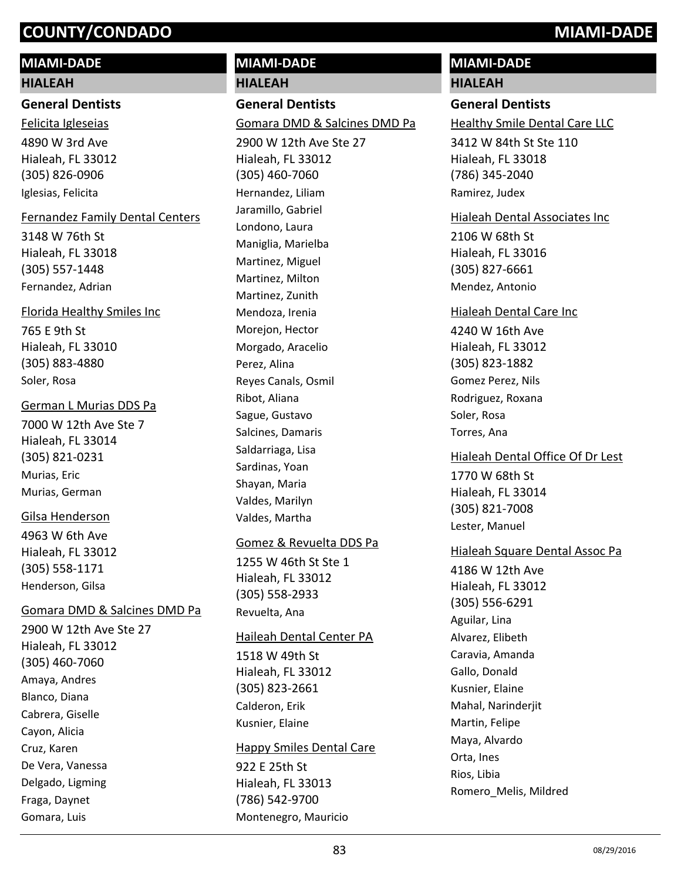# **MIAMI-DADE**

#### **HIALEAH**

**General Dentists**

4890 W 3rd Ave Hialeah, FL 33012 (305) 826-0906 Felicita Igleseias Iglesias, Felicita

#### Fernandez Family Dental Centers

3148 W 76th St Hialeah, FL 33018 (305) 557-1448 Fernandez, Adrian

#### Florida Healthy Smiles Inc

765 E 9th St Hialeah, FL 33010 (305) 883-4880 Soler, Rosa

#### German L Murias DDS Pa

7000 W 12th Ave Ste 7 Hialeah, FL 33014 (305) 821-0231 Murias, Eric Murias, German

#### Gilsa Henderson

4963 W 6th Ave Hialeah, FL 33012 (305) 558-1171 Henderson, Gilsa

# Gomara DMD & Salcines DMD Pa

2900 W 12th Ave Ste 27 Hialeah, FL 33012 (305) 460-7060 Amaya, Andres Blanco, Diana Cabrera, Giselle Cayon, Alicia Cruz, Karen De Vera, Vanessa Delgado, Ligming Fraga, Daynet Gomara, Luis

# **HIALEAH General Dentists** 2900 W 12th Ave Ste 27 Hialeah, FL 33012 (305) 460-7060 Gomara DMD & Salcines DMD Pa Hernandez, Liliam Jaramillo, Gabriel Londono, Laura Maniglia, Marielba Martinez, Miguel Martinez, Milton Martinez, Zunith Mendoza, Irenia Morejon, Hector Morgado, Aracelio Perez, Alina Reyes Canals, Osmil Ribot, Aliana Sague, Gustavo Salcines, Damaris Saldarriaga, Lisa Sardinas, Yoan Shayan, Maria Valdes, Marilyn Valdes, Martha

**MIAMI-DADE**

#### Gomez & Revuelta DDS Pa

1255 W 46th St Ste 1 Hialeah, FL 33012 (305) 558-2933 Revuelta, Ana

#### Haileah Dental Center PA

1518 W 49th St Hialeah, FL 33012 (305) 823-2661 Calderon, Erik Kusnier, Elaine

#### Happy Smiles Dental Care

922 E 25th St Hialeah, FL 33013 (786) 542-9700 Montenegro, Mauricio

# **MIAMI-DADE**

**HIALEAH**

# **General Dentists**

Healthy Smile Dental Care LLC

3412 W 84th St Ste 110 Hialeah, FL 33018 (786) 345-2040 Ramirez, Judex

#### Hialeah Dental Associates Inc

2106 W 68th St Hialeah, FL 33016 (305) 827-6661 Mendez, Antonio

#### Hialeah Dental Care Inc

4240 W 16th Ave Hialeah, FL 33012 (305) 823-1882 Gomez Perez, Nils Rodriguez, Roxana Soler, Rosa Torres, Ana

1770 W 68th St Hialeah, FL 33014 (305) 821-7008 Hialeah Dental Office Of Dr Lest Lester, Manuel

#### Hialeah Square Dental Assoc Pa

4186 W 12th Ave Hialeah, FL 33012 (305) 556-6291 Aguilar, Lina Alvarez, Elibeth Caravia, Amanda Gallo, Donald Kusnier, Elaine Mahal, Narinderjit Martin, Felipe Maya, Alvardo Orta, Ines Rios, Libia Romero\_Melis, Mildred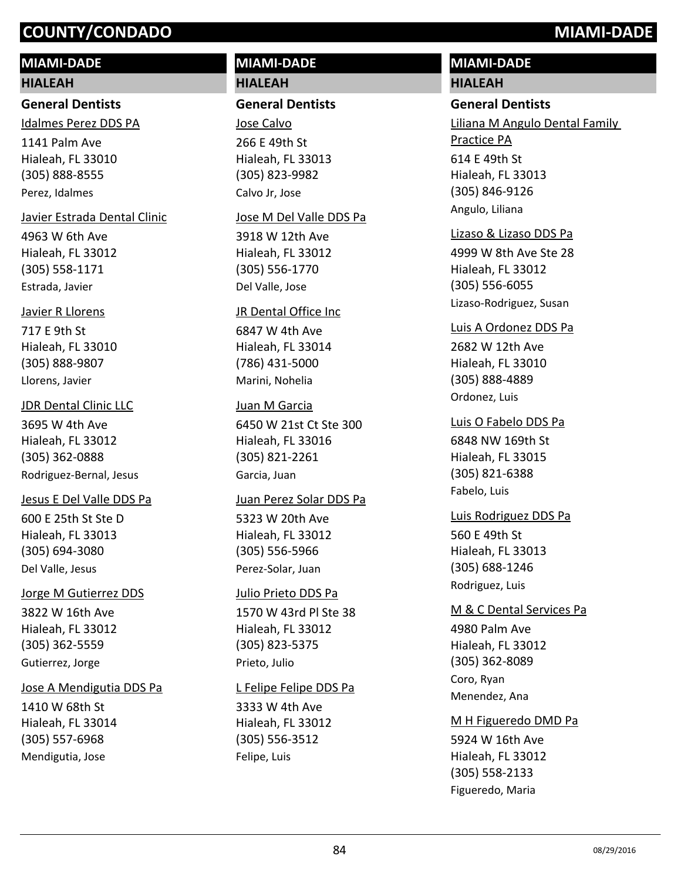# **MIAMI-DADE**

#### **HIALEAH**

#### **General Dentists**

Idalmes Perez DDS PA

1141 Palm Ave Hialeah, FL 33010 (305) 888-8555 Perez, Idalmes

#### Javier Estrada Dental Clinic

4963 W 6th Ave Hialeah, FL 33012 (305) 558-1171 Estrada, Javier

#### Javier R Llorens

717 E 9th St Hialeah, FL 33010 (305) 888-9807 Llorens, Javier

#### JDR Dental Clinic LLC

3695 W 4th Ave Hialeah, FL 33012 (305) 362-0888 Rodriguez-Bernal, Jesus

#### Jesus E Del Valle DDS Pa

600 E 25th St Ste D Hialeah, FL 33013 (305) 694-3080 Del Valle, Jesus

#### Jorge M Gutierrez DDS

3822 W 16th Ave Hialeah, FL 33012 (305) 362-5559 Gutierrez, Jorge

#### Jose A Mendigutia DDS Pa

1410 W 68th St Hialeah, FL 33014 (305) 557-6968 Mendigutia, Jose

# **MIAMI-DADE HIALEAH**

#### **General Dentists**

266 E 49th St Hialeah, FL 33013 (305) 823-9982 Jose Calvo Calvo Jr, Jose

#### Jose M Del Valle DDS Pa

3918 W 12th Ave Hialeah, FL 33012 (305) 556-1770 Del Valle, Jose

#### JR Dental Office Inc

6847 W 4th Ave Hialeah, FL 33014 (786) 431-5000 Marini, Nohelia

#### Juan M Garcia

6450 W 21st Ct Ste 300 Hialeah, FL 33016 (305) 821-2261 Garcia, Juan

#### Juan Perez Solar DDS Pa

5323 W 20th Ave Hialeah, FL 33012 (305) 556-5966 Perez-Solar, Juan

#### Julio Prieto DDS Pa

1570 W 43rd Pl Ste 38 Hialeah, FL 33012 (305) 823-5375 Prieto, Julio

#### L Felipe Felipe DDS Pa

3333 W 4th Ave Hialeah, FL 33012 (305) 556-3512 Felipe, Luis

# **MIAMI-DADE**

# **HIALEAH**

**General Dentists** 614 E 49th St Hialeah, FL 33013 (305) 846-9126 Liliana M Angulo Dental Family Practice PA Angulo, Liliana

#### Lizaso & Lizaso DDS Pa

4999 W 8th Ave Ste 28 Hialeah, FL 33012 (305) 556-6055 Lizaso-Rodriguez, Susan

#### Luis A Ordonez DDS Pa

2682 W 12th Ave Hialeah, FL 33010 (305) 888-4889 Ordonez, Luis

# 6848 NW 169th St Hialeah, FL 33015 (305) 821-6388 Luis O Fabelo DDS Pa Fabelo, Luis

560 E 49th St Hialeah, FL 33013 (305) 688-1246 Luis Rodriguez DDS Pa Rodriguez, Luis

#### M & C Dental Services Pa

4980 Palm Ave Hialeah, FL 33012 (305) 362-8089 Coro, Ryan Menendez, Ana

#### M H Figueredo DMD Pa

5924 W 16th Ave Hialeah, FL 33012 (305) 558-2133 Figueredo, Maria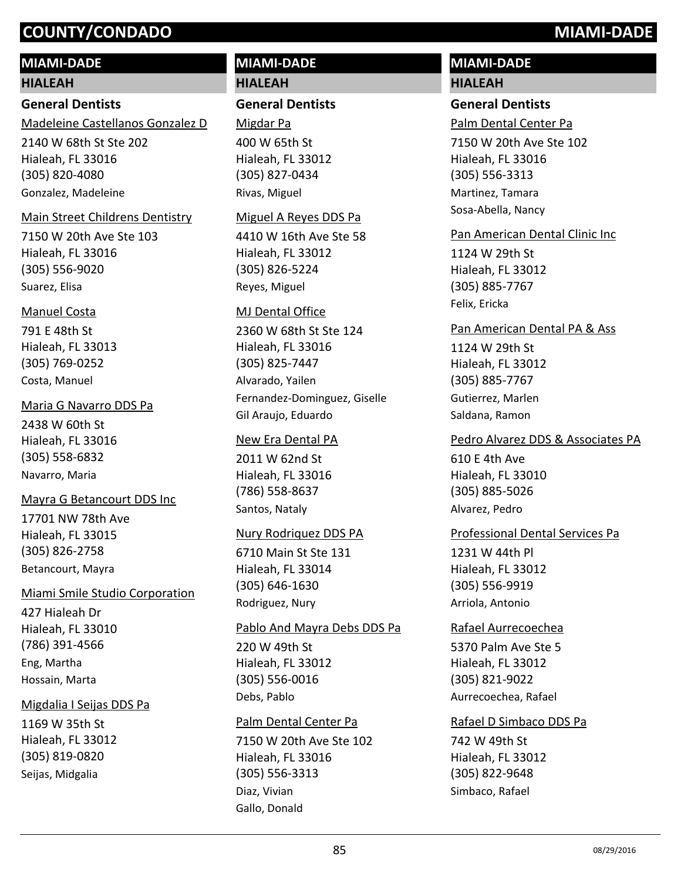# **MIAMI-DADE**

#### **HIALEAH**

# **General Dentists**

Madeleine Castellanos Gonzalez D

2140 W 68th St Ste 202 Hialeah, FL 33016 (305) 820-4080 Gonzalez, Madeleine

#### Main Street Childrens Dentistry

7150 W 20th Ave Ste 103 Hialeah, FL 33016 (305) 556-9020 Suarez, Elisa

#### Manuel Costa

791 E 48th St Hialeah, FL 33013 (305) 769-0252 Costa, Manuel

#### Maria G Navarro DDS Pa

2438 W 60th St Hialeah, FL 33016 (305) 558-6832 Navarro, Maria

#### Mayra G Betancourt DDS Inc

17701 NW 78th Ave Hialeah, FL 33015 (305) 826-2758 Betancourt, Mayra

# Miami Smile Studio Corporation

427 Hialeah Dr Hialeah, FL 33010 (786) 391-4566 Eng, Martha Hossain, Marta

#### Migdalia I Seijas DDS Pa

1169 W 35th St Hialeah, FL 33012 (305) 819-0820 Seijas, Midgalia

# **MIAMI-DADE HIALEAH**

### **General Dentists**

400 W 65th St Hialeah, FL 33012 (305) 827-0434 Migdar Pa Rivas, Miguel

#### Miguel A Reyes DDS Pa

4410 W 16th Ave Ste 58 Hialeah, FL 33012 (305) 826-5224 Reyes, Miguel

#### MJ Dental Office

2360 W 68th St Ste 124 Hialeah, FL 33016 (305) 825-7447 Alvarado, Yailen Fernandez-Dominguez, Giselle Gil Araujo, Eduardo

#### New Era Dental PA

2011 W 62nd St Hialeah, FL 33016 (786) 558-8637 Santos, Nataly

#### Nury Rodriquez DDS PA

6710 Main St Ste 131 Hialeah, FL 33014 (305) 646-1630 Rodriguez, Nury

#### Pablo And Mayra Debs DDS Pa

220 W 49th St Hialeah, FL 33012 (305) 556-0016 Debs, Pablo

#### Palm Dental Center Pa

7150 W 20th Ave Ste 102 Hialeah, FL 33016 (305) 556-3313 Diaz, Vivian Gallo, Donald

# **MIAMI-DADE HIALEAH**

## **General Dentists**

Palm Dental Center Pa

7150 W 20th Ave Ste 102 Hialeah, FL 33016 (305) 556-3313 Martinez, Tamara Sosa-Abella, Nancy

#### Pan American Dental Clinic Inc

1124 W 29th St Hialeah, FL 33012 (305) 885-7767 Felix, Ericka

#### Pan American Dental PA & Ass

1124 W 29th St Hialeah, FL 33012 (305) 885-7767 Gutierrez, Marlen Saldana, Ramon

#### Pedro Alvarez DDS & Associates PA

610 E 4th Ave Hialeah, FL 33010 (305) 885-5026 Alvarez, Pedro

#### Professional Dental Services Pa

1231 W 44th Pl Hialeah, FL 33012 (305) 556-9919 Arriola, Antonio

#### Rafael Aurrecoechea

5370 Palm Ave Ste 5 Hialeah, FL 33012 (305) 821-9022 Aurrecoechea, Rafael

#### Rafael D Simbaco DDS Pa

742 W 49th St Hialeah, FL 33012 (305) 822-9648 Simbaco, Rafael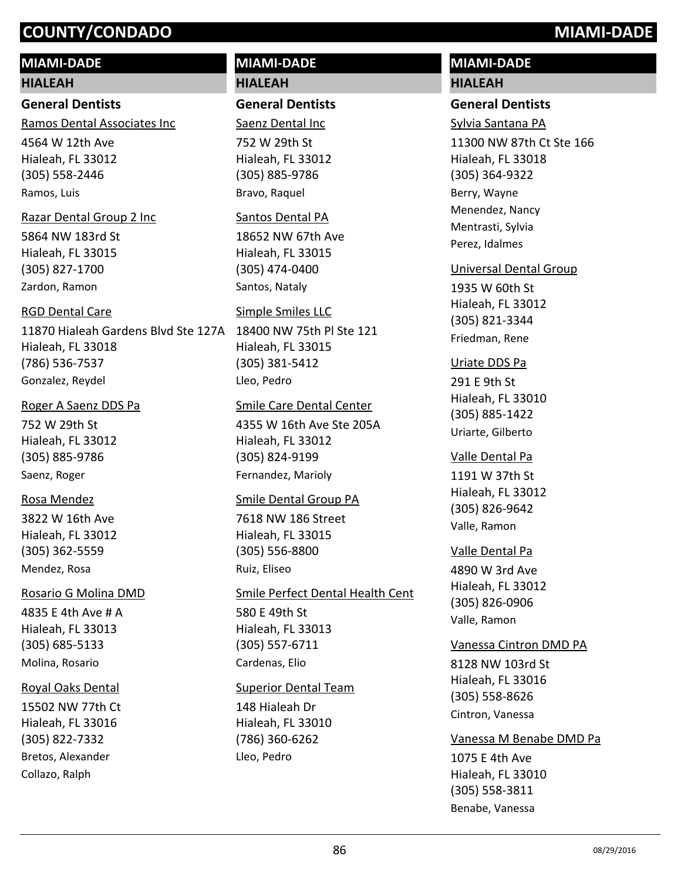### **MIAMI-DADE**

**HIALEAH**

**General Dentists** Ramos Dental Associates Inc

4564 W 12th Ave Hialeah, FL 33012 (305) 558-2446 Ramos, Luis

#### Razar Dental Group 2 Inc

5864 NW 183rd St Hialeah, FL 33015 (305) 827-1700 Zardon, Ramon

#### RGD Dental Care

11870 Hialeah Gardens Blvd Ste 127A 18400 NW 75th Pl Ste 121 Hialeah, FL 33018 (786) 536-7537 Gonzalez, Reydel

#### Roger A Saenz DDS Pa

752 W 29th St Hialeah, FL 33012 (305) 885-9786 Saenz, Roger

#### Rosa Mendez

3822 W 16th Ave Hialeah, FL 33012 (305) 362-5559 Mendez, Rosa

#### Rosario G Molina DMD

4835 E 4th Ave # A Hialeah, FL 33013 (305) 685-5133 Molina, Rosario

#### Royal Oaks Dental

15502 NW 77th Ct Hialeah, FL 33016 (305) 822-7332 Bretos, Alexander Collazo, Ralph

# **MIAMI-DADE HIALEAH**

### **General Dentists**

752 W 29th St Hialeah, FL 33012 (305) 885-9786 Saenz Dental Inc Bravo, Raquel

#### Santos Dental PA

18652 NW 67th Ave Hialeah, FL 33015 (305) 474-0400 Santos, Nataly

#### Simple Smiles LLC

Hialeah, FL 33015 (305) 381-5412 Lleo, Pedro

#### Smile Care Dental Center

4355 W 16th Ave Ste 205A Hialeah, FL 33012 (305) 824-9199 Fernandez, Marioly

#### Smile Dental Group PA

7618 NW 186 Street Hialeah, FL 33015 (305) 556-8800 Ruiz, Eliseo

580 E 49th St Hialeah, FL 33013 (305) 557-6711 Smile Perfect Dental Health Cent Cardenas, Elio

#### Superior Dental Team

148 Hialeah Dr Hialeah, FL 33010 (786) 360-6262 Lleo, Pedro

# **MIAMI-DADE HIALEAH**

# **General Dentists**

11300 NW 87th Ct Ste 166 Hialeah, FL 33018 (305) 364-9322 Sylvia Santana PA Berry, Wayne Menendez, Nancy Mentrasti, Sylvia Perez, Idalmes

#### Universal Dental Group

1935 W 60th St Hialeah, FL 33012 (305) 821-3344 Friedman, Rene

#### Uriate DDS Pa

291 E 9th St Hialeah, FL 33010 (305) 885-1422 Uriarte, Gilberto

# Valle Dental Pa

1191 W 37th St Hialeah, FL 33012 (305) 826-9642 Valle, Ramon

#### Valle Dental Pa

4890 W 3rd Ave Hialeah, FL 33012 (305) 826-0906 Valle, Ramon

# Vanessa Cintron DMD PA

8128 NW 103rd St Hialeah, FL 33016 (305) 558-8626 Cintron, Vanessa

#### Vanessa M Benabe DMD Pa

1075 E 4th Ave Hialeah, FL 33010 (305) 558-3811 Benabe, Vanessa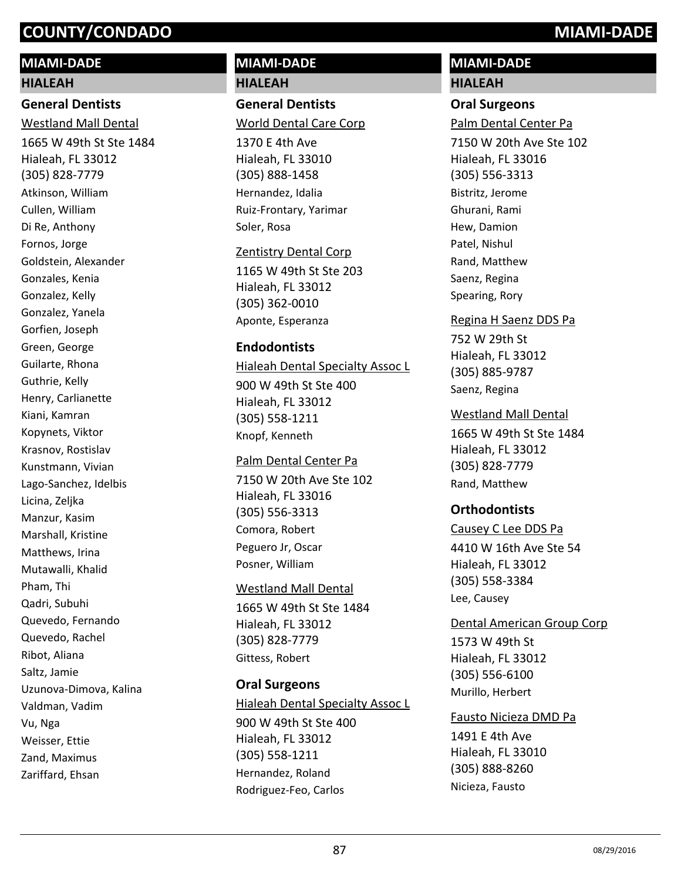### **MIAMI-DADE**

#### **HIALEAH**

# **General Dentists**

1665 W 49th St Ste 1484 Hialeah, FL 33012 (305) 828-7779 Westland Mall Dental Atkinson, William Cullen, William Di Re, Anthony Fornos, Jorge Goldstein, Alexander Gonzales, Kenia Gonzalez, Kelly Gonzalez, Yanela Gorfien, Joseph Green, George Guilarte, Rhona Guthrie, Kelly Henry, Carlianette Kiani, Kamran Kopynets, Viktor Krasnov, Rostislav Kunstmann, Vivian Lago-Sanchez, Idelbis Licina, Zeljka Manzur, Kasim Marshall, Kristine Matthews, Irina Mutawalli, Khalid Pham, Thi Qadri, Subuhi Quevedo, Fernando Quevedo, Rachel Ribot, Aliana Saltz, Jamie Uzunova-Dimova, Kalina Valdman, Vadim Vu, Nga Weisser, Ettie Zand, Maximus Zariffard, Ehsan

# **MIAMI-DADE HIALEAH**

# **General Dentists**

World Dental Care Corp

1370 E 4th Ave Hialeah, FL 33010 (305) 888-1458 Hernandez, Idalia Ruiz-Frontary, Yarimar Soler, Rosa

#### Zentistry Dental Corp

1165 W 49th St Ste 203 Hialeah, FL 33012 (305) 362-0010 Aponte, Esperanza

#### **Endodontists**

900 W 49th St Ste 400 Hialeah Dental Specialty Assoc L

Hialeah, FL 33012 (305) 558-1211 Knopf, Kenneth

#### Palm Dental Center Pa

7150 W 20th Ave Ste 102 Hialeah, FL 33016 (305) 556-3313 Comora, Robert Peguero Jr, Oscar Posner, William

# Westland Mall Dental

1665 W 49th St Ste 1484 Hialeah, FL 33012 (305) 828-7779 Gittess, Robert

#### **Oral Surgeons**

900 W 49th St Ste 400 Hialeah, FL 33012 (305) 558-1211 Hialeah Dental Specialty Assoc L Hernandez, Roland Rodriguez-Feo, Carlos

# **MIAMI-DADE HIALEAH**

#### **Oral Surgeons**

7150 W 20th Ave Ste 102 Hialeah, FL 33016 (305) 556-3313 Palm Dental Center Pa Bistritz, Jerome Ghurani, Rami Hew, Damion Patel, Nishul Rand, Matthew Saenz, Regina Spearing, Rory

#### Regina H Saenz DDS Pa

752 W 29th St Hialeah, FL 33012 (305) 885-9787 Saenz, Regina

#### Westland Mall Dental

1665 W 49th St Ste 1484 Hialeah, FL 33012 (305) 828-7779 Rand, Matthew

#### **Orthodontists**

4410 W 16th Ave Ste 54 Causey C Lee DDS Pa

Hialeah, FL 33012 (305) 558-3384 Lee, Causey

# Dental American Group Corp

1573 W 49th St Hialeah, FL 33012 (305) 556-6100 Murillo, Herbert

# Fausto Nicieza DMD Pa

1491 E 4th Ave Hialeah, FL 33010 (305) 888-8260 Nicieza, Fausto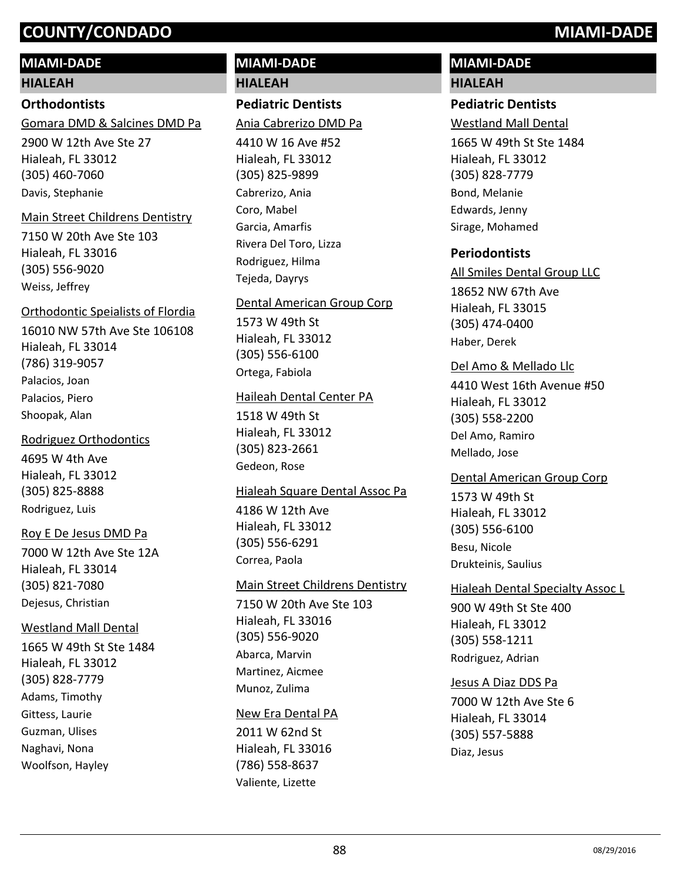## **MIAMI-DADE**

#### **HIALEAH**

### **Orthodontists**

Gomara DMD & Salcines DMD Pa

2900 W 12th Ave Ste 27 Hialeah, FL 33012 (305) 460-7060 Davis, Stephanie

#### Main Street Childrens Dentistry

7150 W 20th Ave Ste 103 Hialeah, FL 33016 (305) 556-9020 Weiss, Jeffrey

# Orthodontic Speialists of Flordia

16010 NW 57th Ave Ste 106108 Hialeah, FL 33014 (786) 319-9057 Palacios, Joan Palacios, Piero Shoopak, Alan

#### Rodriguez Orthodontics

4695 W 4th Ave Hialeah, FL 33012 (305) 825-8888 Rodriguez, Luis

#### Roy E De Jesus DMD Pa

7000 W 12th Ave Ste 12A Hialeah, FL 33014 (305) 821-7080 Dejesus, Christian

# Westland Mall Dental

1665 W 49th St Ste 1484 Hialeah, FL 33012 (305) 828-7779 Adams, Timothy Gittess, Laurie Guzman, Ulises Naghavi, Nona Woolfson, Hayley

# **MIAMI-DADE HIALEAH**

# **Pediatric Dentists**

Ania Cabrerizo DMD Pa

4410 W 16 Ave #52 Hialeah, FL 33012 (305) 825-9899 Cabrerizo, Ania Coro, Mabel Garcia, Amarfis Rivera Del Toro, Lizza Rodriguez, Hilma Tejeda, Dayrys

#### Dental American Group Corp

1573 W 49th St Hialeah, FL 33012 (305) 556-6100 Ortega, Fabiola

#### Haileah Dental Center PA

1518 W 49th St Hialeah, FL 33012 (305) 823-2661 Gedeon, Rose

#### Hialeah Square Dental Assoc Pa

4186 W 12th Ave Hialeah, FL 33012 (305) 556-6291 Correa, Paola

### Main Street Childrens Dentistry

7150 W 20th Ave Ste 103 Hialeah, FL 33016 (305) 556-9020 Abarca, Marvin Martinez, Aicmee Munoz, Zulima

#### New Era Dental PA

2011 W 62nd St Hialeah, FL 33016 (786) 558-8637 Valiente, Lizette

# **MIAMI-DADE HIALEAH**

# **Pediatric Dentists**

Westland Mall Dental

1665 W 49th St Ste 1484 Hialeah, FL 33012 (305) 828-7779 Bond, Melanie Edwards, Jenny Sirage, Mohamed

# **Periodontists**

All Smiles Dental Group LLC

18652 NW 67th Ave Hialeah, FL 33015 (305) 474-0400 Haber, Derek

#### Del Amo & Mellado Llc

4410 West 16th Avenue #50 Hialeah, FL 33012 (305) 558-2200 Del Amo, Ramiro Mellado, Jose

#### Dental American Group Corp

1573 W 49th St Hialeah, FL 33012 (305) 556-6100 Besu, Nicole Drukteinis, Saulius

#### Hialeah Dental Specialty Assoc L

900 W 49th St Ste 400 Hialeah, FL 33012 (305) 558-1211 Rodriguez, Adrian

#### Jesus A Diaz DDS Pa

7000 W 12th Ave Ste 6 Hialeah, FL 33014 (305) 557-5888 Diaz, Jesus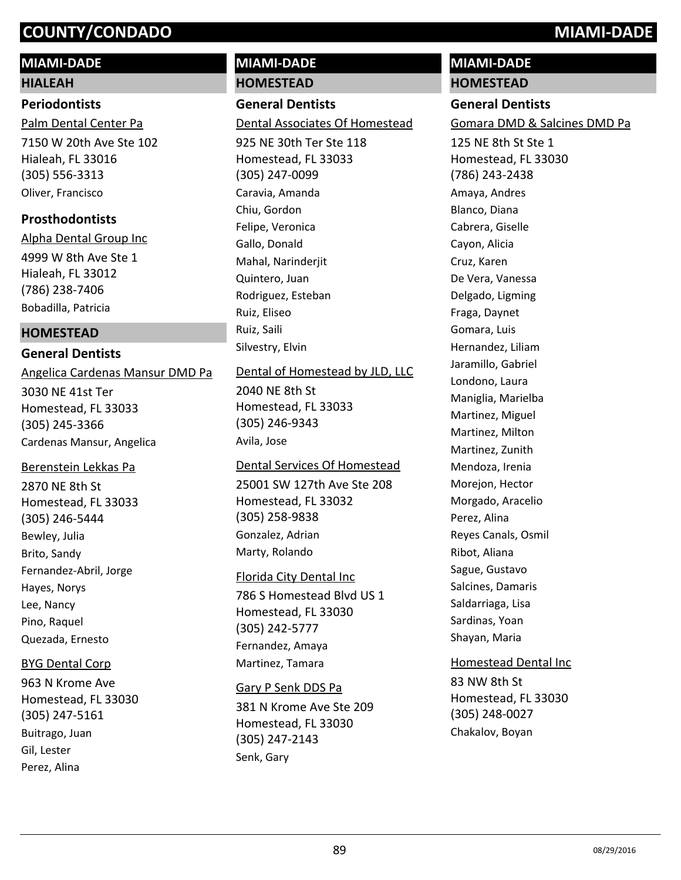# **MIAMI-DADE**

# **HIALEAH**

# **Periodontists**

7150 W 20th Ave Ste 102 Hialeah, FL 33016 (305) 556-3313 Palm Dental Center Pa Oliver, Francisco

# **Prosthodontists**

4999 W 8th Ave Ste 1 Hialeah, FL 33012 (786) 238-7406 Alpha Dental Group Inc Bobadilla, Patricia

# **HOMESTEAD**

# **General Dentists**

3030 NE 41st Ter Homestead, FL 33033 (305) 245-3366 Angelica Cardenas Mansur DMD Pa Cardenas Mansur, Angelica

# Berenstein Lekkas Pa

2870 NE 8th St Homestead, FL 33033 (305) 246-5444 Bewley, Julia Brito, Sandy Fernandez-Abril, Jorge Hayes, Norys Lee, Nancy Pino, Raquel Quezada, Ernesto

# BYG Dental Corp

963 N Krome Ave Homestead, FL 33030 (305) 247-5161 Buitrago, Juan Gil, Lester Perez, Alina

# **MIAMI-DADE HOMESTEAD**

# **General Dentists**

Dental Associates Of Homestead

925 NE 30th Ter Ste 118 Homestead, FL 33033 (305) 247-0099 Caravia, Amanda Chiu, Gordon Felipe, Veronica Gallo, Donald Mahal, Narinderjit Quintero, Juan Rodriguez, Esteban Ruiz, Eliseo Ruiz, Saili Silvestry, Elvin

# Dental of Homestead by JLD, LLC

2040 NE 8th St Homestead, FL 33033 (305) 246-9343 Avila, Jose

# 25001 SW 127th Ave Ste 208 Homestead, FL 33032 Dental Services Of Homestead

(305) 258-9838 Gonzalez, Adrian Marty, Rolando

# Florida City Dental Inc

786 S Homestead Blvd US 1 Homestead, FL 33030 (305) 242-5777 Fernandez, Amaya Martinez, Tamara

#### Gary P Senk DDS Pa

381 N Krome Ave Ste 209 Homestead, FL 33030 (305) 247-2143 Senk, Gary

# **MIAMI-DADE**

# **HOMESTEAD**

# **General Dentists**

Gomara DMD & Salcines DMD Pa

125 NE 8th St Ste 1 Homestead, FL 33030 (786) 243-2438 Amaya, Andres Blanco, Diana Cabrera, Giselle Cayon, Alicia Cruz, Karen De Vera, Vanessa Delgado, Ligming Fraga, Daynet Gomara, Luis Hernandez, Liliam Jaramillo, Gabriel Londono, Laura Maniglia, Marielba Martinez, Miguel Martinez, Milton Martinez, Zunith Mendoza, Irenia Morejon, Hector Morgado, Aracelio Perez, Alina Reyes Canals, Osmil Ribot, Aliana Sague, Gustavo Salcines, Damaris Saldarriaga, Lisa Sardinas, Yoan Shayan, Maria

# 83 NW 8th St Homestead, FL 33030 Homestead Dental Inc

(305) 248-0027 Chakalov, Boyan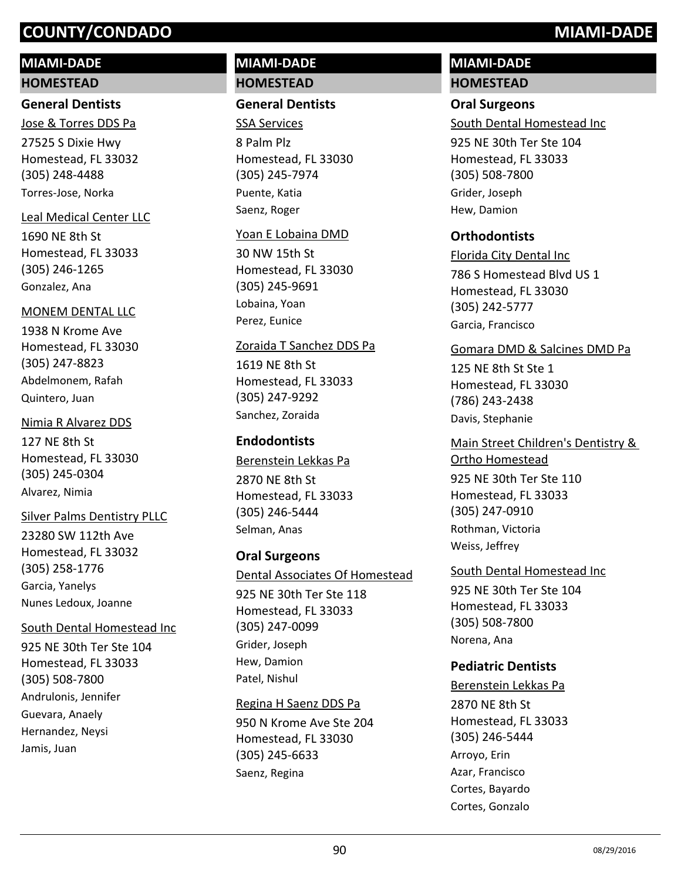# **MIAMI-DADE**

#### **HOMESTEAD**

# **General Dentists**

27525 S Dixie Hwy Homestead, FL 33032 (305) 248-4488 Jose & Torres DDS Pa Torres-Jose, Norka

#### Leal Medical Center LLC

1690 NE 8th St Homestead, FL 33033 (305) 246-1265 Gonzalez, Ana

#### MONEM DENTAL LLC

1938 N Krome Ave Homestead, FL 33030 (305) 247-8823 Abdelmonem, Rafah Quintero, Juan

# 127 NE 8th St Homestead, FL 33030 Nimia R Alvarez DDS

(305) 245-0304 Alvarez, Nimia

# Silver Palms Dentistry PLLC

23280 SW 112th Ave Homestead, FL 33032 (305) 258-1776 Garcia, Yanelys Nunes Ledoux, Joanne

#### South Dental Homestead Inc

925 NE 30th Ter Ste 104 Homestead, FL 33033 (305) 508-7800 Andrulonis, Jennifer Guevara, Anaely Hernandez, Neysi Jamis, Juan

# **MIAMI-DADE HOMESTEAD**

### **General Dentists**

8 Palm Plz Homestead, FL 33030 (305) 245-7974 SSA Services Puente, Katia Saenz, Roger

#### Yoan E Lobaina DMD

30 NW 15th St Homestead, FL 33030 (305) 245-9691 Lobaina, Yoan Perez, Eunice

#### Zoraida T Sanchez DDS Pa

1619 NE 8th St Homestead, FL 33033 (305) 247-9292 Sanchez, Zoraida

# **Endodontists**

2870 NE 8th St Homestead, FL 33033 (305) 246-5444 Berenstein Lekkas Pa Selman, Anas

# **Oral Surgeons**

925 NE 30th Ter Ste 118 Homestead, FL 33033 (305) 247-0099 Dental Associates Of Homestead Grider, Joseph Hew, Damion Patel, Nishul

# Regina H Saenz DDS Pa

950 N Krome Ave Ste 204 Homestead, FL 33030 (305) 245-6633 Saenz, Regina

# **MIAMI-DADE HOMESTEAD**

# **Oral Surgeons**

South Dental Homestead Inc

925 NE 30th Ter Ste 104 Homestead, FL 33033 (305) 508-7800 Grider, Joseph Hew, Damion

# **Orthodontists**

786 S Homestead Blvd US 1 Homestead, FL 33030 (305) 242-5777 Florida City Dental Inc Garcia, Francisco

### Gomara DMD & Salcines DMD Pa

125 NE 8th St Ste 1 Homestead, FL 33030 (786) 243-2438 Davis, Stephanie

# 925 NE 30th Ter Ste 110 Homestead, FL 33033 (305) 247-0910 Main Street Children's Dentistry & Ortho Homestead Rothman, Victoria Weiss, Jeffrey

925 NE 30th Ter Ste 104 Homestead, FL 33033 (305) 508-7800 South Dental Homestead Inc Norena, Ana

# **Pediatric Dentists**

2870 NE 8th St Homestead, FL 33033 (305) 246-5444 Berenstein Lekkas Pa Arroyo, Erin Azar, Francisco Cortes, Bayardo Cortes, Gonzalo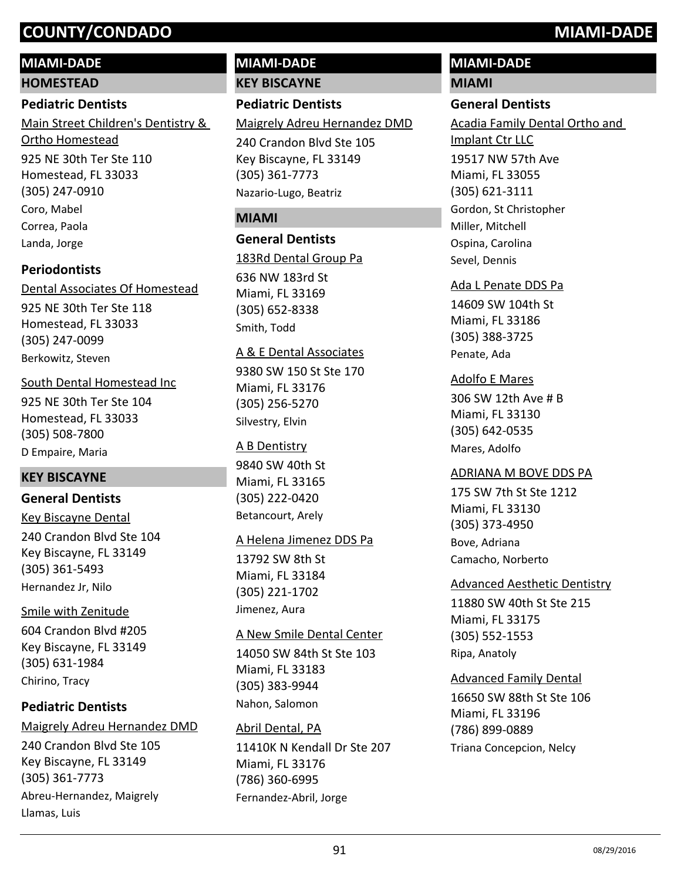# **MIAMI-DADE**

**HOMESTEAD**

#### **Pediatric Dentists**

925 NE 30th Ter Ste 110 Homestead, FL 33033 (305) 247-0910 Main Street Children's Dentistry & Ortho Homestead Coro, Mabel Correa, Paola Landa, Jorge

# **Periodontists**

925 NE 30th Ter Ste 118 Homestead, FL 33033 (305) 247-0099 Dental Associates Of Homestead Berkowitz, Steven

# South Dental Homestead Inc

925 NE 30th Ter Ste 104 Homestead, FL 33033 (305) 508-7800 D Empaire, Maria

# **KEY BISCAYNE**

# **General Dentists**

240 Crandon Blvd Ste 104 Key Biscayne, FL 33149 (305) 361-5493 Key Biscayne Dental Hernandez Jr, Nilo

# Smile with Zenitude

604 Crandon Blvd #205 Key Biscayne, FL 33149 (305) 631-1984 Chirino, Tracy

# **Pediatric Dentists**

# Maigrely Adreu Hernandez DMD

240 Crandon Blvd Ste 105 Key Biscayne, FL 33149 (305) 361-7773 Abreu-Hernandez, Maigrely Llamas, Luis

# **MIAMI-DADE KEY BISCAYNE**

# **Pediatric Dentists**

Maigrely Adreu Hernandez DMD

240 Crandon Blvd Ste 105 Key Biscayne, FL 33149 (305) 361-7773 Nazario-Lugo, Beatriz

## **MIAMI**

### **General Dentists**

636 NW 183rd St Miami, FL 33169 (305) 652-8338 183Rd Dental Group Pa Smith, Todd

#### A & E Dental Associates

9380 SW 150 St Ste 170 Miami, FL 33176 (305) 256-5270 Silvestry, Elvin

#### A B Dentistry

9840 SW 40th St Miami, FL 33165 (305) 222-0420 Betancourt, Arely

#### A Helena Jimenez DDS Pa

13792 SW 8th St Miami, FL 33184 (305) 221-1702 Jimenez, Aura

# A New Smile Dental Center

14050 SW 84th St Ste 103 Miami, FL 33183 (305) 383-9944 Nahon, Salomon

# Abril Dental, PA

11410K N Kendall Dr Ste 207 Miami, FL 33176 (786) 360-6995 Fernandez-Abril, Jorge

# **MIAMI-DADE**

# **MIAMI**

# **General Dentists**

19517 NW 57th Ave Miami, FL 33055 (305) 621-3111 Acadia Family Dental Ortho and Implant Ctr LLC Gordon, St Christopher Miller, Mitchell Ospina, Carolina Sevel, Dennis

#### Ada L Penate DDS Pa

14609 SW 104th St Miami, FL 33186 (305) 388-3725 Penate, Ada

### Adolfo E Mares

306 SW 12th Ave # B Miami, FL 33130 (305) 642-0535 Mares, Adolfo

# ADRIANA M BOVE DDS PA

175 SW 7th St Ste 1212 Miami, FL 33130 (305) 373-4950 Bove, Adriana Camacho, Norberto

#### Advanced Aesthetic Dentistry

11880 SW 40th St Ste 215 Miami, FL 33175 (305) 552-1553 Ripa, Anatoly

# Advanced Family Dental

16650 SW 88th St Ste 106 Miami, FL 33196 (786) 899-0889 Triana Concepcion, Nelcy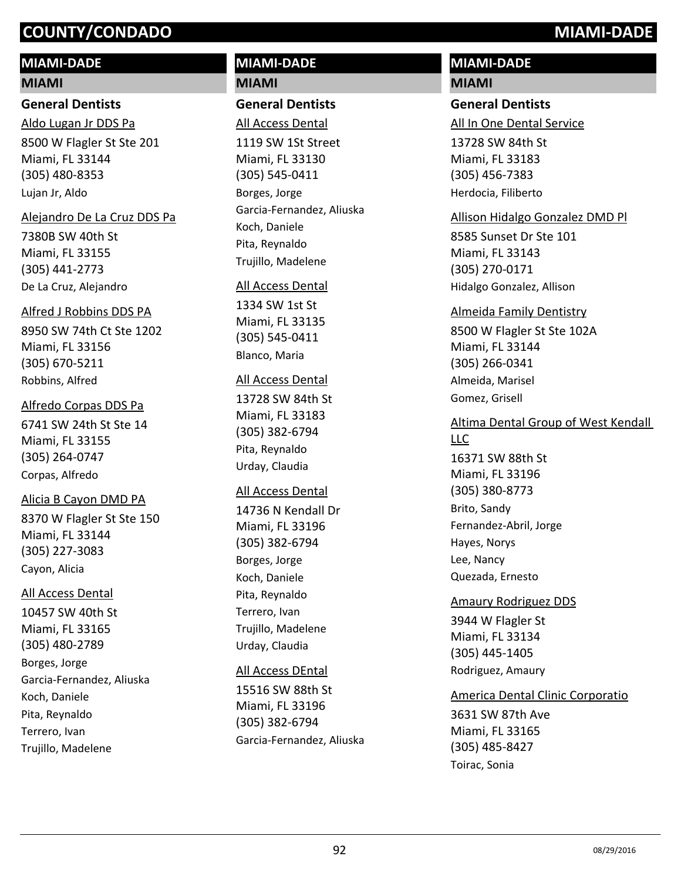# **MIAMI-DADE**

#### **MIAMI**

#### **General Dentists**

8500 W Flagler St Ste 201 Miami, FL 33144 (305) 480-8353 Aldo Lugan Jr DDS Pa Lujan Jr, Aldo

#### Alejandro De La Cruz DDS Pa

7380B SW 40th St Miami, FL 33155 (305) 441-2773 De La Cruz, Alejandro

#### Alfred J Robbins DDS PA

8950 SW 74th Ct Ste 1202 Miami, FL 33156 (305) 670-5211 Robbins, Alfred

#### Alfredo Corpas DDS Pa

6741 SW 24th St Ste 14 Miami, FL 33155 (305) 264-0747 Corpas, Alfredo

#### Alicia B Cayon DMD PA

8370 W Flagler St Ste 150 Miami, FL 33144 (305) 227-3083 Cayon, Alicia

#### All Access Dental

10457 SW 40th St Miami, FL 33165 (305) 480-2789 Borges, Jorge Garcia-Fernandez, Aliuska Koch, Daniele Pita, Reynaldo Terrero, Ivan Trujillo, Madelene

# **MIAMI-DADE MIAMI**

### **General Dentists**

1119 SW 1St Street Miami, FL 33130 (305) 545-0411 All Access Dental Borges, Jorge Garcia-Fernandez, Aliuska Koch, Daniele Pita, Reynaldo

#### All Access Dental

Trujillo, Madelene

1334 SW 1st St Miami, FL 33135 (305) 545-0411 Blanco, Maria

#### All Access Dental

13728 SW 84th St Miami, FL 33183 (305) 382-6794 Pita, Reynaldo Urday, Claudia

#### All Access Dental

14736 N Kendall Dr Miami, FL 33196 (305) 382-6794 Borges, Jorge Koch, Daniele Pita, Reynaldo Terrero, Ivan Trujillo, Madelene Urday, Claudia

#### All Access DEntal

15516 SW 88th St Miami, FL 33196 (305) 382-6794 Garcia-Fernandez, Aliuska

# **MIAMI-DADE**

# **MIAMI**

# **General Dentists**

All In One Dental Service

13728 SW 84th St Miami, FL 33183 (305) 456-7383 Herdocia, Filiberto

#### Allison Hidalgo Gonzalez DMD Pl

8585 Sunset Dr Ste 101 Miami, FL 33143 (305) 270-0171 Hidalgo Gonzalez, Allison

#### Almeida Family Dentistry

8500 W Flagler St Ste 102A Miami, FL 33144 (305) 266-0341 Almeida, Marisel Gomez, Grisell

#### Altima Dental Group of West Kendall LLC

16371 SW 88th St Miami, FL 33196 (305) 380-8773 Brito, Sandy Fernandez-Abril, Jorge Hayes, Norys Lee, Nancy Quezada, Ernesto

#### Amaury Rodriguez DDS

3944 W Flagler St Miami, FL 33134 (305) 445-1405 Rodriguez, Amaury

# America Dental Clinic Corporatio

3631 SW 87th Ave Miami, FL 33165 (305) 485-8427 Toirac, Sonia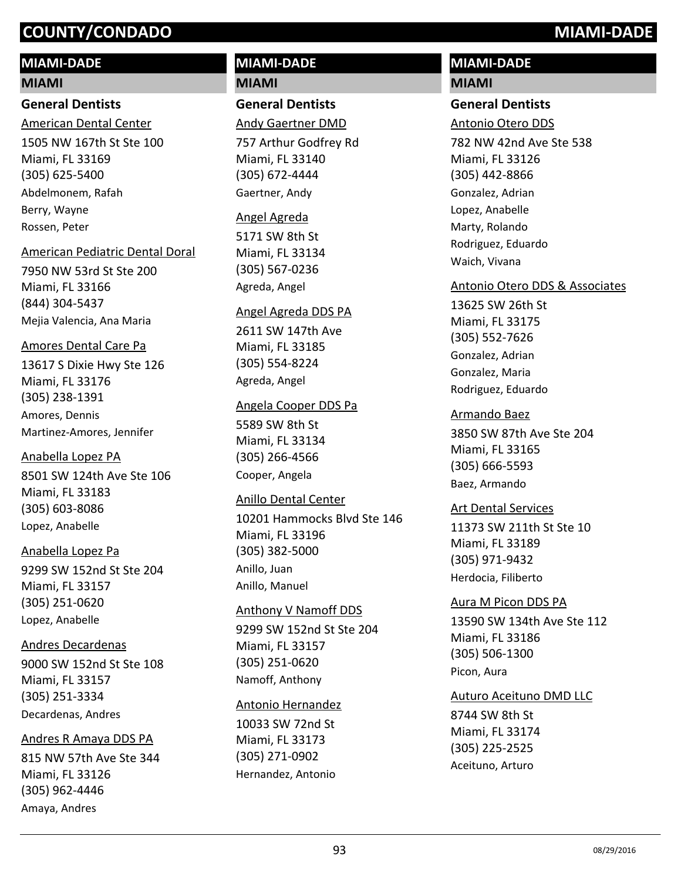# **MIAMI-DADE**

#### **MIAMI**

# **General Dentists**

1505 NW 167th St Ste 100 Miami, FL 33169 (305) 625-5400 American Dental Center Abdelmonem, Rafah Berry, Wayne Rossen, Peter

#### American Pediatric Dental Doral

7950 NW 53rd St Ste 200 Miami, FL 33166 (844) 304-5437 Mejia Valencia, Ana Maria

#### Amores Dental Care Pa

13617 S Dixie Hwy Ste 126 Miami, FL 33176 (305) 238-1391 Amores, Dennis Martinez-Amores, Jennifer

#### Anabella Lopez PA

8501 SW 124th Ave Ste 106 Miami, FL 33183 (305) 603-8086 Lopez, Anabelle

# Anabella Lopez Pa

9299 SW 152nd St Ste 204 Miami, FL 33157 (305) 251-0620 Lopez, Anabelle

#### Andres Decardenas

9000 SW 152nd St Ste 108 Miami, FL 33157 (305) 251-3334 Decardenas, Andres

#### Andres R Amaya DDS PA

815 NW 57th Ave Ste 344 Miami, FL 33126 (305) 962-4446 Amaya, Andres

# **MIAMI-DADE MIAMI**

**General Dentists** Andy Gaertner DMD

757 Arthur Godfrey Rd Miami, FL 33140 (305) 672-4444 Gaertner, Andy

#### Angel Agreda

5171 SW 8th St Miami, FL 33134 (305) 567-0236 Agreda, Angel

#### Angel Agreda DDS PA

2611 SW 147th Ave Miami, FL 33185 (305) 554-8224 Agreda, Angel

#### Angela Cooper DDS Pa

5589 SW 8th St Miami, FL 33134 (305) 266-4566 Cooper, Angela

#### Anillo Dental Center

10201 Hammocks Blvd Ste 146 Miami, FL 33196 (305) 382-5000 Anillo, Juan Anillo, Manuel

#### Anthony V Namoff DDS

9299 SW 152nd St Ste 204 Miami, FL 33157 (305) 251-0620 Namoff, Anthony

#### Antonio Hernandez

10033 SW 72nd St Miami, FL 33173 (305) 271-0902 Hernandez, Antonio

# **MIAMI-DADE**

# **MIAMI**

# **General Dentists**

Antonio Otero DDS

782 NW 42nd Ave Ste 538 Miami, FL 33126 (305) 442-8866 Gonzalez, Adrian Lopez, Anabelle Marty, Rolando Rodriguez, Eduardo Waich, Vivana

### Antonio Otero DDS & Associates

13625 SW 26th St Miami, FL 33175 (305) 552-7626 Gonzalez, Adrian Gonzalez, Maria Rodriguez, Eduardo

#### Armando Baez

3850 SW 87th Ave Ste 204 Miami, FL 33165 (305) 666-5593 Baez, Armando

#### Art Dental Services

11373 SW 211th St Ste 10 Miami, FL 33189 (305) 971-9432 Herdocia, Filiberto

#### Aura M Picon DDS PA

13590 SW 134th Ave Ste 112 Miami, FL 33186 (305) 506-1300 Picon, Aura

#### Auturo Aceituno DMD LLC

8744 SW 8th St Miami, FL 33174 (305) 225-2525 Aceituno, Arturo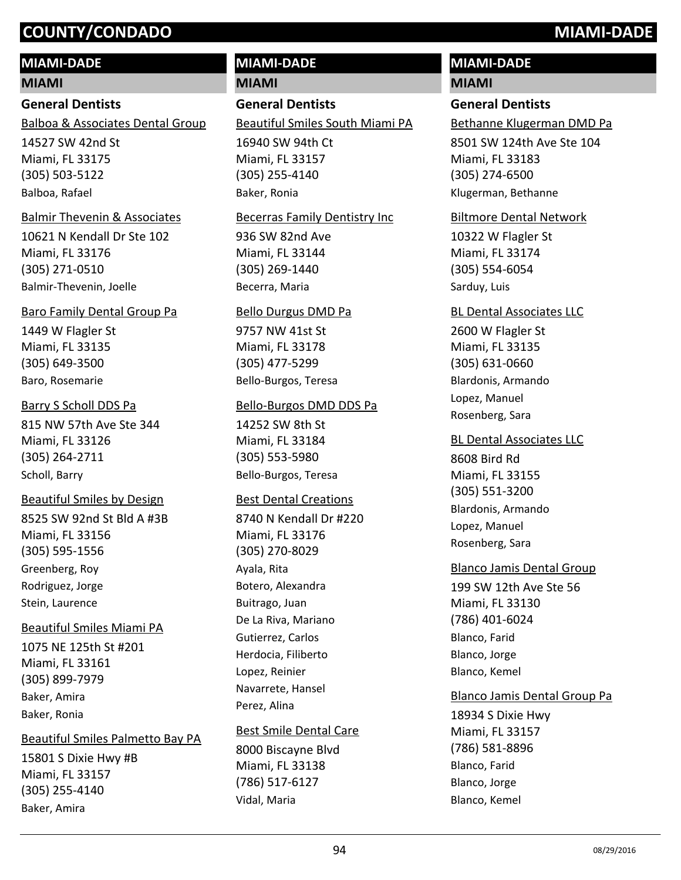### **MIAMI-DADE**

#### **MIAMI**

#### **General Dentists**

Balboa & Associates Dental Group

14527 SW 42nd St Miami, FL 33175 (305) 503-5122 Balboa, Rafael

#### Balmir Thevenin & Associates

10621 N Kendall Dr Ste 102 Miami, FL 33176 (305) 271-0510 Balmir-Thevenin, Joelle

#### Baro Family Dental Group Pa

1449 W Flagler St Miami, FL 33135 (305) 649-3500 Baro, Rosemarie

#### Barry S Scholl DDS Pa

815 NW 57th Ave Ste 344 Miami, FL 33126 (305) 264-2711 Scholl, Barry

### Beautiful Smiles by Design

8525 SW 92nd St Bld A #3B Miami, FL 33156 (305) 595-1556 Greenberg, Roy Rodriguez, Jorge Stein, Laurence

#### Beautiful Smiles Miami PA

1075 NE 125th St #201 Miami, FL 33161 (305) 899-7979 Baker, Amira Baker, Ronia

#### Beautiful Smiles Palmetto Bay PA

15801 S Dixie Hwy #B Miami, FL 33157 (305) 255-4140 Baker, Amira

# **MIAMI-DADE**

**MIAMI**

# **General Dentists**

Beautiful Smiles South Miami PA

16940 SW 94th Ct Miami, FL 33157 (305) 255-4140 Baker, Ronia

#### Becerras Family Dentistry Inc

936 SW 82nd Ave Miami, FL 33144 (305) 269-1440 Becerra, Maria

#### Bello Durgus DMD Pa

9757 NW 41st St Miami, FL 33178 (305) 477-5299 Bello-Burgos, Teresa

#### Bello-Burgos DMD DDS Pa

14252 SW 8th St Miami, FL 33184 (305) 553-5980 Bello-Burgos, Teresa

#### Best Dental Creations

8740 N Kendall Dr #220 Miami, FL 33176 (305) 270-8029 Ayala, Rita Botero, Alexandra Buitrago, Juan De La Riva, Mariano Gutierrez, Carlos Herdocia, Filiberto Lopez, Reinier Navarrete, Hansel Perez, Alina

# Best Smile Dental Care

8000 Biscayne Blvd Miami, FL 33138 (786) 517-6127 Vidal, Maria

# **MIAMI-DADE**

#### **MIAMI**

### **General Dentists**

Bethanne Klugerman DMD Pa

8501 SW 124th Ave Ste 104 Miami, FL 33183 (305) 274-6500 Klugerman, Bethanne

#### Biltmore Dental Network

10322 W Flagler St Miami, FL 33174 (305) 554-6054 Sarduy, Luis

#### BL Dental Associates LLC

2600 W Flagler St Miami, FL 33135 (305) 631-0660 Blardonis, Armando Lopez, Manuel Rosenberg, Sara

#### BL Dental Associates LLC

8608 Bird Rd Miami, FL 33155 (305) 551-3200 Blardonis, Armando Lopez, Manuel Rosenberg, Sara

#### Blanco Jamis Dental Group

199 SW 12th Ave Ste 56 Miami, FL 33130 (786) 401-6024 Blanco, Farid Blanco, Jorge Blanco, Kemel

#### Blanco Jamis Dental Group Pa

18934 S Dixie Hwy Miami, FL 33157 (786) 581-8896 Blanco, Farid Blanco, Jorge Blanco, Kemel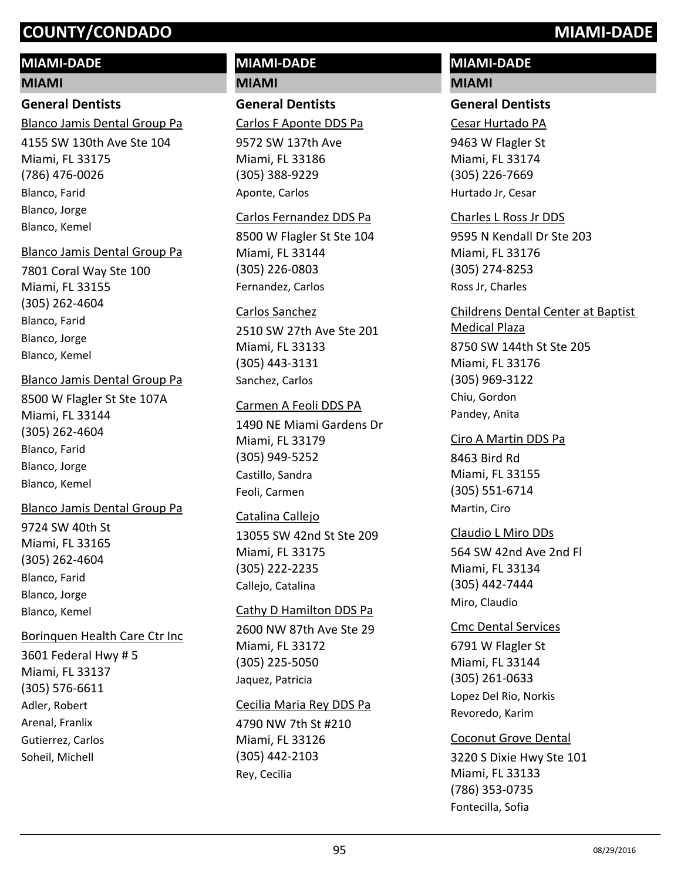# **MIAMI-DADE**

# **MIAMI**

# **General Dentists**

Blanco Jamis Dental Group Pa

4155 SW 130th Ave Ste 104 Miami, FL 33175 (786) 476-0026 Blanco, Farid Blanco, Jorge Blanco, Kemel

# Blanco Jamis Dental Group Pa

7801 Coral Way Ste 100 Miami, FL 33155 (305) 262-4604 Blanco, Farid Blanco, Jorge Blanco, Kemel

# Blanco Jamis Dental Group Pa

8500 W Flagler St Ste 107A Miami, FL 33144 (305) 262-4604 Blanco, Farid Blanco, Jorge Blanco, Kemel

# Blanco Jamis Dental Group Pa

9724 SW 40th St Miami, FL 33165 (305) 262-4604 Blanco, Farid Blanco, Jorge Blanco, Kemel

# Borinquen Health Care Ctr Inc

3601 Federal Hwy # 5 Miami, FL 33137 (305) 576-6611 Adler, Robert Arenal, Franlix Gutierrez, Carlos Soheil, Michell

# **MIAMI-DADE MIAMI**

# **General Dentists**

9572 SW 137th Ave Carlos F Aponte DDS Pa

Miami, FL 33186 (305) 388-9229 Aponte, Carlos

### Carlos Fernandez DDS Pa

8500 W Flagler St Ste 104 Miami, FL 33144 (305) 226-0803 Fernandez, Carlos

### Carlos Sanchez

2510 SW 27th Ave Ste 201 Miami, FL 33133 (305) 443-3131 Sanchez, Carlos

### Carmen A Feoli DDS PA

1490 NE Miami Gardens Dr Miami, FL 33179 (305) 949-5252 Castillo, Sandra Feoli, Carmen

# Catalina Callejo

13055 SW 42nd St Ste 209 Miami, FL 33175 (305) 222-2235 Callejo, Catalina

# Cathy D Hamilton DDS Pa

2600 NW 87th Ave Ste 29 Miami, FL 33172 (305) 225-5050 Jaquez, Patricia

#### Cecilia Maria Rey DDS Pa

4790 NW 7th St #210 Miami, FL 33126 (305) 442-2103 Rey, Cecilia

# **MIAMI-DADE MIAMI**

# **General Dentists**

Cesar Hurtado PA

9463 W Flagler St Miami, FL 33174 (305) 226-7669 Hurtado Jr, Cesar

# 9595 N Kendall Dr Ste 203 Miami, FL 33176 Charles L Ross Jr DDS

(305) 274-8253 Ross Jr, Charles

# 8750 SW 144th St Ste 205 Miami, FL 33176 (305) 969-3122 Childrens Dental Center at Baptist Medical Plaza Chiu, Gordon Pandey, Anita

# Ciro A Martin DDS Pa

8463 Bird Rd Miami, FL 33155 (305) 551-6714 Martin, Ciro

# Claudio L Miro DDs

564 SW 42nd Ave 2nd Fl Miami, FL 33134 (305) 442-7444 Miro, Claudio

# Cmc Dental Services

6791 W Flagler St Miami, FL 33144 (305) 261-0633 Lopez Del Rio, Norkis Revoredo, Karim

# Coconut Grove Dental

3220 S Dixie Hwy Ste 101 Miami, FL 33133 (786) 353-0735 Fontecilla, Sofia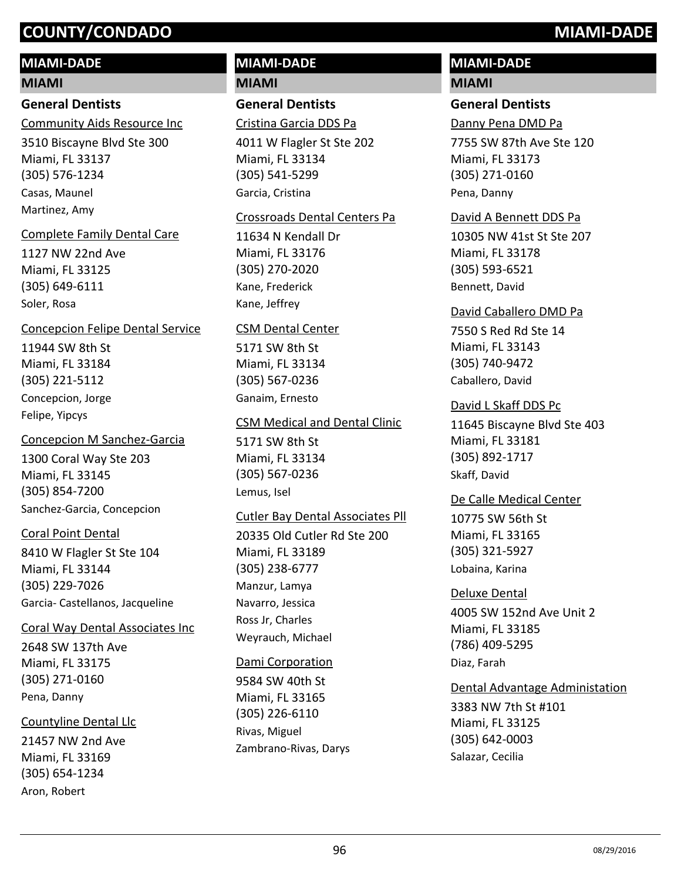# **MIAMI-DADE**

#### **MIAMI**

# **General Dentists**

Community Aids Resource Inc

3510 Biscayne Blvd Ste 300 Miami, FL 33137 (305) 576-1234 Casas, Maunel Martinez, Amy

#### Complete Family Dental Care

1127 NW 22nd Ave Miami, FL 33125 (305) 649-6111 Soler, Rosa

#### Concepcion Felipe Dental Service

11944 SW 8th St Miami, FL 33184 (305) 221-5112 Concepcion, Jorge Felipe, Yipcys

#### Concepcion M Sanchez-Garcia

1300 Coral Way Ste 203 Miami, FL 33145 (305) 854-7200 Sanchez-Garcia, Concepcion

#### Coral Point Dental

8410 W Flagler St Ste 104 Miami, FL 33144 (305) 229-7026 Garcia- Castellanos, Jacqueline

#### Coral Way Dental Associates Inc

2648 SW 137th Ave Miami, FL 33175 (305) 271-0160 Pena, Danny

# Countyline Dental Llc

21457 NW 2nd Ave Miami, FL 33169 (305) 654-1234 Aron, Robert

# **MIAMI-DADE MIAMI**

**General Dentists**

Cristina Garcia DDS Pa

4011 W Flagler St Ste 202 Miami, FL 33134 (305) 541-5299 Garcia, Cristina

#### Crossroads Dental Centers Pa

11634 N Kendall Dr Miami, FL 33176 (305) 270-2020 Kane, Frederick Kane, Jeffrey

#### CSM Dental Center

5171 SW 8th St Miami, FL 33134 (305) 567-0236 Ganaim, Ernesto

#### CSM Medical and Dental Clinic

5171 SW 8th St Miami, FL 33134 (305) 567-0236 Lemus, Isel

# Cutler Bay Dental Associates Pll

20335 Old Cutler Rd Ste 200 Miami, FL 33189 (305) 238-6777 Manzur, Lamya Navarro, Jessica Ross Jr, Charles Weyrauch, Michael

#### Dami Corporation

9584 SW 40th St Miami, FL 33165 (305) 226-6110 Rivas, Miguel Zambrano-Rivas, Darys

# **MIAMI-DADE**

# **MIAMI**

# **General Dentists**

Danny Pena DMD Pa

7755 SW 87th Ave Ste 120 Miami, FL 33173 (305) 271-0160 Pena, Danny

#### David A Bennett DDS Pa

10305 NW 41st St Ste 207 Miami, FL 33178 (305) 593-6521 Bennett, David

#### David Caballero DMD Pa

7550 S Red Rd Ste 14 Miami, FL 33143 (305) 740-9472 Caballero, David

#### David L Skaff DDS Pc

11645 Biscayne Blvd Ste 403 Miami, FL 33181 (305) 892-1717 Skaff, David

#### De Calle Medical Center

10775 SW 56th St Miami, FL 33165 (305) 321-5927 Lobaina, Karina

# 4005 SW 152nd Ave Unit 2 Deluxe Dental

Miami, FL 33185 (786) 409-5295 Diaz, Farah

#### Dental Advantage Administation

3383 NW 7th St #101 Miami, FL 33125 (305) 642-0003 Salazar, Cecilia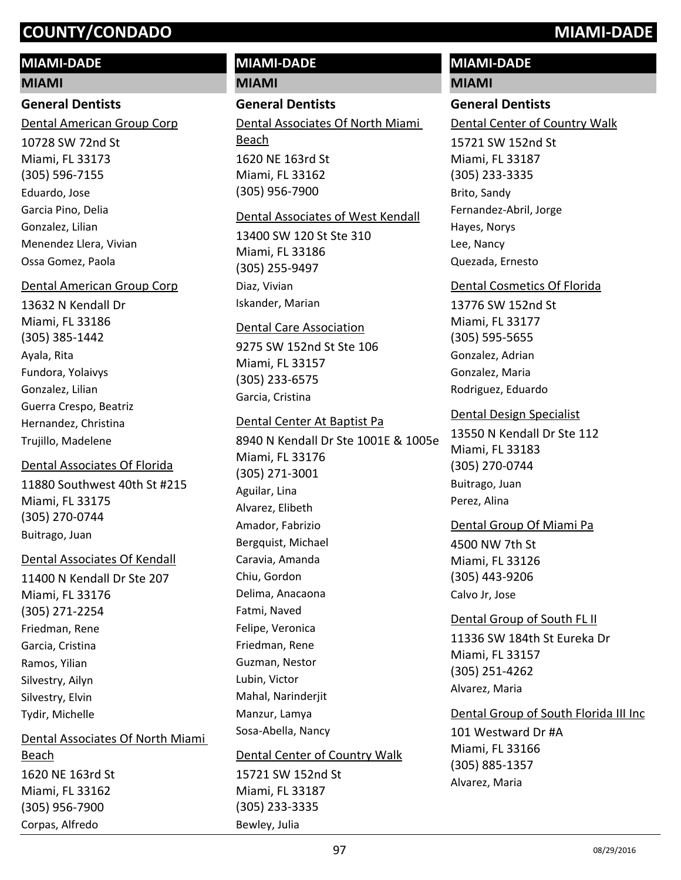#### **MIAMI-DADE**

#### **MIAMI**

#### **General Dentists**

Dental American Group Corp

10728 SW 72nd St Miami, FL 33173 (305) 596-7155 Eduardo, Jose Garcia Pino, Delia Gonzalez, Lilian Menendez Llera, Vivian Ossa Gomez, Paola

#### Dental American Group Corp

13632 N Kendall Dr Miami, FL 33186 (305) 385-1442 Ayala, Rita Fundora, Yolaivys Gonzalez, Lilian Guerra Crespo, Beatriz Hernandez, Christina Trujillo, Madelene

# 11880 Southwest 40th St #215 Miami, FL 33175 (305) 270-0744 Dental Associates Of Florida

Buitrago, Juan

Corpas, Alfredo

#### Dental Associates Of Kendall

11400 N Kendall Dr Ste 207 Miami, FL 33176 (305) 271-2254 Friedman, Rene Garcia, Cristina Ramos, Yilian Silvestry, Ailyn Silvestry, Elvin Tydir, Michelle

# 1620 NE 163rd St Miami, FL 33162 (305) 956-7900 Dental Associates Of North Miami Beach

# **MIAMI-DADE**

**MIAMI**

# **General Dentists**

1620 NE 163rd St Miami, FL 33162 (305) 956-7900 Dental Associates Of North Miami Beach

#### Dental Associates of West Kendall

13400 SW 120 St Ste 310 Miami, FL 33186 (305) 255-9497 Diaz, Vivian Iskander, Marian

#### Dental Care Association

9275 SW 152nd St Ste 106 Miami, FL 33157 (305) 233-6575 Garcia, Cristina

#### Dental Center At Baptist Pa

8940 N Kendall Dr Ste 1001E & 1005e Miami, FL 33176 (305) 271-3001 Aguilar, Lina Alvarez, Elibeth Amador, Fabrizio Bergquist, Michael Caravia, Amanda Chiu, Gordon Delima, Anacaona Fatmi, Naved Felipe, Veronica Friedman, Rene Guzman, Nestor Lubin, Victor Mahal, Narinderjit Manzur, Lamya Sosa-Abella, Nancy

#### Dental Center of Country Walk

15721 SW 152nd St Miami, FL 33187 (305) 233-3335 Bewley, Julia

# **MIAMI-DADE**

# **MIAMI**

# **General Dentists**

Dental Center of Country Walk

15721 SW 152nd St Miami, FL 33187 (305) 233-3335 Brito, Sandy Fernandez-Abril, Jorge Hayes, Norys Lee, Nancy Quezada, Ernesto

#### Dental Cosmetics Of Florida

13776 SW 152nd St Miami, FL 33177 (305) 595-5655 Gonzalez, Adrian Gonzalez, Maria Rodriguez, Eduardo

#### Dental Design Specialist

13550 N Kendall Dr Ste 112 Miami, FL 33183 (305) 270-0744 Buitrago, Juan Perez, Alina

#### Dental Group Of Miami Pa

4500 NW 7th St Miami, FL 33126 (305) 443-9206 Calvo Jr, Jose

#### Dental Group of South FL II

11336 SW 184th St Eureka Dr Miami, FL 33157 (305) 251-4262 Alvarez, Maria

101 Westward Dr #A Miami, FL 33166 (305) 885-1357 Dental Group of South Florida III Inc Alvarez, Maria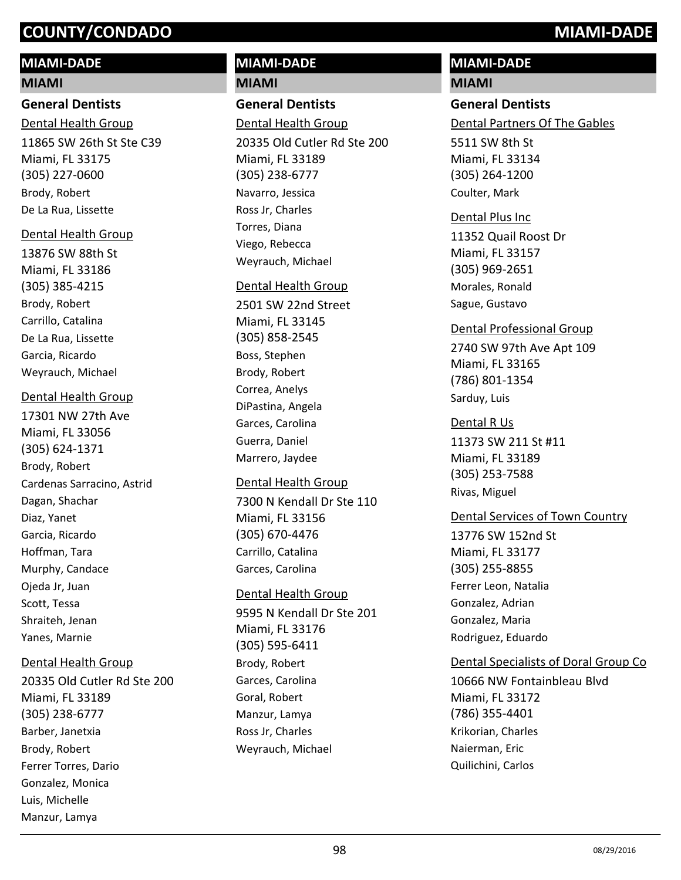# **MIAMI-DADE**

#### **MIAMI**

#### **General Dentists**

11865 SW 26th St Ste C39 Miami, FL 33175 (305) 227-0600 Dental Health Group Brody, Robert De La Rua, Lissette

#### Dental Health Group

13876 SW 88th St Miami, FL 33186 (305) 385-4215 Brody, Robert Carrillo, Catalina De La Rua, Lissette Garcia, Ricardo Weyrauch, Michael

#### Dental Health Group

17301 NW 27th Ave Miami, FL 33056 (305) 624-1371 Brody, Robert Cardenas Sarracino, Astrid Dagan, Shachar Diaz, Yanet Garcia, Ricardo Hoffman, Tara Murphy, Candace Ojeda Jr, Juan Scott, Tessa Shraiteh, Jenan Yanes, Marnie

# Dental Health Group

20335 Old Cutler Rd Ste 200 Miami, FL 33189 (305) 238-6777 Barber, Janetxia Brody, Robert Ferrer Torres, Dario Gonzalez, Monica Luis, Michelle Manzur, Lamya

# **MIAMI-DADE MIAMI**

**General Dentists**

20335 Old Cutler Rd Ste 200 Dental Health Group

Miami, FL 33189 (305) 238-6777 Navarro, Jessica Ross Jr, Charles Torres, Diana Viego, Rebecca Weyrauch, Michael

#### Dental Health Group

2501 SW 22nd Street Miami, FL 33145 (305) 858-2545 Boss, Stephen Brody, Robert Correa, Anelys DiPastina, Angela Garces, Carolina Guerra, Daniel Marrero, Jaydee

#### Dental Health Group

7300 N Kendall Dr Ste 110 Miami, FL 33156 (305) 670-4476 Carrillo, Catalina Garces, Carolina

#### Dental Health Group

9595 N Kendall Dr Ste 201 Miami, FL 33176 (305) 595-6411 Brody, Robert Garces, Carolina Goral, Robert Manzur, Lamya Ross Jr, Charles Weyrauch, Michael

# **MIAMI-DADE**

#### **MIAMI**

### **General Dentists**

Dental Partners Of The Gables

5511 SW 8th St Miami, FL 33134 (305) 264-1200 Coulter, Mark

# Dental Plus Inc

11352 Quail Roost Dr Miami, FL 33157 (305) 969-2651 Morales, Ronald Sague, Gustavo

### Dental Professional Group

2740 SW 97th Ave Apt 109 Miami, FL 33165 (786) 801-1354 Sarduy, Luis

### Dental R Us

11373 SW 211 St #11 Miami, FL 33189 (305) 253-7588 Rivas, Miguel

# Dental Services of Town Country

13776 SW 152nd St Miami, FL 33177 (305) 255-8855 Ferrer Leon, Natalia Gonzalez, Adrian Gonzalez, Maria Rodriguez, Eduardo

# Dental Specialists of Doral Group Co

10666 NW Fontainbleau Blvd Miami, FL 33172 (786) 355-4401 Krikorian, Charles Naierman, Eric Quilichini, Carlos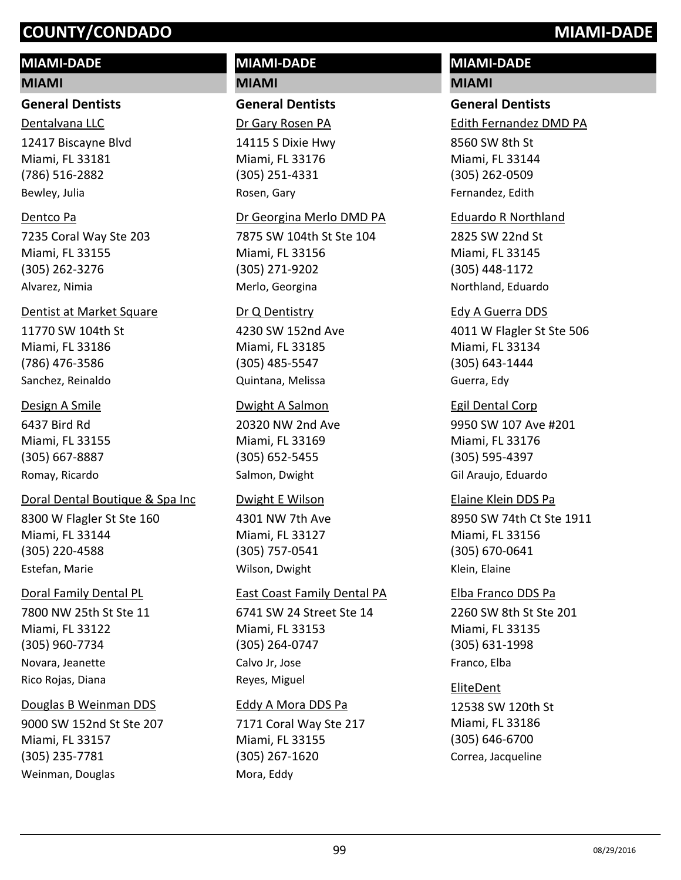# **MIAMI-DADE**

#### **MIAMI**

**General Dentists**

12417 Biscayne Blvd Miami, FL 33181 (786) 516-2882 Dentalvana LLC Bewley, Julia

### Dentco Pa

7235 Coral Way Ste 203 Miami, FL 33155 (305) 262-3276 Alvarez, Nimia

# Dentist at Market Square

11770 SW 104th St Miami, FL 33186 (786) 476-3586 Sanchez, Reinaldo

### Design A Smile

6437 Bird Rd Miami, FL 33155 (305) 667-8887 Romay, Ricardo

# Doral Dental Boutique & Spa Inc

8300 W Flagler St Ste 160 Miami, FL 33144 (305) 220-4588 Estefan, Marie

# Doral Family Dental PL

7800 NW 25th St Ste 11 Miami, FL 33122 (305) 960-7734 Novara, Jeanette Rico Rojas, Diana

#### Douglas B Weinman DDS

9000 SW 152nd St Ste 207 Miami, FL 33157 (305) 235-7781 Weinman, Douglas

# **MIAMI-DADE MIAMI**

**General Dentists**

Dr Gary Rosen PA

14115 S Dixie Hwy Miami, FL 33176 (305) 251-4331 Rosen, Gary

#### Dr Georgina Merlo DMD PA

7875 SW 104th St Ste 104 Miami, FL 33156 (305) 271-9202 Merlo, Georgina

#### Dr Q Dentistry

4230 SW 152nd Ave Miami, FL 33185 (305) 485-5547 Quintana, Melissa

#### Dwight A Salmon

20320 NW 2nd Ave Miami, FL 33169 (305) 652-5455 Salmon, Dwight

#### Dwight E Wilson

4301 NW 7th Ave Miami, FL 33127 (305) 757-0541 Wilson, Dwight

#### East Coast Family Dental PA

6741 SW 24 Street Ste 14 Miami, FL 33153 (305) 264-0747 Calvo Jr, Jose Reyes, Miguel

#### Eddy A Mora DDS Pa

7171 Coral Way Ste 217 Miami, FL 33155 (305) 267-1620 Mora, Eddy

# **MIAMI-DADE**

# **MIAMI**

# **General Dentists**

Edith Fernandez DMD PA

8560 SW 8th St Miami, FL 33144 (305) 262-0509 Fernandez, Edith

### Eduardo R Northland

2825 SW 22nd St Miami, FL 33145 (305) 448-1172 Northland, Eduardo

# Edy A Guerra DDS

4011 W Flagler St Ste 506 Miami, FL 33134 (305) 643-1444 Guerra, Edy

# Egil Dental Corp

9950 SW 107 Ave #201 Miami, FL 33176 (305) 595-4397 Gil Araujo, Eduardo

# 8950 SW 74th Ct Ste 1911 Miami, FL 33156 (305) 670-0641 Elaine Klein DDS Pa Klein, Elaine

2260 SW 8th St Ste 201 Miami, FL 33135 (305) 631-1998 Elba Franco DDS Pa Franco, Elba

# EliteDent

12538 SW 120th St Miami, FL 33186 (305) 646-6700 Correa, Jacqueline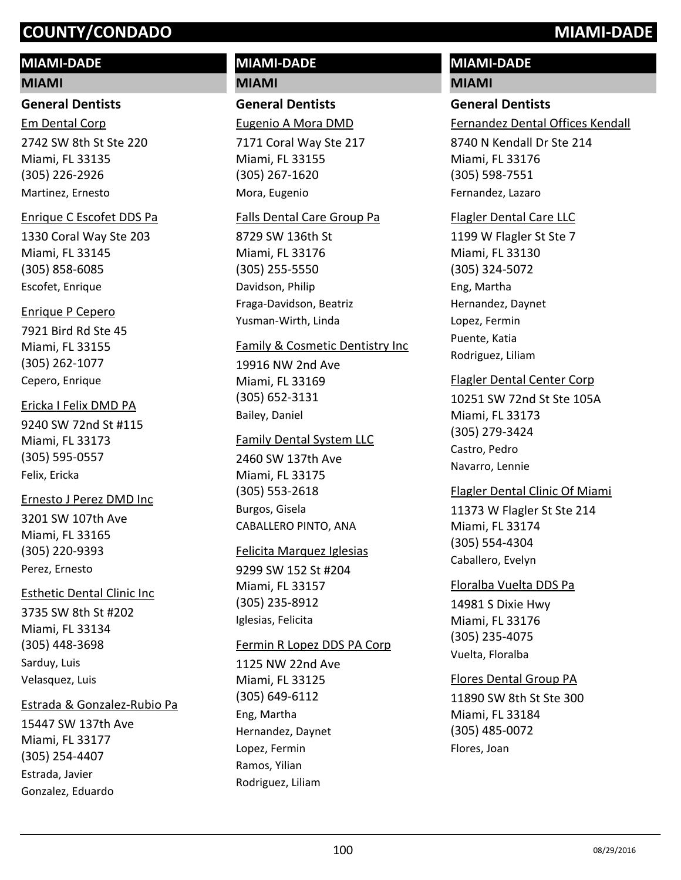# **MIAMI-DADE**

#### **MIAMI**

#### **General Dentists**

2742 SW 8th St Ste 220 Miami, FL 33135 (305) 226-2926 Em Dental Corp Martinez, Ernesto

### Enrique C Escofet DDS Pa

1330 Coral Way Ste 203 Miami, FL 33145 (305) 858-6085 Escofet, Enrique

### Enrique P Cepero

7921 Bird Rd Ste 45 Miami, FL 33155 (305) 262-1077 Cepero, Enrique

#### Ericka I Felix DMD PA

9240 SW 72nd St #115 Miami, FL 33173 (305) 595-0557 Felix, Ericka

# Ernesto J Perez DMD Inc

3201 SW 107th Ave Miami, FL 33165 (305) 220-9393 Perez, Ernesto

# Esthetic Dental Clinic Inc

3735 SW 8th St #202 Miami, FL 33134 (305) 448-3698 Sarduy, Luis Velasquez, Luis

#### Estrada & Gonzalez-Rubio Pa

15447 SW 137th Ave Miami, FL 33177 (305) 254-4407 Estrada, Javier Gonzalez, Eduardo

# **MIAMI-DADE MIAMI**

**General Dentists**

Eugenio A Mora DMD

7171 Coral Way Ste 217 Miami, FL 33155 (305) 267-1620 Mora, Eugenio

### Falls Dental Care Group Pa

8729 SW 136th St Miami, FL 33176 (305) 255-5550 Davidson, Philip Fraga-Davidson, Beatriz Yusman-Wirth, Linda

#### Family & Cosmetic Dentistry Inc

19916 NW 2nd Ave Miami, FL 33169 (305) 652-3131 Bailey, Daniel

#### Family Dental System LLC

2460 SW 137th Ave Miami, FL 33175 (305) 553-2618 Burgos, Gisela CABALLERO PINTO, ANA

#### Felicita Marquez Iglesias

9299 SW 152 St #204 Miami, FL 33157 (305) 235-8912 Iglesias, Felicita

#### Fermin R Lopez DDS PA Corp

1125 NW 22nd Ave Miami, FL 33125 (305) 649-6112 Eng, Martha Hernandez, Daynet Lopez, Fermin Ramos, Yilian Rodriguez, Liliam

# **MIAMI-DADE**

#### **MIAMI**

# **General Dentists**

Fernandez Dental Offices Kendall

8740 N Kendall Dr Ste 214 Miami, FL 33176 (305) 598-7551 Fernandez, Lazaro

### Flagler Dental Care LLC

1199 W Flagler St Ste 7 Miami, FL 33130 (305) 324-5072 Eng, Martha Hernandez, Daynet Lopez, Fermin Puente, Katia Rodriguez, Liliam

# Flagler Dental Center Corp

10251 SW 72nd St Ste 105A Miami, FL 33173 (305) 279-3424 Castro, Pedro Navarro, Lennie

# Flagler Dental Clinic Of Miami

11373 W Flagler St Ste 214 Miami, FL 33174 (305) 554-4304 Caballero, Evelyn

#### Floralba Vuelta DDS Pa

14981 S Dixie Hwy Miami, FL 33176 (305) 235-4075 Vuelta, Floralba

# Flores Dental Group PA

11890 SW 8th St Ste 300 Miami, FL 33184 (305) 485-0072 Flores, Joan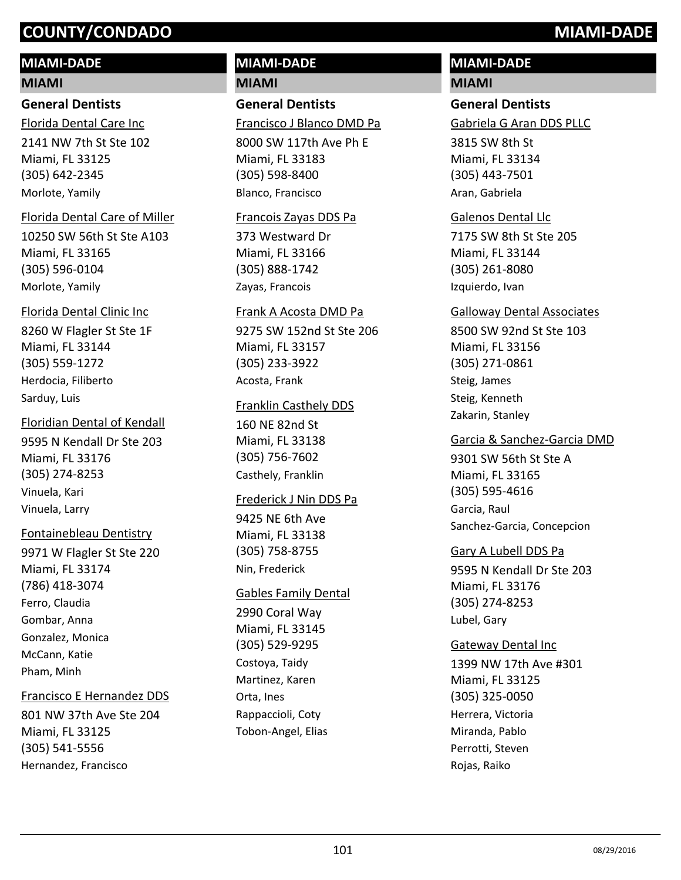# **MIAMI-DADE**

#### **MIAMI**

# **General Dentists**

2141 NW 7th St Ste 102 Miami, FL 33125 (305) 642-2345 Florida Dental Care Inc Morlote, Yamily

#### Florida Dental Care of Miller

10250 SW 56th St Ste A103 Miami, FL 33165 (305) 596-0104 Morlote, Yamily

#### Florida Dental Clinic Inc

8260 W Flagler St Ste 1F Miami, FL 33144 (305) 559-1272 Herdocia, Filiberto Sarduy, Luis

# Floridian Dental of Kendall

9595 N Kendall Dr Ste 203 Miami, FL 33176 (305) 274-8253 Vinuela, Kari Vinuela, Larry

#### Fontainebleau Dentistry

9971 W Flagler St Ste 220 Miami, FL 33174 (786) 418-3074 Ferro, Claudia Gombar, Anna Gonzalez, Monica McCann, Katie Pham, Minh

#### Francisco E Hernandez DDS

801 NW 37th Ave Ste 204 Miami, FL 33125 (305) 541-5556 Hernandez, Francisco

# **MIAMI-DADE MIAMI**

**General Dentists**

Francisco J Blanco DMD Pa

8000 SW 117th Ave Ph E Miami, FL 33183 (305) 598-8400 Blanco, Francisco

#### Francois Zayas DDS Pa

373 Westward Dr Miami, FL 33166 (305) 888-1742 Zayas, Francois

#### Frank A Acosta DMD Pa

9275 SW 152nd St Ste 206 Miami, FL 33157 (305) 233-3922 Acosta, Frank

#### Franklin Casthely DDS

160 NE 82nd St Miami, FL 33138 (305) 756-7602 Casthely, Franklin

#### Frederick J Nin DDS Pa

9425 NE 6th Ave Miami, FL 33138 (305) 758-8755 Nin, Frederick

#### Gables Family Dental

2990 Coral Way Miami, FL 33145 (305) 529-9295 Costoya, Taidy Martinez, Karen Orta, Ines Rappaccioli, Coty Tobon-Angel, Elias

# **MIAMI-DADE**

#### **MIAMI**

# **General Dentists**

Gabriela G Aran DDS PLLC

3815 SW 8th St Miami, FL 33134 (305) 443-7501 Aran, Gabriela

#### Galenos Dental Llc

7175 SW 8th St Ste 205 Miami, FL 33144 (305) 261-8080 Izquierdo, Ivan

#### Galloway Dental Associates

8500 SW 92nd St Ste 103 Miami, FL 33156 (305) 271-0861 Steig, James Steig, Kenneth Zakarin, Stanley

#### Garcia & Sanchez-Garcia DMD

9301 SW 56th St Ste A Miami, FL 33165 (305) 595-4616 Garcia, Raul Sanchez-Garcia, Concepcion

#### Gary A Lubell DDS Pa

9595 N Kendall Dr Ste 203 Miami, FL 33176 (305) 274-8253 Lubel, Gary

#### Gateway Dental Inc

1399 NW 17th Ave #301 Miami, FL 33125 (305) 325-0050 Herrera, Victoria Miranda, Pablo Perrotti, Steven Rojas, Raiko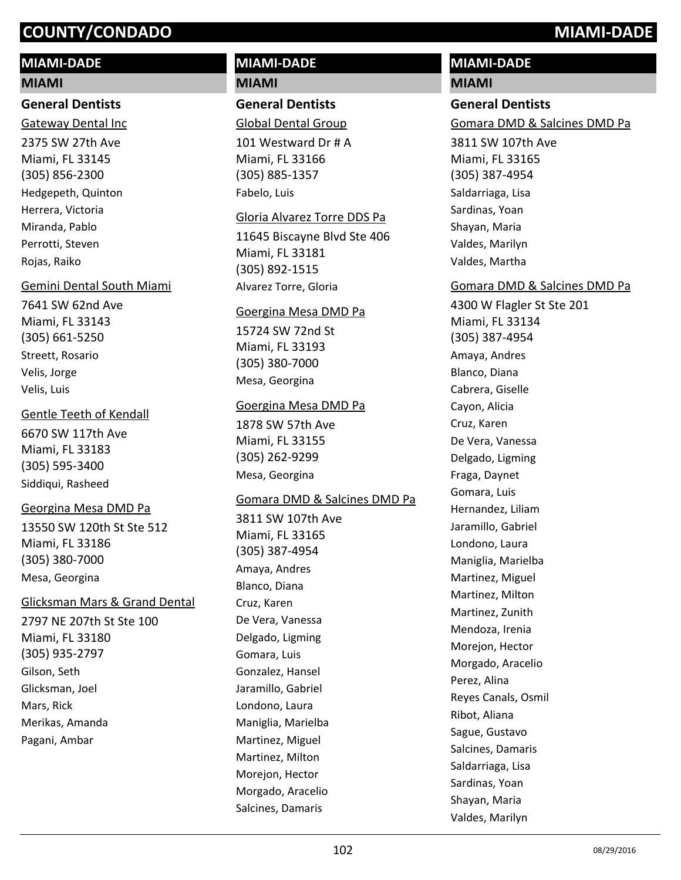# **MIAMI-DADE**

#### **MIAMI**

#### **General Dentists**

2375 SW 27th Ave Miami, FL 33145 (305) 856-2300 Gateway Dental Inc Hedgepeth, Quinton Herrera, Victoria Miranda, Pablo Perrotti, Steven Rojas, Raiko

#### Gemini Dental South Miami

7641 SW 62nd Ave Miami, FL 33143 (305) 661-5250 Streett, Rosario Velis, Jorge Velis, Luis

#### Gentle Teeth of Kendall

6670 SW 117th Ave Miami, FL 33183 (305) 595-3400 Siddiqui, Rasheed

#### Georgina Mesa DMD Pa

13550 SW 120th St Ste 512 Miami, FL 33186 (305) 380-7000 Mesa, Georgina

#### Glicksman Mars & Grand Dental

2797 NE 207th St Ste 100 Miami, FL 33180 (305) 935-2797 Gilson, Seth Glicksman, Joel Mars, Rick Merikas, Amanda Pagani, Ambar

# **MIAMI-DADE MIAMI**

**General Dentists** Global Dental Group

101 Westward Dr # A Miami, FL 33166 (305) 885-1357 Fabelo, Luis

#### Gloria Alvarez Torre DDS Pa

11645 Biscayne Blvd Ste 406 Miami, FL 33181 (305) 892-1515 Alvarez Torre, Gloria

#### Goergina Mesa DMD Pa

15724 SW 72nd St Miami, FL 33193 (305) 380-7000 Mesa, Georgina

#### Goergina Mesa DMD Pa

1878 SW 57th Ave Miami, FL 33155 (305) 262-9299 Mesa, Georgina

#### Gomara DMD & Salcines DMD Pa

3811 SW 107th Ave Miami, FL 33165 (305) 387-4954 Amaya, Andres Blanco, Diana Cruz, Karen De Vera, Vanessa Delgado, Ligming Gomara, Luis Gonzalez, Hansel Jaramillo, Gabriel Londono, Laura Maniglia, Marielba Martinez, Miguel Martinez, Milton Morejon, Hector Morgado, Aracelio Salcines, Damaris

# **MIAMI-DADE**

# **MIAMI**

# **General Dentists**

Gomara DMD & Salcines DMD Pa

3811 SW 107th Ave Miami, FL 33165 (305) 387-4954 Saldarriaga, Lisa Sardinas, Yoan Shayan, Maria Valdes, Marilyn Valdes, Martha

#### Gomara DMD & Salcines DMD Pa

4300 W Flagler St Ste 201 Miami, FL 33134 (305) 387-4954 Amaya, Andres Blanco, Diana Cabrera, Giselle Cayon, Alicia Cruz, Karen De Vera, Vanessa Delgado, Ligming Fraga, Daynet Gomara, Luis Hernandez, Liliam Jaramillo, Gabriel Londono, Laura Maniglia, Marielba Martinez, Miguel Martinez, Milton Martinez, Zunith Mendoza, Irenia Morejon, Hector Morgado, Aracelio Perez, Alina Reyes Canals, Osmil Ribot, Aliana Sague, Gustavo Salcines, Damaris Saldarriaga, Lisa Sardinas, Yoan Shayan, Maria Valdes, Marilyn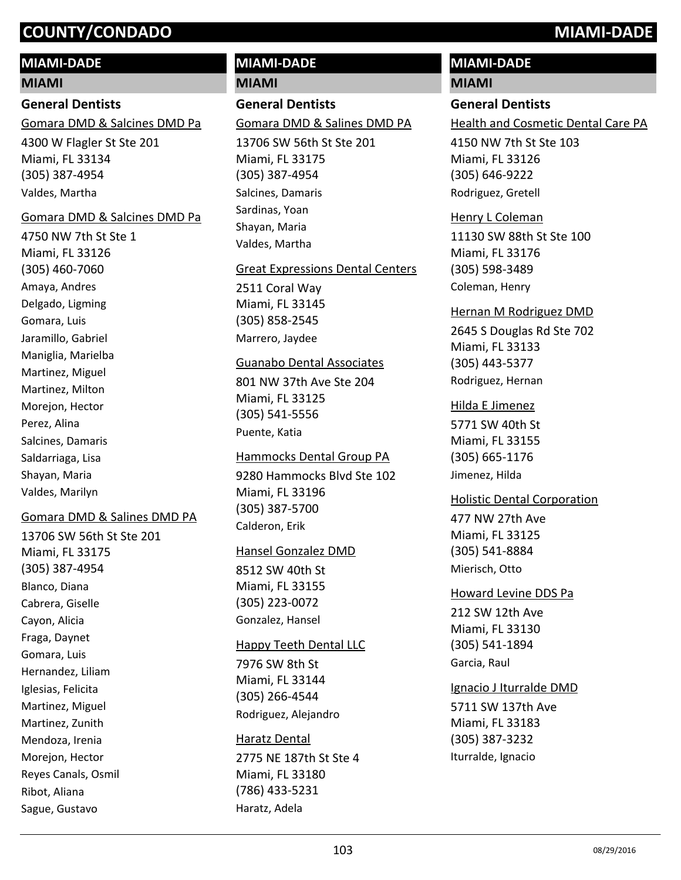## **MIAMI-DADE**

#### **MIAMI**

# **General Dentists**

4300 W Flagler St Ste 201 Miami, FL 33134 (305) 387-4954 Gomara DMD & Salcines DMD Pa Valdes, Martha

#### Gomara DMD & Salcines DMD Pa

4750 NW 7th St Ste 1 Miami, FL 33126 (305) 460-7060 Amaya, Andres Delgado, Ligming Gomara, Luis Jaramillo, Gabriel Maniglia, Marielba Martinez, Miguel Martinez, Milton Morejon, Hector Perez, Alina Salcines, Damaris Saldarriaga, Lisa Shayan, Maria Valdes, Marilyn

#### Gomara DMD & Salines DMD PA

13706 SW 56th St Ste 201 Miami, FL 33175 (305) 387-4954 Blanco, Diana Cabrera, Giselle Cayon, Alicia Fraga, Daynet Gomara, Luis Hernandez, Liliam Iglesias, Felicita Martinez, Miguel Martinez, Zunith Mendoza, Irenia Morejon, Hector Reyes Canals, Osmil Ribot, Aliana Sague, Gustavo

# **MIAMI-DADE**

**MIAMI**

# **General Dentists**

Gomara DMD & Salines DMD PA

13706 SW 56th St Ste 201 Miami, FL 33175 (305) 387-4954 Salcines, Damaris Sardinas, Yoan Shayan, Maria Valdes, Martha

#### Great Expressions Dental Centers

2511 Coral Way Miami, FL 33145 (305) 858-2545 Marrero, Jaydee

#### Guanabo Dental Associates

801 NW 37th Ave Ste 204 Miami, FL 33125 (305) 541-5556 Puente, Katia

#### Hammocks Dental Group PA

9280 Hammocks Blvd Ste 102 Miami, FL 33196 (305) 387-5700 Calderon, Erik

#### Hansel Gonzalez DMD

8512 SW 40th St Miami, FL 33155 (305) 223-0072 Gonzalez, Hansel

#### Happy Teeth Dental LLC

7976 SW 8th St Miami, FL 33144 (305) 266-4544 Rodriguez, Alejandro

#### Haratz Dental

2775 NE 187th St Ste 4 Miami, FL 33180 (786) 433-5231 Haratz, Adela

# **MIAMI-DADE**

### **MIAMI**

### **General Dentists**

Health and Cosmetic Dental Care PA

4150 NW 7th St Ste 103 Miami, FL 33126 (305) 646-9222 Rodriguez, Gretell

# Henry L Coleman

11130 SW 88th St Ste 100 Miami, FL 33176 (305) 598-3489 Coleman, Henry

#### Hernan M Rodriguez DMD

2645 S Douglas Rd Ste 702 Miami, FL 33133 (305) 443-5377 Rodriguez, Hernan

#### Hilda E Jimenez

5771 SW 40th St Miami, FL 33155 (305) 665-1176 Jimenez, Hilda

#### Holistic Dental Corporation

477 NW 27th Ave Miami, FL 33125 (305) 541-8884 Mierisch, Otto

212 SW 12th Ave Miami, FL 33130 (305) 541-1894 Howard Levine DDS Pa Garcia, Raul

#### Ignacio J Iturralde DMD

5711 SW 137th Ave Miami, FL 33183 (305) 387-3232 Iturralde, Ignacio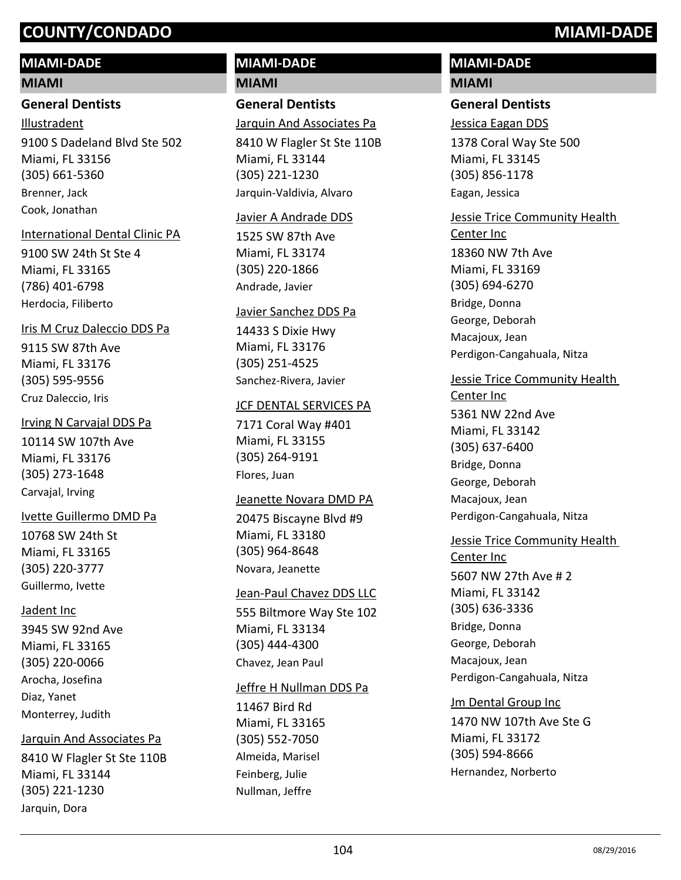# **MIAMI-DADE**

#### **MIAMI**

#### **General Dentists**

9100 S Dadeland Blvd Ste 502 Miami, FL 33156 (305) 661-5360 Illustradent Brenner, Jack Cook, Jonathan

#### International Dental Clinic PA

9100 SW 24th St Ste 4 Miami, FL 33165 (786) 401-6798 Herdocia, Filiberto

#### Iris M Cruz Daleccio DDS Pa

9115 SW 87th Ave Miami, FL 33176 (305) 595-9556 Cruz Daleccio, Iris

### Irving N Carvajal DDS Pa

10114 SW 107th Ave Miami, FL 33176 (305) 273-1648 Carvajal, Irving

#### Ivette Guillermo DMD Pa

10768 SW 24th St Miami, FL 33165 (305) 220-3777 Guillermo, Ivette

#### Jadent Inc

3945 SW 92nd Ave Miami, FL 33165 (305) 220-0066 Arocha, Josefina Diaz, Yanet Monterrey, Judith

#### Jarquin And Associates Pa

8410 W Flagler St Ste 110B Miami, FL 33144 (305) 221-1230 Jarquin, Dora

# **MIAMI-DADE MIAMI**

# **General Dentists**

Jarquin And Associates Pa

8410 W Flagler St Ste 110B Miami, FL 33144 (305) 221-1230 Jarquin-Valdivia, Alvaro

#### Javier A Andrade DDS

1525 SW 87th Ave Miami, FL 33174 (305) 220-1866 Andrade, Javier

#### Javier Sanchez DDS Pa

14433 S Dixie Hwy Miami, FL 33176 (305) 251-4525 Sanchez-Rivera, Javier

#### **JCF DENTAL SERVICES PA**

7171 Coral Way #401 Miami, FL 33155 (305) 264-9191 Flores, Juan

#### Jeanette Novara DMD PA

20475 Biscayne Blvd #9 Miami, FL 33180 (305) 964-8648 Novara, Jeanette

#### Jean-Paul Chavez DDS LLC

555 Biltmore Way Ste 102 Miami, FL 33134 (305) 444-4300 Chavez, Jean Paul

#### Jeffre H Nullman DDS Pa

11467 Bird Rd Miami, FL 33165 (305) 552-7050 Almeida, Marisel Feinberg, Julie Nullman, Jeffre

# **MIAMI-DADE**

# **MIAMI**

# **General Dentists**

Jessica Eagan DDS

1378 Coral Way Ste 500 Miami, FL 33145 (305) 856-1178 Eagan, Jessica

# Jessie Trice Community Health

18360 NW 7th Ave Miami, FL 33169 (305) 694-6270 Center Inc Bridge, Donna George, Deborah Macajoux, Jean Perdigon-Cangahuala, Nitza

# Jessie Trice Community Health

5361 NW 22nd Ave Miami, FL 33142 (305) 637-6400 Center Inc Bridge, Donna George, Deborah Macajoux, Jean Perdigon-Cangahuala, Nitza

# Jessie Trice Community Health

5607 NW 27th Ave # 2 Miami, FL 33142 (305) 636-3336 Center Inc Bridge, Donna George, Deborah Macajoux, Jean Perdigon-Cangahuala, Nitza

# Jm Dental Group Inc

1470 NW 107th Ave Ste G Miami, FL 33172 (305) 594-8666 Hernandez, Norberto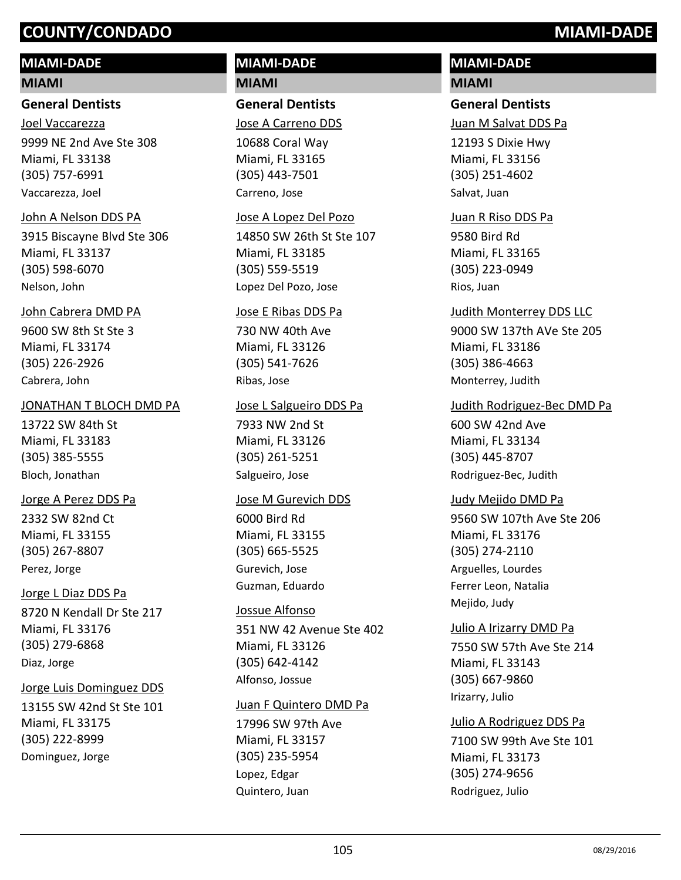# **MIAMI-DADE**

#### **MIAMI**

#### **General Dentists**

9999 NE 2nd Ave Ste 308 Miami, FL 33138 (305) 757-6991 Joel Vaccarezza Vaccarezza, Joel

#### John A Nelson DDS PA

3915 Biscayne Blvd Ste 306 Miami, FL 33137 (305) 598-6070 Nelson, John

#### John Cabrera DMD PA

9600 SW 8th St Ste 3 Miami, FL 33174 (305) 226-2926 Cabrera, John

#### JONATHAN T BLOCH DMD PA

13722 SW 84th St Miami, FL 33183 (305) 385-5555 Bloch, Jonathan

#### Jorge A Perez DDS Pa

2332 SW 82nd Ct Miami, FL 33155 (305) 267-8807 Perez, Jorge

#### Jorge L Diaz DDS Pa

8720 N Kendall Dr Ste 217 Miami, FL 33176 (305) 279-6868 Diaz, Jorge

#### Jorge Luis Dominguez DDS

13155 SW 42nd St Ste 101 Miami, FL 33175 (305) 222-8999 Dominguez, Jorge

# **MIAMI-DADE MIAMI**

**General Dentists**

Jose A Carreno DDS

10688 Coral Way Miami, FL 33165 (305) 443-7501 Carreno, Jose

#### Jose A Lopez Del Pozo

14850 SW 26th St Ste 107 Miami, FL 33185 (305) 559-5519 Lopez Del Pozo, Jose

#### Jose E Ribas DDS Pa

730 NW 40th Ave Miami, FL 33126 (305) 541-7626 Ribas, Jose

#### Jose L Salgueiro DDS Pa

7933 NW 2nd St Miami, FL 33126 (305) 261-5251 Salgueiro, Jose

#### Jose M Gurevich DDS

6000 Bird Rd Miami, FL 33155 (305) 665-5525 Gurevich, Jose Guzman, Eduardo

#### Jossue Alfonso

351 NW 42 Avenue Ste 402 Miami, FL 33126 (305) 642-4142 Alfonso, Jossue

#### Juan F Quintero DMD Pa

17996 SW 97th Ave Miami, FL 33157 (305) 235-5954 Lopez, Edgar Quintero, Juan

# **MIAMI-DADE MIAMI**

## **General Dentists**

Juan M Salvat DDS Pa

12193 S Dixie Hwy Miami, FL 33156 (305) 251-4602 Salvat, Juan

9580 Bird Rd Miami, FL 33165 (305) 223-0949 Juan R Riso DDS Pa Rios, Juan

#### Judith Monterrey DDS LLC

9000 SW 137th AVe Ste 205 Miami, FL 33186 (305) 386-4663 Monterrey, Judith

# Judith Rodriguez-Bec DMD Pa

600 SW 42nd Ave Miami, FL 33134 (305) 445-8707 Rodriguez-Bec, Judith

#### Judy Mejido DMD Pa

9560 SW 107th Ave Ste 206 Miami, FL 33176 (305) 274-2110 Arguelles, Lourdes Ferrer Leon, Natalia Mejido, Judy

#### Julio A Irizarry DMD Pa

7550 SW 57th Ave Ste 214 Miami, FL 33143 (305) 667-9860 Irizarry, Julio

7100 SW 99th Ave Ste 101 Julio A Rodriguez DDS Pa

Miami, FL 33173 (305) 274-9656 Rodriguez, Julio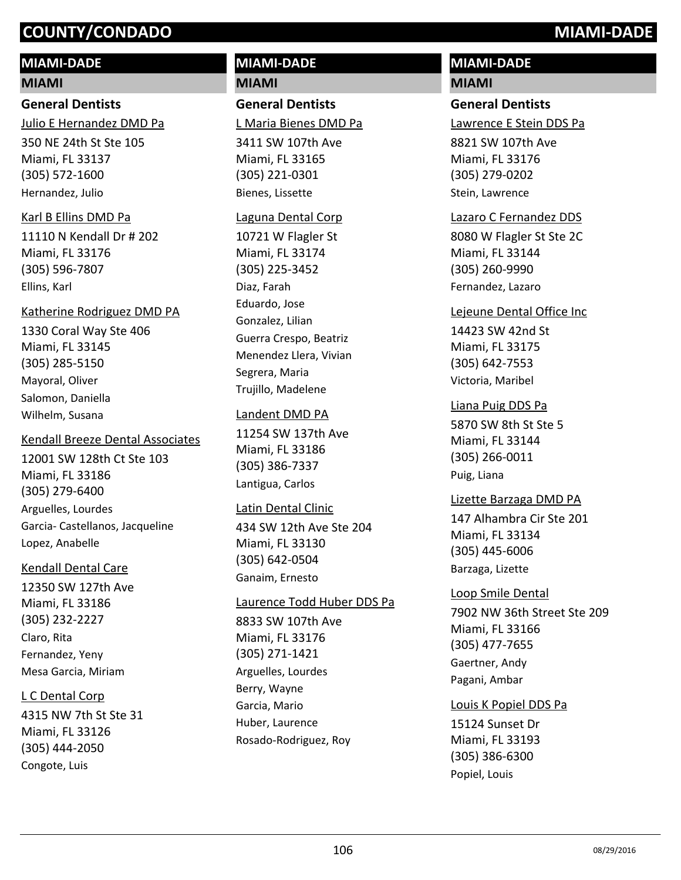# **MIAMI-DADE**

#### **MIAMI**

# **General Dentists**

350 NE 24th St Ste 105 Julio E Hernandez DMD Pa

Miami, FL 33137 (305) 572-1600 Hernandez, Julio

#### Karl B Ellins DMD Pa

11110 N Kendall Dr # 202 Miami, FL 33176 (305) 596-7807 Ellins, Karl

#### Katherine Rodriguez DMD PA

1330 Coral Way Ste 406 Miami, FL 33145 (305) 285-5150 Mayoral, Oliver Salomon, Daniella Wilhelm, Susana

#### Kendall Breeze Dental Associates

12001 SW 128th Ct Ste 103 Miami, FL 33186 (305) 279-6400 Arguelles, Lourdes Garcia- Castellanos, Jacqueline Lopez, Anabelle

#### Kendall Dental Care

12350 SW 127th Ave Miami, FL 33186 (305) 232-2227 Claro, Rita Fernandez, Yeny Mesa Garcia, Miriam

#### L C Dental Corp

4315 NW 7th St Ste 31 Miami, FL 33126 (305) 444-2050 Congote, Luis

# **MIAMI-DADE MIAMI**

**General Dentists** L Maria Bienes DMD Pa

3411 SW 107th Ave Miami, FL 33165 (305) 221-0301 Bienes, Lissette

#### Laguna Dental Corp

10721 W Flagler St Miami, FL 33174 (305) 225-3452 Diaz, Farah Eduardo, Jose Gonzalez, Lilian Guerra Crespo, Beatriz Menendez Llera, Vivian Segrera, Maria Trujillo, Madelene

#### Landent DMD PA

11254 SW 137th Ave Miami, FL 33186 (305) 386-7337 Lantigua, Carlos

#### Latin Dental Clinic

434 SW 12th Ave Ste 204 Miami, FL 33130 (305) 642-0504 Ganaim, Ernesto

#### Laurence Todd Huber DDS Pa

8833 SW 107th Ave Miami, FL 33176 (305) 271-1421 Arguelles, Lourdes Berry, Wayne Garcia, Mario Huber, Laurence Rosado-Rodriguez, Roy

# **MIAMI-DADE**

# **MIAMI**

# **General Dentists**

Lawrence E Stein DDS Pa

8821 SW 107th Ave Miami, FL 33176 (305) 279-0202 Stein, Lawrence

#### Lazaro C Fernandez DDS

8080 W Flagler St Ste 2C Miami, FL 33144 (305) 260-9990 Fernandez, Lazaro

#### Lejeune Dental Office Inc

14423 SW 42nd St Miami, FL 33175 (305) 642-7553 Victoria, Maribel

#### Liana Puig DDS Pa

5870 SW 8th St Ste 5 Miami, FL 33144 (305) 266-0011 Puig, Liana

#### Lizette Barzaga DMD PA

147 Alhambra Cir Ste 201 Miami, FL 33134 (305) 445-6006 Barzaga, Lizette

7902 NW 36th Street Ste 209 Miami, FL 33166 (305) 477-7655 Loop Smile Dental Gaertner, Andy Pagani, Ambar

#### Louis K Popiel DDS Pa

15124 Sunset Dr Miami, FL 33193 (305) 386-6300 Popiel, Louis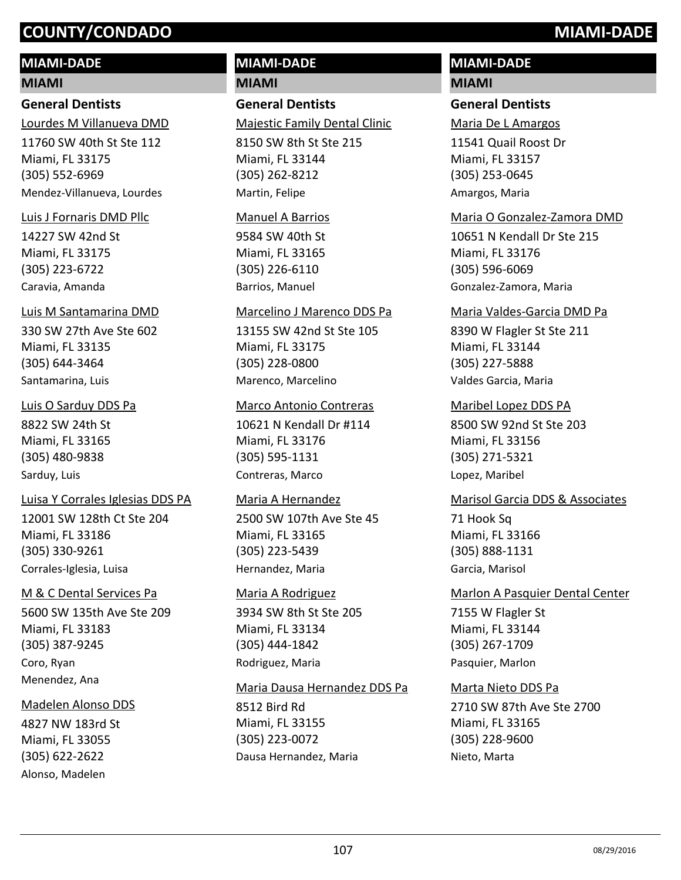# **MIAMI-DADE**

## **MIAMI**

# **General Dentists**

11760 SW 40th St Ste 112 Miami, FL 33175 Lourdes M Villanueva DMD

(305) 552-6969 Mendez-Villanueva, Lourdes

# Luis J Fornaris DMD Pllc

14227 SW 42nd St Miami, FL 33175 (305) 223-6722 Caravia, Amanda

# Luis M Santamarina DMD

330 SW 27th Ave Ste 602 Miami, FL 33135 (305) 644-3464 Santamarina, Luis

# Luis O Sarduy DDS Pa

8822 SW 24th St Miami, FL 33165 (305) 480-9838 Sarduy, Luis

# Luisa Y Corrales Iglesias DDS PA

12001 SW 128th Ct Ste 204 Miami, FL 33186 (305) 330-9261 Corrales-Iglesia, Luisa

# M & C Dental Services Pa

5600 SW 135th Ave Ste 209 Miami, FL 33183 (305) 387-9245 Coro, Ryan Menendez, Ana

# Madelen Alonso DDS

4827 NW 183rd St Miami, FL 33055 (305) 622-2622 Alonso, Madelen

# **MIAMI-DADE**

**MIAMI**

# **General Dentists**

Majestic Family Dental Clinic

8150 SW 8th St Ste 215 Miami, FL 33144 (305) 262-8212 Martin, Felipe

#### Manuel A Barrios

9584 SW 40th St Miami, FL 33165 (305) 226-6110 Barrios, Manuel

#### Marcelino J Marenco DDS Pa

13155 SW 42nd St Ste 105 Miami, FL 33175 (305) 228-0800 Marenco, Marcelino

#### Marco Antonio Contreras

10621 N Kendall Dr #114 Miami, FL 33176 (305) 595-1131 Contreras, Marco

#### Maria A Hernandez

2500 SW 107th Ave Ste 45 Miami, FL 33165 (305) 223-5439 Hernandez, Maria

#### Maria A Rodriguez

3934 SW 8th St Ste 205 Miami, FL 33134 (305) 444-1842 Rodriguez, Maria

#### Maria Dausa Hernandez DDS Pa

8512 Bird Rd Miami, FL 33155 (305) 223-0072 Dausa Hernandez, Maria

# **MIAMI-DADE**

# **MIAMI**

# **General Dentists**

Maria De L Amargos

11541 Quail Roost Dr Miami, FL 33157 (305) 253-0645 Amargos, Maria

#### Maria O Gonzalez-Zamora DMD

10651 N Kendall Dr Ste 215 Miami, FL 33176 (305) 596-6069 Gonzalez-Zamora, Maria

#### Maria Valdes-Garcia DMD Pa

8390 W Flagler St Ste 211 Miami, FL 33144 (305) 227-5888 Valdes Garcia, Maria

#### Maribel Lopez DDS PA

8500 SW 92nd St Ste 203 Miami, FL 33156 (305) 271-5321 Lopez, Maribel

# Marisol Garcia DDS & Associates

71 Hook Sq Miami, FL 33166 (305) 888-1131 Garcia, Marisol

# Marlon A Pasquier Dental Center

7155 W Flagler St Miami, FL 33144 (305) 267-1709 Pasquier, Marlon

# Marta Nieto DDS Pa

2710 SW 87th Ave Ste 2700 Miami, FL 33165 (305) 228-9600 Nieto, Marta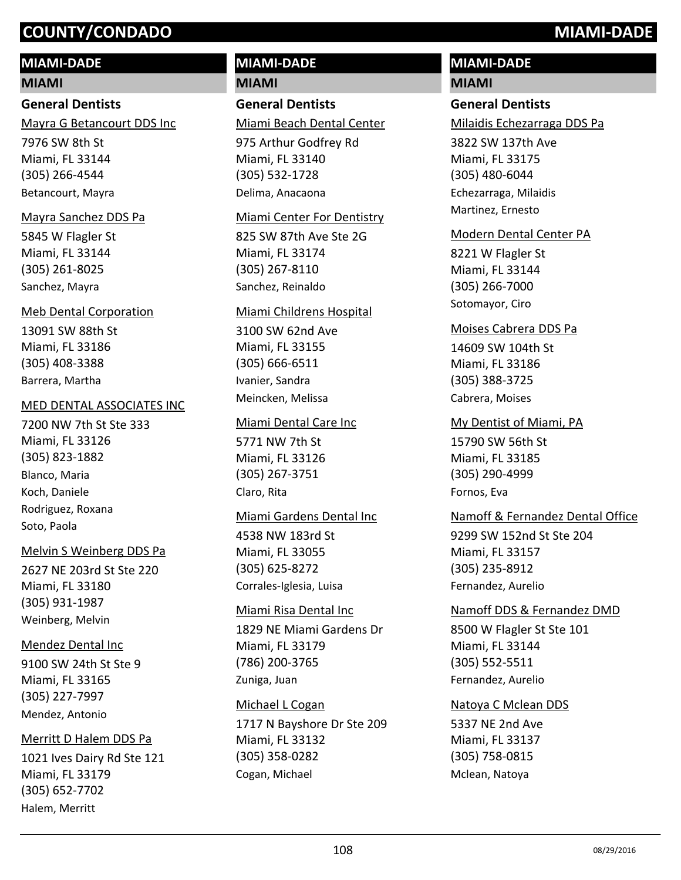# **MIAMI-DADE**

### **MIAMI**

# **General Dentists**

7976 SW 8th St Miami, FL 33144 (305) 266-4544 Mayra G Betancourt DDS Inc Betancourt, Mayra

# Mayra Sanchez DDS Pa

5845 W Flagler St Miami, FL 33144 (305) 261-8025 Sanchez, Mayra

# Meb Dental Corporation

13091 SW 88th St Miami, FL 33186 (305) 408-3388 Barrera, Martha

#### MED DENTAL ASSOCIATES INC

7200 NW 7th St Ste 333 Miami, FL 33126 (305) 823-1882 Blanco, Maria Koch, Daniele Rodriguez, Roxana Soto, Paola

#### Melvin S Weinberg DDS Pa

2627 NE 203rd St Ste 220 Miami, FL 33180 (305) 931-1987 Weinberg, Melvin

# Mendez Dental Inc

9100 SW 24th St Ste 9 Miami, FL 33165 (305) 227-7997 Mendez, Antonio

#### Merritt D Halem DDS Pa

1021 Ives Dairy Rd Ste 121 Miami, FL 33179 (305) 652-7702 Halem, Merritt

# **MIAMI-DADE MIAMI**

**General Dentists** Miami Beach Dental Center

975 Arthur Godfrey Rd Miami, FL 33140 (305) 532-1728 Delima, Anacaona

#### Miami Center For Dentistry

825 SW 87th Ave Ste 2G Miami, FL 33174 (305) 267-8110 Sanchez, Reinaldo

#### Miami Childrens Hospital

3100 SW 62nd Ave Miami, FL 33155 (305) 666-6511 Ivanier, Sandra Meincken, Melissa

#### Miami Dental Care Inc

5771 NW 7th St Miami, FL 33126 (305) 267-3751 Claro, Rita

#### Miami Gardens Dental Inc

4538 NW 183rd St Miami, FL 33055 (305) 625-8272 Corrales-Iglesia, Luisa

#### Miami Risa Dental Inc

1829 NE Miami Gardens Dr Miami, FL 33179 (786) 200-3765 Zuniga, Juan

#### Michael L Cogan

1717 N Bayshore Dr Ste 209 Miami, FL 33132 (305) 358-0282 Cogan, Michael

# **MIAMI-DADE**

# **MIAMI**

# **General Dentists**

Milaidis Echezarraga DDS Pa

3822 SW 137th Ave Miami, FL 33175 (305) 480-6044 Echezarraga, Milaidis Martinez, Ernesto

### Modern Dental Center PA

8221 W Flagler St Miami, FL 33144 (305) 266-7000 Sotomayor, Ciro

#### Moises Cabrera DDS Pa

14609 SW 104th St Miami, FL 33186 (305) 388-3725 Cabrera, Moises

15790 SW 56th St Miami, FL 33185 (305) 290-4999 My Dentist of Miami, PA Fornos, Eva

# Namoff & Fernandez Dental Office

9299 SW 152nd St Ste 204 Miami, FL 33157 (305) 235-8912 Fernandez, Aurelio

#### Namoff DDS & Fernandez DMD

8500 W Flagler St Ste 101 Miami, FL 33144 (305) 552-5511 Fernandez, Aurelio

#### Natoya C Mclean DDS

5337 NE 2nd Ave Miami, FL 33137 (305) 758-0815 Mclean, Natoya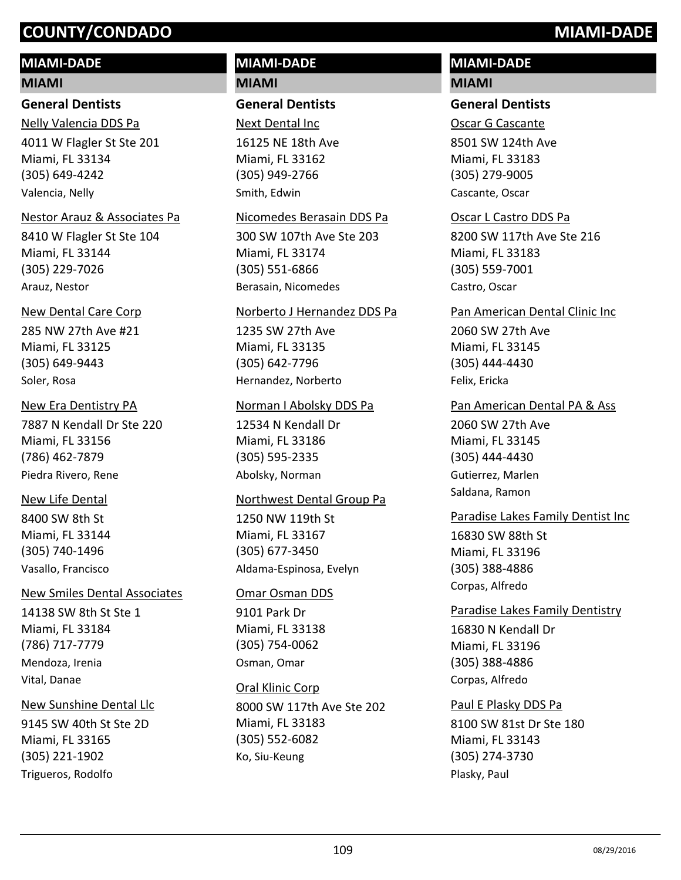#### **MIAMI-DADE**

#### **MIAMI**

#### **General Dentists**

4011 W Flagler St Ste 201 Miami, FL 33134 (305) 649-4242 Nelly Valencia DDS Pa Valencia, Nelly

#### Nestor Arauz & Associates Pa

8410 W Flagler St Ste 104 Miami, FL 33144 (305) 229-7026 Arauz, Nestor

#### New Dental Care Corp

285 NW 27th Ave #21 Miami, FL 33125 (305) 649-9443 Soler, Rosa

#### New Era Dentistry PA

7887 N Kendall Dr Ste 220 Miami, FL 33156 (786) 462-7879 Piedra Rivero, Rene

#### New Life Dental

8400 SW 8th St Miami, FL 33144 (305) 740-1496 Vasallo, Francisco

#### New Smiles Dental Associates

14138 SW 8th St Ste 1 Miami, FL 33184 (786) 717-7779 Mendoza, Irenia Vital, Danae

#### New Sunshine Dental Llc

9145 SW 40th St Ste 2D Miami, FL 33165 (305) 221-1902 Trigueros, Rodolfo

#### **MIAMI-DADE MIAMI**

#### **General Dentists**

16125 NE 18th Ave Miami, FL 33162 (305) 949-2766 Next Dental Inc Smith, Edwin

#### Nicomedes Berasain DDS Pa

300 SW 107th Ave Ste 203 Miami, FL 33174 (305) 551-6866 Berasain, Nicomedes

#### Norberto J Hernandez DDS Pa

1235 SW 27th Ave Miami, FL 33135 (305) 642-7796 Hernandez, Norberto

#### Norman I Abolsky DDS Pa

12534 N Kendall Dr Miami, FL 33186 (305) 595-2335 Abolsky, Norman

#### Northwest Dental Group Pa

1250 NW 119th St Miami, FL 33167 (305) 677-3450 Aldama-Espinosa, Evelyn

#### Omar Osman DDS

9101 Park Dr Miami, FL 33138 (305) 754-0062 Osman, Omar

8000 SW 117th Ave Ste 202 Miami, FL 33183 (305) 552-6082 Oral Klinic Corp Ko, Siu-Keung

#### **MIAMI-DADE MIAMI**

#### **General Dentists**

8501 SW 124th Ave Miami, FL 33183 (305) 279-9005 Oscar G Cascante

Cascante, Oscar

#### Oscar L Castro DDS Pa

8200 SW 117th Ave Ste 216 Miami, FL 33183 (305) 559-7001 Castro, Oscar

2060 SW 27th Ave Miami, FL 33145 (305) 444-4430 Pan American Dental Clinic Inc Felix, Ericka

2060 SW 27th Ave Miami, FL 33145 (305) 444-4430 Pan American Dental PA & Ass Gutierrez, Marlen Saldana, Ramon

#### Paradise Lakes Family Dentist Inc

16830 SW 88th St Miami, FL 33196 (305) 388-4886 Corpas, Alfredo

#### Paradise Lakes Family Dentistry

16830 N Kendall Dr Miami, FL 33196 (305) 388-4886 Corpas, Alfredo

#### Paul E Plasky DDS Pa

8100 SW 81st Dr Ste 180 Miami, FL 33143 (305) 274-3730 Plasky, Paul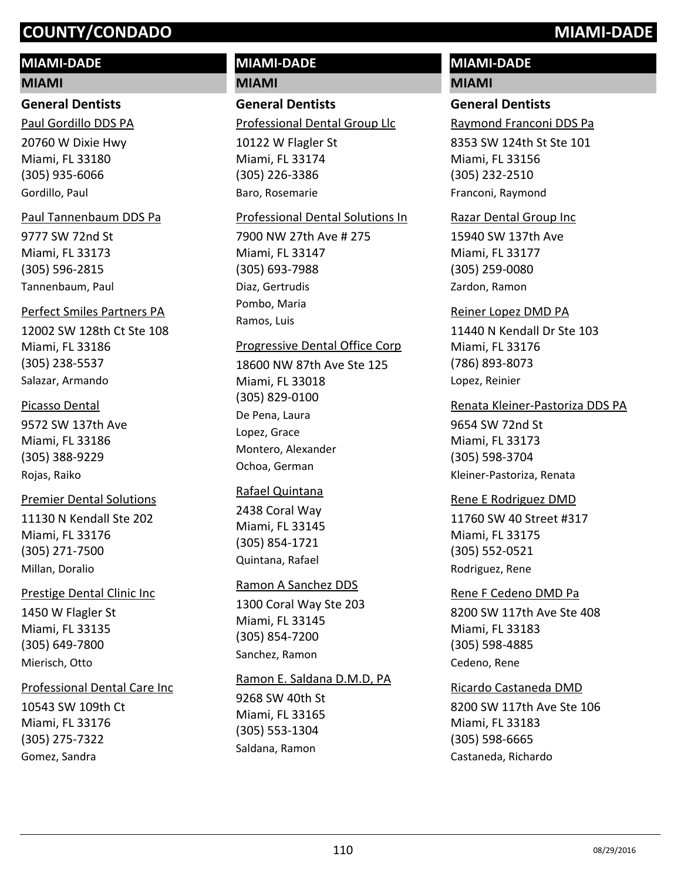#### **MIAMI-DADE**

#### **MIAMI**

#### **General Dentists**

Paul Gordillo DDS PA

20760 W Dixie Hwy Miami, FL 33180 (305) 935-6066 Gordillo, Paul

#### Paul Tannenbaum DDS Pa

9777 SW 72nd St Miami, FL 33173 (305) 596-2815 Tannenbaum, Paul

#### Perfect Smiles Partners PA

12002 SW 128th Ct Ste 108 Miami, FL 33186 (305) 238-5537 Salazar, Armando

#### Picasso Dental

9572 SW 137th Ave Miami, FL 33186 (305) 388-9229 Rojas, Raiko

#### Premier Dental Solutions

11130 N Kendall Ste 202 Miami, FL 33176 (305) 271-7500 Millan, Doralio

#### Prestige Dental Clinic Inc

1450 W Flagler St Miami, FL 33135 (305) 649-7800 Mierisch, Otto

#### Professional Dental Care Inc

10543 SW 109th Ct Miami, FL 33176 (305) 275-7322 Gomez, Sandra

# **MIAMI-DADE**

**MIAMI**

#### **General Dentists** Professional Dental Group Llc

10122 W Flagler St Miami, FL 33174

(305) 226-3386 Baro, Rosemarie

#### Professional Dental Solutions In

7900 NW 27th Ave # 275 Miami, FL 33147 (305) 693-7988 Diaz, Gertrudis Pombo, Maria Ramos, Luis

#### Progressive Dental Office Corp

18600 NW 87th Ave Ste 125 Miami, FL 33018 (305) 829-0100 De Pena, Laura Lopez, Grace Montero, Alexander Ochoa, German

#### Rafael Quintana

2438 Coral Way Miami, FL 33145 (305) 854-1721 Quintana, Rafael

#### Ramon A Sanchez DDS

1300 Coral Way Ste 203 Miami, FL 33145 (305) 854-7200 Sanchez, Ramon

#### Ramon E. Saldana D.M.D, PA

9268 SW 40th St Miami, FL 33165 (305) 553-1304 Saldana, Ramon

# **MIAMI-DADE**

## **MIAMI**

#### **General Dentists**

Raymond Franconi DDS Pa

8353 SW 124th St Ste 101 Miami, FL 33156 (305) 232-2510 Franconi, Raymond

#### Razar Dental Group Inc

15940 SW 137th Ave Miami, FL 33177 (305) 259-0080 Zardon, Ramon

#### Reiner Lopez DMD PA

11440 N Kendall Dr Ste 103 Miami, FL 33176 (786) 893-8073 Lopez, Reinier

#### Renata Kleiner-Pastoriza DDS PA

9654 SW 72nd St Miami, FL 33173 (305) 598-3704 Kleiner-Pastoriza, Renata

#### Rene E Rodriguez DMD

11760 SW 40 Street #317 Miami, FL 33175 (305) 552-0521 Rodriguez, Rene

#### 8200 SW 117th Ave Ste 408 Miami, FL 33183 (305) 598-4885 Rene F Cedeno DMD Pa

Cedeno, Rene

#### Ricardo Castaneda DMD

8200 SW 117th Ave Ste 106 Miami, FL 33183 (305) 598-6665 Castaneda, Richardo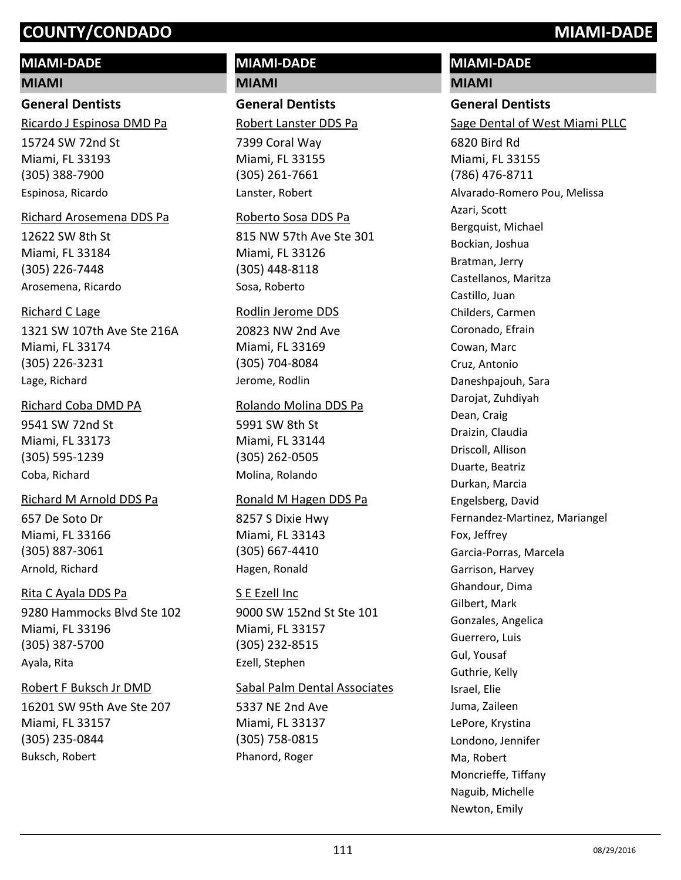#### **MIAMI-DADE**

#### **MIAMI**

#### **General Dentists**

15724 SW 72nd St Miami, FL 33193 Ricardo J Espinosa DMD Pa

(305) 388-7900 Espinosa, Ricardo

#### Richard Arosemena DDS Pa

12622 SW 8th St Miami, FL 33184 (305) 226-7448 Arosemena, Ricardo

#### Richard C Lage

1321 SW 107th Ave Ste 216A Miami, FL 33174 (305) 226-3231 Lage, Richard

#### Richard Coba DMD PA

9541 SW 72nd St Miami, FL 33173 (305) 595-1239 Coba, Richard

#### Richard M Arnold DDS Pa

657 De Soto Dr Miami, FL 33166 (305) 887-3061 Arnold, Richard

#### Rita C Ayala DDS Pa

9280 Hammocks Blvd Ste 102 Miami, FL 33196 (305) 387-5700 Ayala, Rita

#### Robert F Buksch Jr DMD

16201 SW 95th Ave Ste 207 Miami, FL 33157 (305) 235-0844 Buksch, Robert

#### **MIAMI-DADE MIAMI**

**General Dentists** Robert Lanster DDS Pa

7399 Coral Way Miami, FL 33155 (305) 261-7661 Lanster, Robert

#### Roberto Sosa DDS Pa

815 NW 57th Ave Ste 301 Miami, FL 33126 (305) 448-8118 Sosa, Roberto

#### Rodlin Jerome DDS

20823 NW 2nd Ave Miami, FL 33169 (305) 704-8084 Jerome, Rodlin

#### Rolando Molina DDS Pa

5991 SW 8th St Miami, FL 33144 (305) 262-0505 Molina, Rolando

#### Ronald M Hagen DDS Pa

8257 S Dixie Hwy Miami, FL 33143 (305) 667-4410 Hagen, Ronald

#### S E Ezell Inc

9000 SW 152nd St Ste 101 Miami, FL 33157 (305) 232-8515 Ezell, Stephen

#### Sabal Palm Dental Associates

5337 NE 2nd Ave Miami, FL 33137 (305) 758-0815 Phanord, Roger

## **MIAMI-DADE**

#### **MIAMI**

**General Dentists** 6820 Bird Rd Miami, FL 33155 (786) 476-8711 Sage Dental of West Miami PLLC Alvarado-Romero Pou, Melissa Azari, Scott Bergquist, Michael Bockian, Joshua Bratman, Jerry Castellanos, Maritza Castillo, Juan Childers, Carmen Coronado, Efrain Cowan, Marc Cruz, Antonio Daneshpajouh, Sara Darojat, Zuhdiyah Dean, Craig Draizin, Claudia Driscoll, Allison Duarte, Beatriz Durkan, Marcia Engelsberg, David Fernandez-Martinez, Mariangel Fox, Jeffrey Garcia-Porras, Marcela Garrison, Harvey Ghandour, Dima Gilbert, Mark Gonzales, Angelica Guerrero, Luis Gul, Yousaf Guthrie, Kelly Israel, Elie Juma, Zaileen LePore, Krystina Londono, Jennifer Ma, Robert Moncrieffe, Tiffany Naguib, Michelle Newton, Emily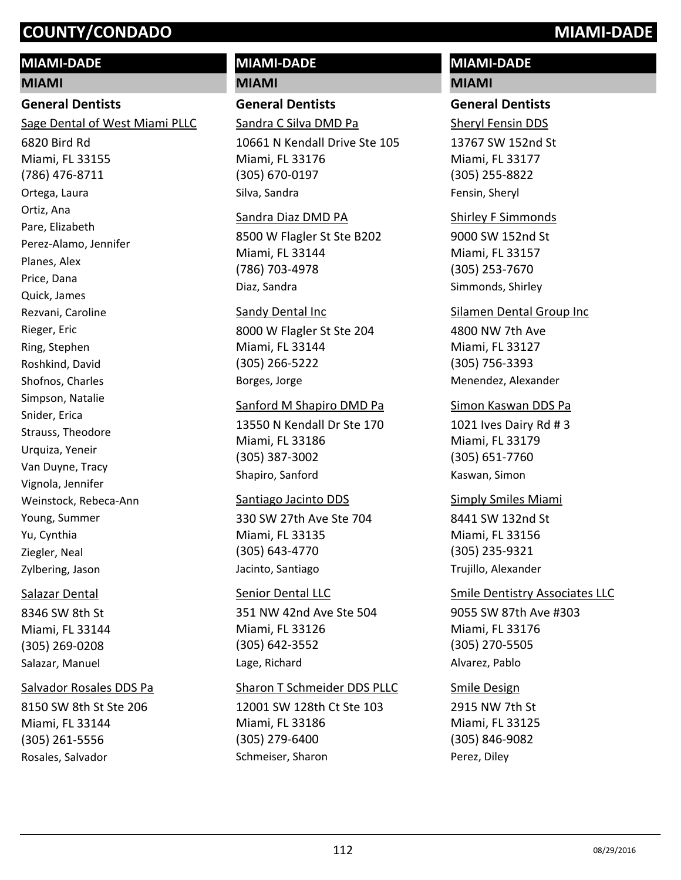## **MIAMI-DADE**

#### **MIAMI**

## **General Dentists**

Sage Dental of West Miami PLLC

6820 Bird Rd Miami, FL 33155 (786) 476-8711 Ortega, Laura Ortiz, Ana Pare, Elizabeth Perez-Alamo, Jennifer Planes, Alex Price, Dana Quick, James Rezvani, Caroline Rieger, Eric Ring, Stephen Roshkind, David Shofnos, Charles Simpson, Natalie Snider, Erica Strauss, Theodore Urquiza, Yeneir Van Duyne, Tracy Vignola, Jennifer Weinstock, Rebeca-Ann Young, Summer Yu, Cynthia Ziegler, Neal Zylbering, Jason

#### Salazar Dental

8346 SW 8th St Miami, FL 33144 (305) 269-0208 Salazar, Manuel

#### Salvador Rosales DDS Pa

8150 SW 8th St Ste 206 Miami, FL 33144 (305) 261-5556 Rosales, Salvador

#### **MIAMI-DADE MIAMI**

#### **General Dentists** Sandra C Silva DMD Pa

10661 N Kendall Drive Ste 105 Miami, FL 33176 (305) 670-0197 Silva, Sandra

#### Sandra Diaz DMD PA

8500 W Flagler St Ste B202 Miami, FL 33144 (786) 703-4978 Diaz, Sandra

#### Sandy Dental Inc

8000 W Flagler St Ste 204 Miami, FL 33144 (305) 266-5222 Borges, Jorge

#### Sanford M Shapiro DMD Pa

13550 N Kendall Dr Ste 170 Miami, FL 33186 (305) 387-3002 Shapiro, Sanford

#### Santiago Jacinto DDS

330 SW 27th Ave Ste 704 Miami, FL 33135 (305) 643-4770 Jacinto, Santiago

#### Senior Dental LLC

351 NW 42nd Ave Ste 504 Miami, FL 33126 (305) 642-3552 Lage, Richard

#### Sharon T Schmeider DDS PLLC

12001 SW 128th Ct Ste 103 Miami, FL 33186 (305) 279-6400 Schmeiser, Sharon

#### **MIAMI-DADE MIAMI**

#### **General Dentists**

13767 SW 152nd St Miami, FL 33177 (305) 255-8822 Sheryl Fensin DDS Fensin, Sheryl

#### Shirley F Simmonds

9000 SW 152nd St Miami, FL 33157 (305) 253-7670 Simmonds, Shirley

#### Silamen Dental Group Inc

4800 NW 7th Ave Miami, FL 33127 (305) 756-3393 Menendez, Alexander

#### Simon Kaswan DDS Pa

1021 Ives Dairy Rd # 3 Miami, FL 33179 (305) 651-7760 Kaswan, Simon

#### Simply Smiles Miami

8441 SW 132nd St Miami, FL 33156 (305) 235-9321 Trujillo, Alexander

#### 9055 SW 87th Ave #303 Miami, FL 33176 (305) 270-5505 Smile Dentistry Associates LLC Alvarez, Pablo

#### Smile Design

2915 NW 7th St Miami, FL 33125 (305) 846-9082 Perez, Diley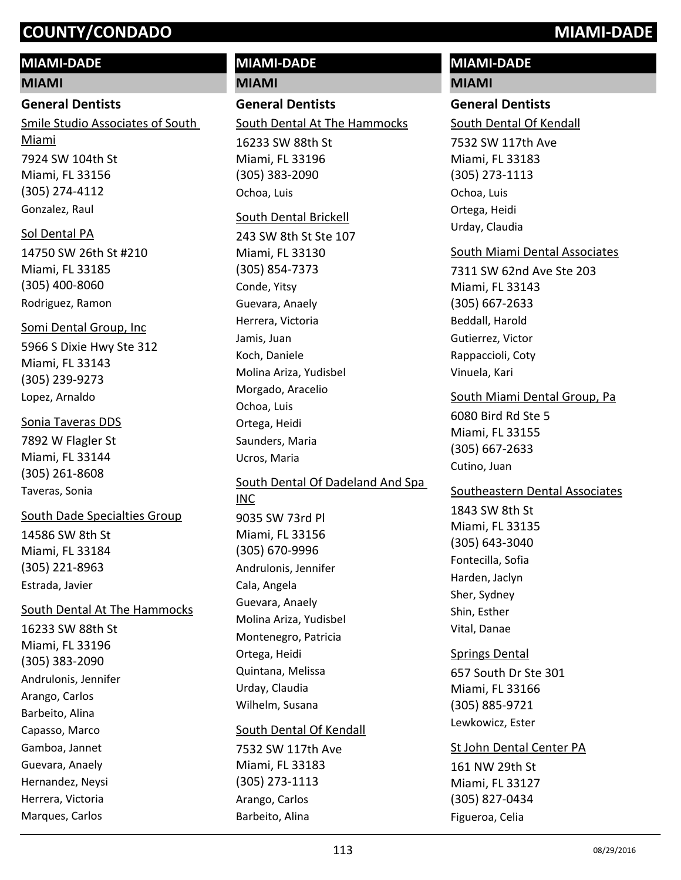## **MIAMI-DADE**

#### **MIAMI**

#### **General Dentists**

7924 SW 104th St Miami, FL 33156 (305) 274-4112 Smile Studio Associates of South Miami Gonzalez, Raul

#### Sol Dental PA

14750 SW 26th St #210 Miami, FL 33185 (305) 400-8060 Rodriguez, Ramon

5966 S Dixie Hwy Ste 312 Miami, FL 33143 (305) 239-9273 Somi Dental Group, Inc Lopez, Arnaldo

## Sonia Taveras DDS

7892 W Flagler St Miami, FL 33144 (305) 261-8608 Taveras, Sonia

14586 SW 8th St Miami, FL 33184 (305) 221-8963 South Dade Specialties Group Estrada, Javier

#### South Dental At The Hammocks

16233 SW 88th St Miami, FL 33196 (305) 383-2090 Andrulonis, Jennifer Arango, Carlos Barbeito, Alina Capasso, Marco Gamboa, Jannet Guevara, Anaely Hernandez, Neysi Herrera, Victoria Marques, Carlos

# **MIAMI-DADE**

**MIAMI**

## **General Dentists**

South Dental At The Hammocks

16233 SW 88th St Miami, FL 33196 (305) 383-2090 Ochoa, Luis

#### South Dental Brickell

243 SW 8th St Ste 107 Miami, FL 33130 (305) 854-7373 Conde, Yitsy Guevara, Anaely Herrera, Victoria Jamis, Juan Koch, Daniele Molina Ariza, Yudisbel Morgado, Aracelio Ochoa, Luis Ortega, Heidi Saunders, Maria Ucros, Maria

### 9035 SW 73rd Pl Miami, FL 33156 (305) 670-9996 South Dental Of Dadeland And Spa INC Andrulonis, Jennifer Cala, Angela Guevara, Anaely Molina Ariza, Yudisbel Montenegro, Patricia Ortega, Heidi Quintana, Melissa

Urday, Claudia Wilhelm, Susana

#### South Dental Of Kendall

7532 SW 117th Ave Miami, FL 33183 (305) 273-1113 Arango, Carlos Barbeito, Alina

# **MIAMI-DADE**

## **MIAMI**

#### **General Dentists**

South Dental Of Kendall

7532 SW 117th Ave Miami, FL 33183 (305) 273-1113 Ochoa, Luis Ortega, Heidi Urday, Claudia

#### South Miami Dental Associates

7311 SW 62nd Ave Ste 203 Miami, FL 33143 (305) 667-2633 Beddall, Harold Gutierrez, Victor Rappaccioli, Coty Vinuela, Kari

#### 6080 Bird Rd Ste 5 Miami, FL 33155 (305) 667-2633 South Miami Dental Group, Pa

Cutino, Juan

## Southeastern Dental Associates

1843 SW 8th St Miami, FL 33135 (305) 643-3040 Fontecilla, Sofia Harden, Jaclyn Sher, Sydney Shin, Esther Vital, Danae

657 South Dr Ste 301 Miami, FL 33166 (305) 885-9721 Springs Dental Lewkowicz, Ester

## St John Dental Center PA

161 NW 29th St Miami, FL 33127 (305) 827-0434 Figueroa, Celia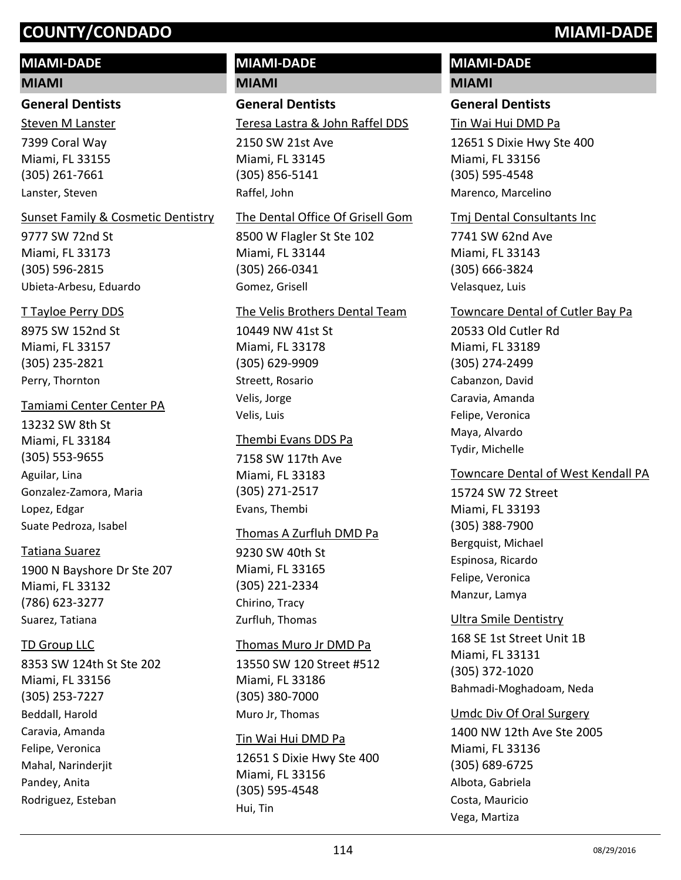## **MIAMI-DADE**

#### **MIAMI**

#### **General Dentists**

7399 Coral Way Miami, FL 33155 (305) 261-7661 Steven M Lanster Lanster, Steven

#### Sunset Family & Cosmetic Dentistry

9777 SW 72nd St Miami, FL 33173 (305) 596-2815 Ubieta-Arbesu, Eduardo

#### T Tayloe Perry DDS

8975 SW 152nd St Miami, FL 33157 (305) 235-2821 Perry, Thornton

#### Tamiami Center Center PA

13232 SW 8th St Miami, FL 33184 (305) 553-9655 Aguilar, Lina Gonzalez-Zamora, Maria Lopez, Edgar Suate Pedroza, Isabel

#### Tatiana Suarez

1900 N Bayshore Dr Ste 207 Miami, FL 33132 (786) 623-3277 Suarez, Tatiana

#### TD Group LLC

8353 SW 124th St Ste 202 Miami, FL 33156 (305) 253-7227 Beddall, Harold Caravia, Amanda Felipe, Veronica Mahal, Narinderjit Pandey, Anita Rodriguez, Esteban

# **MIAMI-DADE**

**MIAMI**

## **General Dentists**

Teresa Lastra & John Raffel DDS

2150 SW 21st Ave Miami, FL 33145 (305) 856-5141 Raffel, John

#### The Dental Office Of Grisell Gom

8500 W Flagler St Ste 102 Miami, FL 33144 (305) 266-0341 Gomez, Grisell

#### The Velis Brothers Dental Team

10449 NW 41st St Miami, FL 33178 (305) 629-9909 Streett, Rosario Velis, Jorge Velis, Luis

#### Thembi Evans DDS Pa

7158 SW 117th Ave Miami, FL 33183 (305) 271-2517 Evans, Thembi

#### Thomas A Zurfluh DMD Pa

9230 SW 40th St Miami, FL 33165 (305) 221-2334 Chirino, Tracy Zurfluh, Thomas

#### Thomas Muro Jr DMD Pa

13550 SW 120 Street #512 Miami, FL 33186 (305) 380-7000 Muro Jr, Thomas

#### Tin Wai Hui DMD Pa

12651 S Dixie Hwy Ste 400 Miami, FL 33156 (305) 595-4548 Hui, Tin

# **MIAMI-DADE**

## **MIAMI**

#### **General Dentists**

Tin Wai Hui DMD Pa

12651 S Dixie Hwy Ste 400 Miami, FL 33156 (305) 595-4548 Marenco, Marcelino

#### Tmj Dental Consultants Inc

7741 SW 62nd Ave Miami, FL 33143 (305) 666-3824 Velasquez, Luis

#### Towncare Dental of Cutler Bay Pa

20533 Old Cutler Rd Miami, FL 33189 (305) 274-2499 Cabanzon, David Caravia, Amanda Felipe, Veronica Maya, Alvardo Tydir, Michelle

#### Towncare Dental of West Kendall PA

15724 SW 72 Street Miami, FL 33193 (305) 388-7900 Bergquist, Michael Espinosa, Ricardo Felipe, Veronica Manzur, Lamya

#### Ultra Smile Dentistry

168 SE 1st Street Unit 1B Miami, FL 33131 (305) 372-1020 Bahmadi-Moghadoam, Neda

#### Umdc Div Of Oral Surgery

1400 NW 12th Ave Ste 2005 Miami, FL 33136 (305) 689-6725 Albota, Gabriela Costa, Mauricio Vega, Martiza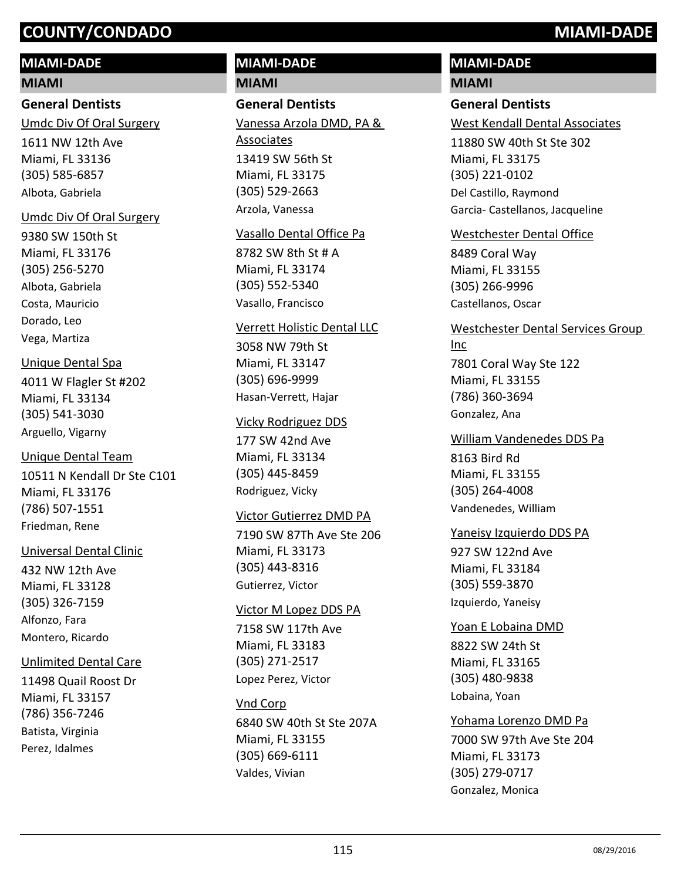#### **MIAMI-DADE**

#### **MIAMI**

#### **General Dentists**

1611 NW 12th Ave Miami, FL 33136 Umdc Div Of Oral Surgery

(305) 585-6857 Albota, Gabriela

#### Umdc Div Of Oral Surgery

9380 SW 150th St Miami, FL 33176 (305) 256-5270 Albota, Gabriela Costa, Mauricio Dorado, Leo Vega, Martiza

#### Unique Dental Spa

4011 W Flagler St #202 Miami, FL 33134 (305) 541-3030 Arguello, Vigarny

#### Unique Dental Team

10511 N Kendall Dr Ste C101 Miami, FL 33176 (786) 507-1551 Friedman, Rene

#### Universal Dental Clinic

432 NW 12th Ave Miami, FL 33128 (305) 326-7159 Alfonzo, Fara Montero, Ricardo

#### Unlimited Dental Care

11498 Quail Roost Dr Miami, FL 33157 (786) 356-7246 Batista, Virginia Perez, Idalmes

#### **MIAMI-DADE MIAMI**

## **General Dentists**

13419 SW 56th St Miami, FL 33175 (305) 529-2663 Vanessa Arzola DMD, PA & Associates Arzola, Vanessa

#### Vasallo Dental Office Pa

8782 SW 8th St # A Miami, FL 33174 (305) 552-5340 Vasallo, Francisco

#### Verrett Holistic Dental LLC

3058 NW 79th St Miami, FL 33147 (305) 696-9999 Hasan-Verrett, Hajar

#### Vicky Rodriguez DDS

177 SW 42nd Ave Miami, FL 33134 (305) 445-8459 Rodriguez, Vicky

#### Victor Gutierrez DMD PA

7190 SW 87Th Ave Ste 206 Miami, FL 33173 (305) 443-8316 Gutierrez, Victor

#### Victor M Lopez DDS PA

7158 SW 117th Ave Miami, FL 33183 (305) 271-2517 Lopez Perez, Victor

#### Vnd Corp

6840 SW 40th St Ste 207A Miami, FL 33155 (305) 669-6111 Valdes, Vivian

# **MIAMI-DADE**

#### **MIAMI**

#### **General Dentists**

West Kendall Dental Associates

11880 SW 40th St Ste 302 Miami, FL 33175 (305) 221-0102 Del Castillo, Raymond Garcia- Castellanos, Jacqueline

#### Westchester Dental Office

8489 Coral Way Miami, FL 33155 (305) 266-9996 Castellanos, Oscar

#### Westchester Dental Services Group

7801 Coral Way Ste 122 Miami, FL 33155 (786) 360-3694 Inc Gonzalez, Ana

#### William Vandenedes DDS Pa

8163 Bird Rd Miami, FL 33155 (305) 264-4008 Vandenedes, William

#### Yaneisy Izquierdo DDS PA

927 SW 122nd Ave Miami, FL 33184 (305) 559-3870 Izquierdo, Yaneisy

#### Yoan E Lobaina DMD

8822 SW 24th St Miami, FL 33165 (305) 480-9838 Lobaina, Yoan

7000 SW 97th Ave Ste 204 Miami, FL 33173 (305) 279-0717 Yohama Lorenzo DMD Pa Gonzalez, Monica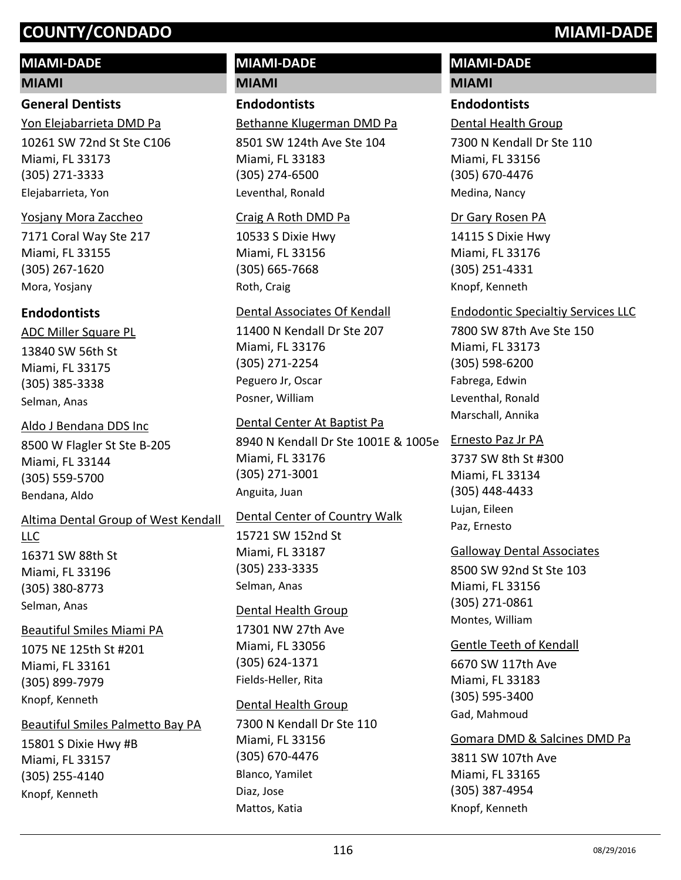## **MIAMI-DADE**

#### **MIAMI**

#### **General Dentists**

10261 SW 72nd St Ste C106 Miami, FL 33173 (305) 271-3333 Yon Elejabarrieta DMD Pa Elejabarrieta, Yon

#### Yosjany Mora Zaccheo

7171 Coral Way Ste 217 Miami, FL 33155 (305) 267-1620 Mora, Yosjany

#### **Endodontists**

13840 SW 56th St Miami, FL 33175 (305) 385-3338 ADC Miller Square PL Selman, Anas

8500 W Flagler St Ste B-205 Miami, FL 33144 (305) 559-5700 Aldo J Bendana DDS Inc Bendana, Aldo

# Altima Dental Group of West Kendall LLC

16371 SW 88th St Miami, FL 33196 (305) 380-8773 Selman, Anas

#### Beautiful Smiles Miami PA

1075 NE 125th St #201 Miami, FL 33161 (305) 899-7979 Knopf, Kenneth

## Beautiful Smiles Palmetto Bay PA

15801 S Dixie Hwy #B Miami, FL 33157 (305) 255-4140 Knopf, Kenneth

# **MIAMI-DADE**

**MIAMI**

## **Endodontists**

Bethanne Klugerman DMD Pa

8501 SW 124th Ave Ste 104 Miami, FL 33183 (305) 274-6500 Leventhal, Ronald

#### Craig A Roth DMD Pa

10533 S Dixie Hwy Miami, FL 33156 (305) 665-7668 Roth, Craig

#### Dental Associates Of Kendall

11400 N Kendall Dr Ste 207 Miami, FL 33176 (305) 271-2254 Peguero Jr, Oscar Posner, William

#### Dental Center At Baptist Pa

8940 N Kendall Dr Ste 1001E & 1005e Miami, FL 33176 (305) 271-3001 Anguita, Juan

## Dental Center of Country Walk

15721 SW 152nd St Miami, FL 33187 (305) 233-3335 Selman, Anas

#### Dental Health Group

17301 NW 27th Ave Miami, FL 33056 (305) 624-1371 Fields-Heller, Rita

## Dental Health Group

7300 N Kendall Dr Ste 110 Miami, FL 33156 (305) 670-4476 Blanco, Yamilet Diaz, Jose Mattos, Katia

## **MIAMI-DADE**

#### **MIAMI**

#### **Endodontists**

Dental Health Group

7300 N Kendall Dr Ste 110 Miami, FL 33156 (305) 670-4476 Medina, Nancy

#### Dr Gary Rosen PA

14115 S Dixie Hwy Miami, FL 33176 (305) 251-4331 Knopf, Kenneth

#### Endodontic Specialtiy Services LLC

7800 SW 87th Ave Ste 150 Miami, FL 33173 (305) 598-6200 Fabrega, Edwin Leventhal, Ronald Marschall, Annika

#### Ernesto Paz Jr PA

3737 SW 8th St #300 Miami, FL 33134 (305) 448-4433 Lujan, Eileen Paz, Ernesto

## Galloway Dental Associates

8500 SW 92nd St Ste 103 Miami, FL 33156 (305) 271-0861 Montes, William

6670 SW 117th Ave Gentle Teeth of Kendall

Miami, FL 33183 (305) 595-3400 Gad, Mahmoud

## Gomara DMD & Salcines DMD Pa

3811 SW 107th Ave Miami, FL 33165 (305) 387-4954 Knopf, Kenneth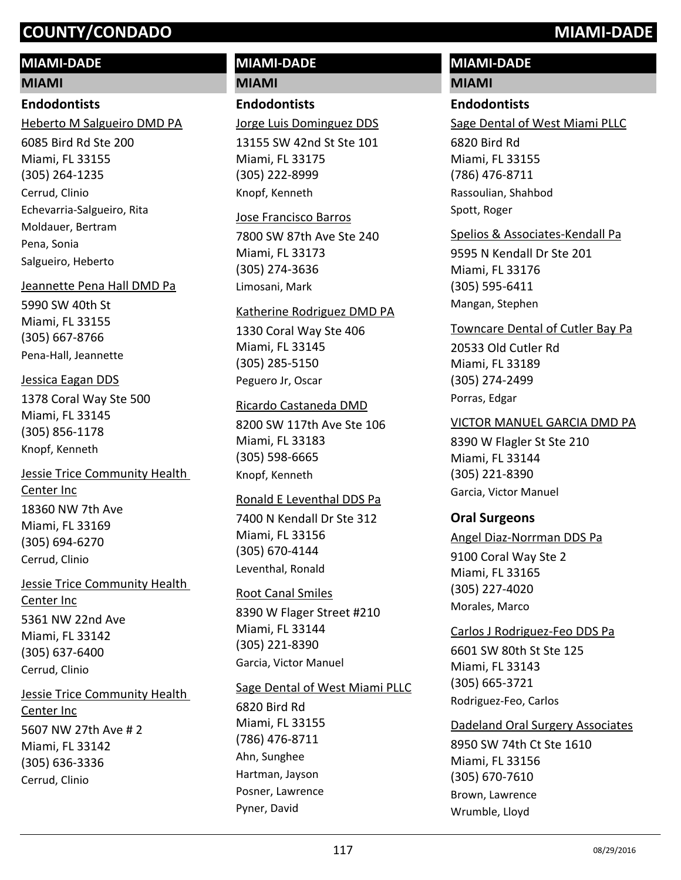## **MIAMI-DADE**

#### **MIAMI**

## **Endodontists**

Heberto M Salgueiro DMD PA

6085 Bird Rd Ste 200 Miami, FL 33155 (305) 264-1235 Cerrud, Clinio Echevarria-Salgueiro, Rita Moldauer, Bertram Pena, Sonia Salgueiro, Heberto

#### Jeannette Pena Hall DMD Pa

5990 SW 40th St Miami, FL 33155 (305) 667-8766 Pena-Hall, Jeannette

### Jessica Eagan DDS

1378 Coral Way Ste 500 Miami, FL 33145 (305) 856-1178 Knopf, Kenneth

18360 NW 7th Ave Miami, FL 33169 (305) 694-6270 Jessie Trice Community Health Center Inc Cerrud, Clinio

5361 NW 22nd Ave Miami, FL 33142 (305) 637-6400 Jessie Trice Community Health Center Inc Cerrud, Clinio

5607 NW 27th Ave # 2 Miami, FL 33142 (305) 636-3336 Jessie Trice Community Health Center Inc Cerrud, Clinio

# **MIAMI-DADE**

**MIAMI**

## **Endodontists**

Jorge Luis Dominguez DDS

13155 SW 42nd St Ste 101 Miami, FL 33175 (305) 222-8999 Knopf, Kenneth

#### Jose Francisco Barros

7800 SW 87th Ave Ste 240 Miami, FL 33173 (305) 274-3636 Limosani, Mark

#### Katherine Rodriguez DMD PA

1330 Coral Way Ste 406 Miami, FL 33145 (305) 285-5150 Peguero Jr, Oscar

### Ricardo Castaneda DMD

8200 SW 117th Ave Ste 106 Miami, FL 33183 (305) 598-6665 Knopf, Kenneth

#### Ronald E Leventhal DDS Pa

7400 N Kendall Dr Ste 312 Miami, FL 33156 (305) 670-4144 Leventhal, Ronald

#### Root Canal Smiles

8390 W Flager Street #210 Miami, FL 33144 (305) 221-8390 Garcia, Victor Manuel

#### Sage Dental of West Miami PLLC

6820 Bird Rd Miami, FL 33155 (786) 476-8711 Ahn, Sunghee Hartman, Jayson Posner, Lawrence Pyner, David

## **MIAMI-DADE**

#### **MIAMI**

#### **Endodontists**

Sage Dental of West Miami PLLC

6820 Bird Rd Miami, FL 33155 (786) 476-8711 Rassoulian, Shahbod Spott, Roger

#### Spelios & Associates-Kendall Pa

9595 N Kendall Dr Ste 201 Miami, FL 33176 (305) 595-6411 Mangan, Stephen

#### Towncare Dental of Cutler Bay Pa

20533 Old Cutler Rd Miami, FL 33189 (305) 274-2499 Porras, Edgar

#### VICTOR MANUEL GARCIA DMD PA

8390 W Flagler St Ste 210 Miami, FL 33144 (305) 221-8390 Garcia, Victor Manuel

#### **Oral Surgeons**

#### Angel Diaz-Norrman DDS Pa

9100 Coral Way Ste 2 Miami, FL 33165 (305) 227-4020 Morales, Marco

#### Carlos J Rodriguez-Feo DDS Pa

6601 SW 80th St Ste 125 Miami, FL 33143 (305) 665-3721 Rodriguez-Feo, Carlos

#### Dadeland Oral Surgery Associates

8950 SW 74th Ct Ste 1610 Miami, FL 33156 (305) 670-7610 Brown, Lawrence Wrumble, Lloyd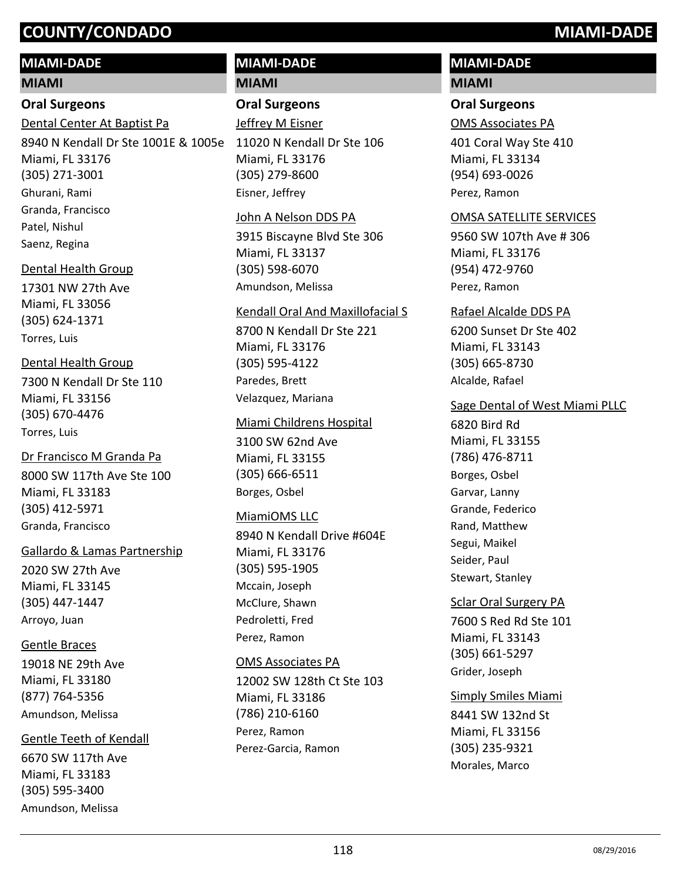## **MIAMI-DADE**

#### **MIAMI**

#### **Oral Surgeons**

Dental Center At Baptist Pa

8940 N Kendall Dr Ste 1001E & 1005e Miami, FL 33176 (305) 271-3001 Ghurani, Rami Granda, Francisco Patel, Nishul Saenz, Regina

#### Dental Health Group

17301 NW 27th Ave Miami, FL 33056 (305) 624-1371 Torres, Luis

## Dental Health Group

7300 N Kendall Dr Ste 110 Miami, FL 33156 (305) 670-4476 Torres, Luis

8000 SW 117th Ave Ste 100 Miami, FL 33183 (305) 412-5971 Dr Francisco M Granda Pa Granda, Francisco

#### Gallardo & Lamas Partnership

2020 SW 27th Ave Miami, FL 33145 (305) 447-1447 Arroyo, Juan

#### Gentle Braces

19018 NE 29th Ave Miami, FL 33180 (877) 764-5356 Amundson, Melissa

#### Gentle Teeth of Kendall

6670 SW 117th Ave Miami, FL 33183 (305) 595-3400 Amundson, Melissa

# **MIAMI-DADE**

**MIAMI**

## **Oral Surgeons**

11020 N Kendall Dr Ste 106 Miami, FL 33176 (305) 279-8600 Jeffrey M Eisner Eisner, Jeffrey

#### John A Nelson DDS PA

3915 Biscayne Blvd Ste 306 Miami, FL 33137 (305) 598-6070 Amundson, Melissa

#### Kendall Oral And Maxillofacial S

8700 N Kendall Dr Ste 221 Miami, FL 33176 (305) 595-4122 Paredes, Brett Velazquez, Mariana

### Miami Childrens Hospital

3100 SW 62nd Ave Miami, FL 33155 (305) 666-6511 Borges, Osbel

## MiamiOMS LLC

8940 N Kendall Drive #604E Miami, FL 33176 (305) 595-1905 Mccain, Joseph McClure, Shawn Pedroletti, Fred Perez, Ramon

#### OMS Associates PA

12002 SW 128th Ct Ste 103 Miami, FL 33186 (786) 210-6160 Perez, Ramon Perez-Garcia, Ramon

# **MIAMI-DADE**

## **MIAMI**

### **Oral Surgeons**

OMS Associates PA

401 Coral Way Ste 410 Miami, FL 33134 (954) 693-0026 Perez, Ramon

#### OMSA SATELLITE SERVICES

9560 SW 107th Ave # 306 Miami, FL 33176 (954) 472-9760 Perez, Ramon

#### Rafael Alcalde DDS PA

6200 Sunset Dr Ste 402 Miami, FL 33143 (305) 665-8730 Alcalde, Rafael

### Sage Dental of West Miami PLLC

6820 Bird Rd Miami, FL 33155 (786) 476-8711 Borges, Osbel Garvar, Lanny Grande, Federico Rand, Matthew Segui, Maikel Seider, Paul Stewart, Stanley

## Sclar Oral Surgery PA

7600 S Red Rd Ste 101 Miami, FL 33143 (305) 661-5297 Grider, Joseph

## Simply Smiles Miami

8441 SW 132nd St Miami, FL 33156 (305) 235-9321 Morales, Marco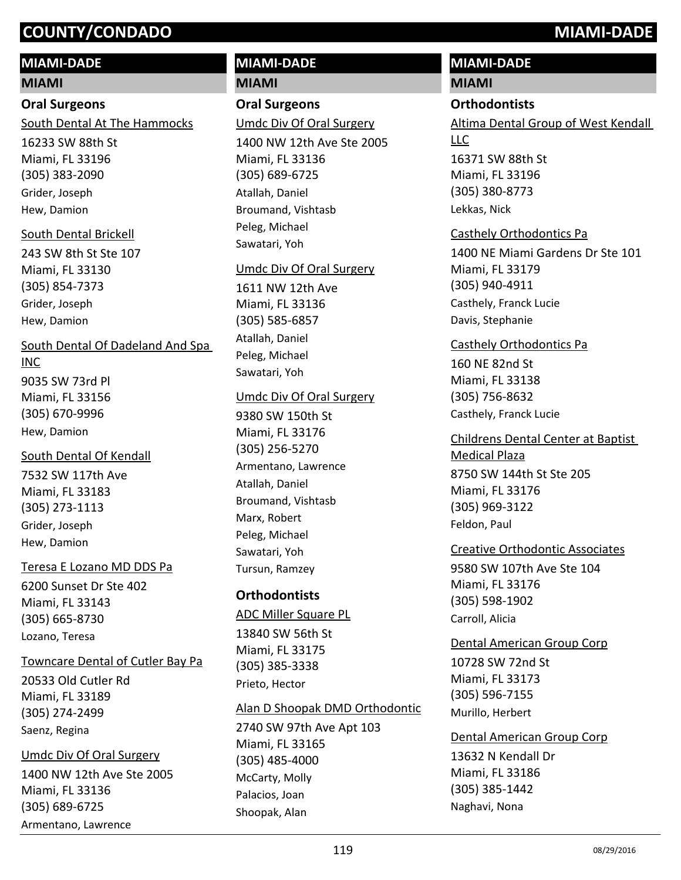## **MIAMI-DADE**

#### **MIAMI**

### **Oral Surgeons**

South Dental At The Hammocks

16233 SW 88th St Miami, FL 33196 (305) 383-2090 Grider, Joseph Hew, Damion

#### South Dental Brickell

243 SW 8th St Ste 107 Miami, FL 33130 (305) 854-7373 Grider, Joseph Hew, Damion

#### South Dental Of Dadeland And Spa

#### INC

9035 SW 73rd Pl Miami, FL 33156 (305) 670-9996 Hew, Damion

## South Dental Of Kendall

7532 SW 117th Ave Miami, FL 33183 (305) 273-1113 Grider, Joseph Hew, Damion

#### Teresa E Lozano MD DDS Pa

6200 Sunset Dr Ste 402 Miami, FL 33143 (305) 665-8730 Lozano, Teresa

#### Towncare Dental of Cutler Bay Pa

20533 Old Cutler Rd Miami, FL 33189 (305) 274-2499 Saenz, Regina

## 1400 NW 12th Ave Ste 2005 Miami, FL 33136 (305) 689-6725 Umdc Div Of Oral Surgery

Armentano, Lawrence

#### **MIAMI-DADE MIAMI**

**Oral Surgeons**

## Umdc Div Of Oral Surgery

1400 NW 12th Ave Ste 2005 Miami, FL 33136 (305) 689-6725 Atallah, Daniel Broumand, Vishtasb Peleg, Michael Sawatari, Yoh

#### Umdc Div Of Oral Surgery

1611 NW 12th Ave Miami, FL 33136 (305) 585-6857 Atallah, Daniel Peleg, Michael Sawatari, Yoh

#### Umdc Div Of Oral Surgery

9380 SW 150th St Miami, FL 33176 (305) 256-5270 Armentano, Lawrence Atallah, Daniel Broumand, Vishtasb Marx, Robert Peleg, Michael Sawatari, Yoh Tursun, Ramzey

#### **Orthodontists**

## ADC Miller Square PL

13840 SW 56th St Miami, FL 33175 (305) 385-3338 Prieto, Hector

#### Alan D Shoopak DMD Orthodontic

2740 SW 97th Ave Apt 103 Miami, FL 33165 (305) 485-4000 McCarty, Molly Palacios, Joan Shoopak, Alan

### **MIAMI-DADE**

#### **MIAMI**

#### **Orthodontists**

16371 SW 88th St Miami, FL 33196 (305) 380-8773 Altima Dental Group of West Kendall LLC

Lekkas, Nick

#### Casthely Orthodontics Pa

1400 NE Miami Gardens Dr Ste 101 Miami, FL 33179 (305) 940-4911 Casthely, Franck Lucie Davis, Stephanie

#### Casthely Orthodontics Pa

160 NE 82nd St Miami, FL 33138 (305) 756-8632 Casthely, Franck Lucie

#### 8750 SW 144th St Ste 205 Miami, FL 33176 (305) 969-3122 Childrens Dental Center at Baptist Medical Plaza Feldon, Paul

#### Creative Orthodontic Associates

9580 SW 107th Ave Ste 104 Miami, FL 33176 (305) 598-1902 Carroll, Alicia

### 10728 SW 72nd St Dental American Group Corp

Miami, FL 33173 (305) 596-7155 Murillo, Herbert

#### Dental American Group Corp

13632 N Kendall Dr Miami, FL 33186 (305) 385-1442 Naghavi, Nona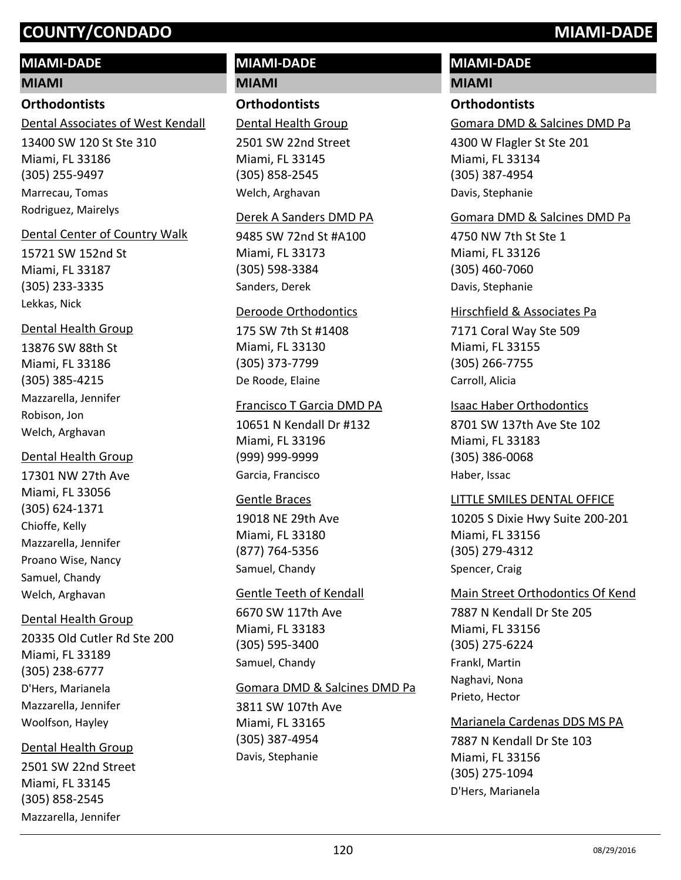### **MIAMI-DADE**

#### **MIAMI**

#### **Orthodontists**

13400 SW 120 St Ste 310 Dental Associates of West Kendall

Miami, FL 33186 (305) 255-9497 Marrecau, Tomas Rodriguez, Mairelys

#### Dental Center of Country Walk

15721 SW 152nd St Miami, FL 33187 (305) 233-3335 Lekkas, Nick

#### Dental Health Group

13876 SW 88th St Miami, FL 33186 (305) 385-4215 Mazzarella, Jennifer Robison, Jon Welch, Arghavan

#### Dental Health Group

17301 NW 27th Ave Miami, FL 33056 (305) 624-1371 Chioffe, Kelly Mazzarella, Jennifer Proano Wise, Nancy Samuel, Chandy Welch, Arghavan

#### Dental Health Group

20335 Old Cutler Rd Ste 200 Miami, FL 33189 (305) 238-6777 D'Hers, Marianela Mazzarella, Jennifer Woolfson, Hayley

#### Dental Health Group

2501 SW 22nd Street Miami, FL 33145 (305) 858-2545 Mazzarella, Jennifer

#### **MIAMI-DADE MIAMI**

## **Orthodontists**

Dental Health Group

2501 SW 22nd Street Miami, FL 33145 (305) 858-2545 Welch, Arghavan

#### Derek A Sanders DMD PA

9485 SW 72nd St #A100 Miami, FL 33173 (305) 598-3384 Sanders, Derek

#### Deroode Orthodontics

175 SW 7th St #1408 Miami, FL 33130 (305) 373-7799 De Roode, Elaine

## Francisco T Garcia DMD PA

10651 N Kendall Dr #132 Miami, FL 33196 (999) 999-9999 Garcia, Francisco

#### Gentle Braces

19018 NE 29th Ave Miami, FL 33180 (877) 764-5356 Samuel, Chandy

#### Gentle Teeth of Kendall

6670 SW 117th Ave Miami, FL 33183 (305) 595-3400 Samuel, Chandy

#### Gomara DMD & Salcines DMD Pa

3811 SW 107th Ave Miami, FL 33165 (305) 387-4954 Davis, Stephanie

## **MIAMI-DADE**

#### **MIAMI**

#### **Orthodontists**

Gomara DMD & Salcines DMD Pa

4300 W Flagler St Ste 201 Miami, FL 33134 (305) 387-4954 Davis, Stephanie

#### Gomara DMD & Salcines DMD Pa

4750 NW 7th St Ste 1 Miami, FL 33126 (305) 460-7060 Davis, Stephanie

#### Hirschfield & Associates Pa

7171 Coral Way Ste 509 Miami, FL 33155 (305) 266-7755 Carroll, Alicia

#### Isaac Haber Orthodontics

8701 SW 137th Ave Ste 102 Miami, FL 33183 (305) 386-0068 Haber, Issac

#### LITTLE SMILES DENTAL OFFICE

10205 S Dixie Hwy Suite 200-201 Miami, FL 33156 (305) 279-4312 Spencer, Craig

7887 N Kendall Dr Ste 205 Miami, FL 33156 (305) 275-6224 Main Street Orthodontics Of Kend Frankl, Martin Naghavi, Nona Prieto, Hector

7887 N Kendall Dr Ste 103 Miami, FL 33156 (305) 275-1094 Marianela Cardenas DDS MS PA D'Hers, Marianela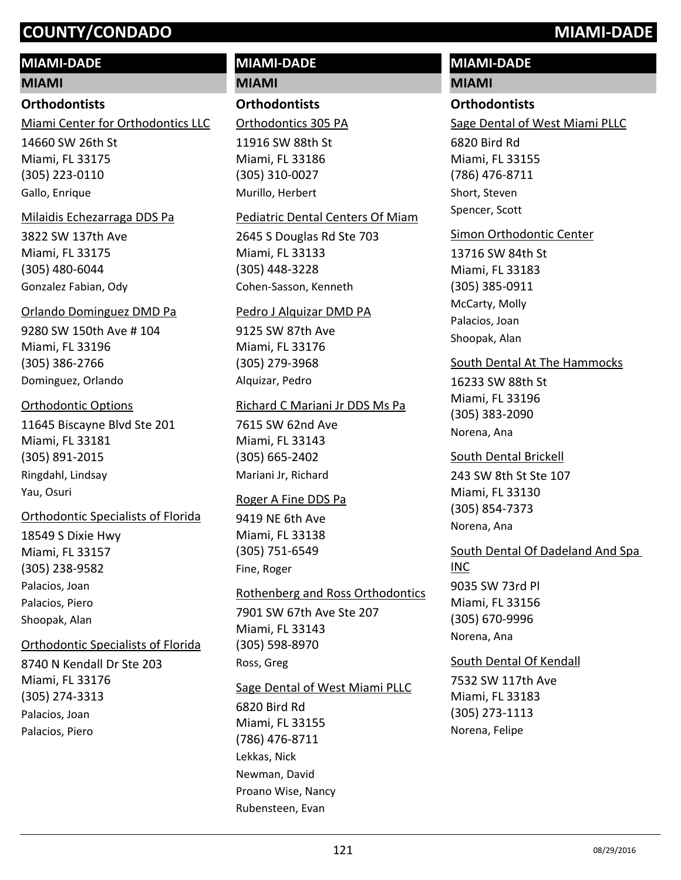#### **MIAMI-DADE**

**MIAMI**

#### **Orthodontists**

Miami Center for Orthodontics LLC

14660 SW 26th St Miami, FL 33175 (305) 223-0110 Gallo, Enrique

#### Milaidis Echezarraga DDS Pa

3822 SW 137th Ave Miami, FL 33175 (305) 480-6044 Gonzalez Fabian, Ody

#### Orlando Dominguez DMD Pa

9280 SW 150th Ave # 104 Miami, FL 33196 (305) 386-2766 Dominguez, Orlando

#### Orthodontic Options

11645 Biscayne Blvd Ste 201 Miami, FL 33181 (305) 891-2015 Ringdahl, Lindsay Yau, Osuri

#### Orthodontic Specialists of Florida

18549 S Dixie Hwy Miami, FL 33157 (305) 238-9582 Palacios, Joan Palacios, Piero Shoopak, Alan

#### Orthodontic Specialists of Florida

8740 N Kendall Dr Ste 203 Miami, FL 33176 (305) 274-3313 Palacios, Joan Palacios, Piero

#### **MIAMI-DADE MIAMI**

**Orthodontists**

Orthodontics 305 PA

11916 SW 88th St Miami, FL 33186 (305) 310-0027 Murillo, Herbert

#### Pediatric Dental Centers Of Miam

2645 S Douglas Rd Ste 703 Miami, FL 33133 (305) 448-3228 Cohen-Sasson, Kenneth

#### Pedro J Alquizar DMD PA

9125 SW 87th Ave Miami, FL 33176 (305) 279-3968 Alquizar, Pedro

#### Richard C Mariani Jr DDS Ms Pa

7615 SW 62nd Ave Miami, FL 33143 (305) 665-2402 Mariani Jr, Richard

#### Roger A Fine DDS Pa

9419 NE 6th Ave Miami, FL 33138 (305) 751-6549 Fine, Roger

# Rothenberg and Ross Orthodontics

7901 SW 67th Ave Ste 207 Miami, FL 33143 (305) 598-8970 Ross, Greg

#### Sage Dental of West Miami PLLC

6820 Bird Rd Miami, FL 33155 (786) 476-8711 Lekkas, Nick Newman, David Proano Wise, Nancy Rubensteen, Evan

# **MIAMI-DADE**

## **MIAMI**

#### **Orthodontists**

Sage Dental of West Miami PLLC

6820 Bird Rd Miami, FL 33155 (786) 476-8711 Short, Steven Spencer, Scott

#### Simon Orthodontic Center

13716 SW 84th St Miami, FL 33183 (305) 385-0911 McCarty, Molly Palacios, Joan Shoopak, Alan

#### South Dental At The Hammocks

16233 SW 88th St Miami, FL 33196 (305) 383-2090 Norena, Ana

243 SW 8th St Ste 107 Miami, FL 33130 (305) 854-7373 South Dental Brickell Norena, Ana

9035 SW 73rd Pl Miami, FL 33156 (305) 670-9996 South Dental Of Dadeland And Spa INC

### Norena, Ana

#### South Dental Of Kendall

7532 SW 117th Ave Miami, FL 33183 (305) 273-1113 Norena, Felipe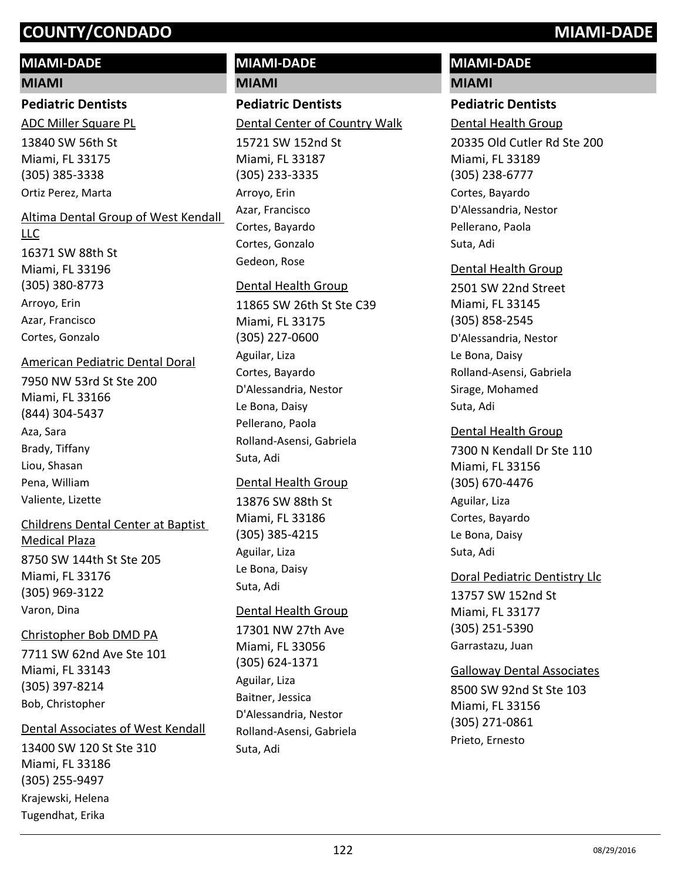#### **MIAMI-DADE**

#### **MIAMI**

#### **Pediatric Dentists**

13840 SW 56th St Miami, FL 33175 (305) 385-3338 ADC Miller Square PL Ortiz Perez, Marta

#### Altima Dental Group of West Kendall

#### LLC

16371 SW 88th St Miami, FL 33196 (305) 380-8773 Arroyo, Erin Azar, Francisco Cortes, Gonzalo

#### American Pediatric Dental Doral

7950 NW 53rd St Ste 200 Miami, FL 33166 (844) 304-5437 Aza, Sara Brady, Tiffany Liou, Shasan Pena, William Valiente, Lizette

#### Childrens Dental Center at Baptist

8750 SW 144th St Ste 205 Miami, FL 33176 (305) 969-3122 Medical Plaza Varon, Dina

#### Christopher Bob DMD PA

7711 SW 62nd Ave Ste 101 Miami, FL 33143 (305) 397-8214 Bob, Christopher

#### Dental Associates of West Kendall

13400 SW 120 St Ste 310 Miami, FL 33186 (305) 255-9497 Krajewski, Helena Tugendhat, Erika

# **MIAMI-DADE**

**MIAMI**

# **Pediatric Dentists**

15721 SW 152nd St Miami, FL 33187 (305) 233-3335 Dental Center of Country Walk Arroyo, Erin Azar, Francisco Cortes, Bayardo Cortes, Gonzalo Gedeon, Rose

#### Dental Health Group

11865 SW 26th St Ste C39 Miami, FL 33175 (305) 227-0600 Aguilar, Liza Cortes, Bayardo D'Alessandria, Nestor Le Bona, Daisy Pellerano, Paola Rolland-Asensi, Gabriela Suta, Adi

#### Dental Health Group

13876 SW 88th St Miami, FL 33186 (305) 385-4215 Aguilar, Liza Le Bona, Daisy Suta, Adi

#### Dental Health Group

17301 NW 27th Ave Miami, FL 33056 (305) 624-1371 Aguilar, Liza Baitner, Jessica D'Alessandria, Nestor Rolland-Asensi, Gabriela Suta, Adi

# **MIAMI-DADE**

## **MIAMI**

#### **Pediatric Dentists**

20335 Old Cutler Rd Ste 200 Miami, FL 33189 (305) 238-6777 Dental Health Group Cortes, Bayardo D'Alessandria, Nestor Pellerano, Paola Suta, Adi

#### Dental Health Group

2501 SW 22nd Street Miami, FL 33145 (305) 858-2545 D'Alessandria, Nestor Le Bona, Daisy Rolland-Asensi, Gabriela Sirage, Mohamed Suta, Adi

#### Dental Health Group

7300 N Kendall Dr Ste 110 Miami, FL 33156 (305) 670-4476 Aguilar, Liza Cortes, Bayardo Le Bona, Daisy Suta, Adi

#### Doral Pediatric Dentistry Llc

13757 SW 152nd St Miami, FL 33177 (305) 251-5390 Garrastazu, Juan

#### Galloway Dental Associates

8500 SW 92nd St Ste 103 Miami, FL 33156 (305) 271-0861 Prieto, Ernesto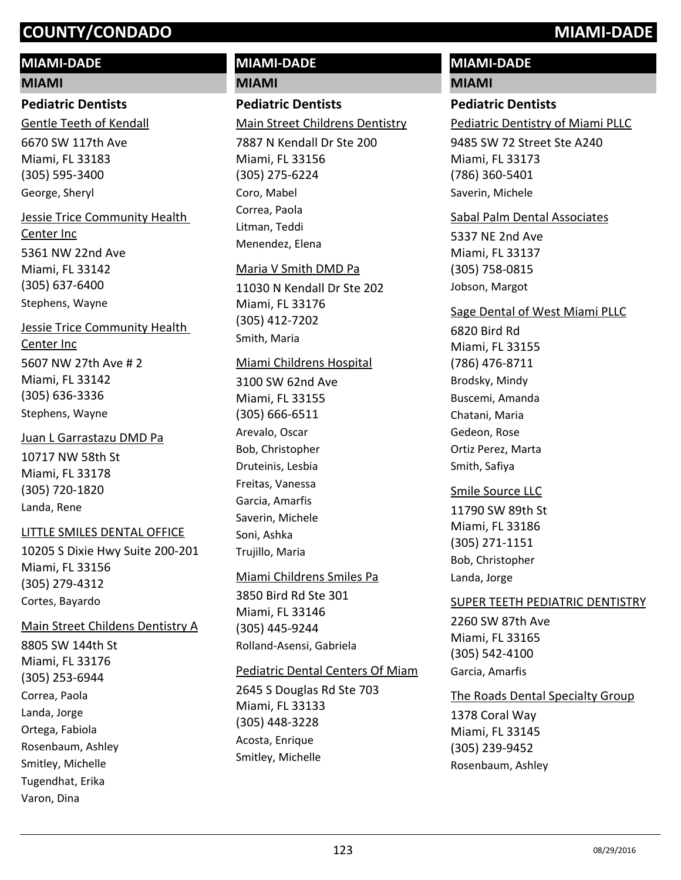#### **MIAMI-DADE**

#### **MIAMI**

#### **Pediatric Dentists**

6670 SW 117th Ave Miami, FL 33183 (305) 595-3400 Gentle Teeth of Kendall George, Sheryl

## 5361 NW 22nd Ave Miami, FL 33142 (305) 637-6400 Jessie Trice Community Health Center Inc

Stephens, Wayne

5607 NW 27th Ave # 2 Miami, FL 33142 (305) 636-3336 Jessie Trice Community Health Center Inc

Stephens, Wayne

#### Juan L Garrastazu DMD Pa

10717 NW 58th St Miami, FL 33178 (305) 720-1820 Landa, Rene

#### LITTLE SMILES DENTAL OFFICE

10205 S Dixie Hwy Suite 200-201 Miami, FL 33156 (305) 279-4312 Cortes, Bayardo

8805 SW 144th St Miami, FL 33176 (305) 253-6944 Main Street Childens Dentistry A Correa, Paola Landa, Jorge Ortega, Fabiola Rosenbaum, Ashley Smitley, Michelle Tugendhat, Erika

Varon, Dina

# **MIAMI-DADE**

**MIAMI**

#### **Pediatric Dentists**

Main Street Childrens Dentistry

7887 N Kendall Dr Ste 200 Miami, FL 33156 (305) 275-6224 Coro, Mabel Correa, Paola Litman, Teddi Menendez, Elena

#### Maria V Smith DMD Pa

11030 N Kendall Dr Ste 202 Miami, FL 33176 (305) 412-7202 Smith, Maria

#### Miami Childrens Hospital

3100 SW 62nd Ave Miami, FL 33155 (305) 666-6511 Arevalo, Oscar Bob, Christopher Druteinis, Lesbia Freitas, Vanessa Garcia, Amarfis Saverin, Michele Soni, Ashka Trujillo, Maria

#### Miami Childrens Smiles Pa

3850 Bird Rd Ste 301 Miami, FL 33146 (305) 445-9244 Rolland-Asensi, Gabriela

#### Pediatric Dental Centers Of Miam

2645 S Douglas Rd Ste 703 Miami, FL 33133 (305) 448-3228 Acosta, Enrique Smitley, Michelle

## **MIAMI-DADE**

#### **MIAMI**

#### **Pediatric Dentists**

Pediatric Dentistry of Miami PLLC

9485 SW 72 Street Ste A240 Miami, FL 33173 (786) 360-5401 Saverin, Michele

#### Sabal Palm Dental Associates

5337 NE 2nd Ave Miami, FL 33137 (305) 758-0815 Jobson, Margot

#### Sage Dental of West Miami PLLC

6820 Bird Rd Miami, FL 33155 (786) 476-8711 Brodsky, Mindy Buscemi, Amanda Chatani, Maria Gedeon, Rose Ortiz Perez, Marta Smith, Safiya

#### Smile Source LLC

11790 SW 89th St Miami, FL 33186 (305) 271-1151 Bob, Christopher Landa, Jorge

#### SUPER TEETH PEDIATRIC DENTISTRY

2260 SW 87th Ave Miami, FL 33165 (305) 542-4100 Garcia, Amarfis

#### The Roads Dental Specialty Group

1378 Coral Way Miami, FL 33145 (305) 239-9452 Rosenbaum, Ashley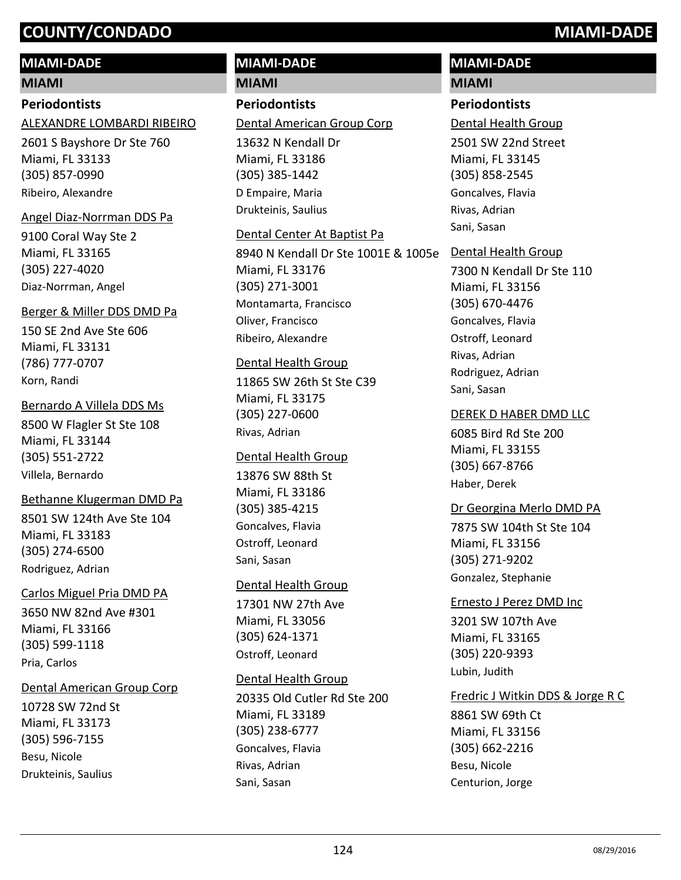### **MIAMI-DADE**

#### **MIAMI**

#### **Periodontists**

#### ALEXANDRE LOMBARDI RIBEIRO

2601 S Bayshore Dr Ste 760 Miami, FL 33133 (305) 857-0990 Ribeiro, Alexandre

#### Angel Diaz-Norrman DDS Pa

9100 Coral Way Ste 2 Miami, FL 33165 (305) 227-4020 Diaz-Norrman, Angel

#### Berger & Miller DDS DMD Pa

150 SE 2nd Ave Ste 606 Miami, FL 33131 (786) 777-0707 Korn, Randi

#### Bernardo A Villela DDS Ms

8500 W Flagler St Ste 108 Miami, FL 33144 (305) 551-2722 Villela, Bernardo

#### Bethanne Klugerman DMD Pa

8501 SW 124th Ave Ste 104 Miami, FL 33183 (305) 274-6500 Rodriguez, Adrian

#### Carlos Miguel Pria DMD PA

3650 NW 82nd Ave #301 Miami, FL 33166 (305) 599-1118 Pria, Carlos

#### Dental American Group Corp

10728 SW 72nd St Miami, FL 33173 (305) 596-7155 Besu, Nicole Drukteinis, Saulius

# **MIAMI-DADE**

**MIAMI**

## **Periodontists**

#### Dental American Group Corp

13632 N Kendall Dr Miami, FL 33186 (305) 385-1442 D Empaire, Maria Drukteinis, Saulius

### Dental Center At Baptist Pa

8940 N Kendall Dr Ste 1001E & 1005e Miami, FL 33176 (305) 271-3001 Montamarta, Francisco Oliver, Francisco Ribeiro, Alexandre

#### Dental Health Group

11865 SW 26th St Ste C39 Miami, FL 33175 (305) 227-0600 Rivas, Adrian

#### Dental Health Group

13876 SW 88th St Miami, FL 33186 (305) 385-4215 Goncalves, Flavia Ostroff, Leonard Sani, Sasan

#### Dental Health Group

17301 NW 27th Ave Miami, FL 33056 (305) 624-1371 Ostroff, Leonard

#### Dental Health Group

20335 Old Cutler Rd Ste 200 Miami, FL 33189 (305) 238-6777 Goncalves, Flavia Rivas, Adrian Sani, Sasan

#### **MIAMI-DADE MIAMI**

# **Periodontists**

2501 SW 22nd Street Miami, FL 33145 (305) 858-2545 Dental Health Group Goncalves, Flavia Rivas, Adrian Sani, Sasan

#### Dental Health Group

7300 N Kendall Dr Ste 110 Miami, FL 33156 (305) 670-4476 Goncalves, Flavia Ostroff, Leonard Rivas, Adrian Rodriguez, Adrian Sani, Sasan

#### DEREK D HABER DMD LLC

6085 Bird Rd Ste 200 Miami, FL 33155 (305) 667-8766 Haber, Derek

## Dr Georgina Merlo DMD PA

7875 SW 104th St Ste 104 Miami, FL 33156 (305) 271-9202 Gonzalez, Stephanie

#### Ernesto J Perez DMD Inc

3201 SW 107th Ave Miami, FL 33165 (305) 220-9393 Lubin, Judith

#### Fredric J Witkin DDS & Jorge R C

8861 SW 69th Ct Miami, FL 33156 (305) 662-2216 Besu, Nicole Centurion, Jorge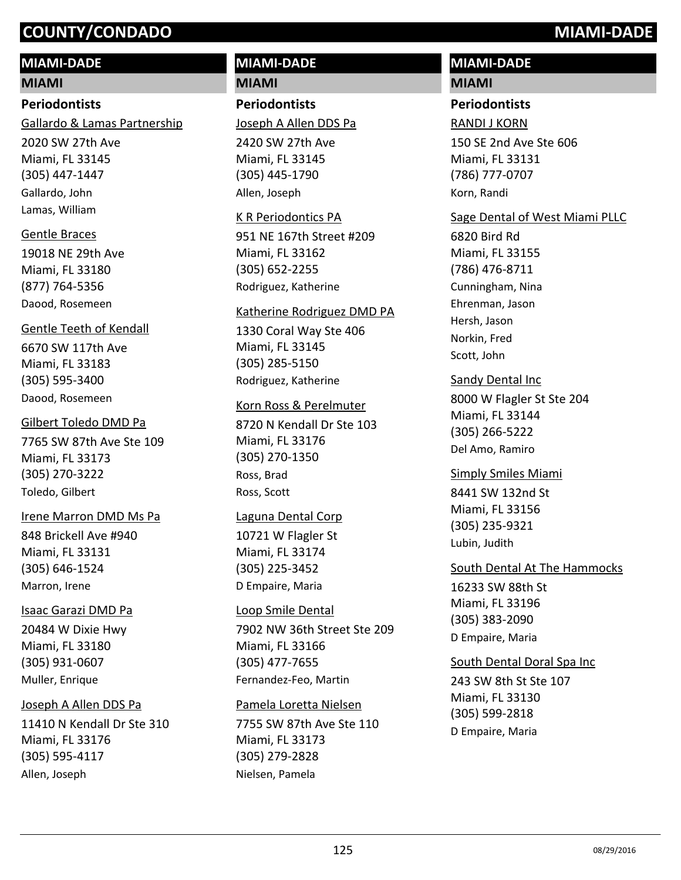## **MIAMI-DADE**

**MIAMI**

#### **Periodontists**

Gallardo & Lamas Partnership

2020 SW 27th Ave Miami, FL 33145 (305) 447-1447 Gallardo, John Lamas, William

#### Gentle Braces

19018 NE 29th Ave Miami, FL 33180 (877) 764-5356 Daood, Rosemeen

#### Gentle Teeth of Kendall

6670 SW 117th Ave Miami, FL 33183 (305) 595-3400 Daood, Rosemeen

### Gilbert Toledo DMD Pa

7765 SW 87th Ave Ste 109 Miami, FL 33173 (305) 270-3222 Toledo, Gilbert

#### Irene Marron DMD Ms Pa

848 Brickell Ave #940 Miami, FL 33131 (305) 646-1524 Marron, Irene

#### Isaac Garazi DMD Pa

20484 W Dixie Hwy Miami, FL 33180 (305) 931-0607 Muller, Enrique

## Joseph A Allen DDS Pa

11410 N Kendall Dr Ste 310 Miami, FL 33176 (305) 595-4117 Allen, Joseph

#### **MIAMI-DADE MIAMI**

## **Periodontists**

2420 SW 27th Ave Joseph A Allen DDS Pa

Miami, FL 33145 (305) 445-1790 Allen, Joseph

#### K R Periodontics PA

951 NE 167th Street #209 Miami, FL 33162 (305) 652-2255 Rodriguez, Katherine

#### Katherine Rodriguez DMD PA

1330 Coral Way Ste 406 Miami, FL 33145 (305) 285-5150 Rodriguez, Katherine

#### Korn Ross & Perelmuter

8720 N Kendall Dr Ste 103 Miami, FL 33176 (305) 270-1350 Ross, Brad Ross, Scott

## Laguna Dental Corp

10721 W Flagler St Miami, FL 33174 (305) 225-3452 D Empaire, Maria

#### Loop Smile Dental

7902 NW 36th Street Ste 209 Miami, FL 33166 (305) 477-7655 Fernandez-Feo, Martin

## Pamela Loretta Nielsen

7755 SW 87th Ave Ste 110 Miami, FL 33173 (305) 279-2828 Nielsen, Pamela

## **MIAMI-DADE**

#### **MIAMI**

#### **Periodontists**

#### RANDI J KORN

150 SE 2nd Ave Ste 606 Miami, FL 33131 (786) 777-0707 Korn, Randi

## Sage Dental of West Miami PLLC

6820 Bird Rd Miami, FL 33155 (786) 476-8711 Cunningham, Nina Ehrenman, Jason Hersh, Jason Norkin, Fred Scott, John

## Sandy Dental Inc

8000 W Flagler St Ste 204 Miami, FL 33144 (305) 266-5222 Del Amo, Ramiro

#### Simply Smiles Miami

8441 SW 132nd St Miami, FL 33156 (305) 235-9321 Lubin, Judith

## South Dental At The Hammocks

16233 SW 88th St Miami, FL 33196 (305) 383-2090 D Empaire, Maria

## South Dental Doral Spa Inc

243 SW 8th St Ste 107 Miami, FL 33130 (305) 599-2818 D Empaire, Maria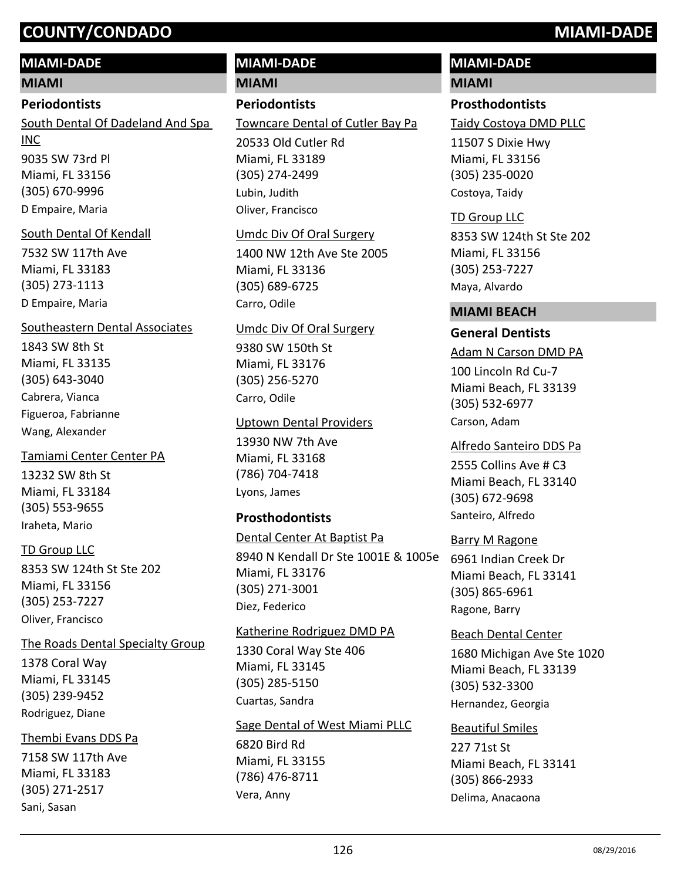## **MIAMI-DADE**

**MIAMI**

#### **Periodontists**

9035 SW 73rd Pl Miami, FL 33156 (305) 670-9996 South Dental Of Dadeland And Spa INC D Empaire, Maria

### South Dental Of Kendall

7532 SW 117th Ave Miami, FL 33183 (305) 273-1113 D Empaire, Maria

## Southeastern Dental Associates

1843 SW 8th St Miami, FL 33135 (305) 643-3040 Cabrera, Vianca Figueroa, Fabrianne Wang, Alexander

13232 SW 8th St Miami, FL 33184 (305) 553-9655 Tamiami Center Center PA Iraheta, Mario

## TD Group LLC

8353 SW 124th St Ste 202 Miami, FL 33156 (305) 253-7227 Oliver, Francisco

1378 Coral Way Miami, FL 33145 (305) 239-9452 The Roads Dental Specialty Group Rodriguez, Diane

## Thembi Evans DDS Pa

7158 SW 117th Ave Miami, FL 33183 (305) 271-2517 Sani, Sasan

# **MIAMI-DADE**

**MIAMI**

## **Periodontists**

20533 Old Cutler Rd Towncare Dental of Cutler Bay Pa

Miami, FL 33189 (305) 274-2499 Lubin, Judith Oliver, Francisco

#### Umdc Div Of Oral Surgery

1400 NW 12th Ave Ste 2005 Miami, FL 33136 (305) 689-6725 Carro, Odile

#### Umdc Div Of Oral Surgery

9380 SW 150th St Miami, FL 33176 (305) 256-5270 Carro, Odile

#### Uptown Dental Providers

13930 NW 7th Ave Miami, FL 33168 (786) 704-7418 Lyons, James

#### **Prosthodontists**

#### Dental Center At Baptist Pa

8940 N Kendall Dr Ste 1001E & 1005e Miami, FL 33176 (305) 271-3001 Diez, Federico

#### Katherine Rodriguez DMD PA

1330 Coral Way Ste 406 Miami, FL 33145 (305) 285-5150 Cuartas, Sandra

#### Sage Dental of West Miami PLLC

6820 Bird Rd Miami, FL 33155 (786) 476-8711 Vera, Anny

## **MIAMI-DADE**

#### **MIAMI**

#### **Prosthodontists**

Taidy Costoya DMD PLLC

11507 S Dixie Hwy Miami, FL 33156 (305) 235-0020 Costoya, Taidy

#### TD Group LLC

8353 SW 124th St Ste 202 Miami, FL 33156 (305) 253-7227 Maya, Alvardo

#### **MIAMI BEACH**

#### **General Dentists**

100 Lincoln Rd Cu-7 Miami Beach, FL 33139 (305) 532-6977 Adam N Carson DMD PA Carson, Adam

#### Alfredo Santeiro DDS Pa

2555 Collins Ave # C3 Miami Beach, FL 33140 (305) 672-9698 Santeiro, Alfredo

#### Barry M Ragone

6961 Indian Creek Dr Miami Beach, FL 33141 (305) 865-6961 Ragone, Barry

#### Beach Dental Center

1680 Michigan Ave Ste 1020 Miami Beach, FL 33139 (305) 532-3300 Hernandez, Georgia

#### Beautiful Smiles

227 71st St Miami Beach, FL 33141 (305) 866-2933 Delima, Anacaona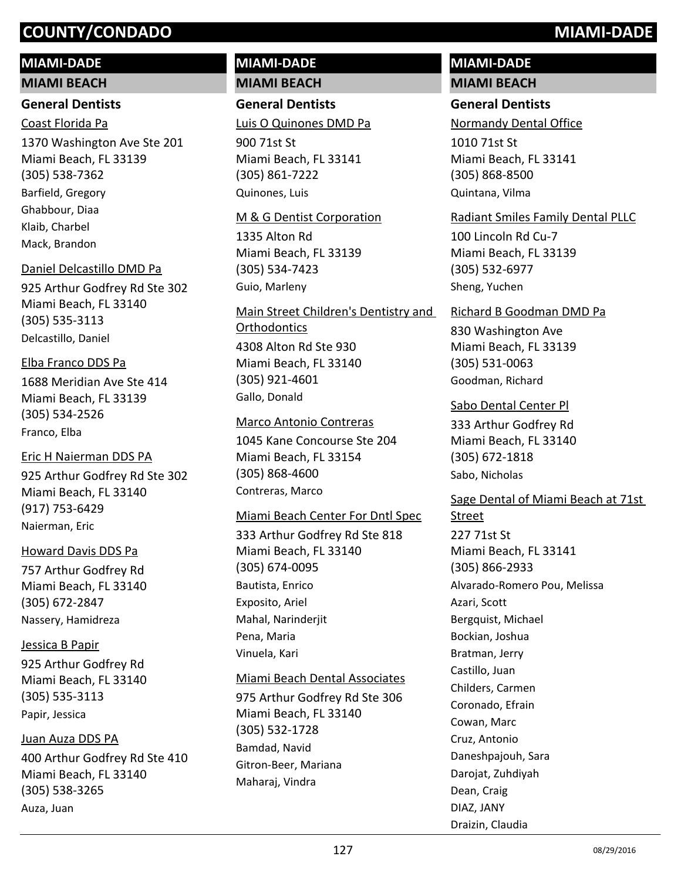#### **MIAMI-DADE**

#### **MIAMI BEACH**

#### **General Dentists**

Coast Florida Pa

1370 Washington Ave Ste 201 Miami Beach, FL 33139 (305) 538-7362 Barfield, Gregory Ghabbour, Diaa Klaib, Charbel Mack, Brandon

#### Daniel Delcastillo DMD Pa

925 Arthur Godfrey Rd Ste 302 Miami Beach, FL 33140 (305) 535-3113 Delcastillo, Daniel

#### Elba Franco DDS Pa

1688 Meridian Ave Ste 414 Miami Beach, FL 33139 (305) 534-2526 Franco, Elba

#### Eric H Naierman DDS PA

925 Arthur Godfrey Rd Ste 302 Miami Beach, FL 33140 (917) 753-6429 Naierman, Eric

#### Howard Davis DDS Pa

757 Arthur Godfrey Rd Miami Beach, FL 33140 (305) 672-2847 Nassery, Hamidreza

925 Arthur Godfrey Rd Miami Beach, FL 33140 (305) 535-3113 Jessica B Papir Papir, Jessica

#### Juan Auza DDS PA

400 Arthur Godfrey Rd Ste 410 Miami Beach, FL 33140 (305) 538-3265 Auza, Juan

#### **MIAMI-DADE MIAMI BEACH**

**General Dentists** Luis O Quinones DMD Pa

900 71st St Miami Beach, FL 33141 (305) 861-7222 Quinones, Luis

#### M & G Dentist Corporation

1335 Alton Rd Miami Beach, FL 33139 (305) 534-7423 Guio, Marleny

4308 Alton Rd Ste 930 Miami Beach, FL 33140 (305) 921-4601 Main Street Children's Dentistry and **Orthodontics** Gallo, Donald

#### Marco Antonio Contreras

1045 Kane Concourse Ste 204 Miami Beach, FL 33154 (305) 868-4600 Contreras, Marco

#### Miami Beach Center For Dntl Spec

333 Arthur Godfrey Rd Ste 818 Miami Beach, FL 33140 (305) 674-0095 Bautista, Enrico Exposito, Ariel Mahal, Narinderjit Pena, Maria Vinuela, Kari

#### Miami Beach Dental Associates

975 Arthur Godfrey Rd Ste 306 Miami Beach, FL 33140 (305) 532-1728 Bamdad, Navid Gitron-Beer, Mariana Maharaj, Vindra

#### **MIAMI-DADE MIAMI BEACH**

#### **General Dentists**

Normandy Dental Office

1010 71st St Miami Beach, FL 33141 (305) 868-8500 Quintana, Vilma

#### Radiant Smiles Family Dental PLLC

100 Lincoln Rd Cu-7 Miami Beach, FL 33139 (305) 532-6977 Sheng, Yuchen

#### Richard B Goodman DMD Pa

830 Washington Ave Miami Beach, FL 33139 (305) 531-0063 Goodman, Richard

#### Sabo Dental Center Pl

333 Arthur Godfrey Rd Miami Beach, FL 33140 (305) 672-1818 Sabo, Nicholas

227 71st St Miami Beach, FL 33141 (305) 866-2933 Sage Dental of Miami Beach at 71st Street Alvarado-Romero Pou, Melissa Azari, Scott Bergquist, Michael Bockian, Joshua Bratman, Jerry Castillo, Juan Childers, Carmen Coronado, Efrain Cowan, Marc Cruz, Antonio Daneshpajouh, Sara Darojat, Zuhdiyah Dean, Craig DIAZ, JANY

Draizin, Claudia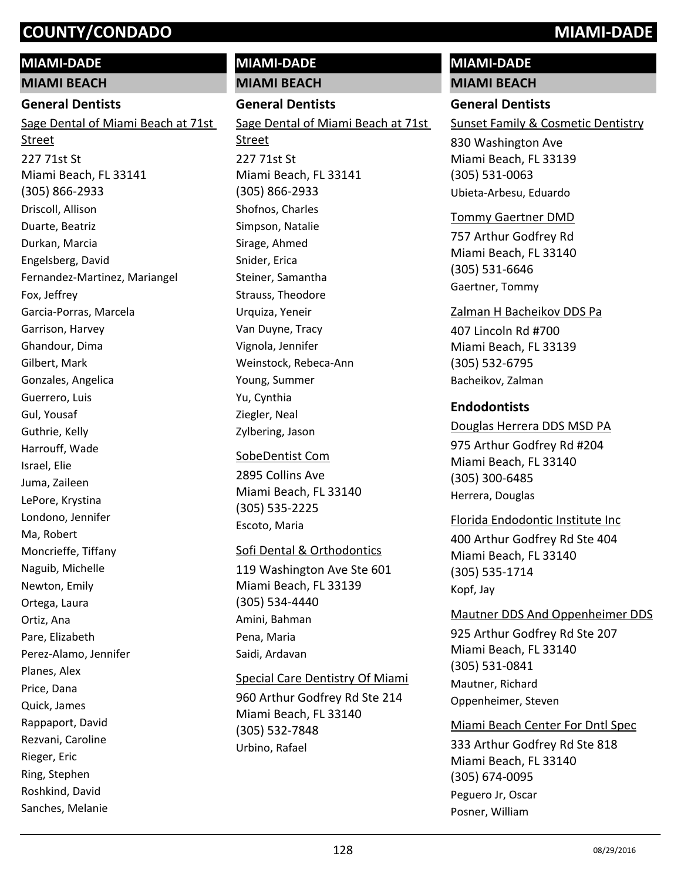### **MIAMI-DADE**

**MIAMI BEACH**

#### **General Dentists**

227 71st St Miami Beach, FL 33141 (305) 866-2933 Sage Dental of Miami Beach at 71st Street Driscoll, Allison Duarte, Beatriz Durkan, Marcia Engelsberg, David Fernandez-Martinez, Mariangel Fox, Jeffrey Garcia-Porras, Marcela Garrison, Harvey Ghandour, Dima Gilbert, Mark Gonzales, Angelica Guerrero, Luis Gul, Yousaf Guthrie, Kelly Harrouff, Wade Israel, Elie Juma, Zaileen LePore, Krystina Londono, Jennifer Ma, Robert Moncrieffe, Tiffany Naguib, Michelle Newton, Emily Ortega, Laura Ortiz, Ana Pare, Elizabeth Perez-Alamo, Jennifer Planes, Alex Price, Dana Quick, James Rappaport, David Rezvani, Caroline Rieger, Eric

Ring, Stephen Roshkind, David Sanches, Melanie

# **MIAMI-DADE**

**MIAMI BEACH**

#### **General Dentists**

227 71st St Miami Beach, FL 33141 (305) 866-2933 Sage Dental of Miami Beach at 71st Street Shofnos, Charles Simpson, Natalie Sirage, Ahmed Snider, Erica Steiner, Samantha Strauss, Theodore Urquiza, Yeneir Van Duyne, Tracy Vignola, Jennifer Weinstock, Rebeca-Ann Young, Summer Yu, Cynthia Ziegler, Neal

Zylbering, Jason SobeDentist Com

2895 Collins Ave Miami Beach, FL 33140 (305) 535-2225 Escoto, Maria

#### Sofi Dental & Orthodontics

119 Washington Ave Ste 601 Miami Beach, FL 33139 (305) 534-4440 Amini, Bahman Pena, Maria Saidi, Ardavan

#### Special Care Dentistry Of Miami

960 Arthur Godfrey Rd Ste 214 Miami Beach, FL 33140 (305) 532-7848 Urbino, Rafael

## **MIAMI-DADE**

**MIAMI BEACH**

#### **General Dentists**

Sunset Family & Cosmetic Dentistry

830 Washington Ave Miami Beach, FL 33139 (305) 531-0063 Ubieta-Arbesu, Eduardo

#### Tommy Gaertner DMD

757 Arthur Godfrey Rd Miami Beach, FL 33140 (305) 531-6646 Gaertner, Tommy

#### 407 Lincoln Rd #700 Miami Beach, FL 33139 (305) 532-6795 Zalman H Bacheikov DDS Pa Bacheikov, Zalman

#### **Endodontists**

#### Douglas Herrera DDS MSD PA

975 Arthur Godfrey Rd #204 Miami Beach, FL 33140 (305) 300-6485 Herrera, Douglas

## Florida Endodontic Institute Inc

400 Arthur Godfrey Rd Ste 404 Miami Beach, FL 33140 (305) 535-1714 Kopf, Jay

#### Mautner DDS And Oppenheimer DDS

925 Arthur Godfrey Rd Ste 207 Miami Beach, FL 33140 (305) 531-0841 Mautner, Richard Oppenheimer, Steven

#### Miami Beach Center For Dntl Spec

333 Arthur Godfrey Rd Ste 818 Miami Beach, FL 33140 (305) 674-0095 Peguero Jr, Oscar Posner, William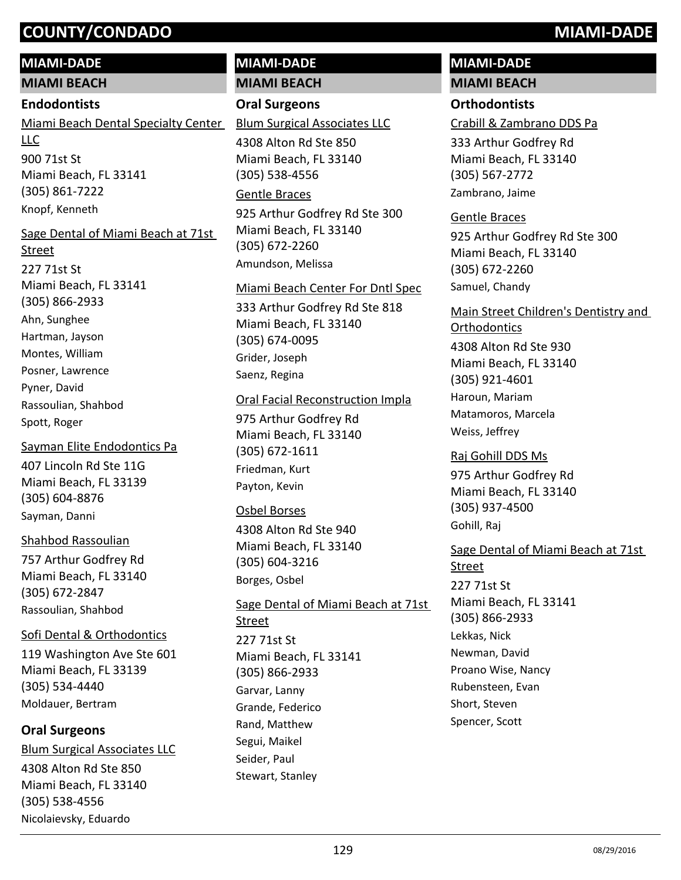#### **MIAMI-DADE**

**MIAMI BEACH**

#### **Endodontists**

900 71st St Miami Beach, FL 33141 (305) 861-7222 Miami Beach Dental Specialty Center LLC Knopf, Kenneth

#### Sage Dental of Miami Beach at 71st

227 71st St Miami Beach, FL 33141 (305) 866-2933 Street Ahn, Sunghee Hartman, Jayson Montes, William Posner, Lawrence Pyner, David Rassoulian, Shahbod Spott, Roger

407 Lincoln Rd Ste 11G Miami Beach, FL 33139 (305) 604-8876 Sayman Elite Endodontics Pa Sayman, Danni

#### Shahbod Rassoulian

757 Arthur Godfrey Rd Miami Beach, FL 33140 (305) 672-2847 Rassoulian, Shahbod

Sofi Dental & Orthodontics

119 Washington Ave Ste 601 Miami Beach, FL 33139 (305) 534-4440 Moldauer, Bertram

#### **Oral Surgeons**

4308 Alton Rd Ste 850 Miami Beach, FL 33140 (305) 538-4556 Blum Surgical Associates LLC Nicolaievsky, Eduardo

#### **MIAMI-DADE MIAMI BEACH**

#### **Oral Surgeons**

Blum Surgical Associates LLC

4308 Alton Rd Ste 850 Miami Beach, FL 33140 (305) 538-4556

#### Gentle Braces

925 Arthur Godfrey Rd Ste 300 Miami Beach, FL 33140 (305) 672-2260 Amundson, Melissa

#### Miami Beach Center For Dntl Spec

333 Arthur Godfrey Rd Ste 818 Miami Beach, FL 33140 (305) 674-0095 Grider, Joseph Saenz, Regina

#### Oral Facial Reconstruction Impla

975 Arthur Godfrey Rd Miami Beach, FL 33140 (305) 672-1611 Friedman, Kurt Payton, Kevin

#### Osbel Borses

4308 Alton Rd Ste 940 Miami Beach, FL 33140 (305) 604-3216 Borges, Osbel

227 71st St Miami Beach, FL 33141 (305) 866-2933 Sage Dental of Miami Beach at 71st Street Garvar, Lanny Grande, Federico Rand, Matthew Segui, Maikel Seider, Paul Stewart, Stanley

# **MIAMI-DADE**

## **MIAMI BEACH**

#### **Orthodontists**

Crabill & Zambrano DDS Pa

333 Arthur Godfrey Rd Miami Beach, FL 33140 (305) 567-2772 Zambrano, Jaime

#### Gentle Braces

925 Arthur Godfrey Rd Ste 300 Miami Beach, FL 33140 (305) 672-2260 Samuel, Chandy

#### Main Street Children's Dentistry and **Orthodontics**

4308 Alton Rd Ste 930 Miami Beach, FL 33140 (305) 921-4601 Haroun, Mariam Matamoros, Marcela Weiss, Jeffrey

975 Arthur Godfrey Rd Miami Beach, FL 33140 (305) 937-4500 Raj Gohill DDS Ms Gohill, Raj

#### 227 71st St Miami Beach, FL 33141 (305) 866-2933 Sage Dental of Miami Beach at 71st **Street** Lekkas, Nick Newman, David Proano Wise, Nancy Rubensteen, Evan Short, Steven Spencer, Scott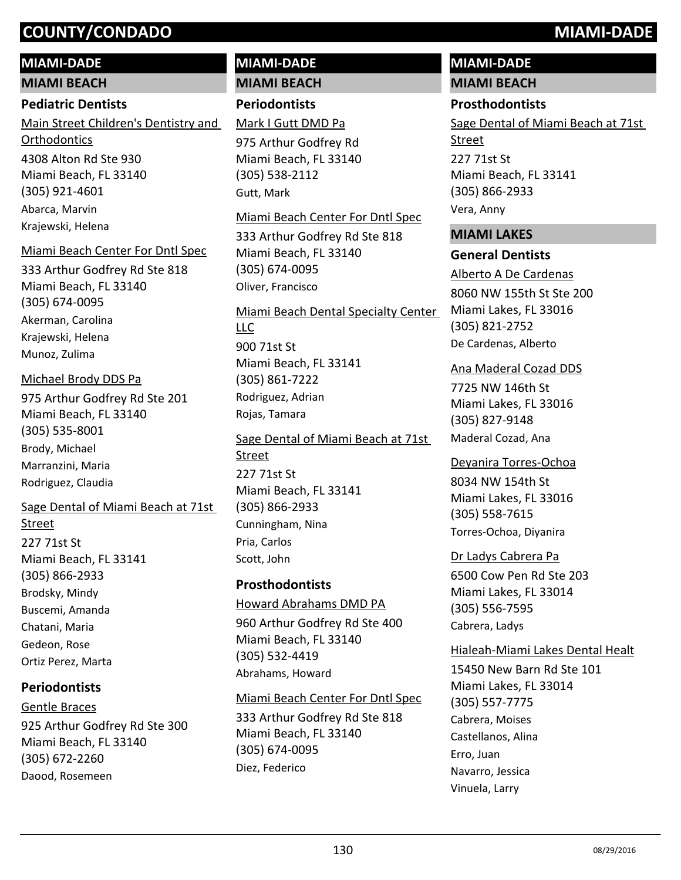#### **MIAMI-DADE**

**MIAMI BEACH**

#### **Pediatric Dentists**

4308 Alton Rd Ste 930 Miami Beach, FL 33140 (305) 921-4601 Main Street Children's Dentistry and **Orthodontics** Abarca, Marvin Krajewski, Helena

#### Miami Beach Center For Dntl Spec

333 Arthur Godfrey Rd Ste 818 Miami Beach, FL 33140 (305) 674-0095 Akerman, Carolina Krajewski, Helena Munoz, Zulima

#### Michael Brody DDS Pa

975 Arthur Godfrey Rd Ste 201 Miami Beach, FL 33140 (305) 535-8001 Brody, Michael Marranzini, Maria Rodriguez, Claudia

#### Sage Dental of Miami Beach at 71st

227 71st St Miami Beach, FL 33141 (305) 866-2933 Street Brodsky, Mindy Buscemi, Amanda Chatani, Maria Gedeon, Rose Ortiz Perez, Marta

#### **Periodontists**

925 Arthur Godfrey Rd Ste 300 Miami Beach, FL 33140 (305) 672-2260 Gentle Braces Daood, Rosemeen

#### **MIAMI-DADE MIAMI BEACH**

**Periodontists**

975 Arthur Godfrey Rd Mark I Gutt DMD Pa

Miami Beach, FL 33140 (305) 538-2112 Gutt, Mark

#### Miami Beach Center For Dntl Spec

333 Arthur Godfrey Rd Ste 818 Miami Beach, FL 33140 (305) 674-0095 Oliver, Francisco

900 71st St Miami Beach, FL 33141 (305) 861-7222 Miami Beach Dental Specialty Center LLC Rodriguez, Adrian Rojas, Tamara

227 71st St Miami Beach, FL 33141 (305) 866-2933 Sage Dental of Miami Beach at 71st Street Cunningham, Nina Pria, Carlos Scott, John

#### **Prosthodontists**

960 Arthur Godfrey Rd Ste 400 Miami Beach, FL 33140 (305) 532-4419 Howard Abrahams DMD PA Abrahams, Howard

#### Miami Beach Center For Dntl Spec

333 Arthur Godfrey Rd Ste 818 Miami Beach, FL 33140 (305) 674-0095 Diez, Federico

#### **MIAMI-DADE MIAMI BEACH**

# **Prosthodontists**

227 71st St Miami Beach, FL 33141 (305) 866-2933 Sage Dental of Miami Beach at 71st Street Vera, Anny

#### **MIAMI LAKES**

#### **General Dentists**

8060 NW 155th St Ste 200 Miami Lakes, FL 33016 (305) 821-2752 Alberto A De Cardenas De Cardenas, Alberto

#### Ana Maderal Cozad DDS

7725 NW 146th St Miami Lakes, FL 33016 (305) 827-9148 Maderal Cozad, Ana

#### Deyanira Torres-Ochoa

8034 NW 154th St Miami Lakes, FL 33016 (305) 558-7615 Torres-Ochoa, Diyanira

#### Dr Ladys Cabrera Pa

6500 Cow Pen Rd Ste 203 Miami Lakes, FL 33014 (305) 556-7595 Cabrera, Ladys

#### Hialeah-Miami Lakes Dental Healt

15450 New Barn Rd Ste 101 Miami Lakes, FL 33014 (305) 557-7775 Cabrera, Moises Castellanos, Alina Erro, Juan Navarro, Jessica Vinuela, Larry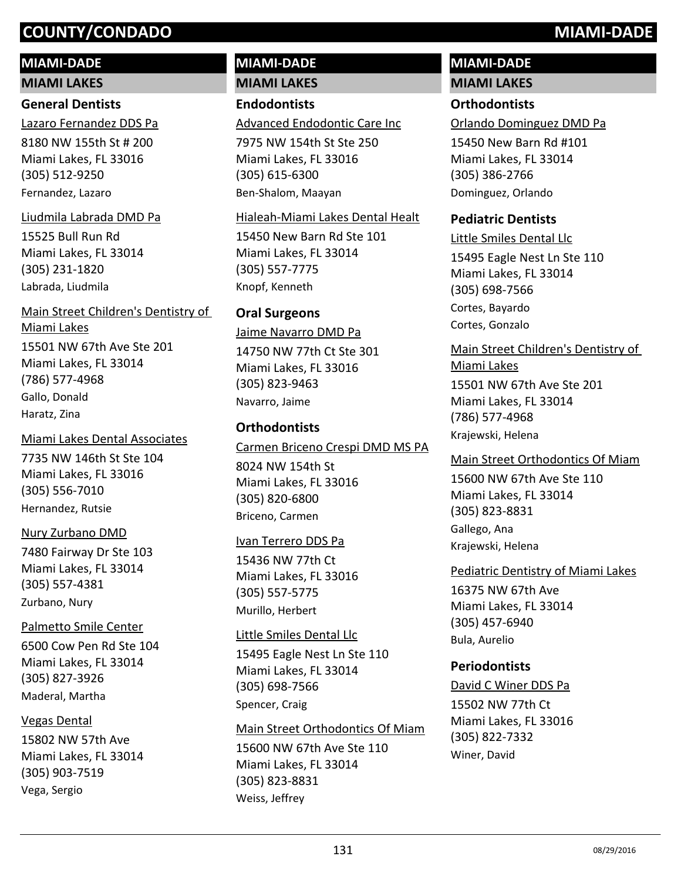## **MIAMI-DADE**

**MIAMI LAKES**

#### **General Dentists**

8180 NW 155th St # 200 Miami Lakes, FL 33016 (305) 512-9250 Lazaro Fernandez DDS Pa Fernandez, Lazaro

#### Liudmila Labrada DMD Pa

15525 Bull Run Rd Miami Lakes, FL 33014 (305) 231-1820 Labrada, Liudmila

15501 NW 67th Ave Ste 201 Miami Lakes, FL 33014 (786) 577-4968 Main Street Children's Dentistry of Miami Lakes Gallo, Donald Haratz, Zina

#### Miami Lakes Dental Associates

7735 NW 146th St Ste 104 Miami Lakes, FL 33016 (305) 556-7010 Hernandez, Rutsie

#### Nury Zurbano DMD

7480 Fairway Dr Ste 103 Miami Lakes, FL 33014 (305) 557-4381 Zurbano, Nury

## Palmetto Smile Center

6500 Cow Pen Rd Ste 104 Miami Lakes, FL 33014 (305) 827-3926 Maderal, Martha

#### Vegas Dental

15802 NW 57th Ave Miami Lakes, FL 33014 (305) 903-7519 Vega, Sergio

#### **MIAMI-DADE MIAMI LAKES**

## **Endodontists**

Advanced Endodontic Care Inc

7975 NW 154th St Ste 250 Miami Lakes, FL 33016 (305) 615-6300 Ben-Shalom, Maayan

#### Hialeah-Miami Lakes Dental Healt

15450 New Barn Rd Ste 101 Miami Lakes, FL 33014 (305) 557-7775 Knopf, Kenneth

## **Oral Surgeons**

14750 NW 77th Ct Ste 301 Miami Lakes, FL 33016 (305) 823-9463 Jaime Navarro DMD Pa Navarro, Jaime

## **Orthodontists**

8024 NW 154th St Miami Lakes, FL 33016 (305) 820-6800 Carmen Briceno Crespi DMD MS PA Briceno, Carmen

#### Ivan Terrero DDS Pa

15436 NW 77th Ct Miami Lakes, FL 33016 (305) 557-5775 Murillo, Herbert

#### Little Smiles Dental Llc

15495 Eagle Nest Ln Ste 110 Miami Lakes, FL 33014 (305) 698-7566 Spencer, Craig

#### Main Street Orthodontics Of Miam

15600 NW 67th Ave Ste 110 Miami Lakes, FL 33014 (305) 823-8831 Weiss, Jeffrey

# **MIAMI-DADE**

## **MIAMI LAKES**

#### **Orthodontists**

Orlando Dominguez DMD Pa

15450 New Barn Rd #101 Miami Lakes, FL 33014 (305) 386-2766 Dominguez, Orlando

#### **Pediatric Dentists**

15495 Eagle Nest Ln Ste 110 Miami Lakes, FL 33014 (305) 698-7566 Little Smiles Dental Llc Cortes, Bayardo Cortes, Gonzalo

15501 NW 67th Ave Ste 201 Miami Lakes, FL 33014 (786) 577-4968 Main Street Children's Dentistry of Miami Lakes Krajewski, Helena

15600 NW 67th Ave Ste 110 Miami Lakes, FL 33014 (305) 823-8831 Main Street Orthodontics Of Miam Gallego, Ana Krajewski, Helena

Pediatric Dentistry of Miami Lakes

16375 NW 67th Ave Miami Lakes, FL 33014 (305) 457-6940 Bula, Aurelio

#### **Periodontists**

15502 NW 77th Ct Miami Lakes, FL 33016 (305) 822-7332 David C Winer DDS Pa Winer, David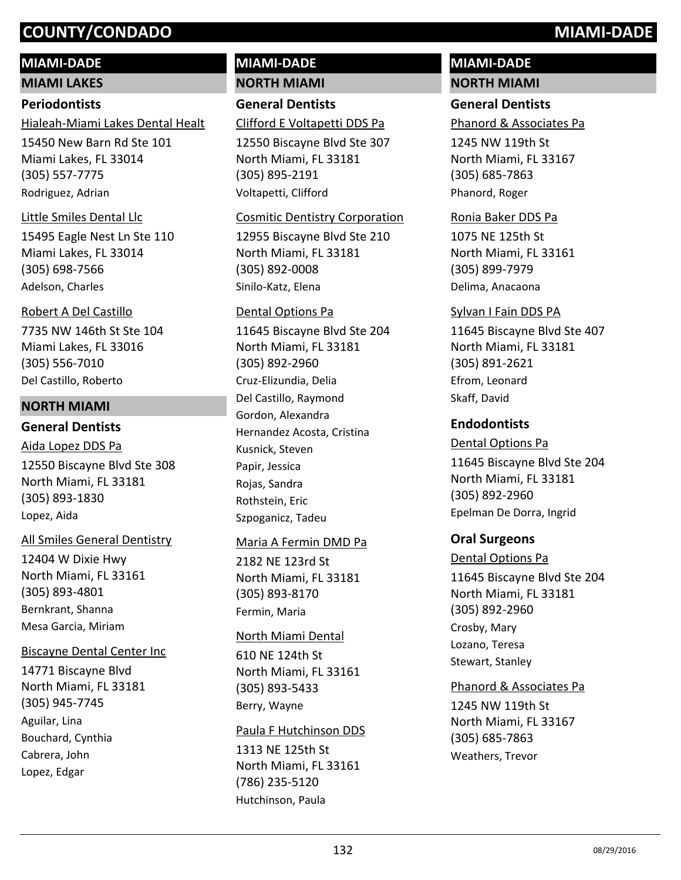## **MIAMI-DADE**

**MIAMI LAKES**

#### **Periodontists**

Hialeah-Miami Lakes Dental Healt

15450 New Barn Rd Ste 101 Miami Lakes, FL 33014 (305) 557-7775 Rodriguez, Adrian

#### Little Smiles Dental Llc

15495 Eagle Nest Ln Ste 110 Miami Lakes, FL 33014 (305) 698-7566 Adelson, Charles

## Robert A Del Castillo

7735 NW 146th St Ste 104 Miami Lakes, FL 33016 (305) 556-7010 Del Castillo, Roberto

#### **NORTH MIAMI**

### **General Dentists**

12550 Biscayne Blvd Ste 308 North Miami, FL 33181 (305) 893-1830 Aida Lopez DDS Pa Lopez, Aida

#### All Smiles General Dentistry

12404 W Dixie Hwy North Miami, FL 33161 (305) 893-4801 Bernkrant, Shanna Mesa Garcia, Miriam

#### Biscayne Dental Center Inc

14771 Biscayne Blvd North Miami, FL 33181 (305) 945-7745 Aguilar, Lina Bouchard, Cynthia Cabrera, John Lopez, Edgar

#### **MIAMI-DADE NORTH MIAMI**

**General Dentists**

Clifford E Voltapetti DDS Pa

12550 Biscayne Blvd Ste 307 North Miami, FL 33181 (305) 895-2191 Voltapetti, Clifford

#### Cosmitic Dentistry Corporation

12955 Biscayne Blvd Ste 210 North Miami, FL 33181 (305) 892-0008 Sinilo-Katz, Elena

#### Dental Options Pa

11645 Biscayne Blvd Ste 204 North Miami, FL 33181 (305) 892-2960 Cruz-Elizundia, Delia Del Castillo, Raymond Gordon, Alexandra Hernandez Acosta, Cristina Kusnick, Steven Papir, Jessica Rojas, Sandra Rothstein, Eric Szpoganicz, Tadeu

#### Maria A Fermin DMD Pa

2182 NE 123rd St North Miami, FL 33181 (305) 893-8170 Fermin, Maria

#### North Miami Dental

610 NE 124th St North Miami, FL 33161 (305) 893-5433 Berry, Wayne

#### Paula F Hutchinson DDS

1313 NE 125th St North Miami, FL 33161 (786) 235-5120 Hutchinson, Paula

#### **MIAMI-DADE NORTH MIAMI**

#### **General Dentists**

Phanord & Associates Pa

1245 NW 119th St North Miami, FL 33167 (305) 685-7863 Phanord, Roger

#### Ronia Baker DDS Pa

1075 NE 125th St North Miami, FL 33161 (305) 899-7979 Delima, Anacaona

#### Sylvan I Fain DDS PA

11645 Biscayne Blvd Ste 407 North Miami, FL 33181 (305) 891-2621 Efrom, Leonard Skaff, David

#### **Endodontists**

11645 Biscayne Blvd Ste 204 North Miami, FL 33181 (305) 892-2960 Dental Options Pa Epelman De Dorra, Ingrid

#### **Oral Surgeons**

#### Dental Options Pa

11645 Biscayne Blvd Ste 204 North Miami, FL 33181 (305) 892-2960 Crosby, Mary Lozano, Teresa Stewart, Stanley

#### Phanord & Associates Pa

1245 NW 119th St North Miami, FL 33167 (305) 685-7863 Weathers, Trevor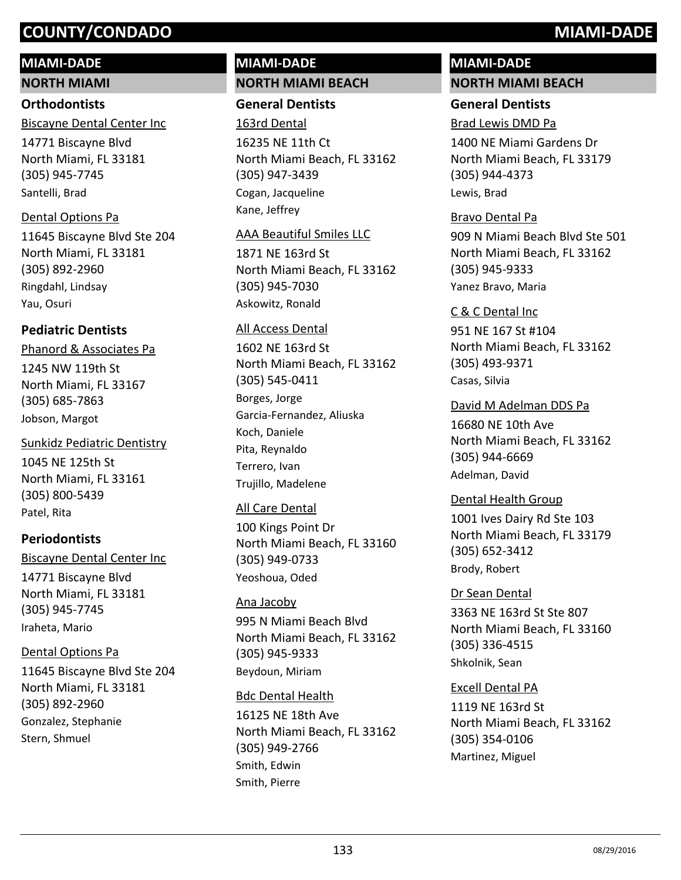#### **MIAMI-DADE**

**NORTH MIAMI**

#### **Orthodontists**

Biscayne Dental Center Inc

14771 Biscayne Blvd North Miami, FL 33181 (305) 945-7745 Santelli, Brad

#### Dental Options Pa

11645 Biscayne Blvd Ste 204 North Miami, FL 33181 (305) 892-2960 Ringdahl, Lindsay Yau, Osuri

#### **Pediatric Dentists**

1245 NW 119th St North Miami, FL 33167 (305) 685-7863 Phanord & Associates Pa Jobson, Margot

#### 1045 NE 125th St North Miami, FL 33161 (305) 800-5439 Sunkidz Pediatric Dentistry

Patel, Rita

#### **Periodontists** 14771 Biscayne Blvd North Miami, FL 33181 (305) 945-7745 Biscayne Dental Center Inc Iraheta, Mario

#### Dental Options Pa

11645 Biscayne Blvd Ste 204 North Miami, FL 33181 (305) 892-2960 Gonzalez, Stephanie Stern, Shmuel

#### **MIAMI-DADE NORTH MIAMI BEACH**

#### **General Dentists**

16235 NE 11th Ct North Miami Beach, FL 33162 (305) 947-3439 163rd Dental Cogan, Jacqueline Kane, Jeffrey

#### AAA Beautiful Smiles LLC

1871 NE 163rd St North Miami Beach, FL 33162 (305) 945-7030 Askowitz, Ronald

#### All Access Dental

1602 NE 163rd St North Miami Beach, FL 33162 (305) 545-0411 Borges, Jorge Garcia-Fernandez, Aliuska Koch, Daniele Pita, Reynaldo Terrero, Ivan Trujillo, Madelene

#### All Care Dental

100 Kings Point Dr North Miami Beach, FL 33160 (305) 949-0733 Yeoshoua, Oded

#### Ana Jacoby

995 N Miami Beach Blvd North Miami Beach, FL 33162 (305) 945-9333 Beydoun, Miriam

#### Bdc Dental Health

16125 NE 18th Ave North Miami Beach, FL 33162 (305) 949-2766 Smith, Edwin Smith, Pierre

# **MIAMI-DADE**

#### **NORTH MIAMI BEACH**

#### **General Dentists**

#### Brad Lewis DMD Pa

1400 NE Miami Gardens Dr North Miami Beach, FL 33179 (305) 944-4373 Lewis, Brad

#### Bravo Dental Pa

909 N Miami Beach Blvd Ste 501 North Miami Beach, FL 33162 (305) 945-9333 Yanez Bravo, Maria

951 NE 167 St #104 North Miami Beach, FL 33162 (305) 493-9371 C & C Dental Inc Casas, Silvia

#### 16680 NE 10th Ave North Miami Beach, FL 33162 (305) 944-6669 David M Adelman DDS Pa Adelman, David

1001 Ives Dairy Rd Ste 103 North Miami Beach, FL 33179 (305) 652-3412 Dental Health Group Brody, Robert

3363 NE 163rd St Ste 807 North Miami Beach, FL 33160 (305) 336-4515 Dr Sean Dental Shkolnik, Sean

#### Excell Dental PA

1119 NE 163rd St North Miami Beach, FL 33162 (305) 354-0106 Martinez, Miguel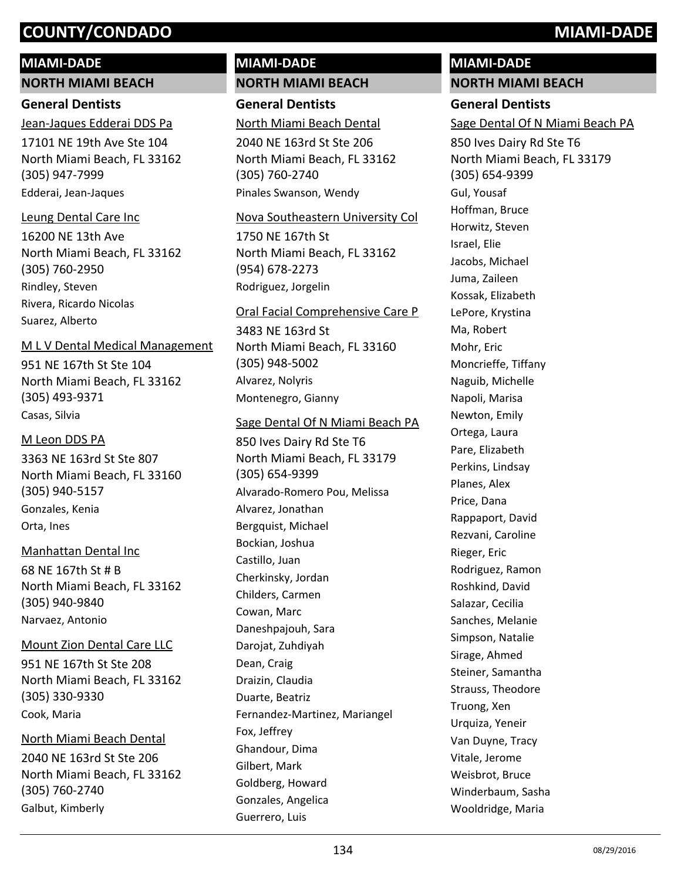#### **MIAMI-DADE**

#### **NORTH MIAMI BEACH**

#### **General Dentists**

Jean-Jaques Edderai DDS Pa

17101 NE 19th Ave Ste 104 North Miami Beach, FL 33162 (305) 947-7999 Edderai, Jean-Jaques

#### Leung Dental Care Inc

16200 NE 13th Ave North Miami Beach, FL 33162 (305) 760-2950 Rindley, Steven Rivera, Ricardo Nicolas Suarez, Alberto

#### M L V Dental Medical Management

951 NE 167th St Ste 104 North Miami Beach, FL 33162 (305) 493-9371 Casas, Silvia

#### M Leon DDS PA

3363 NE 163rd St Ste 807 North Miami Beach, FL 33160 (305) 940-5157 Gonzales, Kenia Orta, Ines

#### Manhattan Dental Inc

68 NE 167th St # B North Miami Beach, FL 33162 (305) 940-9840 Narvaez, Antonio

#### Mount Zion Dental Care LLC

951 NE 167th St Ste 208 North Miami Beach, FL 33162 (305) 330-9330 Cook, Maria

#### North Miami Beach Dental

2040 NE 163rd St Ste 206 North Miami Beach, FL 33162 (305) 760-2740 Galbut, Kimberly

#### **MIAMI-DADE NORTH MIAMI BEACH**

**General Dentists** North Miami Beach Dental

2040 NE 163rd St Ste 206 North Miami Beach, FL 33162 (305) 760-2740 Pinales Swanson, Wendy

#### Nova Southeastern University Col

1750 NE 167th St North Miami Beach, FL 33162 (954) 678-2273 Rodriguez, Jorgelin

#### Oral Facial Comprehensive Care P

3483 NE 163rd St North Miami Beach, FL 33160 (305) 948-5002 Alvarez, Nolyris Montenegro, Gianny

#### Sage Dental Of N Miami Beach PA

850 Ives Dairy Rd Ste T6 North Miami Beach, FL 33179 (305) 654-9399 Alvarado-Romero Pou, Melissa Alvarez, Jonathan Bergquist, Michael Bockian, Joshua Castillo, Juan Cherkinsky, Jordan Childers, Carmen Cowan, Marc Daneshpajouh, Sara Darojat, Zuhdiyah Dean, Craig Draizin, Claudia Duarte, Beatriz Fernandez-Martinez, Mariangel Fox, Jeffrey Ghandour, Dima Gilbert, Mark Goldberg, Howard Gonzales, Angelica Guerrero, Luis

#### **MIAMI-DADE NORTH MIAMI BEACH**

### **General Dentists**

Sage Dental Of N Miami Beach PA

850 Ives Dairy Rd Ste T6 North Miami Beach, FL 33179 (305) 654-9399 Gul, Yousaf Hoffman, Bruce Horwitz, Steven Israel, Elie Jacobs, Michael Juma, Zaileen Kossak, Elizabeth LePore, Krystina Ma, Robert Mohr, Eric Moncrieffe, Tiffany Naguib, Michelle Napoli, Marisa Newton, Emily Ortega, Laura Pare, Elizabeth Perkins, Lindsay Planes, Alex Price, Dana Rappaport, David Rezvani, Caroline Rieger, Eric Rodriguez, Ramon Roshkind, David Salazar, Cecilia Sanches, Melanie Simpson, Natalie Sirage, Ahmed Steiner, Samantha Strauss, Theodore Truong, Xen Urquiza, Yeneir Van Duyne, Tracy Vitale, Jerome Weisbrot, Bruce Winderbaum, Sasha Wooldridge, Maria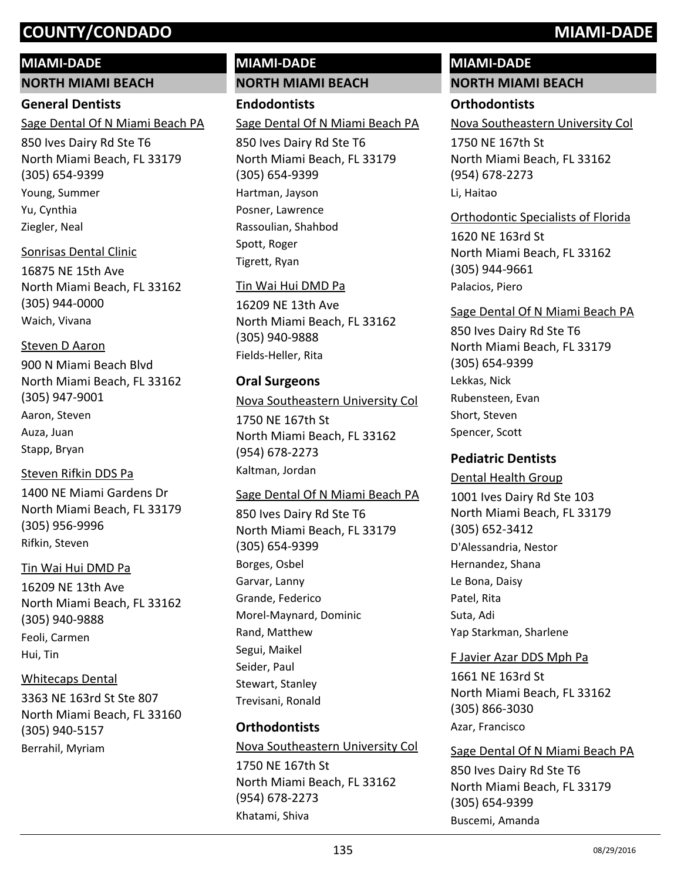#### **MIAMI-DADE**

**NORTH MIAMI BEACH**

#### **General Dentists**

Sage Dental Of N Miami Beach PA

850 Ives Dairy Rd Ste T6 North Miami Beach, FL 33179 (305) 654-9399 Young, Summer Yu, Cynthia Ziegler, Neal

#### Sonrisas Dental Clinic

16875 NE 15th Ave North Miami Beach, FL 33162 (305) 944-0000 Waich, Vivana

#### Steven D Aaron

900 N Miami Beach Blvd North Miami Beach, FL 33162 (305) 947-9001 Aaron, Steven Auza, Juan Stapp, Bryan

#### Steven Rifkin DDS Pa

1400 NE Miami Gardens Dr North Miami Beach, FL 33179 (305) 956-9996 Rifkin, Steven

#### Tin Wai Hui DMD Pa

16209 NE 13th Ave North Miami Beach, FL 33162 (305) 940-9888 Feoli, Carmen Hui, Tin

#### Whitecaps Dental

3363 NE 163rd St Ste 807 North Miami Beach, FL 33160 (305) 940-5157 Berrahil, Myriam

#### **MIAMI-DADE NORTH MIAMI BEACH**

**Endodontists** Sage Dental Of N Miami Beach PA

850 Ives Dairy Rd Ste T6 North Miami Beach, FL 33179 (305) 654-9399 Hartman, Jayson Posner, Lawrence Rassoulian, Shahbod Spott, Roger Tigrett, Ryan

#### Tin Wai Hui DMD Pa

16209 NE 13th Ave North Miami Beach, FL 33162 (305) 940-9888 Fields-Heller, Rita

#### **Oral Surgeons**

#### Nova Southeastern University Col

1750 NE 167th St North Miami Beach, FL 33162 (954) 678-2273 Kaltman, Jordan

#### Sage Dental Of N Miami Beach PA

850 Ives Dairy Rd Ste T6 North Miami Beach, FL 33179 (305) 654-9399 Borges, Osbel Garvar, Lanny Grande, Federico Morel-Maynard, Dominic Rand, Matthew Segui, Maikel Seider, Paul Stewart, Stanley Trevisani, Ronald

#### **Orthodontists**

1750 NE 167th St North Miami Beach, FL 33162 (954) 678-2273 Nova Southeastern University Col

Khatami, Shiva

#### **MIAMI-DADE NORTH MIAMI BEACH**

#### **Orthodontists**

Nova Southeastern University Col

1750 NE 167th St North Miami Beach, FL 33162 (954) 678-2273 Li, Haitao

#### Orthodontic Specialists of Florida

1620 NE 163rd St North Miami Beach, FL 33162 (305) 944-9661 Palacios, Piero

#### Sage Dental Of N Miami Beach PA

850 Ives Dairy Rd Ste T6 North Miami Beach, FL 33179 (305) 654-9399 Lekkas, Nick Rubensteen, Evan Short, Steven Spencer, Scott

#### **Pediatric Dentists**

1001 Ives Dairy Rd Ste 103 North Miami Beach, FL 33179 (305) 652-3412 Dental Health Group D'Alessandria, Nestor Hernandez, Shana Le Bona, Daisy Patel, Rita Suta, Adi Yap Starkman, Sharlene

#### F Javier Azar DDS Mph Pa

1661 NE 163rd St North Miami Beach, FL 33162 (305) 866-3030 Azar, Francisco

#### Sage Dental Of N Miami Beach PA

850 Ives Dairy Rd Ste T6 North Miami Beach, FL 33179 (305) 654-9399 Buscemi, Amanda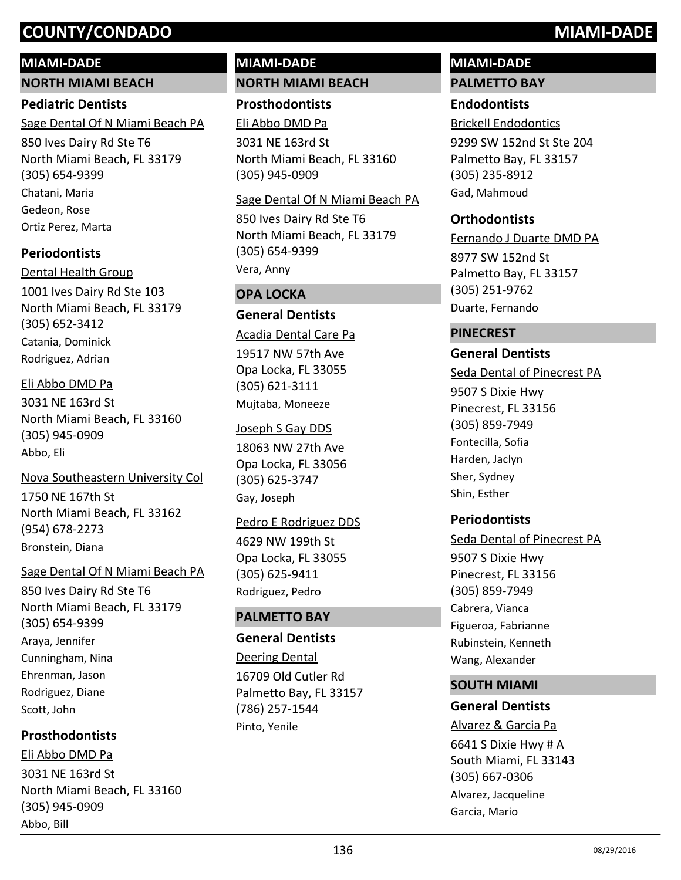#### **MIAMI-DADE**

**NORTH MIAMI BEACH**

#### **Pediatric Dentists**

Sage Dental Of N Miami Beach PA

850 Ives Dairy Rd Ste T6 North Miami Beach, FL 33179 (305) 654-9399 Chatani, Maria Gedeon, Rose Ortiz Perez, Marta

#### **Periodontists**

1001 Ives Dairy Rd Ste 103 North Miami Beach, FL 33179 (305) 652-3412 Dental Health Group Catania, Dominick Rodriguez, Adrian

#### Eli Abbo DMD Pa

3031 NE 163rd St North Miami Beach, FL 33160 (305) 945-0909 Abbo, Eli

1750 NE 167th St North Miami Beach, FL 33162 (954) 678-2273 Nova Southeastern University Col Bronstein, Diana

#### Sage Dental Of N Miami Beach PA

850 Ives Dairy Rd Ste T6 North Miami Beach, FL 33179 (305) 654-9399 Araya, Jennifer Cunningham, Nina Ehrenman, Jason Rodriguez, Diane Scott, John

#### **Prosthodontists**

3031 NE 163rd St North Miami Beach, FL 33160 (305) 945-0909 Eli Abbo DMD Pa Abbo, Bill

#### **MIAMI-DADE NORTH MIAMI BEACH**

**Prosthodontists** Eli Abbo DMD Pa

3031 NE 163rd St North Miami Beach, FL 33160 (305) 945-0909

#### Sage Dental Of N Miami Beach PA

850 Ives Dairy Rd Ste T6 North Miami Beach, FL 33179 (305) 654-9399 Vera, Anny

#### **OPA LOCKA**

#### **General Dentists**

Acadia Dental Care Pa

19517 NW 57th Ave Opa Locka, FL 33055 (305) 621-3111 Mujtaba, Moneeze

#### Joseph S Gay DDS

18063 NW 27th Ave Opa Locka, FL 33056 (305) 625-3747 Gay, Joseph

#### 4629 NW 199th St Pedro E Rodriguez DDS

Opa Locka, FL 33055 (305) 625-9411 Rodriguez, Pedro

#### **PALMETTO BAY**

#### **General Dentists**

16709 Old Cutler Rd Palmetto Bay, FL 33157 (786) 257-1544 Deering Dental Pinto, Yenile

# **MIAMI-DADE**

#### **PALMETTO BAY**

#### **Endodontists**

9299 SW 152nd St Ste 204 Palmetto Bay, FL 33157 (305) 235-8912 Brickell Endodontics Gad, Mahmoud

#### **Orthodontists**

8977 SW 152nd St Palmetto Bay, FL 33157 (305) 251-9762 Fernando J Duarte DMD PA Duarte, Fernando

#### **PINECREST**

#### **General Dentists**

Seda Dental of Pinecrest PA

9507 S Dixie Hwy Pinecrest, FL 33156 (305) 859-7949 Fontecilla, Sofia Harden, Jaclyn Sher, Sydney Shin, Esther

#### **Periodontists**

9507 S Dixie Hwy Pinecrest, FL 33156 (305) 859-7949 Seda Dental of Pinecrest PA Cabrera, Vianca Figueroa, Fabrianne Rubinstein, Kenneth Wang, Alexander

#### **SOUTH MIAMI**

#### **General Dentists**

6641 S Dixie Hwy # A South Miami, FL 33143 (305) 667-0306 Alvarez & Garcia Pa Alvarez, Jacqueline Garcia, Mario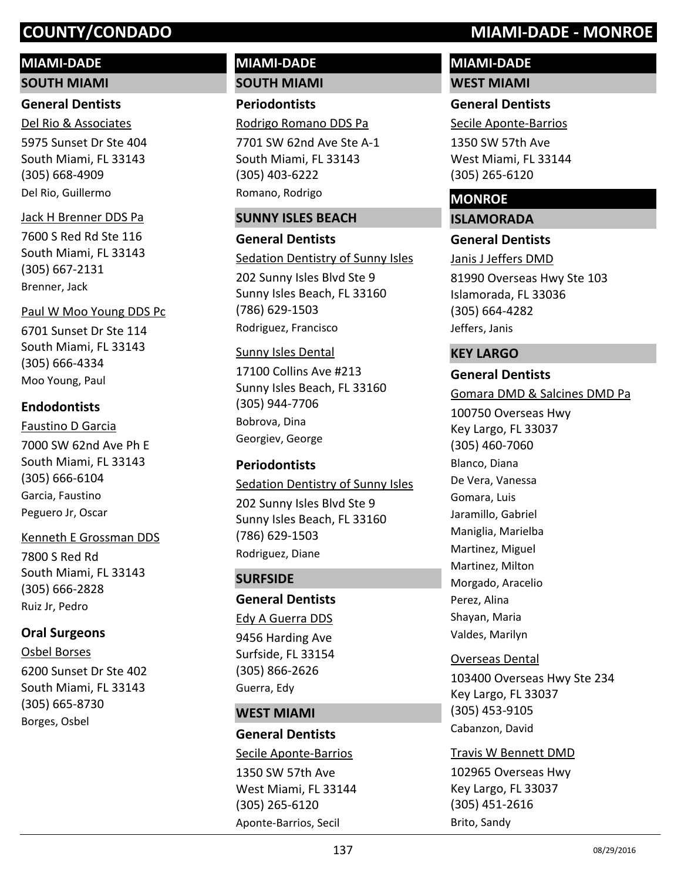#### **MIAMI-DADE**

**SOUTH MIAMI**

#### **General Dentists**

5975 Sunset Dr Ste 404 South Miami, FL 33143 (305) 668-4909 Del Rio & Associates Del Rio, Guillermo

#### Jack H Brenner DDS Pa

7600 S Red Rd Ste 116 South Miami, FL 33143 (305) 667-2131 Brenner, Jack

6701 Sunset Dr Ste 114 South Miami, FL 33143 (305) 666-4334 Paul W Moo Young DDS Pc Moo Young, Paul

#### **Endodontists**

7000 SW 62nd Ave Ph E South Miami, FL 33143 (305) 666-6104 Faustino D Garcia Garcia, Faustino Peguero Jr, Oscar

#### Kenneth E Grossman DDS

7800 S Red Rd South Miami, FL 33143 (305) 666-2828 Ruiz Jr, Pedro

#### **Oral Surgeons**

6200 Sunset Dr Ste 402 South Miami, FL 33143 (305) 665-8730 Osbel Borses Borges, Osbel

#### **MIAMI-DADE SOUTH MIAMI**

**Periodontists** Rodrigo Romano DDS Pa

7701 SW 62nd Ave Ste A-1 South Miami, FL 33143 (305) 403-6222 Romano, Rodrigo

#### **SUNNY ISLES BEACH**

**General Dentists**

202 Sunny Isles Blvd Ste 9 Sunny Isles Beach, FL 33160 (786) 629-1503 Sedation Dentistry of Sunny Isles Rodriguez, Francisco

#### Sunny Isles Dental

17100 Collins Ave #213 Sunny Isles Beach, FL 33160 (305) 944-7706 Bobrova, Dina Georgiev, George

#### **Periodontists**

202 Sunny Isles Blvd Ste 9 Sunny Isles Beach, FL 33160 (786) 629-1503 Sedation Dentistry of Sunny Isles Rodriguez, Diane

#### **SURFSIDE**

**General Dentists**

Edy A Guerra DDS

9456 Harding Ave Surfside, FL 33154 (305) 866-2626 Guerra, Edy

#### **WEST MIAMI**

**General Dentists**

1350 SW 57th Ave West Miami, FL 33144 (305) 265-6120 Secile Aponte-Barrios Aponte-Barrios, Secil

## **COUNTY/CONDADO MIAMI-DADE - MONROE**

# **MIAMI-DADE**

**WEST MIAMI**

## **General Dentists**

Secile Aponte-Barrios

1350 SW 57th Ave West Miami, FL 33144 (305) 265-6120

### **MONROE**

**ISLAMORADA**

#### **General Dentists**

81990 Overseas Hwy Ste 103 Islamorada, FL 33036 (305) 664-4282 Janis J Jeffers DMD Jeffers, Janis

#### **KEY LARGO**

#### **General Dentists**

Gomara DMD & Salcines DMD Pa

100750 Overseas Hwy Key Largo, FL 33037 (305) 460-7060 Blanco, Diana De Vera, Vanessa Gomara, Luis Jaramillo, Gabriel Maniglia, Marielba Martinez, Miguel Martinez, Milton Morgado, Aracelio Perez, Alina Shayan, Maria Valdes, Marilyn

#### Overseas Dental

103400 Overseas Hwy Ste 234 Key Largo, FL 33037 (305) 453-9105 Cabanzon, David

#### Travis W Bennett DMD

102965 Overseas Hwy Key Largo, FL 33037 (305) 451-2616 Brito, Sandy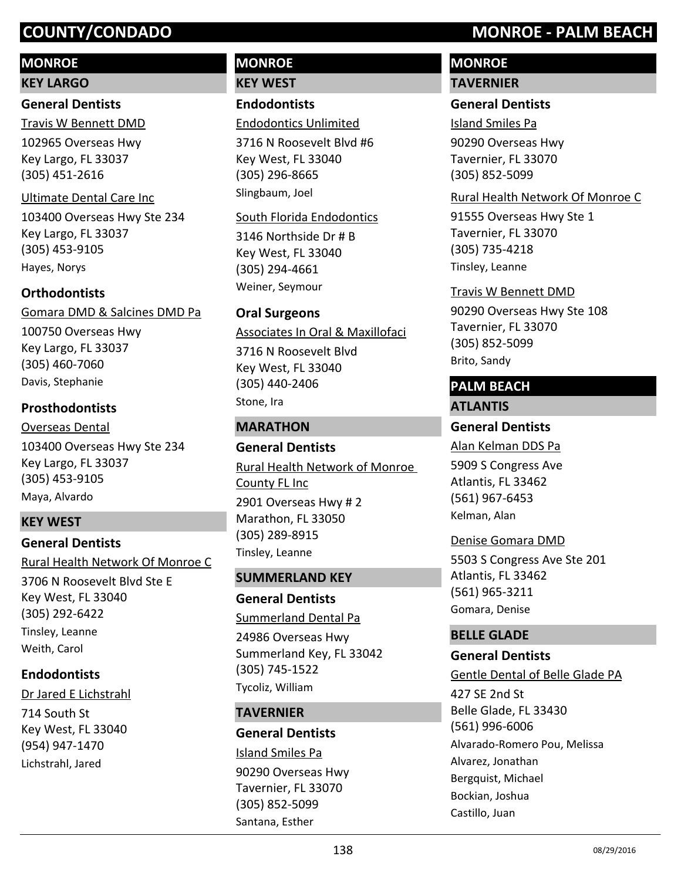#### **MONROE**

#### **KEY LARGO**

#### **General Dentists**

Travis W Bennett DMD

102965 Overseas Hwy Key Largo, FL 33037 (305) 451-2616

#### Ultimate Dental Care Inc

103400 Overseas Hwy Ste 234 Key Largo, FL 33037 (305) 453-9105 Hayes, Norys

#### **Orthodontists**

100750 Overseas Hwy Key Largo, FL 33037 (305) 460-7060 Gomara DMD & Salcines DMD Pa Davis, Stephanie

#### **Prosthodontists**

103400 Overseas Hwy Ste 234 Key Largo, FL 33037 (305) 453-9105 Overseas Dental Maya, Alvardo

#### **KEY WEST**

#### **General Dentists**

3706 N Roosevelt Blvd Ste E Key West, FL 33040 (305) 292-6422 Rural Health Network Of Monroe C Tinsley, Leanne Weith, Carol

#### **Endodontists**

714 South St Key West, FL 33040 (954) 947-1470 Dr Jared E Lichstrahl Lichstrahl, Jared

## **MONROE**

**KEY WEST**

## **Endodontists**

Endodontics Unlimited

3716 N Roosevelt Blvd #6 Key West, FL 33040 (305) 296-8665 Slingbaum, Joel

#### South Florida Endodontics

3146 Northside Dr # B Key West, FL 33040 (305) 294-4661 Weiner, Seymour

#### **Oral Surgeons**

Associates In Oral & Maxillofaci

3716 N Roosevelt Blvd Key West, FL 33040 (305) 440-2406 Stone, Ira

#### **MARATHON**

**General Dentists** 2901 Overseas Hwy # 2 Marathon, FL 33050 (305) 289-8915 Rural Health Network of Monroe County FL Inc Tinsley, Leanne

#### **SUMMERLAND KEY**

**General Dentists** Summerland Dental Pa

24986 Overseas Hwy Summerland Key, FL 33042 (305) 745-1522 Tycoliz, William

#### **TAVERNIER**

#### **General Dentists**

90290 Overseas Hwy Tavernier, FL 33070 (305) 852-5099 Island Smiles Pa Santana, Esther

## **COUNTY/CONDADO MONROE - PALM BEACH**

## **MONROE**

#### **TAVERNIER**

#### **General Dentists**

Island Smiles Pa

90290 Overseas Hwy Tavernier, FL 33070 (305) 852-5099

#### Rural Health Network Of Monroe C

91555 Overseas Hwy Ste 1 Tavernier, FL 33070 (305) 735-4218 Tinsley, Leanne

#### Travis W Bennett DMD

90290 Overseas Hwy Ste 108 Tavernier, FL 33070 (305) 852-5099 Brito, Sandy

# **PALM BEACH**

#### **ATLANTIS**

#### **General Dentists**

5909 S Congress Ave Atlantis, FL 33462 (561) 967-6453 Alan Kelman DDS Pa Kelman, Alan

#### Denise Gomara DMD

5503 S Congress Ave Ste 201 Atlantis, FL 33462 (561) 965-3211 Gomara, Denise

#### **BELLE GLADE**

#### **General Dentists**

427 SE 2nd St Belle Glade, FL 33430 (561) 996-6006 Gentle Dental of Belle Glade PA Alvarado-Romero Pou, Melissa Alvarez, Jonathan Bergquist, Michael Bockian, Joshua Castillo, Juan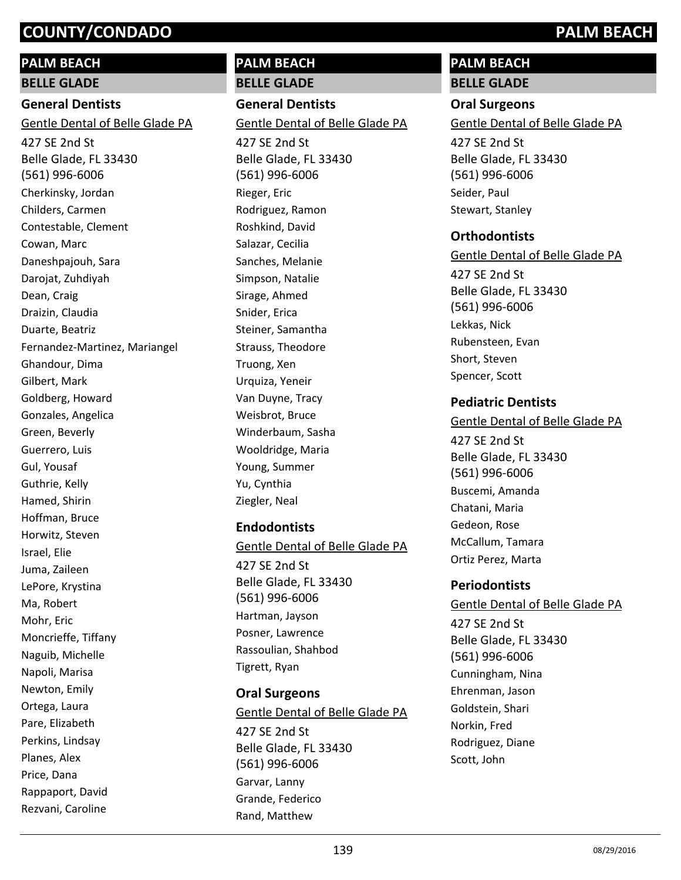## **PALM BEACH**

**BELLE GLADE**

### **General Dentists**

Gentle Dental of Belle Glade PA

427 SE 2nd St Belle Glade, FL 33430 (561) 996-6006 Cherkinsky, Jordan Childers, Carmen Contestable, Clement Cowan, Marc Daneshpajouh, Sara Darojat, Zuhdiyah Dean, Craig Draizin, Claudia Duarte, Beatriz Fernandez-Martinez, Mariangel Ghandour, Dima Gilbert, Mark Goldberg, Howard Gonzales, Angelica Green, Beverly Guerrero, Luis Gul, Yousaf Guthrie, Kelly Hamed, Shirin Hoffman, Bruce Horwitz, Steven Israel, Elie Juma, Zaileen LePore, Krystina Ma, Robert Mohr, Eric Moncrieffe, Tiffany Naguib, Michelle Napoli, Marisa Newton, Emily Ortega, Laura Pare, Elizabeth Perkins, Lindsay Planes, Alex Price, Dana Rappaport, David Rezvani, Caroline

#### **PALM BEACH BELLE GLADE**

**General Dentists**

427 SE 2nd St Gentle Dental of Belle Glade PA

Belle Glade, FL 33430 (561) 996-6006 Rieger, Eric Rodriguez, Ramon Roshkind, David Salazar, Cecilia Sanches, Melanie Simpson, Natalie Sirage, Ahmed Snider, Erica Steiner, Samantha Strauss, Theodore Truong, Xen Urquiza, Yeneir Van Duyne, Tracy Weisbrot, Bruce Winderbaum, Sasha Wooldridge, Maria Young, Summer Yu, Cynthia Ziegler, Neal

#### **Endodontists**

Gentle Dental of Belle Glade PA

427 SE 2nd St Belle Glade, FL 33430 (561) 996-6006 Hartman, Jayson Posner, Lawrence Rassoulian, Shahbod Tigrett, Ryan

#### **Oral Surgeons**

427 SE 2nd St Belle Glade, FL 33430 (561) 996-6006 Gentle Dental of Belle Glade PA Garvar, Lanny Grande, Federico Rand, Matthew

#### **PALM BEACH BELLE GLADE**

# **Oral Surgeons**

Gentle Dental of Belle Glade PA

427 SE 2nd St Belle Glade, FL 33430 (561) 996-6006 Seider, Paul Stewart, Stanley

#### **Orthodontists**

427 SE 2nd St Belle Glade, FL 33430 (561) 996-6006 Gentle Dental of Belle Glade PA Lekkas, Nick Rubensteen, Evan Short, Steven

Spencer, Scott

#### **Pediatric Dentists**

Gentle Dental of Belle Glade PA

427 SE 2nd St Belle Glade, FL 33430 (561) 996-6006 Buscemi, Amanda Chatani, Maria Gedeon, Rose McCallum, Tamara Ortiz Perez, Marta

#### **Periodontists**

427 SE 2nd St Belle Glade, FL 33430 (561) 996-6006 Gentle Dental of Belle Glade PA Cunningham, Nina Ehrenman, Jason Goldstein, Shari Norkin, Fred Rodriguez, Diane Scott, John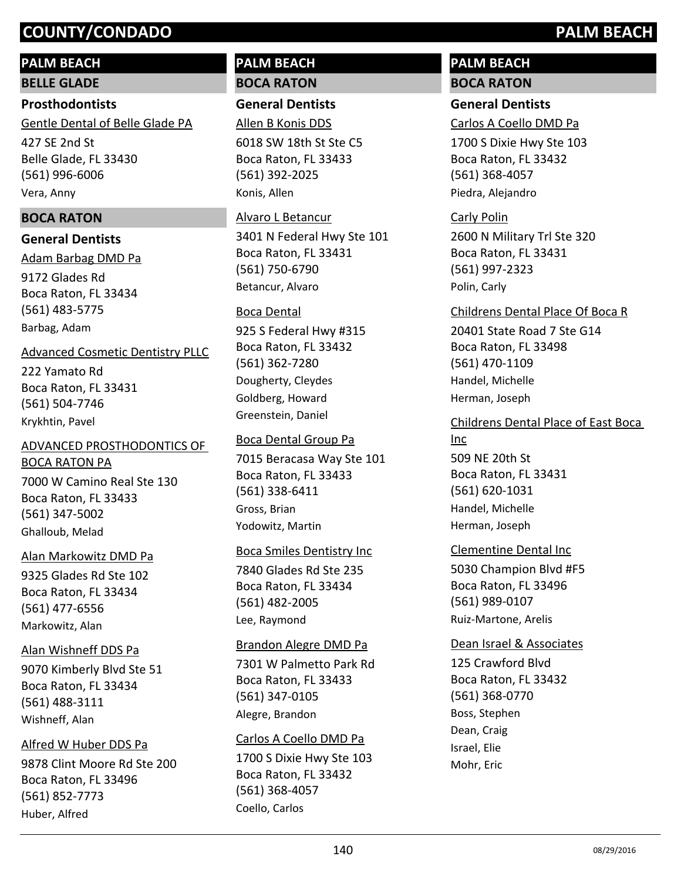## **PALM BEACH**

**BELLE GLADE**

#### **Prosthodontists**

427 SE 2nd St Belle Glade, FL 33430 (561) 996-6006 Gentle Dental of Belle Glade PA Vera, Anny

### **BOCA RATON**

### **General Dentists**

9172 Glades Rd Boca Raton, FL 33434 (561) 483-5775 Adam Barbag DMD Pa Barbag, Adam

#### Advanced Cosmetic Dentistry PLLC

222 Yamato Rd Boca Raton, FL 33431 (561) 504-7746 Krykhtin, Pavel

### ADVANCED PROSTHODONTICS OF BOCA RATON PA

7000 W Camino Real Ste 130 Boca Raton, FL 33433 (561) 347-5002 Ghalloub, Melad

#### Alan Markowitz DMD Pa

9325 Glades Rd Ste 102 Boca Raton, FL 33434 (561) 477-6556 Markowitz, Alan

#### Alan Wishneff DDS Pa

9070 Kimberly Blvd Ste 51 Boca Raton, FL 33434 (561) 488-3111 Wishneff, Alan

#### Alfred W Huber DDS Pa

9878 Clint Moore Rd Ste 200 Boca Raton, FL 33496 (561) 852-7773 Huber, Alfred

## **PALM BEACH BOCA RATON**

## **General Dentists**

Allen B Konis DDS

6018 SW 18th St Ste C5 Boca Raton, FL 33433 (561) 392-2025 Konis, Allen

# Alvaro L Betancur

3401 N Federal Hwy Ste 101 Boca Raton, FL 33431 (561) 750-6790 Betancur, Alvaro

## Boca Dental

925 S Federal Hwy #315 Boca Raton, FL 33432 (561) 362-7280 Dougherty, Cleydes Goldberg, Howard Greenstein, Daniel

### Boca Dental Group Pa

7015 Beracasa Way Ste 101 Boca Raton, FL 33433 (561) 338-6411 Gross, Brian Yodowitz, Martin

## Boca Smiles Dentistry Inc

7840 Glades Rd Ste 235 Boca Raton, FL 33434 (561) 482-2005 Lee, Raymond

#### Brandon Alegre DMD Pa

7301 W Palmetto Park Rd Boca Raton, FL 33433 (561) 347-0105 Alegre, Brandon

## Carlos A Coello DMD Pa

1700 S Dixie Hwy Ste 103 Boca Raton, FL 33432 (561) 368-4057 Coello, Carlos

## **PALM BEACH BOCA RATON**

## **General Dentists**

Carlos A Coello DMD Pa

1700 S Dixie Hwy Ste 103 Boca Raton, FL 33432 (561) 368-4057 Piedra, Alejandro

2600 N Military Trl Ste 320 Boca Raton, FL 33431 (561) 997-2323 Carly Polin Polin, Carly

### Childrens Dental Place Of Boca R

20401 State Road 7 Ste G14 Boca Raton, FL 33498 (561) 470-1109 Handel, Michelle Herman, Joseph

## Childrens Dental Place of East Boca

509 NE 20th St Boca Raton, FL 33431 (561) 620-1031 Inc Handel, Michelle Herman, Joseph

## Clementine Dental Inc

5030 Champion Blvd #F5 Boca Raton, FL 33496 (561) 989-0107 Ruiz-Martone, Arelis

#### Dean Israel & Associates

125 Crawford Blvd Boca Raton, FL 33432 (561) 368-0770 Boss, Stephen Dean, Craig Israel, Elie Mohr, Eric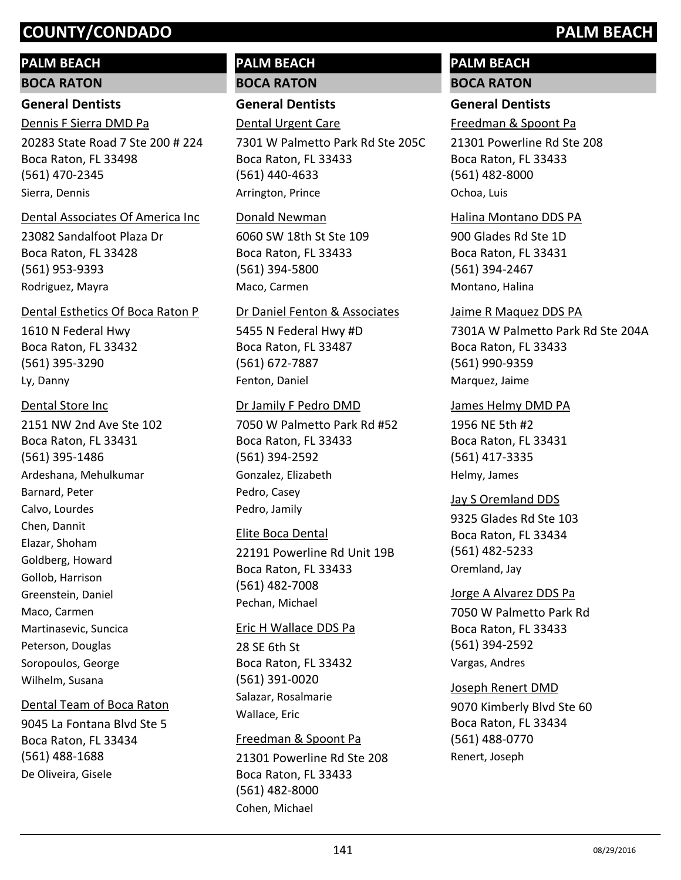#### **PALM BEACH**

**BOCA RATON**

#### **General Dentists**

Dennis F Sierra DMD Pa

20283 State Road 7 Ste 200 # 224 Boca Raton, FL 33498 (561) 470-2345 Sierra, Dennis

#### Dental Associates Of America Inc

23082 Sandalfoot Plaza Dr Boca Raton, FL 33428 (561) 953-9393 Rodriguez, Mayra

#### Dental Esthetics Of Boca Raton P

1610 N Federal Hwy Boca Raton, FL 33432 (561) 395-3290 Ly, Danny

#### Dental Store Inc

2151 NW 2nd Ave Ste 102 Boca Raton, FL 33431 (561) 395-1486 Ardeshana, Mehulkumar Barnard, Peter Calvo, Lourdes Chen, Dannit Elazar, Shoham Goldberg, Howard Gollob, Harrison Greenstein, Daniel Maco, Carmen Martinasevic, Suncica Peterson, Douglas Soropoulos, George Wilhelm, Susana

#### Dental Team of Boca Raton

9045 La Fontana Blvd Ste 5 Boca Raton, FL 33434 (561) 488-1688 De Oliveira, Gisele

#### **PALM BEACH BOCA RATON**

**General Dentists**

#### Dental Urgent Care

7301 W Palmetto Park Rd Ste 205C Boca Raton, FL 33433 (561) 440-4633 Arrington, Prince

#### Donald Newman

6060 SW 18th St Ste 109 Boca Raton, FL 33433 (561) 394-5800 Maco, Carmen

#### Dr Daniel Fenton & Associates

5455 N Federal Hwy #D Boca Raton, FL 33487 (561) 672-7887 Fenton, Daniel

#### Dr Jamily F Pedro DMD

7050 W Palmetto Park Rd #52 Boca Raton, FL 33433 (561) 394-2592 Gonzalez, Elizabeth Pedro, Casey Pedro, Jamily

#### Elite Boca Dental

22191 Powerline Rd Unit 19B Boca Raton, FL 33433 (561) 482-7008 Pechan, Michael

#### Eric H Wallace DDS Pa

28 SE 6th St Boca Raton, FL 33432 (561) 391-0020 Salazar, Rosalmarie Wallace, Eric

#### Freedman & Spoont Pa

21301 Powerline Rd Ste 208 Boca Raton, FL 33433 (561) 482-8000 Cohen, Michael

#### **PALM BEACH BOCA RATON**

#### **General Dentists**

Freedman & Spoont Pa

21301 Powerline Rd Ste 208 Boca Raton, FL 33433 (561) 482-8000 Ochoa, Luis

#### Halina Montano DDS PA

900 Glades Rd Ste 1D Boca Raton, FL 33431 (561) 394-2467 Montano, Halina

#### Jaime R Maquez DDS PA

7301A W Palmetto Park Rd Ste 204A Boca Raton, FL 33433 (561) 990-9359 Marquez, Jaime

#### James Helmy DMD PA

1956 NE 5th #2 Boca Raton, FL 33431 (561) 417-3335 Helmy, James

#### 9325 Glades Rd Ste 103 Boca Raton, FL 33434 (561) 482-5233 Jay S Oremland DDS Oremland, Jay

7050 W Palmetto Park Rd Boca Raton, FL 33433 (561) 394-2592 Jorge A Alvarez DDS Pa Vargas, Andres

#### Joseph Renert DMD

9070 Kimberly Blvd Ste 60 Boca Raton, FL 33434 (561) 488-0770 Renert, Joseph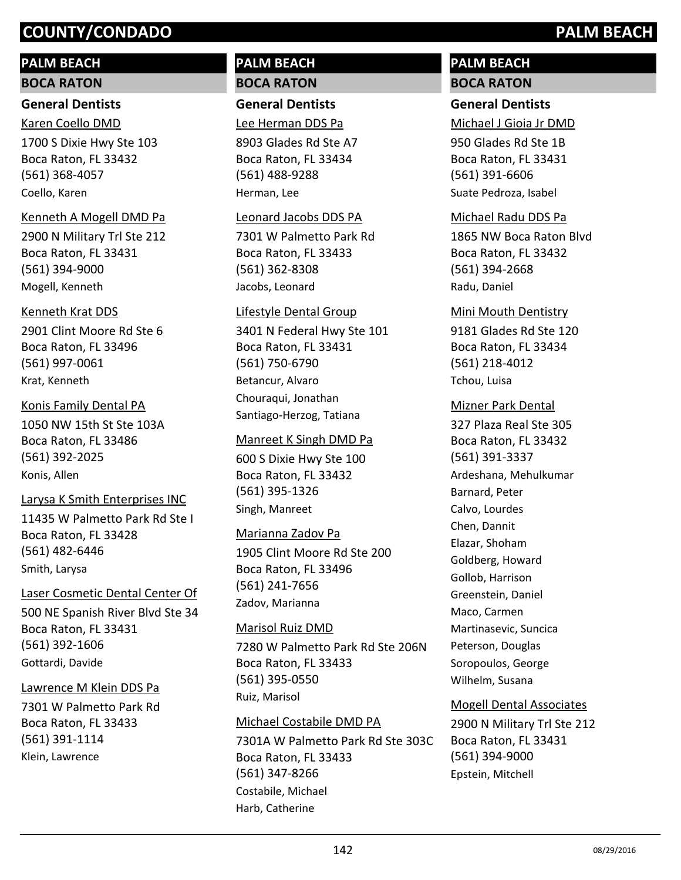## **PALM BEACH**

#### **BOCA RATON**

#### **General Dentists**

#### Karen Coello DMD

1700 S Dixie Hwy Ste 103 Boca Raton, FL 33432 (561) 368-4057 Coello, Karen

#### Kenneth A Mogell DMD Pa

2900 N Military Trl Ste 212 Boca Raton, FL 33431 (561) 394-9000 Mogell, Kenneth

#### Kenneth Krat DDS

2901 Clint Moore Rd Ste 6 Boca Raton, FL 33496 (561) 997-0061 Krat, Kenneth

#### Konis Family Dental PA

1050 NW 15th St Ste 103A Boca Raton, FL 33486 (561) 392-2025 Konis, Allen

#### Larysa K Smith Enterprises INC

11435 W Palmetto Park Rd Ste I Boca Raton, FL 33428 (561) 482-6446 Smith, Larysa

## Laser Cosmetic Dental Center Of

500 NE Spanish River Blvd Ste 34 Boca Raton, FL 33431 (561) 392-1606 Gottardi, Davide

#### Lawrence M Klein DDS Pa

7301 W Palmetto Park Rd Boca Raton, FL 33433 (561) 391-1114 Klein, Lawrence

#### **PALM BEACH BOCA RATON**

#### **General Dentists**

Lee Herman DDS Pa

8903 Glades Rd Ste A7 Boca Raton, FL 33434 (561) 488-9288 Herman, Lee

#### Leonard Jacobs DDS PA

7301 W Palmetto Park Rd Boca Raton, FL 33433 (561) 362-8308 Jacobs, Leonard

#### Lifestyle Dental Group

3401 N Federal Hwy Ste 101 Boca Raton, FL 33431 (561) 750-6790 Betancur, Alvaro Chouraqui, Jonathan Santiago-Herzog, Tatiana

#### Manreet K Singh DMD Pa

600 S Dixie Hwy Ste 100 Boca Raton, FL 33432 (561) 395-1326 Singh, Manreet

#### Marianna Zadov Pa

1905 Clint Moore Rd Ste 200 Boca Raton, FL 33496 (561) 241-7656 Zadov, Marianna

#### Marisol Ruiz DMD

7280 W Palmetto Park Rd Ste 206N Boca Raton, FL 33433 (561) 395-0550 Ruiz, Marisol

#### Michael Costabile DMD PA

7301A W Palmetto Park Rd Ste 303C Boca Raton, FL 33433 (561) 347-8266 Costabile, Michael Harb, Catherine

## **PALM BEACH BOCA RATON**

#### **General Dentists**

Michael J Gioia Jr DMD

950 Glades Rd Ste 1B Boca Raton, FL 33431 (561) 391-6606 Suate Pedroza, Isabel

#### Michael Radu DDS Pa

1865 NW Boca Raton Blvd Boca Raton, FL 33432 (561) 394-2668 Radu, Daniel

#### Mini Mouth Dentistry

9181 Glades Rd Ste 120 Boca Raton, FL 33434 (561) 218-4012 Tchou, Luisa

#### Mizner Park Dental

327 Plaza Real Ste 305 Boca Raton, FL 33432 (561) 391-3337 Ardeshana, Mehulkumar Barnard, Peter Calvo, Lourdes Chen, Dannit Elazar, Shoham Goldberg, Howard Gollob, Harrison Greenstein, Daniel Maco, Carmen Martinasevic, Suncica Peterson, Douglas Soropoulos, George Wilhelm, Susana

#### Mogell Dental Associates

2900 N Military Trl Ste 212 Boca Raton, FL 33431 (561) 394-9000 Epstein, Mitchell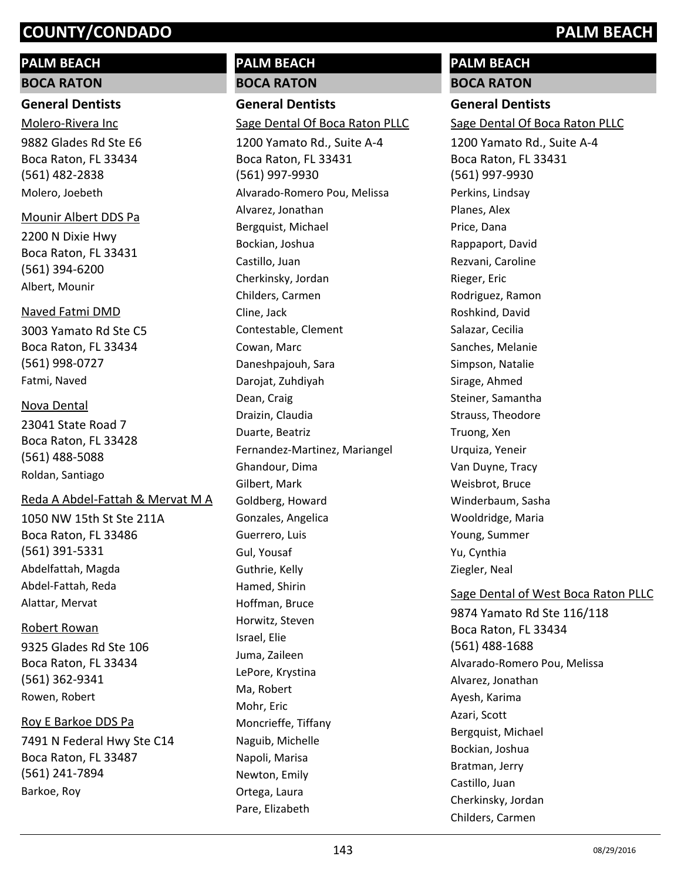## **PALM BEACH**

**BOCA RATON**

#### **General Dentists**

Molero-Rivera Inc

9882 Glades Rd Ste E6 Boca Raton, FL 33434 (561) 482-2838 Molero, Joebeth

#### Mounir Albert DDS Pa

2200 N Dixie Hwy Boca Raton, FL 33431 (561) 394-6200 Albert, Mounir

#### Naved Fatmi DMD

3003 Yamato Rd Ste C5 Boca Raton, FL 33434 (561) 998-0727 Fatmi, Naved

#### Nova Dental

23041 State Road 7 Boca Raton, FL 33428 (561) 488-5088 Roldan, Santiago

#### Reda A Abdel-Fattah & Mervat M A

1050 NW 15th St Ste 211A Boca Raton, FL 33486 (561) 391-5331 Abdelfattah, Magda Abdel-Fattah, Reda Alattar, Mervat

#### Robert Rowan

9325 Glades Rd Ste 106 Boca Raton, FL 33434 (561) 362-9341 Rowen, Robert

#### Roy E Barkoe DDS Pa

7491 N Federal Hwy Ste C14 Boca Raton, FL 33487 (561) 241-7894 Barkoe, Roy

#### **PALM BEACH BOCA RATON**

**General Dentists** Sage Dental Of Boca Raton PLLC

1200 Yamato Rd., Suite A-4 Boca Raton, FL 33431 (561) 997-9930 Alvarado-Romero Pou, Melissa Alvarez, Jonathan Bergquist, Michael Bockian, Joshua Castillo, Juan Cherkinsky, Jordan Childers, Carmen Cline, Jack Contestable, Clement Cowan, Marc Daneshpajouh, Sara Darojat, Zuhdiyah Dean, Craig Draizin, Claudia Duarte, Beatriz Fernandez-Martinez, Mariangel Ghandour, Dima Gilbert, Mark Goldberg, Howard Gonzales, Angelica Guerrero, Luis Gul, Yousaf Guthrie, Kelly Hamed, Shirin Hoffman, Bruce Horwitz, Steven Israel, Elie Juma, Zaileen LePore, Krystina Ma, Robert Mohr, Eric Moncrieffe, Tiffany Naguib, Michelle Napoli, Marisa Newton, Emily Ortega, Laura Pare, Elizabeth

#### **PALM BEACH BOCA RATON**

**General Dentists**

Sage Dental Of Boca Raton PLLC

1200 Yamato Rd., Suite A-4 Boca Raton, FL 33431 (561) 997-9930 Perkins, Lindsay Planes, Alex Price, Dana Rappaport, David Rezvani, Caroline Rieger, Eric Rodriguez, Ramon Roshkind, David Salazar, Cecilia Sanches, Melanie Simpson, Natalie Sirage, Ahmed Steiner, Samantha Strauss, Theodore Truong, Xen Urquiza, Yeneir Van Duyne, Tracy Weisbrot, Bruce Winderbaum, Sasha Wooldridge, Maria Young, Summer Yu, Cynthia Ziegler, Neal

#### Sage Dental of West Boca Raton PLLC

9874 Yamato Rd Ste 116/118 Boca Raton, FL 33434 (561) 488-1688 Alvarado-Romero Pou, Melissa Alvarez, Jonathan Ayesh, Karima Azari, Scott Bergquist, Michael Bockian, Joshua Bratman, Jerry Castillo, Juan Cherkinsky, Jordan Childers, Carmen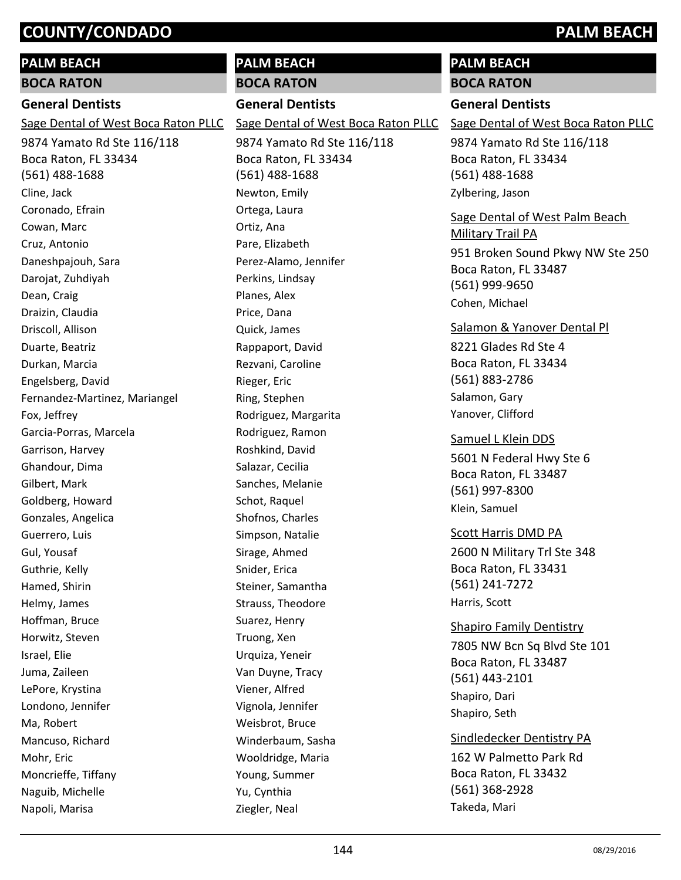## **PALM BEACH**

**BOCA RATON**

#### **General Dentists**

Sage Dental of West Boca Raton PLLC

9874 Yamato Rd Ste 116/118 Boca Raton, FL 33434 (561) 488-1688 Cline, Jack Coronado, Efrain Cowan, Marc Cruz, Antonio Daneshpajouh, Sara Darojat, Zuhdiyah Dean, Craig Draizin, Claudia Driscoll, Allison Duarte, Beatriz Durkan, Marcia Engelsberg, David Fernandez-Martinez, Mariangel Fox, Jeffrey Garcia-Porras, Marcela Garrison, Harvey Ghandour, Dima Gilbert, Mark Goldberg, Howard Gonzales, Angelica Guerrero, Luis Gul, Yousaf Guthrie, Kelly Hamed, Shirin Helmy, James Hoffman, Bruce Horwitz, Steven Israel, Elie Juma, Zaileen LePore, Krystina Londono, Jennifer Ma, Robert Mancuso, Richard Mohr, Eric Moncrieffe, Tiffany Naguib, Michelle Napoli, Marisa

#### **PALM BEACH BOCA RATON**

**General Dentists**

9874 Yamato Rd Ste 116/118 Sage Dental of West Boca Raton PLLC

Boca Raton, FL 33434 (561) 488-1688 Newton, Emily Ortega, Laura Ortiz, Ana Pare, Elizabeth Perez-Alamo, Jennifer Perkins, Lindsay Planes, Alex Price, Dana Quick, James Rappaport, David Rezvani, Caroline Rieger, Eric Ring, Stephen Rodriguez, Margarita Rodriguez, Ramon Roshkind, David Salazar, Cecilia Sanches, Melanie Schot, Raquel Shofnos, Charles Simpson, Natalie Sirage, Ahmed Snider, Erica Steiner, Samantha Strauss, Theodore Suarez, Henry Truong, Xen Urquiza, Yeneir Van Duyne, Tracy Viener, Alfred Vignola, Jennifer Weisbrot, Bruce Winderbaum, Sasha Wooldridge, Maria Young, Summer Yu, Cynthia Ziegler, Neal

# **PALM BEACH**

**BOCA RATON**

#### **General Dentists**

Sage Dental of West Boca Raton PLLC

9874 Yamato Rd Ste 116/118 Boca Raton, FL 33434 (561) 488-1688 Zylbering, Jason

951 Broken Sound Pkwy NW Ste 250 Boca Raton, FL 33487 (561) 999-9650 Sage Dental of West Palm Beach Military Trail PA Cohen, Michael

8221 Glades Rd Ste 4 Boca Raton, FL 33434 (561) 883-2786 Salamon & Yanover Dental Pl Salamon, Gary Yanover, Clifford

5601 N Federal Hwy Ste 6 Boca Raton, FL 33487 (561) 997-8300 Samuel L Klein DDS Klein, Samuel

#### 2600 N Military Trl Ste 348 Boca Raton, FL 33431 (561) 241-7272 Scott Harris DMD PA Harris, Scott

7805 NW Bcn Sq Blvd Ste 101 Boca Raton, FL 33487 (561) 443-2101 Shapiro Family Dentistry Shapiro, Dari Shapiro, Seth

162 W Palmetto Park Rd Boca Raton, FL 33432 (561) 368-2928 Sindledecker Dentistry PA Takeda, Mari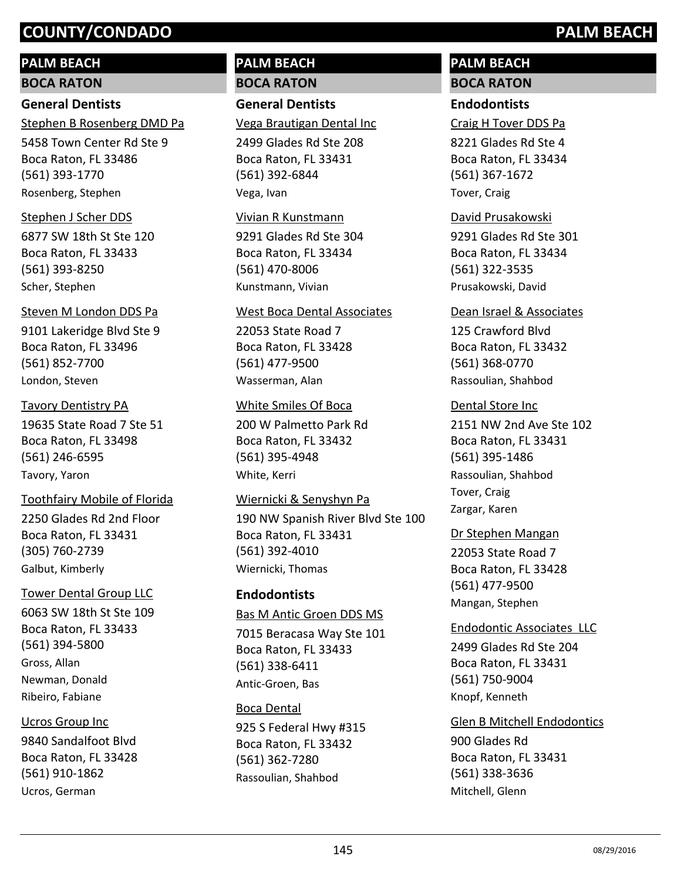## **PALM BEACH**

**BOCA RATON**

## **General Dentists**

Stephen B Rosenberg DMD Pa

5458 Town Center Rd Ste 9 Boca Raton, FL 33486 (561) 393-1770 Rosenberg, Stephen

#### Stephen J Scher DDS

6877 SW 18th St Ste 120 Boca Raton, FL 33433 (561) 393-8250 Scher, Stephen

#### Steven M London DDS Pa

9101 Lakeridge Blvd Ste 9 Boca Raton, FL 33496 (561) 852-7700 London, Steven

#### Tavory Dentistry PA

19635 State Road 7 Ste 51 Boca Raton, FL 33498 (561) 246-6595 Tavory, Yaron

#### Toothfairy Mobile of Florida

2250 Glades Rd 2nd Floor Boca Raton, FL 33431 (305) 760-2739 Galbut, Kimberly

#### Tower Dental Group LLC

6063 SW 18th St Ste 109 Boca Raton, FL 33433 (561) 394-5800 Gross, Allan Newman, Donald Ribeiro, Fabiane

#### Ucros Group Inc

9840 Sandalfoot Blvd Boca Raton, FL 33428 (561) 910-1862 Ucros, German

## **PALM BEACH BOCA RATON**

## **General Dentists**

Vega Brautigan Dental Inc

2499 Glades Rd Ste 208 Boca Raton, FL 33431 (561) 392-6844 Vega, Ivan

#### Vivian R Kunstmann

9291 Glades Rd Ste 304 Boca Raton, FL 33434 (561) 470-8006 Kunstmann, Vivian

#### West Boca Dental Associates

22053 State Road 7 Boca Raton, FL 33428 (561) 477-9500 Wasserman, Alan

#### White Smiles Of Boca

200 W Palmetto Park Rd Boca Raton, FL 33432 (561) 395-4948 White, Kerri

#### Wiernicki & Senyshyn Pa

190 NW Spanish River Blvd Ste 100 Boca Raton, FL 33431 (561) 392-4010 Wiernicki, Thomas

#### **Endodontists**

7015 Beracasa Way Ste 101 Boca Raton, FL 33433 (561) 338-6411 Bas M Antic Groen DDS MS Antic-Groen, Bas

925 S Federal Hwy #315 Boca Raton, FL 33432 (561) 362-7280 Boca Dental Rassoulian, Shahbod

## **PALM BEACH BOCA RATON**

## **Endodontists**

Craig H Tover DDS Pa

8221 Glades Rd Ste 4 Boca Raton, FL 33434 (561) 367-1672 Tover, Craig

## David Prusakowski

9291 Glades Rd Ste 301 Boca Raton, FL 33434 (561) 322-3535 Prusakowski, David

#### Dean Israel & Associates

125 Crawford Blvd Boca Raton, FL 33432 (561) 368-0770 Rassoulian, Shahbod

#### Dental Store Inc

2151 NW 2nd Ave Ste 102 Boca Raton, FL 33431 (561) 395-1486 Rassoulian, Shahbod Tover, Craig Zargar, Karen

#### Dr Stephen Mangan

22053 State Road 7 Boca Raton, FL 33428 (561) 477-9500 Mangan, Stephen

#### Endodontic Associates LLC

2499 Glades Rd Ste 204 Boca Raton, FL 33431 (561) 750-9004 Knopf, Kenneth

#### Glen B Mitchell Endodontics

900 Glades Rd Boca Raton, FL 33431 (561) 338-3636 Mitchell, Glenn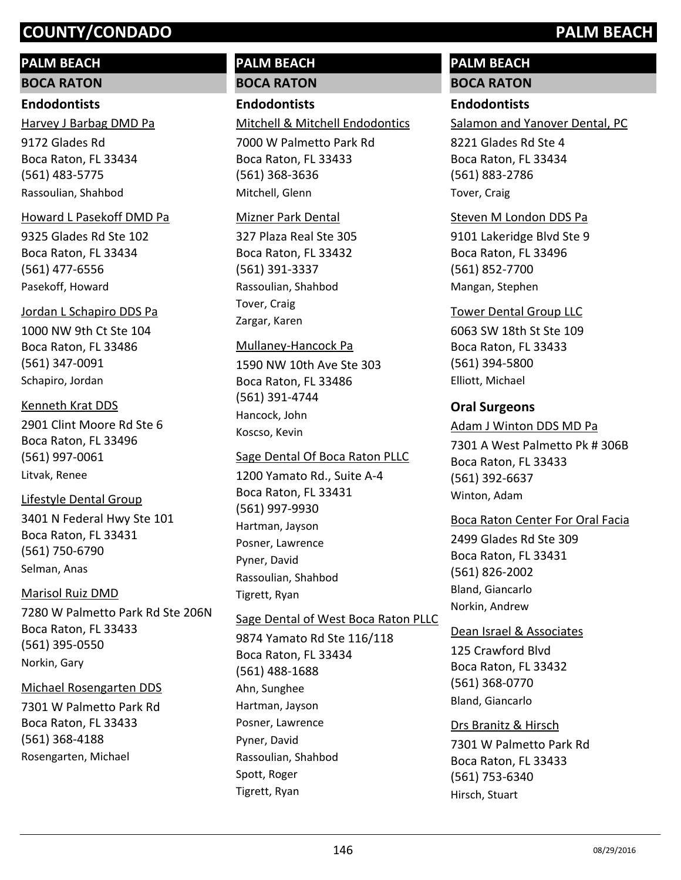## **PALM BEACH**

**BOCA RATON**

## **Endodontists**

9172 Glades Rd Boca Raton, FL 33434 (561) 483-5775 Harvey J Barbag DMD Pa Rassoulian, Shahbod

## Howard L Pasekoff DMD Pa

9325 Glades Rd Ste 102 Boca Raton, FL 33434 (561) 477-6556 Pasekoff, Howard

## Jordan L Schapiro DDS Pa

1000 NW 9th Ct Ste 104 Boca Raton, FL 33486 (561) 347-0091 Schapiro, Jordan

## Kenneth Krat DDS

2901 Clint Moore Rd Ste 6 Boca Raton, FL 33496 (561) 997-0061 Litvak, Renee

## Lifestyle Dental Group

3401 N Federal Hwy Ste 101 Boca Raton, FL 33431 (561) 750-6790 Selman, Anas

## Marisol Ruiz DMD

7280 W Palmetto Park Rd Ste 206N Boca Raton, FL 33433 (561) 395-0550 Norkin, Gary

## Michael Rosengarten DDS

7301 W Palmetto Park Rd Boca Raton, FL 33433 (561) 368-4188 Rosengarten, Michael

## **PALM BEACH BOCA RATON**

## **Endodontists**

Mitchell & Mitchell Endodontics

7000 W Palmetto Park Rd Boca Raton, FL 33433 (561) 368-3636 Mitchell, Glenn

### Mizner Park Dental

327 Plaza Real Ste 305 Boca Raton, FL 33432 (561) 391-3337 Rassoulian, Shahbod Tover, Craig Zargar, Karen

#### Mullaney-Hancock Pa

1590 NW 10th Ave Ste 303 Boca Raton, FL 33486 (561) 391-4744 Hancock, John Koscso, Kevin

## Sage Dental Of Boca Raton PLLC

1200 Yamato Rd., Suite A-4 Boca Raton, FL 33431 (561) 997-9930 Hartman, Jayson Posner, Lawrence Pyner, David Rassoulian, Shahbod Tigrett, Ryan

## Sage Dental of West Boca Raton PLLC

9874 Yamato Rd Ste 116/118 Boca Raton, FL 33434 (561) 488-1688 Ahn, Sunghee Hartman, Jayson Posner, Lawrence Pyner, David Rassoulian, Shahbod Spott, Roger Tigrett, Ryan

# **PALM BEACH**

## **BOCA RATON**

## **Endodontists**

Salamon and Yanover Dental, PC

8221 Glades Rd Ste 4 Boca Raton, FL 33434 (561) 883-2786 Tover, Craig

## Steven M London DDS Pa

9101 Lakeridge Blvd Ste 9 Boca Raton, FL 33496 (561) 852-7700 Mangan, Stephen

## Tower Dental Group LLC

6063 SW 18th St Ste 109 Boca Raton, FL 33433 (561) 394-5800 Elliott, Michael

## **Oral Surgeons**

## Adam J Winton DDS MD Pa

7301 A West Palmetto Pk # 306B Boca Raton, FL 33433 (561) 392-6637 Winton, Adam

## Boca Raton Center For Oral Facia

2499 Glades Rd Ste 309 Boca Raton, FL 33431 (561) 826-2002 Bland, Giancarlo Norkin, Andrew

## Dean Israel & Associates

125 Crawford Blvd Boca Raton, FL 33432 (561) 368-0770 Bland, Giancarlo

#### Drs Branitz & Hirsch

7301 W Palmetto Park Rd Boca Raton, FL 33433 (561) 753-6340 Hirsch, Stuart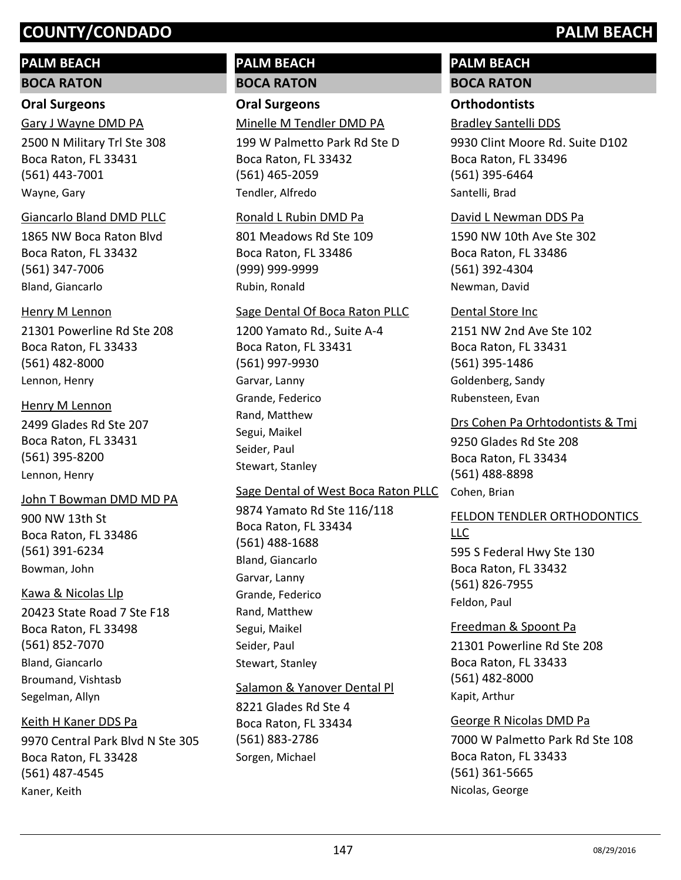# **PALM BEACH**

## **BOCA RATON**

## **Oral Surgeons**

2500 N Military Trl Ste 308 Boca Raton, FL 33431 (561) 443-7001 Gary J Wayne DMD PA Wayne, Gary

## Giancarlo Bland DMD PLLC

1865 NW Boca Raton Blvd Boca Raton, FL 33432 (561) 347-7006 Bland, Giancarlo

## Henry M Lennon

21301 Powerline Rd Ste 208 Boca Raton, FL 33433 (561) 482-8000 Lennon, Henry

# Henry M Lennon

2499 Glades Rd Ste 207 Boca Raton, FL 33431 (561) 395-8200 Lennon, Henry

## John T Bowman DMD MD PA

900 NW 13th St Boca Raton, FL 33486 (561) 391-6234 Bowman, John

## Kawa & Nicolas Llp

20423 State Road 7 Ste F18 Boca Raton, FL 33498 (561) 852-7070 Bland, Giancarlo Broumand, Vishtasb Segelman, Allyn

9970 Central Park Blvd N Ste 305 Boca Raton, FL 33428 (561) 487-4545 Keith H Kaner DDS Pa Kaner, Keith

## **PALM BEACH BOCA RATON**

## **Oral Surgeons** Minelle M Tendler DMD PA

199 W Palmetto Park Rd Ste D Boca Raton, FL 33432 (561) 465-2059 Tendler, Alfredo

## Ronald L Rubin DMD Pa

801 Meadows Rd Ste 109 Boca Raton, FL 33486 (999) 999-9999 Rubin, Ronald

## Sage Dental Of Boca Raton PLLC

1200 Yamato Rd., Suite A-4 Boca Raton, FL 33431 (561) 997-9930 Garvar, Lanny Grande, Federico Rand, Matthew Segui, Maikel Seider, Paul Stewart, Stanley

## Sage Dental of West Boca Raton PLLC Cohen, Brian

9874 Yamato Rd Ste 116/118 Boca Raton, FL 33434 (561) 488-1688 Bland, Giancarlo Garvar, Lanny Grande, Federico Rand, Matthew Segui, Maikel Seider, Paul Stewart, Stanley

## Salamon & Yanover Dental Pl

8221 Glades Rd Ste 4 Boca Raton, FL 33434 (561) 883-2786 Sorgen, Michael

## **PALM BEACH BOCA RATON**

# **Orthodontists**

# Bradley Santelli DDS

9930 Clint Moore Rd. Suite D102 Boca Raton, FL 33496 (561) 395-6464 Santelli, Brad

## David L Newman DDS Pa

1590 NW 10th Ave Ste 302 Boca Raton, FL 33486 (561) 392-4304 Newman, David

## Dental Store Inc

2151 NW 2nd Ave Ste 102 Boca Raton, FL 33431 (561) 395-1486 Goldenberg, Sandy Rubensteen, Evan

9250 Glades Rd Ste 208 Boca Raton, FL 33434 (561) 488-8898 Drs Cohen Pa Orhtodontists & Tmj

## 595 S Federal Hwy Ste 130 Boca Raton, FL 33432 (561) 826-7955 FELDON TENDLER ORTHODONTICS LLC Feldon, Paul

21301 Powerline Rd Ste 208 Boca Raton, FL 33433 (561) 482-8000 Freedman & Spoont Pa Kapit, Arthur

## 7000 W Palmetto Park Rd Ste 108 Boca Raton, FL 33433 (561) 361-5665 George R Nicolas DMD Pa Nicolas, George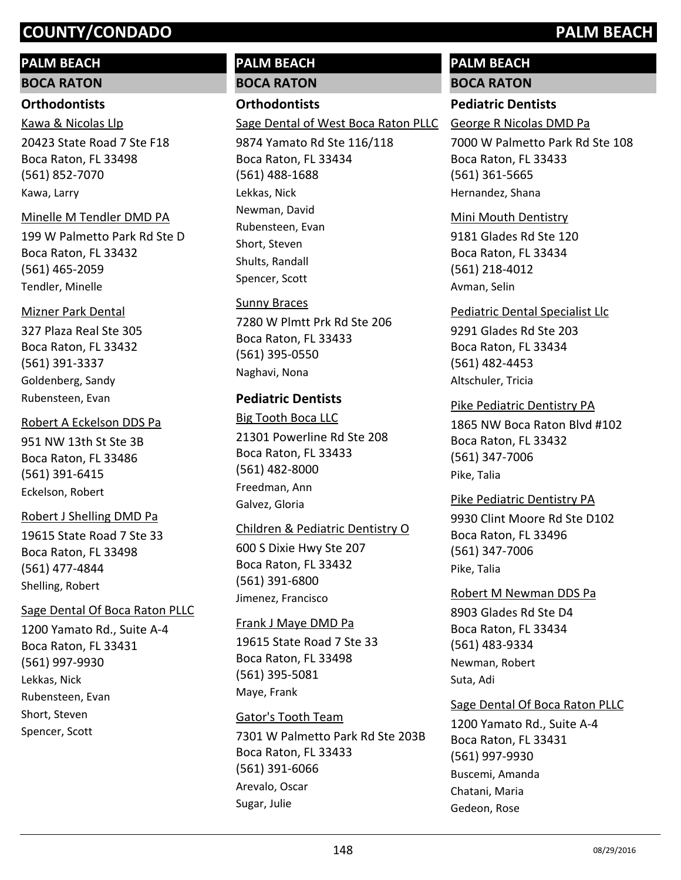## **PALM BEACH**

**BOCA RATON**

## **Orthodontists**

Kawa & Nicolas Llp

20423 State Road 7 Ste F18 Boca Raton, FL 33498 (561) 852-7070 Kawa, Larry

## Minelle M Tendler DMD PA

199 W Palmetto Park Rd Ste D Boca Raton, FL 33432 (561) 465-2059 Tendler, Minelle

## Mizner Park Dental

327 Plaza Real Ste 305 Boca Raton, FL 33432 (561) 391-3337 Goldenberg, Sandy Rubensteen, Evan

951 NW 13th St Ste 3B Boca Raton, FL 33486 (561) 391-6415 Robert A Eckelson DDS Pa Eckelson, Robert

## Robert J Shelling DMD Pa

19615 State Road 7 Ste 33 Boca Raton, FL 33498 (561) 477-4844 Shelling, Robert

## Sage Dental Of Boca Raton PLLC

1200 Yamato Rd., Suite A-4 Boca Raton, FL 33431 (561) 997-9930 Lekkas, Nick Rubensteen, Evan Short, Steven Spencer, Scott

# **PALM BEACH**

**BOCA RATON**

## **Orthodontists**

Sage Dental of West Boca Raton PLLC

9874 Yamato Rd Ste 116/118 Boca Raton, FL 33434 (561) 488-1688 Lekkas, Nick Newman, David Rubensteen, Evan Short, Steven Shults, Randall Spencer, Scott

## Sunny Braces

7280 W Plmtt Prk Rd Ste 206 Boca Raton, FL 33433 (561) 395-0550 Naghavi, Nona

## **Pediatric Dentists**

21301 Powerline Rd Ste 208 Boca Raton, FL 33433 (561) 482-8000 Big Tooth Boca LLC Freedman, Ann Galvez, Gloria

## Children & Pediatric Dentistry O

600 S Dixie Hwy Ste 207 Boca Raton, FL 33432 (561) 391-6800 Jimenez, Francisco

## Frank J Maye DMD Pa

19615 State Road 7 Ste 33 Boca Raton, FL 33498 (561) 395-5081 Maye, Frank

## Gator's Tooth Team

7301 W Palmetto Park Rd Ste 203B Boca Raton, FL 33433 (561) 391-6066 Arevalo, Oscar Sugar, Julie

## **PALM BEACH BOCA RATON**

## **Pediatric Dentists**

George R Nicolas DMD Pa

7000 W Palmetto Park Rd Ste 108 Boca Raton, FL 33433 (561) 361-5665 Hernandez, Shana

## Mini Mouth Dentistry

9181 Glades Rd Ste 120 Boca Raton, FL 33434 (561) 218-4012 Avman, Selin

## Pediatric Dental Specialist Llc

9291 Glades Rd Ste 203 Boca Raton, FL 33434 (561) 482-4453 Altschuler, Tricia

## Pike Pediatric Dentistry PA

1865 NW Boca Raton Blvd #102 Boca Raton, FL 33432 (561) 347-7006 Pike, Talia

## 9930 Clint Moore Rd Ste D102 Boca Raton, FL 33496 (561) 347-7006 Pike Pediatric Dentistry PA Pike, Talia

8903 Glades Rd Ste D4 Boca Raton, FL 33434 (561) 483-9334 Robert M Newman DDS Pa Newman, Robert Suta, Adi

## Sage Dental Of Boca Raton PLLC

1200 Yamato Rd., Suite A-4 Boca Raton, FL 33431 (561) 997-9930 Buscemi, Amanda Chatani, Maria Gedeon, Rose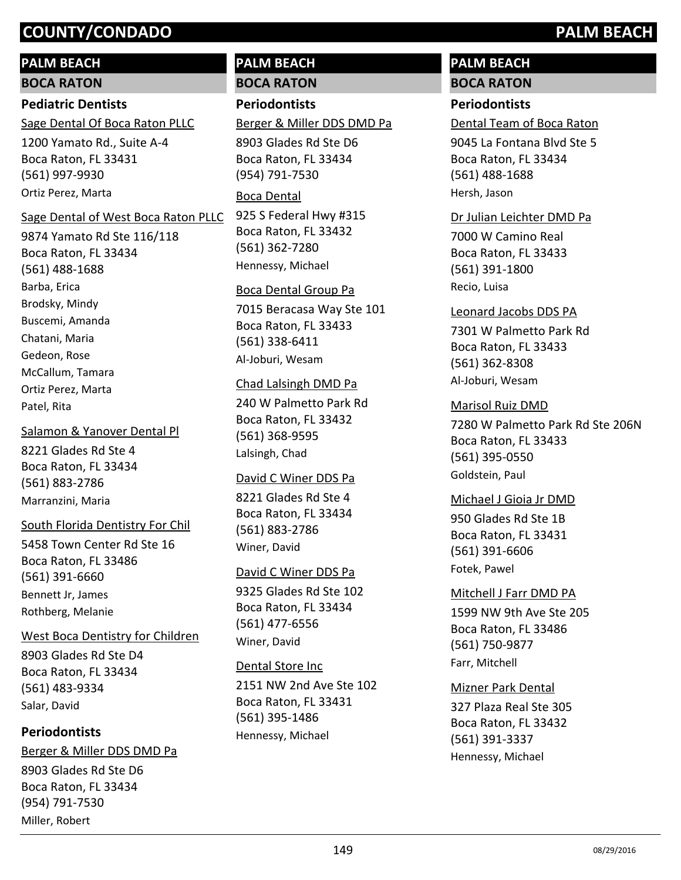## **PALM BEACH**

**BOCA RATON**

## **Pediatric Dentists**

Sage Dental Of Boca Raton PLLC

1200 Yamato Rd., Suite A-4 Boca Raton, FL 33431 (561) 997-9930 Ortiz Perez, Marta

#### Sage Dental of West Boca Raton PLLC

9874 Yamato Rd Ste 116/118 Boca Raton, FL 33434 (561) 488-1688 Barba, Erica Brodsky, Mindy Buscemi, Amanda Chatani, Maria Gedeon, Rose McCallum, Tamara Ortiz Perez, Marta Patel, Rita

#### Salamon & Yanover Dental Pl

8221 Glades Rd Ste 4 Boca Raton, FL 33434 (561) 883-2786 Marranzini, Maria

#### South Florida Dentistry For Chil

5458 Town Center Rd Ste 16 Boca Raton, FL 33486 (561) 391-6660 Bennett Jr, James Rothberg, Melanie

#### West Boca Dentistry for Children

8903 Glades Rd Ste D4 Boca Raton, FL 33434 (561) 483-9334 Salar, David

## **Periodontists**

8903 Glades Rd Ste D6 Boca Raton, FL 33434 (954) 791-7530 Berger & Miller DDS DMD Pa Miller, Robert

## **PALM BEACH BOCA RATON**

## **Periodontists**

Berger & Miller DDS DMD Pa

8903 Glades Rd Ste D6 Boca Raton, FL 33434 (954) 791-7530

#### Boca Dental

925 S Federal Hwy #315 Boca Raton, FL 33432 (561) 362-7280 Hennessy, Michael

#### Boca Dental Group Pa

7015 Beracasa Way Ste 101 Boca Raton, FL 33433 (561) 338-6411 Al-Joburi, Wesam

#### Chad Lalsingh DMD Pa

240 W Palmetto Park Rd Boca Raton, FL 33432 (561) 368-9595 Lalsingh, Chad

#### David C Winer DDS Pa

8221 Glades Rd Ste 4 Boca Raton, FL 33434 (561) 883-2786 Winer, David

#### David C Winer DDS Pa

9325 Glades Rd Ste 102 Boca Raton, FL 33434 (561) 477-6556 Winer, David

#### Dental Store Inc

2151 NW 2nd Ave Ste 102 Boca Raton, FL 33431 (561) 395-1486 Hennessy, Michael

## **PALM BEACH BOCA RATON**

## **Periodontists**

Dental Team of Boca Raton

9045 La Fontana Blvd Ste 5 Boca Raton, FL 33434 (561) 488-1688 Hersh, Jason

#### Dr Julian Leichter DMD Pa

7000 W Camino Real Boca Raton, FL 33433 (561) 391-1800 Recio, Luisa

#### Leonard Jacobs DDS PA

7301 W Palmetto Park Rd Boca Raton, FL 33433 (561) 362-8308 Al-Joburi, Wesam

#### Marisol Ruiz DMD

7280 W Palmetto Park Rd Ste 206N Boca Raton, FL 33433 (561) 395-0550 Goldstein, Paul

## 950 Glades Rd Ste 1B Boca Raton, FL 33431 (561) 391-6606 Michael J Gioia Jr DMD

Fotek, Pawel

## 1599 NW 9th Ave Ste 205 Boca Raton, FL 33486 (561) 750-9877 Mitchell J Farr DMD PA Farr, Mitchell

#### Mizner Park Dental

327 Plaza Real Ste 305 Boca Raton, FL 33432 (561) 391-3337 Hennessy, Michael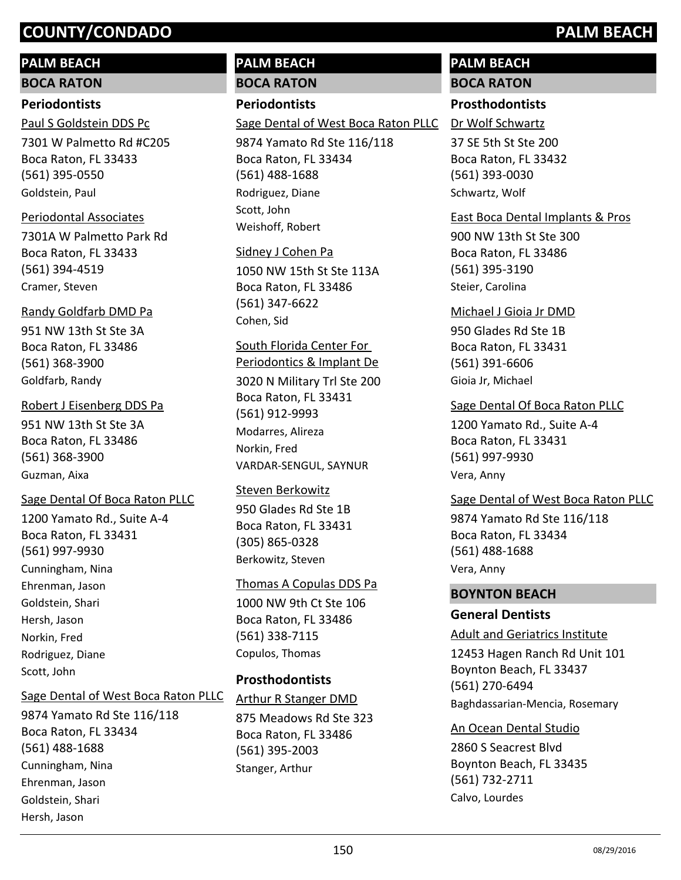## **PALM BEACH**

**BOCA RATON**

### **Periodontists**

7301 W Palmetto Rd #C205 Boca Raton, FL 33433 (561) 395-0550 Paul S Goldstein DDS Pc Goldstein, Paul

#### Periodontal Associates

7301A W Palmetto Park Rd Boca Raton, FL 33433 (561) 394-4519 Cramer, Steven

#### Randy Goldfarb DMD Pa

951 NW 13th St Ste 3A Boca Raton, FL 33486 (561) 368-3900 Goldfarb, Randy

#### Robert J Eisenberg DDS Pa

951 NW 13th St Ste 3A Boca Raton, FL 33486 (561) 368-3900 Guzman, Aixa

## Sage Dental Of Boca Raton PLLC

1200 Yamato Rd., Suite A-4 Boca Raton, FL 33431 (561) 997-9930 Cunningham, Nina Ehrenman, Jason Goldstein, Shari Hersh, Jason Norkin, Fred Rodriguez, Diane Scott, John

#### Sage Dental of West Boca Raton PLLC

9874 Yamato Rd Ste 116/118 Boca Raton, FL 33434 (561) 488-1688 Cunningham, Nina Ehrenman, Jason Goldstein, Shari Hersh, Jason

# **PALM BEACH**

# **BOCA RATON**

## **Periodontists**

Sage Dental of West Boca Raton PLLC

9874 Yamato Rd Ste 116/118 Boca Raton, FL 33434 (561) 488-1688 Rodriguez, Diane Scott, John Weishoff, Robert

## Sidney J Cohen Pa

1050 NW 15th St Ste 113A Boca Raton, FL 33486 (561) 347-6622 Cohen, Sid

## South Florida Center For

3020 N Military Trl Ste 200 Boca Raton, FL 33431 (561) 912-9993 Periodontics & Implant De Modarres, Alireza Norkin, Fred VARDAR-SENGUL, SAYNUR

#### Steven Berkowitz

950 Glades Rd Ste 1B Boca Raton, FL 33431 (305) 865-0328 Berkowitz, Steven

## Thomas A Copulas DDS Pa

1000 NW 9th Ct Ste 106 Boca Raton, FL 33486 (561) 338-7115 Copulos, Thomas

## **Prosthodontists**

875 Meadows Rd Ste 323 Boca Raton, FL 33486 (561) 395-2003 Arthur R Stanger DMD Stanger, Arthur

## **PALM BEACH BOCA RATON**

## **Prosthodontists**

Dr Wolf Schwartz

37 SE 5th St Ste 200 Boca Raton, FL 33432 (561) 393-0030 Schwartz, Wolf

#### East Boca Dental Implants & Pros

900 NW 13th St Ste 300 Boca Raton, FL 33486 (561) 395-3190 Steier, Carolina

#### Michael J Gioia Jr DMD

950 Glades Rd Ste 1B Boca Raton, FL 33431 (561) 391-6606 Gioia Jr, Michael

## Sage Dental Of Boca Raton PLLC

1200 Yamato Rd., Suite A-4 Boca Raton, FL 33431 (561) 997-9930 Vera, Anny

## Sage Dental of West Boca Raton PLLC

9874 Yamato Rd Ste 116/118 Boca Raton, FL 33434 (561) 488-1688 Vera, Anny

#### **BOYNTON BEACH**

#### **General Dentists**

#### Adult and Geriatrics Institute

12453 Hagen Ranch Rd Unit 101 Boynton Beach, FL 33437 (561) 270-6494 Baghdassarian-Mencia, Rosemary

#### An Ocean Dental Studio

2860 S Seacrest Blvd Boynton Beach, FL 33435 (561) 732-2711 Calvo, Lourdes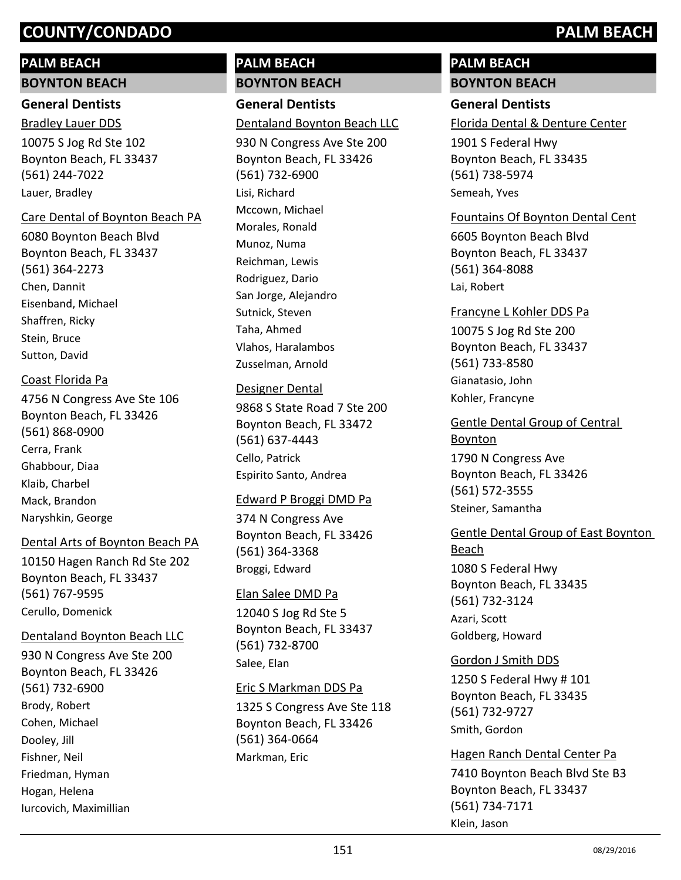## **PALM BEACH**

#### **BOYNTON BEACH**

## **General Dentists** Bradley Lauer DDS

10075 S Jog Rd Ste 102 Boynton Beach, FL 33437 (561) 244-7022 Lauer, Bradley

#### Care Dental of Boynton Beach PA

6080 Boynton Beach Blvd Boynton Beach, FL 33437 (561) 364-2273 Chen, Dannit Eisenband, Michael Shaffren, Ricky Stein, Bruce Sutton, David

## Coast Florida Pa

4756 N Congress Ave Ste 106 Boynton Beach, FL 33426 (561) 868-0900 Cerra, Frank Ghabbour, Diaa Klaib, Charbel Mack, Brandon Naryshkin, George

#### Dental Arts of Boynton Beach PA

10150 Hagen Ranch Rd Ste 202 Boynton Beach, FL 33437 (561) 767-9595 Cerullo, Domenick

#### Dentaland Boynton Beach LLC

930 N Congress Ave Ste 200 Boynton Beach, FL 33426 (561) 732-6900 Brody, Robert Cohen, Michael Dooley, Jill Fishner, Neil Friedman, Hyman Hogan, Helena Iurcovich, Maximillian

## **PALM BEACH BOYNTON BEACH**

**General Dentists** Dentaland Boynton Beach LLC

930 N Congress Ave Ste 200 Boynton Beach, FL 33426 (561) 732-6900 Lisi, Richard Mccown, Michael Morales, Ronald Munoz, Numa Reichman, Lewis Rodriguez, Dario San Jorge, Alejandro Sutnick, Steven Taha, Ahmed Vlahos, Haralambos Zusselman, Arnold

#### Designer Dental

9868 S State Road 7 Ste 200 Boynton Beach, FL 33472 (561) 637-4443 Cello, Patrick Espirito Santo, Andrea

#### Edward P Broggi DMD Pa

374 N Congress Ave Boynton Beach, FL 33426 (561) 364-3368 Broggi, Edward

#### Elan Salee DMD Pa

12040 S Jog Rd Ste 5 Boynton Beach, FL 33437 (561) 732-8700 Salee, Elan

#### Eric S Markman DDS Pa

1325 S Congress Ave Ste 118 Boynton Beach, FL 33426 (561) 364-0664 Markman, Eric

## **PALM BEACH BOYNTON BEACH**

## **General Dentists**

Florida Dental & Denture Center

1901 S Federal Hwy Boynton Beach, FL 33435 (561) 738-5974 Semeah, Yves

## Fountains Of Boynton Dental Cent

6605 Boynton Beach Blvd Boynton Beach, FL 33437 (561) 364-8088 Lai, Robert

## 10075 S Jog Rd Ste 200 Boynton Beach, FL 33437 (561) 733-8580 Francyne L Kohler DDS Pa Gianatasio, John Kohler, Francyne

1790 N Congress Ave Boynton Beach, FL 33426 (561) 572-3555 Gentle Dental Group of Central Boynton Steiner, Samantha

## 1080 S Federal Hwy Boynton Beach, FL 33435 (561) 732-3124 Gentle Dental Group of East Boynton Beach

Azari, Scott Goldberg, Howard

## Gordon J Smith DDS

1250 S Federal Hwy # 101 Boynton Beach, FL 33435 (561) 732-9727 Smith, Gordon

7410 Boynton Beach Blvd Ste B3 Boynton Beach, FL 33437 (561) 734-7171 Hagen Ranch Dental Center Pa Klein, Jason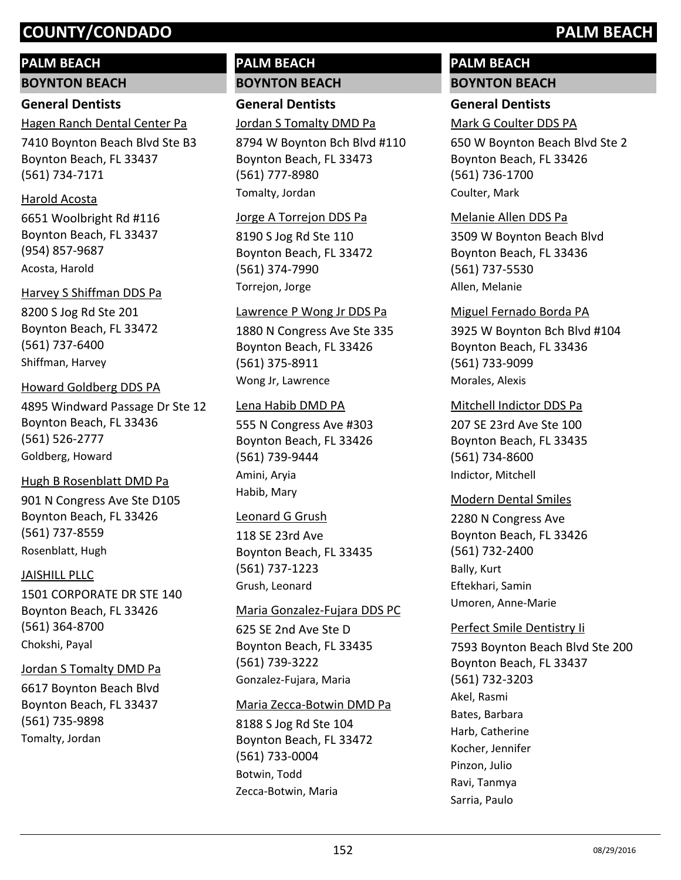## **PALM BEACH**

**BOYNTON BEACH**

## **General Dentists**

7410 Boynton Beach Blvd Ste B3 Hagen Ranch Dental Center Pa

Boynton Beach, FL 33437 (561) 734-7171

#### Harold Acosta

6651 Woolbright Rd #116 Boynton Beach, FL 33437 (954) 857-9687 Acosta, Harold

#### Harvey S Shiffman DDS Pa

8200 S Jog Rd Ste 201 Boynton Beach, FL 33472 (561) 737-6400 Shiffman, Harvey

#### Howard Goldberg DDS PA

4895 Windward Passage Dr Ste 12 Boynton Beach, FL 33436 (561) 526-2777 Goldberg, Howard

#### Hugh B Rosenblatt DMD Pa

901 N Congress Ave Ste D105 Boynton Beach, FL 33426 (561) 737-8559 Rosenblatt, Hugh

#### JAISHILL PLLC

1501 CORPORATE DR STE 140 Boynton Beach, FL 33426 (561) 364-8700 Chokshi, Payal

#### Jordan S Tomalty DMD Pa

6617 Boynton Beach Blvd Boynton Beach, FL 33437 (561) 735-9898 Tomalty, Jordan

## **PALM BEACH BOYNTON BEACH**

**General Dentists**

Jordan S Tomalty DMD Pa

8794 W Boynton Bch Blvd #110 Boynton Beach, FL 33473 (561) 777-8980 Tomalty, Jordan

#### Jorge A Torrejon DDS Pa

8190 S Jog Rd Ste 110 Boynton Beach, FL 33472 (561) 374-7990 Torrejon, Jorge

#### Lawrence P Wong Jr DDS Pa

1880 N Congress Ave Ste 335 Boynton Beach, FL 33426 (561) 375-8911 Wong Jr, Lawrence

#### Lena Habib DMD PA

555 N Congress Ave #303 Boynton Beach, FL 33426 (561) 739-9444 Amini, Aryia Habib, Mary

#### Leonard G Grush

118 SE 23rd Ave Boynton Beach, FL 33435 (561) 737-1223 Grush, Leonard

#### Maria Gonzalez-Fujara DDS PC

625 SE 2nd Ave Ste D Boynton Beach, FL 33435 (561) 739-3222 Gonzalez-Fujara, Maria

#### Maria Zecca-Botwin DMD Pa

8188 S Jog Rd Ste 104 Boynton Beach, FL 33472 (561) 733-0004 Botwin, Todd Zecca-Botwin, Maria

## **PALM BEACH BOYNTON BEACH**

## **General Dentists**

Mark G Coulter DDS PA

650 W Boynton Beach Blvd Ste 2 Boynton Beach, FL 33426 (561) 736-1700 Coulter, Mark

## Melanie Allen DDS Pa

3509 W Boynton Beach Blvd Boynton Beach, FL 33436 (561) 737-5530 Allen, Melanie

#### Miguel Fernado Borda PA

3925 W Boynton Bch Blvd #104 Boynton Beach, FL 33436 (561) 733-9099 Morales, Alexis

#### Mitchell Indictor DDS Pa

207 SE 23rd Ave Ste 100 Boynton Beach, FL 33435 (561) 734-8600 Indictor, Mitchell

#### Modern Dental Smiles

2280 N Congress Ave Boynton Beach, FL 33426 (561) 732-2400 Bally, Kurt Eftekhari, Samin Umoren, Anne-Marie

#### Perfect Smile Dentistry Ii

7593 Boynton Beach Blvd Ste 200 Boynton Beach, FL 33437 (561) 732-3203 Akel, Rasmi Bates, Barbara Harb, Catherine Kocher, Jennifer Pinzon, Julio Ravi, Tanmya Sarria, Paulo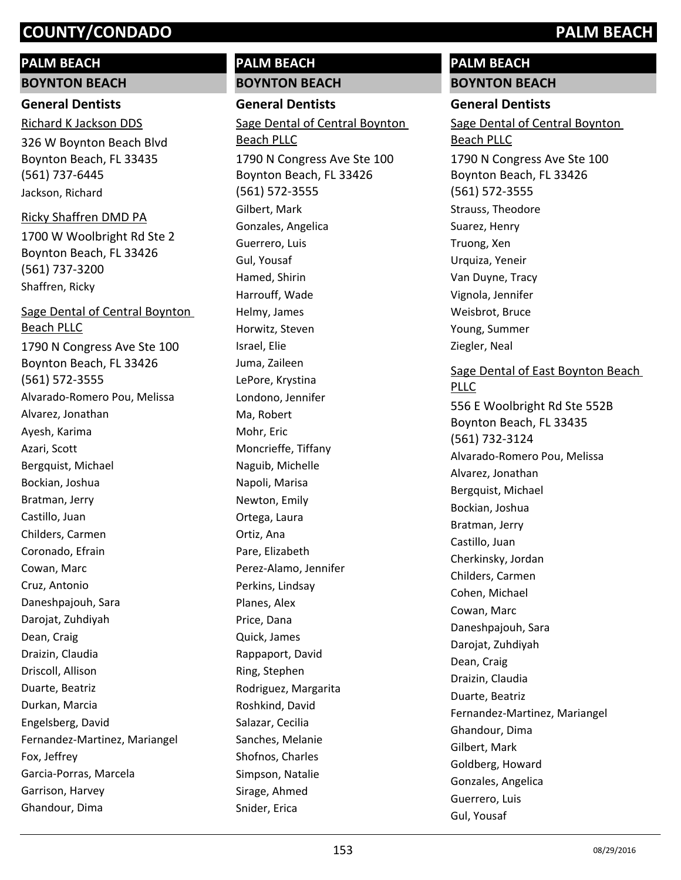## **PALM BEACH**

**BOYNTON BEACH**

## **General Dentists**

326 W Boynton Beach Blvd Boynton Beach, FL 33435 (561) 737-6445 Richard K Jackson DDS Jackson, Richard

## Ricky Shaffren DMD PA

1700 W Woolbright Rd Ste 2 Boynton Beach, FL 33426 (561) 737-3200 Shaffren, Ricky

1790 N Congress Ave Ste 100 Boynton Beach, FL 33426 (561) 572-3555 Sage Dental of Central Boynton Beach PLLC Alvarado-Romero Pou, Melissa Alvarez, Jonathan Ayesh, Karima Azari, Scott Bergquist, Michael Bockian, Joshua Bratman, Jerry Castillo, Juan Childers, Carmen Coronado, Efrain Cowan, Marc Cruz, Antonio Daneshpajouh, Sara Darojat, Zuhdiyah Dean, Craig Draizin, Claudia Driscoll, Allison Duarte, Beatriz Durkan, Marcia Engelsberg, David Fernandez-Martinez, Mariangel Fox, Jeffrey Garcia-Porras, Marcela Garrison, Harvey Ghandour, Dima

## **PALM BEACH BOYNTON BEACH**

**General Dentists** 1790 N Congress Ave Ste 100 Boynton Beach, FL 33426 (561) 572-3555 Sage Dental of Central Boynton Beach PLLC Gilbert, Mark Gonzales, Angelica Guerrero, Luis Gul, Yousaf Hamed, Shirin Harrouff, Wade Helmy, James Horwitz, Steven Israel, Elie Juma, Zaileen LePore, Krystina Londono, Jennifer Ma, Robert Mohr, Eric Moncrieffe, Tiffany Naguib, Michelle Napoli, Marisa Newton, Emily Ortega, Laura Ortiz, Ana Pare, Elizabeth Perez-Alamo, Jennifer Perkins, Lindsay Planes, Alex Price, Dana Quick, James Rappaport, David Ring, Stephen Rodriguez, Margarita Roshkind, David Salazar, Cecilia Sanches, Melanie Shofnos, Charles Simpson, Natalie Sirage, Ahmed Snider, Erica

## **PALM BEACH BOYNTON BEACH**

## **General Dentists**

1790 N Congress Ave Ste 100 Boynton Beach, FL 33426 (561) 572-3555 Sage Dental of Central Boynton Beach PLLC Strauss, Theodore Suarez, Henry Truong, Xen Urquiza, Yeneir Van Duyne, Tracy Vignola, Jennifer Weisbrot, Bruce Young, Summer Ziegler, Neal

## Sage Dental of East Boynton Beach PLLC

556 E Woolbright Rd Ste 552B Boynton Beach, FL 33435 (561) 732-3124 Alvarado-Romero Pou, Melissa Alvarez, Jonathan Bergquist, Michael Bockian, Joshua Bratman, Jerry Castillo, Juan Cherkinsky, Jordan Childers, Carmen Cohen, Michael Cowan, Marc Daneshpajouh, Sara Darojat, Zuhdiyah Dean, Craig Draizin, Claudia Duarte, Beatriz Fernandez-Martinez, Mariangel Ghandour, Dima Gilbert, Mark Goldberg, Howard Gonzales, Angelica Guerrero, Luis Gul, Yousaf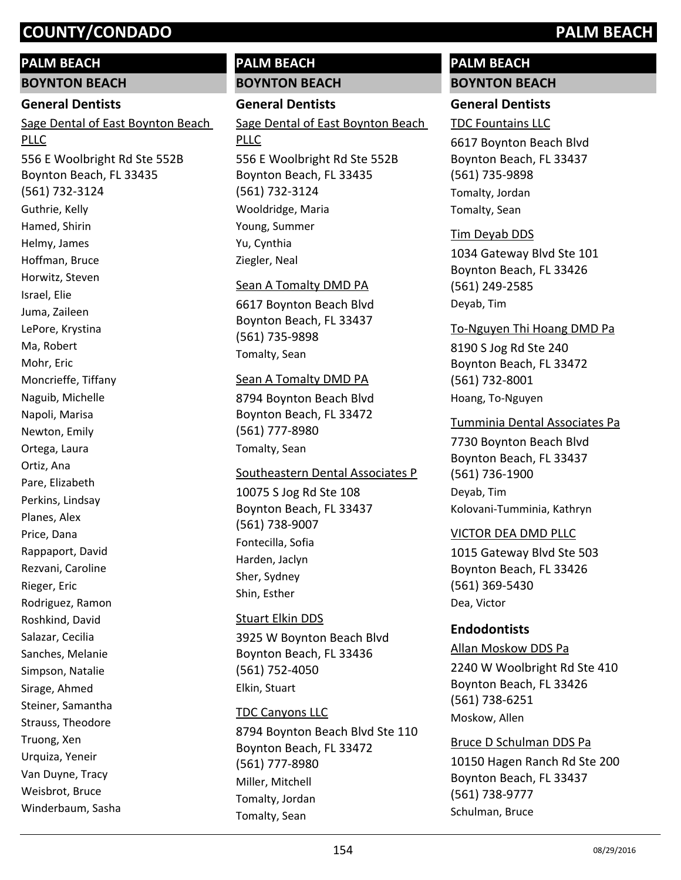## **PALM BEACH**

**BOYNTON BEACH**

#### **General Dentists**

Sage Dental of East Boynton Beach PLLC

556 E Woolbright Rd Ste 552B Boynton Beach, FL 33435 (561) 732-3124 Guthrie, Kelly Hamed, Shirin Helmy, James Hoffman, Bruce Horwitz, Steven Israel, Elie Juma, Zaileen LePore, Krystina Ma, Robert Mohr, Eric Moncrieffe, Tiffany Naguib, Michelle Napoli, Marisa Newton, Emily Ortega, Laura Ortiz, Ana Pare, Elizabeth Perkins, Lindsay Planes, Alex Price, Dana Rappaport, David Rezvani, Caroline Rieger, Eric Rodriguez, Ramon Roshkind, David Salazar, Cecilia Sanches, Melanie Simpson, Natalie Sirage, Ahmed Steiner, Samantha Strauss, Theodore Truong, Xen Urquiza, Yeneir Van Duyne, Tracy Weisbrot, Bruce Winderbaum, Sasha

## **PALM BEACH BOYNTON BEACH**

## **General Dentists**

Sage Dental of East Boynton Beach PLLC

556 E Woolbright Rd Ste 552B Boynton Beach, FL 33435 (561) 732-3124 Wooldridge, Maria Young, Summer Yu, Cynthia Ziegler, Neal

#### Sean A Tomalty DMD PA

6617 Boynton Beach Blvd Boynton Beach, FL 33437 (561) 735-9898 Tomalty, Sean

#### Sean A Tomalty DMD PA

8794 Boynton Beach Blvd Boynton Beach, FL 33472 (561) 777-8980 Tomalty, Sean

#### Southeastern Dental Associates P

10075 S Jog Rd Ste 108 Boynton Beach, FL 33437 (561) 738-9007 Fontecilla, Sofia Harden, Jaclyn Sher, Sydney Shin, Esther

#### Stuart Elkin DDS

3925 W Boynton Beach Blvd Boynton Beach, FL 33436 (561) 752-4050 Elkin, Stuart

#### TDC Canyons LLC

8794 Boynton Beach Blvd Ste 110 Boynton Beach, FL 33472 (561) 777-8980 Miller, Mitchell Tomalty, Jordan Tomalty, Sean

## **PALM BEACH BOYNTON BEACH**

## **General Dentists**

TDC Fountains LLC

6617 Boynton Beach Blvd Boynton Beach, FL 33437 (561) 735-9898 Tomalty, Jordan Tomalty, Sean

#### Tim Deyab DDS

1034 Gateway Blvd Ste 101 Boynton Beach, FL 33426 (561) 249-2585 Deyab, Tim

#### To-Nguyen Thi Hoang DMD Pa

8190 S Jog Rd Ste 240 Boynton Beach, FL 33472 (561) 732-8001 Hoang, To-Nguyen

#### Tumminia Dental Associates Pa

7730 Boynton Beach Blvd Boynton Beach, FL 33437 (561) 736-1900 Deyab, Tim Kolovani-Tumminia, Kathryn

#### VICTOR DEA DMD PLLC

1015 Gateway Blvd Ste 503 Boynton Beach, FL 33426 (561) 369-5430 Dea, Victor

#### **Endodontists**

2240 W Woolbright Rd Ste 410 Boynton Beach, FL 33426 (561) 738-6251 Allan Moskow DDS Pa Moskow, Allen

## 10150 Hagen Ranch Rd Ste 200 Boynton Beach, FL 33437 (561) 738-9777 Bruce D Schulman DDS Pa Schulman, Bruce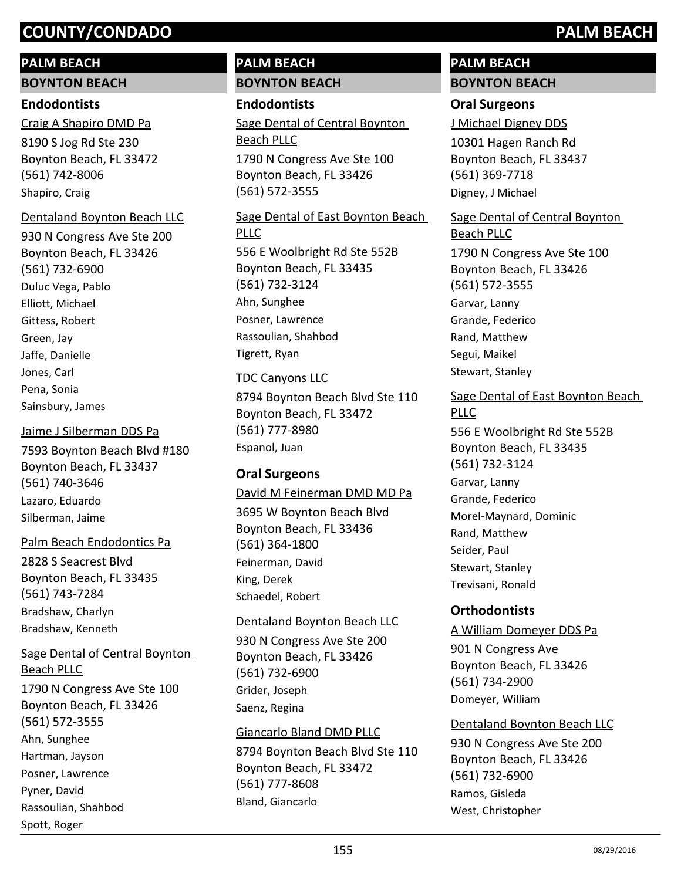## **PALM BEACH**

**BOYNTON BEACH**

## **Endodontists**

8190 S Jog Rd Ste 230 Boynton Beach, FL 33472 (561) 742-8006 Craig A Shapiro DMD Pa Shapiro, Craig

## Dentaland Boynton Beach LLC

930 N Congress Ave Ste 200 Boynton Beach, FL 33426 (561) 732-6900 Duluc Vega, Pablo Elliott, Michael Gittess, Robert Green, Jay Jaffe, Danielle Jones, Carl Pena, Sonia Sainsbury, James

## Jaime J Silberman DDS Pa

7593 Boynton Beach Blvd #180 Boynton Beach, FL 33437 (561) 740-3646 Lazaro, Eduardo Silberman, Jaime

## Palm Beach Endodontics Pa

2828 S Seacrest Blvd Boynton Beach, FL 33435 (561) 743-7284 Bradshaw, Charlyn Bradshaw, Kenneth

1790 N Congress Ave Ste 100 Sage Dental of Central Boynton Beach PLLC

Boynton Beach, FL 33426 (561) 572-3555 Ahn, Sunghee Hartman, Jayson Posner, Lawrence Pyner, David Rassoulian, Shahbod Spott, Roger

## **PALM BEACH BOYNTON BEACH**

## **Endodontists**

1790 N Congress Ave Ste 100 Sage Dental of Central Boynton Beach PLLC

Boynton Beach, FL 33426 (561) 572-3555

## 556 E Woolbright Rd Ste 552B Boynton Beach, FL 33435 (561) 732-3124 Sage Dental of East Boynton Beach PLLC Ahn, Sunghee Posner, Lawrence Rassoulian, Shahbod

Tigrett, Ryan

## TDC Canyons LLC

8794 Boynton Beach Blvd Ste 110 Boynton Beach, FL 33472 (561) 777-8980 Espanol, Juan

## **Oral Surgeons**

#### David M Feinerman DMD MD Pa

3695 W Boynton Beach Blvd Boynton Beach, FL 33436 (561) 364-1800 Feinerman, David King, Derek Schaedel, Robert

## Dentaland Boynton Beach LLC

930 N Congress Ave Ste 200 Boynton Beach, FL 33426 (561) 732-6900 Grider, Joseph Saenz, Regina

## Giancarlo Bland DMD PLLC

8794 Boynton Beach Blvd Ste 110 Boynton Beach, FL 33472 (561) 777-8608 Bland, Giancarlo

## **PALM BEACH BOYNTON BEACH**

## **Oral Surgeons**

J Michael Digney DDS

10301 Hagen Ranch Rd Boynton Beach, FL 33437 (561) 369-7718 Digney, J Michael

# Sage Dental of Central Boynton Beach PLLC

1790 N Congress Ave Ste 100 Boynton Beach, FL 33426 (561) 572-3555 Garvar, Lanny Grande, Federico Rand, Matthew Segui, Maikel Stewart, Stanley

## Sage Dental of East Boynton Beach PLLC

556 E Woolbright Rd Ste 552B Boynton Beach, FL 33435 (561) 732-3124 Garvar, Lanny Grande, Federico Morel-Maynard, Dominic Rand, Matthew Seider, Paul Stewart, Stanley Trevisani, Ronald

## **Orthodontists**

## A William Domeyer DDS Pa

901 N Congress Ave Boynton Beach, FL 33426 (561) 734-2900 Domeyer, William

## Dentaland Boynton Beach LLC

930 N Congress Ave Ste 200 Boynton Beach, FL 33426 (561) 732-6900 Ramos, Gisleda West, Christopher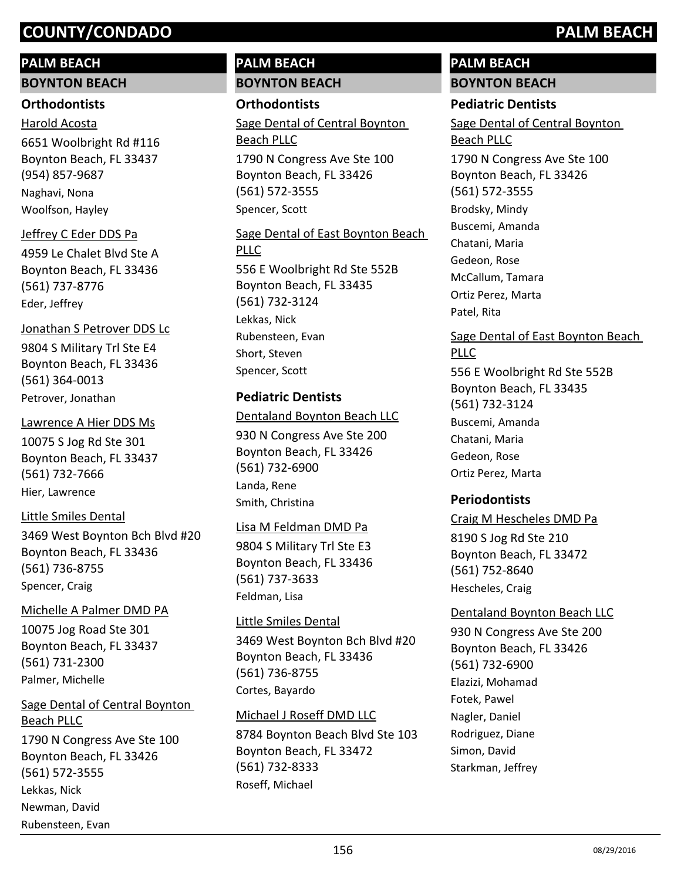## **PALM BEACH**

**BOYNTON BEACH**

## **Orthodontists**

6651 Woolbright Rd #116 Boynton Beach, FL 33437 (954) 857-9687 Harold Acosta Naghavi, Nona Woolfson, Hayley

## Jeffrey C Eder DDS Pa

4959 Le Chalet Blvd Ste A Boynton Beach, FL 33436 (561) 737-8776 Eder, Jeffrey

## Jonathan S Petrover DDS Lc

9804 S Military Trl Ste E4 Boynton Beach, FL 33436 (561) 364-0013 Petrover, Jonathan

## Lawrence A Hier DDS Ms

10075 S Jog Rd Ste 301 Boynton Beach, FL 33437 (561) 732-7666 Hier, Lawrence

## Little Smiles Dental

3469 West Boynton Bch Blvd #20 Boynton Beach, FL 33436 (561) 736-8755 Spencer, Craig

## Michelle A Palmer DMD PA

10075 Jog Road Ste 301 Boynton Beach, FL 33437 (561) 731-2300 Palmer, Michelle

# Sage Dental of Central Boynton Beach PLLC

1790 N Congress Ave Ste 100 Boynton Beach, FL 33426 (561) 572-3555 Lekkas, Nick Newman, David Rubensteen, Evan

## **PALM BEACH BOYNTON BEACH**

## **Orthodontists**

1790 N Congress Ave Ste 100 Boynton Beach, FL 33426 (561) 572-3555 Sage Dental of Central Boynton Beach PLLC Spencer, Scott

## 556 E Woolbright Rd Ste 552B Boynton Beach, FL 33435 (561) 732-3124 Sage Dental of East Boynton Beach PLLC Lekkas, Nick Rubensteen, Evan Short, Steven Spencer, Scott

## **Pediatric Dentists**

## Dentaland Boynton Beach LLC

930 N Congress Ave Ste 200 Boynton Beach, FL 33426 (561) 732-6900 Landa, Rene Smith, Christina

## Lisa M Feldman DMD Pa

9804 S Military Trl Ste E3 Boynton Beach, FL 33436 (561) 737-3633 Feldman, Lisa

## Little Smiles Dental

3469 West Boynton Bch Blvd #20 Boynton Beach, FL 33436 (561) 736-8755 Cortes, Bayardo

## Michael J Roseff DMD LLC

8784 Boynton Beach Blvd Ste 103 Boynton Beach, FL 33472 (561) 732-8333 Roseff, Michael

## **PALM BEACH BOYNTON BEACH**

## **Pediatric Dentists**

1790 N Congress Ave Ste 100 Sage Dental of Central Boynton Beach PLLC

Boynton Beach, FL 33426 (561) 572-3555 Brodsky, Mindy Buscemi, Amanda Chatani, Maria Gedeon, Rose McCallum, Tamara Ortiz Perez, Marta Patel, Rita

## Sage Dental of East Boynton Beach PLLC

556 E Woolbright Rd Ste 552B Boynton Beach, FL 33435 (561) 732-3124 Buscemi, Amanda Chatani, Maria Gedeon, Rose Ortiz Perez, Marta

## **Periodontists**

#### Craig M Hescheles DMD Pa

8190 S Jog Rd Ste 210 Boynton Beach, FL 33472 (561) 752-8640 Hescheles, Craig

## Dentaland Boynton Beach LLC

930 N Congress Ave Ste 200 Boynton Beach, FL 33426 (561) 732-6900 Elazizi, Mohamad Fotek, Pawel Nagler, Daniel Rodriguez, Diane Simon, David Starkman, Jeffrey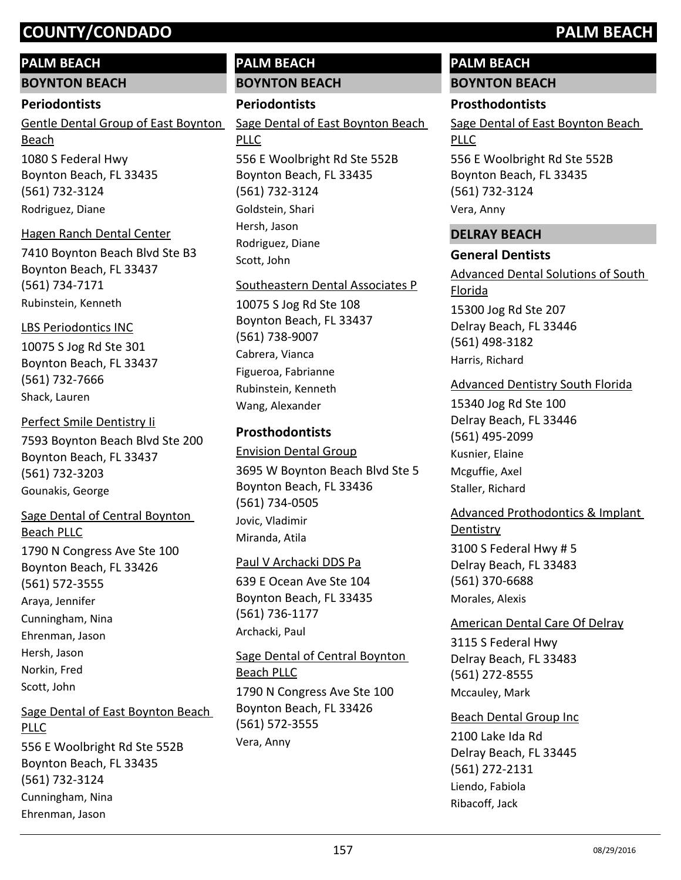## **PALM BEACH**

**BOYNTON BEACH**

#### **Periodontists**

1080 S Federal Hwy Boynton Beach, FL 33435 (561) 732-3124 Gentle Dental Group of East Boynton Beach Rodriguez, Diane

#### Hagen Ranch Dental Center

7410 Boynton Beach Blvd Ste B3 Boynton Beach, FL 33437 (561) 734-7171 Rubinstein, Kenneth

#### LBS Periodontics INC

10075 S Jog Rd Ste 301 Boynton Beach, FL 33437 (561) 732-7666 Shack, Lauren

7593 Boynton Beach Blvd Ste 200 Boynton Beach, FL 33437 (561) 732-3203 Perfect Smile Dentistry Ii Gounakis, George

## 1790 N Congress Ave Ste 100 Boynton Beach, FL 33426 (561) 572-3555 Sage Dental of Central Boynton Beach PLLC Araya, Jennifer Cunningham, Nina Ehrenman, Jason Hersh, Jason Norkin, Fred Scott, John

Sage Dental of East Boynton Beach PLLC

556 E Woolbright Rd Ste 552B Boynton Beach, FL 33435 (561) 732-3124 Cunningham, Nina Ehrenman, Jason

## **PALM BEACH BOYNTON BEACH**

## **Periodontists**

556 E Woolbright Rd Ste 552B Sage Dental of East Boynton Beach PLLC

Boynton Beach, FL 33435 (561) 732-3124 Goldstein, Shari Hersh, Jason Rodriguez, Diane Scott, John

#### Southeastern Dental Associates P

10075 S Jog Rd Ste 108 Boynton Beach, FL 33437 (561) 738-9007 Cabrera, Vianca Figueroa, Fabrianne Rubinstein, Kenneth Wang, Alexander

## **Prosthodontists**

3695 W Boynton Beach Blvd Ste 5 Boynton Beach, FL 33436 (561) 734-0505 Envision Dental Group Jovic, Vladimir Miranda, Atila

#### Paul V Archacki DDS Pa

639 E Ocean Ave Ste 104 Boynton Beach, FL 33435 (561) 736-1177 Archacki, Paul

1790 N Congress Ave Ste 100 Boynton Beach, FL 33426 (561) 572-3555 Sage Dental of Central Boynton Beach PLLC Vera, Anny

## **PALM BEACH BOYNTON BEACH**

## **Prosthodontists**

556 E Woolbright Rd Ste 552B Boynton Beach, FL 33435 (561) 732-3124 Sage Dental of East Boynton Beach PLLC

Vera, Anny

## **DELRAY BEACH**

## **General Dentists**

15300 Jog Rd Ste 207 Delray Beach, FL 33446 (561) 498-3182 Advanced Dental Solutions of South Florida Harris, Richard

## Advanced Dentistry South Florida

15340 Jog Rd Ste 100 Delray Beach, FL 33446 (561) 495-2099 Kusnier, Elaine Mcguffie, Axel Staller, Richard

## Advanced Prothodontics & Implant

3100 S Federal Hwy # 5 Delray Beach, FL 33483 (561) 370-6688 **Dentistry** Morales, Alexis

#### American Dental Care Of Delray

3115 S Federal Hwy Delray Beach, FL 33483 (561) 272-8555 Mccauley, Mark

2100 Lake Ida Rd Delray Beach, FL 33445 (561) 272-2131 Beach Dental Group Inc Liendo, Fabiola Ribacoff, Jack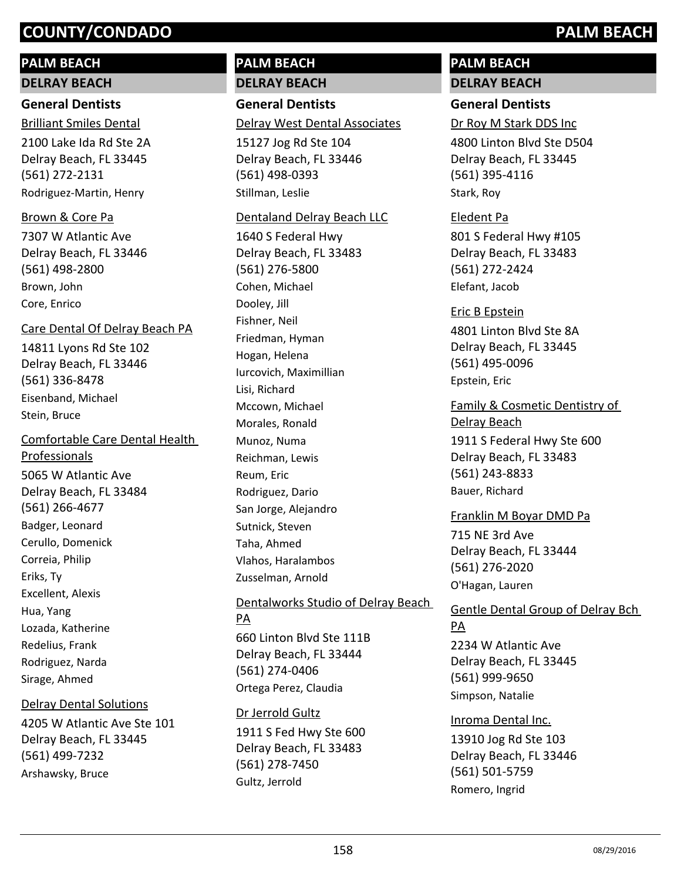## **PALM BEACH**

**DELRAY BEACH**

## **General Dentists**

2100 Lake Ida Rd Ste 2A Delray Beach, FL 33445 (561) 272-2131 Brilliant Smiles Dental Rodriguez-Martin, Henry

## Brown & Core Pa

7307 W Atlantic Ave Delray Beach, FL 33446 (561) 498-2800 Brown, John Core, Enrico

#### Care Dental Of Delray Beach PA

14811 Lyons Rd Ste 102 Delray Beach, FL 33446 (561) 336-8478 Eisenband, Michael Stein, Bruce

5065 W Atlantic Ave Delray Beach, FL 33484 (561) 266-4677 Comfortable Care Dental Health Professionals Badger, Leonard Cerullo, Domenick Correia, Philip Eriks, Ty Excellent, Alexis Hua, Yang Lozada, Katherine Redelius, Frank Rodriguez, Narda Sirage, Ahmed

#### Delray Dental Solutions

4205 W Atlantic Ave Ste 101 Delray Beach, FL 33445 (561) 499-7232 Arshawsky, Bruce

## **PALM BEACH DELRAY BEACH**

**General Dentists** Delray West Dental Associates

15127 Jog Rd Ste 104 Delray Beach, FL 33446 (561) 498-0393 Stillman, Leslie

#### Dentaland Delray Beach LLC

1640 S Federal Hwy Delray Beach, FL 33483 (561) 276-5800 Cohen, Michael Dooley, Jill Fishner, Neil Friedman, Hyman Hogan, Helena Iurcovich, Maximillian Lisi, Richard Mccown, Michael Morales, Ronald Munoz, Numa Reichman, Lewis Reum, Eric Rodriguez, Dario San Jorge, Alejandro Sutnick, Steven Taha, Ahmed Vlahos, Haralambos Zusselman, Arnold

## 660 Linton Blvd Ste 111B Delray Beach, FL 33444 (561) 274-0406 Dentalworks Studio of Delray Beach PA Ortega Perez, Claudia

1911 S Fed Hwy Ste 600 Delray Beach, FL 33483 (561) 278-7450 Dr Jerrold Gultz Gultz, Jerrold

## **PALM BEACH DELRAY BEACH**

## **General Dentists**

Dr Roy M Stark DDS Inc

4800 Linton Blvd Ste D504 Delray Beach, FL 33445 (561) 395-4116 Stark, Roy

## Eledent Pa

801 S Federal Hwy #105 Delray Beach, FL 33483 (561) 272-2424 Elefant, Jacob

4801 Linton Blvd Ste 8A Delray Beach, FL 33445 (561) 495-0096 Eric B Epstein Epstein, Eric

1911 S Federal Hwy Ste 600 Delray Beach, FL 33483 (561) 243-8833 Family & Cosmetic Dentistry of Delray Beach

Bauer, Richard

## 715 NE 3rd Ave Delray Beach, FL 33444 (561) 276-2020 Franklin M Boyar DMD Pa O'Hagan, Lauren

# 2234 W Atlantic Ave Gentle Dental Group of Delray Bch PA

Delray Beach, FL 33445 (561) 999-9650 Simpson, Natalie

Inroma Dental Inc.

13910 Jog Rd Ste 103 Delray Beach, FL 33446 (561) 501-5759 Romero, Ingrid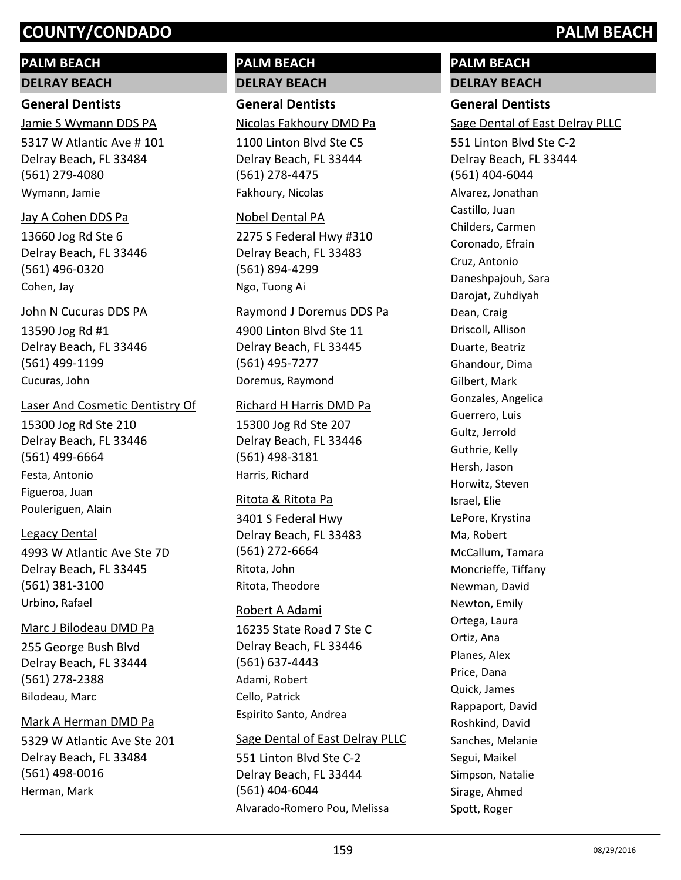## **PALM BEACH**

**DELRAY BEACH**

## **General Dentists**

5317 W Atlantic Ave # 101 Delray Beach, FL 33484 (561) 279-4080 Jamie S Wymann DDS PA

Wymann, Jamie

## Jay A Cohen DDS Pa

13660 Jog Rd Ste 6 Delray Beach, FL 33446 (561) 496-0320 Cohen, Jay

## John N Cucuras DDS PA

13590 Jog Rd #1 Delray Beach, FL 33446 (561) 499-1199 Cucuras, John

## Laser And Cosmetic Dentistry Of

15300 Jog Rd Ste 210 Delray Beach, FL 33446 (561) 499-6664 Festa, Antonio Figueroa, Juan Pouleriguen, Alain

## Legacy Dental

4993 W Atlantic Ave Ste 7D Delray Beach, FL 33445 (561) 381-3100 Urbino, Rafael

## Marc J Bilodeau DMD Pa

255 George Bush Blvd Delray Beach, FL 33444 (561) 278-2388 Bilodeau, Marc

## Mark A Herman DMD Pa

5329 W Atlantic Ave Ste 201 Delray Beach, FL 33484 (561) 498-0016 Herman, Mark

## **PALM BEACH DELRAY BEACH**

**General Dentists** Nicolas Fakhoury DMD Pa

1100 Linton Blvd Ste C5 Delray Beach, FL 33444 (561) 278-4475 Fakhoury, Nicolas

## Nobel Dental PA

2275 S Federal Hwy #310 Delray Beach, FL 33483 (561) 894-4299 Ngo, Tuong Ai

## Raymond J Doremus DDS Pa

4900 Linton Blvd Ste 11 Delray Beach, FL 33445 (561) 495-7277 Doremus, Raymond

## Richard H Harris DMD Pa

15300 Jog Rd Ste 207 Delray Beach, FL 33446 (561) 498-3181 Harris, Richard

## Ritota & Ritota Pa

3401 S Federal Hwy Delray Beach, FL 33483 (561) 272-6664 Ritota, John Ritota, Theodore

## Robert A Adami

16235 State Road 7 Ste C Delray Beach, FL 33446 (561) 637-4443 Adami, Robert Cello, Patrick Espirito Santo, Andrea

## Sage Dental of East Delray PLLC

551 Linton Blvd Ste C-2 Delray Beach, FL 33444 (561) 404-6044 Alvarado-Romero Pou, Melissa

## **PALM BEACH DELRAY BEACH**

# **General Dentists**

Sage Dental of East Delray PLLC

551 Linton Blvd Ste C-2 Delray Beach, FL 33444 (561) 404-6044 Alvarez, Jonathan Castillo, Juan Childers, Carmen Coronado, Efrain Cruz, Antonio Daneshpajouh, Sara Darojat, Zuhdiyah Dean, Craig Driscoll, Allison Duarte, Beatriz Ghandour, Dima Gilbert, Mark Gonzales, Angelica Guerrero, Luis Gultz, Jerrold Guthrie, Kelly Hersh, Jason Horwitz, Steven Israel, Elie LePore, Krystina Ma, Robert McCallum, Tamara Moncrieffe, Tiffany Newman, David Newton, Emily Ortega, Laura Ortiz, Ana Planes, Alex Price, Dana Quick, James Rappaport, David Roshkind, David Sanches, Melanie Segui, Maikel Simpson, Natalie Sirage, Ahmed Spott, Roger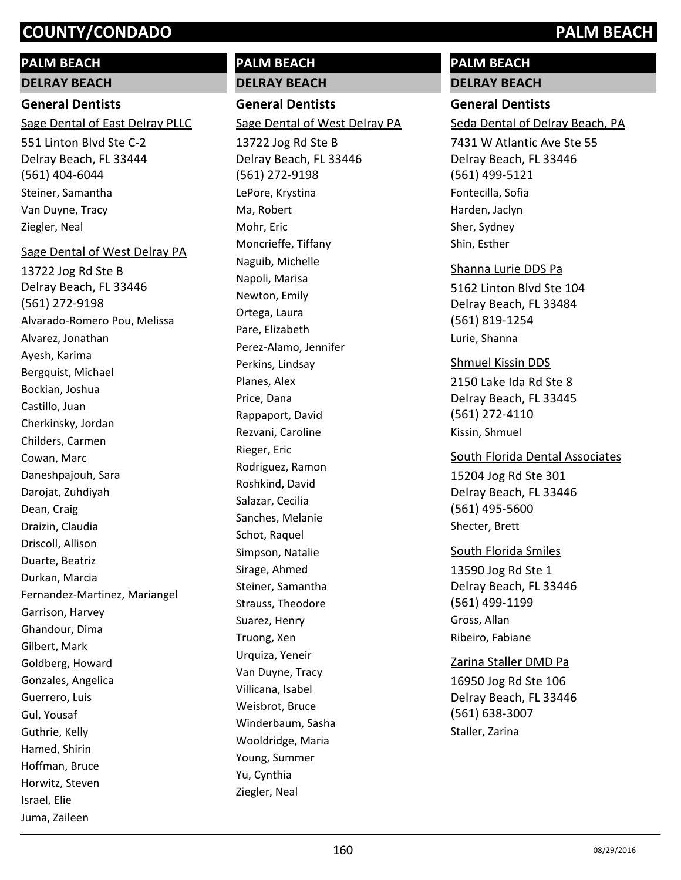## **PALM BEACH**

**DELRAY BEACH**

## **General Dentists**

Sage Dental of East Delray PLLC

551 Linton Blvd Ste C-2 Delray Beach, FL 33444 (561) 404-6044 Steiner, Samantha Van Duyne, Tracy Ziegler, Neal

## Sage Dental of West Delray PA

13722 Jog Rd Ste B Delray Beach, FL 33446 (561) 272-9198 Alvarado-Romero Pou, Melissa Alvarez, Jonathan Ayesh, Karima Bergquist, Michael Bockian, Joshua Castillo, Juan Cherkinsky, Jordan Childers, Carmen Cowan, Marc Daneshpajouh, Sara Darojat, Zuhdiyah Dean, Craig Draizin, Claudia Driscoll, Allison Duarte, Beatriz Durkan, Marcia Fernandez-Martinez, Mariangel Garrison, Harvey Ghandour, Dima Gilbert, Mark Goldberg, Howard Gonzales, Angelica Guerrero, Luis Gul, Yousaf Guthrie, Kelly Hamed, Shirin Hoffman, Bruce Horwitz, Steven Israel, Elie Juma, Zaileen

## **PALM BEACH DELRAY BEACH**

**General Dentists** 13722 Jog Rd Ste B Delray Beach, FL 33446 (561) 272-9198 Sage Dental of West Delray PA LePore, Krystina Ma, Robert Mohr, Eric

Moncrieffe, Tiffany Naguib, Michelle Napoli, Marisa Newton, Emily Ortega, Laura Pare, Elizabeth Perez-Alamo, Jennifer Perkins, Lindsay Planes, Alex Price, Dana Rappaport, David Rezvani, Caroline Rieger, Eric Rodriguez, Ramon Roshkind, David Salazar, Cecilia Sanches, Melanie Schot, Raquel Simpson, Natalie Sirage, Ahmed Steiner, Samantha Strauss, Theodore Suarez, Henry Truong, Xen Urquiza, Yeneir Van Duyne, Tracy Villicana, Isabel Weisbrot, Bruce Winderbaum, Sasha Wooldridge, Maria Young, Summer Yu, Cynthia Ziegler, Neal

## **PALM BEACH DELRAY BEACH**

# **General Dentists**

Seda Dental of Delray Beach, PA

7431 W Atlantic Ave Ste 55 Delray Beach, FL 33446 (561) 499-5121 Fontecilla, Sofia Harden, Jaclyn Sher, Sydney Shin, Esther

## Shanna Lurie DDS Pa

5162 Linton Blvd Ste 104 Delray Beach, FL 33484 (561) 819-1254 Lurie, Shanna

## Shmuel Kissin DDS

2150 Lake Ida Rd Ste 8 Delray Beach, FL 33445 (561) 272-4110 Kissin, Shmuel

15204 Jog Rd Ste 301 Delray Beach, FL 33446 (561) 495-5600 South Florida Dental Associates Shecter, Brett

13590 Jog Rd Ste 1 Delray Beach, FL 33446 (561) 499-1199 South Florida Smiles Gross, Allan Ribeiro, Fabiane

## Zarina Staller DMD Pa

16950 Jog Rd Ste 106 Delray Beach, FL 33446 (561) 638-3007 Staller, Zarina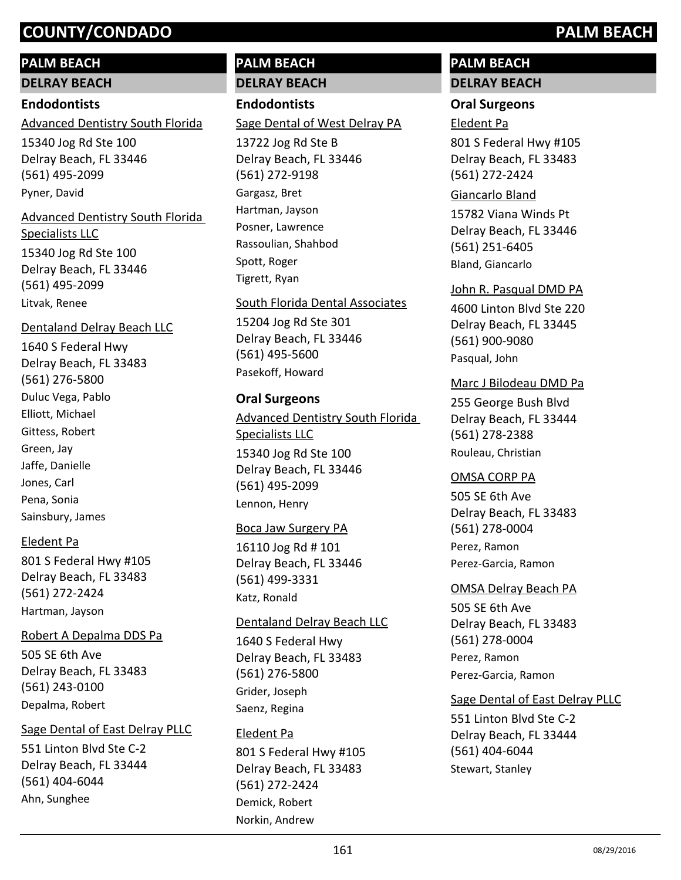## **PALM BEACH**

**DELRAY BEACH**

#### **Endodontists**

Advanced Dentistry South Florida

15340 Jog Rd Ste 100 Delray Beach, FL 33446 (561) 495-2099 Pyner, David

## 15340 Jog Rd Ste 100 Advanced Dentistry South Florida Specialists LLC

Delray Beach, FL 33446 (561) 495-2099 Litvak, Renee

#### Dentaland Delray Beach LLC

1640 S Federal Hwy Delray Beach, FL 33483 (561) 276-5800 Duluc Vega, Pablo Elliott, Michael Gittess, Robert Green, Jay Jaffe, Danielle Jones, Carl Pena, Sonia Sainsbury, James

#### Eledent Pa

801 S Federal Hwy #105 Delray Beach, FL 33483 (561) 272-2424 Hartman, Jayson

#### Robert A Depalma DDS Pa

505 SE 6th Ave Delray Beach, FL 33483 (561) 243-0100 Depalma, Robert

#### Sage Dental of East Delray PLLC

551 Linton Blvd Ste C-2 Delray Beach, FL 33444 (561) 404-6044 Ahn, Sunghee

## **PALM BEACH DELRAY BEACH**

## **Endodontists**

Sage Dental of West Delray PA

13722 Jog Rd Ste B Delray Beach, FL 33446 (561) 272-9198 Gargasz, Bret Hartman, Jayson Posner, Lawrence Rassoulian, Shahbod Spott, Roger Tigrett, Ryan

#### South Florida Dental Associates

15204 Jog Rd Ste 301 Delray Beach, FL 33446 (561) 495-5600 Pasekoff, Howard

## **Oral Surgeons**

Advanced Dentistry South Florida Specialists LLC

15340 Jog Rd Ste 100 Delray Beach, FL 33446 (561) 495-2099 Lennon, Henry

#### Boca Jaw Surgery PA

16110 Jog Rd # 101 Delray Beach, FL 33446 (561) 499-3331 Katz, Ronald

#### Dentaland Delray Beach LLC

1640 S Federal Hwy Delray Beach, FL 33483 (561) 276-5800 Grider, Joseph Saenz, Regina

## Eledent Pa

801 S Federal Hwy #105 Delray Beach, FL 33483 (561) 272-2424 Demick, Robert Norkin, Andrew

## **PALM BEACH DELRAY BEACH**

# **Oral Surgeons**

## Eledent Pa

801 S Federal Hwy #105 Delray Beach, FL 33483 (561) 272-2424

#### Giancarlo Bland

15782 Viana Winds Pt Delray Beach, FL 33446 (561) 251-6405 Bland, Giancarlo

## John R. Pasqual DMD PA

4600 Linton Blvd Ste 220 Delray Beach, FL 33445 (561) 900-9080 Pasqual, John

## Marc J Bilodeau DMD Pa

255 George Bush Blvd Delray Beach, FL 33444 (561) 278-2388 Rouleau, Christian

#### OMSA CORP PA

505 SE 6th Ave Delray Beach, FL 33483 (561) 278-0004 Perez, Ramon Perez-Garcia, Ramon

#### OMSA Delray Beach PA

505 SE 6th Ave Delray Beach, FL 33483 (561) 278-0004 Perez, Ramon Perez-Garcia, Ramon

## Sage Dental of East Delray PLLC

551 Linton Blvd Ste C-2 Delray Beach, FL 33444 (561) 404-6044 Stewart, Stanley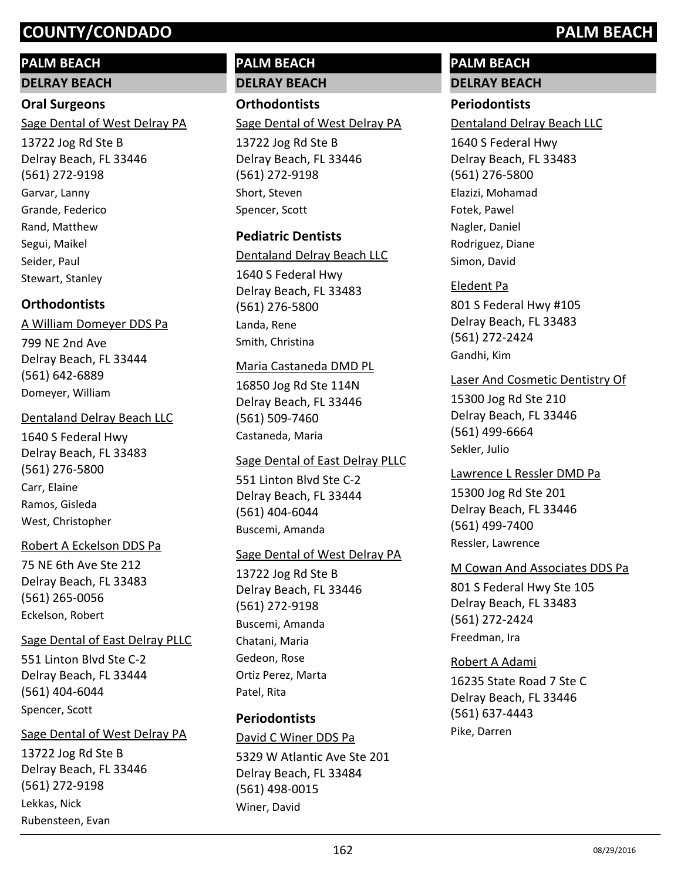## **PALM BEACH**

**DELRAY BEACH**

## **Oral Surgeons**

Sage Dental of West Delray PA

13722 Jog Rd Ste B Delray Beach, FL 33446 (561) 272-9198 Garvar, Lanny Grande, Federico Rand, Matthew Segui, Maikel Seider, Paul Stewart, Stanley

## **Orthodontists**

## A William Domeyer DDS Pa

799 NE 2nd Ave Delray Beach, FL 33444 (561) 642-6889 Domeyer, William

## Dentaland Delray Beach LLC

1640 S Federal Hwy Delray Beach, FL 33483 (561) 276-5800 Carr, Elaine Ramos, Gisleda West, Christopher

## Robert A Eckelson DDS Pa

75 NE 6th Ave Ste 212 Delray Beach, FL 33483 (561) 265-0056 Eckelson, Robert

## Sage Dental of East Delray PLLC

551 Linton Blvd Ste C-2 Delray Beach, FL 33444 (561) 404-6044 Spencer, Scott

## Sage Dental of West Delray PA

13722 Jog Rd Ste B Delray Beach, FL 33446 (561) 272-9198 Lekkas, Nick Rubensteen, Evan

## **PALM BEACH DELRAY BEACH**

**Orthodontists** Sage Dental of West Delray PA

13722 Jog Rd Ste B Delray Beach, FL 33446 (561) 272-9198 Short, Steven Spencer, Scott

## **Pediatric Dentists**

## Dentaland Delray Beach LLC

1640 S Federal Hwy Delray Beach, FL 33483 (561) 276-5800 Landa, Rene Smith, Christina

## Maria Castaneda DMD PL

16850 Jog Rd Ste 114N Delray Beach, FL 33446 (561) 509-7460 Castaneda, Maria

## Sage Dental of East Delray PLLC

551 Linton Blvd Ste C-2 Delray Beach, FL 33444 (561) 404-6044 Buscemi, Amanda

## Sage Dental of West Delray PA

13722 Jog Rd Ste B Delray Beach, FL 33446 (561) 272-9198 Buscemi, Amanda Chatani, Maria Gedeon, Rose Ortiz Perez, Marta Patel, Rita

## **Periodontists**

5329 W Atlantic Ave Ste 201 Delray Beach, FL 33484 (561) 498-0015 David C Winer DDS Pa Winer, David

# **PALM BEACH**

# **DELRAY BEACH**

## **Periodontists**

Dentaland Delray Beach LLC

1640 S Federal Hwy Delray Beach, FL 33483 (561) 276-5800 Elazizi, Mohamad Fotek, Pawel Nagler, Daniel Rodriguez, Diane Simon, David

## Eledent Pa

801 S Federal Hwy #105 Delray Beach, FL 33483 (561) 272-2424 Gandhi, Kim

## Laser And Cosmetic Dentistry Of

15300 Jog Rd Ste 210 Delray Beach, FL 33446 (561) 499-6664 Sekler, Julio

## Lawrence L Ressler DMD Pa

15300 Jog Rd Ste 201 Delray Beach, FL 33446 (561) 499-7400 Ressler, Lawrence

## M Cowan And Associates DDS Pa

801 S Federal Hwy Ste 105 Delray Beach, FL 33483 (561) 272-2424 Freedman, Ira

## Robert A Adami

16235 State Road 7 Ste C Delray Beach, FL 33446 (561) 637-4443 Pike, Darren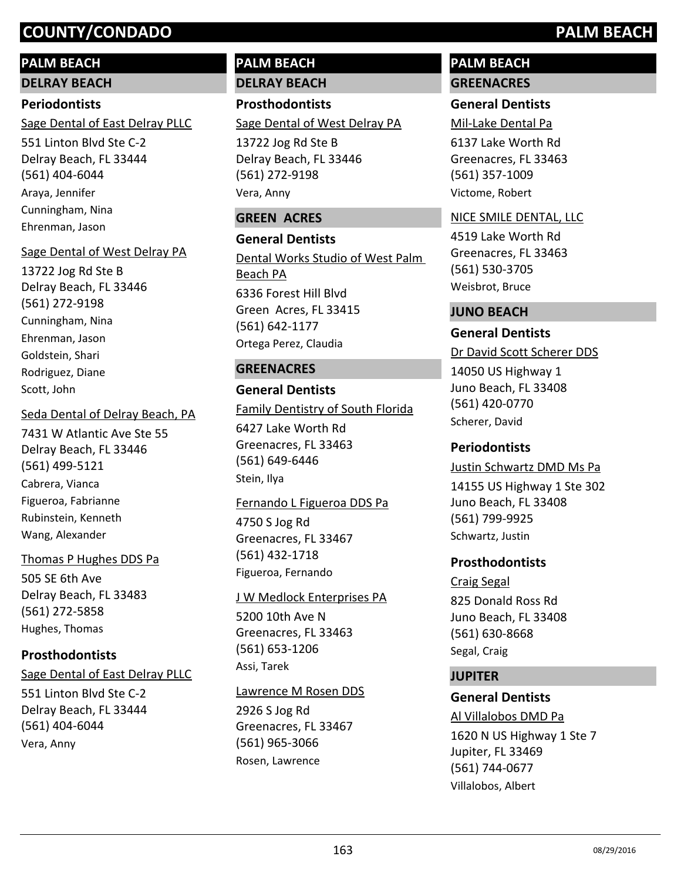## **PALM BEACH**

**DELRAY BEACH**

## **Periodontists**

Sage Dental of East Delray PLLC

551 Linton Blvd Ste C-2 Delray Beach, FL 33444 (561) 404-6044 Araya, Jennifer Cunningham, Nina Ehrenman, Jason

## Sage Dental of West Delray PA

13722 Jog Rd Ste B Delray Beach, FL 33446 (561) 272-9198 Cunningham, Nina Ehrenman, Jason Goldstein, Shari Rodriguez, Diane Scott, John

## Seda Dental of Delray Beach, PA

7431 W Atlantic Ave Ste 55 Delray Beach, FL 33446 (561) 499-5121 Cabrera, Vianca Figueroa, Fabrianne Rubinstein, Kenneth Wang, Alexander

## Thomas P Hughes DDS Pa

505 SE 6th Ave Delray Beach, FL 33483 (561) 272-5858 Hughes, Thomas

## **Prosthodontists**

## Sage Dental of East Delray PLLC

551 Linton Blvd Ste C-2 Delray Beach, FL 33444 (561) 404-6044 Vera, Anny

## **PALM BEACH DELRAY BEACH**

**Prosthodontists** Sage Dental of West Delray PA

13722 Jog Rd Ste B Delray Beach, FL 33446 (561) 272-9198 Vera, Anny

## **GREEN ACRES**

**General Dentists** 6336 Forest Hill Blvd Green Acres, FL 33415 (561) 642-1177 Dental Works Studio of West Palm Beach PA Ortega Perez, Claudia

## **GREENACRES**

## **General Dentists**

6427 Lake Worth Rd Greenacres, FL 33463 (561) 649-6446 Family Dentistry of South Florida Stein, Ilya

## Fernando L Figueroa DDS Pa

4750 S Jog Rd Greenacres, FL 33467 (561) 432-1718 Figueroa, Fernando

## J W Medlock Enterprises PA

5200 10th Ave N Greenacres, FL 33463 (561) 653-1206 Assi, Tarek

## Lawrence M Rosen DDS

2926 S Jog Rd Greenacres, FL 33467 (561) 965-3066 Rosen, Lawrence

## **PALM BEACH GREENACRES**

## **General Dentists**

Mil-Lake Dental Pa

6137 Lake Worth Rd Greenacres, FL 33463 (561) 357-1009 Victome, Robert

## NICE SMILE DENTAL, LLC

4519 Lake Worth Rd Greenacres, FL 33463 (561) 530-3705 Weisbrot, Bruce

## **JUNO BEACH**

## **General Dentists**

14050 US Highway 1 Juno Beach, FL 33408 (561) 420-0770 Dr David Scott Scherer DDS Scherer, David

## **Periodontists**

## Justin Schwartz DMD Ms Pa

14155 US Highway 1 Ste 302 Juno Beach, FL 33408 (561) 799-9925 Schwartz, Justin

## **Prosthodontists**

825 Donald Ross Rd Juno Beach, FL 33408 (561) 630-8668 Craig Segal Segal, Craig

## **JUPITER**

## **General Dentists**

1620 N US Highway 1 Ste 7 Jupiter, FL 33469 (561) 744-0677 Al Villalobos DMD Pa Villalobos, Albert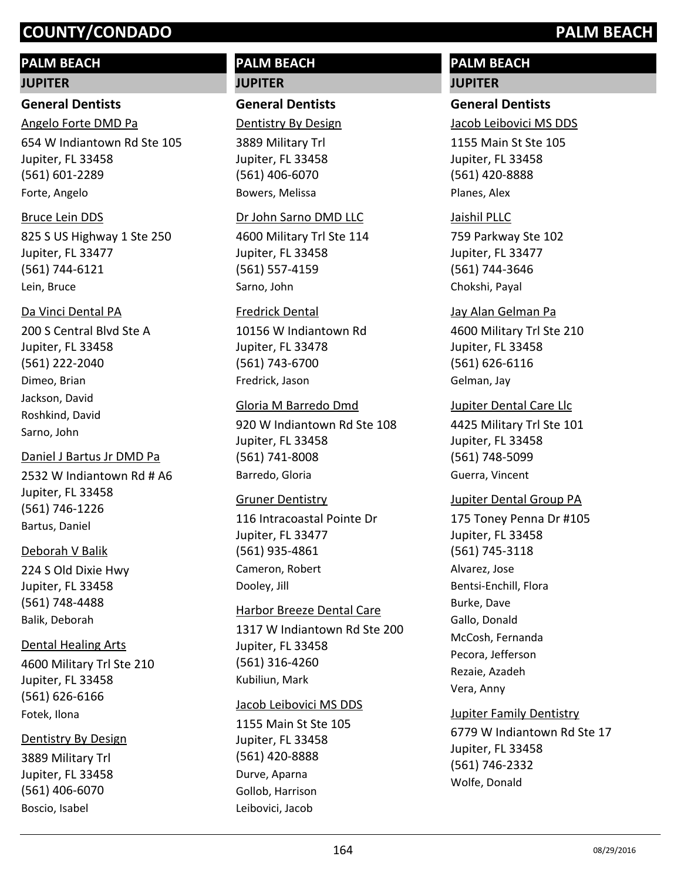## **PALM BEACH**

#### **JUPITER**

### **General Dentists**

654 W Indiantown Rd Ste 105 Jupiter, FL 33458 (561) 601-2289 Angelo Forte DMD Pa Forte, Angelo

#### Bruce Lein DDS

825 S US Highway 1 Ste 250 Jupiter, FL 33477 (561) 744-6121 Lein, Bruce

## Da Vinci Dental PA

200 S Central Blvd Ste A Jupiter, FL 33458 (561) 222-2040 Dimeo, Brian Jackson, David Roshkind, David Sarno, John

## Daniel J Bartus Jr DMD Pa

2532 W Indiantown Rd # A6 Jupiter, FL 33458 (561) 746-1226 Bartus, Daniel

## Deborah V Balik

224 S Old Dixie Hwy Jupiter, FL 33458 (561) 748-4488 Balik, Deborah

## Dental Healing Arts

4600 Military Trl Ste 210 Jupiter, FL 33458 (561) 626-6166 Fotek, Ilona

## Dentistry By Design

3889 Military Trl Jupiter, FL 33458 (561) 406-6070 Boscio, Isabel

## **PALM BEACH JUPITER**

## **General Dentists**

Dentistry By Design

3889 Military Trl Jupiter, FL 33458 (561) 406-6070 Bowers, Melissa

#### Dr John Sarno DMD LLC

4600 Military Trl Ste 114 Jupiter, FL 33458 (561) 557-4159 Sarno, John

## Fredrick Dental

10156 W Indiantown Rd Jupiter, FL 33478 (561) 743-6700 Fredrick, Jason

## Gloria M Barredo Dmd

920 W Indiantown Rd Ste 108 Jupiter, FL 33458 (561) 741-8008 Barredo, Gloria

#### Gruner Dentistry

116 Intracoastal Pointe Dr Jupiter, FL 33477 (561) 935-4861 Cameron, Robert Dooley, Jill

## Harbor Breeze Dental Care

1317 W Indiantown Rd Ste 200 Jupiter, FL 33458 (561) 316-4260 Kubiliun, Mark

#### Jacob Leibovici MS DDS

1155 Main St Ste 105 Jupiter, FL 33458 (561) 420-8888 Durve, Aparna Gollob, Harrison Leibovici, Jacob

## **PALM BEACH JUPITER**

## **General Dentists**

Jacob Leibovici MS DDS

1155 Main St Ste 105 Jupiter, FL 33458 (561) 420-8888 Planes, Alex

## Jaishil PLLC

759 Parkway Ste 102 Jupiter, FL 33477 (561) 744-3646 Chokshi, Payal

## 4600 Military Trl Ste 210 Jupiter, FL 33458 Jay Alan Gelman Pa

(561) 626-6116 Gelman, Jay

## Jupiter Dental Care Llc

4425 Military Trl Ste 101 Jupiter, FL 33458 (561) 748-5099 Guerra, Vincent

## Jupiter Dental Group PA

175 Toney Penna Dr #105 Jupiter, FL 33458 (561) 745-3118 Alvarez, Jose Bentsi-Enchill, Flora Burke, Dave Gallo, Donald McCosh, Fernanda Pecora, Jefferson Rezaie, Azadeh Vera, Anny

# Jupiter Family Dentistry

6779 W Indiantown Rd Ste 17 Jupiter, FL 33458 (561) 746-2332 Wolfe, Donald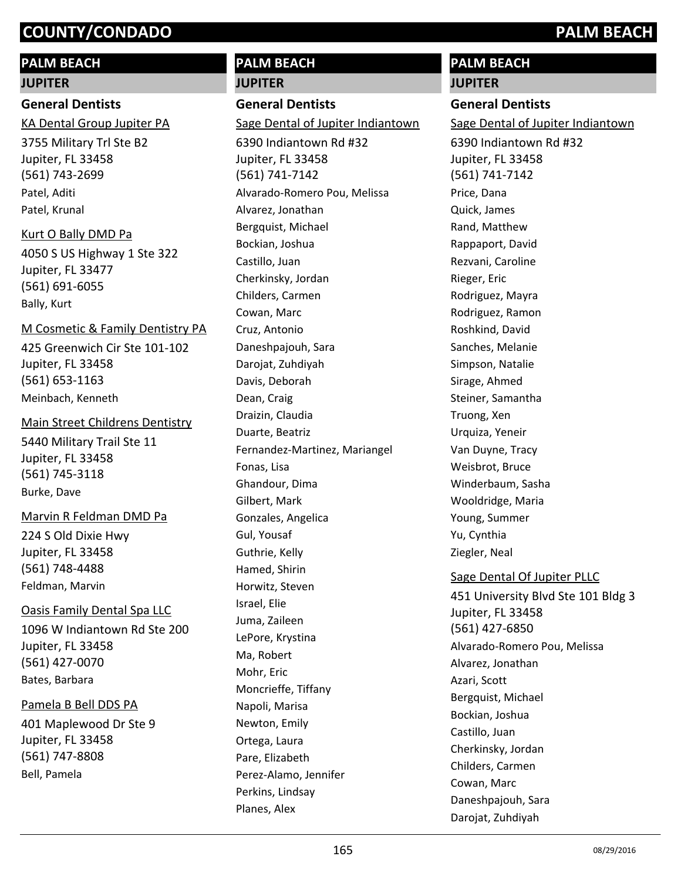## **PALM BEACH**

## **JUPITER**

**General Dentists**

3755 Military Trl Ste B2 Jupiter, FL 33458 (561) 743-2699 KA Dental Group Jupiter PA Patel, Aditi Patel, Krunal

Kurt O Bally DMD Pa

4050 S US Highway 1 Ste 322 Jupiter, FL 33477 (561) 691-6055 Bally, Kurt

## M Cosmetic & Family Dentistry PA

425 Greenwich Cir Ste 101-102 Jupiter, FL 33458 (561) 653-1163 Meinbach, Kenneth

5440 Military Trail Ste 11 Jupiter, FL 33458 (561) 745-3118 Main Street Childrens Dentistry Burke, Dave

## Marvin R Feldman DMD Pa

224 S Old Dixie Hwy Jupiter, FL 33458 (561) 748-4488 Feldman, Marvin

## Oasis Family Dental Spa LLC

1096 W Indiantown Rd Ste 200 Jupiter, FL 33458 (561) 427-0070 Bates, Barbara

## Pamela B Bell DDS PA

401 Maplewood Dr Ste 9 Jupiter, FL 33458 (561) 747-8808 Bell, Pamela

## **PALM BEACH JUPITER**

**General Dentists**

Cherkinsky, Jordan

6390 Indiantown Rd #32 Jupiter, FL 33458 (561) 741-7142 Sage Dental of Jupiter Indiantown Alvarado-Romero Pou, Melissa Alvarez, Jonathan Bergquist, Michael Bockian, Joshua Castillo, Juan

Childers, Carmen Cowan, Marc Cruz, Antonio Daneshpajouh, Sara Darojat, Zuhdiyah Davis, Deborah Dean, Craig Draizin, Claudia Duarte, Beatriz Fernandez-Martinez, Mariangel Fonas, Lisa Ghandour, Dima Gilbert, Mark Gonzales, Angelica Gul, Yousaf Guthrie, Kelly Hamed, Shirin Horwitz, Steven Israel, Elie Juma, Zaileen LePore, Krystina Ma, Robert Mohr, Eric Moncrieffe, Tiffany

Napoli, Marisa Newton, Emily Ortega, Laura Pare, Elizabeth

Perez-Alamo, Jennifer

Perkins, Lindsay Planes, Alex

# **PALM BEACH**

**JUPITER**

## **General Dentists**

Sage Dental of Jupiter Indiantown

6390 Indiantown Rd #32 Jupiter, FL 33458 (561) 741-7142 Price, Dana Quick, James Rand, Matthew Rappaport, David Rezvani, Caroline Rieger, Eric Rodriguez, Mayra Rodriguez, Ramon Roshkind, David Sanches, Melanie Simpson, Natalie Sirage, Ahmed Steiner, Samantha Truong, Xen Urquiza, Yeneir Van Duyne, Tracy Weisbrot, Bruce Winderbaum, Sasha Wooldridge, Maria Young, Summer Yu, Cynthia Ziegler, Neal

## Sage Dental Of Jupiter PLLC

451 University Blvd Ste 101 Bldg 3 Jupiter, FL 33458 (561) 427-6850 Alvarado-Romero Pou, Melissa Alvarez, Jonathan Azari, Scott Bergquist, Michael Bockian, Joshua Castillo, Juan Cherkinsky, Jordan Childers, Carmen Cowan, Marc Daneshpajouh, Sara Darojat, Zuhdiyah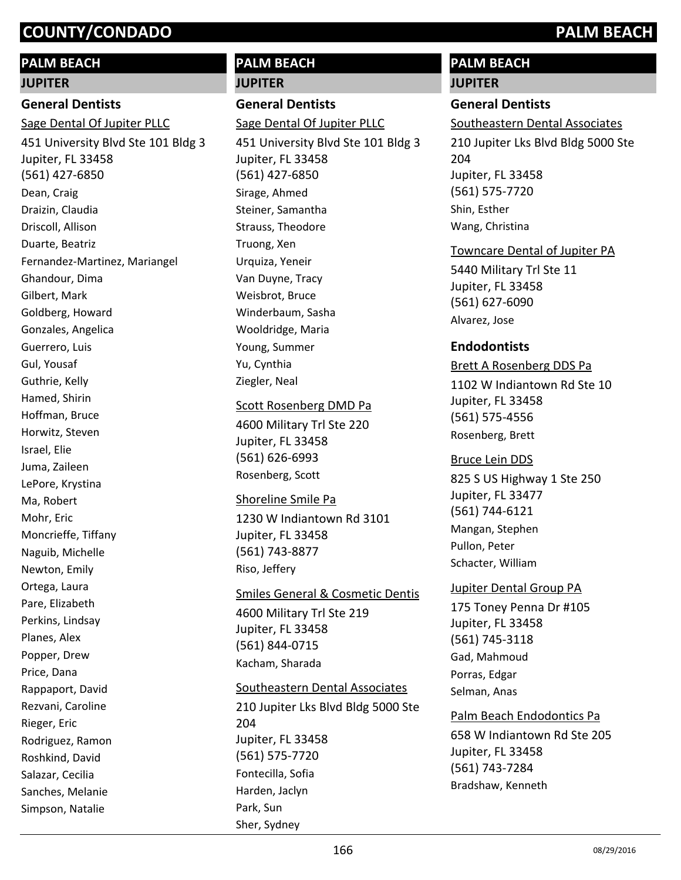## **PALM BEACH**

#### **JUPITER**

## **General Dentists**

451 University Blvd Ste 101 Bldg 3 Jupiter, FL 33458 (561) 427-6850 Sage Dental Of Jupiter PLLC Dean, Craig Draizin, Claudia Driscoll, Allison Duarte, Beatriz Fernandez-Martinez, Mariangel Ghandour, Dima Gilbert, Mark Goldberg, Howard Gonzales, Angelica Guerrero, Luis Gul, Yousaf Guthrie, Kelly Hamed, Shirin Hoffman, Bruce Horwitz, Steven Israel, Elie Juma, Zaileen LePore, Krystina Ma, Robert Mohr, Eric Moncrieffe, Tiffany Naguib, Michelle Newton, Emily Ortega, Laura Pare, Elizabeth Perkins, Lindsay Planes, Alex Popper, Drew Price, Dana Rappaport, David Rezvani, Caroline Rieger, Eric Rodriguez, Ramon Roshkind, David

Salazar, Cecilia Sanches, Melanie Simpson, Natalie

# **PALM BEACH JUPITER**

**General Dentists** 451 University Blvd Ste 101 Bldg 3 Jupiter, FL 33458 (561) 427-6850 Sage Dental Of Jupiter PLLC Sirage, Ahmed Steiner, Samantha Strauss, Theodore Truong, Xen Urquiza, Yeneir Van Duyne, Tracy Weisbrot, Bruce Winderbaum, Sasha Wooldridge, Maria Young, Summer Yu, Cynthia Ziegler, Neal Scott Rosenberg DMD Pa

4600 Military Trl Ste 220 Jupiter, FL 33458 (561) 626-6993 Rosenberg, Scott

1230 W Indiantown Rd 3101 Jupiter, FL 33458 (561) 743-8877 Shoreline Smile Pa Riso, Jeffery

4600 Military Trl Ste 219 Jupiter, FL 33458 (561) 844-0715 Smiles General & Cosmetic Dentis Kacham, Sharada

210 Jupiter Lks Blvd Bldg 5000 Ste 204 Jupiter, FL 33458 (561) 575-7720 Southeastern Dental Associates Fontecilla, Sofia Harden, Jaclyn Park, Sun Sher, Sydney

# **PALM BEACH**

# **JUPITER**

**General Dentists** 210 Jupiter Lks Blvd Bldg 5000 Ste 204 Jupiter, FL 33458 (561) 575-7720 Southeastern Dental Associates Shin, Esther Wang, Christina

Towncare Dental of Jupiter PA

5440 Military Trl Ste 11 Jupiter, FL 33458 (561) 627-6090 Alvarez, Jose

## **Endodontists**

1102 W Indiantown Rd Ste 10 Jupiter, FL 33458 (561) 575-4556 Brett A Rosenberg DDS Pa Rosenberg, Brett

825 S US Highway 1 Ste 250 Jupiter, FL 33477 (561) 744-6121 Bruce Lein DDS Mangan, Stephen Pullon, Peter Schacter, William

Jupiter Dental Group PA

175 Toney Penna Dr #105 Jupiter, FL 33458 (561) 745-3118 Gad, Mahmoud Porras, Edgar Selman, Anas

658 W Indiantown Rd Ste 205 Jupiter, FL 33458 (561) 743-7284 Palm Beach Endodontics Pa Bradshaw, Kenneth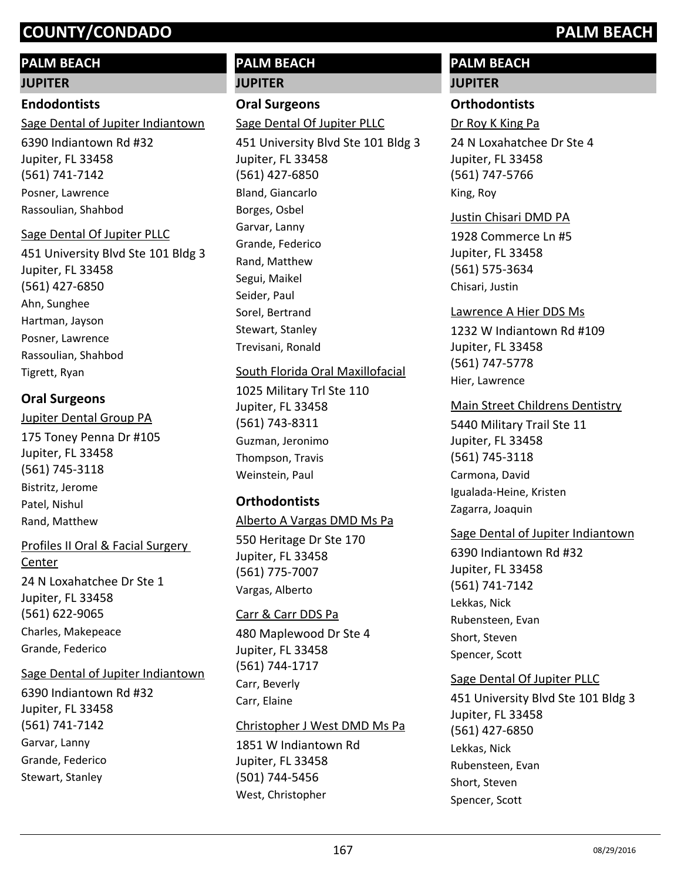## **PALM BEACH**

#### **JUPITER**

### **Endodontists**

6390 Indiantown Rd #32 Jupiter, FL 33458 (561) 741-7142 Sage Dental of Jupiter Indiantown Posner, Lawrence Rassoulian, Shahbod

#### Sage Dental Of Jupiter PLLC

451 University Blvd Ste 101 Bldg 3 Jupiter, FL 33458 (561) 427-6850 Ahn, Sunghee Hartman, Jayson Posner, Lawrence Rassoulian, Shahbod Tigrett, Ryan

## **Oral Surgeons**

## 175 Toney Penna Dr #105 Jupiter, FL 33458 (561) 745-3118 Jupiter Dental Group PA Bistritz, Jerome Patel, Nishul Rand, Matthew

## Profiles II Oral & Facial Surgery Center

24 N Loxahatchee Dr Ste 1 Jupiter, FL 33458 (561) 622-9065 Charles, Makepeace Grande, Federico

#### Sage Dental of Jupiter Indiantown

6390 Indiantown Rd #32 Jupiter, FL 33458 (561) 741-7142 Garvar, Lanny Grande, Federico Stewart, Stanley

## **PALM BEACH JUPITER**

## **Oral Surgeons**

451 University Blvd Ste 101 Bldg 3 Sage Dental Of Jupiter PLLC

Jupiter, FL 33458 (561) 427-6850 Bland, Giancarlo Borges, Osbel Garvar, Lanny Grande, Federico Rand, Matthew Segui, Maikel Seider, Paul Sorel, Bertrand Stewart, Stanley Trevisani, Ronald

## South Florida Oral Maxillofacial

1025 Military Trl Ste 110 Jupiter, FL 33458 (561) 743-8311 Guzman, Jeronimo Thompson, Travis Weinstein, Paul

## **Orthodontists**

# Alberto A Vargas DMD Ms Pa

550 Heritage Dr Ste 170 Jupiter, FL 33458 (561) 775-7007 Vargas, Alberto

#### Carr & Carr DDS Pa

480 Maplewood Dr Ste 4 Jupiter, FL 33458 (561) 744-1717 Carr, Beverly Carr, Elaine

#### Christopher J West DMD Ms Pa

1851 W Indiantown Rd Jupiter, FL 33458 (501) 744-5456 West, Christopher

## **PALM BEACH**

## **JUPITER**

## **Orthodontists**

Dr Roy K King Pa

24 N Loxahatchee Dr Ste 4 Jupiter, FL 33458 (561) 747-5766 King, Roy

#### Justin Chisari DMD PA

1928 Commerce Ln #5 Jupiter, FL 33458 (561) 575-3634 Chisari, Justin

## Lawrence A Hier DDS Ms

1232 W Indiantown Rd #109 Jupiter, FL 33458 (561) 747-5778 Hier, Lawrence

## Main Street Childrens Dentistry

5440 Military Trail Ste 11 Jupiter, FL 33458 (561) 745-3118 Carmona, David Igualada-Heine, Kristen Zagarra, Joaquin

## Sage Dental of Jupiter Indiantown

6390 Indiantown Rd #32 Jupiter, FL 33458 (561) 741-7142 Lekkas, Nick Rubensteen, Evan Short, Steven Spencer, Scott

## Sage Dental Of Jupiter PLLC

451 University Blvd Ste 101 Bldg 3 Jupiter, FL 33458 (561) 427-6850 Lekkas, Nick Rubensteen, Evan Short, Steven Spencer, Scott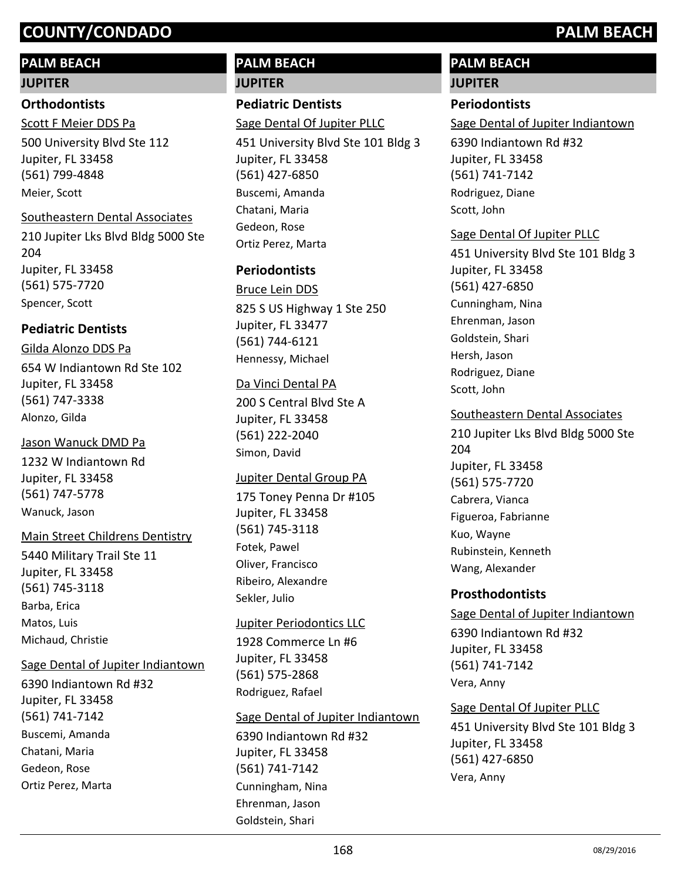## **PALM BEACH**

#### **JUPITER**

#### **Orthodontists**

500 University Blvd Ste 112 Jupiter, FL 33458 (561) 799-4848 Scott F Meier DDS Pa Meier, Scott

#### Southeastern Dental Associates

210 Jupiter Lks Blvd Bldg 5000 Ste 204 Jupiter, FL 33458 (561) 575-7720 Spencer, Scott

## **Pediatric Dentists**

654 W Indiantown Rd Ste 102 Jupiter, FL 33458 (561) 747-3338 Gilda Alonzo DDS Pa Alonzo, Gilda

#### Jason Wanuck DMD Pa

1232 W Indiantown Rd Jupiter, FL 33458 (561) 747-5778 Wanuck, Jason

#### Main Street Childrens Dentistry

5440 Military Trail Ste 11 Jupiter, FL 33458 (561) 745-3118 Barba, Erica Matos, Luis Michaud, Christie

#### Sage Dental of Jupiter Indiantown

6390 Indiantown Rd #32 Jupiter, FL 33458 (561) 741-7142 Buscemi, Amanda Chatani, Maria Gedeon, Rose Ortiz Perez, Marta

## **PALM BEACH JUPITER**

## **Pediatric Dentists**

Sage Dental Of Jupiter PLLC

451 University Blvd Ste 101 Bldg 3 Jupiter, FL 33458 (561) 427-6850 Buscemi, Amanda Chatani, Maria Gedeon, Rose Ortiz Perez, Marta

## **Periodontists**

825 S US Highway 1 Ste 250 Jupiter, FL 33477 (561) 744-6121 Bruce Lein DDS Hennessy, Michael

#### Da Vinci Dental PA

200 S Central Blvd Ste A Jupiter, FL 33458 (561) 222-2040 Simon, David

#### Jupiter Dental Group PA

175 Toney Penna Dr #105 Jupiter, FL 33458 (561) 745-3118 Fotek, Pawel Oliver, Francisco Ribeiro, Alexandre Sekler, Julio

#### Jupiter Periodontics LLC

1928 Commerce Ln #6 Jupiter, FL 33458 (561) 575-2868 Rodriguez, Rafael

#### Sage Dental of Jupiter Indiantown

6390 Indiantown Rd #32 Jupiter, FL 33458 (561) 741-7142 Cunningham, Nina Ehrenman, Jason Goldstein, Shari

## **PALM BEACH**

## **JUPITER**

## **Periodontists**

Sage Dental of Jupiter Indiantown

6390 Indiantown Rd #32 Jupiter, FL 33458 (561) 741-7142 Rodriguez, Diane Scott, John

## Sage Dental Of Jupiter PLLC

451 University Blvd Ste 101 Bldg 3 Jupiter, FL 33458 (561) 427-6850 Cunningham, Nina Ehrenman, Jason Goldstein, Shari Hersh, Jason Rodriguez, Diane Scott, John

## Southeastern Dental Associates

210 Jupiter Lks Blvd Bldg 5000 Ste 204 Jupiter, FL 33458 (561) 575-7720 Cabrera, Vianca Figueroa, Fabrianne Kuo, Wayne Rubinstein, Kenneth Wang, Alexander

#### **Prosthodontists**

## 6390 Indiantown Rd #32 Jupiter, FL 33458 (561) 741-7142 Sage Dental of Jupiter Indiantown Vera, Anny

#### Sage Dental Of Jupiter PLLC

451 University Blvd Ste 101 Bldg 3 Jupiter, FL 33458 (561) 427-6850 Vera, Anny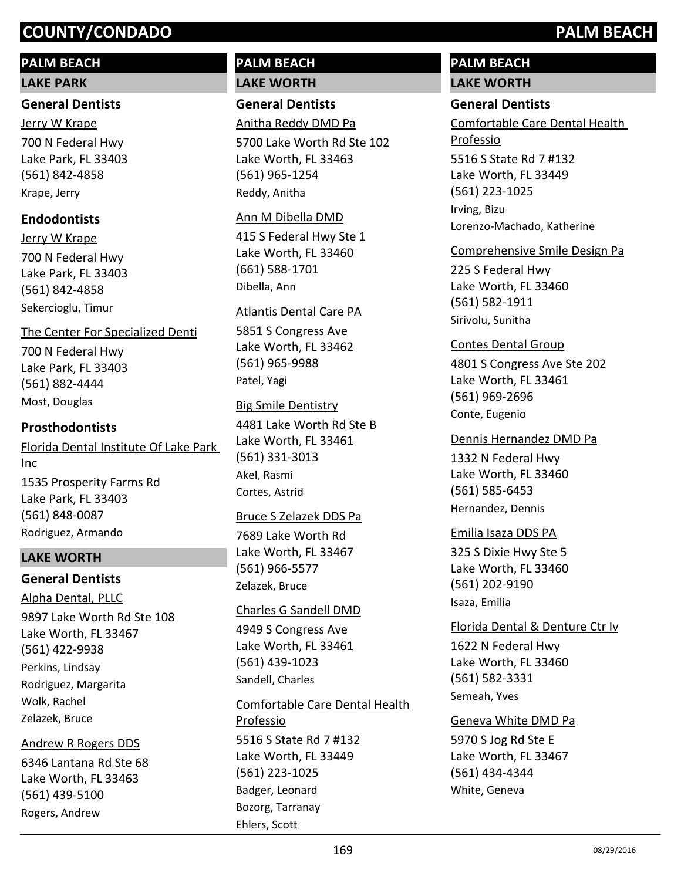## **PALM BEACH**

#### **LAKE PARK**

#### **General Dentists**

700 N Federal Hwy Lake Park, FL 33403 (561) 842-4858 Jerry W Krape Krape, Jerry

## **Endodontists**

700 N Federal Hwy Lake Park, FL 33403 (561) 842-4858 Jerry W Krape Sekercioglu, Timur

## The Center For Specialized Denti

700 N Federal Hwy Lake Park, FL 33403 (561) 882-4444 Most, Douglas

## **Prosthodontists**

1535 Prosperity Farms Rd Lake Park, FL 33403 (561) 848-0087 Florida Dental Institute Of Lake Park Inc Rodriguez, Armando

#### **LAKE WORTH**

#### **General Dentists**

9897 Lake Worth Rd Ste 108 Lake Worth, FL 33467 (561) 422-9938 Alpha Dental, PLLC Perkins, Lindsay Rodriguez, Margarita

Wolk, Rachel Zelazek, Bruce

#### Andrew R Rogers DDS

6346 Lantana Rd Ste 68 Lake Worth, FL 33463 (561) 439-5100 Rogers, Andrew

## **PALM BEACH LAKE WORTH**

**General Dentists** Anitha Reddy DMD Pa

5700 Lake Worth Rd Ste 102 Lake Worth, FL 33463 (561) 965-1254 Reddy, Anitha

#### Ann M Dibella DMD

415 S Federal Hwy Ste 1 Lake Worth, FL 33460 (661) 588-1701 Dibella, Ann

#### Atlantis Dental Care PA

5851 S Congress Ave Lake Worth, FL 33462 (561) 965-9988 Patel, Yagi

#### Big Smile Dentistry

4481 Lake Worth Rd Ste B Lake Worth, FL 33461 (561) 331-3013 Akel, Rasmi Cortes, Astrid

#### Bruce S Zelazek DDS Pa

7689 Lake Worth Rd Lake Worth, FL 33467 (561) 966-5577 Zelazek, Bruce

#### Charles G Sandell DMD

4949 S Congress Ave Lake Worth, FL 33461 (561) 439-1023 Sandell, Charles

#### Comfortable Care Dental Health

5516 S State Rd 7 #132 Lake Worth, FL 33449 (561) 223-1025 Professio Badger, Leonard Bozorg, Tarranay Ehlers, Scott

## **PALM BEACH LAKE WORTH**

Irving, Bizu

# **General Dentists**

5516 S State Rd 7 #132 Lake Worth, FL 33449 (561) 223-1025 Comfortable Care Dental Health Professio

Lorenzo-Machado, Katherine

## Comprehensive Smile Design Pa

225 S Federal Hwy Lake Worth, FL 33460 (561) 582-1911 Sirivolu, Sunitha

#### Contes Dental Group

4801 S Congress Ave Ste 202 Lake Worth, FL 33461 (561) 969-2696 Conte, Eugenio

#### Dennis Hernandez DMD Pa

1332 N Federal Hwy Lake Worth, FL 33460 (561) 585-6453 Hernandez, Dennis

#### Emilia Isaza DDS PA

325 S Dixie Hwy Ste 5 Lake Worth, FL 33460 (561) 202-9190 Isaza, Emilia

#### Florida Dental & Denture Ctr Iv

1622 N Federal Hwy Lake Worth, FL 33460 (561) 582-3331 Semeah, Yves

#### Geneva White DMD Pa

5970 S Jog Rd Ste E Lake Worth, FL 33467 (561) 434-4344 White, Geneva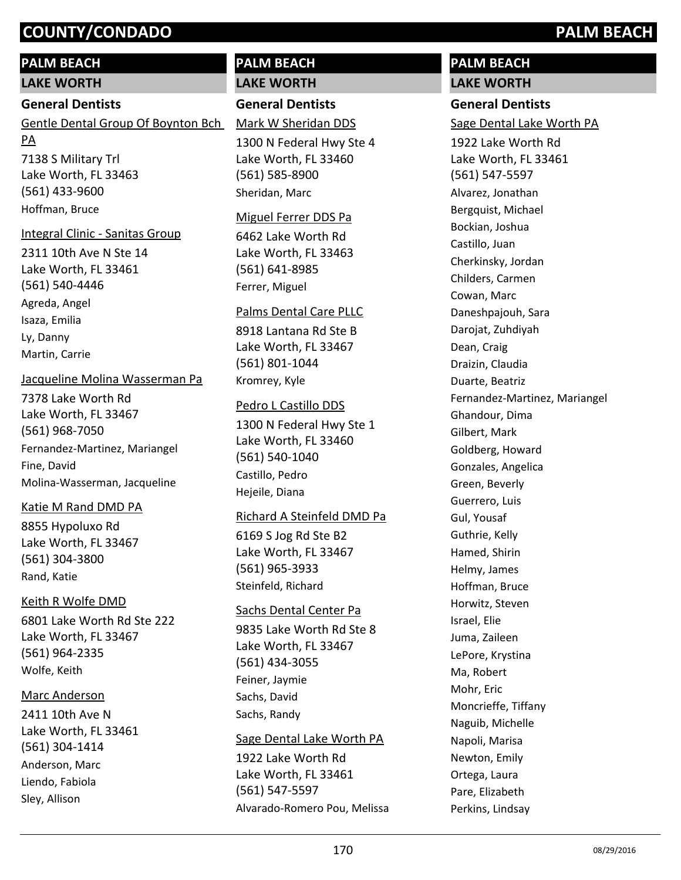## **PALM BEACH**

**LAKE WORTH**

## **General Dentists**

7138 S Military Trl Lake Worth, FL 33463 (561) 433-9600 Gentle Dental Group Of Boynton Bch PA Hoffman, Bruce

## Integral Clinic - Sanitas Group

2311 10th Ave N Ste 14 Lake Worth, FL 33461 (561) 540-4446 Agreda, Angel Isaza, Emilia Ly, Danny Martin, Carrie

## Jacqueline Molina Wasserman Pa

7378 Lake Worth Rd Lake Worth, FL 33467 (561) 968-7050 Fernandez-Martinez, Mariangel Fine, David Molina-Wasserman, Jacqueline

## Katie M Rand DMD PA

8855 Hypoluxo Rd Lake Worth, FL 33467 (561) 304-3800 Rand, Katie

## Keith R Wolfe DMD

6801 Lake Worth Rd Ste 222 Lake Worth, FL 33467 (561) 964-2335 Wolfe, Keith

## Marc Anderson

2411 10th Ave N Lake Worth, FL 33461 (561) 304-1414 Anderson, Marc Liendo, Fabiola Sley, Allison

## **PALM BEACH LAKE WORTH**

## **General Dentists**

Mark W Sheridan DDS

1300 N Federal Hwy Ste 4 Lake Worth, FL 33460 (561) 585-8900 Sheridan, Marc

#### Miguel Ferrer DDS Pa

6462 Lake Worth Rd Lake Worth, FL 33463 (561) 641-8985 Ferrer, Miguel

#### Palms Dental Care PLLC

8918 Lantana Rd Ste B Lake Worth, FL 33467 (561) 801-1044 Kromrey, Kyle

## Pedro L Castillo DDS

1300 N Federal Hwy Ste 1 Lake Worth, FL 33460 (561) 540-1040 Castillo, Pedro Hejeile, Diana

## Richard A Steinfeld DMD Pa

6169 S Jog Rd Ste B2 Lake Worth, FL 33467 (561) 965-3933 Steinfeld, Richard

#### Sachs Dental Center Pa

9835 Lake Worth Rd Ste 8 Lake Worth, FL 33467 (561) 434-3055 Feiner, Jaymie Sachs, David Sachs, Randy

#### Sage Dental Lake Worth PA

1922 Lake Worth Rd Lake Worth, FL 33461 (561) 547-5597 Alvarado-Romero Pou, Melissa

## **PALM BEACH LAKE WORTH**

# **General Dentists**

Sage Dental Lake Worth PA

1922 Lake Worth Rd Lake Worth, FL 33461 (561) 547-5597 Alvarez, Jonathan Bergquist, Michael Bockian, Joshua Castillo, Juan Cherkinsky, Jordan Childers, Carmen Cowan, Marc Daneshpajouh, Sara Darojat, Zuhdiyah Dean, Craig Draizin, Claudia Duarte, Beatriz Fernandez-Martinez, Mariangel Ghandour, Dima Gilbert, Mark Goldberg, Howard Gonzales, Angelica Green, Beverly Guerrero, Luis Gul, Yousaf Guthrie, Kelly Hamed, Shirin Helmy, James Hoffman, Bruce Horwitz, Steven Israel, Elie Juma, Zaileen LePore, Krystina Ma, Robert Mohr, Eric Moncrieffe, Tiffany Naguib, Michelle Napoli, Marisa Newton, Emily Ortega, Laura Pare, Elizabeth Perkins, Lindsay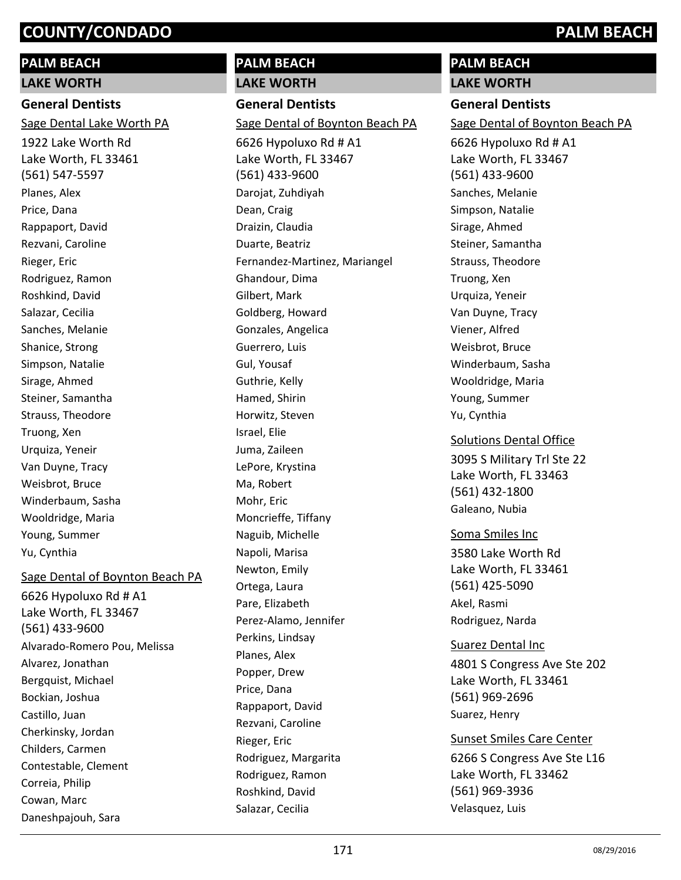## **PALM BEACH**

**LAKE WORTH**

## **General Dentists**

Sage Dental Lake Worth PA

1922 Lake Worth Rd Lake Worth, FL 33461 (561) 547-5597 Planes, Alex Price, Dana Rappaport, David Rezvani, Caroline Rieger, Eric Rodriguez, Ramon Roshkind, David Salazar, Cecilia Sanches, Melanie Shanice, Strong Simpson, Natalie Sirage, Ahmed Steiner, Samantha Strauss, Theodore Truong, Xen Urquiza, Yeneir Van Duyne, Tracy Weisbrot, Bruce Winderbaum, Sasha Wooldridge, Maria Young, Summer Yu, Cynthia

## Sage Dental of Boynton Beach PA

6626 Hypoluxo Rd # A1 Lake Worth, FL 33467 (561) 433-9600 Alvarado-Romero Pou, Melissa Alvarez, Jonathan Bergquist, Michael Bockian, Joshua Castillo, Juan Cherkinsky, Jordan Childers, Carmen Contestable, Clement Correia, Philip Cowan, Marc Daneshpajouh, Sara

## **PALM BEACH LAKE WORTH**

**General Dentists**

Sage Dental of Boynton Beach PA

6626 Hypoluxo Rd # A1 Lake Worth, FL 33467 (561) 433-9600 Darojat, Zuhdiyah Dean, Craig Draizin, Claudia Duarte, Beatriz Fernandez-Martinez, Mariangel Ghandour, Dima Gilbert, Mark Goldberg, Howard Gonzales, Angelica Guerrero, Luis Gul, Yousaf Guthrie, Kelly Hamed, Shirin Horwitz, Steven Israel, Elie Juma, Zaileen LePore, Krystina Ma, Robert Mohr, Eric Moncrieffe, Tiffany Naguib, Michelle Napoli, Marisa Newton, Emily Ortega, Laura Pare, Elizabeth Perez-Alamo, Jennifer Perkins, Lindsay Planes, Alex Popper, Drew Price, Dana Rappaport, David Rezvani, Caroline Rieger, Eric Rodriguez, Margarita Rodriguez, Ramon Roshkind, David Salazar, Cecilia

## **PALM BEACH**

**LAKE WORTH**

## **General Dentists**

Sage Dental of Boynton Beach PA

6626 Hypoluxo Rd # A1 Lake Worth, FL 33467 (561) 433-9600 Sanches, Melanie Simpson, Natalie Sirage, Ahmed Steiner, Samantha Strauss, Theodore Truong, Xen Urquiza, Yeneir Van Duyne, Tracy Viener, Alfred Weisbrot, Bruce Winderbaum, Sasha Wooldridge, Maria Young, Summer Yu, Cynthia

#### Solutions Dental Office

3095 S Military Trl Ste 22 Lake Worth, FL 33463 (561) 432-1800 Galeano, Nubia

## Soma Smiles Inc

3580 Lake Worth Rd Lake Worth, FL 33461 (561) 425-5090 Akel, Rasmi Rodriguez, Narda

4801 S Congress Ave Ste 202 Lake Worth, FL 33461 (561) 969-2696 Suarez Dental Inc Suarez, Henry

6266 S Congress Ave Ste L16 Lake Worth, FL 33462 (561) 969-3936 Sunset Smiles Care Center Velasquez, Luis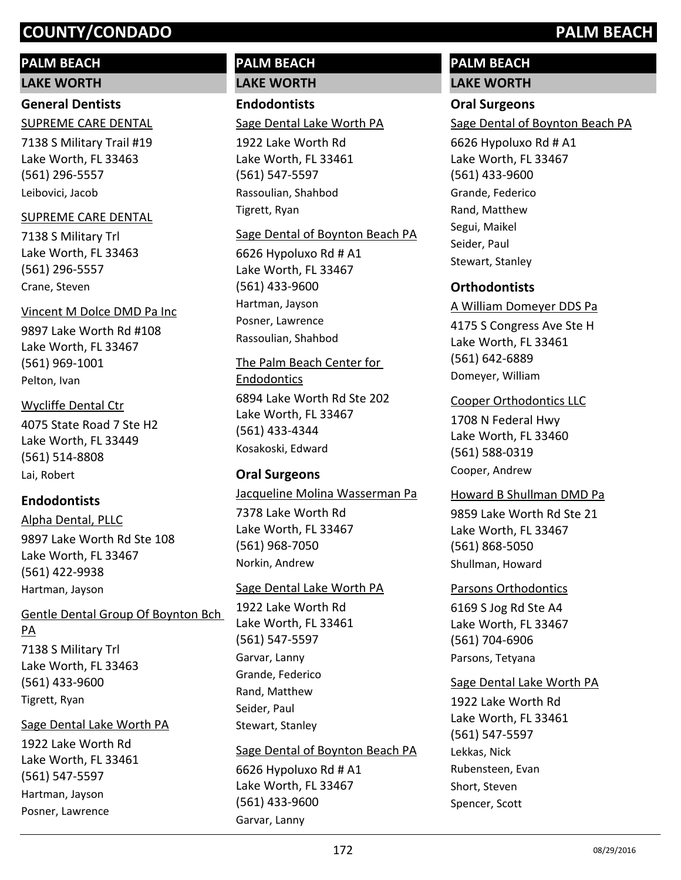## **PALM BEACH**

**LAKE WORTH**

## **General Dentists**

7138 S Military Trail #19 Lake Worth, FL 33463 (561) 296-5557 SUPREME CARE DENTAL Leibovici, Jacob

#### SUPREME CARE DENTAL

7138 S Military Trl Lake Worth, FL 33463 (561) 296-5557 Crane, Steven

9897 Lake Worth Rd #108 Lake Worth, FL 33467 (561) 969-1001 Vincent M Dolce DMD Pa Inc Pelton, Ivan

4075 State Road 7 Ste H2 Lake Worth, FL 33449 (561) 514-8808 Wycliffe Dental Ctr

# Lai, Robert

**Endodontists**

9897 Lake Worth Rd Ste 108 Lake Worth, FL 33467 (561) 422-9938 Alpha Dental, PLLC Hartman, Jayson

## Gentle Dental Group Of Boynton Bch PA

7138 S Military Trl Lake Worth, FL 33463 (561) 433-9600 Tigrett, Ryan

#### Sage Dental Lake Worth PA

1922 Lake Worth Rd Lake Worth, FL 33461 (561) 547-5597 Hartman, Jayson Posner, Lawrence

## **PALM BEACH LAKE WORTH**

## **Endodontists**

Sage Dental Lake Worth PA

1922 Lake Worth Rd Lake Worth, FL 33461 (561) 547-5597 Rassoulian, Shahbod Tigrett, Ryan

#### Sage Dental of Boynton Beach PA

6626 Hypoluxo Rd # A1 Lake Worth, FL 33467 (561) 433-9600 Hartman, Jayson Posner, Lawrence Rassoulian, Shahbod

The Palm Beach Center for Endodontics

6894 Lake Worth Rd Ste 202 Lake Worth, FL 33467 (561) 433-4344 Kosakoski, Edward

## **Oral Surgeons**

Jacqueline Molina Wasserman Pa

7378 Lake Worth Rd Lake Worth, FL 33467 (561) 968-7050 Norkin, Andrew

#### Sage Dental Lake Worth PA

1922 Lake Worth Rd Lake Worth, FL 33461 (561) 547-5597 Garvar, Lanny Grande, Federico Rand, Matthew Seider, Paul Stewart, Stanley

#### Sage Dental of Boynton Beach PA

6626 Hypoluxo Rd # A1 Lake Worth, FL 33467 (561) 433-9600 Garvar, Lanny

# **PALM BEACH**

**LAKE WORTH**

## **Oral Surgeons**

Sage Dental of Boynton Beach PA

6626 Hypoluxo Rd # A1 Lake Worth, FL 33467 (561) 433-9600 Grande, Federico Rand, Matthew Segui, Maikel Seider, Paul Stewart, Stanley

## **Orthodontists**

#### A William Domeyer DDS Pa

4175 S Congress Ave Ste H Lake Worth, FL 33461 (561) 642-6889 Domeyer, William

#### Cooper Orthodontics LLC

1708 N Federal Hwy Lake Worth, FL 33460 (561) 588-0319 Cooper, Andrew

#### Howard B Shullman DMD Pa

9859 Lake Worth Rd Ste 21 Lake Worth, FL 33467 (561) 868-5050 Shullman, Howard

#### Parsons Orthodontics

6169 S Jog Rd Ste A4 Lake Worth, FL 33467 (561) 704-6906 Parsons, Tetyana

#### Sage Dental Lake Worth PA

1922 Lake Worth Rd Lake Worth, FL 33461 (561) 547-5597 Lekkas, Nick Rubensteen, Evan Short, Steven Spencer, Scott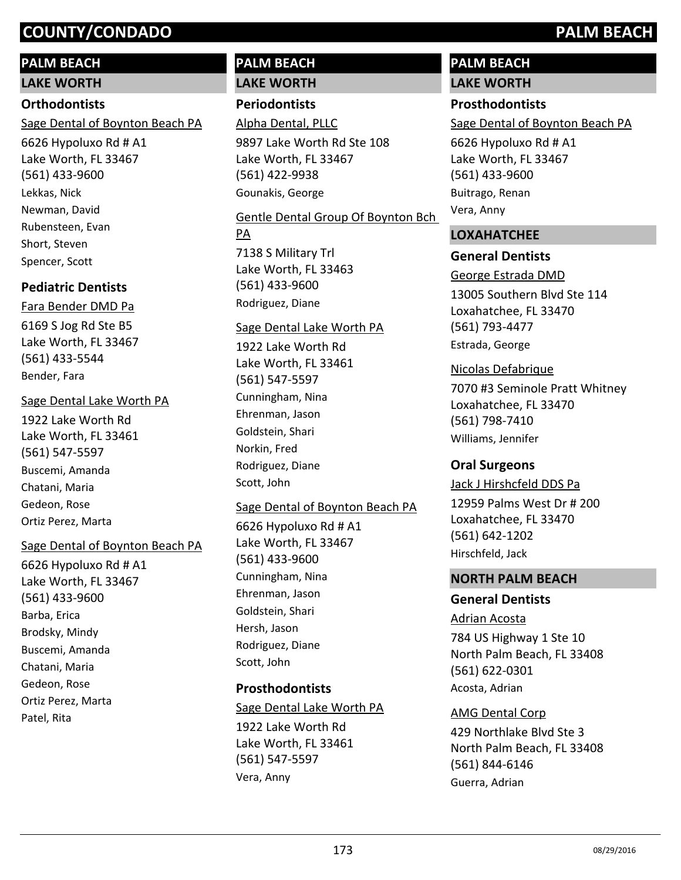## **PALM BEACH**

**LAKE WORTH**

## **Orthodontists**

Sage Dental of Boynton Beach PA

6626 Hypoluxo Rd # A1 Lake Worth, FL 33467 (561) 433-9600 Lekkas, Nick Newman, David Rubensteen, Evan Short, Steven Spencer, Scott

## **Pediatric Dentists**

## Fara Bender DMD Pa

6169 S Jog Rd Ste B5 Lake Worth, FL 33467 (561) 433-5544 Bender, Fara

## Sage Dental Lake Worth PA

1922 Lake Worth Rd Lake Worth, FL 33461 (561) 547-5597 Buscemi, Amanda Chatani, Maria Gedeon, Rose Ortiz Perez, Marta

## Sage Dental of Boynton Beach PA

6626 Hypoluxo Rd # A1 Lake Worth, FL 33467 (561) 433-9600 Barba, Erica Brodsky, Mindy Buscemi, Amanda Chatani, Maria Gedeon, Rose Ortiz Perez, Marta Patel, Rita

# **PALM BEACH**

# **LAKE WORTH**

# **Periodontists**

9897 Lake Worth Rd Ste 108 Lake Worth, FL 33467 (561) 422-9938 Alpha Dental, PLLC Gounakis, George

7138 S Military Trl Lake Worth, FL 33463 (561) 433-9600 Gentle Dental Group Of Boynton Bch PA Rodriguez, Diane

## Sage Dental Lake Worth PA

1922 Lake Worth Rd Lake Worth, FL 33461 (561) 547-5597 Cunningham, Nina Ehrenman, Jason Goldstein, Shari Norkin, Fred Rodriguez, Diane Scott, John

## Sage Dental of Boynton Beach PA

6626 Hypoluxo Rd # A1 Lake Worth, FL 33467 (561) 433-9600 Cunningham, Nina Ehrenman, Jason Goldstein, Shari Hersh, Jason Rodriguez, Diane Scott, John

## **Prosthodontists**

1922 Lake Worth Rd Lake Worth, FL 33461 (561) 547-5597 Sage Dental Lake Worth PA Vera, Anny

# **PALM BEACH**

# **LAKE WORTH**

## **Prosthodontists**

Sage Dental of Boynton Beach PA

6626 Hypoluxo Rd # A1 Lake Worth, FL 33467 (561) 433-9600 Buitrago, Renan Vera, Anny

## **LOXAHATCHEE**

## **General Dentists**

13005 Southern Blvd Ste 114 Loxahatchee, FL 33470 (561) 793-4477 George Estrada DMD Estrada, George

## Nicolas Defabrique

7070 #3 Seminole Pratt Whitney Loxahatchee, FL 33470 (561) 798-7410 Williams, Jennifer

## **Oral Surgeons**

12959 Palms West Dr # 200 Loxahatchee, FL 33470 (561) 642-1202 Jack J Hirshcfeld DDS Pa Hirschfeld, Jack

## **NORTH PALM BEACH**

## **General Dentists**

784 US Highway 1 Ste 10 North Palm Beach, FL 33408 (561) 622-0301 Adrian Acosta Acosta, Adrian

## AMG Dental Corp

429 Northlake Blvd Ste 3 North Palm Beach, FL 33408 (561) 844-6146 Guerra, Adrian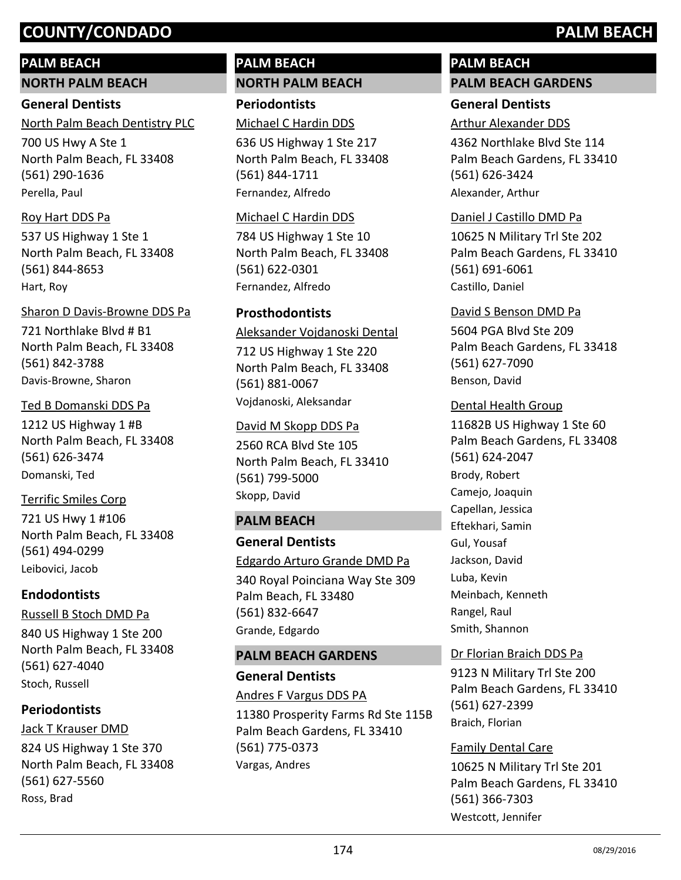## **PALM BEACH**

**NORTH PALM BEACH**

## **General Dentists**

North Palm Beach Dentistry PLC

700 US Hwy A Ste 1 North Palm Beach, FL 33408 (561) 290-1636 Perella, Paul

## Roy Hart DDS Pa

537 US Highway 1 Ste 1 North Palm Beach, FL 33408 (561) 844-8653 Hart, Roy

721 Northlake Blvd # B1 North Palm Beach, FL 33408 (561) 842-3788 Sharon D Davis-Browne DDS Pa Davis-Browne, Sharon

#### Ted B Domanski DDS Pa

1212 US Highway 1 #B North Palm Beach, FL 33408 (561) 626-3474 Domanski, Ted

## Terrific Smiles Corp

721 US Hwy 1 #106 North Palm Beach, FL 33408 (561) 494-0299 Leibovici, Jacob

## **Endodontists**

840 US Highway 1 Ste 200 North Palm Beach, FL 33408 (561) 627-4040 Russell B Stoch DMD Pa Stoch, Russell

## **Periodontists**

824 US Highway 1 Ste 370 North Palm Beach, FL 33408 (561) 627-5560 Jack T Krauser DMD Ross, Brad

## **PALM BEACH NORTH PALM BEACH**

**Periodontists** Michael C Hardin DDS

636 US Highway 1 Ste 217 North Palm Beach, FL 33408 (561) 844-1711 Fernandez, Alfredo

#### Michael C Hardin DDS

784 US Highway 1 Ste 10 North Palm Beach, FL 33408 (561) 622-0301 Fernandez, Alfredo

## **Prosthodontists**

Aleksander Vojdanoski Dental

712 US Highway 1 Ste 220 North Palm Beach, FL 33408 (561) 881-0067 Vojdanoski, Aleksandar

#### David M Skopp DDS Pa

2560 RCA Blvd Ste 105 North Palm Beach, FL 33410 (561) 799-5000 Skopp, David

#### **PALM BEACH**

## **General Dentists**

#### Edgardo Arturo Grande DMD Pa

340 Royal Poinciana Way Ste 309 Palm Beach, FL 33480 (561) 832-6647 Grande, Edgardo

#### **PALM BEACH GARDENS**

#### **General Dentists**

11380 Prosperity Farms Rd Ste 115B Palm Beach Gardens, FL 33410 (561) 775-0373 Andres F Vargus DDS PA Vargas, Andres

## **PALM BEACH PALM BEACH GARDENS**

## **General Dentists**

Arthur Alexander DDS

4362 Northlake Blvd Ste 114 Palm Beach Gardens, FL 33410 (561) 626-3424 Alexander, Arthur

## Daniel J Castillo DMD Pa

10625 N Military Trl Ste 202 Palm Beach Gardens, FL 33410 (561) 691-6061 Castillo, Daniel

#### David S Benson DMD Pa

5604 PGA Blvd Ste 209 Palm Beach Gardens, FL 33418 (561) 627-7090 Benson, David

#### Dental Health Group

11682B US Highway 1 Ste 60 Palm Beach Gardens, FL 33408 (561) 624-2047 Brody, Robert Camejo, Joaquin Capellan, Jessica Eftekhari, Samin Gul, Yousaf Jackson, David Luba, Kevin Meinbach, Kenneth Rangel, Raul Smith, Shannon

#### Dr Florian Braich DDS Pa

9123 N Military Trl Ste 200 Palm Beach Gardens, FL 33410 (561) 627-2399 Braich, Florian

#### Family Dental Care

10625 N Military Trl Ste 201 Palm Beach Gardens, FL 33410 (561) 366-7303 Westcott, Jennifer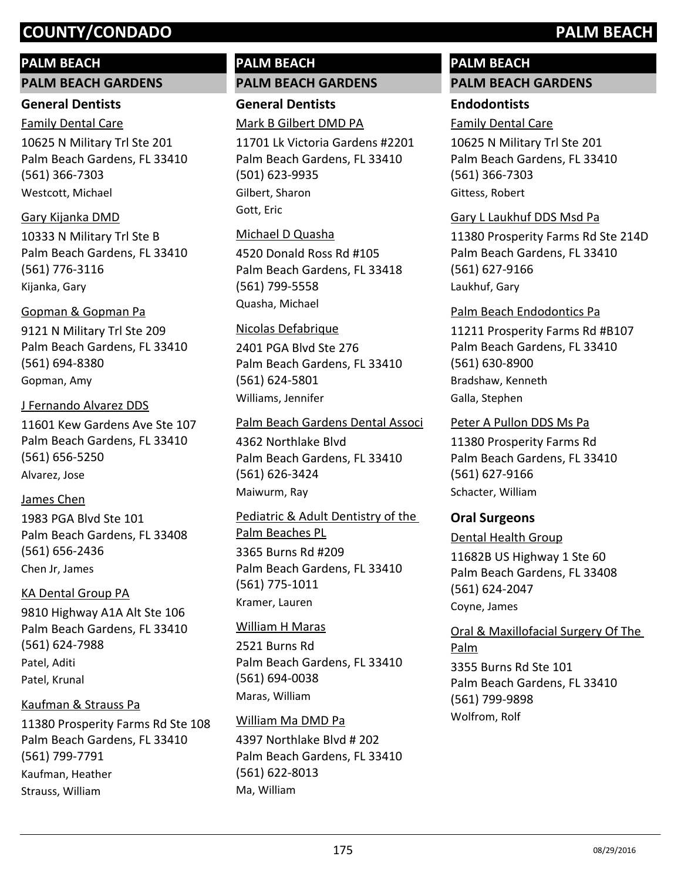## **PALM BEACH**

#### **PALM BEACH GARDENS**

#### **General Dentists**

10625 N Military Trl Ste 201 Palm Beach Gardens, FL 33410 (561) 366-7303 Family Dental Care Westcott, Michael

## Gary Kijanka DMD

10333 N Military Trl Ste B Palm Beach Gardens, FL 33410 (561) 776-3116 Kijanka, Gary

## Gopman & Gopman Pa

9121 N Military Trl Ste 209 Palm Beach Gardens, FL 33410 (561) 694-8380 Gopman, Amy

#### J Fernando Alvarez DDS

11601 Kew Gardens Ave Ste 107 Palm Beach Gardens, FL 33410 (561) 656-5250 Alvarez, Jose

## James Chen

1983 PGA Blvd Ste 101 Palm Beach Gardens, FL 33408 (561) 656-2436 Chen Jr, James

## KA Dental Group PA

9810 Highway A1A Alt Ste 106 Palm Beach Gardens, FL 33410 (561) 624-7988 Patel, Aditi Patel, Krunal

## Kaufman & Strauss Pa

11380 Prosperity Farms Rd Ste 108 Palm Beach Gardens, FL 33410 (561) 799-7791 Kaufman, Heather Strauss, William

## **PALM BEACH PALM BEACH GARDENS**

**General Dentists** Mark B Gilbert DMD PA

11701 Lk Victoria Gardens #2201 Palm Beach Gardens, FL 33410 (501) 623-9935 Gilbert, Sharon Gott, Eric

## Michael D Quasha

4520 Donald Ross Rd #105 Palm Beach Gardens, FL 33418 (561) 799-5558 Quasha, Michael

#### Nicolas Defabrique

2401 PGA Blvd Ste 276 Palm Beach Gardens, FL 33410 (561) 624-5801 Williams, Jennifer

#### Palm Beach Gardens Dental Associ

4362 Northlake Blvd Palm Beach Gardens, FL 33410 (561) 626-3424 Maiwurm, Ray

3365 Burns Rd #209 Palm Beach Gardens, FL 33410 (561) 775-1011 Pediatric & Adult Dentistry of the Palm Beaches PL Kramer, Lauren

#### William H Maras

2521 Burns Rd Palm Beach Gardens, FL 33410 (561) 694-0038 Maras, William

#### William Ma DMD Pa

4397 Northlake Blvd # 202 Palm Beach Gardens, FL 33410 (561) 622-8013 Ma, William

# **PALM BEACH**

# **PALM BEACH GARDENS**

## **Endodontists**

Family Dental Care

10625 N Military Trl Ste 201 Palm Beach Gardens, FL 33410 (561) 366-7303 Gittess, Robert

#### Gary L Laukhuf DDS Msd Pa

11380 Prosperity Farms Rd Ste 214D Palm Beach Gardens, FL 33410 (561) 627-9166 Laukhuf, Gary

#### Palm Beach Endodontics Pa

11211 Prosperity Farms Rd #B107 Palm Beach Gardens, FL 33410 (561) 630-8900 Bradshaw, Kenneth Galla, Stephen

#### Peter A Pullon DDS Ms Pa

11380 Prosperity Farms Rd Palm Beach Gardens, FL 33410 (561) 627-9166 Schacter, William

## **Oral Surgeons**

Dental Health Group

11682B US Highway 1 Ste 60 Palm Beach Gardens, FL 33408 (561) 624-2047 Coyne, James

3355 Burns Rd Ste 101 Palm Beach Gardens, FL 33410 (561) 799-9898 Oral & Maxillofacial Surgery Of The Palm Wolfrom, Rolf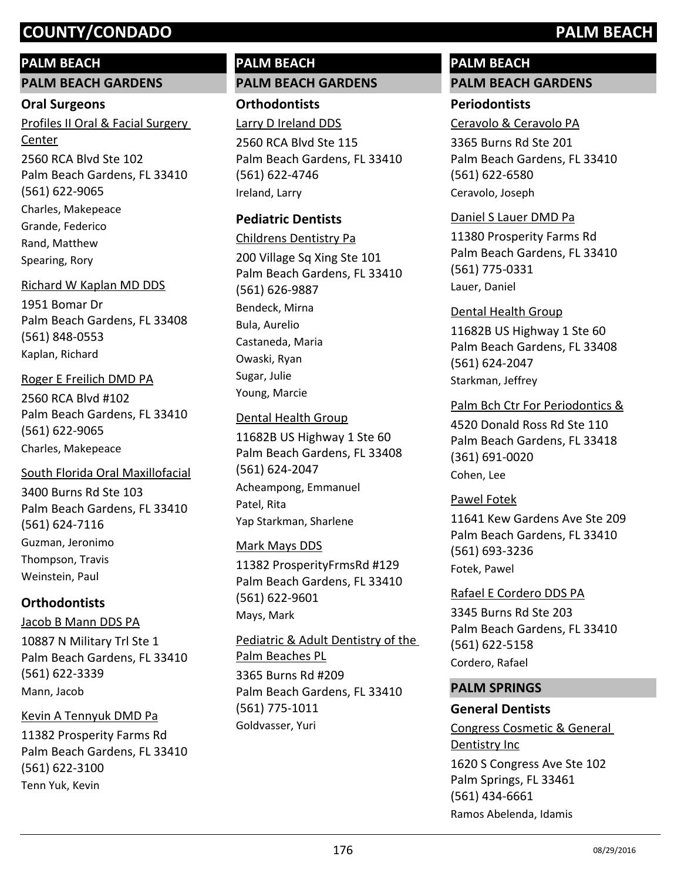## **PALM BEACH**

#### **PALM BEACH GARDENS**

#### **Oral Surgeons**

2560 RCA Blvd Ste 102 Palm Beach Gardens, FL 33410 (561) 622-9065 Profiles II Oral & Facial Surgery Center Charles, Makepeace Grande, Federico Rand, Matthew Spearing, Rory

#### Richard W Kaplan MD DDS

1951 Bomar Dr Palm Beach Gardens, FL 33408 (561) 848-0553 Kaplan, Richard

#### Roger E Freilich DMD PA

2560 RCA Blvd #102 Palm Beach Gardens, FL 33410 (561) 622-9065 Charles, Makepeace

#### South Florida Oral Maxillofacial

3400 Burns Rd Ste 103 Palm Beach Gardens, FL 33410 (561) 624-7116 Guzman, Jeronimo Thompson, Travis Weinstein, Paul

## **Orthodontists**

#### Jacob B Mann DDS PA

10887 N Military Trl Ste 1 Palm Beach Gardens, FL 33410 (561) 622-3339 Mann, Jacob

#### Kevin A Tennyuk DMD Pa

11382 Prosperity Farms Rd Palm Beach Gardens, FL 33410 (561) 622-3100 Tenn Yuk, Kevin

## **PALM BEACH PALM BEACH GARDENS**

**Orthodontists**

Larry D Ireland DDS

2560 RCA Blvd Ste 115 Palm Beach Gardens, FL 33410 (561) 622-4746 Ireland, Larry

## **Pediatric Dentists**

200 Village Sq Xing Ste 101 Palm Beach Gardens, FL 33410 (561) 626-9887 Childrens Dentistry Pa Bendeck, Mirna Bula, Aurelio Castaneda, Maria Owaski, Ryan Sugar, Julie Young, Marcie

#### Dental Health Group

11682B US Highway 1 Ste 60 Palm Beach Gardens, FL 33408 (561) 624-2047 Acheampong, Emmanuel Patel, Rita Yap Starkman, Sharlene

#### Mark Mays DDS

11382 ProsperityFrmsRd #129 Palm Beach Gardens, FL 33410 (561) 622-9601 Mays, Mark

Pediatric & Adult Dentistry of the Palm Beaches PL

3365 Burns Rd #209 Palm Beach Gardens, FL 33410 (561) 775-1011 Goldvasser, Yuri

# **PALM BEACH**

# **PALM BEACH GARDENS**

## **Periodontists**

Ceravolo & Ceravolo PA

3365 Burns Rd Ste 201 Palm Beach Gardens, FL 33410 (561) 622-6580 Ceravolo, Joseph

#### Daniel S Lauer DMD Pa

11380 Prosperity Farms Rd Palm Beach Gardens, FL 33410 (561) 775-0331 Lauer, Daniel

11682B US Highway 1 Ste 60 Palm Beach Gardens, FL 33408 (561) 624-2047 Dental Health Group Starkman, Jeffrey

#### Palm Bch Ctr For Periodontics &

4520 Donald Ross Rd Ste 110 Palm Beach Gardens, FL 33418 (361) 691-0020 Cohen, Lee

#### Pawel Fotek

11641 Kew Gardens Ave Ste 209 Palm Beach Gardens, FL 33410 (561) 693-3236 Fotek, Pawel

## 3345 Burns Rd Ste 203 Palm Beach Gardens, FL 33410 (561) 622-5158 Rafael E Cordero DDS PA Cordero, Rafael

#### **PALM SPRINGS**

## **General Dentists**

1620 S Congress Ave Ste 102 Palm Springs, FL 33461 (561) 434-6661 Congress Cosmetic & General Dentistry Inc Ramos Abelenda, Idamis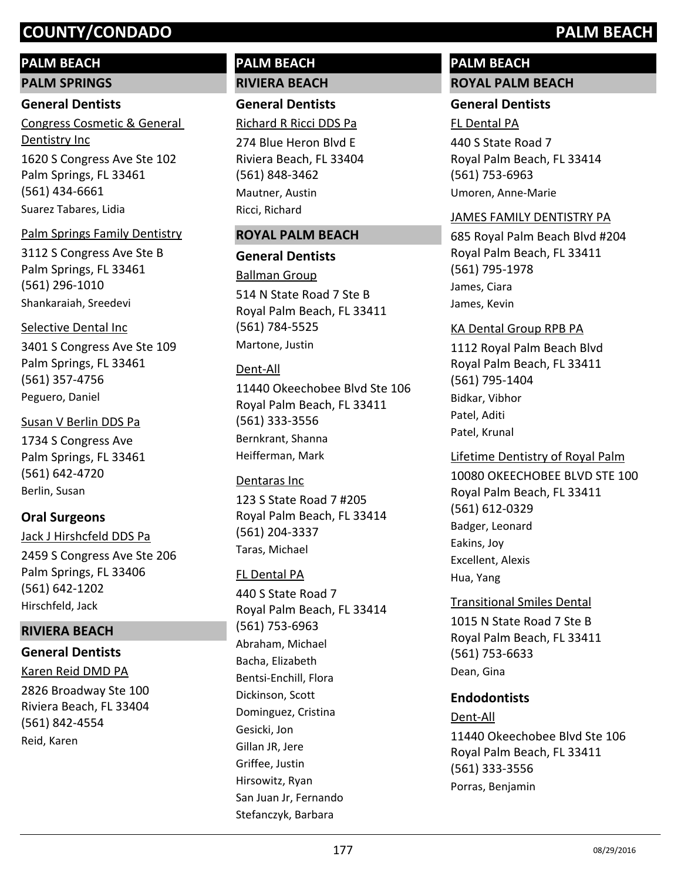## **PALM BEACH**

**PALM SPRINGS**

#### **General Dentists**

1620 S Congress Ave Ste 102 Palm Springs, FL 33461 (561) 434-6661 Congress Cosmetic & General Dentistry Inc Suarez Tabares, Lidia

#### Palm Springs Family Dentistry

3112 S Congress Ave Ste B Palm Springs, FL 33461 (561) 296-1010 Shankaraiah, Sreedevi

#### Selective Dental Inc

3401 S Congress Ave Ste 109 Palm Springs, FL 33461 (561) 357-4756 Peguero, Daniel

#### Susan V Berlin DDS Pa

1734 S Congress Ave Palm Springs, FL 33461 (561) 642-4720 Berlin, Susan

## **Oral Surgeons**

2459 S Congress Ave Ste 206 Palm Springs, FL 33406 (561) 642-1202 Jack J Hirshcfeld DDS Pa Hirschfeld, Jack

## **RIVIERA BEACH**

# **General Dentists**

Karen Reid DMD PA

2826 Broadway Ste 100 Riviera Beach, FL 33404 (561) 842-4554 Reid, Karen

## **PALM BEACH RIVIERA BEACH**

**General Dentists**

274 Blue Heron Blvd E Riviera Beach, FL 33404 (561) 848-3462 Richard R Ricci DDS Pa Mautner, Austin Ricci, Richard

#### **ROYAL PALM BEACH**

#### **General Dentists**

514 N State Road 7 Ste B Royal Palm Beach, FL 33411 (561) 784-5525 Ballman Group Martone, Justin

#### Dent-All

11440 Okeechobee Blvd Ste 106 Royal Palm Beach, FL 33411 (561) 333-3556 Bernkrant, Shanna Heifferman, Mark

#### Dentaras Inc

123 S State Road 7 #205 Royal Palm Beach, FL 33414 (561) 204-3337 Taras, Michael

#### FL Dental PA

440 S State Road 7 Royal Palm Beach, FL 33414 (561) 753-6963 Abraham, Michael Bacha, Elizabeth Bentsi-Enchill, Flora Dickinson, Scott Dominguez, Cristina Gesicki, Jon Gillan JR, Jere Griffee, Justin Hirsowitz, Ryan San Juan Jr, Fernando Stefanczyk, Barbara

## **PALM BEACH ROYAL PALM BEACH**

## **General Dentists**

#### FL Dental PA

440 S State Road 7 Royal Palm Beach, FL 33414 (561) 753-6963 Umoren, Anne-Marie

#### JAMES FAMILY DENTISTRY PA

685 Royal Palm Beach Blvd #204 Royal Palm Beach, FL 33411 (561) 795-1978 James, Ciara James, Kevin

#### KA Dental Group RPB PA

1112 Royal Palm Beach Blvd Royal Palm Beach, FL 33411 (561) 795-1404 Bidkar, Vibhor Patel, Aditi Patel, Krunal

10080 OKEECHOBEE BLVD STE 100 Royal Palm Beach, FL 33411 (561) 612-0329 Lifetime Dentistry of Royal Palm Badger, Leonard Eakins, Joy Excellent, Alexis Hua, Yang

#### Transitional Smiles Dental

1015 N State Road 7 Ste B Royal Palm Beach, FL 33411 (561) 753-6633 Dean, Gina

#### **Endodontists**

#### Dent-All

11440 Okeechobee Blvd Ste 106 Royal Palm Beach, FL 33411 (561) 333-3556 Porras, Benjamin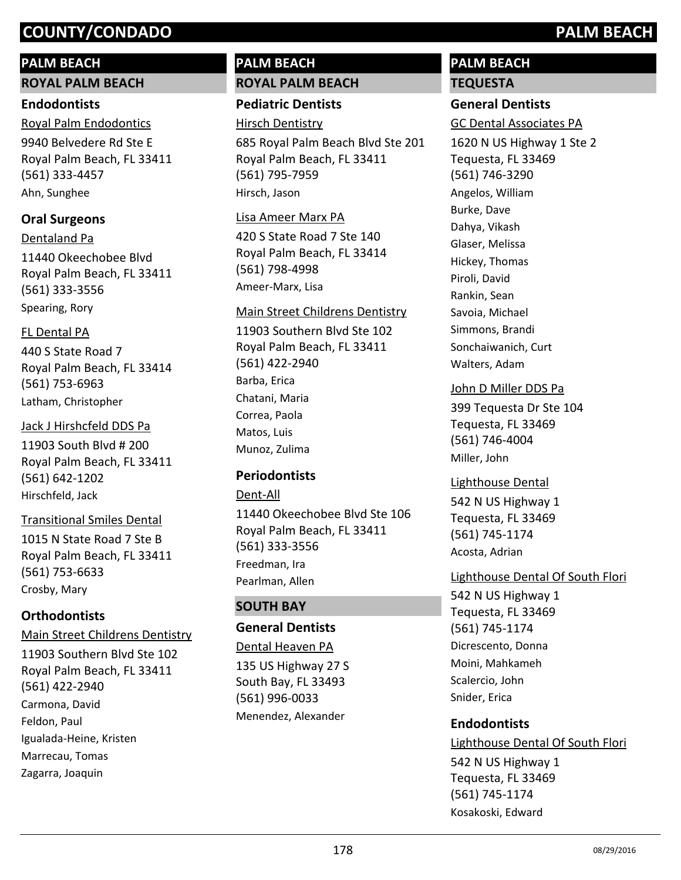## **PALM BEACH**

**ROYAL PALM BEACH**

#### **Endodontists**

9940 Belvedere Rd Ste E Royal Palm Beach, FL 33411 (561) 333-4457 Royal Palm Endodontics Ahn, Sunghee

## **Oral Surgeons**

11440 Okeechobee Blvd Royal Palm Beach, FL 33411 (561) 333-3556 Dentaland Pa Spearing, Rory

## FL Dental PA

440 S State Road 7 Royal Palm Beach, FL 33414 (561) 753-6963 Latham, Christopher

## Jack J Hirshcfeld DDS Pa

11903 South Blvd # 200 Royal Palm Beach, FL 33411 (561) 642-1202 Hirschfeld, Jack

1015 N State Road 7 Ste B Royal Palm Beach, FL 33411 (561) 753-6633 Transitional Smiles Dental Crosby, Mary

## **Orthodontists**

11903 Southern Blvd Ste 102 Royal Palm Beach, FL 33411 (561) 422-2940 Main Street Childrens Dentistry Carmona, David Feldon, Paul Igualada-Heine, Kristen Marrecau, Tomas Zagarra, Joaquin

## **PALM BEACH ROYAL PALM BEACH**

## **Pediatric Dentists**

Hirsch Dentistry

685 Royal Palm Beach Blvd Ste 201 Royal Palm Beach, FL 33411 (561) 795-7959 Hirsch, Jason

#### Lisa Ameer Marx PA

420 S State Road 7 Ste 140 Royal Palm Beach, FL 33414 (561) 798-4998 Ameer-Marx, Lisa

#### Main Street Childrens Dentistry

11903 Southern Blvd Ste 102 Royal Palm Beach, FL 33411 (561) 422-2940 Barba, Erica Chatani, Maria Correa, Paola Matos, Luis Munoz, Zulima

## **Periodontists**

#### Dent-All

11440 Okeechobee Blvd Ste 106 Royal Palm Beach, FL 33411 (561) 333-3556 Freedman, Ira Pearlman, Allen

## **SOUTH BAY**

## **General Dentists**

135 US Highway 27 S South Bay, FL 33493 (561) 996-0033 Dental Heaven PA Menendez, Alexander

# **PALM BEACH**

## **TEQUESTA**

## **General Dentists**

GC Dental Associates PA

1620 N US Highway 1 Ste 2 Tequesta, FL 33469 (561) 746-3290 Angelos, William Burke, Dave Dahya, Vikash Glaser, Melissa Hickey, Thomas Piroli, David Rankin, Sean Savoia, Michael Simmons, Brandi Sonchaiwanich, Curt Walters, Adam

## John D Miller DDS Pa

399 Tequesta Dr Ste 104 Tequesta, FL 33469 (561) 746-4004 Miller, John

#### Lighthouse Dental

542 N US Highway 1 Tequesta, FL 33469 (561) 745-1174 Acosta, Adrian

#### Lighthouse Dental Of South Flori

542 N US Highway 1 Tequesta, FL 33469 (561) 745-1174 Dicrescento, Donna Moini, Mahkameh Scalercio, John Snider, Erica

## **Endodontists**

542 N US Highway 1 Tequesta, FL 33469 (561) 745-1174 Lighthouse Dental Of South Flori Kosakoski, Edward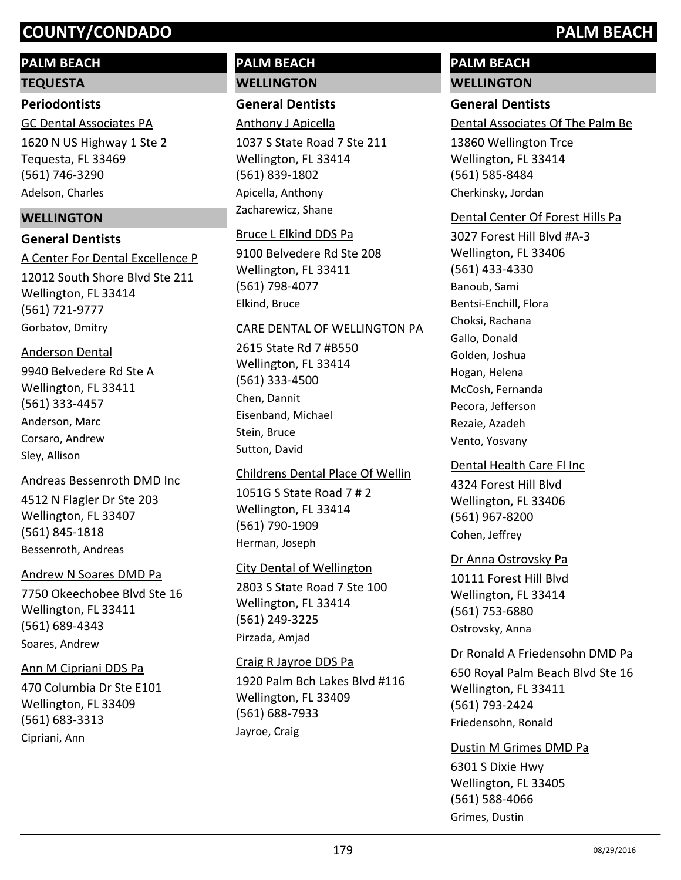## **PALM BEACH**

#### **TEQUESTA**

### **Periodontists**

1620 N US Highway 1 Ste 2 Tequesta, FL 33469 (561) 746-3290 GC Dental Associates PA Adelson, Charles

## **WELLINGTON**

## **General Dentists**

12012 South Shore Blvd Ste 211 Wellington, FL 33414 (561) 721-9777 A Center For Dental Excellence P Gorbatov, Dmitry

#### Anderson Dental

9940 Belvedere Rd Ste A Wellington, FL 33411 (561) 333-4457 Anderson, Marc Corsaro, Andrew Sley, Allison

#### Andreas Bessenroth DMD Inc

4512 N Flagler Dr Ste 203 Wellington, FL 33407 (561) 845-1818 Bessenroth, Andreas

#### Andrew N Soares DMD Pa

7750 Okeechobee Blvd Ste 16 Wellington, FL 33411 (561) 689-4343 Soares, Andrew

#### Ann M Cipriani DDS Pa

470 Columbia Dr Ste E101 Wellington, FL 33409 (561) 683-3313 Cipriani, Ann

## **PALM BEACH WELLINGTON**

## **General Dentists**

Anthony J Apicella

1037 S State Road 7 Ste 211 Wellington, FL 33414 (561) 839-1802 Apicella, Anthony Zacharewicz, Shane

## Bruce L Elkind DDS Pa

9100 Belvedere Rd Ste 208 Wellington, FL 33411 (561) 798-4077 Elkind, Bruce

## CARE DENTAL OF WELLINGTON PA

2615 State Rd 7 #B550 Wellington, FL 33414 (561) 333-4500 Chen, Dannit Eisenband, Michael Stein, Bruce Sutton, David

## Childrens Dental Place Of Wellin

1051G S State Road 7 # 2 Wellington, FL 33414 (561) 790-1909 Herman, Joseph

#### City Dental of Wellington

2803 S State Road 7 Ste 100 Wellington, FL 33414 (561) 249-3225 Pirzada, Amjad

#### Craig R Jayroe DDS Pa

1920 Palm Bch Lakes Blvd #116 Wellington, FL 33409 (561) 688-7933 Jayroe, Craig

## **PALM BEACH WELLINGTON**

## **General Dentists**

Dental Associates Of The Palm Be

13860 Wellington Trce Wellington, FL 33414 (561) 585-8484 Cherkinsky, Jordan

#### Dental Center Of Forest Hills Pa

3027 Forest Hill Blvd #A-3 Wellington, FL 33406 (561) 433-4330 Banoub, Sami Bentsi-Enchill, Flora Choksi, Rachana Gallo, Donald Golden, Joshua Hogan, Helena McCosh, Fernanda Pecora, Jefferson Rezaie, Azadeh Vento, Yosvany

#### Dental Health Care Fl Inc

4324 Forest Hill Blvd Wellington, FL 33406 (561) 967-8200 Cohen, Jeffrey

## Dr Anna Ostrovsky Pa

10111 Forest Hill Blvd Wellington, FL 33414 (561) 753-6880 Ostrovsky, Anna

#### Dr Ronald A Friedensohn DMD Pa

650 Royal Palm Beach Blvd Ste 16 Wellington, FL 33411 (561) 793-2424 Friedensohn, Ronald

#### Dustin M Grimes DMD Pa

6301 S Dixie Hwy Wellington, FL 33405 (561) 588-4066 Grimes, Dustin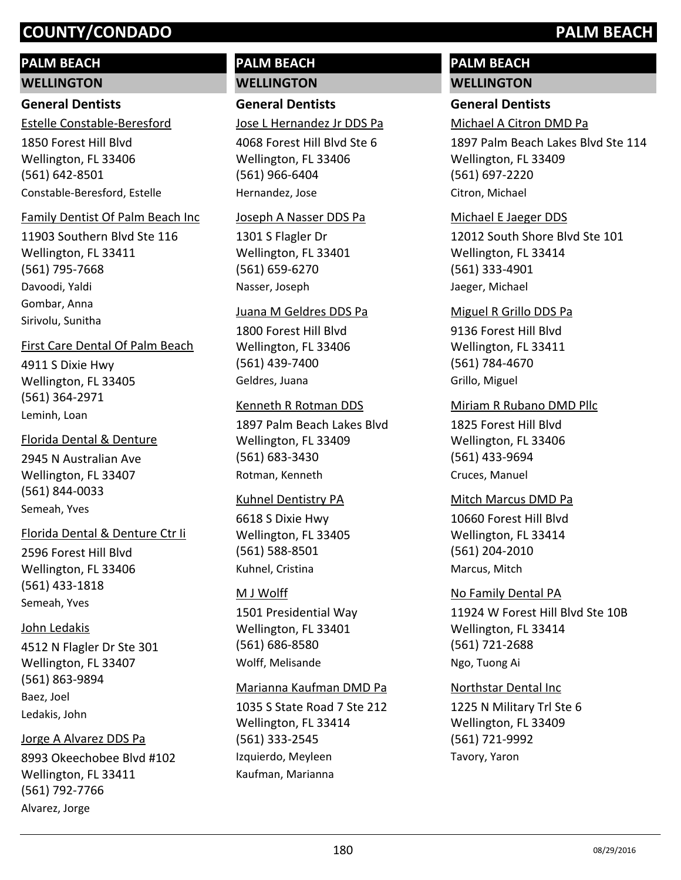## **PALM BEACH**

#### **WELLINGTON**

## **General Dentists**

Estelle Constable-Beresford

1850 Forest Hill Blvd Wellington, FL 33406 (561) 642-8501 Constable-Beresford, Estelle

#### Family Dentist Of Palm Beach Inc

11903 Southern Blvd Ste 116 Wellington, FL 33411 (561) 795-7668 Davoodi, Yaldi Gombar, Anna Sirivolu, Sunitha

#### First Care Dental Of Palm Beach

4911 S Dixie Hwy Wellington, FL 33405 (561) 364-2971 Leminh, Loan

#### Florida Dental & Denture

2945 N Australian Ave Wellington, FL 33407 (561) 844-0033 Semeah, Yves

#### Florida Dental & Denture Ctr Ii

2596 Forest Hill Blvd Wellington, FL 33406 (561) 433-1818 Semeah, Yves

#### John Ledakis

4512 N Flagler Dr Ste 301 Wellington, FL 33407 (561) 863-9894 Baez, Joel Ledakis, John

#### Jorge A Alvarez DDS Pa

8993 Okeechobee Blvd #102 Wellington, FL 33411 (561) 792-7766 Alvarez, Jorge

## **PALM BEACH WELLINGTON**

## **General Dentists**

Jose L Hernandez Jr DDS Pa

4068 Forest Hill Blvd Ste 6 Wellington, FL 33406 (561) 966-6404 Hernandez, Jose

#### Joseph A Nasser DDS Pa

1301 S Flagler Dr Wellington, FL 33401 (561) 659-6270 Nasser, Joseph

#### Juana M Geldres DDS Pa

1800 Forest Hill Blvd Wellington, FL 33406 (561) 439-7400 Geldres, Juana

#### Kenneth R Rotman DDS

1897 Palm Beach Lakes Blvd Wellington, FL 33409 (561) 683-3430 Rotman, Kenneth

#### Kuhnel Dentistry PA

6618 S Dixie Hwy Wellington, FL 33405 (561) 588-8501 Kuhnel, Cristina

#### M J Wolff

1501 Presidential Way Wellington, FL 33401 (561) 686-8580 Wolff, Melisande

#### Marianna Kaufman DMD Pa

1035 S State Road 7 Ste 212 Wellington, FL 33414 (561) 333-2545 Izquierdo, Meyleen Kaufman, Marianna

## **PALM BEACH WELLINGTON**

## **General Dentists**

Michael A Citron DMD Pa

1897 Palm Beach Lakes Blvd Ste 114 Wellington, FL 33409 (561) 697-2220 Citron, Michael

#### Michael E Jaeger DDS

12012 South Shore Blvd Ste 101 Wellington, FL 33414 (561) 333-4901 Jaeger, Michael

#### Miguel R Grillo DDS Pa

9136 Forest Hill Blvd Wellington, FL 33411 (561) 784-4670 Grillo, Miguel

#### Miriam R Rubano DMD Pllc

1825 Forest Hill Blvd Wellington, FL 33406 (561) 433-9694 Cruces, Manuel

#### Mitch Marcus DMD Pa

10660 Forest Hill Blvd Wellington, FL 33414 (561) 204-2010 Marcus, Mitch

## 11924 W Forest Hill Blvd Ste 10B Wellington, FL 33414 (561) 721-2688 No Family Dental PA Ngo, Tuong Ai

#### Northstar Dental Inc

1225 N Military Trl Ste 6 Wellington, FL 33409 (561) 721-9992 Tavory, Yaron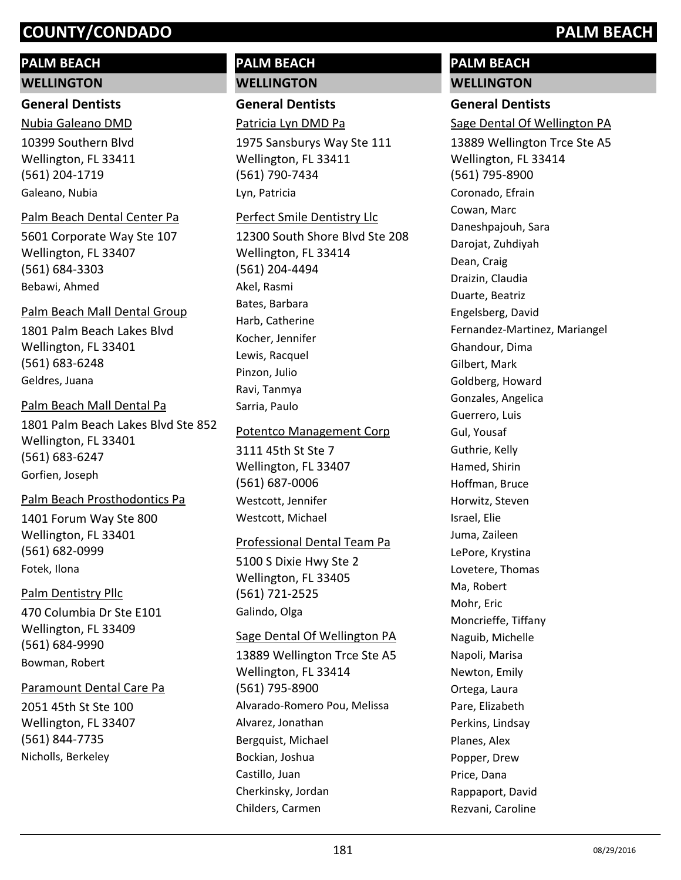### **PALM BEACH**

#### **WELLINGTON**

#### **General Dentists**

10399 Southern Blvd Wellington, FL 33411 (561) 204-1719 Nubia Galeano DMD Galeano, Nubia

#### Palm Beach Dental Center Pa

5601 Corporate Way Ste 107 Wellington, FL 33407 (561) 684-3303 Bebawi, Ahmed

# Palm Beach Mall Dental Group

1801 Palm Beach Lakes Blvd Wellington, FL 33401 (561) 683-6248 Geldres, Juana

#### Palm Beach Mall Dental Pa

1801 Palm Beach Lakes Blvd Ste 852 Wellington, FL 33401 (561) 683-6247 Gorfien, Joseph

#### Palm Beach Prosthodontics Pa

1401 Forum Way Ste 800 Wellington, FL 33401 (561) 682-0999 Fotek, Ilona

#### Palm Dentistry Pllc

470 Columbia Dr Ste E101 Wellington, FL 33409 (561) 684-9990 Bowman, Robert

#### Paramount Dental Care Pa

2051 45th St Ste 100 Wellington, FL 33407 (561) 844-7735 Nicholls, Berkeley

#### **PALM BEACH WELLINGTON**

**General Dentists**

## Patricia Lyn DMD Pa

1975 Sansburys Way Ste 111 Wellington, FL 33411 (561) 790-7434 Lyn, Patricia

#### Perfect Smile Dentistry Llc

12300 South Shore Blvd Ste 208 Wellington, FL 33414 (561) 204-4494 Akel, Rasmi Bates, Barbara Harb, Catherine Kocher, Jennifer Lewis, Racquel Pinzon, Julio Ravi, Tanmya Sarria, Paulo

#### Potentco Management Corp

3111 45th St Ste 7 Wellington, FL 33407 (561) 687-0006 Westcott, Jennifer Westcott, Michael

#### Professional Dental Team Pa

5100 S Dixie Hwy Ste 2 Wellington, FL 33405 (561) 721-2525 Galindo, Olga

#### Sage Dental Of Wellington PA

13889 Wellington Trce Ste A5 Wellington, FL 33414 (561) 795-8900 Alvarado-Romero Pou, Melissa Alvarez, Jonathan Bergquist, Michael Bockian, Joshua Castillo, Juan Cherkinsky, Jordan Childers, Carmen

### **PALM BEACH WELLINGTON**

#### **General Dentists**

Sage Dental Of Wellington PA

13889 Wellington Trce Ste A5 Wellington, FL 33414 (561) 795-8900 Coronado, Efrain Cowan, Marc Daneshpajouh, Sara Darojat, Zuhdiyah Dean, Craig Draizin, Claudia Duarte, Beatriz Engelsberg, David Fernandez-Martinez, Mariangel Ghandour, Dima Gilbert, Mark Goldberg, Howard Gonzales, Angelica Guerrero, Luis Gul, Yousaf Guthrie, Kelly Hamed, Shirin Hoffman, Bruce Horwitz, Steven Israel, Elie Juma, Zaileen LePore, Krystina Lovetere, Thomas Ma, Robert Mohr, Eric Moncrieffe, Tiffany Naguib, Michelle Napoli, Marisa Newton, Emily Ortega, Laura Pare, Elizabeth Perkins, Lindsay Planes, Alex Popper, Drew Price, Dana Rappaport, David Rezvani, Caroline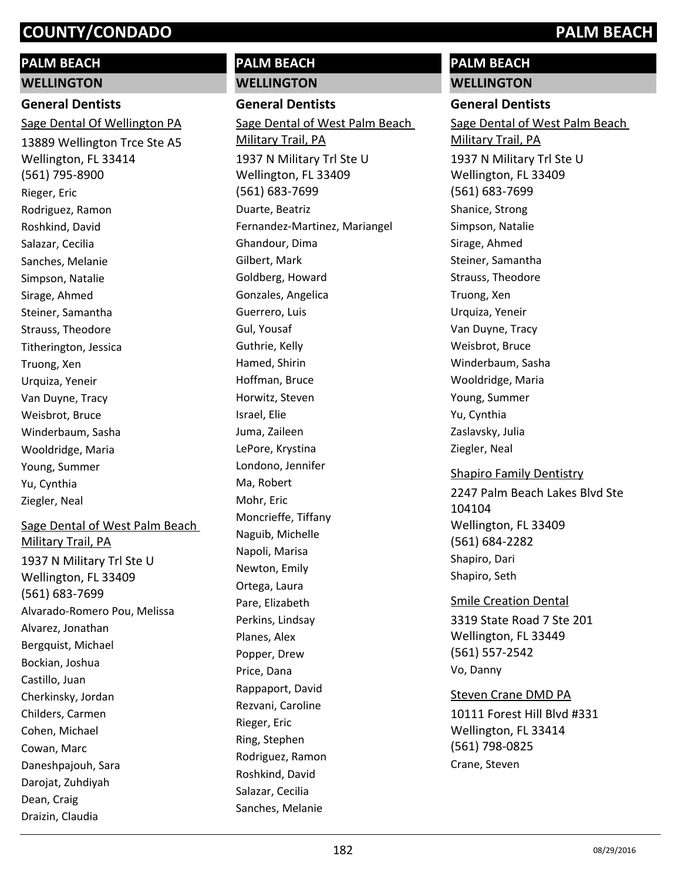# **PALM BEACH**

**WELLINGTON**

### **General Dentists**

13889 Wellington Trce Ste A5 Wellington, FL 33414 (561) 795-8900 Sage Dental Of Wellington PA Rieger, Eric Rodriguez, Ramon Roshkind, David Salazar, Cecilia Sanches, Melanie Simpson, Natalie Sirage, Ahmed Steiner, Samantha Strauss, Theodore Titherington, Jessica Truong, Xen Urquiza, Yeneir Van Duyne, Tracy Weisbrot, Bruce Winderbaum, Sasha Wooldridge, Maria Young, Summer Yu, Cynthia Ziegler, Neal

#### Sage Dental of West Palm Beach

1937 N Military Trl Ste U Wellington, FL 33409 (561) 683-7699 Military Trail, PA Alvarado-Romero Pou, Melissa Alvarez, Jonathan Bergquist, Michael Bockian, Joshua Castillo, Juan Cherkinsky, Jordan Childers, Carmen Cohen, Michael Cowan, Marc Daneshpajouh, Sara Darojat, Zuhdiyah Dean, Craig Draizin, Claudia

#### **PALM BEACH WELLINGTON**

**General Dentists**

1937 N Military Trl Ste U Wellington, FL 33409 (561) 683-7699 Sage Dental of West Palm Beach Military Trail, PA Duarte, Beatriz Fernandez-Martinez, Mariangel Ghandour, Dima Gilbert, Mark Goldberg, Howard Gonzales, Angelica Guerrero, Luis Gul, Yousaf Guthrie, Kelly Hamed, Shirin Hoffman, Bruce Horwitz, Steven Israel, Elie Juma, Zaileen LePore, Krystina Londono, Jennifer Ma, Robert Mohr, Eric Moncrieffe, Tiffany Naguib, Michelle Napoli, Marisa Newton, Emily Ortega, Laura Pare, Elizabeth Perkins, Lindsay Planes, Alex Popper, Drew Price, Dana Rappaport, David Rezvani, Caroline Rieger, Eric Ring, Stephen Rodriguez, Ramon Roshkind, David Salazar, Cecilia Sanches, Melanie

#### **PALM BEACH WELLINGTON**

#### **General Dentists**

1937 N Military Trl Ste U Wellington, FL 33409 (561) 683-7699 Sage Dental of West Palm Beach Military Trail, PA Shanice, Strong Simpson, Natalie Sirage, Ahmed Steiner, Samantha Strauss, Theodore Truong, Xen Urquiza, Yeneir Van Duyne, Tracy Weisbrot, Bruce Winderbaum, Sasha Wooldridge, Maria Young, Summer Yu, Cynthia Zaslavsky, Julia Ziegler, Neal

#### Shapiro Family Dentistry

2247 Palm Beach Lakes Blvd Ste 104104 Wellington, FL 33409 (561) 684-2282 Shapiro, Dari Shapiro, Seth

#### Smile Creation Dental

3319 State Road 7 Ste 201 Wellington, FL 33449 (561) 557-2542 Vo, Danny

#### Steven Crane DMD PA

10111 Forest Hill Blvd #331 Wellington, FL 33414 (561) 798-0825 Crane, Steven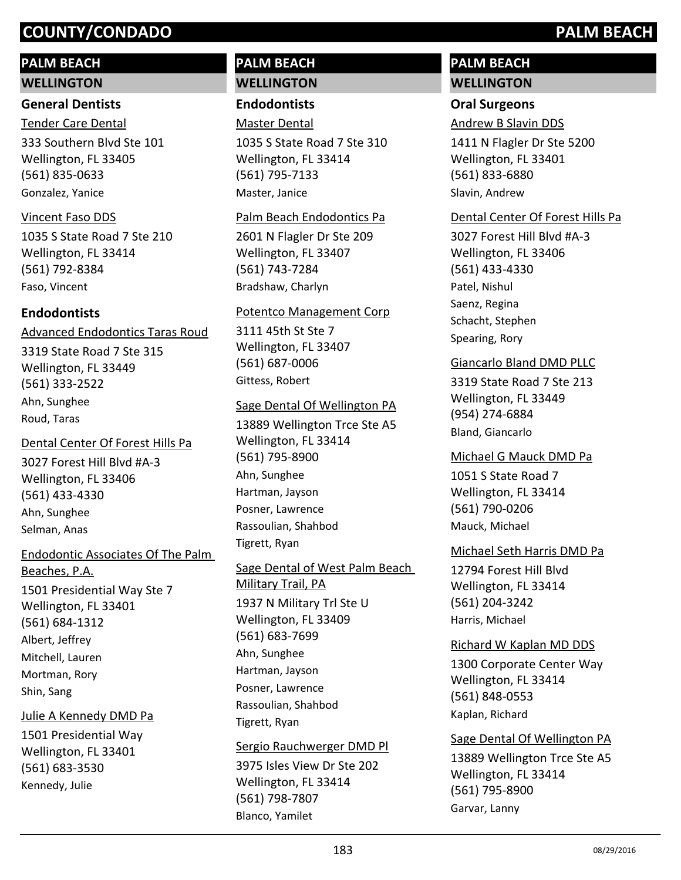#### **PALM BEACH**

**WELLINGTON**

#### **General Dentists**

Tender Care Dental

333 Southern Blvd Ste 101 Wellington, FL 33405 (561) 835-0633 Gonzalez, Yanice

#### Vincent Faso DDS

1035 S State Road 7 Ste 210 Wellington, FL 33414 (561) 792-8384 Faso, Vincent

#### **Endodontists**

3319 State Road 7 Ste 315 Wellington, FL 33449 (561) 333-2522 Advanced Endodontics Taras Roud Ahn, Sunghee Roud, Taras

#### Dental Center Of Forest Hills Pa

3027 Forest Hill Blvd #A-3 Wellington, FL 33406 (561) 433-4330 Ahn, Sunghee Selman, Anas

1501 Presidential Way Ste 7 Wellington, FL 33401 (561) 684-1312 Endodontic Associates Of The Palm Beaches, P.A. Albert, Jeffrey Mitchell, Lauren Mortman, Rory Shin, Sang

#### Julie A Kennedy DMD Pa

1501 Presidential Way Wellington, FL 33401 (561) 683-3530 Kennedy, Julie

#### **PALM BEACH WELLINGTON**

**Endodontists**

Master Dental

1035 S State Road 7 Ste 310 Wellington, FL 33414 (561) 795-7133 Master, Janice

#### Palm Beach Endodontics Pa

2601 N Flagler Dr Ste 209 Wellington, FL 33407 (561) 743-7284 Bradshaw, Charlyn

#### Potentco Management Corp

3111 45th St Ste 7 Wellington, FL 33407 (561) 687-0006 Gittess, Robert

#### Sage Dental Of Wellington PA

13889 Wellington Trce Ste A5 Wellington, FL 33414 (561) 795-8900 Ahn, Sunghee Hartman, Jayson Posner, Lawrence Rassoulian, Shahbod Tigrett, Ryan

#### 1937 N Military Trl Ste U Wellington, FL 33409 Sage Dental of West Palm Beach Military Trail, PA

(561) 683-7699 Ahn, Sunghee Hartman, Jayson Posner, Lawrence Rassoulian, Shahbod Tigrett, Ryan

#### Sergio Rauchwerger DMD Pl

3975 Isles View Dr Ste 202 Wellington, FL 33414 (561) 798-7807 Blanco, Yamilet

#### **PALM BEACH WELLINGTON**

#### **Oral Surgeons**

Andrew B Slavin DDS

1411 N Flagler Dr Ste 5200 Wellington, FL 33401 (561) 833-6880 Slavin, Andrew

#### Dental Center Of Forest Hills Pa

3027 Forest Hill Blvd #A-3 Wellington, FL 33406 (561) 433-4330 Patel, Nishul Saenz, Regina Schacht, Stephen Spearing, Rory

#### Giancarlo Bland DMD PLLC

3319 State Road 7 Ste 213 Wellington, FL 33449 (954) 274-6884 Bland, Giancarlo

#### Michael G Mauck DMD Pa

1051 S State Road 7 Wellington, FL 33414 (561) 790-0206 Mauck, Michael

#### Michael Seth Harris DMD Pa

12794 Forest Hill Blvd Wellington, FL 33414 (561) 204-3242 Harris, Michael

#### Richard W Kaplan MD DDS

1300 Corporate Center Way Wellington, FL 33414 (561) 848-0553 Kaplan, Richard

#### Sage Dental Of Wellington PA

13889 Wellington Trce Ste A5 Wellington, FL 33414 (561) 795-8900 Garvar, Lanny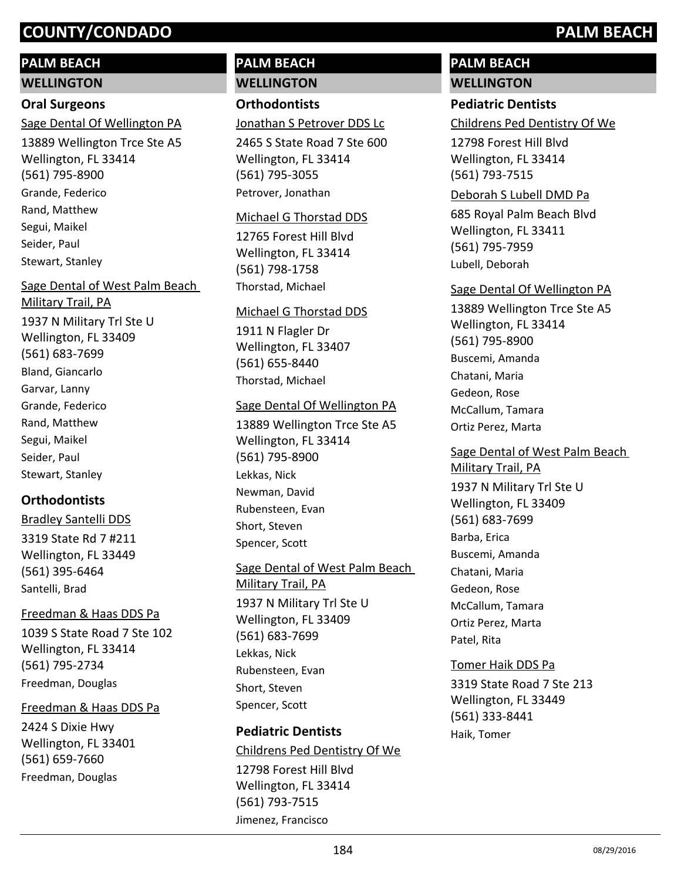### **PALM BEACH**

#### **WELLINGTON**

#### **Oral Surgeons**

13889 Wellington Trce Ste A5 Wellington, FL 33414 (561) 795-8900 Sage Dental Of Wellington PA Grande, Federico Rand, Matthew Segui, Maikel Seider, Paul Stewart, Stanley

## 1937 N Military Trl Ste U Wellington, FL 33409 (561) 683-7699 Sage Dental of West Palm Beach Military Trail, PA Bland, Giancarlo Garvar, Lanny Grande, Federico Rand, Matthew Segui, Maikel

Seider, Paul Stewart, Stanley

#### **Orthodontists**

3319 State Rd 7 #211 Wellington, FL 33449 (561) 395-6464 Bradley Santelli DDS Santelli, Brad

#### Freedman & Haas DDS Pa

1039 S State Road 7 Ste 102 Wellington, FL 33414 (561) 795-2734 Freedman, Douglas

#### Freedman & Haas DDS Pa

2424 S Dixie Hwy Wellington, FL 33401 (561) 659-7660 Freedman, Douglas

#### **PALM BEACH WELLINGTON**

# **Orthodontists**

Jonathan S Petrover DDS Lc

2465 S State Road 7 Ste 600 Wellington, FL 33414 (561) 795-3055 Petrover, Jonathan

#### Michael G Thorstad DDS

12765 Forest Hill Blvd Wellington, FL 33414 (561) 798-1758 Thorstad, Michael

#### Michael G Thorstad DDS

1911 N Flagler Dr Wellington, FL 33407 (561) 655-8440 Thorstad, Michael

#### Sage Dental Of Wellington PA

13889 Wellington Trce Ste A5 Wellington, FL 33414 (561) 795-8900 Lekkas, Nick Newman, David Rubensteen, Evan Short, Steven Spencer, Scott

### Sage Dental of West Palm Beach

1937 N Military Trl Ste U Wellington, FL 33409 (561) 683-7699 Military Trail, PA Lekkas, Nick Rubensteen, Evan Short, Steven Spencer, Scott

#### **Pediatric Dentists**

Childrens Ped Dentistry Of We

12798 Forest Hill Blvd Wellington, FL 33414 (561) 793-7515 Jimenez, Francisco

#### **PALM BEACH WELLINGTON**

#### **Pediatric Dentists**

Childrens Ped Dentistry Of We

12798 Forest Hill Blvd Wellington, FL 33414 (561) 793-7515

#### Deborah S Lubell DMD Pa

685 Royal Palm Beach Blvd Wellington, FL 33411 (561) 795-7959 Lubell, Deborah

#### Sage Dental Of Wellington PA

13889 Wellington Trce Ste A5 Wellington, FL 33414 (561) 795-8900 Buscemi, Amanda Chatani, Maria Gedeon, Rose McCallum, Tamara Ortiz Perez, Marta

# Sage Dental of West Palm Beach

1937 N Military Trl Ste U Wellington, FL 33409 (561) 683-7699 Military Trail, PA Barba, Erica Buscemi, Amanda Chatani, Maria Gedeon, Rose McCallum, Tamara Ortiz Perez, Marta Patel, Rita

#### Tomer Haik DDS Pa

3319 State Road 7 Ste 213 Wellington, FL 33449 (561) 333-8441 Haik, Tomer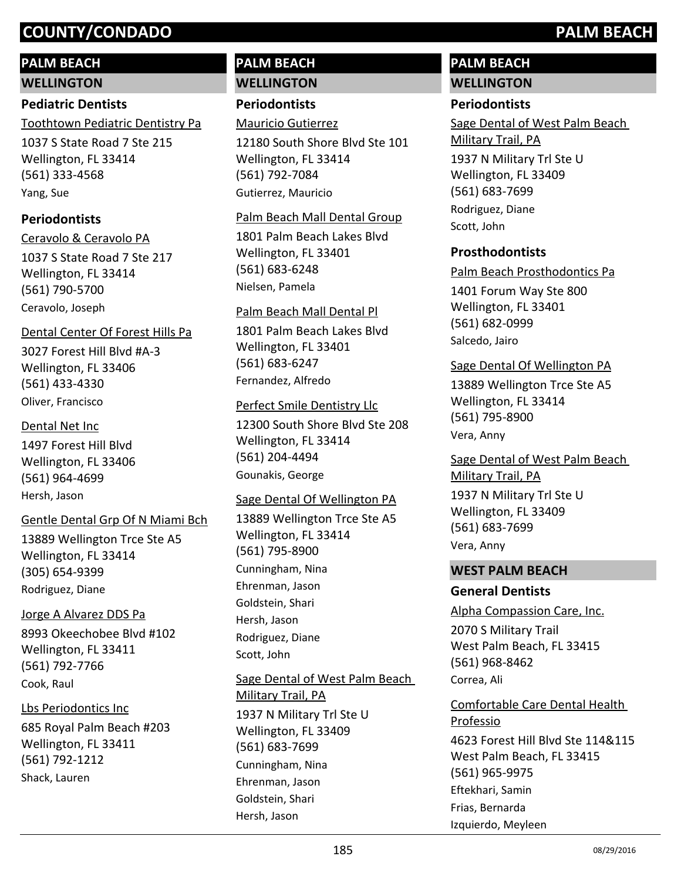# **PALM BEACH**

**WELLINGTON**

### **Pediatric Dentists**

Toothtown Pediatric Dentistry Pa

1037 S State Road 7 Ste 215 Wellington, FL 33414 (561) 333-4568 Yang, Sue

### **Periodontists**

1037 S State Road 7 Ste 217 Wellington, FL 33414 (561) 790-5700 Ceravolo & Ceravolo PA Ceravolo, Joseph

### Dental Center Of Forest Hills Pa

3027 Forest Hill Blvd #A-3 Wellington, FL 33406 (561) 433-4330 Oliver, Francisco

#### Dental Net Inc

1497 Forest Hill Blvd Wellington, FL 33406 (561) 964-4699 Hersh, Jason

#### Gentle Dental Grp Of N Miami Bch

13889 Wellington Trce Ste A5 Wellington, FL 33414 (305) 654-9399 Rodriguez, Diane

#### Jorge A Alvarez DDS Pa

8993 Okeechobee Blvd #102 Wellington, FL 33411 (561) 792-7766 Cook, Raul

#### Lbs Periodontics Inc

685 Royal Palm Beach #203 Wellington, FL 33411 (561) 792-1212 Shack, Lauren

#### **PALM BEACH WELLINGTON**

#### **Periodontists**

Mauricio Gutierrez

12180 South Shore Blvd Ste 101 Wellington, FL 33414 (561) 792-7084 Gutierrez, Mauricio

#### Palm Beach Mall Dental Group

1801 Palm Beach Lakes Blvd Wellington, FL 33401 (561) 683-6248 Nielsen, Pamela

#### Palm Beach Mall Dental Pl

1801 Palm Beach Lakes Blvd Wellington, FL 33401 (561) 683-6247 Fernandez, Alfredo

#### Perfect Smile Dentistry Llc

12300 South Shore Blvd Ste 208 Wellington, FL 33414 (561) 204-4494 Gounakis, George

#### Sage Dental Of Wellington PA

13889 Wellington Trce Ste A5 Wellington, FL 33414 (561) 795-8900 Cunningham, Nina Ehrenman, Jason Goldstein, Shari Hersh, Jason Rodriguez, Diane Scott, John

### 1937 N Military Trl Ste U Wellington, FL 33409 Sage Dental of West Palm Beach Military Trail, PA

(561) 683-7699 Cunningham, Nina Ehrenman, Jason Goldstein, Shari Hersh, Jason

#### **PALM BEACH WELLINGTON**

### **Periodontists**

1937 N Military Trl Ste U Wellington, FL 33409 (561) 683-7699 Sage Dental of West Palm Beach Military Trail, PA Rodriguez, Diane Scott, John

#### **Prosthodontists**

Palm Beach Prosthodontics Pa

1401 Forum Way Ste 800 Wellington, FL 33401 (561) 682-0999 Salcedo, Jairo

#### Sage Dental Of Wellington PA

13889 Wellington Trce Ste A5 Wellington, FL 33414 (561) 795-8900 Vera, Anny

### 1937 N Military Trl Ste U Wellington, FL 33409 (561) 683-7699 Sage Dental of West Palm Beach Military Trail, PA Vera, Anny

#### **WEST PALM BEACH**

#### **General Dentists**

2070 S Military Trail West Palm Beach, FL 33415 (561) 968-8462 Alpha Compassion Care, Inc. Correa, Ali

#### 4623 Forest Hill Blvd Ste 114&115 Comfortable Care Dental Health Professio

West Palm Beach, FL 33415 (561) 965-9975 Eftekhari, Samin Frias, Bernarda Izquierdo, Meyleen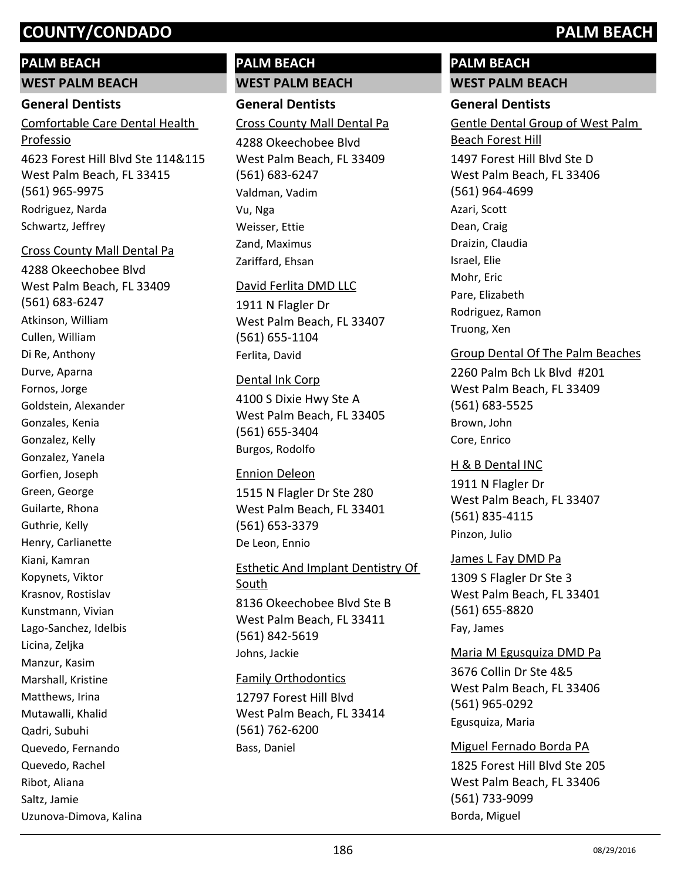#### **PALM BEACH**

#### **WEST PALM BEACH**

#### **General Dentists**

4623 Forest Hill Blvd Ste 114&115 West Palm Beach, FL 33415 (561) 965-9975 Comfortable Care Dental Health Professio Rodriguez, Narda Schwartz, Jeffrey

#### Cross County Mall Dental Pa

4288 Okeechobee Blvd West Palm Beach, FL 33409 (561) 683-6247 Atkinson, William Cullen, William Di Re, Anthony Durve, Aparna Fornos, Jorge Goldstein, Alexander Gonzales, Kenia Gonzalez, Kelly Gonzalez, Yanela Gorfien, Joseph Green, George Guilarte, Rhona Guthrie, Kelly Henry, Carlianette Kiani, Kamran Kopynets, Viktor Krasnov, Rostislav Kunstmann, Vivian Lago-Sanchez, Idelbis Licina, Zeljka Manzur, Kasim Marshall, Kristine Matthews, Irina Mutawalli, Khalid Qadri, Subuhi Quevedo, Fernando Quevedo, Rachel Ribot, Aliana Saltz, Jamie Uzunova-Dimova, Kalina

#### **PALM BEACH WEST PALM BEACH**

# **General Dentists**

#### Cross County Mall Dental Pa

4288 Okeechobee Blvd West Palm Beach, FL 33409 (561) 683-6247 Valdman, Vadim Vu, Nga Weisser, Ettie Zand, Maximus Zariffard, Ehsan

#### David Ferlita DMD LLC

1911 N Flagler Dr West Palm Beach, FL 33407 (561) 655-1104 Ferlita, David

#### Dental Ink Corp

4100 S Dixie Hwy Ste A West Palm Beach, FL 33405 (561) 655-3404 Burgos, Rodolfo

#### Ennion Deleon

1515 N Flagler Dr Ste 280 West Palm Beach, FL 33401 (561) 653-3379 De Leon, Ennio

### 8136 Okeechobee Blvd Ste B West Palm Beach, FL 33411 (561) 842-5619 Esthetic And Implant Dentistry Of **South** Johns, Jackie

#### Family Orthodontics

12797 Forest Hill Blvd West Palm Beach, FL 33414 (561) 762-6200 Bass, Daniel

#### **PALM BEACH WEST PALM BEACH**

#### **General Dentists**

1497 Forest Hill Blvd Ste D West Palm Beach, FL 33406 (561) 964-4699 Gentle Dental Group of West Palm Beach Forest Hill Azari, Scott Dean, Craig Draizin, Claudia Israel, Elie Mohr, Eric Pare, Elizabeth Rodriguez, Ramon Truong, Xen

#### Group Dental Of The Palm Beaches

2260 Palm Bch Lk Blvd #201 West Palm Beach, FL 33409 (561) 683-5525 Brown, John Core, Enrico

#### H & B Dental INC

1911 N Flagler Dr West Palm Beach, FL 33407 (561) 835-4115 Pinzon, Julio

#### James L Fay DMD Pa

1309 S Flagler Dr Ste 3 West Palm Beach, FL 33401 (561) 655-8820 Fay, James

#### Maria M Egusquiza DMD Pa

3676 Collin Dr Ste 4&5 West Palm Beach, FL 33406 (561) 965-0292 Egusquiza, Maria

# Miguel Fernado Borda PA

1825 Forest Hill Blvd Ste 205 West Palm Beach, FL 33406 (561) 733-9099 Borda, Miguel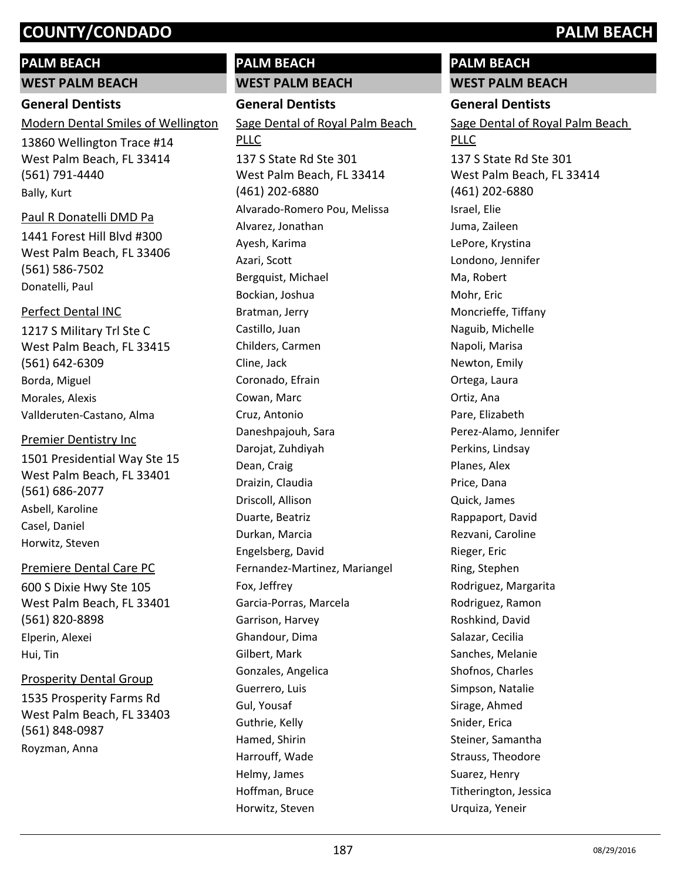#### **PALM BEACH**

**WEST PALM BEACH**

#### **General Dentists**

Modern Dental Smiles of Wellington

13860 Wellington Trace #14 West Palm Beach, FL 33414 (561) 791-4440 Bally, Kurt

#### Paul R Donatelli DMD Pa

1441 Forest Hill Blvd #300 West Palm Beach, FL 33406 (561) 586-7502 Donatelli, Paul

#### Perfect Dental INC

1217 S Military Trl Ste C West Palm Beach, FL 33415 (561) 642-6309 Borda, Miguel Morales, Alexis Vallderuten-Castano, Alma

#### Premier Dentistry Inc

1501 Presidential Way Ste 15 West Palm Beach, FL 33401 (561) 686-2077 Asbell, Karoline Casel, Daniel Horwitz, Steven

#### Premiere Dental Care PC

600 S Dixie Hwy Ste 105 West Palm Beach, FL 33401 (561) 820-8898 Elperin, Alexei Hui, Tin

#### Prosperity Dental Group

1535 Prosperity Farms Rd West Palm Beach, FL 33403 (561) 848-0987 Royzman, Anna

#### **PALM BEACH WEST PALM BEACH**

**General Dentists**

137 S State Rd Ste 301 West Palm Beach, FL 33414 (461) 202-6880 Sage Dental of Royal Palm Beach PLLC Alvarado-Romero Pou, Melissa Alvarez, Jonathan Ayesh, Karima Azari, Scott Bergquist, Michael Bockian, Joshua Bratman, Jerry Castillo, Juan Childers, Carmen Cline, Jack Coronado, Efrain Cowan, Marc Cruz, Antonio Daneshpajouh, Sara Darojat, Zuhdiyah Dean, Craig Draizin, Claudia Driscoll, Allison Duarte, Beatriz Durkan, Marcia Engelsberg, David Fernandez-Martinez, Mariangel Fox, Jeffrey Garcia-Porras, Marcela Garrison, Harvey Ghandour, Dima Gilbert, Mark Gonzales, Angelica Guerrero, Luis Gul, Yousaf Guthrie, Kelly Hamed, Shirin Harrouff, Wade Helmy, James Hoffman, Bruce Horwitz, Steven

# **PALM BEACH**

**WEST PALM BEACH General Dentists** 137 S State Rd Ste 301 West Palm Beach, FL 33414 (461) 202-6880 Sage Dental of Royal Palm Beach PLLC Israel, Elie Juma, Zaileen LePore, Krystina Londono, Jennifer Ma, Robert Mohr, Eric Moncrieffe, Tiffany Naguib, Michelle Napoli, Marisa Newton, Emily Ortega, Laura Ortiz, Ana Pare, Elizabeth Perez-Alamo, Jennifer Perkins, Lindsay Planes, Alex Price, Dana Quick, James Rappaport, David Rezvani, Caroline Rieger, Eric Ring, Stephen Rodriguez, Margarita Rodriguez, Ramon Roshkind, David Salazar, Cecilia Sanches, Melanie Shofnos, Charles Simpson, Natalie Sirage, Ahmed Snider, Erica

Steiner, Samantha Strauss, Theodore Suarez, Henry Titherington, Jessica Urquiza, Yeneir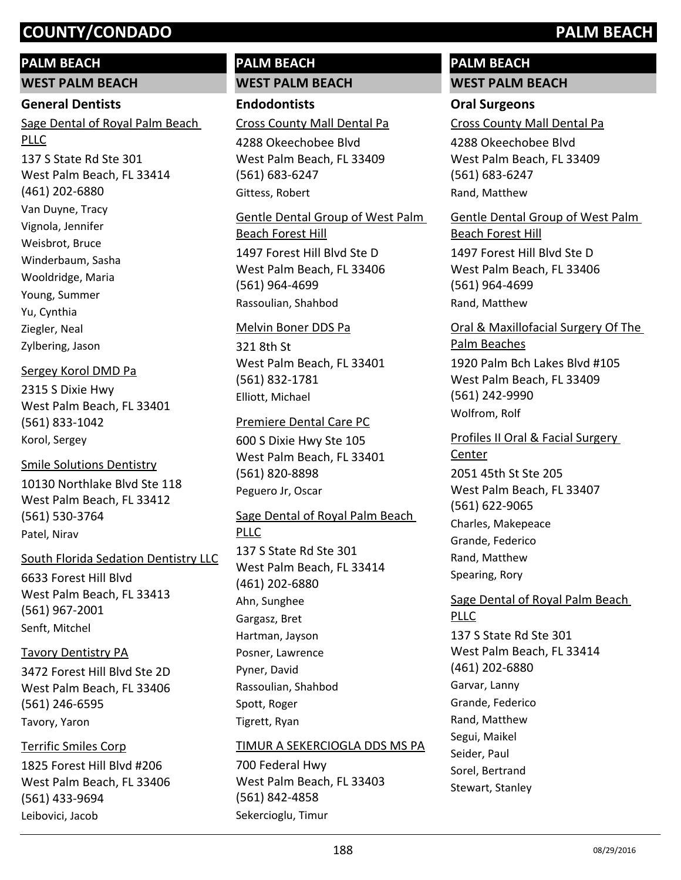#### **PALM BEACH**

**WEST PALM BEACH**

#### **General Dentists**

137 S State Rd Ste 301 West Palm Beach, FL 33414 (461) 202-6880 Sage Dental of Royal Palm Beach PLLC Van Duyne, Tracy Vignola, Jennifer Weisbrot, Bruce Winderbaum, Sasha Wooldridge, Maria Young, Summer Yu, Cynthia Ziegler, Neal

Zylbering, Jason

#### Sergey Korol DMD Pa

2315 S Dixie Hwy West Palm Beach, FL 33401 (561) 833-1042 Korol, Sergey

10130 Northlake Blvd Ste 118 West Palm Beach, FL 33412 (561) 530-3764 Smile Solutions Dentistry Patel, Nirav

South Florida Sedation Dentistry LLC

6633 Forest Hill Blvd West Palm Beach, FL 33413 (561) 967-2001 Senft, Mitchel

#### Tavory Dentistry PA

3472 Forest Hill Blvd Ste 2D West Palm Beach, FL 33406 (561) 246-6595 Tavory, Yaron

#### Terrific Smiles Corp

1825 Forest Hill Blvd #206 West Palm Beach, FL 33406 (561) 433-9694 Leibovici, Jacob

#### **PALM BEACH WEST PALM BEACH**

**Endodontists**

Cross County Mall Dental Pa

4288 Okeechobee Blvd West Palm Beach, FL 33409 (561) 683-6247 Gittess, Robert

1497 Forest Hill Blvd Ste D West Palm Beach, FL 33406 (561) 964-4699 Gentle Dental Group of West Palm Beach Forest Hill Rassoulian, Shahbod

#### Melvin Boner DDS Pa

321 8th St West Palm Beach, FL 33401 (561) 832-1781 Elliott, Michael

#### Premiere Dental Care PC

600 S Dixie Hwy Ste 105 West Palm Beach, FL 33401 (561) 820-8898 Peguero Jr, Oscar

137 S State Rd Ste 301 West Palm Beach, FL 33414 (461) 202-6880 Sage Dental of Royal Palm Beach PLLC Ahn, Sunghee Gargasz, Bret Hartman, Jayson Posner, Lawrence Pyner, David Rassoulian, Shahbod Spott, Roger

#### TIMUR A SEKERCIOGLA DDS MS PA

700 Federal Hwy West Palm Beach, FL 33403 (561) 842-4858 Sekercioglu, Timur

Tigrett, Ryan

#### **PALM BEACH WEST PALM BEACH**

#### **Oral Surgeons**

Cross County Mall Dental Pa

4288 Okeechobee Blvd West Palm Beach, FL 33409 (561) 683-6247 Rand, Matthew

1497 Forest Hill Blvd Ste D West Palm Beach, FL 33406 (561) 964-4699 Gentle Dental Group of West Palm Beach Forest Hill Rand, Matthew

Oral & Maxillofacial Surgery Of The Palm Beaches

1920 Palm Bch Lakes Blvd #105 West Palm Beach, FL 33409 (561) 242-9990 Wolfrom, Rolf

2051 45th St Ste 205 West Palm Beach, FL 33407 (561) 622-9065 Profiles II Oral & Facial Surgery Center Charles, Makepeace Grande, Federico Rand, Matthew Spearing, Rory

# Sage Dental of Royal Palm Beach PLLC

137 S State Rd Ste 301 West Palm Beach, FL 33414 (461) 202-6880 Garvar, Lanny Grande, Federico Rand, Matthew Segui, Maikel Seider, Paul Sorel, Bertrand Stewart, Stanley